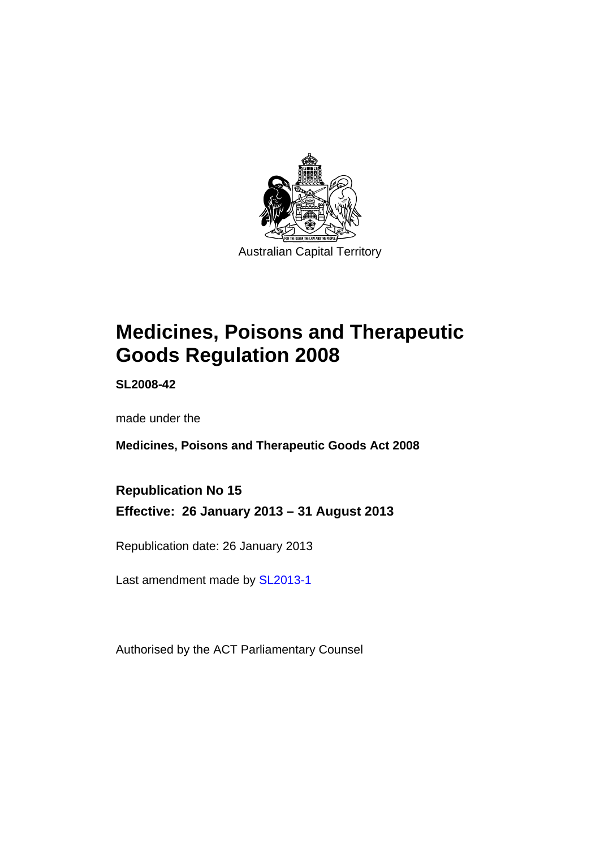

# **Medicines, Poisons and Therapeutic Goods Regulation 2008**

**SL2008-42** 

made under the

**Medicines, Poisons and Therapeutic Goods Act 2008** 

**Republication No 15 Effective: 26 January 2013 – 31 August 2013** 

Republication date: 26 January 2013

Last amendment made by [SL2013-1](http://www.legislation.act.gov.au/sl/2013-1)

Authorised by the ACT Parliamentary Counsel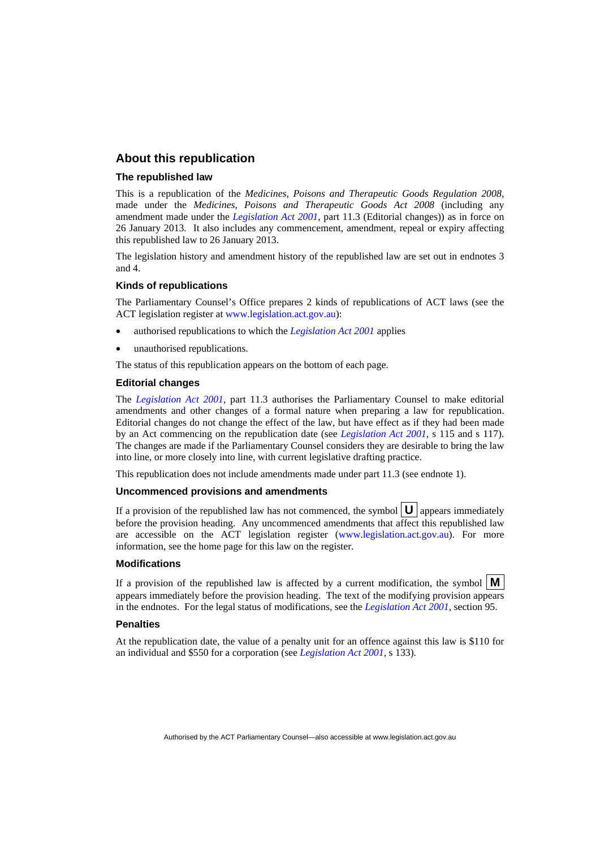### **About this republication**

#### **The republished law**

This is a republication of the *Medicines, Poisons and Therapeutic Goods Regulation 2008*, made under the *Medicines, Poisons and Therapeutic Goods Act 2008* (including any amendment made under the *[Legislation Act 2001](http://www.legislation.act.gov.au/a/2001-14)*, part 11.3 (Editorial changes)) as in force on 26 January 2013*.* It also includes any commencement, amendment, repeal or expiry affecting this republished law to 26 January 2013.

The legislation history and amendment history of the republished law are set out in endnotes 3 and 4.

#### **Kinds of republications**

The Parliamentary Counsel's Office prepares 2 kinds of republications of ACT laws (see the ACT legislation register at [www.legislation.act.gov.au](http://www.legislation.act.gov.au/)):

- authorised republications to which the *[Legislation Act 2001](http://www.legislation.act.gov.au/a/2001-14)* applies
- unauthorised republications.

The status of this republication appears on the bottom of each page.

#### **Editorial changes**

The *[Legislation Act 2001](http://www.legislation.act.gov.au/a/2001-14)*, part 11.3 authorises the Parliamentary Counsel to make editorial amendments and other changes of a formal nature when preparing a law for republication. Editorial changes do not change the effect of the law, but have effect as if they had been made by an Act commencing on the republication date (see *[Legislation Act 2001](http://www.legislation.act.gov.au/a/2001-14)*, s 115 and s 117). The changes are made if the Parliamentary Counsel considers they are desirable to bring the law into line, or more closely into line, with current legislative drafting practice.

This republication does not include amendments made under part 11.3 (see endnote 1).

#### **Uncommenced provisions and amendments**

If a provision of the republished law has not commenced, the symbol  $\mathbf{U}$  appears immediately before the provision heading. Any uncommenced amendments that affect this republished law are accessible on the ACT legislation register [\(www.legislation.act.gov.au\)](http://www.legislation.act.gov.au/). For more information, see the home page for this law on the register.

#### **Modifications**

If a provision of the republished law is affected by a current modification, the symbol  $\mathbf{M}$ appears immediately before the provision heading. The text of the modifying provision appears in the endnotes. For the legal status of modifications, see the *[Legislation Act 2001](http://www.legislation.act.gov.au/a/2001-14)*, section 95.

#### **Penalties**

At the republication date, the value of a penalty unit for an offence against this law is \$110 for an individual and \$550 for a corporation (see *[Legislation Act 2001](http://www.legislation.act.gov.au/a/2001-14)*, s 133).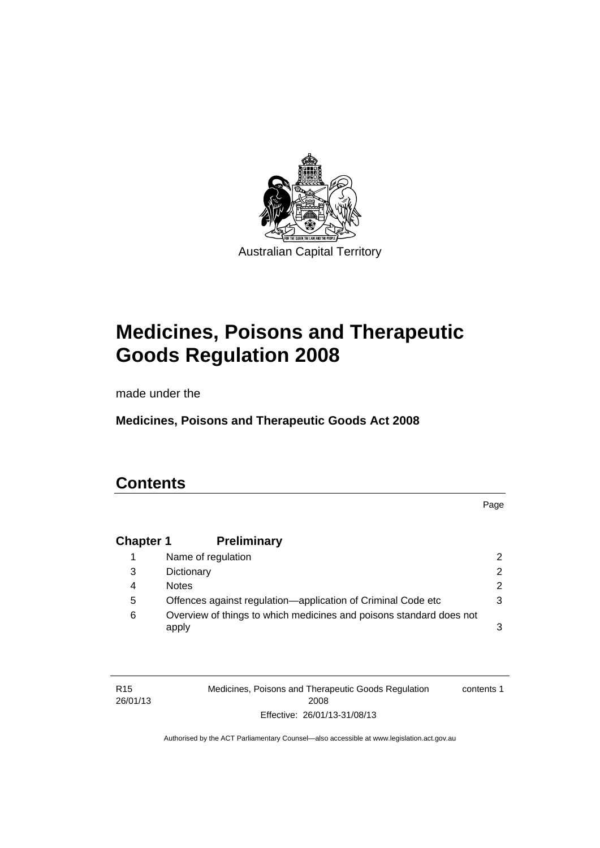

# **Medicines, Poisons and Therapeutic Goods Regulation 2008**

made under the

**Medicines, Poisons and Therapeutic Goods Act 2008** 

# **Contents**

Page

# **Chapter 1 [Preliminary](#page-25-0)**

|   | Name of regulation                                                           |               |
|---|------------------------------------------------------------------------------|---------------|
| 3 | Dictionary                                                                   | $\mathcal{P}$ |
| 4 | <b>Notes</b>                                                                 | $\mathcal{P}$ |
| 5 | Offences against regulation—application of Criminal Code etc                 |               |
| 6 | Overview of things to which medicines and poisons standard does not<br>apply |               |

| R <sub>15</sub> | Medicines, Poisons and Therapeutic Goods Regulation | contents 1 |
|-----------------|-----------------------------------------------------|------------|
| 26/01/13        | 2008                                                |            |
|                 | Effective: 26/01/13-31/08/13                        |            |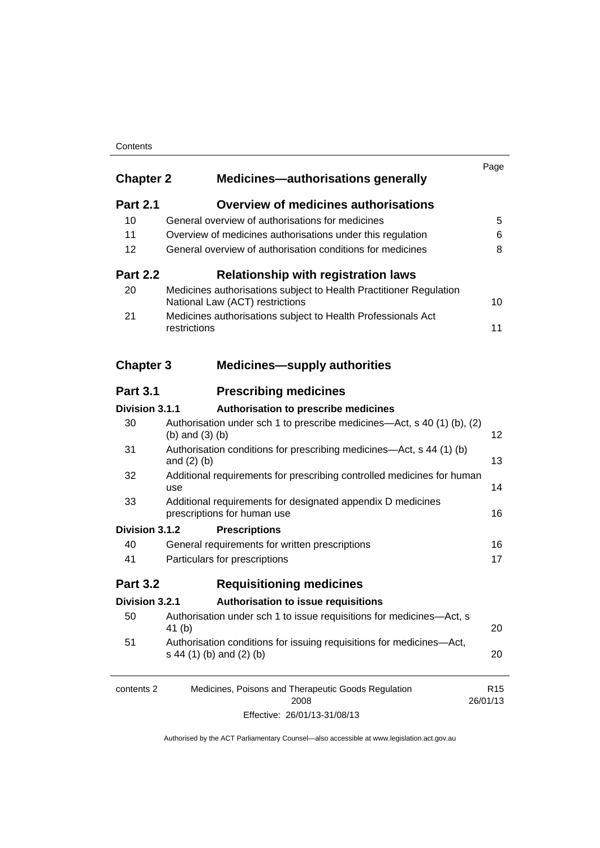#### **Contents**

| <b>Chapter 2</b> | <b>Medicines-authorisations generally</b>                                                             | Page                        |
|------------------|-------------------------------------------------------------------------------------------------------|-----------------------------|
| <b>Part 2.1</b>  | <b>Overview of medicines authorisations</b>                                                           |                             |
| 10               | General overview of authorisations for medicines                                                      | 5                           |
| 11               | Overview of medicines authorisations under this regulation                                            | 6                           |
| 12               | General overview of authorisation conditions for medicines                                            | 8                           |
| <b>Part 2.2</b>  | <b>Relationship with registration laws</b>                                                            |                             |
| 20               | Medicines authorisations subject to Health Practitioner Regulation<br>National Law (ACT) restrictions | 10                          |
| 21               | Medicines authorisations subject to Health Professionals Act<br>restrictions                          | 11                          |
| <b>Chapter 3</b> | <b>Medicines-supply authorities</b>                                                                   |                             |
| <b>Part 3.1</b>  | <b>Prescribing medicines</b>                                                                          |                             |
| Division 3.1.1   | Authorisation to prescribe medicines                                                                  |                             |
| 30               | Authorisation under sch 1 to prescribe medicines—Act, s 40 (1) (b), (2)<br>(b) and $(3)$ (b)          | 12                          |
| 31               | Authorisation conditions for prescribing medicines—Act, s 44 (1) (b)<br>and $(2)$ $(b)$               | 13                          |
| 32               | Additional requirements for prescribing controlled medicines for human<br>use                         | 14                          |
| 33               | Additional requirements for designated appendix D medicines<br>prescriptions for human use            | 16                          |
| Division 3.1.2   | <b>Prescriptions</b>                                                                                  |                             |
| 40               | General requirements for written prescriptions                                                        | 16                          |
| 41               | Particulars for prescriptions                                                                         | 17                          |
| <b>Part 3.2</b>  | <b>Requisitioning medicines</b>                                                                       |                             |
| Division 3.2.1   | Authorisation to issue requisitions                                                                   |                             |
| 50               | Authorisation under sch 1 to issue requisitions for medicines-Act, s<br>41 (b)                        | 20                          |
| 51               | Authorisation conditions for issuing requisitions for medicines-Act,<br>s 44 (1) (b) and (2) (b)      | 20                          |
| contents 2       | Medicines, Poisons and Therapeutic Goods Regulation<br>2008                                           | R <sub>15</sub><br>26/01/13 |
|                  | Effective: 26/01/13-31/08/13                                                                          |                             |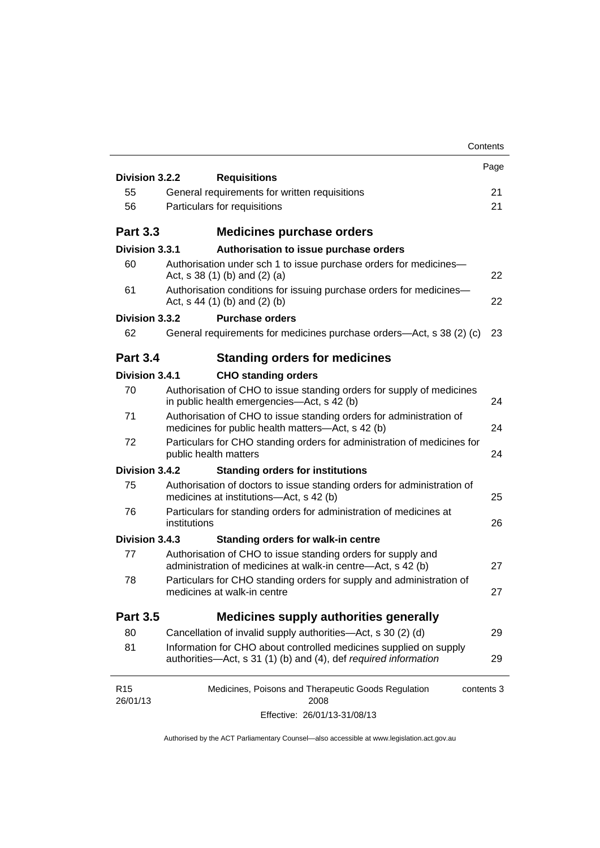|                                                                                                                                      | Contents                                                                                                                                                                                                                 |
|--------------------------------------------------------------------------------------------------------------------------------------|--------------------------------------------------------------------------------------------------------------------------------------------------------------------------------------------------------------------------|
|                                                                                                                                      | Page                                                                                                                                                                                                                     |
|                                                                                                                                      | 21                                                                                                                                                                                                                       |
|                                                                                                                                      | 21                                                                                                                                                                                                                       |
|                                                                                                                                      |                                                                                                                                                                                                                          |
| <b>Medicines purchase orders</b>                                                                                                     |                                                                                                                                                                                                                          |
| Authorisation to issue purchase orders                                                                                               |                                                                                                                                                                                                                          |
| Authorisation under sch 1 to issue purchase orders for medicines-<br>Act, $s$ 38 (1) (b) and (2) (a)                                 | 22                                                                                                                                                                                                                       |
| Authorisation conditions for issuing purchase orders for medicines-<br>Act, $s$ 44 (1) (b) and (2) (b)                               | 22                                                                                                                                                                                                                       |
| <b>Purchase orders</b>                                                                                                               |                                                                                                                                                                                                                          |
| General requirements for medicines purchase orders—Act, s 38 (2) (c)                                                                 | 23                                                                                                                                                                                                                       |
| <b>Standing orders for medicines</b>                                                                                                 |                                                                                                                                                                                                                          |
| <b>CHO standing orders</b>                                                                                                           |                                                                                                                                                                                                                          |
| Authorisation of CHO to issue standing orders for supply of medicines<br>in public health emergencies—Act, s 42 (b)                  | 24                                                                                                                                                                                                                       |
| Authorisation of CHO to issue standing orders for administration of<br>medicines for public health matters-Act, s 42 (b)             | 24                                                                                                                                                                                                                       |
| Particulars for CHO standing orders for administration of medicines for<br>public health matters                                     | 24                                                                                                                                                                                                                       |
| <b>Standing orders for institutions</b>                                                                                              |                                                                                                                                                                                                                          |
| Authorisation of doctors to issue standing orders for administration of<br>medicines at institutions-Act, s 42 (b)                   | 25                                                                                                                                                                                                                       |
| Particulars for standing orders for administration of medicines at<br>institutions                                                   | 26                                                                                                                                                                                                                       |
| <b>Standing orders for walk-in centre</b>                                                                                            |                                                                                                                                                                                                                          |
| Authorisation of CHO to issue standing orders for supply and<br>administration of medicines at walk-in centre-Act, s 42 (b)          | 27                                                                                                                                                                                                                       |
| Particulars for CHO standing orders for supply and administration of<br>medicines at walk-in centre                                  | 27                                                                                                                                                                                                                       |
| <b>Medicines supply authorities generally</b>                                                                                        |                                                                                                                                                                                                                          |
| Cancellation of invalid supply authorities—Act, s 30 (2) (d)                                                                         | 29                                                                                                                                                                                                                       |
| Information for CHO about controlled medicines supplied on supply<br>authorities-Act, s 31 (1) (b) and (4), def required information | 29                                                                                                                                                                                                                       |
| Medicines, Poisons and Therapeutic Goods Regulation<br>contents 3                                                                    |                                                                                                                                                                                                                          |
| Effective: 26/01/13-31/08/13                                                                                                         |                                                                                                                                                                                                                          |
|                                                                                                                                      | Division 3.2.2<br><b>Requisitions</b><br>General requirements for written requisitions<br>Particulars for requisitions<br>Division 3.3.1<br>Division 3.3.2<br>Division 3.4.1<br>Division 3.4.2<br>Division 3.4.3<br>2008 |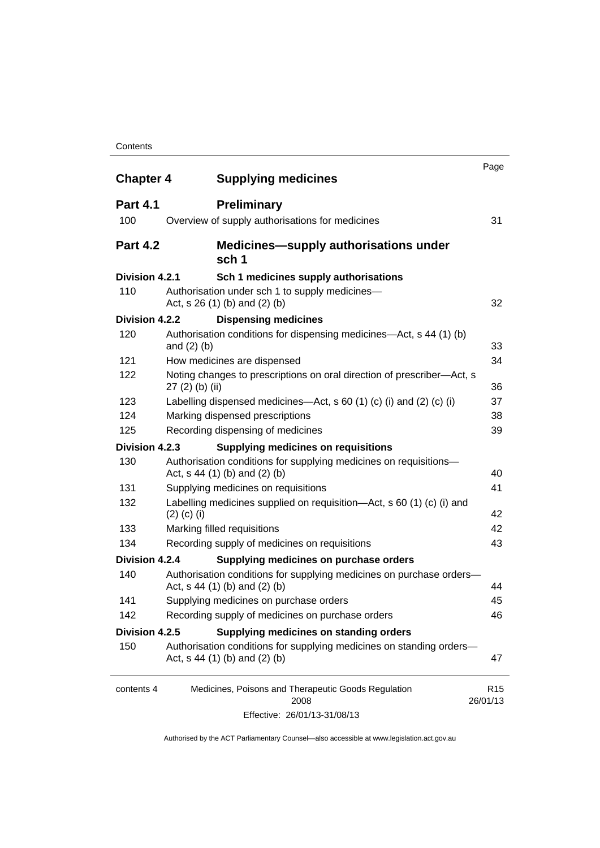#### **Contents**

| <b>Chapter 4</b> | <b>Supplying medicines</b>                                                                              | Page                        |
|------------------|---------------------------------------------------------------------------------------------------------|-----------------------------|
| <b>Part 4.1</b>  | <b>Preliminary</b>                                                                                      |                             |
| 100              | Overview of supply authorisations for medicines                                                         | 31                          |
| <b>Part 4.2</b>  | <b>Medicines—supply authorisations under</b><br>sch 1                                                   |                             |
| Division 4.2.1   | Sch 1 medicines supply authorisations                                                                   |                             |
| 110              | Authorisation under sch 1 to supply medicines-<br>Act, $s$ 26 (1) (b) and (2) (b)                       | 32                          |
| Division 4.2.2   | <b>Dispensing medicines</b>                                                                             |                             |
| 120              | Authorisation conditions for dispensing medicines—Act, s 44 (1) (b)<br>and $(2)$ $(b)$                  | 33                          |
| 121              | How medicines are dispensed                                                                             | 34                          |
| 122              | Noting changes to prescriptions on oral direction of prescriber-Act, s<br>$27(2)$ (b) (ii)              | 36                          |
| 123              | Labelling dispensed medicines—Act, s 60 (1) (c) (i) and (2) (c) (i)                                     | 37                          |
| 124              | Marking dispensed prescriptions                                                                         | 38                          |
| 125              | Recording dispensing of medicines                                                                       | 39                          |
| Division 4.2.3   | <b>Supplying medicines on requisitions</b>                                                              |                             |
| 130              | Authorisation conditions for supplying medicines on requisitions-<br>Act, $s$ 44 (1) (b) and (2) (b)    | 40                          |
| 131              | Supplying medicines on requisitions                                                                     | 41                          |
| 132              | Labelling medicines supplied on requisition-Act, s 60 (1) (c) (i) and<br>$(2)$ (c) (i)                  | 42                          |
| 133              | Marking filled requisitions                                                                             | 42                          |
| 134              | Recording supply of medicines on requisitions                                                           | 43                          |
| Division 4.2.4   | Supplying medicines on purchase orders                                                                  |                             |
| 140              | Authorisation conditions for supplying medicines on purchase orders-<br>Act, s 44 (1) (b) and (2) (b)   | 44                          |
| 141              | Supplying medicines on purchase orders                                                                  | 45                          |
| 142              | Recording supply of medicines on purchase orders                                                        | 46                          |
| Division 4.2.5   | Supplying medicines on standing orders                                                                  |                             |
| 150              | Authorisation conditions for supplying medicines on standing orders-<br>Act, $s$ 44 (1) (b) and (2) (b) | 47                          |
| contents 4       | Medicines, Poisons and Therapeutic Goods Regulation<br>2008                                             | R <sub>15</sub><br>26/01/13 |
|                  | Effective: 26/01/13-31/08/13                                                                            |                             |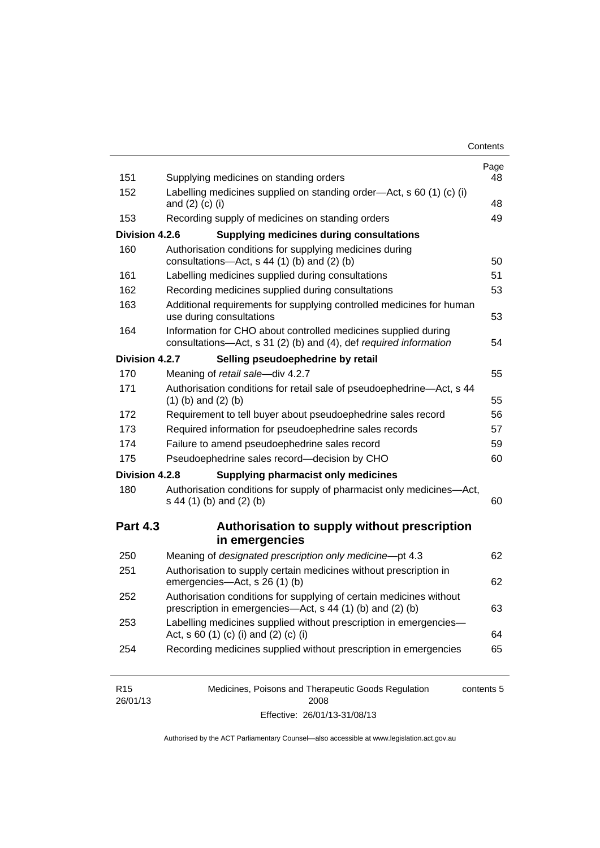| Contents |
|----------|
|----------|

| 151             | Supplying medicines on standing orders                                                                                                                            | Page<br>48 |
|-----------------|-------------------------------------------------------------------------------------------------------------------------------------------------------------------|------------|
| 152             | Labelling medicines supplied on standing order-Act, s 60 (1) (c) (i)<br>and $(2)$ $(c)$ $(i)$                                                                     | 48         |
| 153             | Recording supply of medicines on standing orders                                                                                                                  | 49         |
| Division 4.2.6  | <b>Supplying medicines during consultations</b>                                                                                                                   |            |
| 160             | Authorisation conditions for supplying medicines during                                                                                                           |            |
|                 | consultations-Act, s 44 (1) (b) and (2) (b)                                                                                                                       | 50         |
| 161             | Labelling medicines supplied during consultations                                                                                                                 | 51         |
| 162             | Recording medicines supplied during consultations                                                                                                                 | 53         |
| 163             | Additional requirements for supplying controlled medicines for human<br>use during consultations                                                                  | 53         |
| 164             | Information for CHO about controlled medicines supplied during<br>consultations-Act, s 31 (2) (b) and (4), def required information                               | 54         |
| Division 4.2.7  | Selling pseudoephedrine by retail                                                                                                                                 |            |
| 170             | Meaning of retail sale-div 4.2.7                                                                                                                                  | 55         |
| 171             | Authorisation conditions for retail sale of pseudoephedrine-Act, s 44<br>$(1)$ (b) and $(2)$ (b)                                                                  | 55         |
| 172             | Requirement to tell buyer about pseudoephedrine sales record                                                                                                      | 56         |
| 173             | Required information for pseudoephedrine sales records                                                                                                            | 57         |
| 174             | Failure to amend pseudoephedrine sales record                                                                                                                     | 59         |
| 175             | Pseudoephedrine sales record-decision by CHO                                                                                                                      | 60         |
| Division 4.2.8  | <b>Supplying pharmacist only medicines</b>                                                                                                                        |            |
| 180             | Authorisation conditions for supply of pharmacist only medicines-Act,<br>s 44 (1) (b) and (2) (b)                                                                 | 60         |
| <b>Part 4.3</b> | Authorisation to supply without prescription<br>in emergencies                                                                                                    |            |
| 250             | Meaning of designated prescription only medicine-pt 4.3                                                                                                           | 62         |
|                 |                                                                                                                                                                   |            |
| 251             | Authorisation to supply certain medicines without prescription in                                                                                                 | 62         |
| 252             | emergencies-Act, s 26 (1) (b)<br>Authorisation conditions for supplying of certain medicines without<br>prescription in emergencies—Act, s 44 (1) (b) and (2) (b) | 63         |
| 253             | Labelling medicines supplied without prescription in emergencies-<br>Act, s 60 (1) (c) (i) and (2) (c) (i)                                                        | 64         |

| R <sub>15</sub> | Medicines, Poisons and Therapeutic Goods Regulation | contents 5 |
|-----------------|-----------------------------------------------------|------------|
| 26/01/13        | 2008                                                |            |
|                 | Effective: 26/01/13-31/08/13                        |            |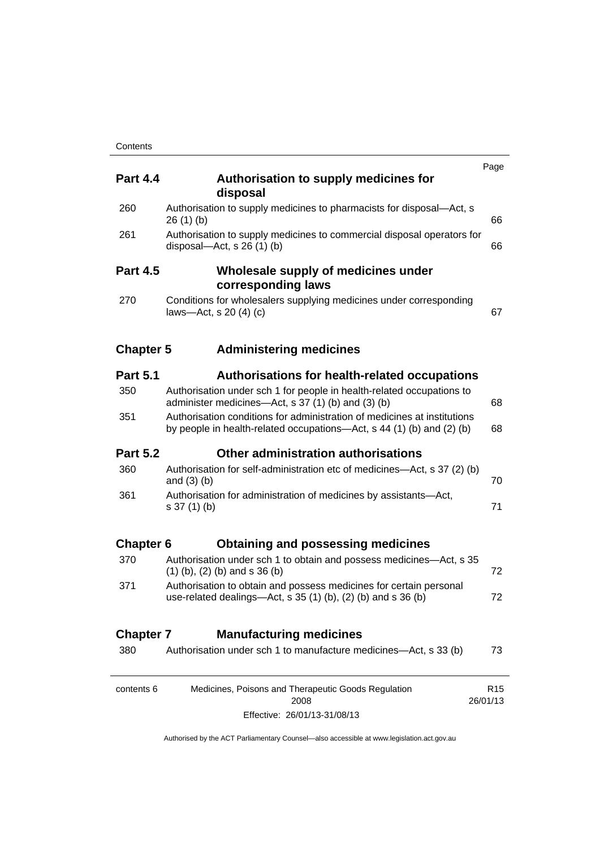| <b>Part 4.4</b>  | Authorisation to supply medicines for<br>disposal                                                                                                 | Page                        |
|------------------|---------------------------------------------------------------------------------------------------------------------------------------------------|-----------------------------|
| 260              | Authorisation to supply medicines to pharmacists for disposal-Act, s<br>26(1)(b)                                                                  | 66                          |
| 261              | Authorisation to supply medicines to commercial disposal operators for<br>disposal—Act, s $26(1)(b)$                                              | 66                          |
| <b>Part 4.5</b>  | Wholesale supply of medicines under<br>corresponding laws                                                                                         |                             |
| 270              | Conditions for wholesalers supplying medicines under corresponding<br>laws-Act, s $20(4)(c)$                                                      | 67                          |
| <b>Chapter 5</b> | <b>Administering medicines</b>                                                                                                                    |                             |
| <b>Part 5.1</b>  | <b>Authorisations for health-related occupations</b>                                                                                              |                             |
| 350              | Authorisation under sch 1 for people in health-related occupations to<br>administer medicines—Act, s 37 (1) (b) and (3) (b)                       | 68                          |
| 351              | Authorisation conditions for administration of medicines at institutions<br>by people in health-related occupations—Act, s 44 (1) (b) and (2) (b) | 68                          |
| <b>Part 5.2</b>  | Other administration authorisations                                                                                                               |                             |
| 360              | Authorisation for self-administration etc of medicines—Act, s 37 (2) (b)<br>and $(3)$ $(b)$                                                       | 70                          |
| 361              | Authorisation for administration of medicines by assistants-Act,<br>$s 37(1)$ (b)                                                                 | 71                          |
| <b>Chapter 6</b> | <b>Obtaining and possessing medicines</b>                                                                                                         |                             |
| 370              | Authorisation under sch 1 to obtain and possess medicines—Act, s 35<br>$(1)$ (b), (2) (b) and s 36 (b)                                            | 72                          |
| 371              | Authorisation to obtain and possess medicines for certain personal<br>use-related dealings-Act, s 35 (1) (b), (2) (b) and s 36 (b)                | 72                          |
| <b>Chapter 7</b> | <b>Manufacturing medicines</b>                                                                                                                    |                             |
| 380              | Authorisation under sch 1 to manufacture medicines-Act, s 33 (b)                                                                                  | 73                          |
| contents 6       | Medicines, Poisons and Therapeutic Goods Regulation<br>2008                                                                                       | R <sub>15</sub><br>26/01/13 |
|                  | Effective: 26/01/13-31/08/13                                                                                                                      |                             |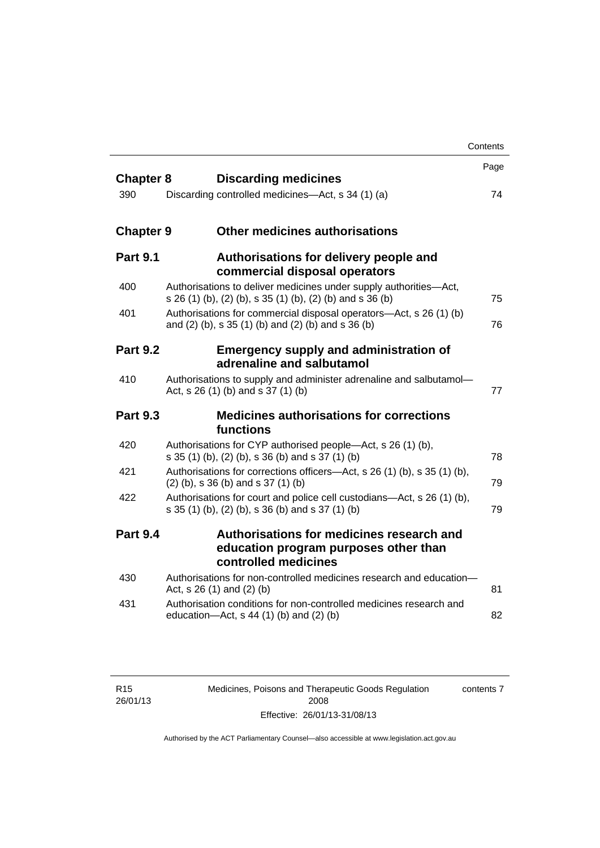|                  |                                                                                                                                | Contents |
|------------------|--------------------------------------------------------------------------------------------------------------------------------|----------|
| <b>Chapter 8</b> | <b>Discarding medicines</b>                                                                                                    | Page     |
| 390              | Discarding controlled medicines—Act, s 34 (1) (a)                                                                              | 74       |
| <b>Chapter 9</b> | <b>Other medicines authorisations</b>                                                                                          |          |
| <b>Part 9.1</b>  | Authorisations for delivery people and<br>commercial disposal operators                                                        |          |
| 400              | Authorisations to deliver medicines under supply authorities-Act,<br>s 26 (1) (b), (2) (b), s 35 (1) (b), (2) (b) and s 36 (b) | 75       |
| 401              | Authorisations for commercial disposal operators—Act, s 26 (1) (b)<br>and (2) (b), s 35 (1) (b) and (2) (b) and s 36 (b)       | 76       |
| <b>Part 9.2</b>  | <b>Emergency supply and administration of</b><br>adrenaline and salbutamol                                                     |          |
| 410              | Authorisations to supply and administer adrenaline and salbutamol-<br>Act, s 26 (1) (b) and s 37 (1) (b)                       | 77       |
| <b>Part 9.3</b>  | <b>Medicines authorisations for corrections</b><br>functions                                                                   |          |
| 420              | Authorisations for CYP authorised people-Act, s 26 (1) (b),<br>s 35 (1) (b), (2) (b), s 36 (b) and s 37 (1) (b)                | 78       |
| 421              | Authorisations for corrections officers—Act, s 26 (1) (b), s 35 (1) (b),<br>$(2)$ (b), s 36 (b) and s 37 (1) (b)               | 79       |
| 422              | Authorisations for court and police cell custodians—Act, s 26 (1) (b),<br>s 35 (1) (b), (2) (b), s 36 (b) and s 37 (1) (b)     | 79       |
| <b>Part 9.4</b>  | Authorisations for medicines research and<br>education program purposes other than<br>controlled medicines                     |          |
| 430              | Authorisations for non-controlled medicines research and education-<br>Act, s 26 (1) and (2) (b)                               | 81       |
| 431              | Authorisation conditions for non-controlled medicines research and<br>education- $Act$ , s 44 (1) (b) and (2) (b)              | 82       |

Medicines, Poisons and Therapeutic Goods Regulation 2008 Effective: 26/01/13-31/08/13

contents 7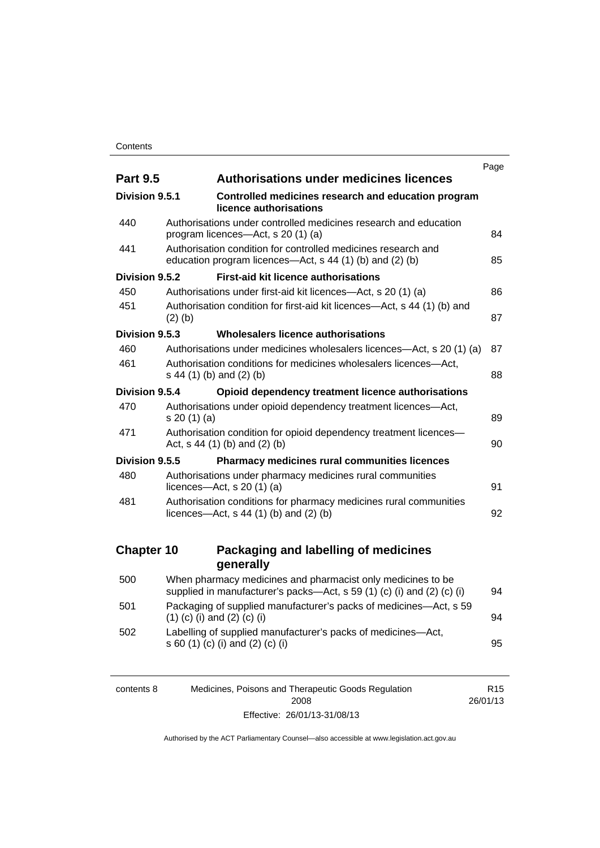|                   |                                                                                                                                       | Page |
|-------------------|---------------------------------------------------------------------------------------------------------------------------------------|------|
| <b>Part 9.5</b>   | <b>Authorisations under medicines licences</b>                                                                                        |      |
| Division 9.5.1    | Controlled medicines research and education program<br>licence authorisations                                                         |      |
| 440               | Authorisations under controlled medicines research and education<br>program licences—Act, s 20 (1) (a)                                | 84   |
| 441               | Authorisation condition for controlled medicines research and<br>education program licences—Act, s 44 (1) (b) and (2) (b)             | 85   |
| Division 9.5.2    | <b>First-aid kit licence authorisations</b>                                                                                           |      |
| 450               | Authorisations under first-aid kit licences—Act, s 20 (1) (a)                                                                         | 86   |
| 451               | Authorisation condition for first-aid kit licences-Act, s 44 (1) (b) and<br>$(2)$ (b)                                                 | 87   |
| Division 9.5.3    | Wholesalers licence authorisations                                                                                                    |      |
| 460               | Authorisations under medicines wholesalers licences—Act, s 20 (1) (a)                                                                 | 87   |
| 461               | Authorisation conditions for medicines wholesalers licences-Act,<br>s 44 (1) (b) and (2) (b)                                          | 88   |
| Division 9.5.4    | Opioid dependency treatment licence authorisations                                                                                    |      |
| 470               | Authorisations under opioid dependency treatment licences-Act,<br>s 20(1)(a)                                                          | 89   |
| 471               | Authorisation condition for opioid dependency treatment licences-<br>Act, $s$ 44 (1) (b) and (2) (b)                                  | 90   |
| Division 9.5.5    | Pharmacy medicines rural communities licences                                                                                         |      |
| 480               | Authorisations under pharmacy medicines rural communities<br>licences- $-\text{Act}$ , s 20 (1) (a)                                   | 91   |
| 481               | Authorisation conditions for pharmacy medicines rural communities<br>licences—Act, $s$ 44 (1) (b) and (2) (b)                         | 92   |
| <b>Chapter 10</b> | Packaging and labelling of medicines                                                                                                  |      |
|                   | generally                                                                                                                             |      |
| 500               | When pharmacy medicines and pharmacist only medicines to be<br>supplied in manufacturer's packs-Act, s 59 (1) (c) (i) and (2) (c) (i) | 94   |
| 501               | Packaging of supplied manufacturer's packs of medicines-Act, s 59<br>$(1)$ (c) (i) and (2) (c) (i)                                    | 94   |
| 502               | Labelling of supplied manufacturer's packs of medicines-Act,<br>s 60 (1) (c) (i) and (2) (c) (i)                                      | 95   |

| contents 8 | Medicines, Poisons and Therapeutic Goods Regulation | R <sub>15</sub> |
|------------|-----------------------------------------------------|-----------------|
|            | 2008                                                | 26/01/13        |
|            | Effective: 26/01/13-31/08/13                        |                 |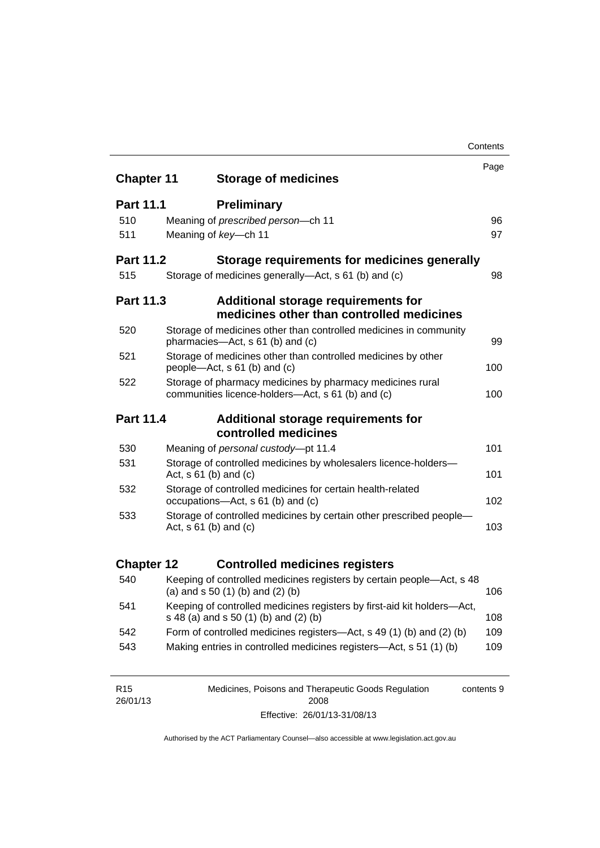|                   |                                                                                                                       | Contents |  |
|-------------------|-----------------------------------------------------------------------------------------------------------------------|----------|--|
| <b>Chapter 11</b> | <b>Storage of medicines</b>                                                                                           | Page     |  |
|                   |                                                                                                                       |          |  |
| <b>Part 11.1</b>  | <b>Preliminary</b>                                                                                                    |          |  |
| 510               | Meaning of prescribed person-ch 11                                                                                    | 96       |  |
| 511               | Meaning of key-ch 11                                                                                                  | 97       |  |
| <b>Part 11.2</b>  | Storage requirements for medicines generally                                                                          |          |  |
| 515               | Storage of medicines generally—Act, s 61 (b) and (c)                                                                  | 98       |  |
| <b>Part 11.3</b>  | <b>Additional storage requirements for</b><br>medicines other than controlled medicines                               |          |  |
| 520               | Storage of medicines other than controlled medicines in community<br>pharmacies-Act, s 61 (b) and (c)                 | 99       |  |
| 521               | Storage of medicines other than controlled medicines by other<br>people—Act, s 61 (b) and (c)                         | 100      |  |
| 522               | Storage of pharmacy medicines by pharmacy medicines rural<br>communities licence-holders—Act, s 61 (b) and (c)<br>100 |          |  |
| Part 11.4         | Additional storage requirements for                                                                                   |          |  |
|                   | controlled medicines                                                                                                  |          |  |
| 530               | Meaning of personal custody-pt 11.4                                                                                   | 101      |  |
| 531               | Storage of controlled medicines by wholesalers licence-holders-<br>Act, $s \ 61$ (b) and (c)                          | 101      |  |
| 532               | Storage of controlled medicines for certain health-related<br>occupations-Act, s 61 (b) and (c)                       | 102      |  |
| 533               | Storage of controlled medicines by certain other prescribed people-<br>Act, $s 61$ (b) and (c)                        | 103      |  |
| <b>Chapter 12</b> | <b>Controlled medicines registers</b>                                                                                 |          |  |
| 540               | Keeping of controlled medicines registers by certain people-Act, s 48<br>(a) and $s$ 50 (1) (b) and (2) (b)           | 106      |  |
| 541               | Keeping of controlled medicines registers by first-aid kit holders-Act,<br>s 48 (a) and s 50 (1) (b) and (2) (b)      | 108      |  |
| 542               | Form of controlled medicines registers—Act, s 49 (1) (b) and (2) (b)                                                  | 109      |  |
| 543               | Making entries in controlled medicines registers-Act, s 51 (1) (b)                                                    | 109      |  |
|                   |                                                                                                                       |          |  |

| R <sub>15</sub> | Medicines, Poisons and Therapeutic Goods Regulation | contents 9 |
|-----------------|-----------------------------------------------------|------------|
| 26/01/13        | 2008                                                |            |
|                 | Effective: 26/01/13-31/08/13                        |            |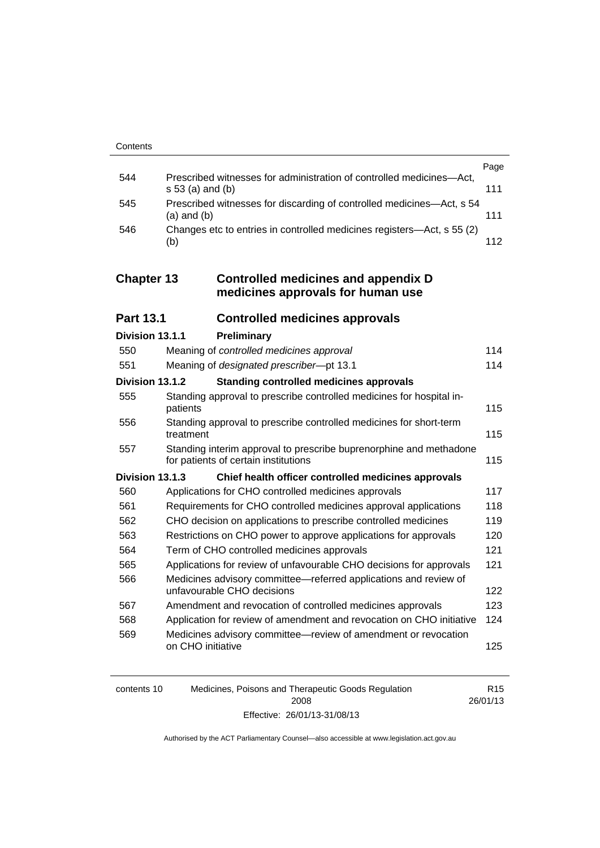|     |                                                                                            | Page |
|-----|--------------------------------------------------------------------------------------------|------|
| 544 | Prescribed witnesses for administration of controlled medicines-Act,<br>$s 53$ (a) and (b) | 111  |
| 545 | Prescribed witnesses for discarding of controlled medicines—Act, s 54<br>$(a)$ and $(b)$   | 111  |
| 546 | Changes etc to entries in controlled medicines registers—Act, s 55 (2)<br>(b)              | 112  |

## **Chapter 13 [Controlled medicines and appendix D](#page-137-0)  [medicines approvals for human use](#page-137-0)**

| <b>Part 13.1</b> | <b>Controlled medicines approvals</b> |  |
|------------------|---------------------------------------|--|
|------------------|---------------------------------------|--|

| Division 13.1.1 |                   | Preliminary                                                                                                |     |
|-----------------|-------------------|------------------------------------------------------------------------------------------------------------|-----|
| 550             |                   | Meaning of controlled medicines approval                                                                   | 114 |
| 551             |                   | Meaning of designated prescriber-pt 13.1                                                                   | 114 |
| Division 13.1.2 |                   | <b>Standing controlled medicines approvals</b>                                                             |     |
| 555             | patients          | Standing approval to prescribe controlled medicines for hospital in-                                       | 115 |
| 556             | treatment         | Standing approval to prescribe controlled medicines for short-term                                         | 115 |
| 557             |                   | Standing interim approval to prescribe buprenorphine and methadone<br>for patients of certain institutions | 115 |
| Division 13.1.3 |                   | Chief health officer controlled medicines approvals                                                        |     |
| 560             |                   | Applications for CHO controlled medicines approvals                                                        | 117 |
| 561             |                   | Requirements for CHO controlled medicines approval applications                                            | 118 |
| 562             |                   | CHO decision on applications to prescribe controlled medicines                                             | 119 |
| 563             |                   | Restrictions on CHO power to approve applications for approvals                                            | 120 |
| 564             |                   | Term of CHO controlled medicines approvals                                                                 | 121 |
| 565             |                   | Applications for review of unfavourable CHO decisions for approvals                                        | 121 |
| 566             |                   | Medicines advisory committee-referred applications and review of<br>unfavourable CHO decisions             | 122 |
| 567             |                   | Amendment and revocation of controlled medicines approvals                                                 | 123 |
| 568             |                   | Application for review of amendment and revocation on CHO initiative                                       | 124 |
| 569             | on CHO initiative | Medicines advisory committee—review of amendment or revocation                                             | 125 |

| contents 10 | Medicines, Poisons and Therapeutic Goods Regulation | R <sub>15</sub> |
|-------------|-----------------------------------------------------|-----------------|
|             | 2008                                                | 26/01/13        |
|             | Effective: 26/01/13-31/08/13                        |                 |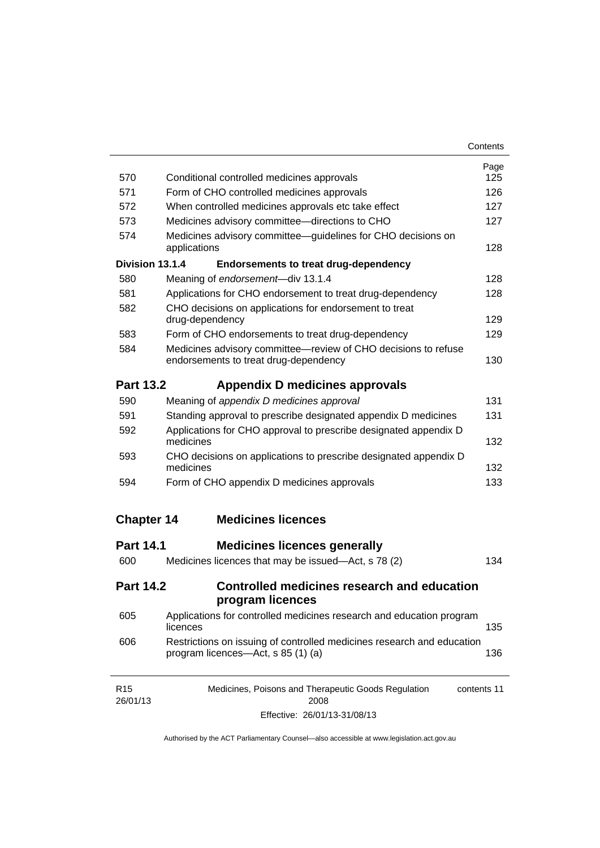| Contents |
|----------|
|----------|

| 570                         | Conditional controlled medicines approvals                                                                   | Page<br>125 |  |
|-----------------------------|--------------------------------------------------------------------------------------------------------------|-------------|--|
| 571                         | Form of CHO controlled medicines approvals                                                                   | 126         |  |
| 572                         | When controlled medicines approvals etc take effect                                                          | 127         |  |
| 573                         | Medicines advisory committee-directions to CHO                                                               |             |  |
| 574                         | Medicines advisory committee—guidelines for CHO decisions on<br>applications                                 | 127<br>128  |  |
| Division 13.1.4             | <b>Endorsements to treat drug-dependency</b>                                                                 |             |  |
| 580                         | Meaning of endorsement-div 13.1.4                                                                            | 128         |  |
| 581                         | Applications for CHO endorsement to treat drug-dependency                                                    | 128         |  |
| 582                         | CHO decisions on applications for endorsement to treat<br>drug-dependency                                    |             |  |
| 583                         | Form of CHO endorsements to treat drug-dependency                                                            | 129         |  |
| 584                         | Medicines advisory committee-review of CHO decisions to refuse<br>endorsements to treat drug-dependency      | 130         |  |
| <b>Part 13.2</b>            | Appendix D medicines approvals                                                                               |             |  |
| 590                         | Meaning of appendix D medicines approval                                                                     | 131         |  |
| 591                         | Standing approval to prescribe designated appendix D medicines                                               | 131         |  |
| 592                         | Applications for CHO approval to prescribe designated appendix D<br>medicines                                | 132         |  |
| 593                         | CHO decisions on applications to prescribe designated appendix D<br>medicines                                | 132         |  |
| 594                         | Form of CHO appendix D medicines approvals                                                                   | 133         |  |
| <b>Chapter 14</b>           | <b>Medicines licences</b>                                                                                    |             |  |
| <b>Part 14.1</b>            | <b>Medicines licences generally</b>                                                                          |             |  |
| 600                         | Medicines licences that may be issued—Act, s 78 (2)                                                          | 134         |  |
| <b>Part 14.2</b>            | Controlled medicines research and education<br>program licences                                              |             |  |
| 605                         | Applications for controlled medicines research and education program<br>licences                             | 135         |  |
| 606                         | Restrictions on issuing of controlled medicines research and education<br>program licences—Act, s 85 (1) (a) | 136         |  |
| R <sub>15</sub><br>26/01/13 | Medicines, Poisons and Therapeutic Goods Regulation<br>2008                                                  | contents 11 |  |

Effective: 26/01/13-31/08/13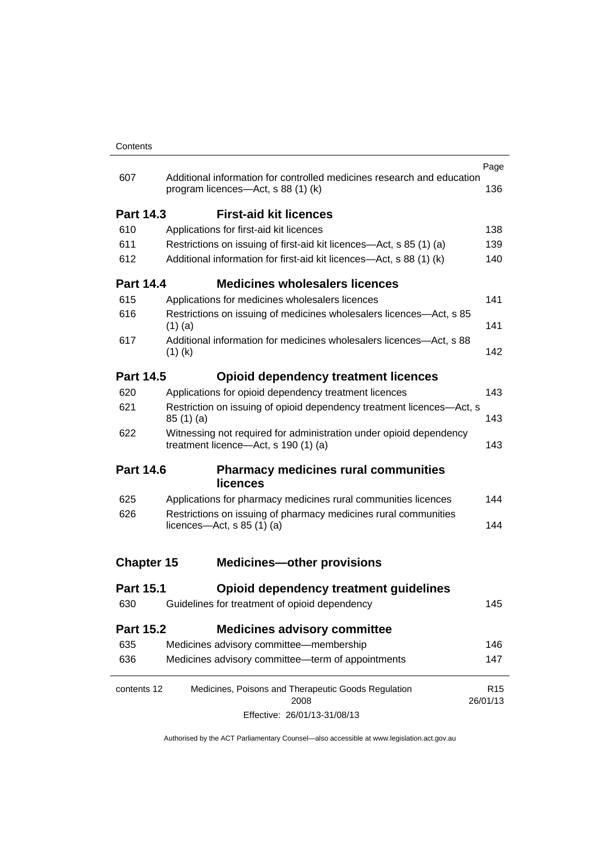|                   |                                                                                                            |                                                                                                              | Page                        |
|-------------------|------------------------------------------------------------------------------------------------------------|--------------------------------------------------------------------------------------------------------------|-----------------------------|
| 607               |                                                                                                            | Additional information for controlled medicines research and education<br>program licences—Act, s 88 (1) (k) | 136                         |
| <b>Part 14.3</b>  |                                                                                                            | <b>First-aid kit licences</b>                                                                                |                             |
| 610               |                                                                                                            | Applications for first-aid kit licences                                                                      | 138                         |
| 611               |                                                                                                            | Restrictions on issuing of first-aid kit licences-Act, s 85 (1) (a)                                          | 139                         |
| 612               |                                                                                                            | Additional information for first-aid kit licences—Act, s 88 (1) (k)                                          | 140                         |
| <b>Part 14.4</b>  |                                                                                                            | <b>Medicines wholesalers licences</b>                                                                        |                             |
| 615               |                                                                                                            | Applications for medicines wholesalers licences                                                              | 141                         |
| 616               | $(1)$ (a)                                                                                                  | Restrictions on issuing of medicines wholesalers licences—Act, s 85                                          | 141                         |
| 617               | $(1)$ (k)                                                                                                  | Additional information for medicines wholesalers licences—Act, s 88                                          | 142                         |
| <b>Part 14.5</b>  |                                                                                                            | <b>Opioid dependency treatment licences</b>                                                                  |                             |
| 620               |                                                                                                            | Applications for opioid dependency treatment licences                                                        | 143                         |
| 621               | Restriction on issuing of opioid dependency treatment licences-Act, s<br>85(1)(a)                          |                                                                                                              | 143                         |
| 622               | Witnessing not required for administration under opioid dependency<br>treatment licence-Act, s 190 (1) (a) |                                                                                                              | 143                         |
| <b>Part 14.6</b>  |                                                                                                            | <b>Pharmacy medicines rural communities</b><br><b>licences</b>                                               |                             |
| 625               |                                                                                                            | Applications for pharmacy medicines rural communities licences                                               | 144                         |
| 626               | Restrictions on issuing of pharmacy medicines rural communities<br>licences—Act, s $85(1)(a)$              |                                                                                                              | 144                         |
| <b>Chapter 15</b> |                                                                                                            | <b>Medicines-other provisions</b>                                                                            |                             |
| <b>Part 15.1</b>  |                                                                                                            | Opioid dependency treatment guidelines                                                                       |                             |
| 630               |                                                                                                            | Guidelines for treatment of opioid dependency                                                                | 145                         |
| <b>Part 15.2</b>  |                                                                                                            | <b>Medicines advisory committee</b>                                                                          |                             |
| 635               |                                                                                                            | Medicines advisory committee-membership                                                                      | 146                         |
| 636               |                                                                                                            | Medicines advisory committee-term of appointments                                                            | 147                         |
| contents 12       |                                                                                                            | Medicines, Poisons and Therapeutic Goods Regulation<br>2008                                                  | R <sub>15</sub><br>26/01/13 |
|                   |                                                                                                            | Effective: 26/01/13-31/08/13                                                                                 |                             |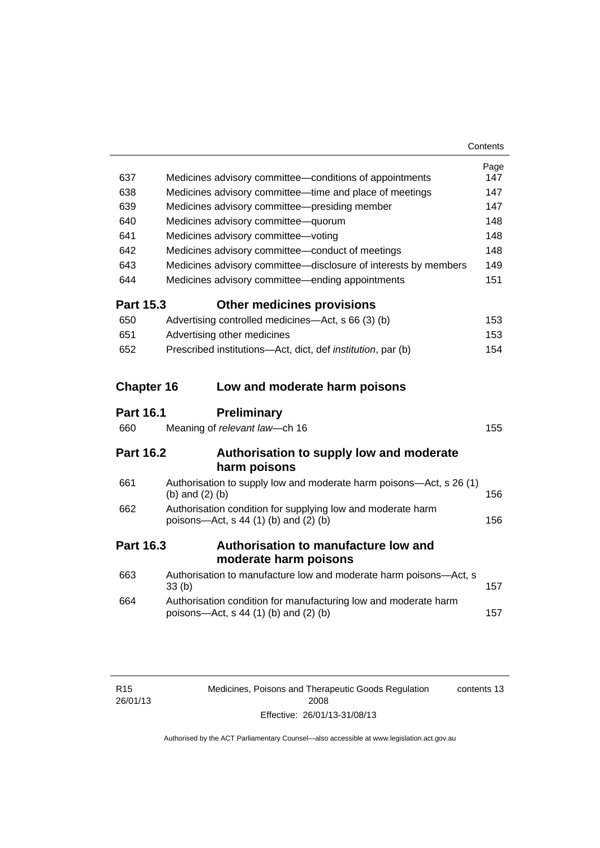| 637               | Medicines advisory committee-conditions of appointments                                                    | Page<br>147 |
|-------------------|------------------------------------------------------------------------------------------------------------|-------------|
| 638               | Medicines advisory committee—time and place of meetings                                                    | 147         |
| 639               | Medicines advisory committee-presiding member                                                              | 147         |
| 640               | Medicines advisory committee-quorum                                                                        | 148         |
| 641               | Medicines advisory committee-voting                                                                        | 148         |
| 642               | Medicines advisory committee-conduct of meetings                                                           | 148         |
| 643               | Medicines advisory committee-disclosure of interests by members                                            | 149         |
| 644               | Medicines advisory committee—ending appointments                                                           | 151         |
| <b>Part 15.3</b>  | <b>Other medicines provisions</b>                                                                          |             |
| 650               | Advertising controlled medicines—Act, s 66 (3) (b)                                                         | 153         |
| 651               | Advertising other medicines                                                                                | 153         |
| 652               | Prescribed institutions-Act, dict, def institution, par (b)                                                | 154         |
| <b>Chapter 16</b> | Low and moderate harm poisons                                                                              |             |
|                   |                                                                                                            |             |
| <b>Part 16.1</b>  | <b>Preliminary</b>                                                                                         |             |
| 660               | Meaning of relevant law-ch 16                                                                              | 155         |
| <b>Part 16.2</b>  | Authorisation to supply low and moderate                                                                   |             |
|                   | harm poisons                                                                                               |             |
| 661               | Authorisation to supply low and moderate harm poisons—Act, s 26 (1)<br>(b) and $(2)$ (b)                   | 156         |
| 662               | Authorisation condition for supplying low and moderate harm<br>poisons-Act, s 44 (1) (b) and (2) (b)       | 156         |
| <b>Part 16.3</b>  | <b>Authorisation to manufacture low and</b>                                                                |             |
|                   | moderate harm poisons                                                                                      |             |
| 663               | Authorisation to manufacture low and moderate harm poisons-Act, s<br>33 <sub>(b)</sub>                     | 157         |
| 664               | Authorisation condition for manufacturing low and moderate harm<br>poisons-Act, $s$ 44 (1) (b) and (2) (b) | 157         |

| R <sub>15</sub> |  |
|-----------------|--|
| 26/01/13        |  |

Medicines, Poisons and Therapeutic Goods Regulation 2008 Effective: 26/01/13-31/08/13 contents 13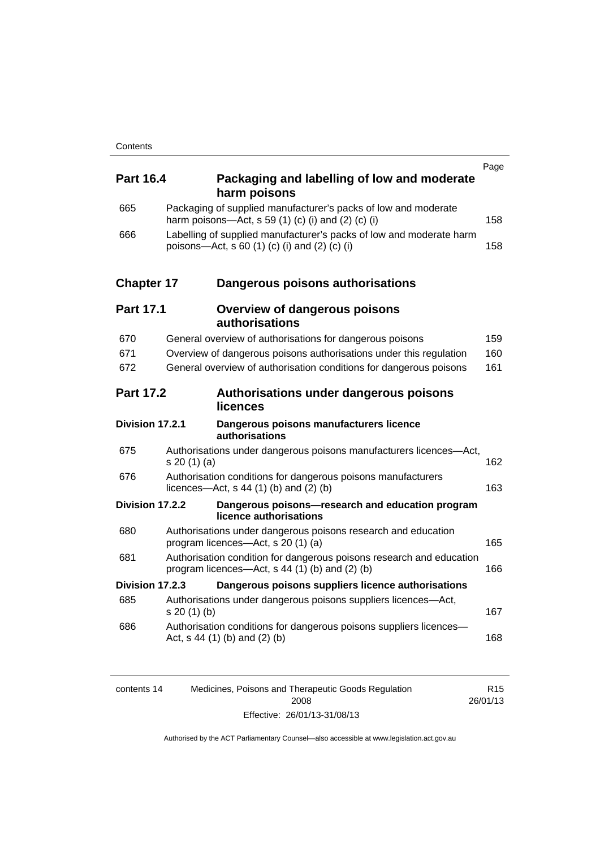| <b>Part 16.4</b>  | Packaging and labelling of low and moderate<br>harm poisons                                                              | Page |
|-------------------|--------------------------------------------------------------------------------------------------------------------------|------|
| 665               | Packaging of supplied manufacturer's packs of low and moderate<br>harm poisons—Act, s 59 (1) (c) (i) and (2) (c) (i)     | 158  |
| 666               | Labelling of supplied manufacturer's packs of low and moderate harm<br>poisons—Act, s 60 (1) (c) (i) and (2) (c) (i)     | 158  |
| <b>Chapter 17</b> | Dangerous poisons authorisations                                                                                         |      |
| <b>Part 17.1</b>  | <b>Overview of dangerous poisons</b><br>authorisations                                                                   |      |
| 670               | General overview of authorisations for dangerous poisons                                                                 | 159  |
| 671               | Overview of dangerous poisons authorisations under this regulation                                                       | 160  |
| 672               | General overview of authorisation conditions for dangerous poisons                                                       | 161  |
| <b>Part 17.2</b>  | Authorisations under dangerous poisons<br>licences                                                                       |      |
| Division 17.2.1   | Dangerous poisons manufacturers licence<br>authorisations                                                                |      |
| 675               | Authorisations under dangerous poisons manufacturers licences-Act,<br>s 20 (1) (a)                                       | 162  |
| 676               | Authorisation conditions for dangerous poisons manufacturers<br>licences—Act, $s$ 44 (1) (b) and (2) (b)                 | 163  |
| Division 17.2.2   | Dangerous poisons-research and education program<br>licence authorisations                                               |      |
| 680               | Authorisations under dangerous poisons research and education<br>program licences-Act, s 20 (1) (a)                      | 165  |
| 681               | Authorisation condition for dangerous poisons research and education<br>program licences—Act, $s$ 44 (1) (b) and (2) (b) | 166  |
| Division 17.2.3   | Dangerous poisons suppliers licence authorisations                                                                       |      |
| 685               | Authorisations under dangerous poisons suppliers licences—Act,<br>s 20(1)(b)                                             | 167  |
| 686               | Authorisation conditions for dangerous poisons suppliers licences-<br>Act, $s$ 44 (1) (b) and (2) (b)                    | 168  |
|                   |                                                                                                                          |      |

| contents 14 | Medicines, Poisons and Therapeutic Goods Regulation | R <sub>15</sub> |
|-------------|-----------------------------------------------------|-----------------|
|             | 2008                                                | 26/01/13        |
|             | Effective: 26/01/13-31/08/13                        |                 |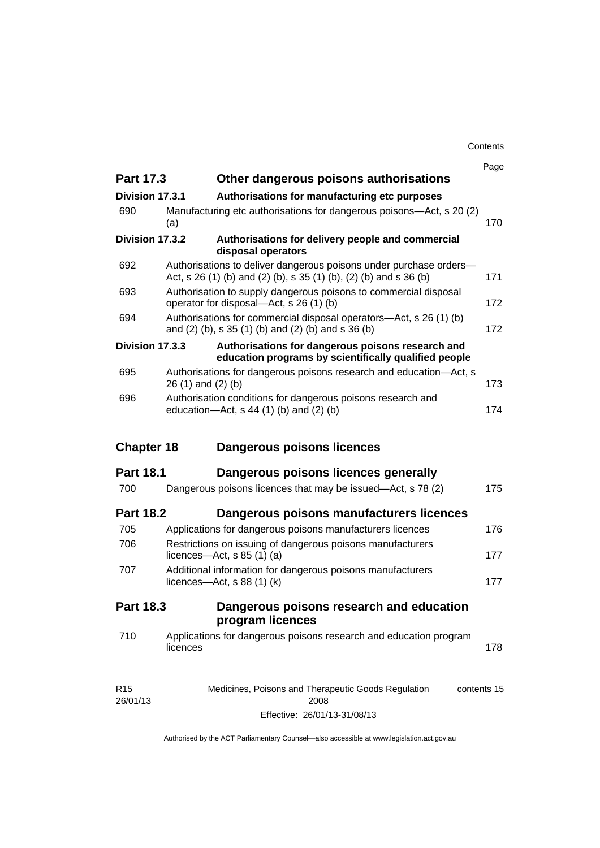**Contents** 

|                   |          |                                                                                                                                         | Page |
|-------------------|----------|-----------------------------------------------------------------------------------------------------------------------------------------|------|
| <b>Part 17.3</b>  |          | Other dangerous poisons authorisations                                                                                                  |      |
| Division 17.3.1   |          | Authorisations for manufacturing etc purposes                                                                                           |      |
| 690               | (a)      | Manufacturing etc authorisations for dangerous poisons—Act, s 20 (2)                                                                    | 170  |
| Division 17.3.2   |          | Authorisations for delivery people and commercial<br>disposal operators                                                                 |      |
| 692               |          | Authorisations to deliver dangerous poisons under purchase orders-<br>Act, s 26 (1) (b) and (2) (b), s 35 (1) (b), (2) (b) and s 36 (b) | 171  |
| 693               |          | Authorisation to supply dangerous poisons to commercial disposal<br>operator for disposal—Act, s 26 (1) (b)                             | 172  |
| 694               |          | Authorisations for commercial disposal operators—Act, s 26 (1) (b)<br>and (2) (b), s 35 (1) (b) and (2) (b) and s 36 (b)                | 172  |
| Division 17.3.3   |          | Authorisations for dangerous poisons research and<br>education programs by scientifically qualified people                              |      |
| 695               |          | Authorisations for dangerous poisons research and education-Act, s<br>$26(1)$ and $(2)(b)$                                              | 173  |
| 696               |          | Authorisation conditions for dangerous poisons research and<br>education- $Act$ , s 44 (1) (b) and (2) (b)                              | 174  |
|                   |          |                                                                                                                                         |      |
| <b>Chapter 18</b> |          | Dangerous poisons licences                                                                                                              |      |
| <b>Part 18.1</b>  |          | Dangerous poisons licences generally                                                                                                    |      |
| 700               |          | Dangerous poisons licences that may be issued-Act, s 78 (2)                                                                             | 175  |
| <b>Part 18.2</b>  |          | Dangerous poisons manufacturers licences                                                                                                |      |
| 705               |          | Applications for dangerous poisons manufacturers licences                                                                               | 176  |
| 706               |          | Restrictions on issuing of dangerous poisons manufacturers<br>licences- $-\text{Act}$ , s 85 (1) (a)                                    | 177  |
| 707               |          | Additional information for dangerous poisons manufacturers<br>licences—Act, $s$ 88 (1) (k)                                              | 177  |
| Part 18.3         |          | Dangerous poisons research and education                                                                                                |      |
|                   |          | program licences                                                                                                                        |      |
| 710               | licences | Applications for dangerous poisons research and education program                                                                       | 178  |

Effective: 26/01/13-31/08/13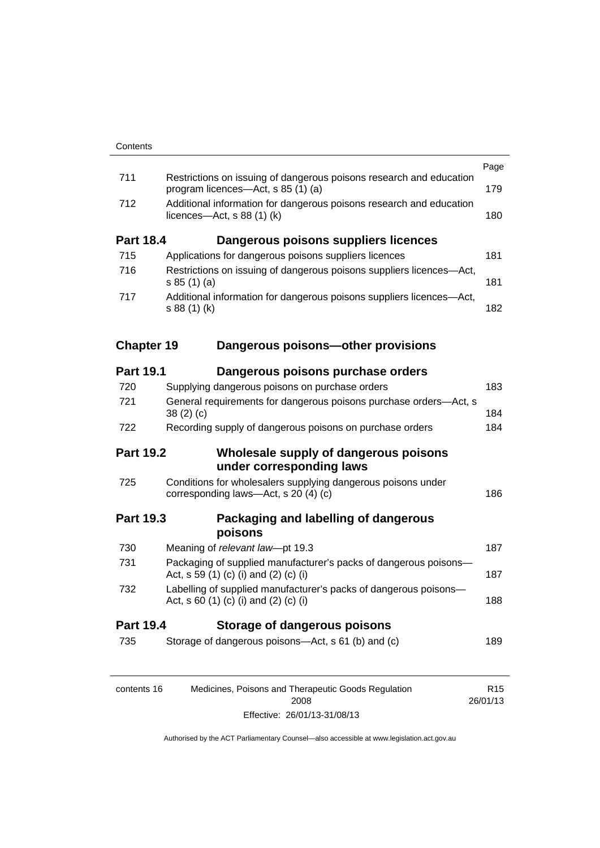|                   |                                                                                                               | Page            |
|-------------------|---------------------------------------------------------------------------------------------------------------|-----------------|
| 711               | Restrictions on issuing of dangerous poisons research and education<br>program licences-Act, s 85 (1) (a)     | 179             |
| 712               | Additional information for dangerous poisons research and education<br>licences- $-\text{Act}$ , s 88 (1) (k) |                 |
| <b>Part 18.4</b>  | Dangerous poisons suppliers licences                                                                          |                 |
| 715               | Applications for dangerous poisons suppliers licences                                                         | 181             |
| 716               | Restrictions on issuing of dangerous poisons suppliers licences-Act,<br>s 85(1)(a)                            | 181             |
| 717               | Additional information for dangerous poisons suppliers licences-Act,<br>s 88 (1) (k)                          | 182             |
| <b>Chapter 19</b> | Dangerous poisons-other provisions                                                                            |                 |
| <b>Part 19.1</b>  | Dangerous poisons purchase orders                                                                             |                 |
| 720               | Supplying dangerous poisons on purchase orders                                                                | 183             |
| 721               | General requirements for dangerous poisons purchase orders-Act, s<br>38(2)(c)                                 | 184             |
| 722               | Recording supply of dangerous poisons on purchase orders                                                      | 184             |
| <b>Part 19.2</b>  | Wholesale supply of dangerous poisons<br>under corresponding laws                                             |                 |
| 725               | Conditions for wholesalers supplying dangerous poisons under<br>corresponding laws-Act, s 20 (4) (c)          | 186             |
| <b>Part 19.3</b>  | Packaging and labelling of dangerous<br>poisons                                                               |                 |
| 730               | Meaning of relevant law-pt 19.3                                                                               | 187             |
| 731               | Packaging of supplied manufacturer's packs of dangerous poisons-<br>Act, s 59 (1) (c) (i) and (2) (c) (i)     | 187             |
| 732               | Labelling of supplied manufacturer's packs of dangerous poisons-<br>Act, s 60 (1) (c) (i) and (2) (c) (i)     | 188             |
| <b>Part 19.4</b>  | <b>Storage of dangerous poisons</b>                                                                           |                 |
| 735               | Storage of dangerous poisons-Act, s 61 (b) and (c)                                                            | 189             |
| contents 16       | Medicines, Poisons and Therapeutic Goods Regulation                                                           | R <sub>15</sub> |

26/01/13

2008 Effective: 26/01/13-31/08/13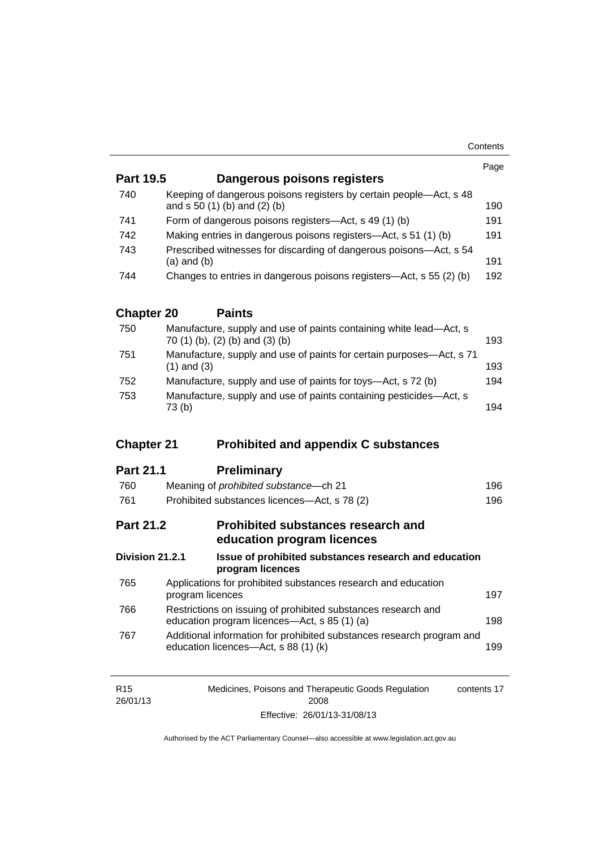| <b>Part 19.5</b>  | Dangerous poisons registers                                                                                   | Page |
|-------------------|---------------------------------------------------------------------------------------------------------------|------|
|                   |                                                                                                               |      |
| 740               | Keeping of dangerous poisons registers by certain people-Act, s 48<br>and s 50 (1) (b) and (2) (b)            | 190  |
| 741               | Form of dangerous poisons registers—Act, s 49 (1) (b)                                                         | 191  |
| 742               | Making entries in dangerous poisons registers—Act, s 51 (1) (b)                                               | 191  |
| 743               | Prescribed witnesses for discarding of dangerous poisons-Act, s 54<br>$(a)$ and $(b)$                         | 191  |
| 744               | Changes to entries in dangerous poisons registers—Act, s 55 (2) (b)                                           | 192  |
| <b>Chapter 20</b> | <b>Paints</b>                                                                                                 |      |
| 750               | Manufacture, supply and use of paints containing white lead-Act, s<br>70 (1) (b), (2) (b) and (3) (b)         | 193  |
| 751               | Manufacture, supply and use of paints for certain purposes-Act, s 71<br>$(1)$ and $(3)$                       | 193  |
| 752               | Manufacture, supply and use of paints for toys—Act, s 72 (b)                                                  | 194  |
| 753               | Manufacture, supply and use of paints containing pesticides-Act, s<br>73(b)                                   | 194  |
| <b>Chapter 21</b> | <b>Prohibited and appendix C substances</b>                                                                   |      |
| <b>Part 21.1</b>  | <b>Preliminary</b>                                                                                            |      |
| 760               | Meaning of prohibited substance-ch 21                                                                         | 196  |
| 761               | Prohibited substances licences-Act, s 78 (2)                                                                  | 196  |
| <b>Part 21.2</b>  | <b>Prohibited substances research and</b><br>education program licences                                       |      |
| Division 21.2.1   | Issue of prohibited substances research and education<br>program licences                                     |      |
| 765               | Applications for prohibited substances research and education<br>program licences                             | 197  |
| 766               | Restrictions on issuing of prohibited substances research and                                                 |      |
|                   | education program licences—Act, s 85 (1) (a)                                                                  | 198  |
| 767               | Additional information for prohibited substances research program and<br>education licences-Act, s 88 (1) (k) | 199  |

| R15      | Medicines, Poisons and Therapeutic Goods Regulation | contents 17 |
|----------|-----------------------------------------------------|-------------|
| 26/01/13 | 2008                                                |             |
|          | Effective: 26/01/13-31/08/13                        |             |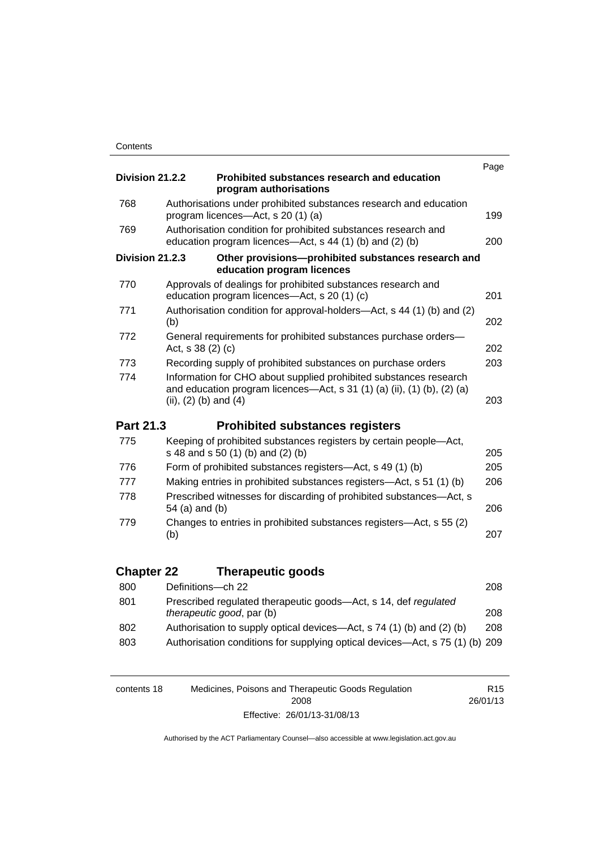|                   |                                                                                                                                                                           | Page |
|-------------------|---------------------------------------------------------------------------------------------------------------------------------------------------------------------------|------|
| Division 21.2.2   | Prohibited substances research and education<br>program authorisations                                                                                                    |      |
| 768               | Authorisations under prohibited substances research and education<br>program licences—Act, s 20 (1) (a)                                                                   | 199  |
| 769               | Authorisation condition for prohibited substances research and<br>education program licences—Act, s 44 (1) (b) and (2) (b)                                                | 200  |
| Division 21.2.3   | Other provisions-prohibited substances research and<br>education program licences                                                                                         |      |
| 770               | Approvals of dealings for prohibited substances research and<br>education program licences—Act, s 20 (1) (c)                                                              | 201  |
| 771               | Authorisation condition for approval-holders—Act, s 44 (1) (b) and (2)<br>(b)                                                                                             | 202  |
| 772               | General requirements for prohibited substances purchase orders-<br>Act, s 38 (2) (c)                                                                                      | 202  |
| 773               | Recording supply of prohibited substances on purchase orders                                                                                                              | 203  |
| 774               | Information for CHO about supplied prohibited substances research<br>and education program licences—Act, s 31 (1) (a) (ii), (1) (b), (2) (a)<br>(ii), $(2)$ (b) and $(4)$ | 203  |
| Part 21.3         | <b>Prohibited substances registers</b>                                                                                                                                    |      |
| 775               | Keeping of prohibited substances registers by certain people-Act,<br>s 48 and s 50 (1) (b) and (2) (b)                                                                    | 205  |
| 776               | Form of prohibited substances registers-Act, s 49 (1) (b)                                                                                                                 | 205  |
| 777               | Making entries in prohibited substances registers—Act, s 51 (1) (b)                                                                                                       | 206  |
| 778               | Prescribed witnesses for discarding of prohibited substances-Act, s<br>54 (a) and (b)                                                                                     | 206  |
| 779               | Changes to entries in prohibited substances registers—Act, s 55 (2)<br>(b)                                                                                                | 207  |
| <b>Chapter 22</b> | <b>Therapeutic goods</b>                                                                                                                                                  |      |
| 800               | Definitions-ch 22                                                                                                                                                         | 208  |
| 801               | Prescribed regulated therapeutic goods-Act, s 14, def regulated<br>therapeutic good, par (b)                                                                              | 208  |
| 802               | Authorisation to supply optical devices—Act, s 74 (1) (b) and (2) (b)                                                                                                     | 208  |
| 803               | Authorisation conditions for supplying optical devices—Act, s 75 (1) (b) 209                                                                                              |      |

| contents 18 | Medicines, Poisons and Therapeutic Goods Regulation | R <sub>15</sub> |
|-------------|-----------------------------------------------------|-----------------|
|             | 2008                                                | 26/01/13        |
|             | Effective: 26/01/13-31/08/13                        |                 |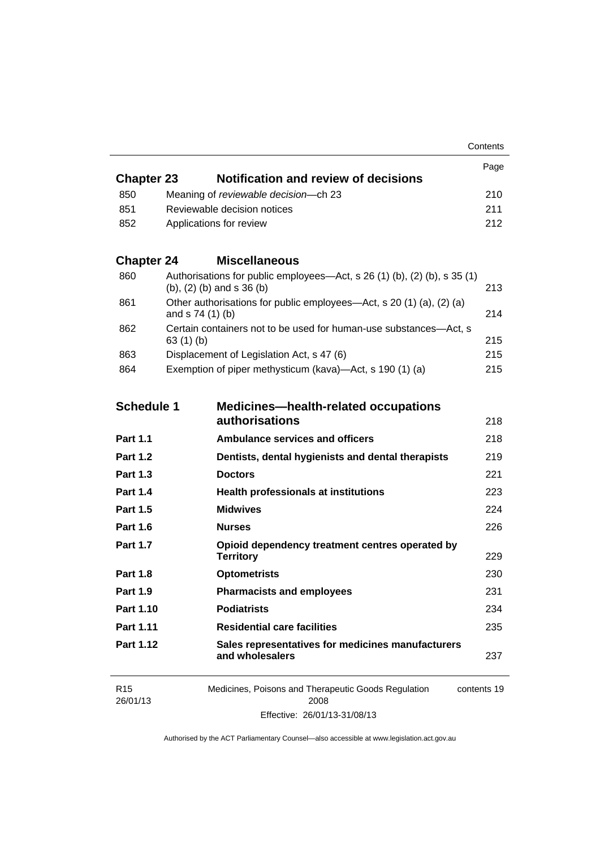| <b>Chapter 23</b> | Notification and review of decisions    | Page |
|-------------------|-----------------------------------------|------|
| 850               | Meaning of reviewable decision--- ch 23 | 210  |
| -851              | Reviewable decision notices             | 211  |
| 852               | Applications for review                 | 212. |

# **Chapter 24 [Miscellaneous](#page-236-0)**

| 860 | Authorisations for public employees—Act, s 26 (1) (b), (2) (b), s 35 (1)<br>(b), $(2)$ (b) and s $36$ (b) | 213 |
|-----|-----------------------------------------------------------------------------------------------------------|-----|
| 861 | Other authorisations for public employees—Act, s 20 (1) (a), (2) (a)<br>and $s$ 74 (1) (b)                | 214 |
| 862 | Certain containers not to be used for human-use substances—Act, s<br>63(1)(b)                             | 215 |
| 863 | Displacement of Legislation Act, s 47 (6)                                                                 | 215 |
| 864 | Exemption of piper methysticum (kava)—Act, s 190 (1) (a)                                                  | 215 |

| <b>Schedule 1</b> | <b>Medicines-health-related occupations</b><br><b>authorisations</b>                       | 218 |
|-------------------|--------------------------------------------------------------------------------------------|-----|
| <b>Part 1.1</b>   | <b>Ambulance services and officers</b>                                                     | 218 |
| <b>Part 1.2</b>   | Dentists, dental hygienists and dental therapists                                          | 219 |
| <b>Part 1.3</b>   | <b>Doctors</b>                                                                             | 221 |
| <b>Part 1.4</b>   | <b>Health professionals at institutions</b>                                                | 223 |
| <b>Part 1.5</b>   | <b>Midwives</b>                                                                            | 224 |
| <b>Part 1.6</b>   | <b>Nurses</b>                                                                              | 226 |
| <b>Part 1.7</b>   | Opioid dependency treatment centres operated by<br><b>Territory</b>                        | 229 |
| <b>Part 1.8</b>   | <b>Optometrists</b>                                                                        | 230 |
| <b>Part 1.9</b>   | <b>Pharmacists and employees</b>                                                           | 231 |
| Part 1.10         | <b>Podiatrists</b>                                                                         | 234 |
| <b>Part 1.11</b>  | <b>Residential care facilities</b>                                                         | 235 |
| Part 1.12         | Sales representatives for medicines manufacturers<br>and wholesalers                       | 237 |
|                   | $\sim$ $\sim$<br>$\sim$ $ \sim$ $\sim$<br>$\cdots$ $\sim$ $\cdots$<br>$\sim$ $\sim$ $\sim$ |     |

| R <sub>15</sub> | Medicines, Poisons and Therapeutic Goods Regulation | contents 19 |
|-----------------|-----------------------------------------------------|-------------|
| 26/01/13        | 2008                                                |             |
|                 | Effective: 26/01/13-31/08/13                        |             |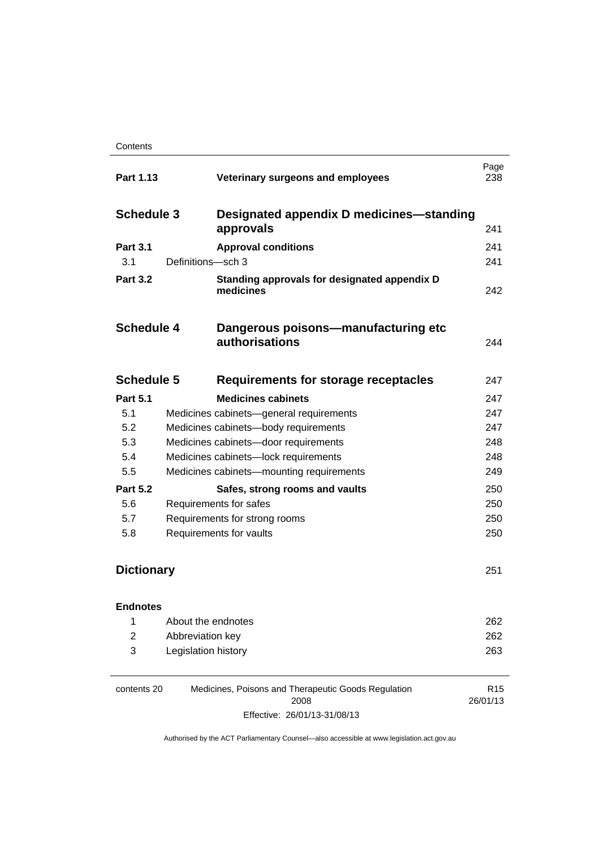| Part 1.13         |                     | Veterinary surgeons and employees                            | Page<br>238 |
|-------------------|---------------------|--------------------------------------------------------------|-------------|
| <b>Schedule 3</b> |                     | Designated appendix D medicines—standing                     |             |
|                   |                     | approvals                                                    | 241         |
| <b>Part 3.1</b>   |                     | <b>Approval conditions</b>                                   | 241         |
| 3.1               | Definitions-sch 3   |                                                              | 241         |
| <b>Part 3.2</b>   |                     | Standing approvals for designated appendix D<br>medicines    | 242         |
| <b>Schedule 4</b> |                     | Dangerous poisons-manufacturing etc<br><b>authorisations</b> | 244         |
| <b>Schedule 5</b> |                     | <b>Requirements for storage receptacles</b>                  | 247         |
| <b>Part 5.1</b>   |                     | <b>Medicines cabinets</b>                                    | 247         |
| 5.1               |                     | Medicines cabinets-general requirements                      | 247         |
| 5.2               |                     | Medicines cabinets-body requirements                         | 247         |
| 5.3               |                     | Medicines cabinets-door requirements                         | 248         |
| 5.4               |                     | Medicines cabinets-lock requirements                         | 248         |
| 5.5               |                     | Medicines cabinets-mounting requirements                     | 249         |
| <b>Part 5.2</b>   |                     | Safes, strong rooms and vaults                               | 250         |
| 5.6               |                     | Requirements for safes                                       | 250         |
| 5.7               |                     | Requirements for strong rooms                                | 250         |
| 5.8               |                     | Requirements for vaults                                      | 250         |
| <b>Dictionary</b> |                     | 251                                                          |             |
| <b>Endnotes</b>   |                     |                                                              |             |
| 1                 | About the endnotes  |                                                              | 262         |
| $\overline{2}$    | Abbreviation key    |                                                              | 262         |
| 3                 | Legislation history |                                                              | 263         |
|                   |                     |                                                              |             |

| contents 20 | Medicines, Poisons and Therapeutic Goods Regulation | R <sub>15</sub> |
|-------------|-----------------------------------------------------|-----------------|
|             | 2008                                                | 26/01/13        |
|             | Effective: 26/01/13-31/08/13                        |                 |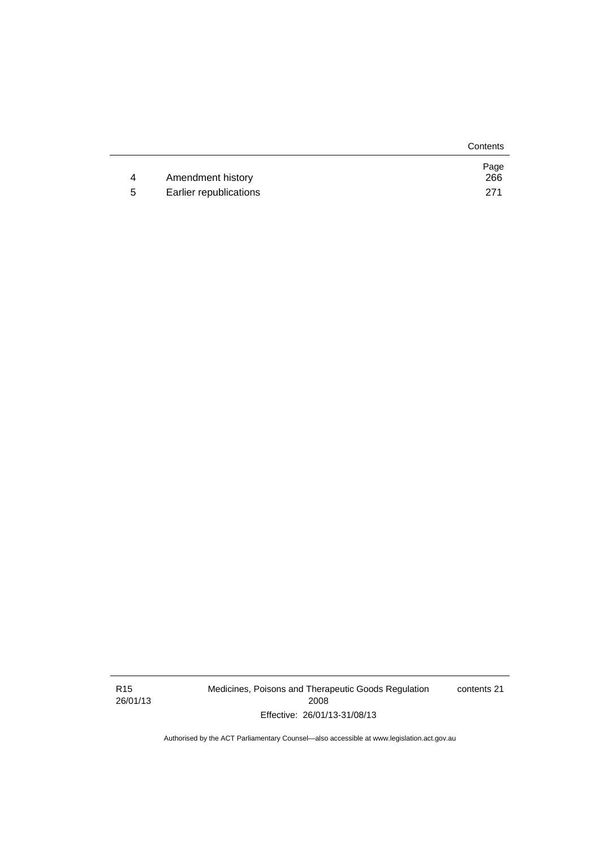|   |                        | Contents    |
|---|------------------------|-------------|
| 4 | Amendment history      | Page<br>266 |
|   |                        |             |
| 5 | Earlier republications | 271         |

R15 26/01/13 Medicines, Poisons and Therapeutic Goods Regulation 2008 Effective: 26/01/13-31/08/13

contents 21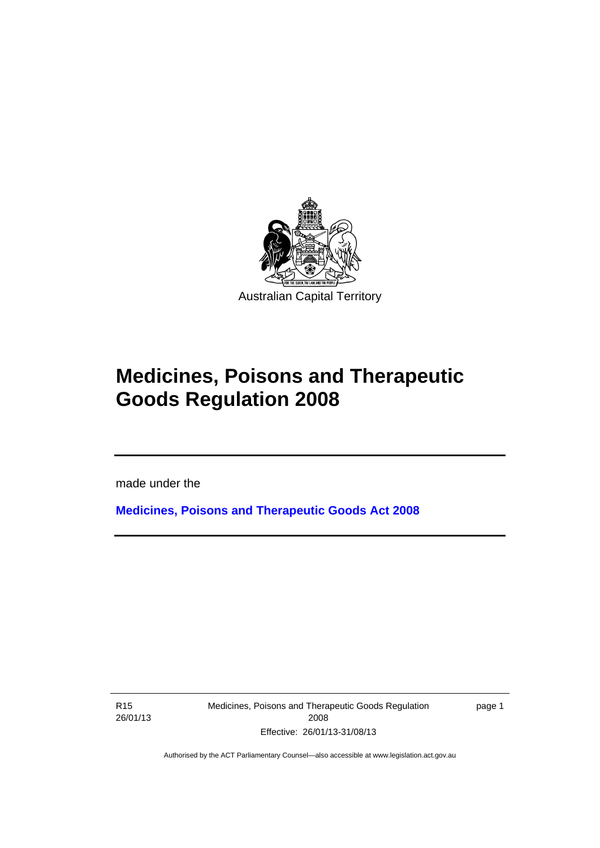

# **Medicines, Poisons and Therapeutic Goods Regulation 2008**

made under the

**[Medicines, Poisons and Therapeutic Goods Act 2008](http://www.legislation.act.gov.au/a/2008-26)**

R15 26/01/13

l

Medicines, Poisons and Therapeutic Goods Regulation 2008 Effective: 26/01/13-31/08/13

page 1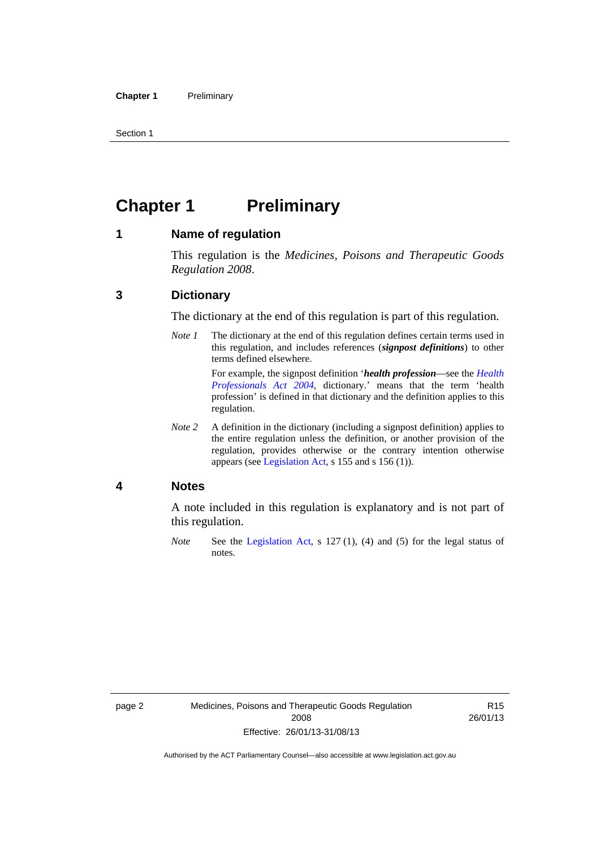Section 1

# <span id="page-25-0"></span>**Chapter 1 Preliminary**

#### <span id="page-25-1"></span>**1 Name of regulation**

This regulation is the *Medicines, Poisons and Therapeutic Goods Regulation 2008*.

## <span id="page-25-2"></span>**3 Dictionary**

The dictionary at the end of this regulation is part of this regulation.

*Note 1* The dictionary at the end of this regulation defines certain terms used in this regulation, and includes references (*signpost definitions*) to other terms defined elsewhere. For example, the signpost definition '*health profession*—see the *[Health](http://www.legislation.act.gov.au/a/2004-38)* 

*[Professionals Act 2004](http://www.legislation.act.gov.au/a/2004-38)*, dictionary.' means that the term 'health profession' is defined in that dictionary and the definition applies to this regulation.

*Note 2* A definition in the dictionary (including a signpost definition) applies to the entire regulation unless the definition, or another provision of the regulation, provides otherwise or the contrary intention otherwise appears (see [Legislation Act,](http://www.legislation.act.gov.au/a/2001-14) s 155 and s 156 (1)).

#### <span id="page-25-3"></span>**4 Notes**

A note included in this regulation is explanatory and is not part of this regulation.

*Note* See the [Legislation Act,](http://www.legislation.act.gov.au/a/2001-14) s 127 (1), (4) and (5) for the legal status of notes.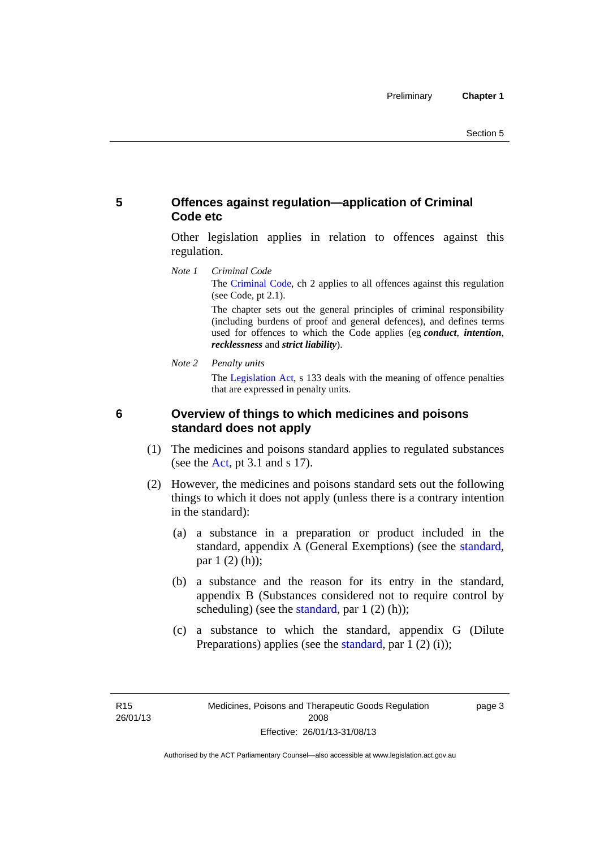## <span id="page-26-0"></span>**5 Offences against regulation—application of Criminal Code etc**

Other legislation applies in relation to offences against this regulation.

*Note 1 Criminal Code* The [Criminal Code](http://www.legislation.act.gov.au/a/2002-51), ch 2 applies to all offences against this regulation (see Code, pt 2.1).

> The chapter sets out the general principles of criminal responsibility (including burdens of proof and general defences), and defines terms used for offences to which the Code applies (eg *conduct*, *intention*, *recklessness* and *strict liability*).

*Note 2 Penalty units* 

The [Legislation Act](http://www.legislation.act.gov.au/a/2001-14), s 133 deals with the meaning of offence penalties that are expressed in penalty units.

<span id="page-26-1"></span>

## **6 Overview of things to which medicines and poisons standard does not apply**

- (1) The medicines and poisons standard applies to regulated substances (see the  $Act$ , pt 3.1 and s 17).
- (2) However, the medicines and poisons standard sets out the following things to which it does not apply (unless there is a contrary intention in the standard):
	- (a) a substance in a preparation or product included in the standard, appendix A (General Exemptions) (see the [standard](http://www.comlaw.gov.au/Series/F2012L01200), par 1 (2) (h));
	- (b) a substance and the reason for its entry in the standard, appendix B (Substances considered not to require control by scheduling) (see the [standard,](http://www.comlaw.gov.au/Series/F2012L01200) par  $1(2)(h)$ );
	- (c) a substance to which the standard, appendix G (Dilute Preparations) applies (see the [standard,](http://www.comlaw.gov.au/Series/F2012L01200) par 1 (2) (i));

page 3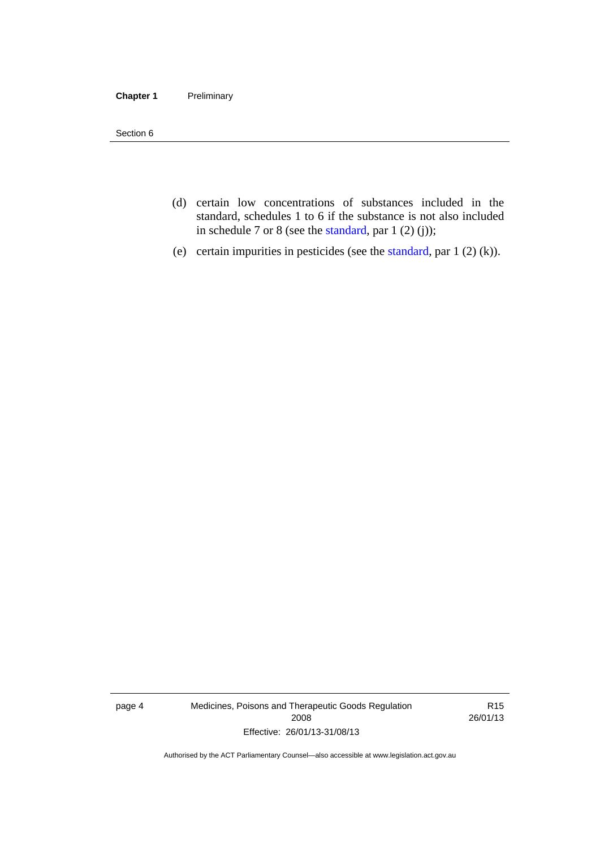#### **Chapter 1** Preliminary

Section 6

- (d) certain low concentrations of substances included in the standard, schedules 1 to 6 if the substance is not also included in schedule 7 or 8 (see the [standard,](http://www.comlaw.gov.au/Series/F2012L01200) par 1 (2) (j));
- (e) certain impurities in pesticides (see the [standard,](http://www.comlaw.gov.au/Series/F2012L01200) par  $1(2)(k)$ ).

page 4 Medicines, Poisons and Therapeutic Goods Regulation 2008 Effective: 26/01/13-31/08/13

R15 26/01/13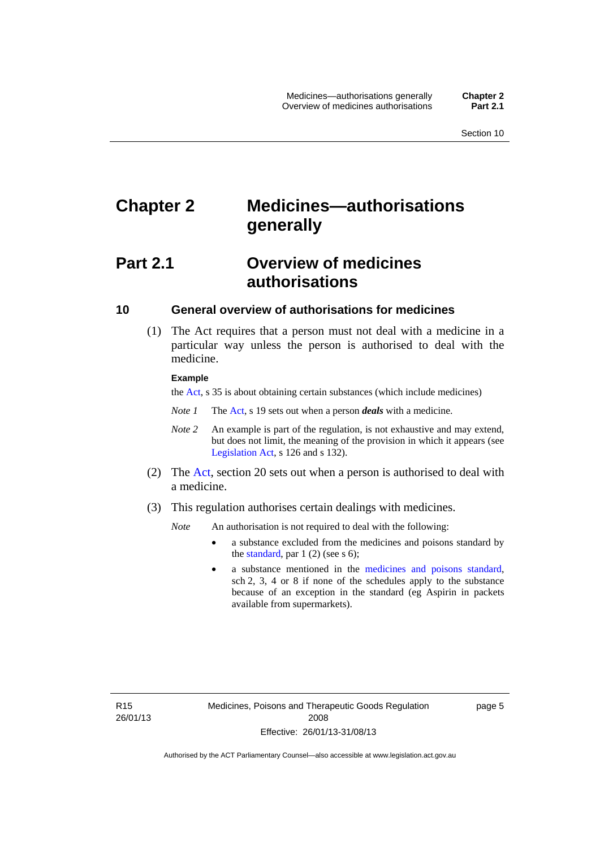# <span id="page-28-0"></span>**Chapter 2 Medicines—authorisations generally**

# <span id="page-28-1"></span>**Part 2.1 Overview of medicines authorisations**

## <span id="page-28-2"></span>**10 General overview of authorisations for medicines**

 (1) The Act requires that a person must not deal with a medicine in a particular way unless the person is authorised to deal with the medicine.

#### **Example**

the [Act](http://www.legislation.act.gov.au/a/2008-26/default.asp), s 35 is about obtaining certain substances (which include medicines)

- *Note 1* The [Act,](http://www.legislation.act.gov.au/a/2008-26/default.asp) s 19 sets out when a person *deals* with a medicine.
- *Note 2* An example is part of the regulation, is not exhaustive and may extend, but does not limit, the meaning of the provision in which it appears (see [Legislation Act,](http://www.legislation.act.gov.au/a/2001-14) s 126 and s 132).
- (2) The [Act](http://www.legislation.act.gov.au/a/2008-26/default.asp), section 20 sets out when a person is authorised to deal with a medicine.
- (3) This regulation authorises certain dealings with medicines.

*Note* An authorisation is not required to deal with the following:

- a substance excluded from the medicines and poisons standard by the [standard,](http://www.comlaw.gov.au/Series/F2012L01200) par  $1(2)$  (see s 6);
- a substance mentioned in the [medicines and poisons standard,](http://www.comlaw.gov.au/Series/F2012L01200) sch 2, 3, 4 or 8 if none of the schedules apply to the substance because of an exception in the standard (eg Aspirin in packets available from supermarkets).

R15 26/01/13 page 5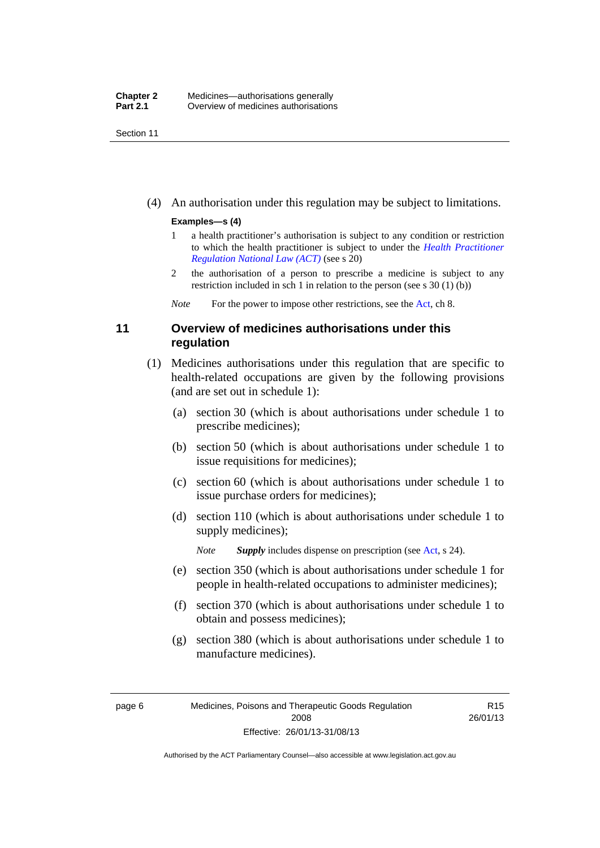Section 11

(4) An authorisation under this regulation may be subject to limitations.

#### **Examples—s (4)**

- 1 a health practitioner's authorisation is subject to any condition or restriction to which the health practitioner is subject to under the *[Health Practitioner](http://www.legislation.act.gov.au/a/db_39269/default.asp)  [Regulation National Law \(ACT\)](http://www.legislation.act.gov.au/a/db_39269/default.asp)* (see s 20)
- 2 the authorisation of a person to prescribe a medicine is subject to any restriction included in sch 1 in relation to the person (see s 30 (1) (b))

*Note* For the power to impose other restrictions, see the [Act](http://www.legislation.act.gov.au/a/2008-26/default.asp), ch 8.

## <span id="page-29-0"></span>**11 Overview of medicines authorisations under this regulation**

- (1) Medicines authorisations under this regulation that are specific to health-related occupations are given by the following provisions (and are set out in schedule 1):
	- (a) section 30 (which is about authorisations under schedule 1 to prescribe medicines);
	- (b) section 50 (which is about authorisations under schedule 1 to issue requisitions for medicines);
	- (c) section 60 (which is about authorisations under schedule 1 to issue purchase orders for medicines);
	- (d) section 110 (which is about authorisations under schedule 1 to supply medicines);

*Note Supply* includes dispense on prescription (see [Act,](http://www.legislation.act.gov.au/a/2008-26/default.asp) s 24).

- (e) section 350 (which is about authorisations under schedule 1 for people in health-related occupations to administer medicines);
- (f) section 370 (which is about authorisations under schedule 1 to obtain and possess medicines);
- (g) section 380 (which is about authorisations under schedule 1 to manufacture medicines).

R15 26/01/13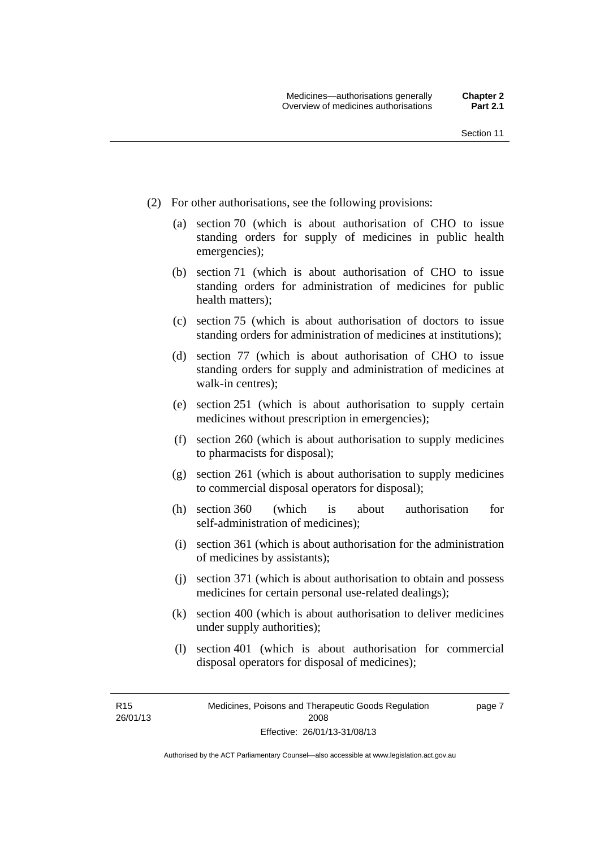- (2) For other authorisations, see the following provisions:
	- (a) section 70 (which is about authorisation of CHO to issue standing orders for supply of medicines in public health emergencies);
	- (b) section 71 (which is about authorisation of CHO to issue standing orders for administration of medicines for public health matters);
	- (c) section 75 (which is about authorisation of doctors to issue standing orders for administration of medicines at institutions);
	- (d) section 77 (which is about authorisation of CHO to issue standing orders for supply and administration of medicines at walk-in centres);
	- (e) section 251 (which is about authorisation to supply certain medicines without prescription in emergencies);
	- (f) section 260 (which is about authorisation to supply medicines to pharmacists for disposal);
	- (g) section 261 (which is about authorisation to supply medicines to commercial disposal operators for disposal);
	- (h) section 360 (which is about authorisation for self-administration of medicines);
	- (i) section 361 (which is about authorisation for the administration of medicines by assistants);
	- (j) section 371 (which is about authorisation to obtain and possess medicines for certain personal use-related dealings);
	- (k) section 400 (which is about authorisation to deliver medicines under supply authorities);
	- (l) section 401 (which is about authorisation for commercial disposal operators for disposal of medicines);

R15 26/01/13 page 7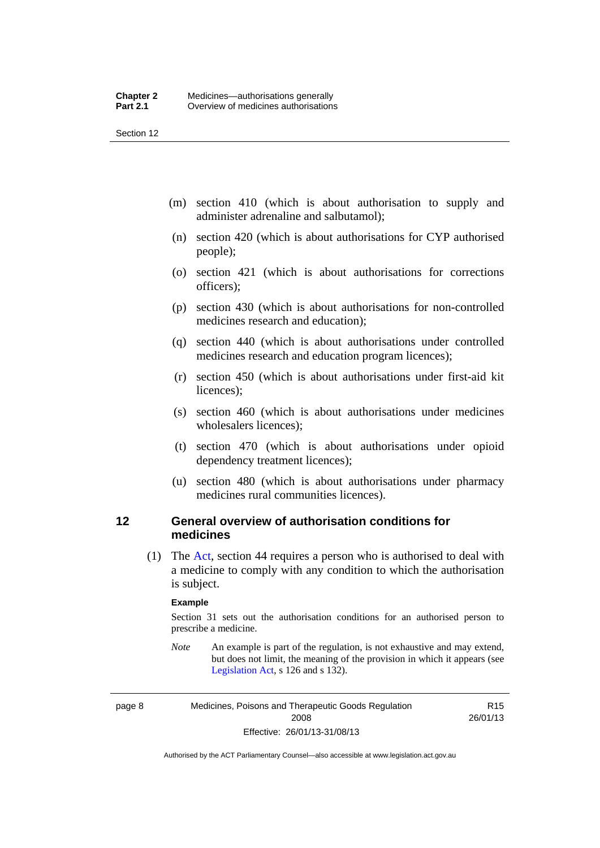Section 12

- (m) section 410 (which is about authorisation to supply and administer adrenaline and salbutamol);
- (n) section 420 (which is about authorisations for CYP authorised people);
- (o) section 421 (which is about authorisations for corrections officers);
- (p) section 430 (which is about authorisations for non-controlled medicines research and education);
- (q) section 440 (which is about authorisations under controlled medicines research and education program licences);
- (r) section 450 (which is about authorisations under first-aid kit licences);
- (s) section 460 (which is about authorisations under medicines wholesalers licences);
- (t) section 470 (which is about authorisations under opioid dependency treatment licences);
- (u) section 480 (which is about authorisations under pharmacy medicines rural communities licences).

## <span id="page-31-0"></span>**12 General overview of authorisation conditions for medicines**

 (1) The [Act](http://www.legislation.act.gov.au/a/2008-26/default.asp), section 44 requires a person who is authorised to deal with a medicine to comply with any condition to which the authorisation is subject.

#### **Example**

Section 31 sets out the authorisation conditions for an authorised person to prescribe a medicine.

*Note* An example is part of the regulation, is not exhaustive and may extend, but does not limit, the meaning of the provision in which it appears (see [Legislation Act,](http://www.legislation.act.gov.au/a/2001-14) s 126 and s 132).

page 8 Medicines, Poisons and Therapeutic Goods Regulation 2008 Effective: 26/01/13-31/08/13

R15 26/01/13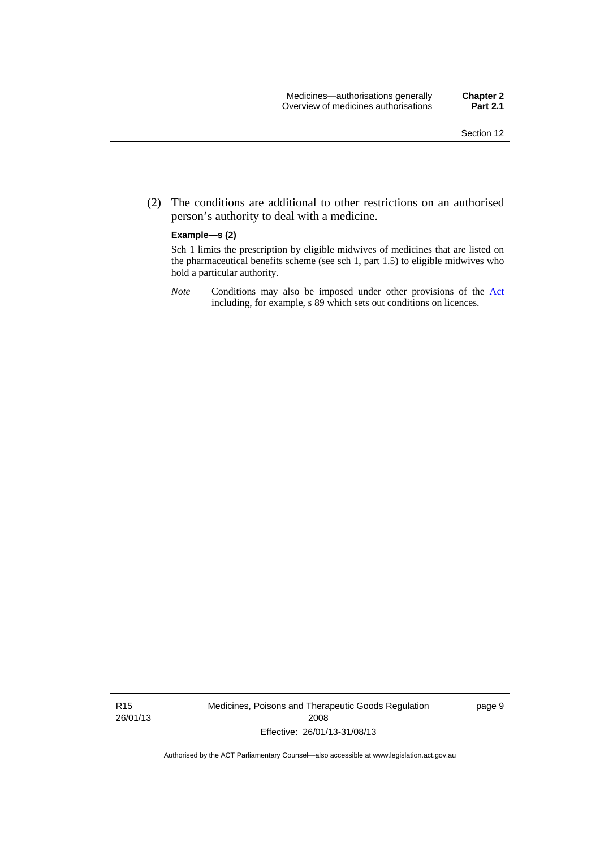(2) The conditions are additional to other restrictions on an authorised person's authority to deal with a medicine.

#### **Example—s (2)**

Sch 1 limits the prescription by eligible midwives of medicines that are listed on the pharmaceutical benefits scheme (see sch 1, part 1.5) to eligible midwives who hold a particular authority.

*Note* Conditions may also be imposed under other provisions of the [Act](http://www.legislation.act.gov.au/a/2008-26/default.asp) including, for example, s 89 which sets out conditions on licences.

R15 26/01/13 Medicines, Poisons and Therapeutic Goods Regulation 2008 Effective: 26/01/13-31/08/13

page 9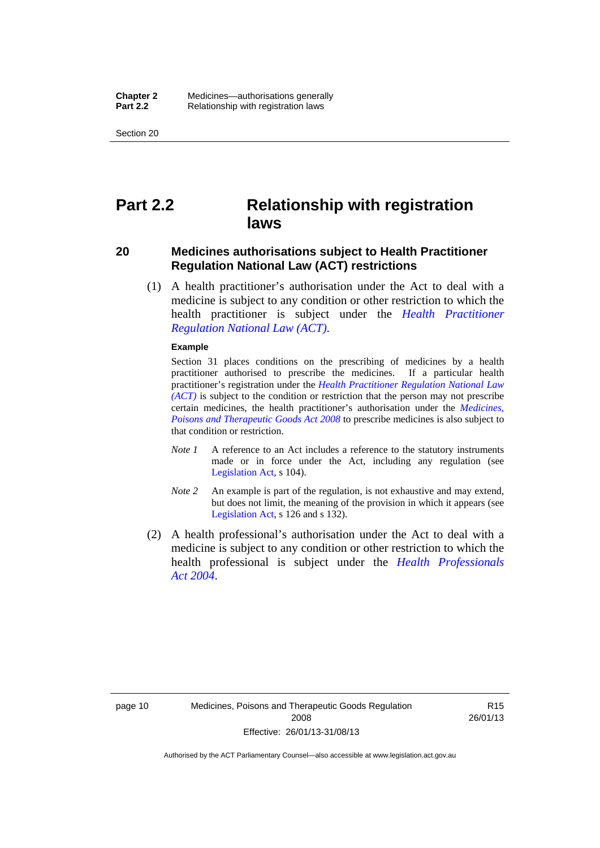Section 20

# <span id="page-33-0"></span>**Part 2.2 Relationship with registration laws**

## <span id="page-33-1"></span>**20 Medicines authorisations subject to Health Practitioner Regulation National Law (ACT) restrictions**

 (1) A health practitioner's authorisation under the Act to deal with a medicine is subject to any condition or other restriction to which the health practitioner is subject under the *[Health Practitioner](http://www.legislation.act.gov.au/a/db_39269/default.asp)  [Regulation National Law \(ACT\)](http://www.legislation.act.gov.au/a/db_39269/default.asp)*.

#### **Example**

Section 31 places conditions on the prescribing of medicines by a health practitioner authorised to prescribe the medicines. If a particular health practitioner's registration under the *[Health Practitioner Regulation National Law](http://www.legislation.act.gov.au/a/db_39269/default.asp)  [\(ACT\)](http://www.legislation.act.gov.au/a/db_39269/default.asp)* is subject to the condition or restriction that the person may not prescribe certain medicines, the health practitioner's authorisation under the *[Medicines,](http://www.legislation.act.gov.au/a/2008-26)  [Poisons and Therapeutic Goods Act 2008](http://www.legislation.act.gov.au/a/2008-26)* to prescribe medicines is also subject to that condition or restriction.

- *Note 1* A reference to an Act includes a reference to the statutory instruments made or in force under the Act, including any regulation (see [Legislation Act,](http://www.legislation.act.gov.au/a/2001-14) s 104).
- *Note 2* An example is part of the regulation, is not exhaustive and may extend, but does not limit, the meaning of the provision in which it appears (see [Legislation Act,](http://www.legislation.act.gov.au/a/2001-14) s 126 and s 132).
- (2) A health professional's authorisation under the Act to deal with a medicine is subject to any condition or other restriction to which the health professional is subject under the *[Health Professionals](http://www.legislation.act.gov.au/a/2004-38)  [Act 2004](http://www.legislation.act.gov.au/a/2004-38)*.

R15 26/01/13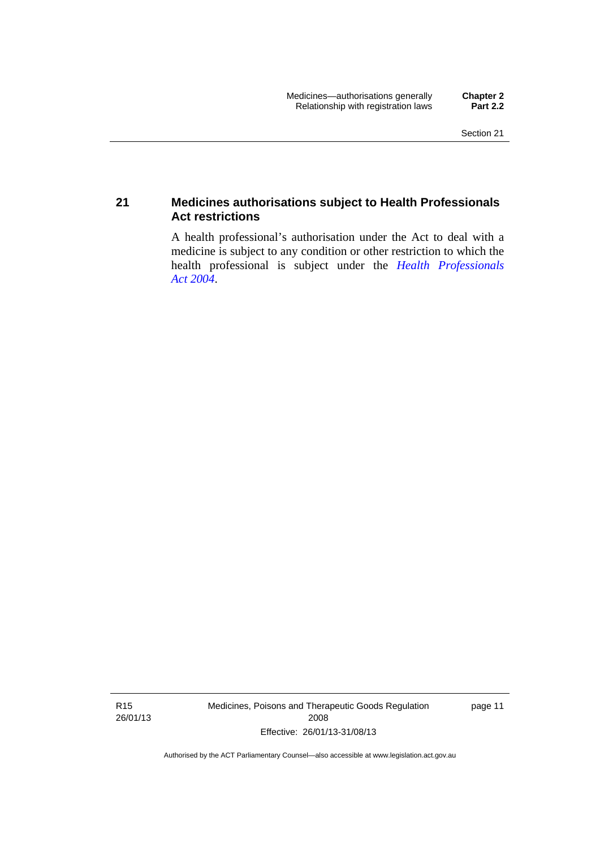## <span id="page-34-0"></span>**21 Medicines authorisations subject to Health Professionals Act restrictions**

A health professional's authorisation under the Act to deal with a medicine is subject to any condition or other restriction to which the health professional is subject under the *[Health Professionals](http://www.legislation.act.gov.au/a/2004-38)  [Act 2004](http://www.legislation.act.gov.au/a/2004-38)*.

R15 26/01/13 Medicines, Poisons and Therapeutic Goods Regulation 2008 Effective: 26/01/13-31/08/13

page 11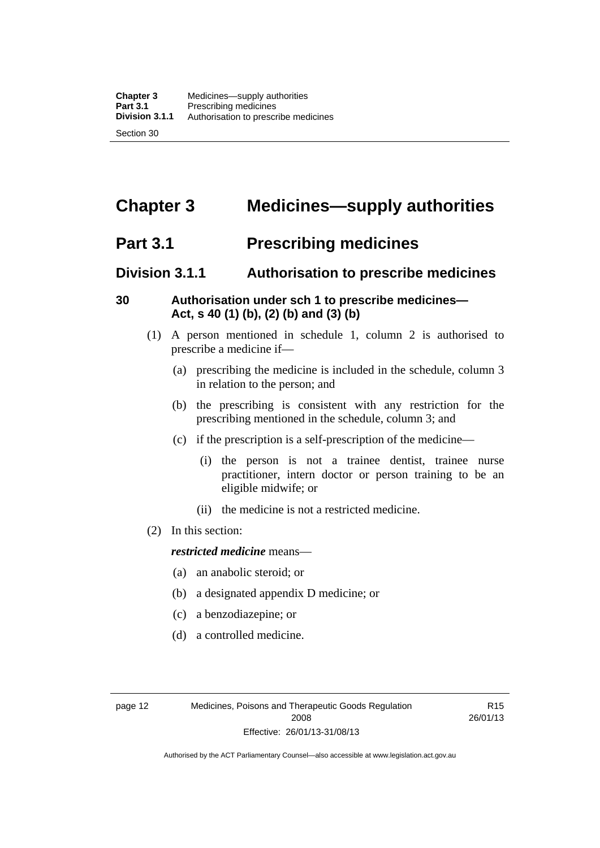# <span id="page-35-0"></span>**Chapter 3 Medicines—supply authorities**

# <span id="page-35-1"></span>**Part 3.1 Prescribing medicines**

# <span id="page-35-2"></span>**Division 3.1.1 Authorisation to prescribe medicines**

## <span id="page-35-3"></span>**30 Authorisation under sch 1 to prescribe medicines— Act, s 40 (1) (b), (2) (b) and (3) (b)**

- (1) A person mentioned in schedule 1, column 2 is authorised to prescribe a medicine if—
	- (a) prescribing the medicine is included in the schedule, column 3 in relation to the person; and
	- (b) the prescribing is consistent with any restriction for the prescribing mentioned in the schedule, column 3; and
	- (c) if the prescription is a self-prescription of the medicine—
		- (i) the person is not a trainee dentist, trainee nurse practitioner, intern doctor or person training to be an eligible midwife; or
		- (ii) the medicine is not a restricted medicine.
- (2) In this section:

## *restricted medicine* means—

- (a) an anabolic steroid; or
- (b) a designated appendix D medicine; or
- (c) a benzodiazepine; or
- (d) a controlled medicine.

R15 26/01/13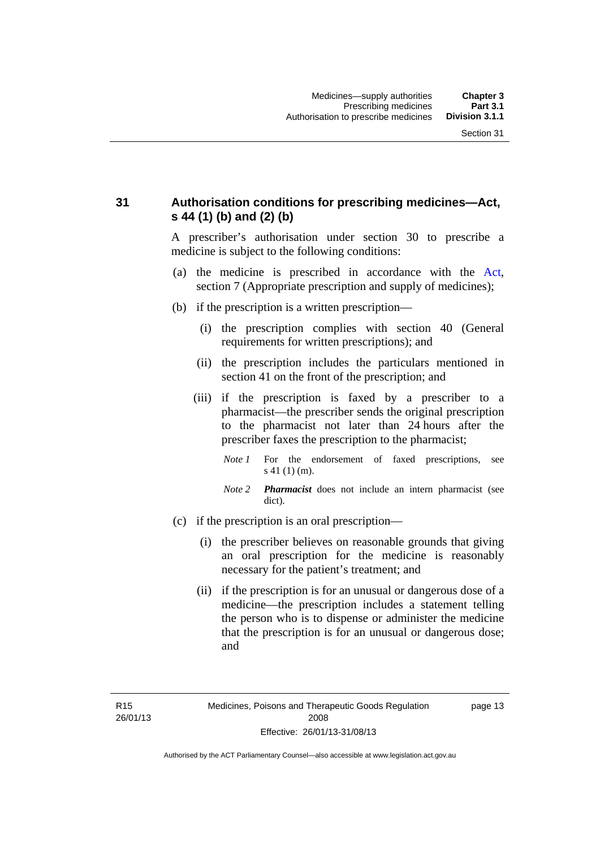## **31 Authorisation conditions for prescribing medicines—Act, s 44 (1) (b) and (2) (b)**

A prescriber's authorisation under section 30 to prescribe a medicine is subject to the following conditions:

- (a) the medicine is prescribed in accordance with the [Act](http://www.legislation.act.gov.au/a/2008-26/default.asp), section 7 (Appropriate prescription and supply of medicines);
- (b) if the prescription is a written prescription—
	- (i) the prescription complies with section 40 (General requirements for written prescriptions); and
	- (ii) the prescription includes the particulars mentioned in section 41 on the front of the prescription; and
	- (iii) if the prescription is faxed by a prescriber to a pharmacist—the prescriber sends the original prescription to the pharmacist not later than 24 hours after the prescriber faxes the prescription to the pharmacist;
		- *Note 1* For the endorsement of faxed prescriptions, see s 41 (1) (m).
		- *Note 2 Pharmacist* does not include an intern pharmacist (see dict).
- (c) if the prescription is an oral prescription—
	- (i) the prescriber believes on reasonable grounds that giving an oral prescription for the medicine is reasonably necessary for the patient's treatment; and
	- (ii) if the prescription is for an unusual or dangerous dose of a medicine—the prescription includes a statement telling the person who is to dispense or administer the medicine that the prescription is for an unusual or dangerous dose; and

page 13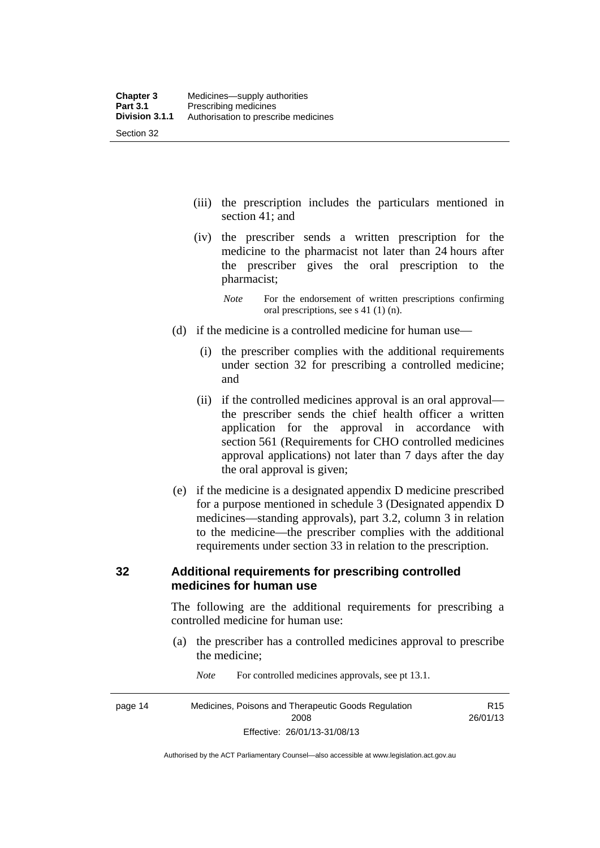- (iii) the prescription includes the particulars mentioned in section 41; and
- (iv) the prescriber sends a written prescription for the medicine to the pharmacist not later than 24 hours after the prescriber gives the oral prescription to the pharmacist;
	- *Note* For the endorsement of written prescriptions confirming oral prescriptions, see s 41 (1) (n).
- (d) if the medicine is a controlled medicine for human use—
	- (i) the prescriber complies with the additional requirements under section 32 for prescribing a controlled medicine; and
	- (ii) if the controlled medicines approval is an oral approval the prescriber sends the chief health officer a written application for the approval in accordance with section 561 (Requirements for CHO controlled medicines approval applications) not later than 7 days after the day the oral approval is given;
- (e) if the medicine is a designated appendix D medicine prescribed for a purpose mentioned in schedule 3 (Designated appendix D medicines—standing approvals), part 3.2, column 3 in relation to the medicine—the prescriber complies with the additional requirements under section 33 in relation to the prescription.

#### **32 Additional requirements for prescribing controlled medicines for human use**

The following are the additional requirements for prescribing a controlled medicine for human use:

- (a) the prescriber has a controlled medicines approval to prescribe the medicine;
- page 14 Medicines, Poisons and Therapeutic Goods Regulation 2008 Effective: 26/01/13-31/08/13 R15 26/01/13

*Note* For controlled medicines approvals, see pt 13.1.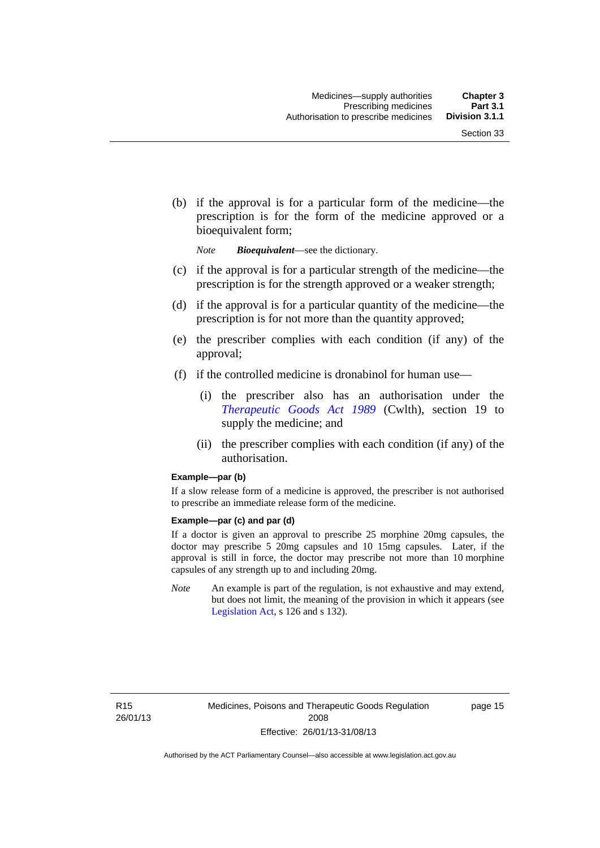(b) if the approval is for a particular form of the medicine—the prescription is for the form of the medicine approved or a bioequivalent form;

*Note Bioequivalent*—see the dictionary.

- (c) if the approval is for a particular strength of the medicine—the prescription is for the strength approved or a weaker strength;
- (d) if the approval is for a particular quantity of the medicine—the prescription is for not more than the quantity approved;
- (e) the prescriber complies with each condition (if any) of the approval;
- (f) if the controlled medicine is dronabinol for human use—
	- (i) the prescriber also has an authorisation under the *[Therapeutic Goods Act 1989](http://www.comlaw.gov.au/Series/C2004A03952)* (Cwlth), section 19 to supply the medicine; and
	- (ii) the prescriber complies with each condition (if any) of the authorisation.

#### **Example—par (b)**

If a slow release form of a medicine is approved, the prescriber is not authorised to prescribe an immediate release form of the medicine.

#### **Example—par (c) and par (d)**

If a doctor is given an approval to prescribe 25 morphine 20mg capsules, the doctor may prescribe 5 20mg capsules and 10 15mg capsules. Later, if the approval is still in force, the doctor may prescribe not more than 10 morphine capsules of any strength up to and including 20mg.

*Note* An example is part of the regulation, is not exhaustive and may extend, but does not limit, the meaning of the provision in which it appears (see [Legislation Act,](http://www.legislation.act.gov.au/a/2001-14) s 126 and s 132).

R15 26/01/13 page 15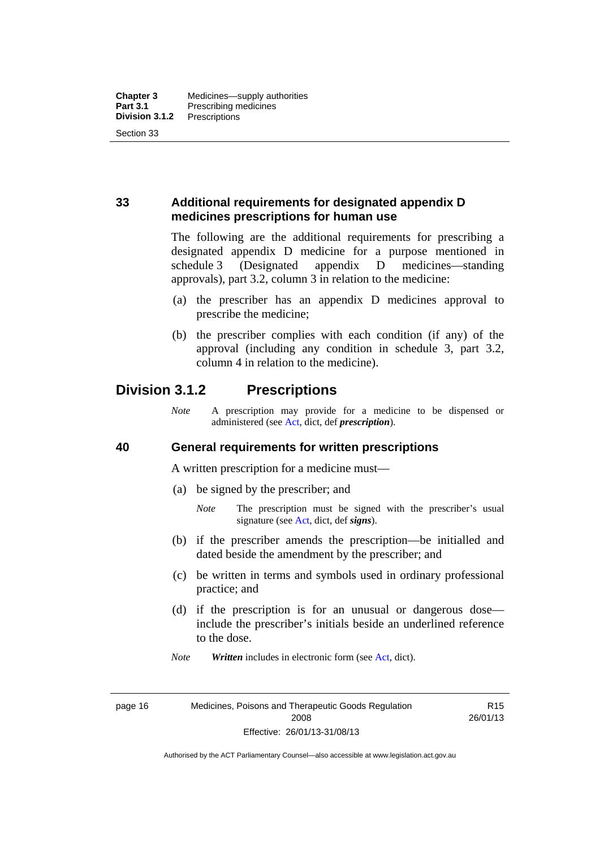## **33 Additional requirements for designated appendix D medicines prescriptions for human use**

The following are the additional requirements for prescribing a designated appendix D medicine for a purpose mentioned in schedule 3 (Designated appendix D medicines—standing approvals), part 3.2, column 3 in relation to the medicine:

- (a) the prescriber has an appendix D medicines approval to prescribe the medicine;
- (b) the prescriber complies with each condition (if any) of the approval (including any condition in schedule 3, part 3.2, column 4 in relation to the medicine).

## **Division 3.1.2 Prescriptions**

*Note* A prescription may provide for a medicine to be dispensed or administered (see [Act](http://www.legislation.act.gov.au/a/2008-26/default.asp), dict, def *prescription*).

#### **40 General requirements for written prescriptions**

A written prescription for a medicine must—

- (a) be signed by the prescriber; and
	- *Note* The prescription must be signed with the prescriber's usual signature (see [Act](http://www.legislation.act.gov.au/a/2008-26/default.asp), dict, def *signs*).
- (b) if the prescriber amends the prescription—be initialled and dated beside the amendment by the prescriber; and
- (c) be written in terms and symbols used in ordinary professional practice; and
- (d) if the prescription is for an unusual or dangerous dose include the prescriber's initials beside an underlined reference to the dose.
- *Note Written* includes in electronic form (see [Act,](http://www.legislation.act.gov.au/a/2008-26/default.asp) dict).

page 16 Medicines, Poisons and Therapeutic Goods Regulation 2008 Effective: 26/01/13-31/08/13

R15 26/01/13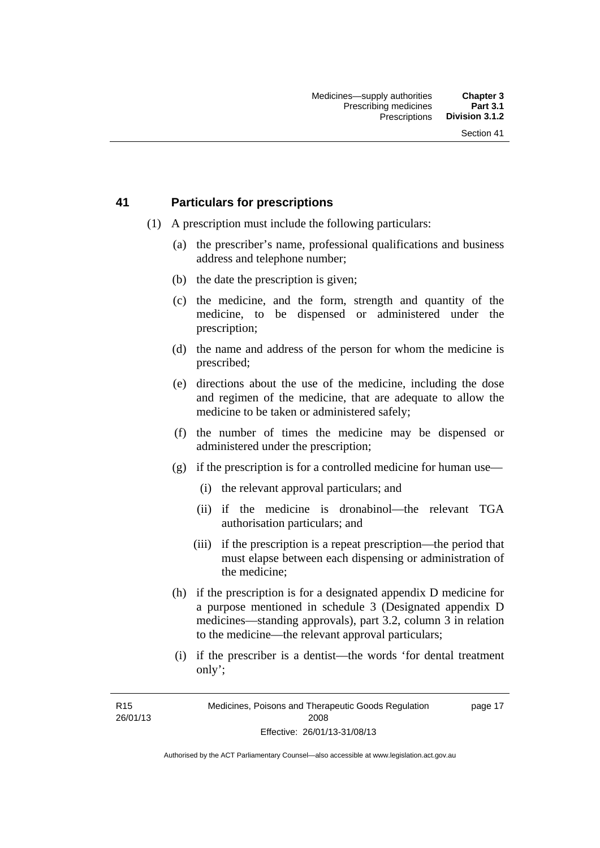#### **41 Particulars for prescriptions**

- (1) A prescription must include the following particulars:
	- (a) the prescriber's name, professional qualifications and business address and telephone number;
	- (b) the date the prescription is given;
	- (c) the medicine, and the form, strength and quantity of the medicine, to be dispensed or administered under the prescription;
	- (d) the name and address of the person for whom the medicine is prescribed;
	- (e) directions about the use of the medicine, including the dose and regimen of the medicine, that are adequate to allow the medicine to be taken or administered safely;
	- (f) the number of times the medicine may be dispensed or administered under the prescription;
	- (g) if the prescription is for a controlled medicine for human use—
		- (i) the relevant approval particulars; and
		- (ii) if the medicine is dronabinol—the relevant TGA authorisation particulars; and
		- (iii) if the prescription is a repeat prescription—the period that must elapse between each dispensing or administration of the medicine;
	- (h) if the prescription is for a designated appendix D medicine for a purpose mentioned in schedule 3 (Designated appendix D medicines—standing approvals), part 3.2, column 3 in relation to the medicine—the relevant approval particulars;
	- (i) if the prescriber is a dentist—the words 'for dental treatment only';

R15 26/01/13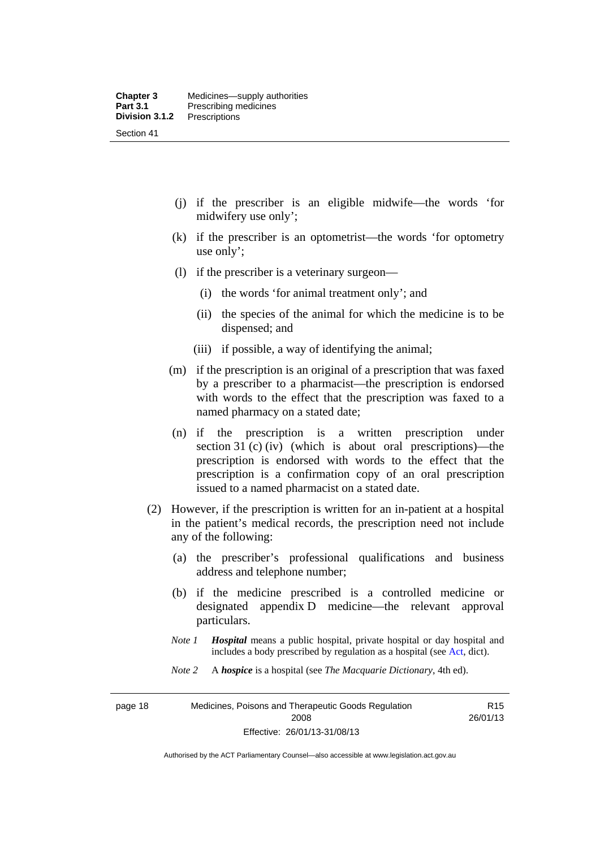- (j) if the prescriber is an eligible midwife—the words 'for midwifery use only';
- (k) if the prescriber is an optometrist—the words 'for optometry use only';
- (l) if the prescriber is a veterinary surgeon—
	- (i) the words 'for animal treatment only'; and
	- (ii) the species of the animal for which the medicine is to be dispensed; and
	- (iii) if possible, a way of identifying the animal;
- (m) if the prescription is an original of a prescription that was faxed by a prescriber to a pharmacist—the prescription is endorsed with words to the effect that the prescription was faxed to a named pharmacy on a stated date;
- (n) if the prescription is a written prescription under section 31 (c) (iv) (which is about oral prescriptions)—the prescription is endorsed with words to the effect that the prescription is a confirmation copy of an oral prescription issued to a named pharmacist on a stated date.
- (2) However, if the prescription is written for an in-patient at a hospital in the patient's medical records, the prescription need not include any of the following:
	- (a) the prescriber's professional qualifications and business address and telephone number;
	- (b) if the medicine prescribed is a controlled medicine or designated appendix D medicine—the relevant approval particulars.
	- *Note 1 Hospital* means a public hospital, private hospital or day hospital and includes a body prescribed by regulation as a hospital (see [Act,](http://www.legislation.act.gov.au/a/2008-26/default.asp) dict).
	- *Note 2* A *hospice* is a hospital (see *The Macquarie Dictionary*, 4th ed).

page 18 Medicines, Poisons and Therapeutic Goods Regulation 2008 Effective: 26/01/13-31/08/13

R15 26/01/13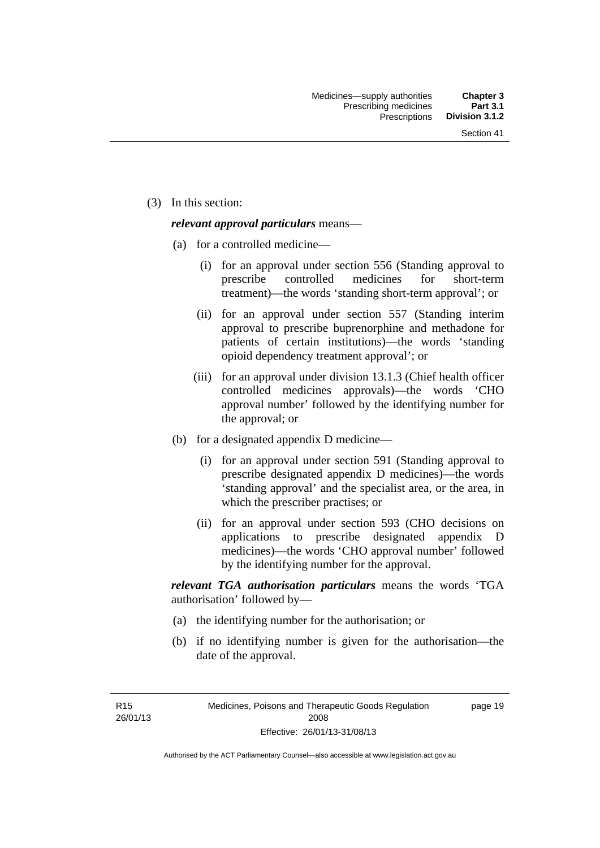(3) In this section:

#### *relevant approval particulars* means—

- (a) for a controlled medicine—
	- (i) for an approval under section 556 (Standing approval to prescribe controlled medicines for short-term treatment)—the words 'standing short-term approval'; or
	- (ii) for an approval under section 557 (Standing interim approval to prescribe buprenorphine and methadone for patients of certain institutions)—the words 'standing opioid dependency treatment approval'; or
	- (iii) for an approval under division 13.1.3 (Chief health officer controlled medicines approvals)—the words 'CHO approval number' followed by the identifying number for the approval; or
- (b) for a designated appendix D medicine—
	- (i) for an approval under section 591 (Standing approval to prescribe designated appendix D medicines)—the words 'standing approval' and the specialist area, or the area, in which the prescriber practises; or
	- (ii) for an approval under section 593 (CHO decisions on applications to prescribe designated appendix D medicines)—the words 'CHO approval number' followed by the identifying number for the approval.

*relevant TGA authorisation particulars* means the words 'TGA authorisation' followed by—

- (a) the identifying number for the authorisation; or
- (b) if no identifying number is given for the authorisation—the date of the approval.

R15 26/01/13 page 19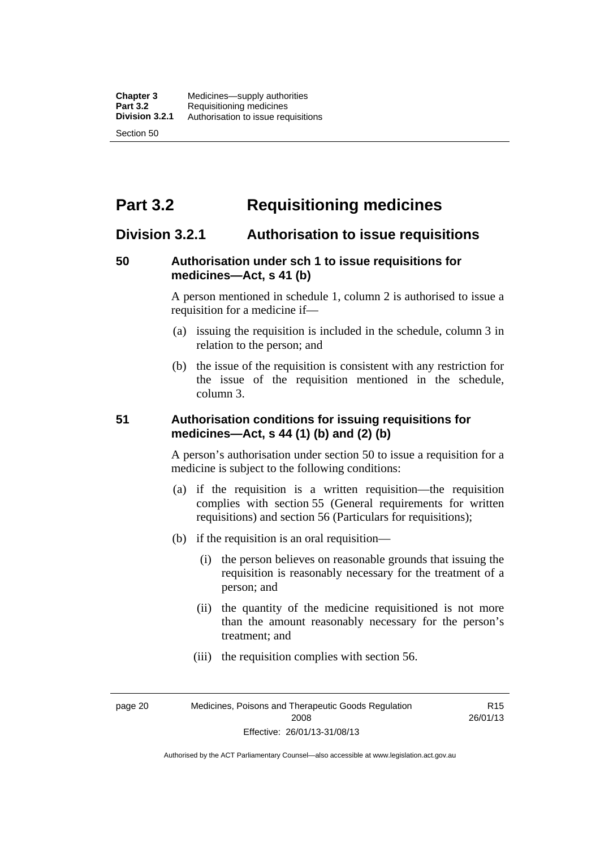# **Part 3.2 Requisitioning medicines**

## **Division 3.2.1 Authorisation to issue requisitions**

#### **50 Authorisation under sch 1 to issue requisitions for medicines—Act, s 41 (b)**

A person mentioned in schedule 1, column 2 is authorised to issue a requisition for a medicine if—

- (a) issuing the requisition is included in the schedule, column 3 in relation to the person; and
- (b) the issue of the requisition is consistent with any restriction for the issue of the requisition mentioned in the schedule, column 3.

#### **51 Authorisation conditions for issuing requisitions for medicines—Act, s 44 (1) (b) and (2) (b)**

A person's authorisation under section 50 to issue a requisition for a medicine is subject to the following conditions:

- (a) if the requisition is a written requisition—the requisition complies with section 55 (General requirements for written requisitions) and section 56 (Particulars for requisitions);
- (b) if the requisition is an oral requisition—
	- (i) the person believes on reasonable grounds that issuing the requisition is reasonably necessary for the treatment of a person; and
	- (ii) the quantity of the medicine requisitioned is not more than the amount reasonably necessary for the person's treatment; and
	- (iii) the requisition complies with section 56.

page 20 Medicines, Poisons and Therapeutic Goods Regulation 2008 Effective: 26/01/13-31/08/13

R15 26/01/13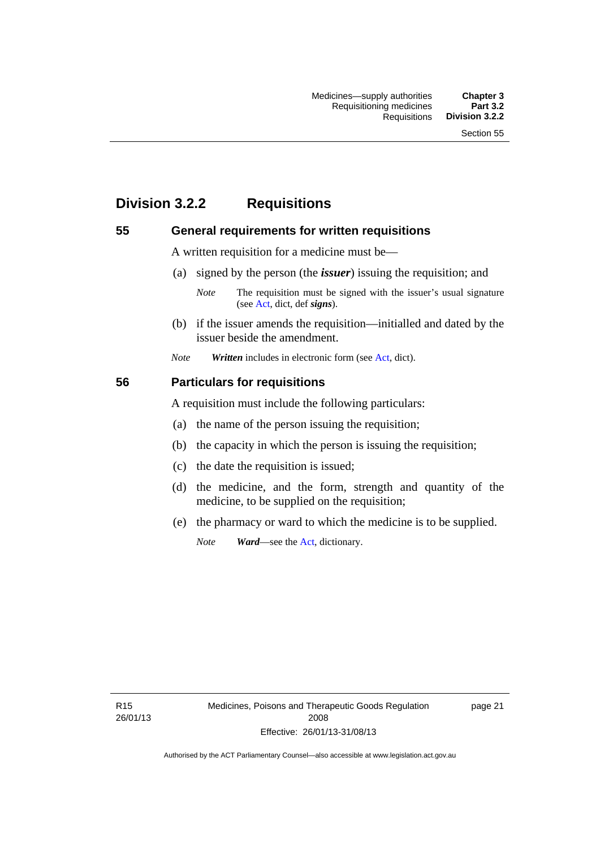# **Division 3.2.2 Requisitions**

#### **55 General requirements for written requisitions**

A written requisition for a medicine must be—

(a) signed by the person (the *issuer*) issuing the requisition; and

 (b) if the issuer amends the requisition—initialled and dated by the issuer beside the amendment.

*Note Written* includes in electronic form (see [Act,](http://www.legislation.act.gov.au/a/2008-26/default.asp) dict).

#### **56 Particulars for requisitions**

A requisition must include the following particulars:

- (a) the name of the person issuing the requisition;
- (b) the capacity in which the person is issuing the requisition;
- (c) the date the requisition is issued;
- (d) the medicine, and the form, strength and quantity of the medicine, to be supplied on the requisition;
- (e) the pharmacy or ward to which the medicine is to be supplied.

*Note Ward*—see the [Act](http://www.legislation.act.gov.au/a/2008-26/default.asp), dictionary.

R15 26/01/13

*Note* The requisition must be signed with the issuer's usual signature (see [Act](http://www.legislation.act.gov.au/a/2008-26/default.asp), dict, def *signs*).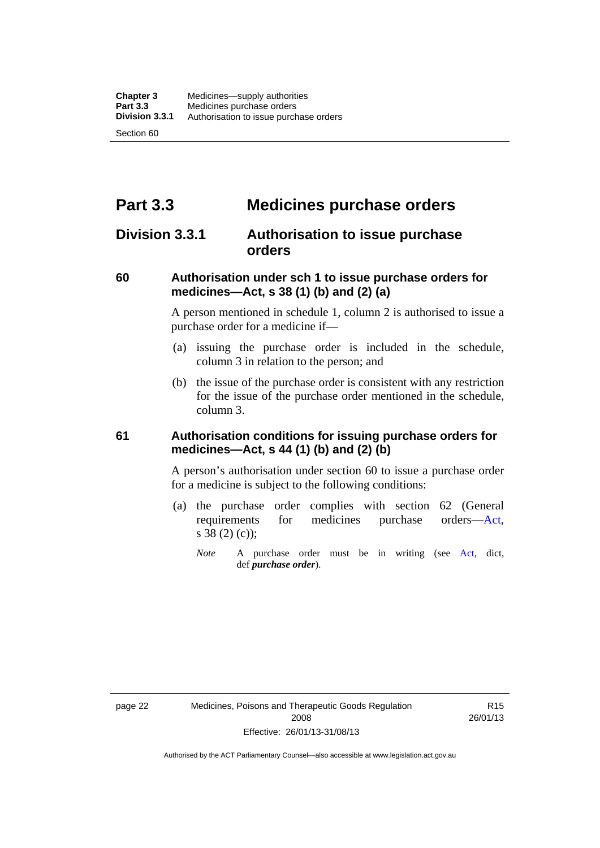# **Part 3.3 Medicines purchase orders**

## **Division 3.3.1 Authorisation to issue purchase orders**

#### **60 Authorisation under sch 1 to issue purchase orders for medicines—Act, s 38 (1) (b) and (2) (a)**

A person mentioned in schedule 1, column 2 is authorised to issue a purchase order for a medicine if—

- (a) issuing the purchase order is included in the schedule, column 3 in relation to the person; and
- (b) the issue of the purchase order is consistent with any restriction for the issue of the purchase order mentioned in the schedule, column 3.

#### **61 Authorisation conditions for issuing purchase orders for medicines—Act, s 44 (1) (b) and (2) (b)**

A person's authorisation under section 60 to issue a purchase order for a medicine is subject to the following conditions:

- (a) the purchase order complies with section 62 (General requirements for medicines purchase orders[—Act](http://www.legislation.act.gov.au/a/2008-26/default.asp), s 38 (2) (c));
	- *Note* A purchase order must be in writing (see [Act,](http://www.legislation.act.gov.au/a/2008-26/default.asp) dict, def *purchase order*).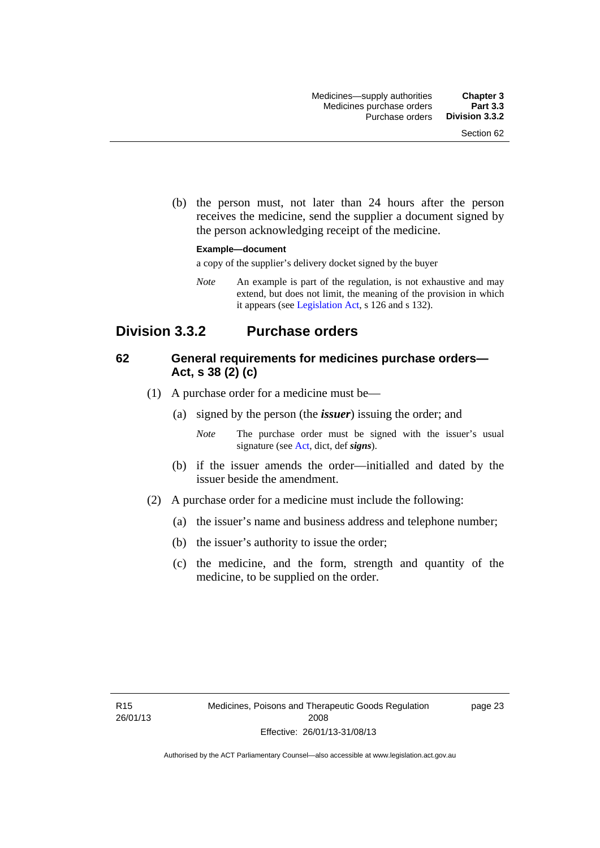(b) the person must, not later than 24 hours after the person receives the medicine, send the supplier a document signed by the person acknowledging receipt of the medicine.

#### **Example—document**

a copy of the supplier's delivery docket signed by the buyer

*Note* An example is part of the regulation, is not exhaustive and may extend, but does not limit, the meaning of the provision in which it appears (see [Legislation Act,](http://www.legislation.act.gov.au/a/2001-14) s 126 and s 132).

## **Division 3.3.2 Purchase orders**

#### **62 General requirements for medicines purchase orders— Act, s 38 (2) (c)**

- (1) A purchase order for a medicine must be—
	- (a) signed by the person (the *issuer*) issuing the order; and
		- *Note* The purchase order must be signed with the issuer's usual signature (see [Act](http://www.legislation.act.gov.au/a/2008-26/default.asp), dict, def *signs*).
	- (b) if the issuer amends the order—initialled and dated by the issuer beside the amendment.
- (2) A purchase order for a medicine must include the following:
	- (a) the issuer's name and business address and telephone number;
	- (b) the issuer's authority to issue the order;
	- (c) the medicine, and the form, strength and quantity of the medicine, to be supplied on the order.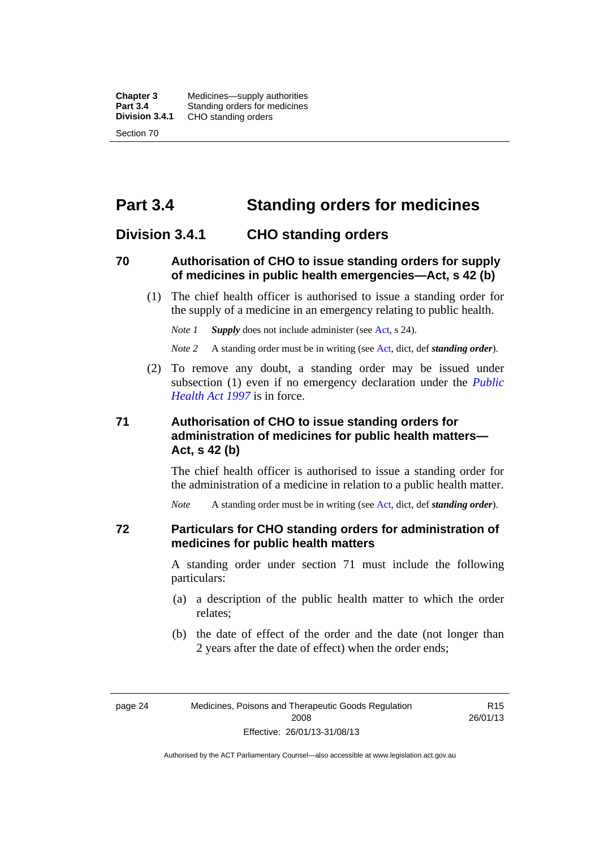**Chapter 3** Medicines—supply authorities<br>**Part 3.4** Standing orders for medicines **Part 3.4 Standing orders for medicines<br>
<b>Division 3.4.1** CHO standing orders **Division 3.4.1** CHO standing orders Section 70

# **Part 3.4 Standing orders for medicines**

#### **Division 3.4.1 CHO standing orders**

#### **70 Authorisation of CHO to issue standing orders for supply of medicines in public health emergencies—Act, s 42 (b)**

 (1) The chief health officer is authorised to issue a standing order for the supply of a medicine in an emergency relating to public health.

*Note 1 Supply* does not include administer (see [Act,](http://www.legislation.act.gov.au/a/2008-26/default.asp) s 24).

*Note 2* A standing order must be in writing (see [Act](http://www.legislation.act.gov.au/a/2008-26/default.asp), dict, def *standing order*).

 (2) To remove any doubt, a standing order may be issued under subsection (1) even if no emergency declaration under the *[Public](http://www.legislation.act.gov.au/a/1997-69)  [Health Act 1997](http://www.legislation.act.gov.au/a/1997-69)* is in force.

#### **71 Authorisation of CHO to issue standing orders for administration of medicines for public health matters— Act, s 42 (b)**

The chief health officer is authorised to issue a standing order for the administration of a medicine in relation to a public health matter.

*Note* A standing order must be in writing (see [Act](http://www.legislation.act.gov.au/a/2008-26/default.asp), dict, def *standing order*).

#### **72 Particulars for CHO standing orders for administration of medicines for public health matters**

A standing order under section 71 must include the following particulars:

- (a) a description of the public health matter to which the order relates;
- (b) the date of effect of the order and the date (not longer than 2 years after the date of effect) when the order ends;

R15 26/01/13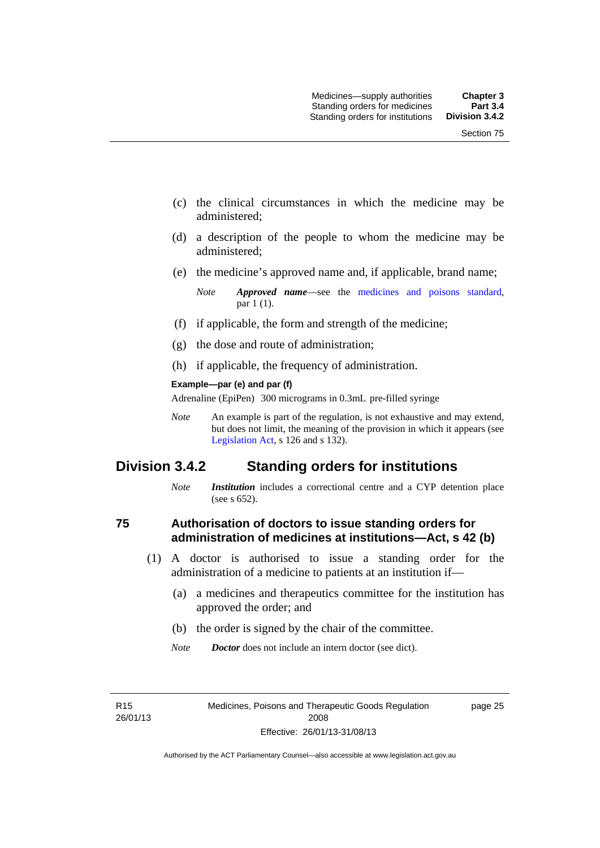- (c) the clinical circumstances in which the medicine may be administered;
- (d) a description of the people to whom the medicine may be administered;
- (e) the medicine's approved name and, if applicable, brand name;

- (f) if applicable, the form and strength of the medicine;
- (g) the dose and route of administration;
- (h) if applicable, the frequency of administration.

#### **Example—par (e) and par (f)**

Adrenaline (EpiPen) 300 micrograms in 0.3mL pre-filled syringe

*Note* An example is part of the regulation, is not exhaustive and may extend, but does not limit, the meaning of the provision in which it appears (see [Legislation Act,](http://www.legislation.act.gov.au/a/2001-14) s 126 and s 132).

## **Division 3.4.2 Standing orders for institutions**

*Note Institution* includes a correctional centre and a CYP detention place (see s 652).

#### **75 Authorisation of doctors to issue standing orders for administration of medicines at institutions—Act, s 42 (b)**

- (1) A doctor is authorised to issue a standing order for the administration of a medicine to patients at an institution if—
	- (a) a medicines and therapeutics committee for the institution has approved the order; and
	- (b) the order is signed by the chair of the committee.
	- *Note Doctor* does not include an intern doctor (see dict).

R15 26/01/13 page 25

*Note Approved name*—see the [medicines and poisons standard,](http://www.comlaw.gov.au/Series/F2012L01200) par 1 (1).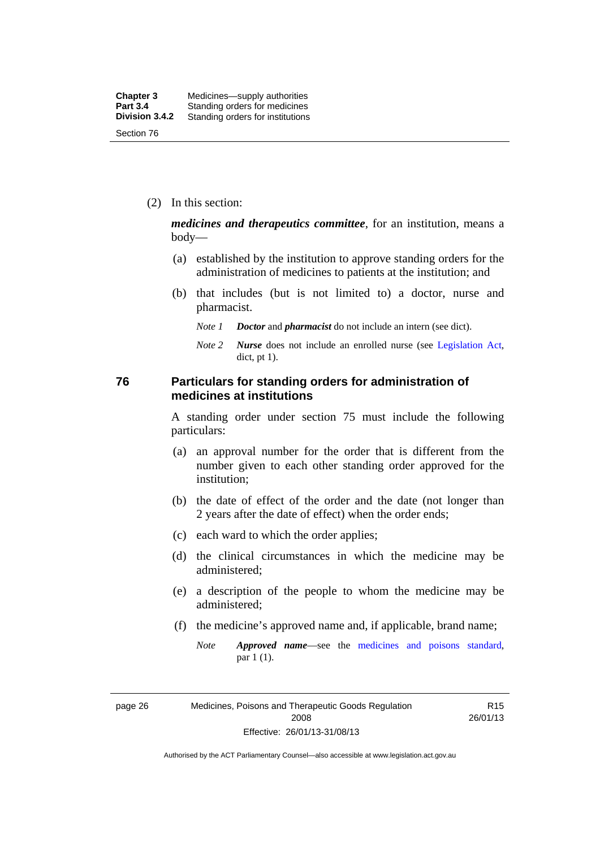(2) In this section:

*medicines and therapeutics committee*, for an institution, means a body—

- (a) established by the institution to approve standing orders for the administration of medicines to patients at the institution; and
- (b) that includes (but is not limited to) a doctor, nurse and pharmacist.
	- *Note 1 Doctor* and *pharmacist* do not include an intern (see dict).
	- *Note 2 Nurse* does not include an enrolled nurse (see [Legislation Act,](http://www.legislation.act.gov.au/a/2001-14) dict, pt 1).

#### **76 Particulars for standing orders for administration of medicines at institutions**

A standing order under section 75 must include the following particulars:

- (a) an approval number for the order that is different from the number given to each other standing order approved for the institution;
- (b) the date of effect of the order and the date (not longer than 2 years after the date of effect) when the order ends;
- (c) each ward to which the order applies;
- (d) the clinical circumstances in which the medicine may be administered;
- (e) a description of the people to whom the medicine may be administered;
- (f) the medicine's approved name and, if applicable, brand name;
	- *Note Approved name*—see the [medicines and poisons standard,](http://www.comlaw.gov.au/Series/F2012L01200) par 1 (1).

page 26 Medicines, Poisons and Therapeutic Goods Regulation 2008 Effective: 26/01/13-31/08/13

R15 26/01/13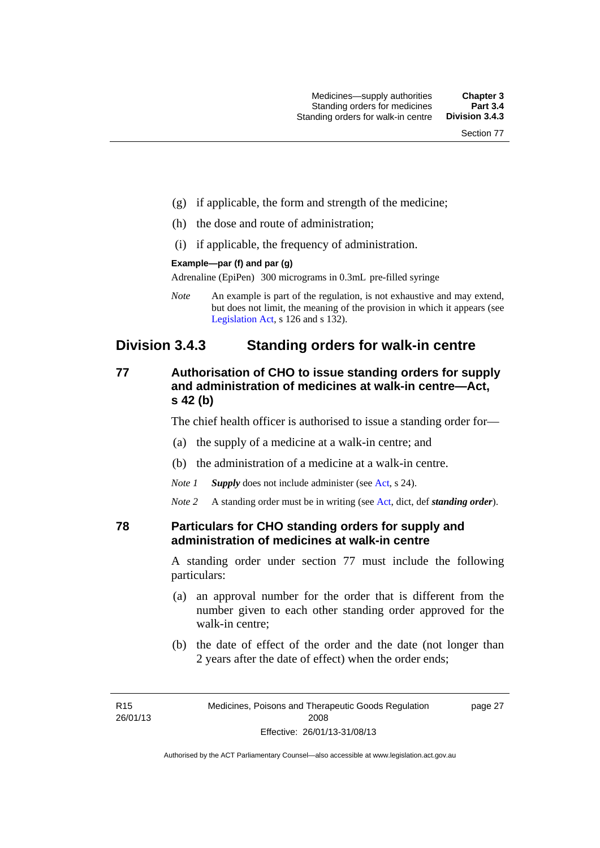- (g) if applicable, the form and strength of the medicine;
- (h) the dose and route of administration;
- (i) if applicable, the frequency of administration.

#### **Example—par (f) and par (g)**

Adrenaline (EpiPen) 300 micrograms in 0.3mL pre-filled syringe

*Note* An example is part of the regulation, is not exhaustive and may extend, but does not limit, the meaning of the provision in which it appears (see [Legislation Act,](http://www.legislation.act.gov.au/a/2001-14) s 126 and s 132).

## **Division 3.4.3 Standing orders for walk-in centre**

#### **77 Authorisation of CHO to issue standing orders for supply and administration of medicines at walk-in centre—Act, s 42 (b)**

The chief health officer is authorised to issue a standing order for—

- (a) the supply of a medicine at a walk-in centre; and
- (b) the administration of a medicine at a walk-in centre.

*Note 1 Supply* does not include administer (see [Act,](http://www.legislation.act.gov.au/a/2008-26/default.asp) s 24).

*Note 2* A standing order must be in writing (see [Act](http://www.legislation.act.gov.au/a/2008-26/default.asp), dict, def *standing order*).

#### **78 Particulars for CHO standing orders for supply and administration of medicines at walk-in centre**

A standing order under section 77 must include the following particulars:

- (a) an approval number for the order that is different from the number given to each other standing order approved for the walk-in centre;
- (b) the date of effect of the order and the date (not longer than 2 years after the date of effect) when the order ends;

page 27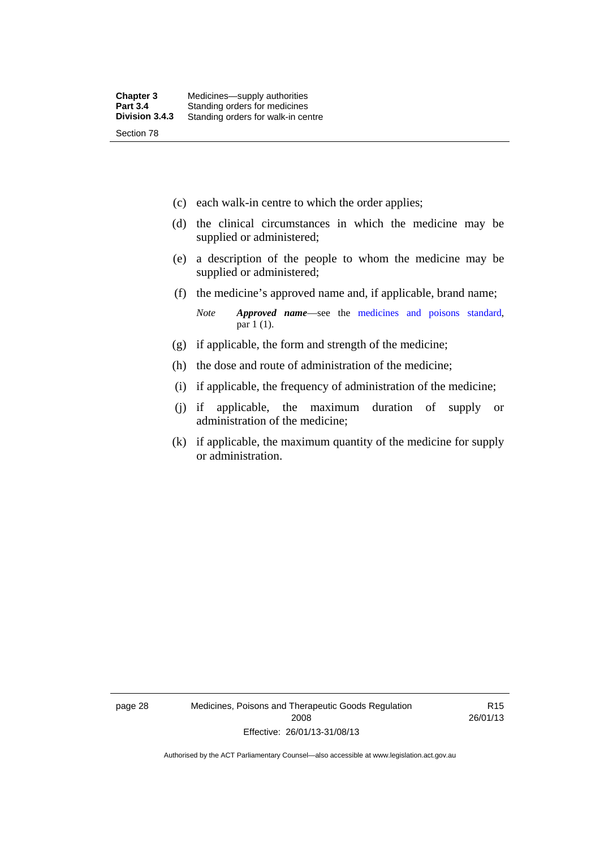- (c) each walk-in centre to which the order applies;
- (d) the clinical circumstances in which the medicine may be supplied or administered;
- (e) a description of the people to whom the medicine may be supplied or administered;
- (f) the medicine's approved name and, if applicable, brand name;

*Note Approved name*—see the [medicines and poisons standard,](http://www.comlaw.gov.au/Series/F2012L01200) par 1 (1).

- (g) if applicable, the form and strength of the medicine;
- (h) the dose and route of administration of the medicine;
- (i) if applicable, the frequency of administration of the medicine;
- (j) if applicable, the maximum duration of supply or administration of the medicine;
- (k) if applicable, the maximum quantity of the medicine for supply or administration.

page 28 Medicines, Poisons and Therapeutic Goods Regulation 2008 Effective: 26/01/13-31/08/13

R15 26/01/13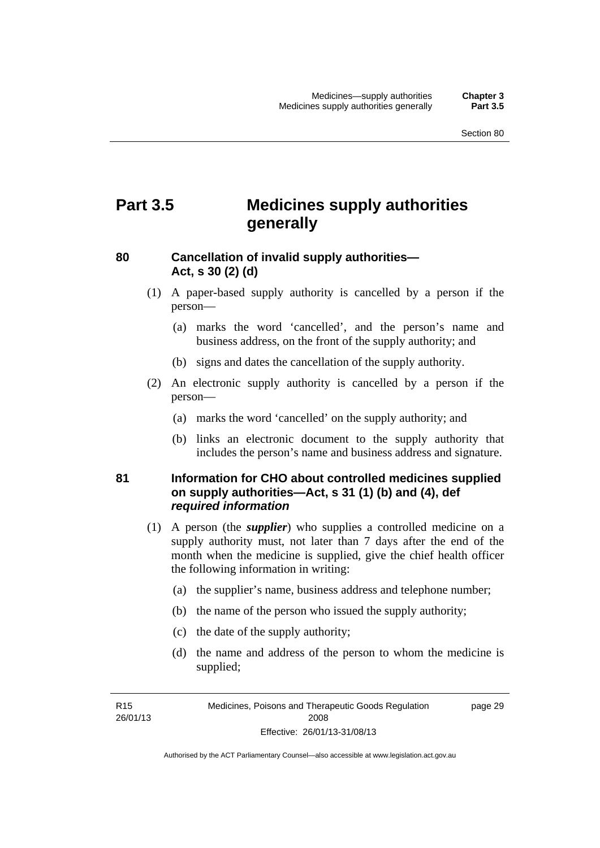# **Part 3.5 Medicines supply authorities generally**

#### **80 Cancellation of invalid supply authorities— Act, s 30 (2) (d)**

- (1) A paper-based supply authority is cancelled by a person if the person—
	- (a) marks the word 'cancelled', and the person's name and business address, on the front of the supply authority; and
	- (b) signs and dates the cancellation of the supply authority.
- (2) An electronic supply authority is cancelled by a person if the person—
	- (a) marks the word 'cancelled' on the supply authority; and
	- (b) links an electronic document to the supply authority that includes the person's name and business address and signature.

#### **81 Information for CHO about controlled medicines supplied on supply authorities—Act, s 31 (1) (b) and (4), def**  *required information*

- (1) A person (the *supplier*) who supplies a controlled medicine on a supply authority must, not later than 7 days after the end of the month when the medicine is supplied, give the chief health officer the following information in writing:
	- (a) the supplier's name, business address and telephone number;
	- (b) the name of the person who issued the supply authority;
	- (c) the date of the supply authority;
	- (d) the name and address of the person to whom the medicine is supplied;

R15 26/01/13 page 29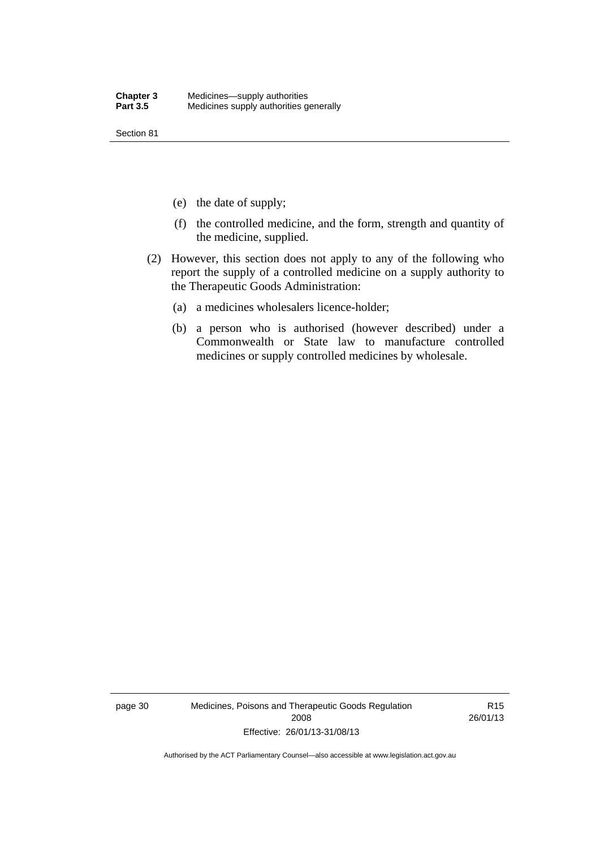Section 81

- (e) the date of supply;
- (f) the controlled medicine, and the form, strength and quantity of the medicine, supplied.
- (2) However, this section does not apply to any of the following who report the supply of a controlled medicine on a supply authority to the Therapeutic Goods Administration:
	- (a) a medicines wholesalers licence-holder;
	- (b) a person who is authorised (however described) under a Commonwealth or State law to manufacture controlled medicines or supply controlled medicines by wholesale.

page 30 Medicines, Poisons and Therapeutic Goods Regulation 2008 Effective: 26/01/13-31/08/13

R15 26/01/13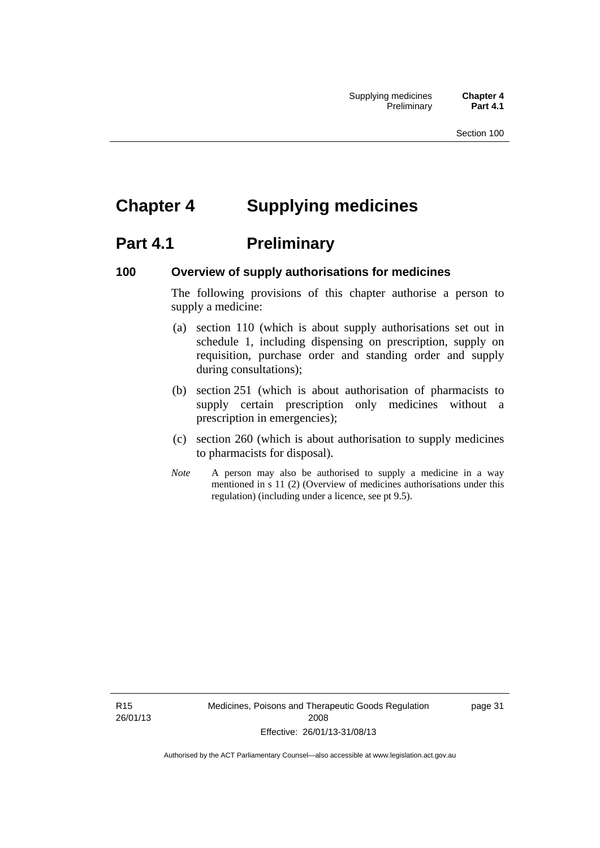# **Chapter 4 Supplying medicines**

# **Part 4.1** Preliminary

#### **100 Overview of supply authorisations for medicines**

The following provisions of this chapter authorise a person to supply a medicine:

- (a) section 110 (which is about supply authorisations set out in schedule 1, including dispensing on prescription, supply on requisition, purchase order and standing order and supply during consultations);
- (b) section 251 (which is about authorisation of pharmacists to supply certain prescription only medicines without a prescription in emergencies);
- (c) section 260 (which is about authorisation to supply medicines to pharmacists for disposal).
- *Note* A person may also be authorised to supply a medicine in a way mentioned in s 11 (2) (Overview of medicines authorisations under this regulation) (including under a licence, see pt 9.5).

R15 26/01/13 page 31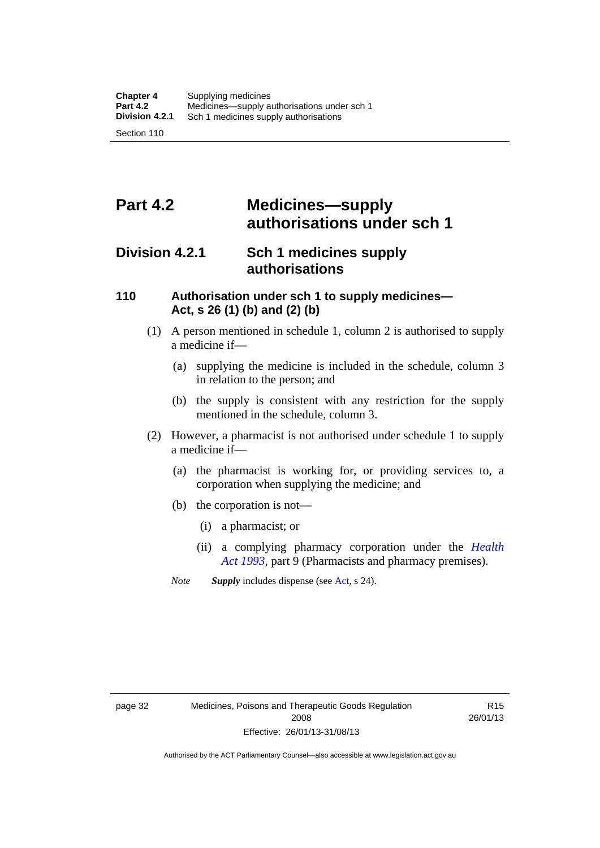# **Part 4.2 Medicines—supply authorisations under sch 1**

## **Division 4.2.1 Sch 1 medicines supply authorisations**

#### **110 Authorisation under sch 1 to supply medicines— Act, s 26 (1) (b) and (2) (b)**

- (1) A person mentioned in schedule 1, column 2 is authorised to supply a medicine if—
	- (a) supplying the medicine is included in the schedule, column 3 in relation to the person; and
	- (b) the supply is consistent with any restriction for the supply mentioned in the schedule, column 3.
- (2) However, a pharmacist is not authorised under schedule 1 to supply a medicine if—
	- (a) the pharmacist is working for, or providing services to, a corporation when supplying the medicine; and
	- (b) the corporation is not—
		- (i) a pharmacist; or
		- (ii) a complying pharmacy corporation under the *[Health](http://www.legislation.act.gov.au/a/1993-13)  [Act 1993](http://www.legislation.act.gov.au/a/1993-13)*, part 9 (Pharmacists and pharmacy premises).
	- *Note Supply* includes dispense (see [Act,](http://www.legislation.act.gov.au/a/2008-26/default.asp) s 24).

R15 26/01/13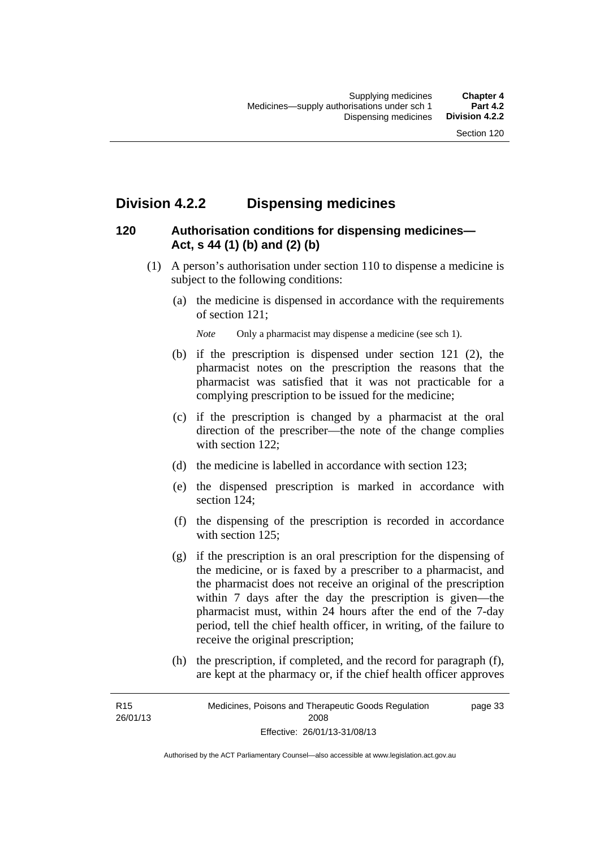## **Division 4.2.2 Dispensing medicines**

## **120 Authorisation conditions for dispensing medicines— Act, s 44 (1) (b) and (2) (b)**

- (1) A person's authorisation under section 110 to dispense a medicine is subject to the following conditions:
	- (a) the medicine is dispensed in accordance with the requirements of section 121;

*Note* Only a pharmacist may dispense a medicine (see sch 1).

- (b) if the prescription is dispensed under section 121 (2), the pharmacist notes on the prescription the reasons that the pharmacist was satisfied that it was not practicable for a complying prescription to be issued for the medicine;
- (c) if the prescription is changed by a pharmacist at the oral direction of the prescriber—the note of the change complies with section 122:
- (d) the medicine is labelled in accordance with section 123;
- (e) the dispensed prescription is marked in accordance with section 124;
- (f) the dispensing of the prescription is recorded in accordance with section 125:
- (g) if the prescription is an oral prescription for the dispensing of the medicine, or is faxed by a prescriber to a pharmacist, and the pharmacist does not receive an original of the prescription within 7 days after the day the prescription is given—the pharmacist must, within 24 hours after the end of the 7-day period, tell the chief health officer, in writing, of the failure to receive the original prescription;
- (h) the prescription, if completed, and the record for paragraph (f), are kept at the pharmacy or, if the chief health officer approves

R15 26/01/13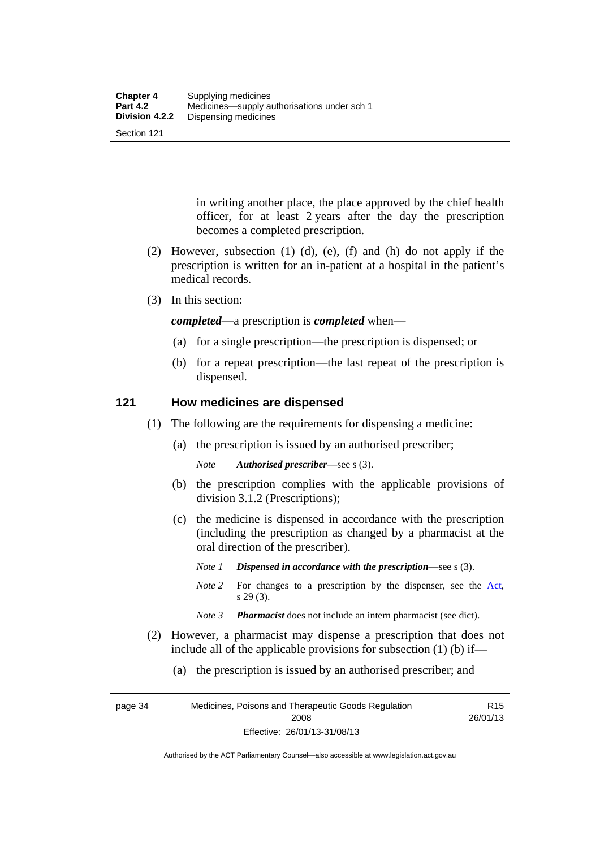Section 121

in writing another place, the place approved by the chief health officer, for at least 2 years after the day the prescription becomes a completed prescription.

- (2) However, subsection (1) (d), (e), (f) and (h) do not apply if the prescription is written for an in-patient at a hospital in the patient's medical records.
- (3) In this section:

*completed*—a prescription is *completed* when—

- (a) for a single prescription—the prescription is dispensed; or
- (b) for a repeat prescription—the last repeat of the prescription is dispensed.

#### **121 How medicines are dispensed**

- (1) The following are the requirements for dispensing a medicine:
	- (a) the prescription is issued by an authorised prescriber;

*Note Authorised prescriber*—see s (3).

- (b) the prescription complies with the applicable provisions of division 3.1.2 (Prescriptions);
- (c) the medicine is dispensed in accordance with the prescription (including the prescription as changed by a pharmacist at the oral direction of the prescriber).
	- *Note 1 Dispensed in accordance with the prescription*—see s (3).
	- *Note* 2 For changes to a prescription by the dispenser, see the [Act,](http://www.legislation.act.gov.au/a/2008-26/default.asp) s 29 (3).
	- *Note 3 Pharmacist* does not include an intern pharmacist (see dict).
- (2) However, a pharmacist may dispense a prescription that does not include all of the applicable provisions for subsection (1) (b) if—
	- (a) the prescription is issued by an authorised prescriber; and

page 34 Medicines, Poisons and Therapeutic Goods Regulation 2008 Effective: 26/01/13-31/08/13 R15 26/01/13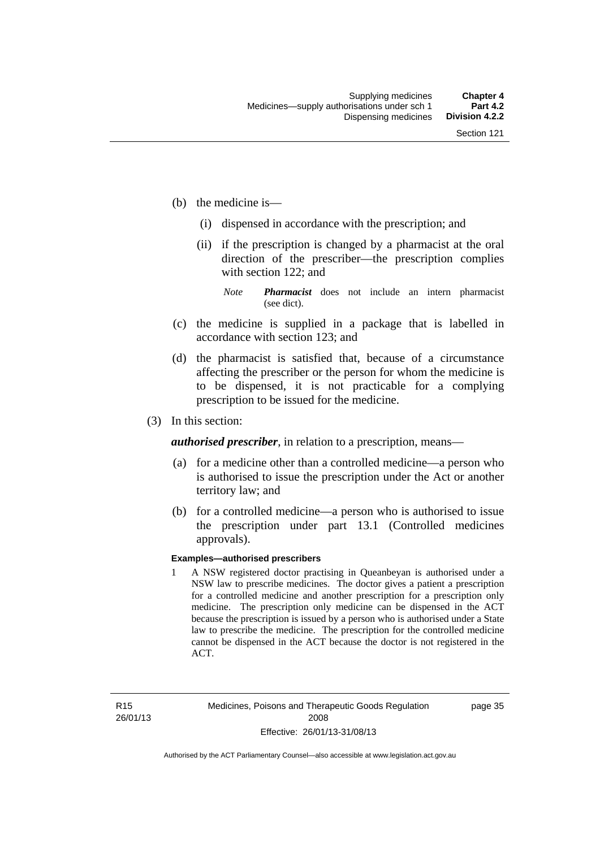- (b) the medicine is—
	- (i) dispensed in accordance with the prescription; and
	- (ii) if the prescription is changed by a pharmacist at the oral direction of the prescriber—the prescription complies with section 122; and

*Note Pharmacist* does not include an intern pharmacist (see dict).

- (c) the medicine is supplied in a package that is labelled in accordance with section 123; and
- (d) the pharmacist is satisfied that, because of a circumstance affecting the prescriber or the person for whom the medicine is to be dispensed, it is not practicable for a complying prescription to be issued for the medicine.
- (3) In this section:

*authorised prescriber*, in relation to a prescription, means—

- (a) for a medicine other than a controlled medicine—a person who is authorised to issue the prescription under the Act or another territory law; and
- (b) for a controlled medicine—a person who is authorised to issue the prescription under part 13.1 (Controlled medicines approvals).

#### **Examples—authorised prescribers**

1 A NSW registered doctor practising in Queanbeyan is authorised under a NSW law to prescribe medicines. The doctor gives a patient a prescription for a controlled medicine and another prescription for a prescription only medicine. The prescription only medicine can be dispensed in the ACT because the prescription is issued by a person who is authorised under a State law to prescribe the medicine. The prescription for the controlled medicine cannot be dispensed in the ACT because the doctor is not registered in the ACT.

page 35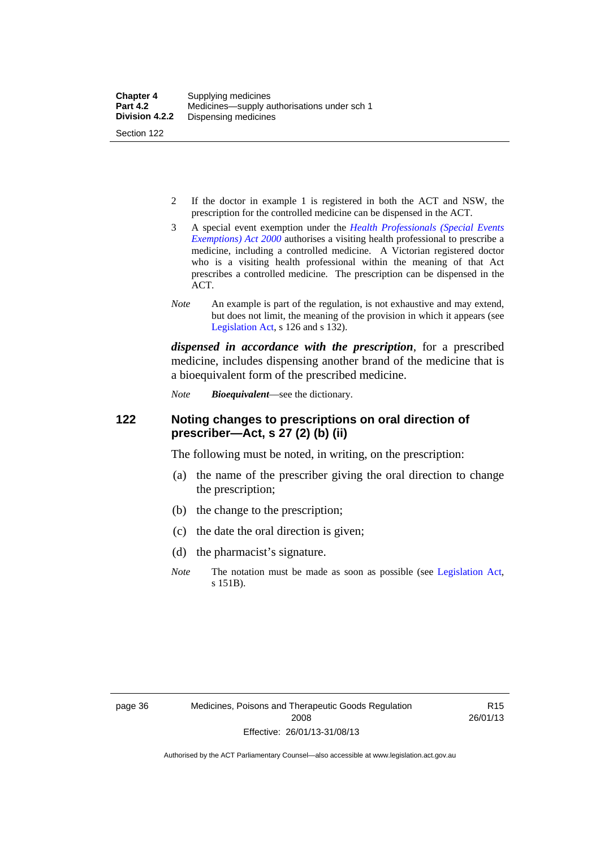- 2 If the doctor in example 1 is registered in both the ACT and NSW, the prescription for the controlled medicine can be dispensed in the ACT.
- 3 A special event exemption under the *[Health Professionals \(Special Events](http://www.legislation.act.gov.au/a/2000-25)  [Exemptions\) Act 2000](http://www.legislation.act.gov.au/a/2000-25)* authorises a visiting health professional to prescribe a medicine, including a controlled medicine. A Victorian registered doctor who is a visiting health professional within the meaning of that Act prescribes a controlled medicine. The prescription can be dispensed in the ACT.
- *Note* An example is part of the regulation, is not exhaustive and may extend, but does not limit, the meaning of the provision in which it appears (see [Legislation Act,](http://www.legislation.act.gov.au/a/2001-14) s 126 and s 132).

*dispensed in accordance with the prescription*, for a prescribed medicine, includes dispensing another brand of the medicine that is a bioequivalent form of the prescribed medicine.

*Note Bioequivalent*—see the dictionary.

#### **122 Noting changes to prescriptions on oral direction of prescriber—Act, s 27 (2) (b) (ii)**

The following must be noted, in writing, on the prescription:

- (a) the name of the prescriber giving the oral direction to change the prescription;
- (b) the change to the prescription;
- (c) the date the oral direction is given;
- (d) the pharmacist's signature.
- *Note* The notation must be made as soon as possible (see [Legislation Act,](http://www.legislation.act.gov.au/a/2001-14) s 151B).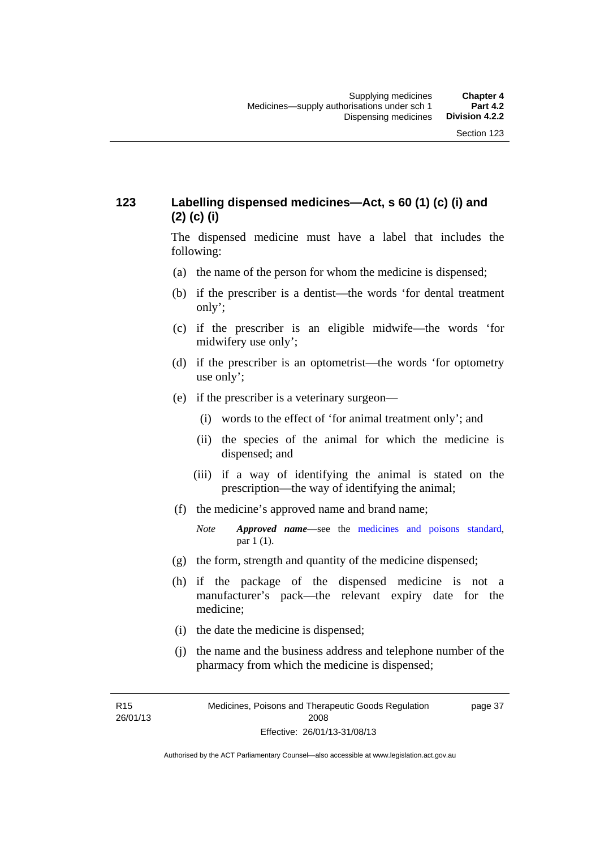## **123 Labelling dispensed medicines—Act, s 60 (1) (c) (i) and (2) (c) (i)**

The dispensed medicine must have a label that includes the following:

- (a) the name of the person for whom the medicine is dispensed;
- (b) if the prescriber is a dentist—the words 'for dental treatment only';
- (c) if the prescriber is an eligible midwife—the words 'for midwifery use only';
- (d) if the prescriber is an optometrist—the words 'for optometry use only';
- (e) if the prescriber is a veterinary surgeon—
	- (i) words to the effect of 'for animal treatment only'; and
	- (ii) the species of the animal for which the medicine is dispensed; and
	- (iii) if a way of identifying the animal is stated on the prescription—the way of identifying the animal;
- (f) the medicine's approved name and brand name;
	- *Note Approved name*—see the [medicines and poisons standard,](http://www.comlaw.gov.au/Series/F2012L01200) par 1 (1).
- (g) the form, strength and quantity of the medicine dispensed;
- (h) if the package of the dispensed medicine is not a manufacturer's pack—the relevant expiry date for the medicine;
- (i) the date the medicine is dispensed;
- (j) the name and the business address and telephone number of the pharmacy from which the medicine is dispensed;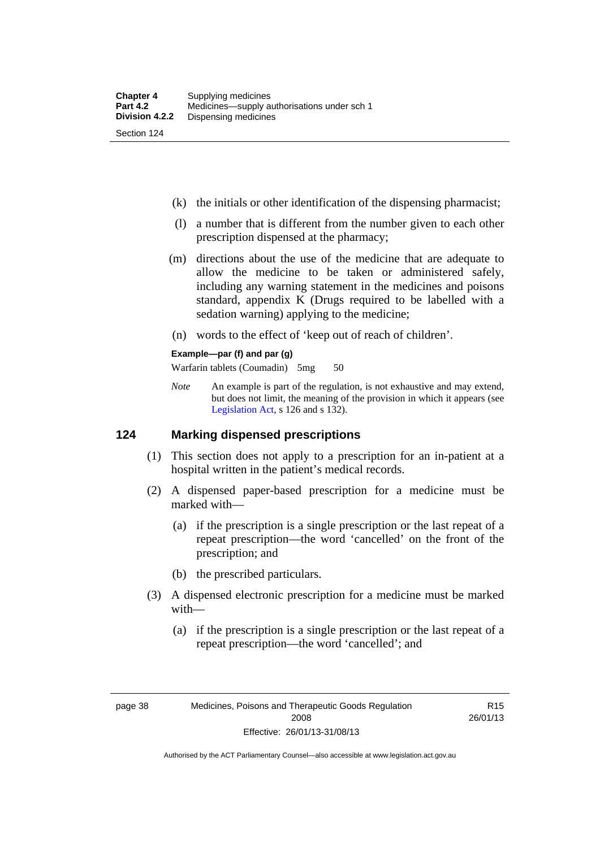- (k) the initials or other identification of the dispensing pharmacist;
- (l) a number that is different from the number given to each other prescription dispensed at the pharmacy;
- (m) directions about the use of the medicine that are adequate to allow the medicine to be taken or administered safely, including any warning statement in the medicines and poisons standard, appendix K (Drugs required to be labelled with a sedation warning) applying to the medicine;
- (n) words to the effect of 'keep out of reach of children'.

#### **Example—par (f) and par (g)**

Warfarin tablets (Coumadin) 5mg 50

*Note* An example is part of the regulation, is not exhaustive and may extend, but does not limit, the meaning of the provision in which it appears (see [Legislation Act,](http://www.legislation.act.gov.au/a/2001-14) s 126 and s 132).

#### **124 Marking dispensed prescriptions**

- (1) This section does not apply to a prescription for an in-patient at a hospital written in the patient's medical records.
- (2) A dispensed paper-based prescription for a medicine must be marked with—
	- (a) if the prescription is a single prescription or the last repeat of a repeat prescription—the word 'cancelled' on the front of the prescription; and
	- (b) the prescribed particulars.
- (3) A dispensed electronic prescription for a medicine must be marked with—
	- (a) if the prescription is a single prescription or the last repeat of a repeat prescription—the word 'cancelled'; and

R15 26/01/13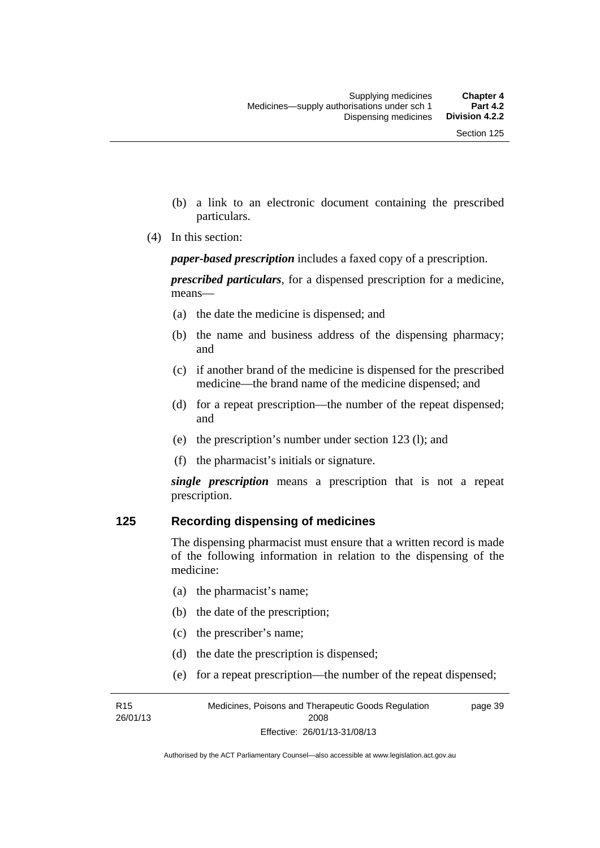- (b) a link to an electronic document containing the prescribed particulars.
- (4) In this section:

*paper-based prescription* includes a faxed copy of a prescription.

*prescribed particulars*, for a dispensed prescription for a medicine, means—

- (a) the date the medicine is dispensed; and
- (b) the name and business address of the dispensing pharmacy; and
- (c) if another brand of the medicine is dispensed for the prescribed medicine—the brand name of the medicine dispensed; and
- (d) for a repeat prescription—the number of the repeat dispensed; and
- (e) the prescription's number under section 123 (l); and
- (f) the pharmacist's initials or signature.

*single prescription* means a prescription that is not a repeat prescription.

#### **125 Recording dispensing of medicines**

The dispensing pharmacist must ensure that a written record is made of the following information in relation to the dispensing of the medicine:

- (a) the pharmacist's name;
- (b) the date of the prescription;
- (c) the prescriber's name;

R15 26/01/13

- (d) the date the prescription is dispensed;
- (e) for a repeat prescription—the number of the repeat dispensed;

Medicines, Poisons and Therapeutic Goods Regulation 2008 Effective: 26/01/13-31/08/13 page 39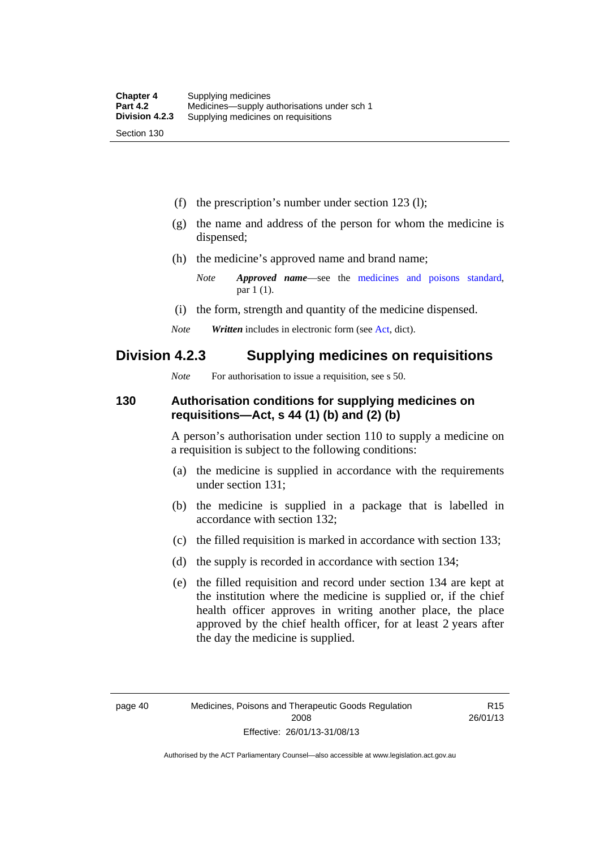(f) the prescription's number under section 123 (l);

- (g) the name and address of the person for whom the medicine is dispensed;
- (h) the medicine's approved name and brand name;
	- *Note Approved name*—see the [medicines and poisons standard,](http://www.comlaw.gov.au/Series/F2012L01200) par 1 (1).
- (i) the form, strength and quantity of the medicine dispensed.
- *Note Written* includes in electronic form (see [Act,](http://www.legislation.act.gov.au/a/2008-26/default.asp) dict).

## **Division 4.2.3 Supplying medicines on requisitions**

*Note* For authorisation to issue a requisition, see s 50.

#### **130 Authorisation conditions for supplying medicines on requisitions—Act, s 44 (1) (b) and (2) (b)**

A person's authorisation under section 110 to supply a medicine on a requisition is subject to the following conditions:

- (a) the medicine is supplied in accordance with the requirements under section 131;
- (b) the medicine is supplied in a package that is labelled in accordance with section 132;
- (c) the filled requisition is marked in accordance with section 133;
- (d) the supply is recorded in accordance with section 134;
- (e) the filled requisition and record under section 134 are kept at the institution where the medicine is supplied or, if the chief health officer approves in writing another place, the place approved by the chief health officer, for at least 2 years after the day the medicine is supplied.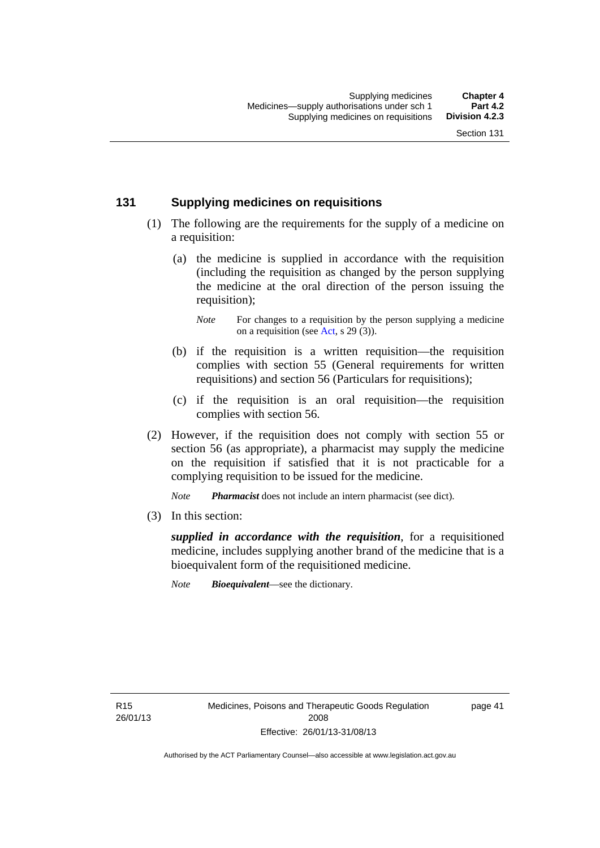#### **131 Supplying medicines on requisitions**

- (1) The following are the requirements for the supply of a medicine on a requisition:
	- (a) the medicine is supplied in accordance with the requisition (including the requisition as changed by the person supplying the medicine at the oral direction of the person issuing the requisition);

- (b) if the requisition is a written requisition—the requisition complies with section 55 (General requirements for written requisitions) and section 56 (Particulars for requisitions);
- (c) if the requisition is an oral requisition—the requisition complies with section 56.
- (2) However, if the requisition does not comply with section 55 or section 56 (as appropriate), a pharmacist may supply the medicine on the requisition if satisfied that it is not practicable for a complying requisition to be issued for the medicine.

*Note Pharmacist* does not include an intern pharmacist (see dict).

(3) In this section:

*supplied in accordance with the requisition*, for a requisitioned medicine, includes supplying another brand of the medicine that is a bioequivalent form of the requisitioned medicine.

*Note Bioequivalent*—see the dictionary.

R15 26/01/13 page 41

*Note* For changes to a requisition by the person supplying a medicine on a requisition (see [Act,](http://www.legislation.act.gov.au/a/2008-26/default.asp) s 29 (3)).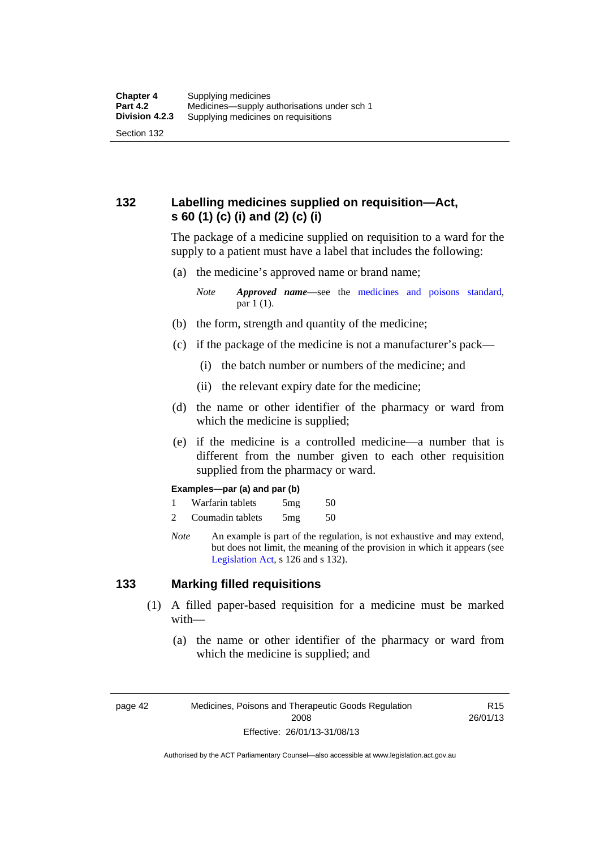## **132 Labelling medicines supplied on requisition—Act, s 60 (1) (c) (i) and (2) (c) (i)**

The package of a medicine supplied on requisition to a ward for the supply to a patient must have a label that includes the following:

(a) the medicine's approved name or brand name;

*Note Approved name*—see the [medicines and poisons standard,](http://www.comlaw.gov.au/Series/F2012L01200) par 1 (1).

- (b) the form, strength and quantity of the medicine;
- (c) if the package of the medicine is not a manufacturer's pack—
	- (i) the batch number or numbers of the medicine; and
	- (ii) the relevant expiry date for the medicine;
- (d) the name or other identifier of the pharmacy or ward from which the medicine is supplied;
- (e) if the medicine is a controlled medicine—a number that is different from the number given to each other requisition supplied from the pharmacy or ward.

#### **Examples—par (a) and par (b)**

- 1 Warfarin tablets 5mg 50
- 2 Coumadin tablets 5mg 50
- *Note* An example is part of the regulation, is not exhaustive and may extend, but does not limit, the meaning of the provision in which it appears (see [Legislation Act,](http://www.legislation.act.gov.au/a/2001-14) s 126 and s 132).

#### **133 Marking filled requisitions**

- (1) A filled paper-based requisition for a medicine must be marked with—
	- (a) the name or other identifier of the pharmacy or ward from which the medicine is supplied; and

page 42 Medicines, Poisons and Therapeutic Goods Regulation 2008 Effective: 26/01/13-31/08/13

R15 26/01/13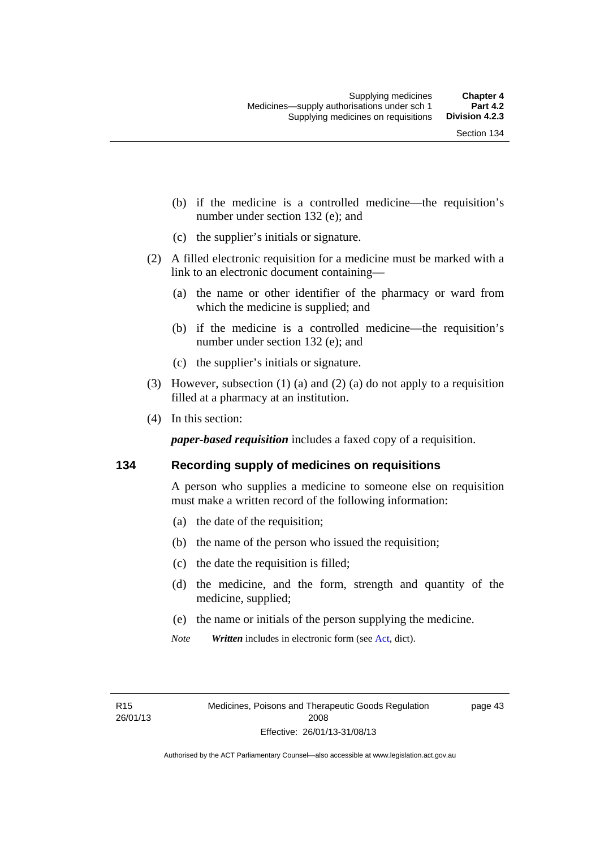- (b) if the medicine is a controlled medicine—the requisition's number under section 132 (e); and
- (c) the supplier's initials or signature.
- (2) A filled electronic requisition for a medicine must be marked with a link to an electronic document containing—
	- (a) the name or other identifier of the pharmacy or ward from which the medicine is supplied; and
	- (b) if the medicine is a controlled medicine—the requisition's number under section 132 (e); and
	- (c) the supplier's initials or signature.
- (3) However, subsection (1) (a) and (2) (a) do not apply to a requisition filled at a pharmacy at an institution.
- (4) In this section:

*paper-based requisition* includes a faxed copy of a requisition.

#### **134 Recording supply of medicines on requisitions**

A person who supplies a medicine to someone else on requisition must make a written record of the following information:

- (a) the date of the requisition;
- (b) the name of the person who issued the requisition;
- (c) the date the requisition is filled;
- (d) the medicine, and the form, strength and quantity of the medicine, supplied;
- (e) the name or initials of the person supplying the medicine.
- *Note Written* includes in electronic form (see [Act,](http://www.legislation.act.gov.au/a/2008-26/default.asp) dict).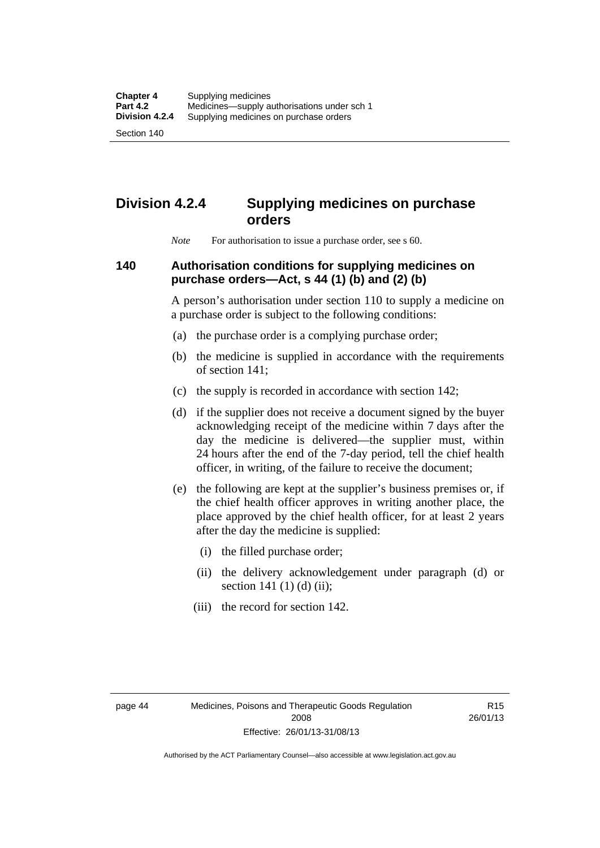Section 140

# **Division 4.2.4 Supplying medicines on purchase orders**

*Note* For authorisation to issue a purchase order, see s 60.

#### **140 Authorisation conditions for supplying medicines on purchase orders—Act, s 44 (1) (b) and (2) (b)**

A person's authorisation under section 110 to supply a medicine on a purchase order is subject to the following conditions:

- (a) the purchase order is a complying purchase order;
- (b) the medicine is supplied in accordance with the requirements of section 141;
- (c) the supply is recorded in accordance with section 142;
- (d) if the supplier does not receive a document signed by the buyer acknowledging receipt of the medicine within 7 days after the day the medicine is delivered—the supplier must, within 24 hours after the end of the 7-day period, tell the chief health officer, in writing, of the failure to receive the document;
- (e) the following are kept at the supplier's business premises or, if the chief health officer approves in writing another place, the place approved by the chief health officer, for at least 2 years after the day the medicine is supplied:
	- (i) the filled purchase order;
	- (ii) the delivery acknowledgement under paragraph (d) or section 141 $(1)$  $(d)$  $(ii)$ ;
	- (iii) the record for section 142.

R15 26/01/13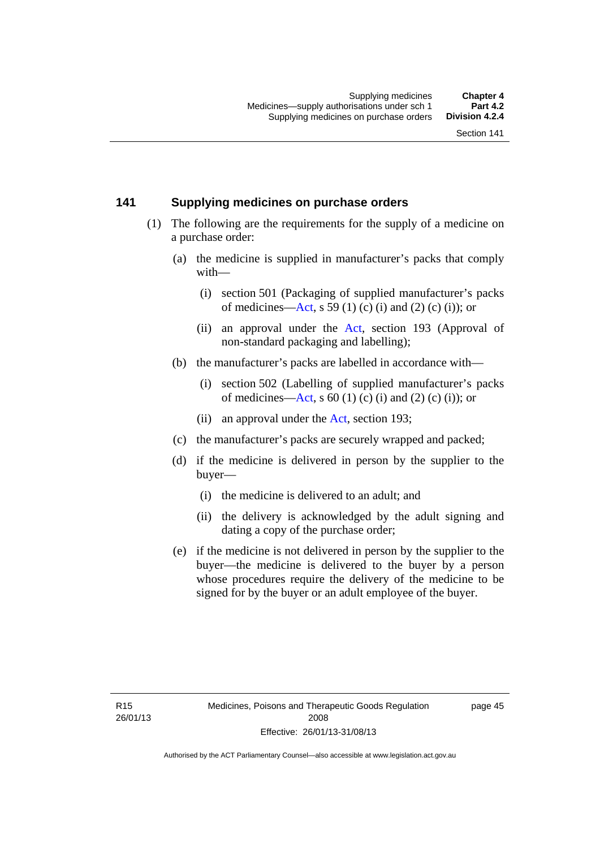#### **141 Supplying medicines on purchase orders**

- (1) The following are the requirements for the supply of a medicine on a purchase order:
	- (a) the medicine is supplied in manufacturer's packs that comply with—
		- (i) section 501 (Packaging of supplied manufacturer's packs of medicines—[Act](http://www.legislation.act.gov.au/a/2008-26/default.asp), s 59 (1) (c) (i) and (2) (c) (i)); or
		- (ii) an approval under the [Act](http://www.legislation.act.gov.au/a/2008-26/default.asp), section 193 (Approval of non-standard packaging and labelling);
	- (b) the manufacturer's packs are labelled in accordance with—
		- (i) section 502 (Labelling of supplied manufacturer's packs of medicines—[Act](http://www.legislation.act.gov.au/a/2008-26/default.asp), s  $60(1)$  (c) (i) and (2) (c) (i)); or
		- (ii) an approval under the [Act,](http://www.legislation.act.gov.au/a/2008-26/default.asp) section 193;
	- (c) the manufacturer's packs are securely wrapped and packed;
	- (d) if the medicine is delivered in person by the supplier to the buyer—
		- (i) the medicine is delivered to an adult; and
		- (ii) the delivery is acknowledged by the adult signing and dating a copy of the purchase order;
	- (e) if the medicine is not delivered in person by the supplier to the buyer—the medicine is delivered to the buyer by a person whose procedures require the delivery of the medicine to be signed for by the buyer or an adult employee of the buyer.

page 45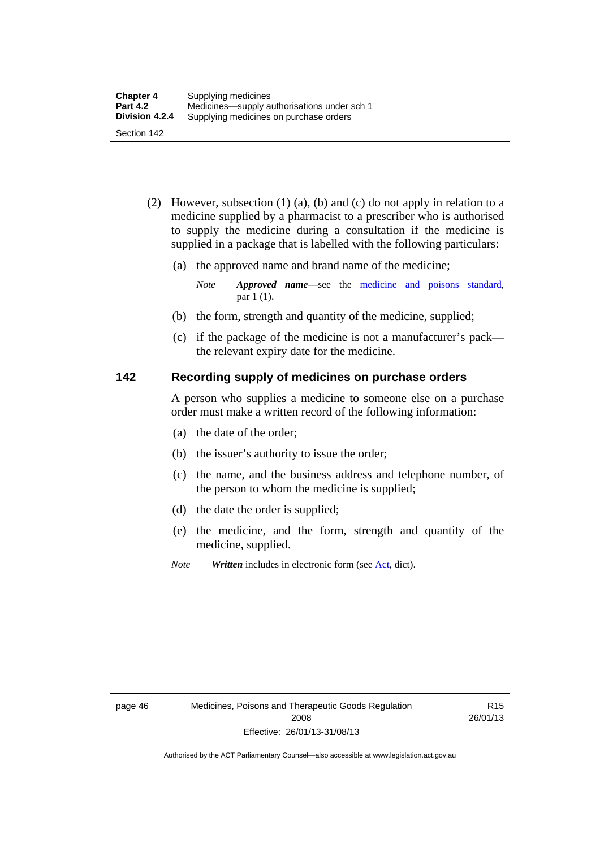- (2) However, subsection (1) (a), (b) and (c) do not apply in relation to a medicine supplied by a pharmacist to a prescriber who is authorised to supply the medicine during a consultation if the medicine is supplied in a package that is labelled with the following particulars:
	- (a) the approved name and brand name of the medicine;

*Note Approved name*—see the [medicine and poisons standard,](http://www.comlaw.gov.au/Series/F2012L01200) par 1 (1).

- (b) the form, strength and quantity of the medicine, supplied;
- (c) if the package of the medicine is not a manufacturer's pack the relevant expiry date for the medicine.

#### **142 Recording supply of medicines on purchase orders**

A person who supplies a medicine to someone else on a purchase order must make a written record of the following information:

- (a) the date of the order;
- (b) the issuer's authority to issue the order;
- (c) the name, and the business address and telephone number, of the person to whom the medicine is supplied;
- (d) the date the order is supplied;
- (e) the medicine, and the form, strength and quantity of the medicine, supplied.
- *Note Written* includes in electronic form (see [Act,](http://www.legislation.act.gov.au/a/2008-26/default.asp) dict).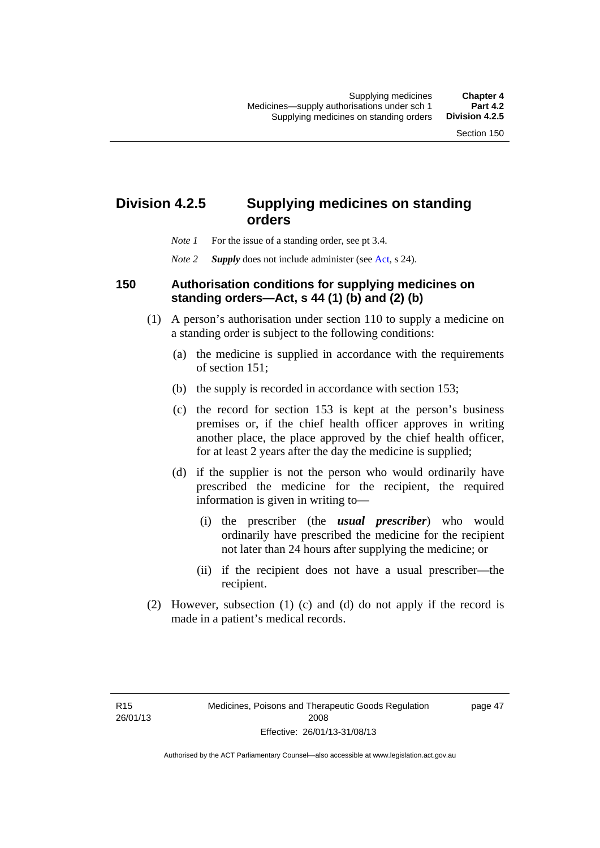## **Division 4.2.5 Supplying medicines on standing orders**

- *Note 1* For the issue of a standing order, see pt 3.4.
- *Note 2 Supply* does not include administer (see [Act,](http://www.legislation.act.gov.au/a/2008-26/default.asp) s 24).

#### **150 Authorisation conditions for supplying medicines on standing orders—Act, s 44 (1) (b) and (2) (b)**

- (1) A person's authorisation under section 110 to supply a medicine on a standing order is subject to the following conditions:
	- (a) the medicine is supplied in accordance with the requirements of section 151;
	- (b) the supply is recorded in accordance with section 153;
	- (c) the record for section 153 is kept at the person's business premises or, if the chief health officer approves in writing another place, the place approved by the chief health officer, for at least 2 years after the day the medicine is supplied;
	- (d) if the supplier is not the person who would ordinarily have prescribed the medicine for the recipient, the required information is given in writing to—
		- (i) the prescriber (the *usual prescriber*) who would ordinarily have prescribed the medicine for the recipient not later than 24 hours after supplying the medicine; or
		- (ii) if the recipient does not have a usual prescriber—the recipient.
- (2) However, subsection (1) (c) and (d) do not apply if the record is made in a patient's medical records.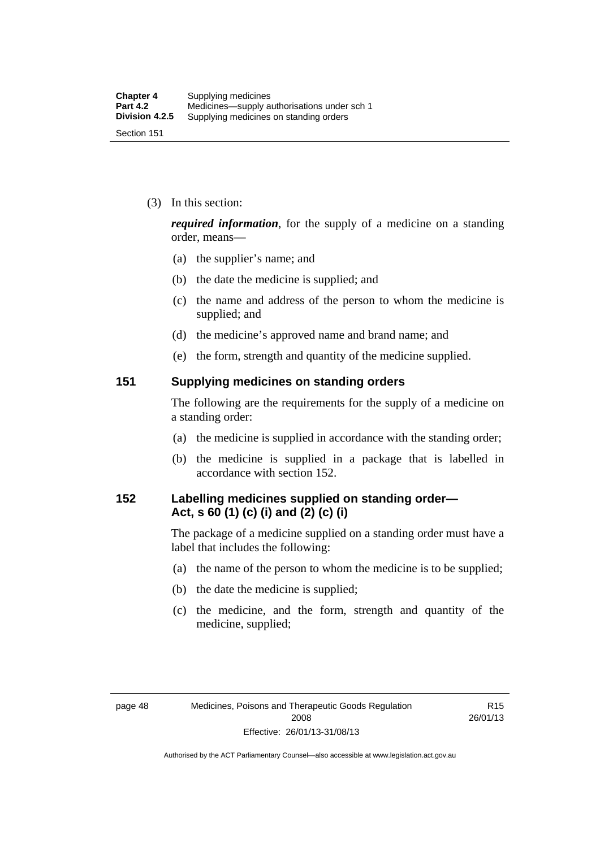(3) In this section:

*required information*, for the supply of a medicine on a standing order, means—

- (a) the supplier's name; and
- (b) the date the medicine is supplied; and
- (c) the name and address of the person to whom the medicine is supplied; and
- (d) the medicine's approved name and brand name; and
- (e) the form, strength and quantity of the medicine supplied.

#### **151 Supplying medicines on standing orders**

The following are the requirements for the supply of a medicine on a standing order:

- (a) the medicine is supplied in accordance with the standing order;
- (b) the medicine is supplied in a package that is labelled in accordance with section 152.

#### **152 Labelling medicines supplied on standing order— Act, s 60 (1) (c) (i) and (2) (c) (i)**

The package of a medicine supplied on a standing order must have a label that includes the following:

- (a) the name of the person to whom the medicine is to be supplied;
- (b) the date the medicine is supplied;
- (c) the medicine, and the form, strength and quantity of the medicine, supplied;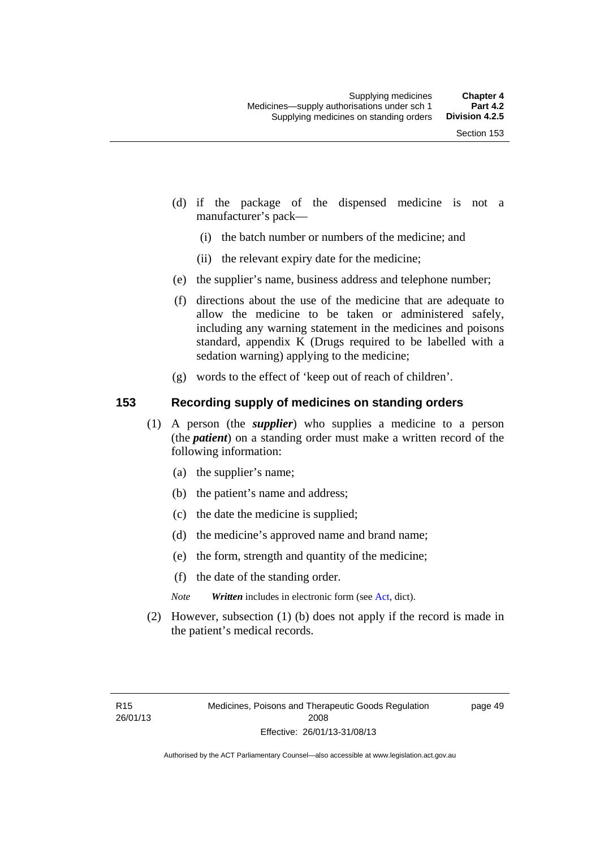- (d) if the package of the dispensed medicine is not a manufacturer's pack—
	- (i) the batch number or numbers of the medicine; and
	- (ii) the relevant expiry date for the medicine;
- (e) the supplier's name, business address and telephone number;
- (f) directions about the use of the medicine that are adequate to allow the medicine to be taken or administered safely, including any warning statement in the medicines and poisons standard, appendix K (Drugs required to be labelled with a sedation warning) applying to the medicine;
- (g) words to the effect of 'keep out of reach of children'.

#### **153 Recording supply of medicines on standing orders**

- (1) A person (the *supplier*) who supplies a medicine to a person (the *patient*) on a standing order must make a written record of the following information:
	- (a) the supplier's name;
	- (b) the patient's name and address;
	- (c) the date the medicine is supplied;
	- (d) the medicine's approved name and brand name;
	- (e) the form, strength and quantity of the medicine;
	- (f) the date of the standing order.
	- *Note Written* includes in electronic form (see [Act,](http://www.legislation.act.gov.au/a/2008-26/default.asp) dict).
- (2) However, subsection (1) (b) does not apply if the record is made in the patient's medical records.

page 49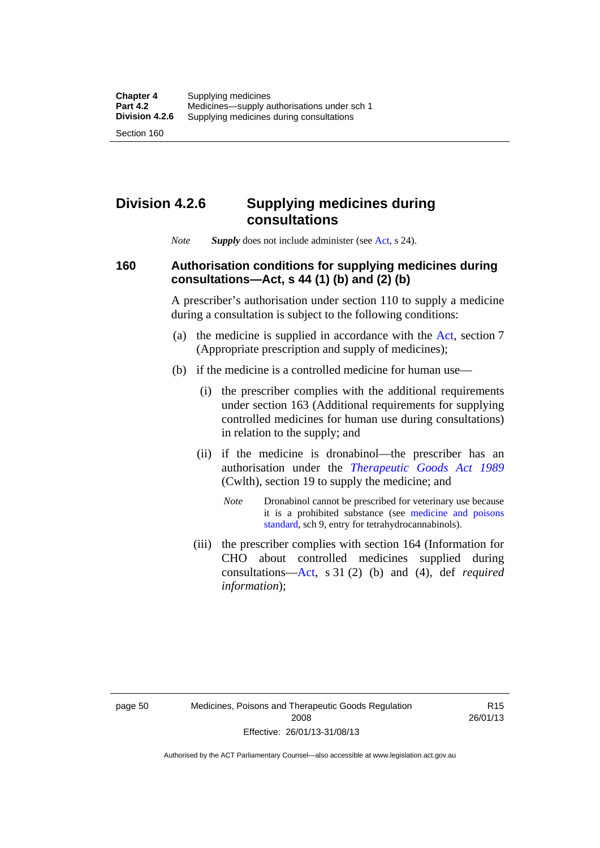## **Division 4.2.6 Supplying medicines during consultations**

*Note Supply* does not include administer (see [Act,](http://www.legislation.act.gov.au/a/2008-26/default.asp) s 24).

### **160 Authorisation conditions for supplying medicines during consultations—Act, s 44 (1) (b) and (2) (b)**

A prescriber's authorisation under section 110 to supply a medicine during a consultation is subject to the following conditions:

- (a) the medicine is supplied in accordance with the [Act](http://www.legislation.act.gov.au/a/2008-26/default.asp), section 7 (Appropriate prescription and supply of medicines);
- (b) if the medicine is a controlled medicine for human use—
	- (i) the prescriber complies with the additional requirements under section 163 (Additional requirements for supplying controlled medicines for human use during consultations) in relation to the supply; and
	- (ii) if the medicine is dronabinol—the prescriber has an authorisation under the *[Therapeutic Goods Act 1989](http://www.comlaw.gov.au/Series/C2004A03952)* (Cwlth), section 19 to supply the medicine; and
		- *Note* Dronabinol cannot be prescribed for veterinary use because it is a prohibited substance (see [medicine and poisons](http://www.comlaw.gov.au/Series/F2012L01200)  [standard,](http://www.comlaw.gov.au/Series/F2012L01200) sch 9, entry for tetrahydrocannabinols).
	- (iii) the prescriber complies with section 164 (Information for CHO about controlled medicines supplied during consultations[—Act,](http://www.legislation.act.gov.au/a/2008-26/default.asp) s 31 (2) (b) and (4), def *required information*);

R15 26/01/13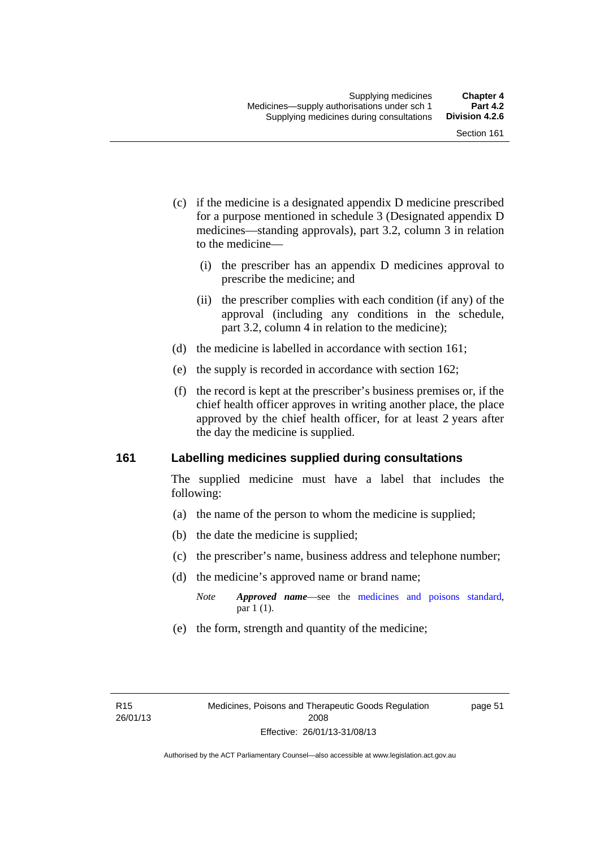- (c) if the medicine is a designated appendix D medicine prescribed for a purpose mentioned in schedule 3 (Designated appendix D medicines—standing approvals), part 3.2, column 3 in relation to the medicine—
	- (i) the prescriber has an appendix D medicines approval to prescribe the medicine; and
	- (ii) the prescriber complies with each condition (if any) of the approval (including any conditions in the schedule, part 3.2, column 4 in relation to the medicine);
- (d) the medicine is labelled in accordance with section 161;
- (e) the supply is recorded in accordance with section 162;
- (f) the record is kept at the prescriber's business premises or, if the chief health officer approves in writing another place, the place approved by the chief health officer, for at least 2 years after the day the medicine is supplied.

#### **161 Labelling medicines supplied during consultations**

The supplied medicine must have a label that includes the following:

- (a) the name of the person to whom the medicine is supplied;
- (b) the date the medicine is supplied;
- (c) the prescriber's name, business address and telephone number;
- (d) the medicine's approved name or brand name;
	- *Note Approved name*—see the [medicines and poisons standard,](http://www.comlaw.gov.au/Series/F2012L01200) par 1 (1).
- (e) the form, strength and quantity of the medicine;

page 51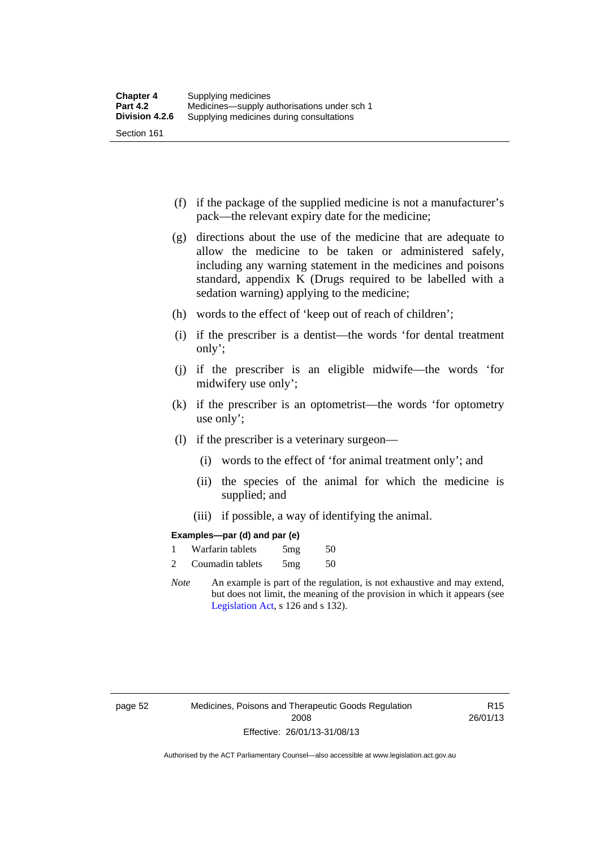- (f) if the package of the supplied medicine is not a manufacturer's pack—the relevant expiry date for the medicine;
- (g) directions about the use of the medicine that are adequate to allow the medicine to be taken or administered safely, including any warning statement in the medicines and poisons standard, appendix K (Drugs required to be labelled with a sedation warning) applying to the medicine;
- (h) words to the effect of 'keep out of reach of children';
- (i) if the prescriber is a dentist—the words 'for dental treatment only';
- (j) if the prescriber is an eligible midwife—the words 'for midwifery use only';
- (k) if the prescriber is an optometrist—the words 'for optometry use only';
- (l) if the prescriber is a veterinary surgeon—
	- (i) words to the effect of 'for animal treatment only'; and
	- (ii) the species of the animal for which the medicine is supplied; and
	- (iii) if possible, a way of identifying the animal.

#### **Examples—par (d) and par (e)**

| Warfarin tablets | 5mg | 50 |
|------------------|-----|----|
| Coumadin tablets | 5mg | 50 |

*Note* An example is part of the regulation, is not exhaustive and may extend, but does not limit, the meaning of the provision in which it appears (see [Legislation Act,](http://www.legislation.act.gov.au/a/2001-14) s 126 and s 132).

page 52 Medicines, Poisons and Therapeutic Goods Regulation 2008 Effective: 26/01/13-31/08/13

R15 26/01/13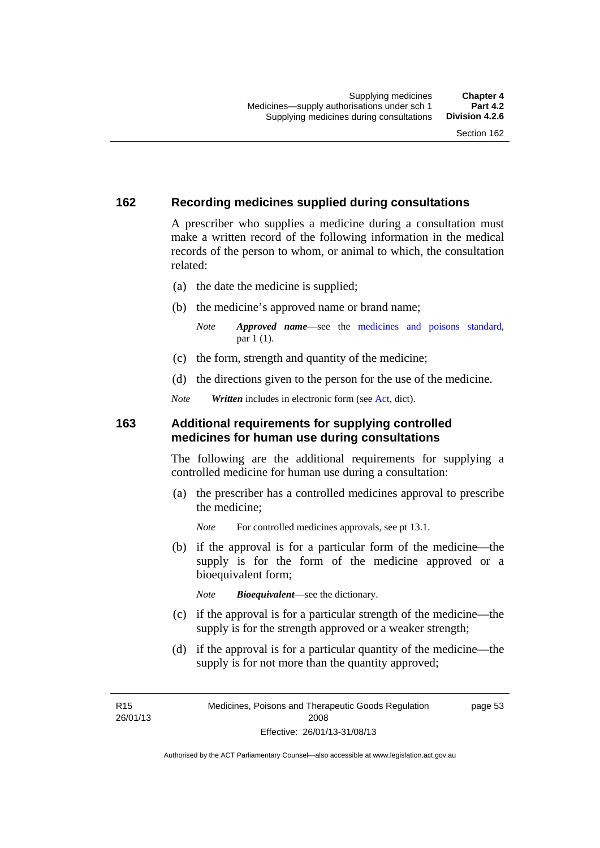#### **162 Recording medicines supplied during consultations**

A prescriber who supplies a medicine during a consultation must make a written record of the following information in the medical records of the person to whom, or animal to which, the consultation related:

- (a) the date the medicine is supplied;
- (b) the medicine's approved name or brand name;

*Note Approved name*—see the [medicines and poisons standard,](http://www.comlaw.gov.au/Series/F2012L01200) par 1 (1).

- (c) the form, strength and quantity of the medicine;
- (d) the directions given to the person for the use of the medicine.

*Note Written* includes in electronic form (see [Act,](http://www.legislation.act.gov.au/a/2008-26/default.asp) dict).

#### **163 Additional requirements for supplying controlled medicines for human use during consultations**

The following are the additional requirements for supplying a controlled medicine for human use during a consultation:

- (a) the prescriber has a controlled medicines approval to prescribe the medicine;
	- *Note* For controlled medicines approvals, see pt 13.1.
- (b) if the approval is for a particular form of the medicine—the supply is for the form of the medicine approved or a bioequivalent form;

*Note Bioequivalent*—see the dictionary.

- (c) if the approval is for a particular strength of the medicine—the supply is for the strength approved or a weaker strength;
- (d) if the approval is for a particular quantity of the medicine—the supply is for not more than the quantity approved;

R15 26/01/13 page 53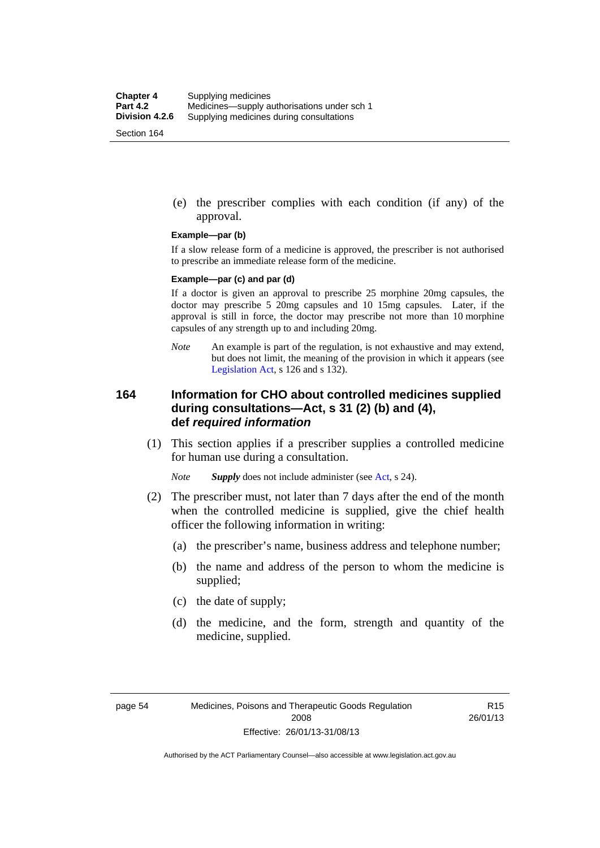(e) the prescriber complies with each condition (if any) of the approval.

#### **Example—par (b)**

If a slow release form of a medicine is approved, the prescriber is not authorised to prescribe an immediate release form of the medicine.

#### **Example—par (c) and par (d)**

If a doctor is given an approval to prescribe 25 morphine 20mg capsules, the doctor may prescribe 5 20mg capsules and 10 15mg capsules. Later, if the approval is still in force, the doctor may prescribe not more than 10 morphine capsules of any strength up to and including 20mg.

*Note* An example is part of the regulation, is not exhaustive and may extend, but does not limit, the meaning of the provision in which it appears (see [Legislation Act,](http://www.legislation.act.gov.au/a/2001-14) s 126 and s 132).

#### **164 Information for CHO about controlled medicines supplied during consultations—Act, s 31 (2) (b) and (4), def** *required information*

 (1) This section applies if a prescriber supplies a controlled medicine for human use during a consultation.

*Note Supply* does not include administer (see [Act,](http://www.legislation.act.gov.au/a/2008-26/default.asp) s 24).

- (2) The prescriber must, not later than 7 days after the end of the month when the controlled medicine is supplied, give the chief health officer the following information in writing:
	- (a) the prescriber's name, business address and telephone number;
	- (b) the name and address of the person to whom the medicine is supplied;
	- (c) the date of supply;
	- (d) the medicine, and the form, strength and quantity of the medicine, supplied.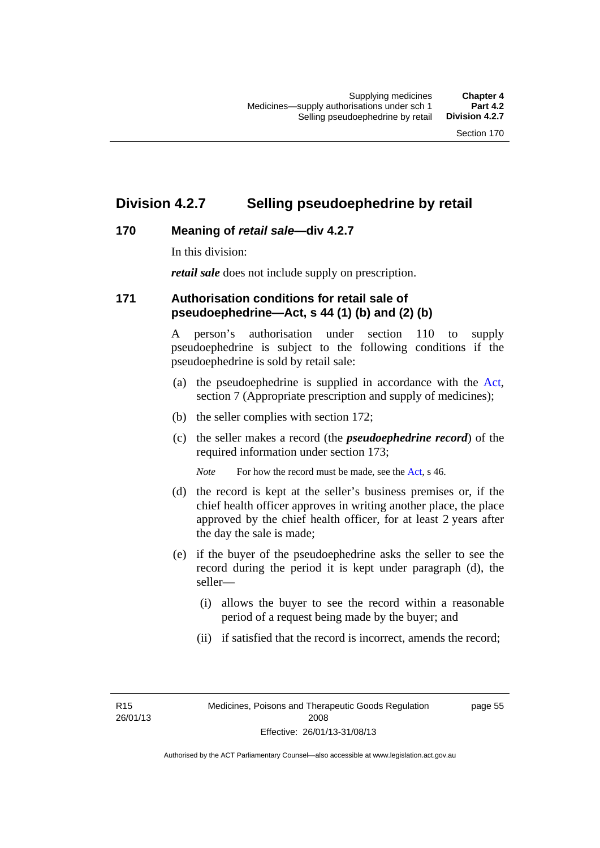### **Division 4.2.7 Selling pseudoephedrine by retail**

#### **170 Meaning of** *retail sale***—div 4.2.7**

In this division:

*retail sale* does not include supply on prescription.

#### **171 Authorisation conditions for retail sale of pseudoephedrine—Act, s 44 (1) (b) and (2) (b)**

A person's authorisation under section 110 to supply pseudoephedrine is subject to the following conditions if the pseudoephedrine is sold by retail sale:

- (a) the pseudoephedrine is supplied in accordance with the [Act](http://www.legislation.act.gov.au/a/2008-26/default.asp), section 7 (Appropriate prescription and supply of medicines);
- (b) the seller complies with section 172;
- (c) the seller makes a record (the *pseudoephedrine record*) of the required information under section 173;

*Note* For how the record must be made, see the [Act,](http://www.legislation.act.gov.au/a/2008-26/default.asp) s 46.

- (d) the record is kept at the seller's business premises or, if the chief health officer approves in writing another place, the place approved by the chief health officer, for at least 2 years after the day the sale is made;
- (e) if the buyer of the pseudoephedrine asks the seller to see the record during the period it is kept under paragraph (d), the seller—
	- (i) allows the buyer to see the record within a reasonable period of a request being made by the buyer; and
	- (ii) if satisfied that the record is incorrect, amends the record;

R15 26/01/13 page 55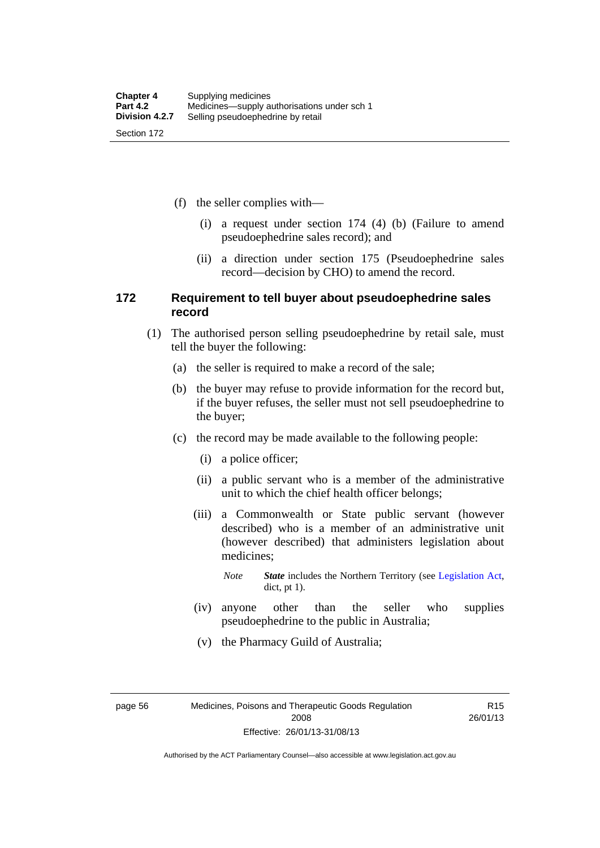(f) the seller complies with—

- (i) a request under section 174 (4) (b) (Failure to amend pseudoephedrine sales record); and
- (ii) a direction under section 175 (Pseudoephedrine sales record—decision by CHO) to amend the record.

#### **172 Requirement to tell buyer about pseudoephedrine sales record**

- (1) The authorised person selling pseudoephedrine by retail sale, must tell the buyer the following:
	- (a) the seller is required to make a record of the sale;
	- (b) the buyer may refuse to provide information for the record but, if the buyer refuses, the seller must not sell pseudoephedrine to the buyer;
	- (c) the record may be made available to the following people:
		- (i) a police officer;
		- (ii) a public servant who is a member of the administrative unit to which the chief health officer belongs;
		- (iii) a Commonwealth or State public servant (however described) who is a member of an administrative unit (however described) that administers legislation about medicines;
			- *Note State* includes the Northern Territory (see [Legislation Act,](http://www.legislation.act.gov.au/a/2001-14) dict, pt 1).
		- (iv) anyone other than the seller who supplies pseudoephedrine to the public in Australia;
		- (v) the Pharmacy Guild of Australia;

page 56 Medicines, Poisons and Therapeutic Goods Regulation 2008 Effective: 26/01/13-31/08/13

R15 26/01/13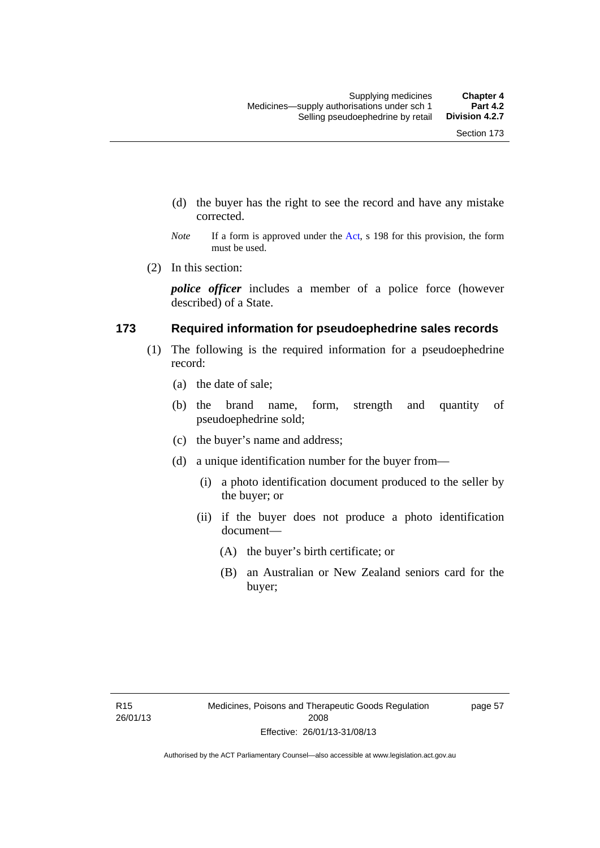- (d) the buyer has the right to see the record and have any mistake corrected.
- *Note* If a form is approved under the [Act](http://www.legislation.act.gov.au/a/2008-26/default.asp), s 198 for this provision, the form must be used.
- (2) In this section:

*police officer* includes a member of a police force (however described) of a State.

#### **173 Required information for pseudoephedrine sales records**

- (1) The following is the required information for a pseudoephedrine record:
	- (a) the date of sale;
	- (b) the brand name, form, strength and quantity of pseudoephedrine sold;
	- (c) the buyer's name and address;
	- (d) a unique identification number for the buyer from—
		- (i) a photo identification document produced to the seller by the buyer; or
		- (ii) if the buyer does not produce a photo identification document—
			- (A) the buyer's birth certificate; or
			- (B) an Australian or New Zealand seniors card for the buyer;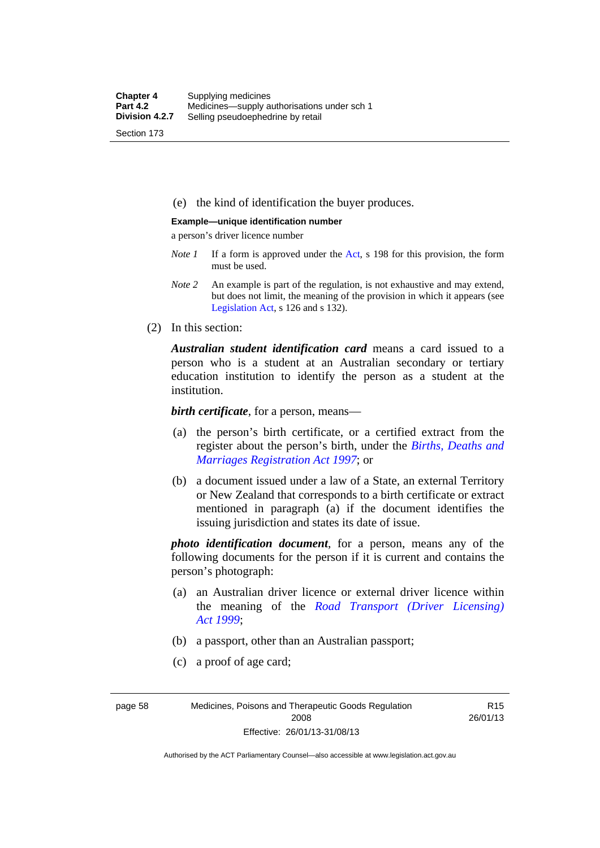(e) the kind of identification the buyer produces.

#### **Example—unique identification number**

a person's driver licence number

- *Note 1* If a form is approved under the [Act](http://www.legislation.act.gov.au/a/2008-26/default.asp), s 198 for this provision, the form must be used.
- *Note 2* An example is part of the regulation, is not exhaustive and may extend, but does not limit, the meaning of the provision in which it appears (see [Legislation Act,](http://www.legislation.act.gov.au/a/2001-14) s 126 and s 132).
- (2) In this section:

*Australian student identification card* means a card issued to a person who is a student at an Australian secondary or tertiary education institution to identify the person as a student at the institution.

*birth certificate*, for a person, means—

- (a) the person's birth certificate, or a certified extract from the register about the person's birth, under the *[Births, Deaths and](http://www.legislation.act.gov.au/a/1997-112)  [Marriages Registration Act 1997](http://www.legislation.act.gov.au/a/1997-112)*; or
- (b) a document issued under a law of a State, an external Territory or New Zealand that corresponds to a birth certificate or extract mentioned in paragraph (a) if the document identifies the issuing jurisdiction and states its date of issue.

*photo identification document*, for a person, means any of the following documents for the person if it is current and contains the person's photograph:

- (a) an Australian driver licence or external driver licence within the meaning of the *[Road Transport \(Driver Licensing\)](http://www.legislation.act.gov.au/a/1999-78)  [Act 1999](http://www.legislation.act.gov.au/a/1999-78)*;
- (b) a passport, other than an Australian passport;
- (c) a proof of age card;

page 58 Medicines, Poisons and Therapeutic Goods Regulation 2008 Effective: 26/01/13-31/08/13

R15 26/01/13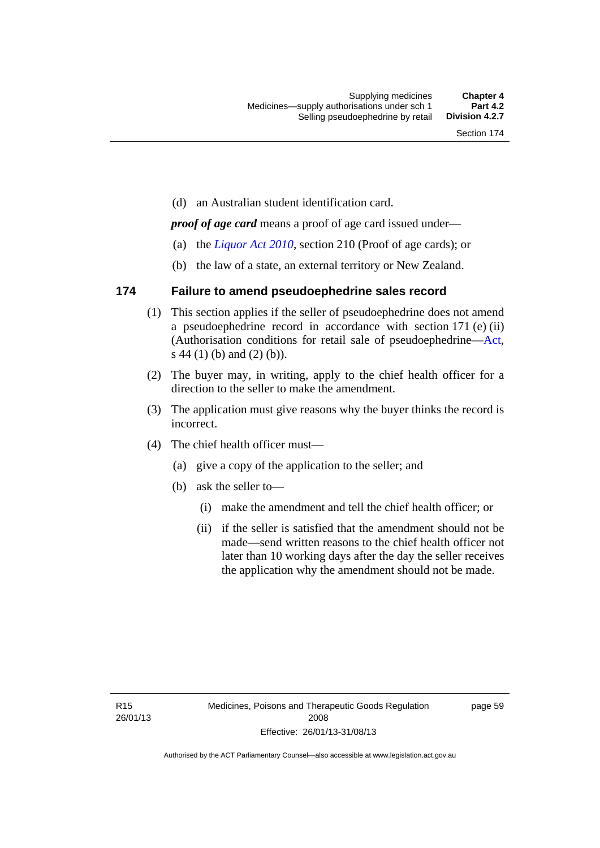(d) an Australian student identification card.

*proof of age card* means a proof of age card issued under—

- (a) the *[Liquor Act 2010](http://www.legislation.act.gov.au/a/2010-35)*, section 210 (Proof of age cards); or
- (b) the law of a state, an external territory or New Zealand.

#### **174 Failure to amend pseudoephedrine sales record**

- (1) This section applies if the seller of pseudoephedrine does not amend a pseudoephedrine record in accordance with section 171 (e) (ii) (Authorisation conditions for retail sale of pseudoephedrine—[Act](http://www.legislation.act.gov.au/a/2008-26/default.asp), s 44 (1) (b) and (2) (b)).
- (2) The buyer may, in writing, apply to the chief health officer for a direction to the seller to make the amendment.
- (3) The application must give reasons why the buyer thinks the record is incorrect.
- (4) The chief health officer must—
	- (a) give a copy of the application to the seller; and
	- (b) ask the seller to—
		- (i) make the amendment and tell the chief health officer; or
		- (ii) if the seller is satisfied that the amendment should not be made—send written reasons to the chief health officer not later than 10 working days after the day the seller receives the application why the amendment should not be made.

page 59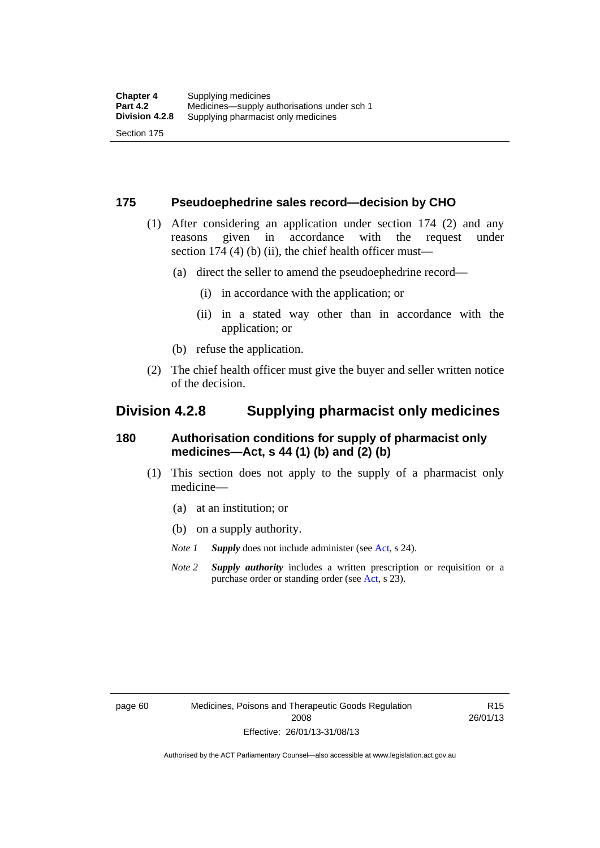#### **175 Pseudoephedrine sales record—decision by CHO**

- (1) After considering an application under section 174 (2) and any reasons given in accordance with the request under section 174  $(4)$  (b)  $(ii)$ , the chief health officer must—
	- (a) direct the seller to amend the pseudoephedrine record—
		- (i) in accordance with the application; or
		- (ii) in a stated way other than in accordance with the application; or
	- (b) refuse the application.
- (2) The chief health officer must give the buyer and seller written notice of the decision.

### **Division 4.2.8 Supplying pharmacist only medicines**

#### **180 Authorisation conditions for supply of pharmacist only medicines—Act, s 44 (1) (b) and (2) (b)**

- (1) This section does not apply to the supply of a pharmacist only medicine—
	- (a) at an institution; or
	- (b) on a supply authority.
	- *Note 1 Supply* does not include administer (see [Act,](http://www.legislation.act.gov.au/a/2008-26/default.asp) s 24).
	- *Note 2 Supply authority* includes a written prescription or requisition or a purchase order or standing order (see [Act,](http://www.legislation.act.gov.au/a/2008-26/default.asp) s 23).

R15 26/01/13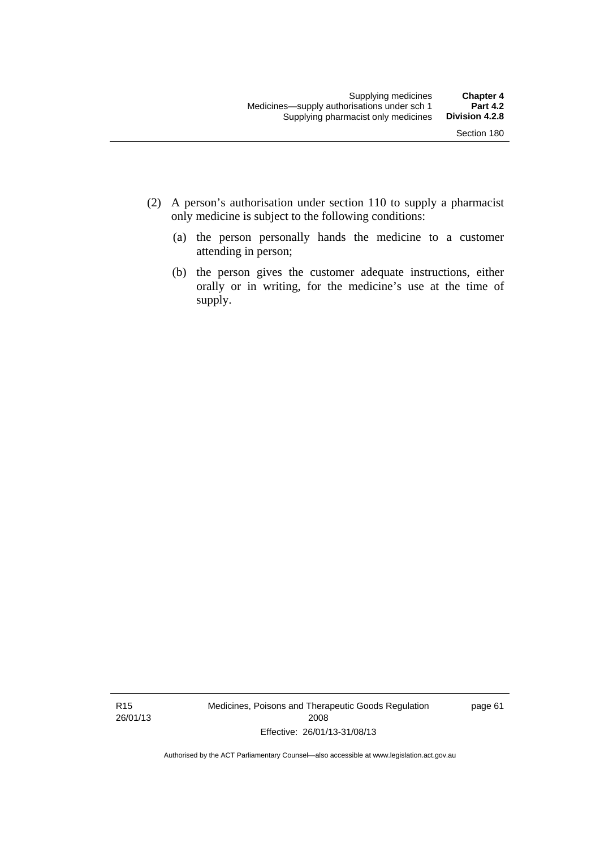- (2) A person's authorisation under section 110 to supply a pharmacist only medicine is subject to the following conditions:
	- (a) the person personally hands the medicine to a customer attending in person;
	- (b) the person gives the customer adequate instructions, either orally or in writing, for the medicine's use at the time of supply.

R15 26/01/13 Medicines, Poisons and Therapeutic Goods Regulation 2008 Effective: 26/01/13-31/08/13

page 61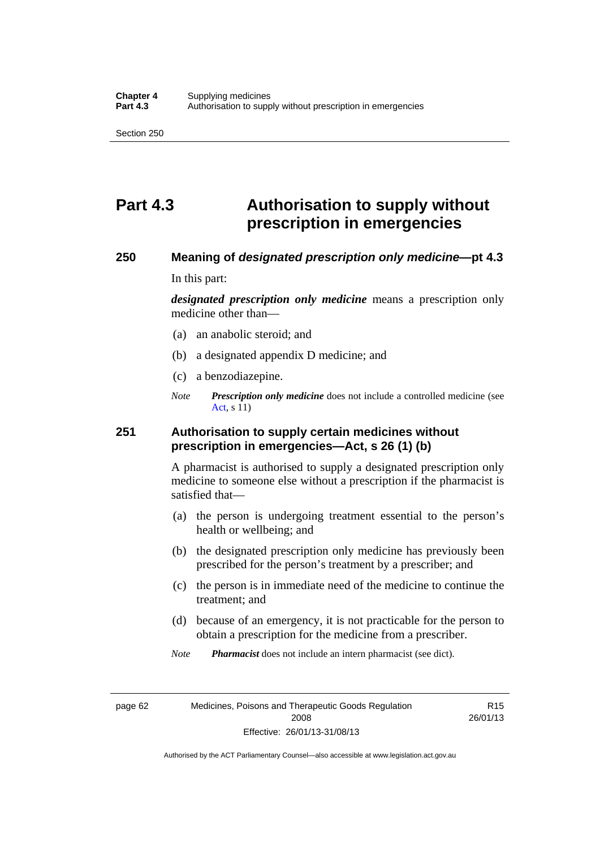## **Part 4.3 Authorisation to supply without prescription in emergencies**

#### **250 Meaning of** *designated prescription only medicine***—pt 4.3**

In this part:

*designated prescription only medicine* means a prescription only medicine other than—

- (a) an anabolic steroid; and
- (b) a designated appendix D medicine; and
- (c) a benzodiazepine.
- *Note Prescription only medicine* does not include a controlled medicine (see [Act](http://www.legislation.act.gov.au/a/2008-26/default.asp), s 11)

#### **251 Authorisation to supply certain medicines without prescription in emergencies—Act, s 26 (1) (b)**

A pharmacist is authorised to supply a designated prescription only medicine to someone else without a prescription if the pharmacist is satisfied that—

- (a) the person is undergoing treatment essential to the person's health or wellbeing; and
- (b) the designated prescription only medicine has previously been prescribed for the person's treatment by a prescriber; and
- (c) the person is in immediate need of the medicine to continue the treatment; and
- (d) because of an emergency, it is not practicable for the person to obtain a prescription for the medicine from a prescriber.

*Note Pharmacist* does not include an intern pharmacist (see dict).

page 62 Medicines, Poisons and Therapeutic Goods Regulation 2008 Effective: 26/01/13-31/08/13

R15 26/01/13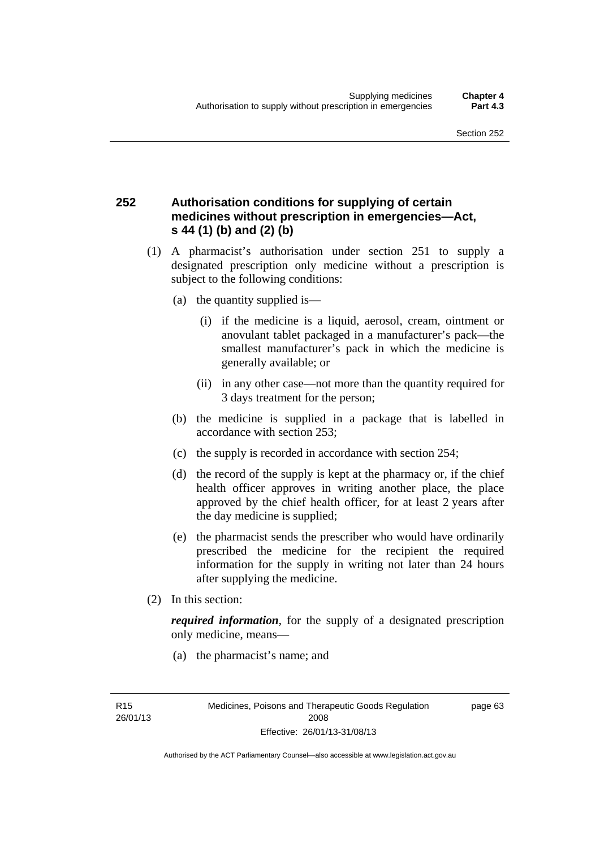### **252 Authorisation conditions for supplying of certain medicines without prescription in emergencies—Act, s 44 (1) (b) and (2) (b)**

- (1) A pharmacist's authorisation under section 251 to supply a designated prescription only medicine without a prescription is subject to the following conditions:
	- (a) the quantity supplied is—
		- (i) if the medicine is a liquid, aerosol, cream, ointment or anovulant tablet packaged in a manufacturer's pack—the smallest manufacturer's pack in which the medicine is generally available; or
		- (ii) in any other case—not more than the quantity required for 3 days treatment for the person;
	- (b) the medicine is supplied in a package that is labelled in accordance with section 253;
	- (c) the supply is recorded in accordance with section 254;
	- (d) the record of the supply is kept at the pharmacy or, if the chief health officer approves in writing another place, the place approved by the chief health officer, for at least 2 years after the day medicine is supplied;
	- (e) the pharmacist sends the prescriber who would have ordinarily prescribed the medicine for the recipient the required information for the supply in writing not later than 24 hours after supplying the medicine.
- (2) In this section:

*required information*, for the supply of a designated prescription only medicine, means—

(a) the pharmacist's name; and

page 63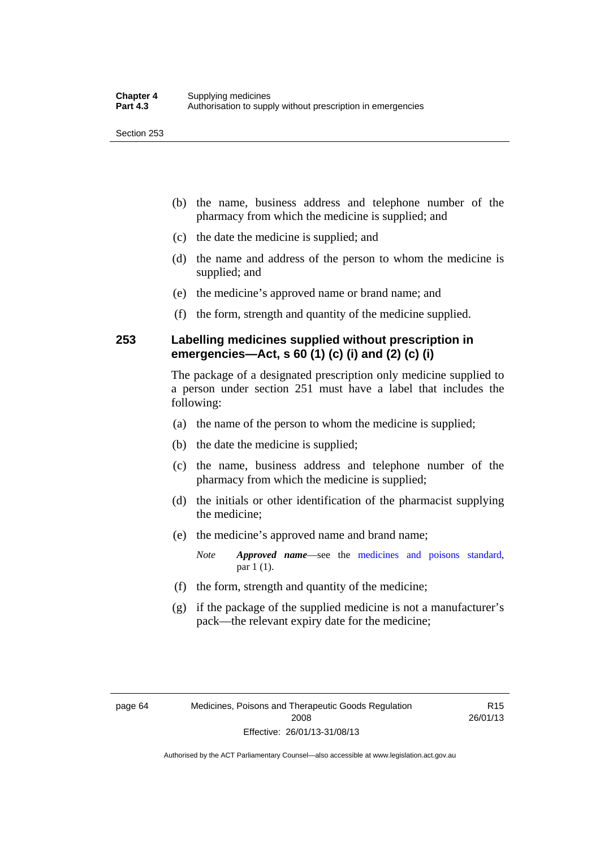- (b) the name, business address and telephone number of the pharmacy from which the medicine is supplied; and
- (c) the date the medicine is supplied; and
- (d) the name and address of the person to whom the medicine is supplied; and
- (e) the medicine's approved name or brand name; and
- (f) the form, strength and quantity of the medicine supplied.

### **253 Labelling medicines supplied without prescription in emergencies—Act, s 60 (1) (c) (i) and (2) (c) (i)**

The package of a designated prescription only medicine supplied to a person under section 251 must have a label that includes the following:

- (a) the name of the person to whom the medicine is supplied;
- (b) the date the medicine is supplied;
- (c) the name, business address and telephone number of the pharmacy from which the medicine is supplied;
- (d) the initials or other identification of the pharmacist supplying the medicine;
- (e) the medicine's approved name and brand name;

*Note Approved name*—see the [medicines and poisons standard,](http://www.comlaw.gov.au/Series/F2012L01200) par 1 (1).

- (f) the form, strength and quantity of the medicine;
- (g) if the package of the supplied medicine is not a manufacturer's pack—the relevant expiry date for the medicine;

R15 26/01/13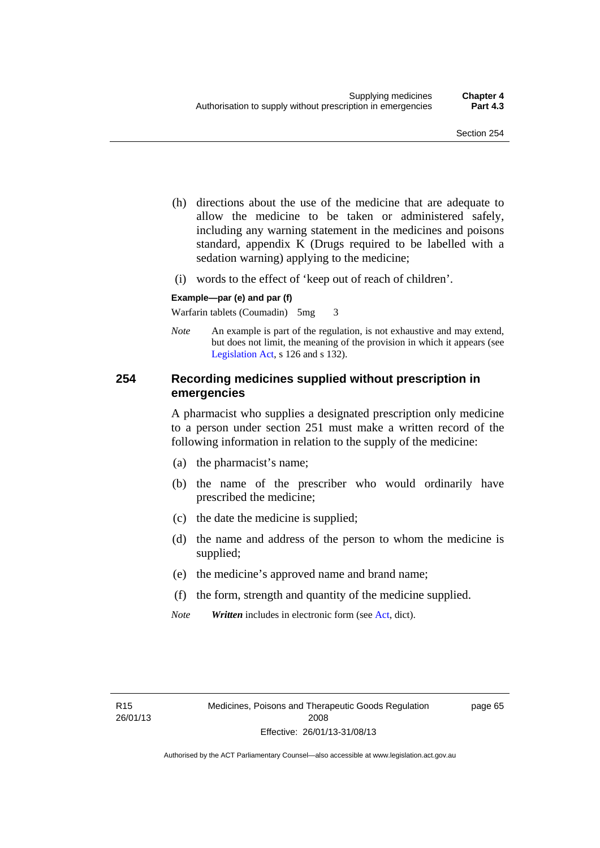- (h) directions about the use of the medicine that are adequate to allow the medicine to be taken or administered safely, including any warning statement in the medicines and poisons standard, appendix K (Drugs required to be labelled with a sedation warning) applying to the medicine;
- (i) words to the effect of 'keep out of reach of children'.

#### **Example—par (e) and par (f)**

Warfarin tablets (Coumadin) 5mg 3

*Note* An example is part of the regulation, is not exhaustive and may extend, but does not limit, the meaning of the provision in which it appears (see [Legislation Act,](http://www.legislation.act.gov.au/a/2001-14) s 126 and s 132).

#### **254 Recording medicines supplied without prescription in emergencies**

A pharmacist who supplies a designated prescription only medicine to a person under section 251 must make a written record of the following information in relation to the supply of the medicine:

- (a) the pharmacist's name;
- (b) the name of the prescriber who would ordinarily have prescribed the medicine;
- (c) the date the medicine is supplied;
- (d) the name and address of the person to whom the medicine is supplied;
- (e) the medicine's approved name and brand name;
- (f) the form, strength and quantity of the medicine supplied.
- *Note Written* includes in electronic form (see [Act,](http://www.legislation.act.gov.au/a/2008-26/default.asp) dict).

page 65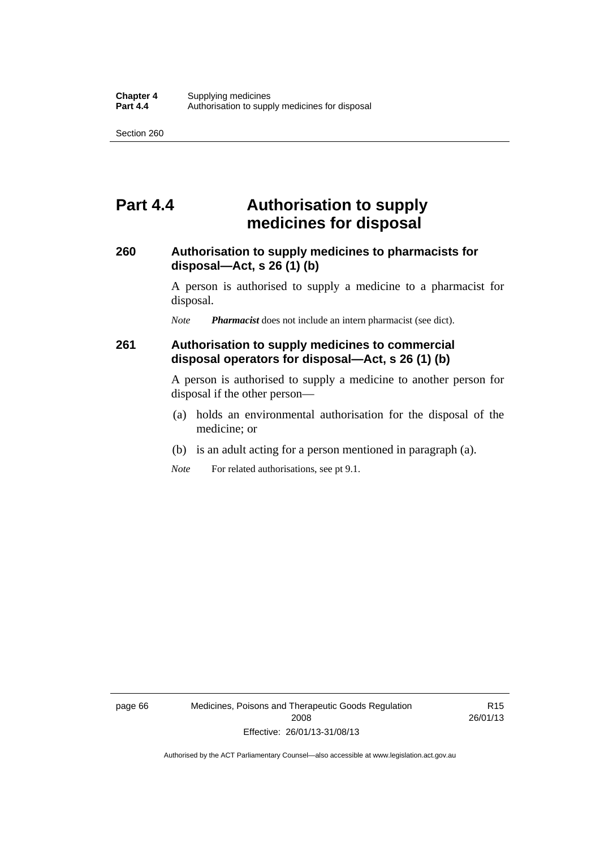## **Part 4.4 Authorisation to supply medicines for disposal**

#### **260 Authorisation to supply medicines to pharmacists for disposal—Act, s 26 (1) (b)**

A person is authorised to supply a medicine to a pharmacist for disposal.

*Note Pharmacist* does not include an intern pharmacist (see dict).

### **261 Authorisation to supply medicines to commercial disposal operators for disposal—Act, s 26 (1) (b)**

A person is authorised to supply a medicine to another person for disposal if the other person—

- (a) holds an environmental authorisation for the disposal of the medicine; or
- (b) is an adult acting for a person mentioned in paragraph (a).
- *Note* For related authorisations, see pt 9.1.

page 66 Medicines, Poisons and Therapeutic Goods Regulation 2008 Effective: 26/01/13-31/08/13

R15 26/01/13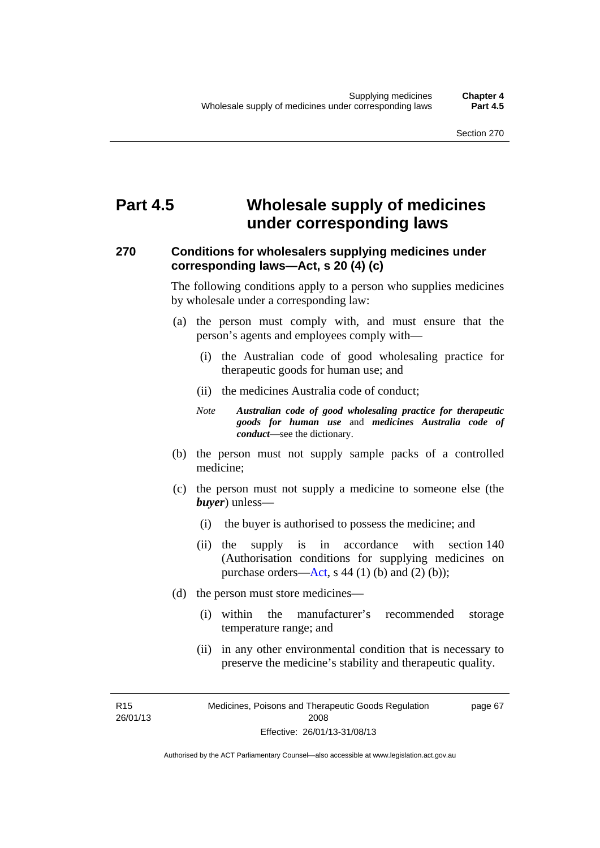## **Part 4.5 Wholesale supply of medicines under corresponding laws**

### **270 Conditions for wholesalers supplying medicines under corresponding laws—Act, s 20 (4) (c)**

The following conditions apply to a person who supplies medicines by wholesale under a corresponding law:

- (a) the person must comply with, and must ensure that the person's agents and employees comply with—
	- (i) the Australian code of good wholesaling practice for therapeutic goods for human use; and
	- (ii) the medicines Australia code of conduct;
	- *Note Australian code of good wholesaling practice for therapeutic goods for human use* and *medicines Australia code of conduct*—see the dictionary.
- (b) the person must not supply sample packs of a controlled medicine;
- (c) the person must not supply a medicine to someone else (the *buyer*) unless—
	- (i) the buyer is authorised to possess the medicine; and
	- (ii) the supply is in accordance with section 140 (Authorisation conditions for supplying medicines on purchase orders—[Act,](http://www.legislation.act.gov.au/a/2008-26/default.asp) s 44 (1) (b) and (2) (b));
- (d) the person must store medicines—
	- (i) within the manufacturer's recommended storage temperature range; and
	- (ii) in any other environmental condition that is necessary to preserve the medicine's stability and therapeutic quality.

R15 26/01/13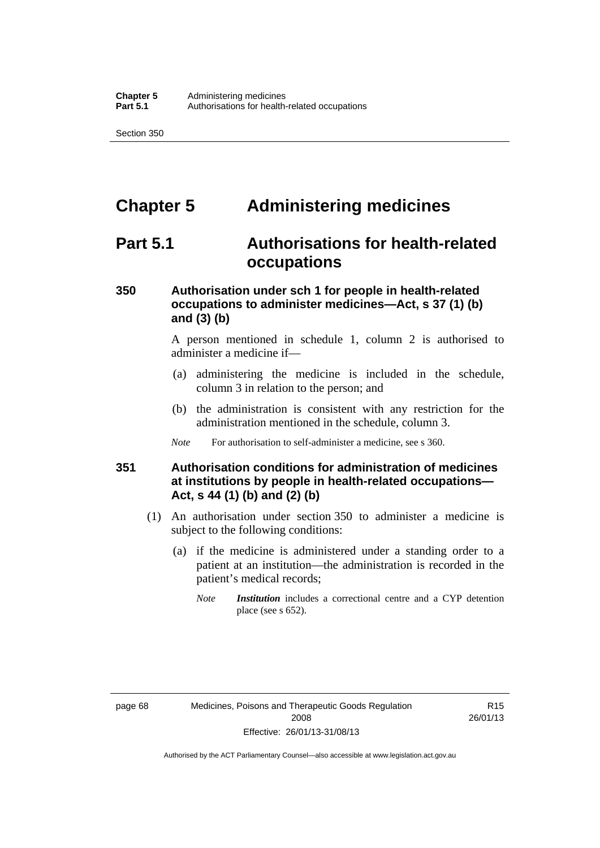## **Chapter 5 Administering medicines**

## **Part 5.1 Authorisations for health-related occupations**

### **350 Authorisation under sch 1 for people in health-related occupations to administer medicines—Act, s 37 (1) (b) and (3) (b)**

A person mentioned in schedule 1, column 2 is authorised to administer a medicine if—

- (a) administering the medicine is included in the schedule, column 3 in relation to the person; and
- (b) the administration is consistent with any restriction for the administration mentioned in the schedule, column 3.
- *Note* For authorisation to self-administer a medicine, see s 360.

#### **351 Authorisation conditions for administration of medicines at institutions by people in health-related occupations— Act, s 44 (1) (b) and (2) (b)**

- (1) An authorisation under section 350 to administer a medicine is subject to the following conditions:
	- (a) if the medicine is administered under a standing order to a patient at an institution—the administration is recorded in the patient's medical records;
		- *Note Institution* includes a correctional centre and a CYP detention place (see s 652).

R15 26/01/13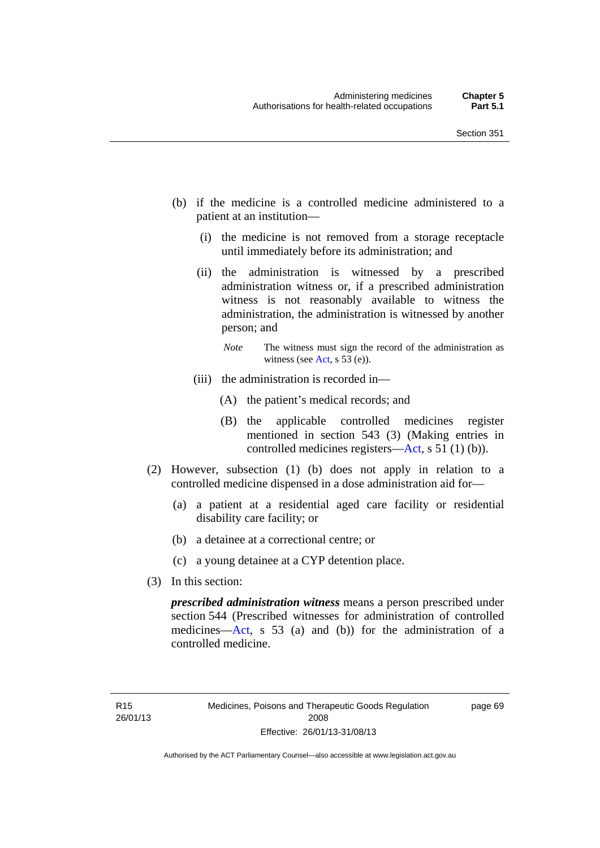- (b) if the medicine is a controlled medicine administered to a patient at an institution—
	- (i) the medicine is not removed from a storage receptacle until immediately before its administration; and
	- (ii) the administration is witnessed by a prescribed administration witness or, if a prescribed administration witness is not reasonably available to witness the administration, the administration is witnessed by another person; and
		- *Note* The witness must sign the record of the administration as witness (see [Act,](http://www.legislation.act.gov.au/a/2008-26/default.asp) s 53 (e)).
	- (iii) the administration is recorded in—
		- (A) the patient's medical records; and
		- (B) the applicable controlled medicines register mentioned in section 543 (3) (Making entries in controlled medicines registers[—Act](http://www.legislation.act.gov.au/a/2008-26/default.asp), s 51 (1) (b)).
- (2) However, subsection (1) (b) does not apply in relation to a controlled medicine dispensed in a dose administration aid for—
	- (a) a patient at a residential aged care facility or residential disability care facility; or
	- (b) a detainee at a correctional centre; or
	- (c) a young detainee at a CYP detention place.
- (3) In this section:

*prescribed administration witness* means a person prescribed under section 544 (Prescribed witnesses for administration of controlled medicines—[Act](http://www.legislation.act.gov.au/a/2008-26/default.asp), s 53 (a) and (b)) for the administration of a controlled medicine.

page 69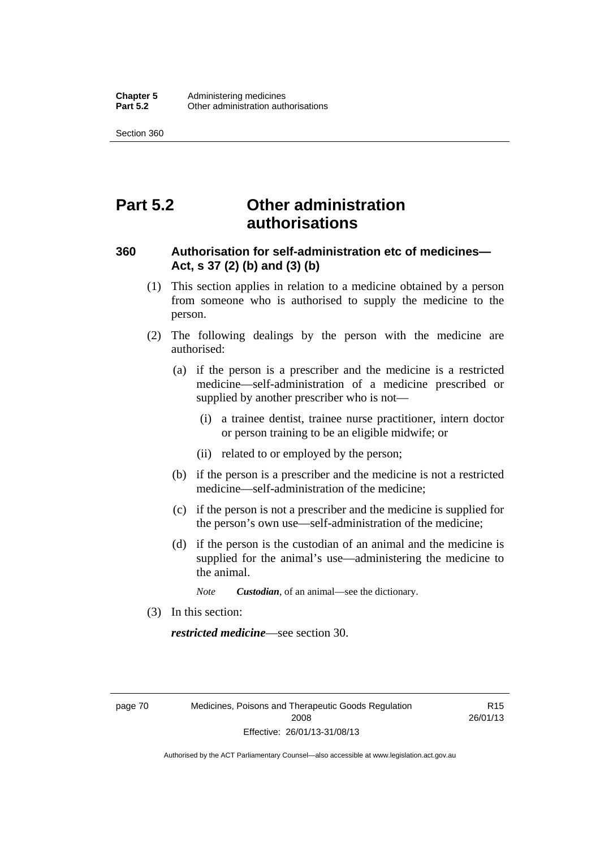## **Part 5.2 Other administration authorisations**

#### **360 Authorisation for self-administration etc of medicines— Act, s 37 (2) (b) and (3) (b)**

- (1) This section applies in relation to a medicine obtained by a person from someone who is authorised to supply the medicine to the person.
- (2) The following dealings by the person with the medicine are authorised:
	- (a) if the person is a prescriber and the medicine is a restricted medicine—self-administration of a medicine prescribed or supplied by another prescriber who is not—
		- (i) a trainee dentist, trainee nurse practitioner, intern doctor or person training to be an eligible midwife; or
		- (ii) related to or employed by the person;
	- (b) if the person is a prescriber and the medicine is not a restricted medicine—self-administration of the medicine;
	- (c) if the person is not a prescriber and the medicine is supplied for the person's own use—self-administration of the medicine;
	- (d) if the person is the custodian of an animal and the medicine is supplied for the animal's use—administering the medicine to the animal.
		- *Note Custodian*, of an animal—see the dictionary.
- (3) In this section:

*restricted medicine*—see section 30.

page 70 Medicines, Poisons and Therapeutic Goods Regulation 2008 Effective: 26/01/13-31/08/13

R15 26/01/13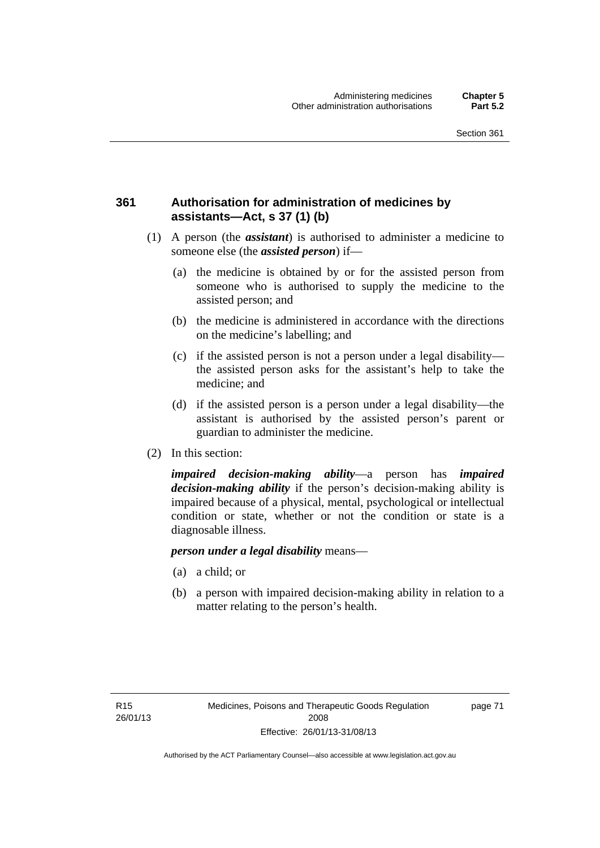### **361 Authorisation for administration of medicines by assistants—Act, s 37 (1) (b)**

- (1) A person (the *assistant*) is authorised to administer a medicine to someone else (the *assisted person*) if—
	- (a) the medicine is obtained by or for the assisted person from someone who is authorised to supply the medicine to the assisted person; and
	- (b) the medicine is administered in accordance with the directions on the medicine's labelling; and
	- (c) if the assisted person is not a person under a legal disability the assisted person asks for the assistant's help to take the medicine; and
	- (d) if the assisted person is a person under a legal disability—the assistant is authorised by the assisted person's parent or guardian to administer the medicine.
- (2) In this section:

*impaired decision-making ability*—a person has *impaired decision-making ability* if the person's decision-making ability is impaired because of a physical, mental, psychological or intellectual condition or state, whether or not the condition or state is a diagnosable illness.

#### *person under a legal disability* means—

- (a) a child; or
- (b) a person with impaired decision-making ability in relation to a matter relating to the person's health.

page 71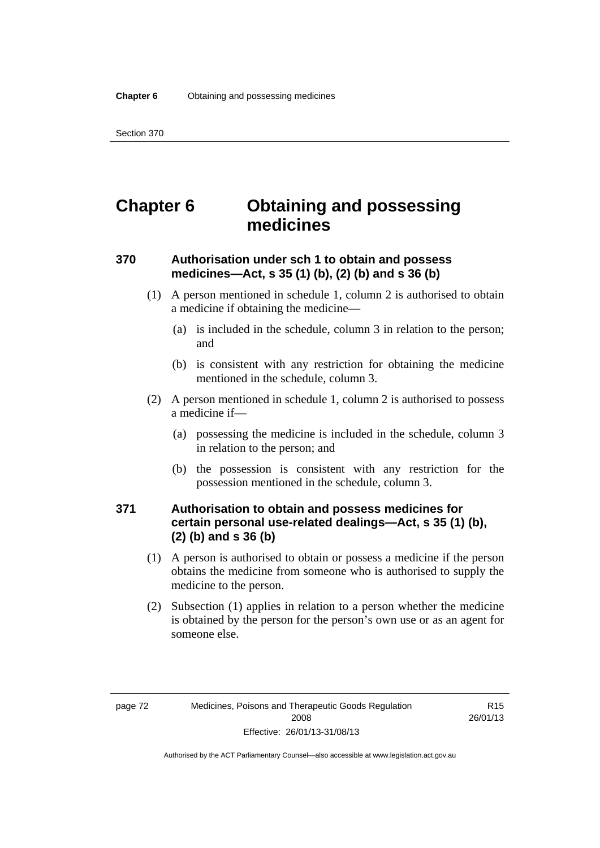# **Chapter 6 Obtaining and possessing medicines**

### **370 Authorisation under sch 1 to obtain and possess medicines—Act, s 35 (1) (b), (2) (b) and s 36 (b)**

- (1) A person mentioned in schedule 1, column 2 is authorised to obtain a medicine if obtaining the medicine—
	- (a) is included in the schedule, column 3 in relation to the person; and
	- (b) is consistent with any restriction for obtaining the medicine mentioned in the schedule, column 3.
- (2) A person mentioned in schedule 1, column 2 is authorised to possess a medicine if—
	- (a) possessing the medicine is included in the schedule, column 3 in relation to the person; and
	- (b) the possession is consistent with any restriction for the possession mentioned in the schedule, column 3.

### **371 Authorisation to obtain and possess medicines for certain personal use-related dealings—Act, s 35 (1) (b), (2) (b) and s 36 (b)**

- (1) A person is authorised to obtain or possess a medicine if the person obtains the medicine from someone who is authorised to supply the medicine to the person.
- (2) Subsection (1) applies in relation to a person whether the medicine is obtained by the person for the person's own use or as an agent for someone else.

R15 26/01/13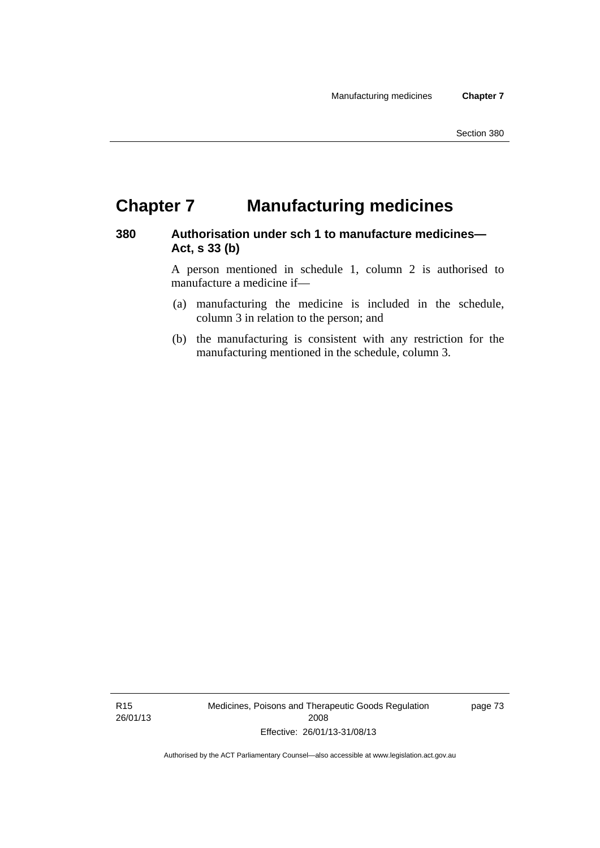## **Chapter 7 Manufacturing medicines**

#### **380 Authorisation under sch 1 to manufacture medicines— Act, s 33 (b)**

A person mentioned in schedule 1, column 2 is authorised to manufacture a medicine if—

- (a) manufacturing the medicine is included in the schedule, column 3 in relation to the person; and
- (b) the manufacturing is consistent with any restriction for the manufacturing mentioned in the schedule, column 3.

R15 26/01/13 Medicines, Poisons and Therapeutic Goods Regulation 2008 Effective: 26/01/13-31/08/13

page 73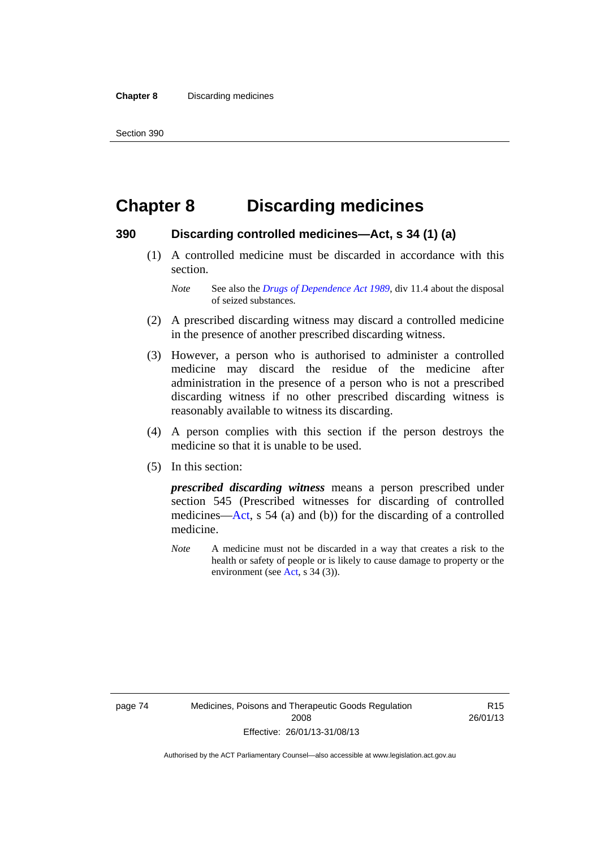# **Chapter 8 Discarding medicines**

#### **390 Discarding controlled medicines—Act, s 34 (1) (a)**

 (1) A controlled medicine must be discarded in accordance with this section.

*Note* See also the *[Drugs of Dependence Act 1989](http://www.legislation.act.gov.au/a/alt_a1989-11co)*, div 11.4 about the disposal of seized substances.

- (2) A prescribed discarding witness may discard a controlled medicine in the presence of another prescribed discarding witness.
- (3) However, a person who is authorised to administer a controlled medicine may discard the residue of the medicine after administration in the presence of a person who is not a prescribed discarding witness if no other prescribed discarding witness is reasonably available to witness its discarding.
- (4) A person complies with this section if the person destroys the medicine so that it is unable to be used.
- (5) In this section:

*prescribed discarding witness* means a person prescribed under section 545 (Prescribed witnesses for discarding of controlled medicines—[Act](http://www.legislation.act.gov.au/a/2008-26/default.asp), s 54 (a) and (b)) for the discarding of a controlled medicine.

*Note* A medicine must not be discarded in a way that creates a risk to the health or safety of people or is likely to cause damage to property or the environment (see [Act](http://www.legislation.act.gov.au/a/2008-26/default.asp), s 34 (3)).

R15 26/01/13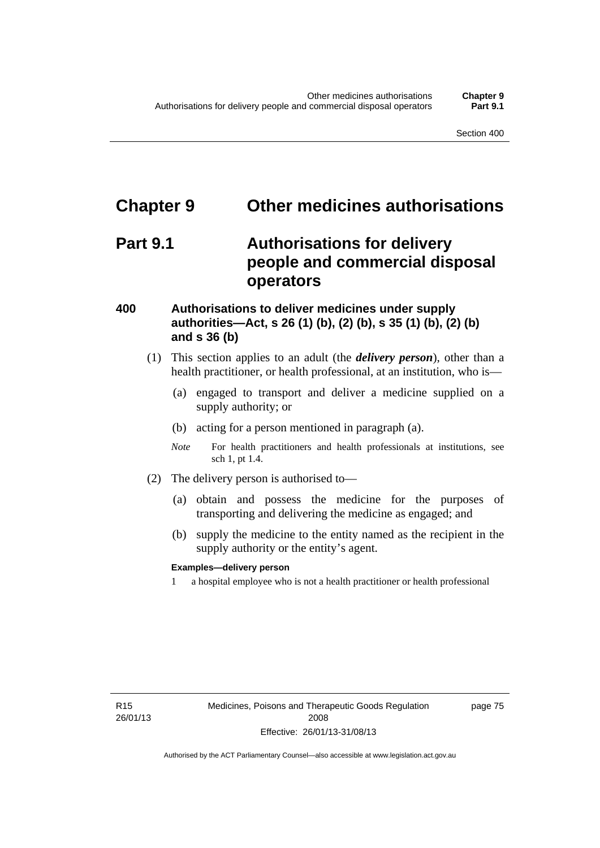# **Chapter 9 Other medicines authorisations**

## **Part 9.1 Authorisations for delivery people and commercial disposal operators**

#### **400 Authorisations to deliver medicines under supply authorities—Act, s 26 (1) (b), (2) (b), s 35 (1) (b), (2) (b) and s 36 (b)**

- (1) This section applies to an adult (the *delivery person*), other than a health practitioner, or health professional, at an institution, who is—
	- (a) engaged to transport and deliver a medicine supplied on a supply authority; or
	- (b) acting for a person mentioned in paragraph (a).
	- *Note* For health practitioners and health professionals at institutions, see sch 1, pt 1.4.
- (2) The delivery person is authorised to—
	- (a) obtain and possess the medicine for the purposes of transporting and delivering the medicine as engaged; and
	- (b) supply the medicine to the entity named as the recipient in the supply authority or the entity's agent.

#### **Examples—delivery person**

1 a hospital employee who is not a health practitioner or health professional

page 75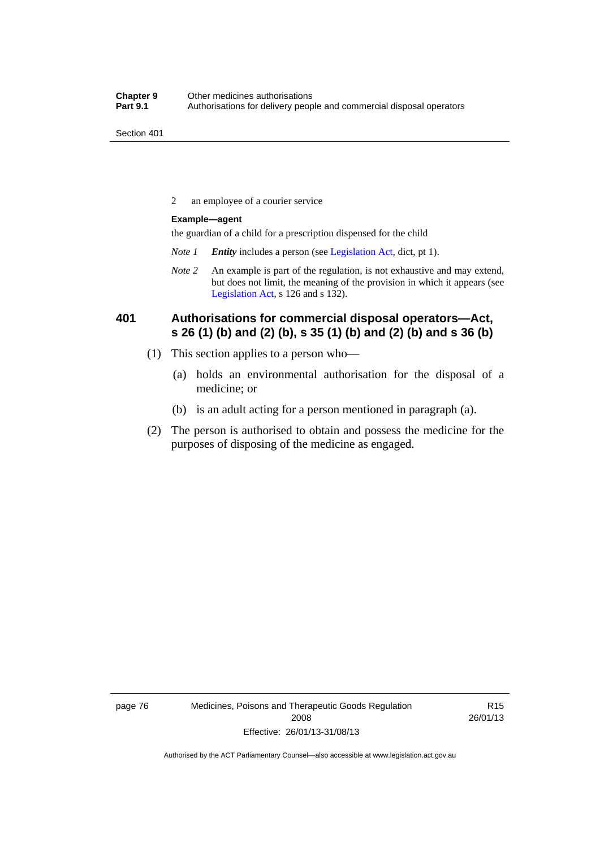2 an employee of a courier service

#### **Example—agent**

the guardian of a child for a prescription dispensed for the child

- *Note 1 Entity* includes a person (see [Legislation Act,](http://www.legislation.act.gov.au/a/2001-14) dict, pt 1).
- *Note 2* An example is part of the regulation, is not exhaustive and may extend, but does not limit, the meaning of the provision in which it appears (see [Legislation Act,](http://www.legislation.act.gov.au/a/2001-14) s 126 and s 132).

### **401 Authorisations for commercial disposal operators—Act, s 26 (1) (b) and (2) (b), s 35 (1) (b) and (2) (b) and s 36 (b)**

- (1) This section applies to a person who—
	- (a) holds an environmental authorisation for the disposal of a medicine; or
	- (b) is an adult acting for a person mentioned in paragraph (a).
- (2) The person is authorised to obtain and possess the medicine for the purposes of disposing of the medicine as engaged.

page 76 Medicines, Poisons and Therapeutic Goods Regulation 2008 Effective: 26/01/13-31/08/13

R15 26/01/13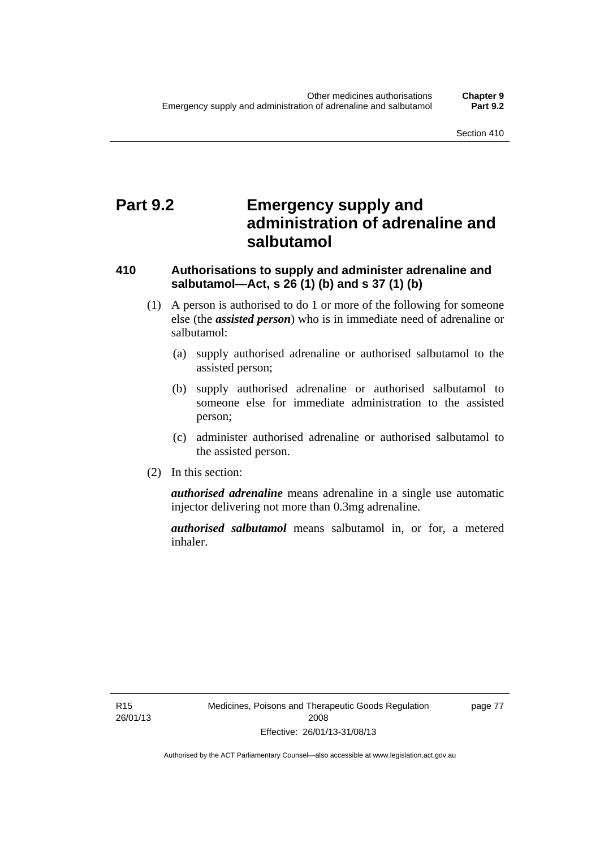## **Part 9.2 Emergency supply and administration of adrenaline and salbutamol**

### **410 Authorisations to supply and administer adrenaline and salbutamol—Act, s 26 (1) (b) and s 37 (1) (b)**

- (1) A person is authorised to do 1 or more of the following for someone else (the *assisted person*) who is in immediate need of adrenaline or salbutamol:
	- (a) supply authorised adrenaline or authorised salbutamol to the assisted person;
	- (b) supply authorised adrenaline or authorised salbutamol to someone else for immediate administration to the assisted person;
	- (c) administer authorised adrenaline or authorised salbutamol to the assisted person.
- (2) In this section:

*authorised adrenaline* means adrenaline in a single use automatic injector delivering not more than 0.3mg adrenaline.

*authorised salbutamol* means salbutamol in, or for, a metered inhaler.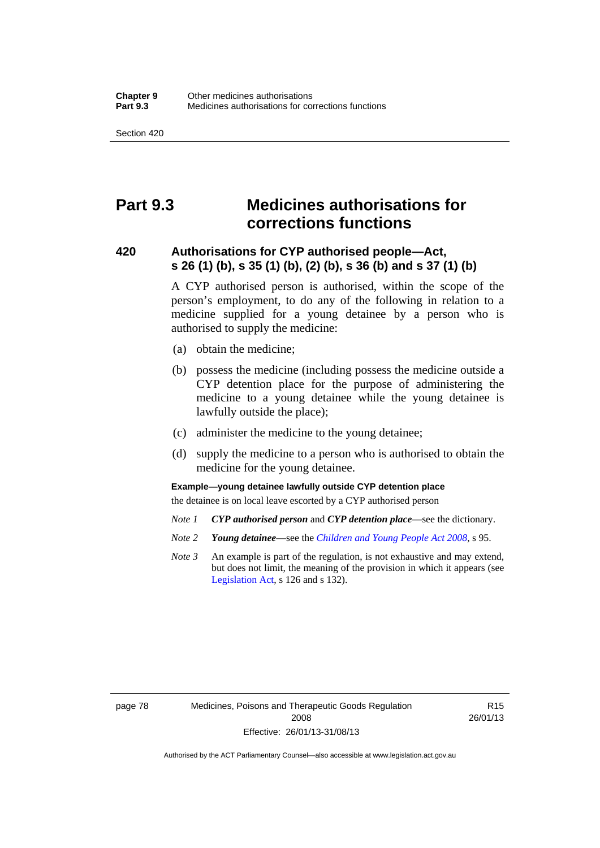## **Part 9.3 Medicines authorisations for corrections functions**

#### **420 Authorisations for CYP authorised people—Act, s 26 (1) (b), s 35 (1) (b), (2) (b), s 36 (b) and s 37 (1) (b)**

A CYP authorised person is authorised, within the scope of the person's employment, to do any of the following in relation to a medicine supplied for a young detainee by a person who is authorised to supply the medicine:

- (a) obtain the medicine;
- (b) possess the medicine (including possess the medicine outside a CYP detention place for the purpose of administering the medicine to a young detainee while the young detainee is lawfully outside the place);
- (c) administer the medicine to the young detainee;
- (d) supply the medicine to a person who is authorised to obtain the medicine for the young detainee.

#### **Example—young detainee lawfully outside CYP detention place**

the detainee is on local leave escorted by a CYP authorised person

- *Note 1 CYP authorised person* and *CYP detention place*—see the dictionary.
- *Note 2 Young detainee*—see the *[Children and Young People Act 2008](http://www.legislation.act.gov.au/a/2008-19)*, s 95.
- *Note 3* An example is part of the regulation, is not exhaustive and may extend, but does not limit, the meaning of the provision in which it appears (see [Legislation Act,](http://www.legislation.act.gov.au/a/2001-14) s 126 and s 132).

page 78 Medicines, Poisons and Therapeutic Goods Regulation 2008 Effective: 26/01/13-31/08/13

R15 26/01/13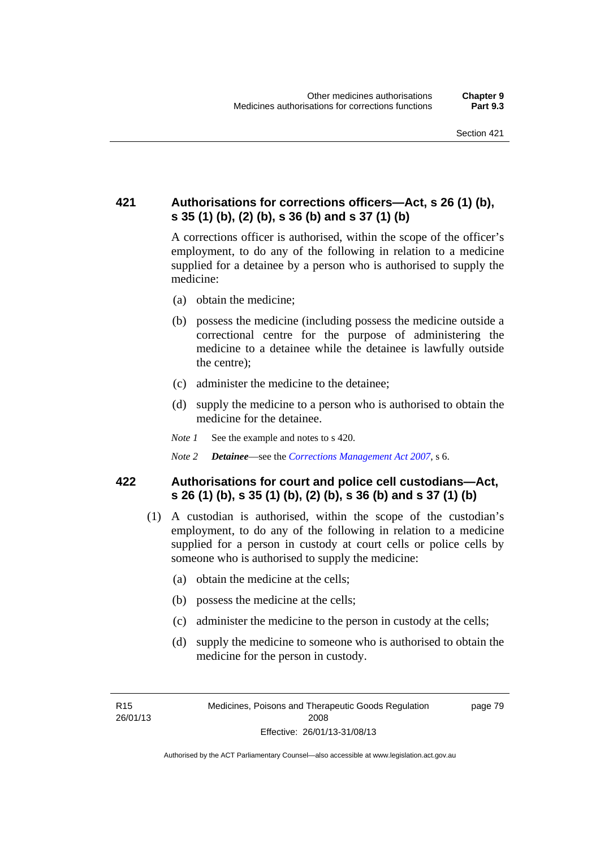### **421 Authorisations for corrections officers—Act, s 26 (1) (b), s 35 (1) (b), (2) (b), s 36 (b) and s 37 (1) (b)**

A corrections officer is authorised, within the scope of the officer's employment, to do any of the following in relation to a medicine supplied for a detainee by a person who is authorised to supply the medicine:

- (a) obtain the medicine;
- (b) possess the medicine (including possess the medicine outside a correctional centre for the purpose of administering the medicine to a detainee while the detainee is lawfully outside the centre);
- (c) administer the medicine to the detainee;
- (d) supply the medicine to a person who is authorised to obtain the medicine for the detainee.
- *Note 1* See the example and notes to s 420.
- *Note 2 Detainee*—see the *[Corrections Management Act 2007](http://www.legislation.act.gov.au/a/2007-15)*, s 6.

#### **422 Authorisations for court and police cell custodians—Act, s 26 (1) (b), s 35 (1) (b), (2) (b), s 36 (b) and s 37 (1) (b)**

- (1) A custodian is authorised, within the scope of the custodian's employment, to do any of the following in relation to a medicine supplied for a person in custody at court cells or police cells by someone who is authorised to supply the medicine:
	- (a) obtain the medicine at the cells;
	- (b) possess the medicine at the cells;
	- (c) administer the medicine to the person in custody at the cells;
	- (d) supply the medicine to someone who is authorised to obtain the medicine for the person in custody.

R15 26/01/13 page 79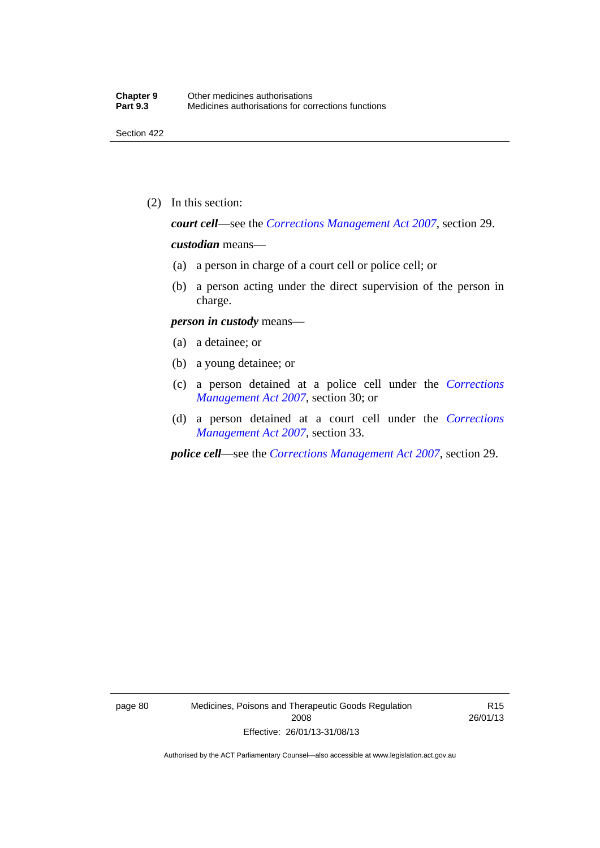(2) In this section:

*court cell*—see the *[Corrections Management Act 2007](http://www.legislation.act.gov.au/a/2007-15)*, section 29.

#### *custodian* means—

- (a) a person in charge of a court cell or police cell; or
- (b) a person acting under the direct supervision of the person in charge.

#### *person in custody* means—

- (a) a detainee; or
- (b) a young detainee; or
- (c) a person detained at a police cell under the *[Corrections](http://www.legislation.act.gov.au/a/2007-15)  [Management Act 2007](http://www.legislation.act.gov.au/a/2007-15)*, section 30; or
- (d) a person detained at a court cell under the *[Corrections](http://www.legislation.act.gov.au/a/2007-15)  [Management Act 2007](http://www.legislation.act.gov.au/a/2007-15)*, section 33.

*police cell*—see the *[Corrections Management Act 2007](http://www.legislation.act.gov.au/a/2007-15)*, section 29.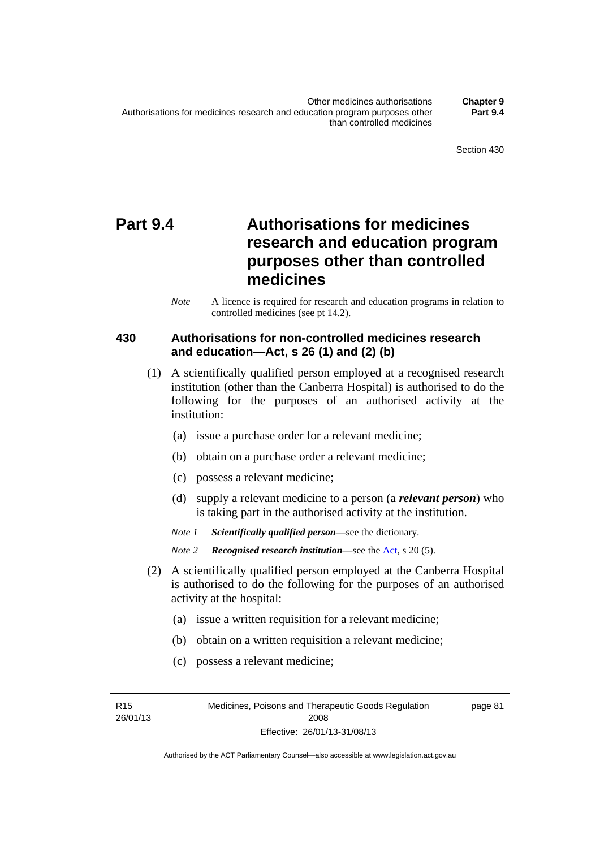# **Part 9.4 Authorisations for medicines research and education program purposes other than controlled medicines**

*Note* A licence is required for research and education programs in relation to controlled medicines (see pt 14.2).

### **430 Authorisations for non-controlled medicines research and education—Act, s 26 (1) and (2) (b)**

- (1) A scientifically qualified person employed at a recognised research institution (other than the Canberra Hospital) is authorised to do the following for the purposes of an authorised activity at the institution:
	- (a) issue a purchase order for a relevant medicine;
	- (b) obtain on a purchase order a relevant medicine;
	- (c) possess a relevant medicine;
	- (d) supply a relevant medicine to a person (a *relevant person*) who is taking part in the authorised activity at the institution.
	- *Note 1 Scientifically qualified person*—see the dictionary.

*Note 2 Recognised research institution*—see the [Act](http://www.legislation.act.gov.au/a/2008-26/default.asp), s 20 (5).

- (2) A scientifically qualified person employed at the Canberra Hospital is authorised to do the following for the purposes of an authorised activity at the hospital:
	- (a) issue a written requisition for a relevant medicine;
	- (b) obtain on a written requisition a relevant medicine;
	- (c) possess a relevant medicine;

R15 26/01/13 page 81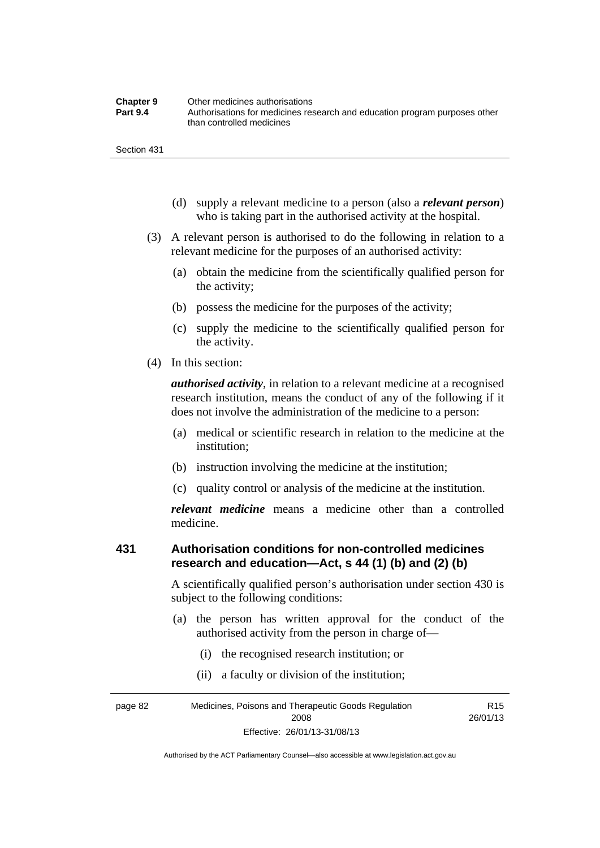| <b>Chapter 9</b> | Other medicines authorisations                                             |
|------------------|----------------------------------------------------------------------------|
| <b>Part 9.4</b>  | Authorisations for medicines research and education program purposes other |
|                  | than controlled medicines                                                  |

- (d) supply a relevant medicine to a person (also a *relevant person*) who is taking part in the authorised activity at the hospital.
- (3) A relevant person is authorised to do the following in relation to a relevant medicine for the purposes of an authorised activity:
	- (a) obtain the medicine from the scientifically qualified person for the activity;
	- (b) possess the medicine for the purposes of the activity;
	- (c) supply the medicine to the scientifically qualified person for the activity.
- (4) In this section:

*authorised activity*, in relation to a relevant medicine at a recognised research institution, means the conduct of any of the following if it does not involve the administration of the medicine to a person:

- (a) medical or scientific research in relation to the medicine at the institution;
- (b) instruction involving the medicine at the institution;
- (c) quality control or analysis of the medicine at the institution.

*relevant medicine* means a medicine other than a controlled medicine.

#### **431 Authorisation conditions for non-controlled medicines research and education—Act, s 44 (1) (b) and (2) (b)**

A scientifically qualified person's authorisation under section 430 is subject to the following conditions:

- (a) the person has written approval for the conduct of the authorised activity from the person in charge of—
	- (i) the recognised research institution; or
	- (ii) a faculty or division of the institution;

page 82 Medicines, Poisons and Therapeutic Goods Regulation 2008 Effective: 26/01/13-31/08/13 R15 26/01/13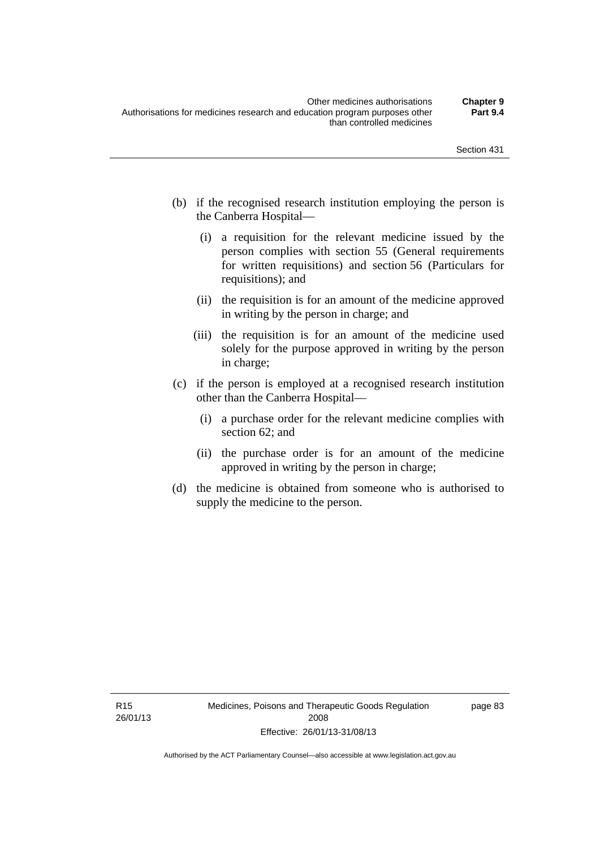- (b) if the recognised research institution employing the person is the Canberra Hospital—
	- (i) a requisition for the relevant medicine issued by the person complies with section 55 (General requirements for written requisitions) and section 56 (Particulars for requisitions); and
	- (ii) the requisition is for an amount of the medicine approved in writing by the person in charge; and
	- (iii) the requisition is for an amount of the medicine used solely for the purpose approved in writing by the person in charge;
- (c) if the person is employed at a recognised research institution other than the Canberra Hospital—
	- (i) a purchase order for the relevant medicine complies with section 62; and
	- (ii) the purchase order is for an amount of the medicine approved in writing by the person in charge;
- (d) the medicine is obtained from someone who is authorised to supply the medicine to the person.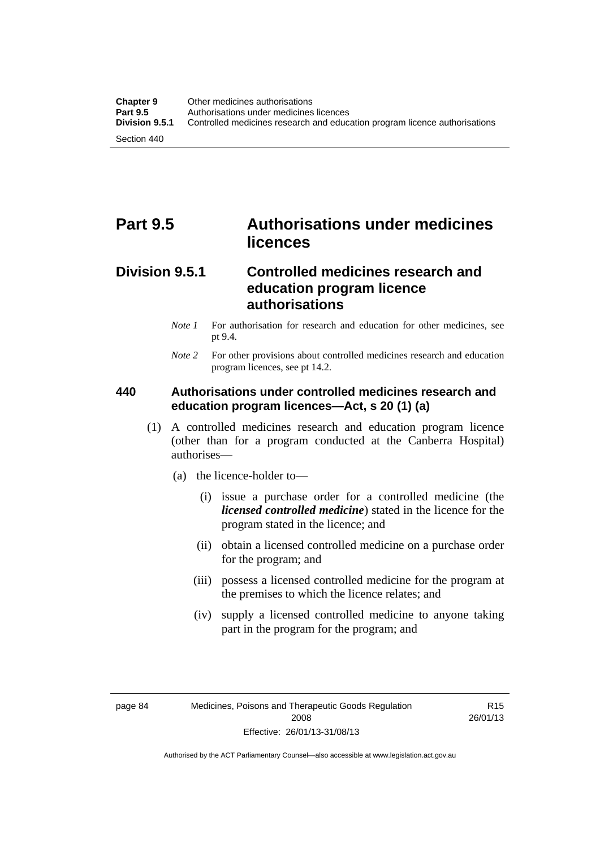## **Part 9.5 Authorisations under medicines licences**

### **Division 9.5.1 Controlled medicines research and education program licence authorisations**

- *Note 1* For authorisation for research and education for other medicines, see pt 9.4.
- *Note 2* For other provisions about controlled medicines research and education program licences, see pt 14.2.

### **440 Authorisations under controlled medicines research and education program licences—Act, s 20 (1) (a)**

- (1) A controlled medicines research and education program licence (other than for a program conducted at the Canberra Hospital) authorises—
	- (a) the licence-holder to—
		- (i) issue a purchase order for a controlled medicine (the *licensed controlled medicine*) stated in the licence for the program stated in the licence; and
		- (ii) obtain a licensed controlled medicine on a purchase order for the program; and
		- (iii) possess a licensed controlled medicine for the program at the premises to which the licence relates; and
		- (iv) supply a licensed controlled medicine to anyone taking part in the program for the program; and

R15 26/01/13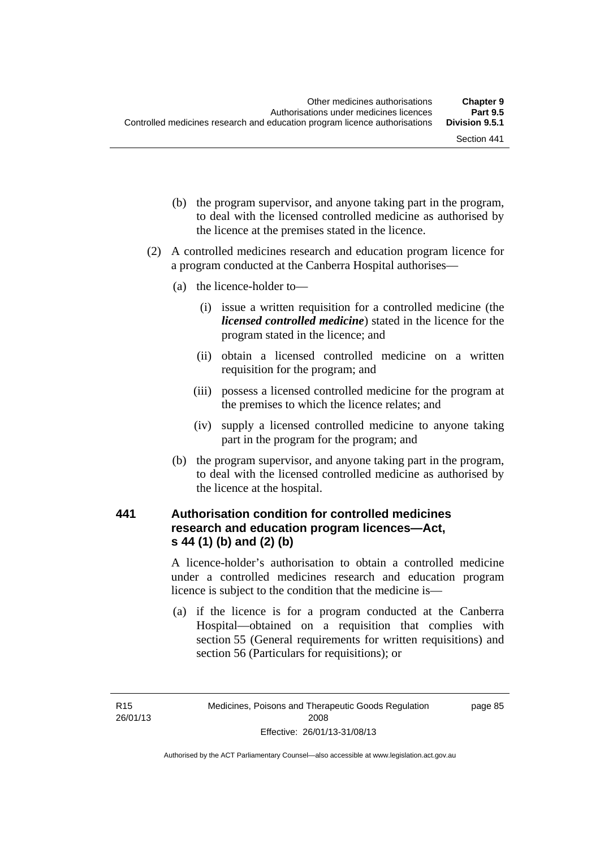- (b) the program supervisor, and anyone taking part in the program, to deal with the licensed controlled medicine as authorised by the licence at the premises stated in the licence.
- (2) A controlled medicines research and education program licence for a program conducted at the Canberra Hospital authorises—
	- (a) the licence-holder to—
		- (i) issue a written requisition for a controlled medicine (the *licensed controlled medicine*) stated in the licence for the program stated in the licence; and
		- (ii) obtain a licensed controlled medicine on a written requisition for the program; and
		- (iii) possess a licensed controlled medicine for the program at the premises to which the licence relates; and
		- (iv) supply a licensed controlled medicine to anyone taking part in the program for the program; and
	- (b) the program supervisor, and anyone taking part in the program, to deal with the licensed controlled medicine as authorised by the licence at the hospital.

# **441 Authorisation condition for controlled medicines research and education program licences—Act, s 44 (1) (b) and (2) (b)**

A licence-holder's authorisation to obtain a controlled medicine under a controlled medicines research and education program licence is subject to the condition that the medicine is—

 (a) if the licence is for a program conducted at the Canberra Hospital—obtained on a requisition that complies with section 55 (General requirements for written requisitions) and section 56 (Particulars for requisitions); or

page 85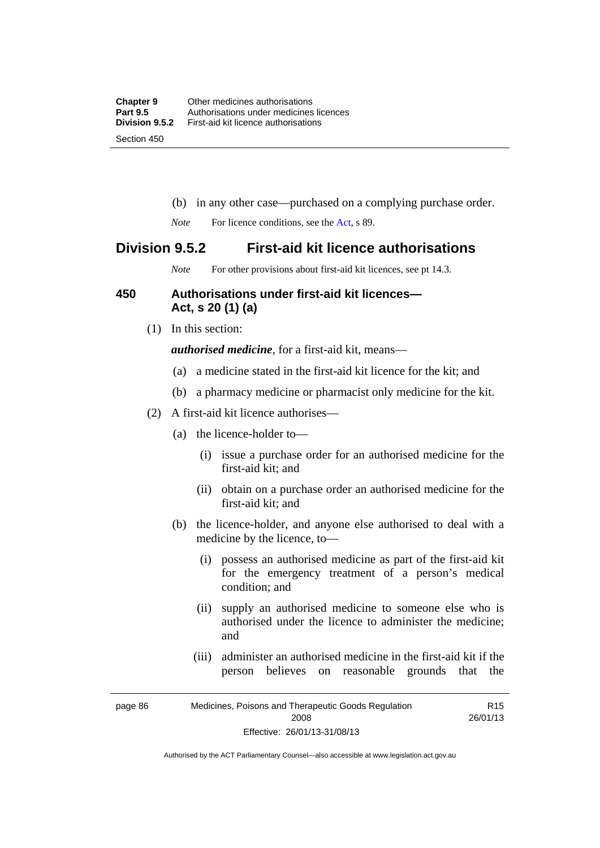- (b) in any other case—purchased on a complying purchase order.
- *Note* For licence conditions, see the [Act](http://www.legislation.act.gov.au/a/2008-26/default.asp), s 89.

# **Division 9.5.2 First-aid kit licence authorisations**

*Note* For other provisions about first-aid kit licences, see pt 14.3.

# **450 Authorisations under first-aid kit licences— Act, s 20 (1) (a)**

(1) In this section:

*authorised medicine*, for a first-aid kit, means—

- (a) a medicine stated in the first-aid kit licence for the kit; and
- (b) a pharmacy medicine or pharmacist only medicine for the kit.
- (2) A first-aid kit licence authorises—
	- (a) the licence-holder to—
		- (i) issue a purchase order for an authorised medicine for the first-aid kit; and
		- (ii) obtain on a purchase order an authorised medicine for the first-aid kit; and
	- (b) the licence-holder, and anyone else authorised to deal with a medicine by the licence, to—
		- (i) possess an authorised medicine as part of the first-aid kit for the emergency treatment of a person's medical condition; and
		- (ii) supply an authorised medicine to someone else who is authorised under the licence to administer the medicine; and
		- (iii) administer an authorised medicine in the first-aid kit if the person believes on reasonable grounds that the

R15

page 86 Medicines, Poisons and Therapeutic Goods Regulation 2008 Effective: 26/01/13-31/08/13 26/01/13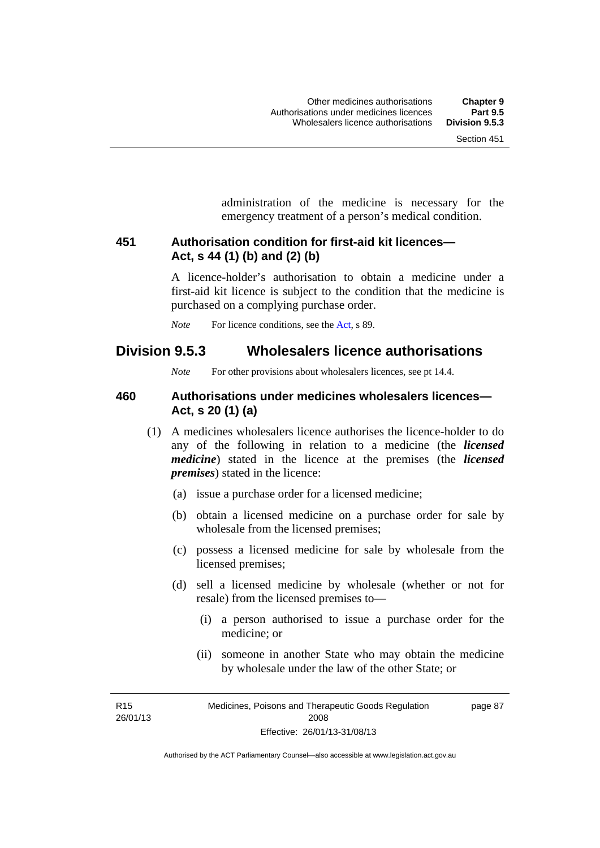administration of the medicine is necessary for the emergency treatment of a person's medical condition.

# **451 Authorisation condition for first-aid kit licences— Act, s 44 (1) (b) and (2) (b)**

A licence-holder's authorisation to obtain a medicine under a first-aid kit licence is subject to the condition that the medicine is purchased on a complying purchase order.

*Note* For licence conditions, see the [Act](http://www.legislation.act.gov.au/a/2008-26/default.asp), s 89.

# **Division 9.5.3 Wholesalers licence authorisations**

*Note* For other provisions about wholesalers licences, see pt 14.4.

# **460 Authorisations under medicines wholesalers licences— Act, s 20 (1) (a)**

- (1) A medicines wholesalers licence authorises the licence-holder to do any of the following in relation to a medicine (the *licensed medicine*) stated in the licence at the premises (the *licensed premises*) stated in the licence:
	- (a) issue a purchase order for a licensed medicine;
	- (b) obtain a licensed medicine on a purchase order for sale by wholesale from the licensed premises;
	- (c) possess a licensed medicine for sale by wholesale from the licensed premises;
	- (d) sell a licensed medicine by wholesale (whether or not for resale) from the licensed premises to—
		- (i) a person authorised to issue a purchase order for the medicine; or
		- (ii) someone in another State who may obtain the medicine by wholesale under the law of the other State; or

R15 26/01/13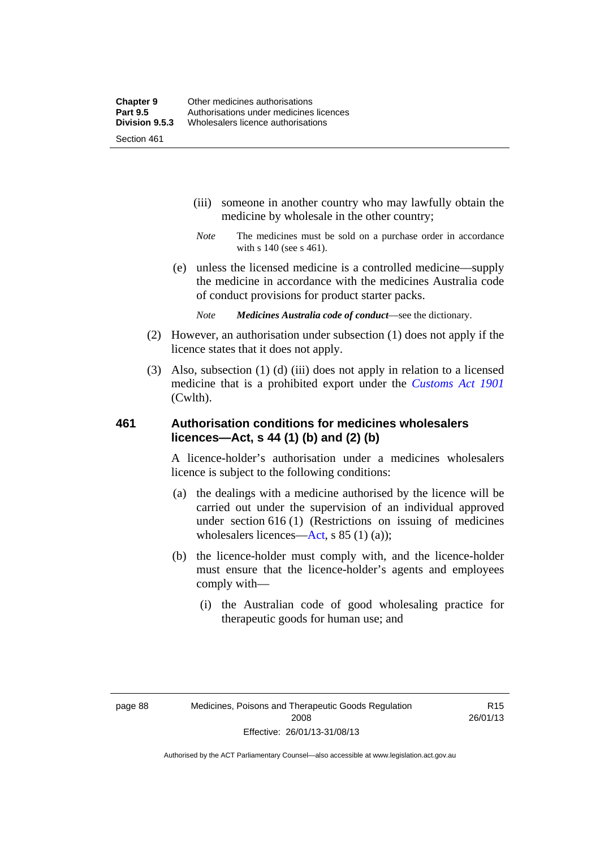- (iii) someone in another country who may lawfully obtain the medicine by wholesale in the other country;
- *Note* The medicines must be sold on a purchase order in accordance with s 140 (see s 461).
- (e) unless the licensed medicine is a controlled medicine—supply the medicine in accordance with the medicines Australia code of conduct provisions for product starter packs.
	- *Note Medicines Australia code of conduct*—see the dictionary.
- (2) However, an authorisation under subsection (1) does not apply if the licence states that it does not apply.
- (3) Also, subsection (1) (d) (iii) does not apply in relation to a licensed medicine that is a prohibited export under the *[Customs Act 1901](http://www.comlaw.gov.au/Series/C1901A00006)* (Cwlth).

# **461 Authorisation conditions for medicines wholesalers licences—Act, s 44 (1) (b) and (2) (b)**

A licence-holder's authorisation under a medicines wholesalers licence is subject to the following conditions:

- (a) the dealings with a medicine authorised by the licence will be carried out under the supervision of an individual approved under section 616 (1) (Restrictions on issuing of medicines wholesalers licences[—Act,](http://www.legislation.act.gov.au/a/2008-26/default.asp) s 85 (1) (a));
- (b) the licence-holder must comply with, and the licence-holder must ensure that the licence-holder's agents and employees comply with—
	- (i) the Australian code of good wholesaling practice for therapeutic goods for human use; and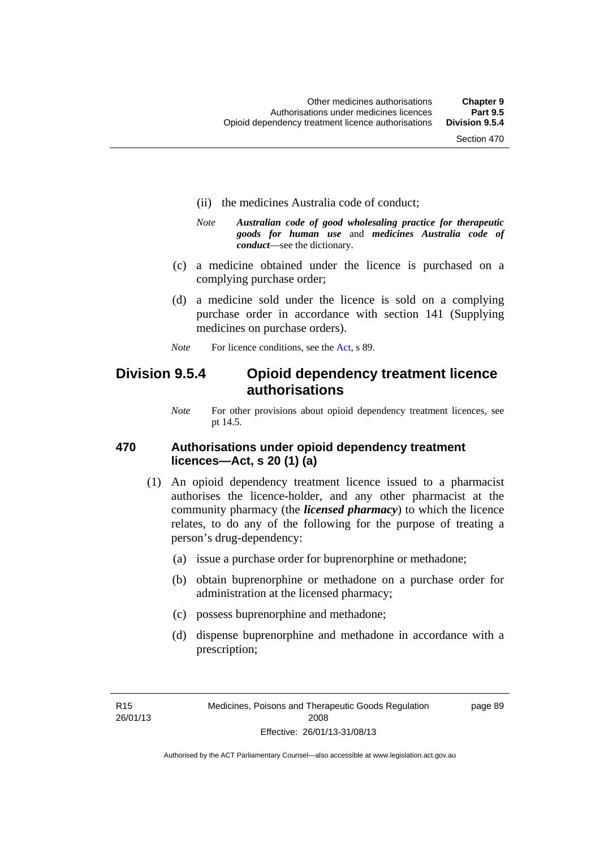- (ii) the medicines Australia code of conduct;
- *Note Australian code of good wholesaling practice for therapeutic goods for human use* and *medicines Australia code of conduct*—see the dictionary.
- (c) a medicine obtained under the licence is purchased on a complying purchase order;
- (d) a medicine sold under the licence is sold on a complying purchase order in accordance with section 141 (Supplying medicines on purchase orders).
- *Note* For licence conditions, see the [Act](http://www.legislation.act.gov.au/a/2008-26/default.asp), s 89.

# **Division 9.5.4 Opioid dependency treatment licence authorisations**

*Note* For other provisions about opioid dependency treatment licences, see pt 14.5.

# **470 Authorisations under opioid dependency treatment licences—Act, s 20 (1) (a)**

- (1) An opioid dependency treatment licence issued to a pharmacist authorises the licence-holder, and any other pharmacist at the community pharmacy (the *licensed pharmacy*) to which the licence relates, to do any of the following for the purpose of treating a person's drug-dependency:
	- (a) issue a purchase order for buprenorphine or methadone;
	- (b) obtain buprenorphine or methadone on a purchase order for administration at the licensed pharmacy;
	- (c) possess buprenorphine and methadone;
	- (d) dispense buprenorphine and methadone in accordance with a prescription;

R15 26/01/13 page 89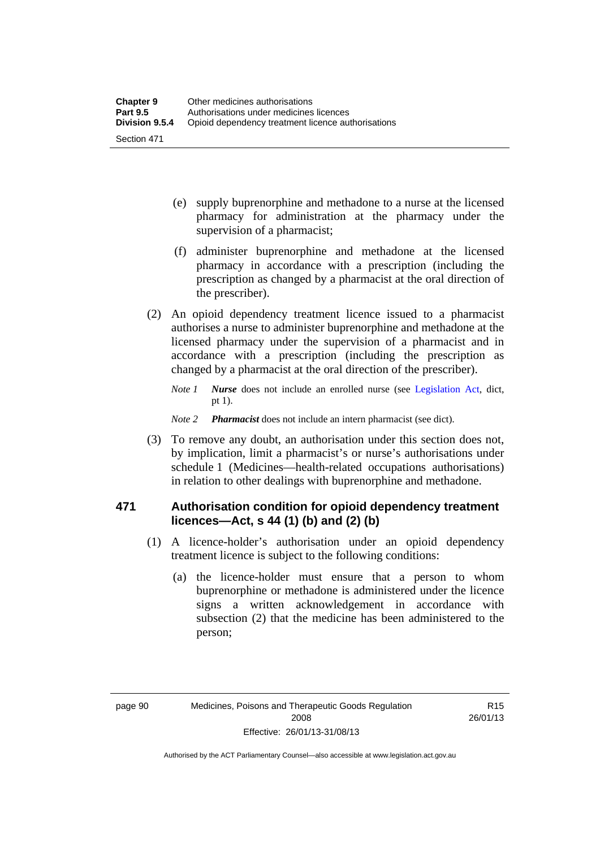- (e) supply buprenorphine and methadone to a nurse at the licensed pharmacy for administration at the pharmacy under the supervision of a pharmacist;
- (f) administer buprenorphine and methadone at the licensed pharmacy in accordance with a prescription (including the prescription as changed by a pharmacist at the oral direction of the prescriber).
- (2) An opioid dependency treatment licence issued to a pharmacist authorises a nurse to administer buprenorphine and methadone at the licensed pharmacy under the supervision of a pharmacist and in accordance with a prescription (including the prescription as changed by a pharmacist at the oral direction of the prescriber).
	- *Note 1 Nurse* does not include an enrolled nurse (see [Legislation Act,](http://www.legislation.act.gov.au/a/2001-14) dict, pt 1).
	- *Note 2 Pharmacist* does not include an intern pharmacist (see dict).
- (3) To remove any doubt, an authorisation under this section does not, by implication, limit a pharmacist's or nurse's authorisations under schedule 1 (Medicines—health-related occupations authorisations) in relation to other dealings with buprenorphine and methadone.

# **471 Authorisation condition for opioid dependency treatment licences—Act, s 44 (1) (b) and (2) (b)**

- (1) A licence-holder's authorisation under an opioid dependency treatment licence is subject to the following conditions:
	- (a) the licence-holder must ensure that a person to whom buprenorphine or methadone is administered under the licence signs a written acknowledgement in accordance with subsection (2) that the medicine has been administered to the person;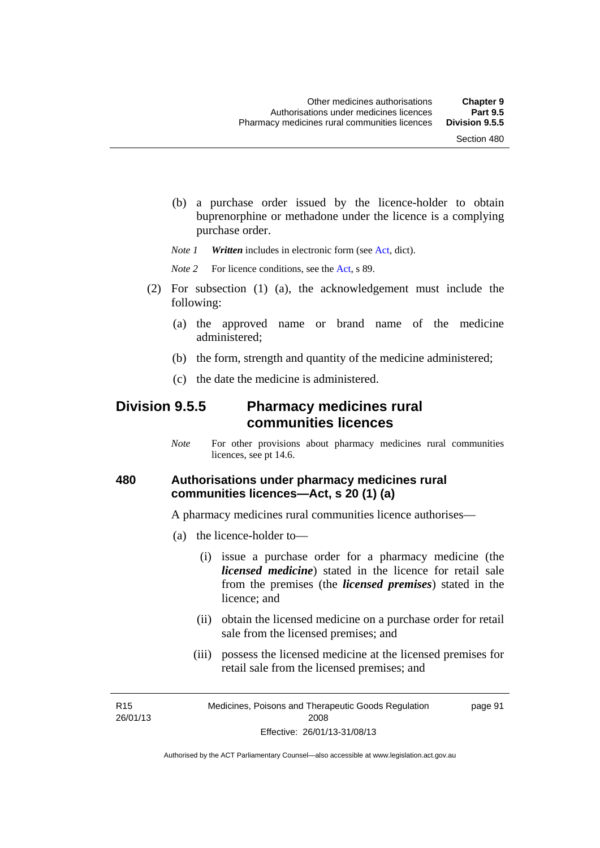(b) a purchase order issued by the licence-holder to obtain buprenorphine or methadone under the licence is a complying purchase order.

*Note 1 Written* includes in electronic form (see [Act,](http://www.legislation.act.gov.au/a/2008-26/default.asp) dict).

*Note* 2 For licence conditions, see the [Act](http://www.legislation.act.gov.au/a/2008-26/default.asp), s 89.

- (2) For subsection (1) (a), the acknowledgement must include the following:
	- (a) the approved name or brand name of the medicine administered;
	- (b) the form, strength and quantity of the medicine administered;
	- (c) the date the medicine is administered.

# **Division 9.5.5 Pharmacy medicines rural communities licences**

*Note* For other provisions about pharmacy medicines rural communities licences, see pt 14.6.

### **480 Authorisations under pharmacy medicines rural communities licences—Act, s 20 (1) (a)**

A pharmacy medicines rural communities licence authorises—

- (a) the licence-holder to—
	- (i) issue a purchase order for a pharmacy medicine (the *licensed medicine*) stated in the licence for retail sale from the premises (the *licensed premises*) stated in the licence; and
	- (ii) obtain the licensed medicine on a purchase order for retail sale from the licensed premises; and
	- (iii) possess the licensed medicine at the licensed premises for retail sale from the licensed premises; and

R15 26/01/13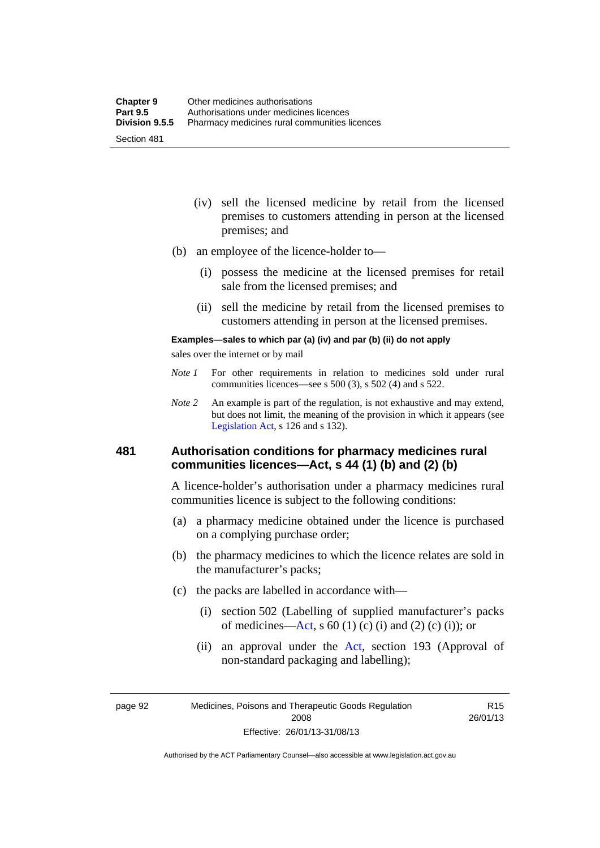- (iv) sell the licensed medicine by retail from the licensed premises to customers attending in person at the licensed premises; and
- (b) an employee of the licence-holder to—
	- (i) possess the medicine at the licensed premises for retail sale from the licensed premises; and
	- (ii) sell the medicine by retail from the licensed premises to customers attending in person at the licensed premises.

#### **Examples—sales to which par (a) (iv) and par (b) (ii) do not apply**

sales over the internet or by mail

- *Note 1* For other requirements in relation to medicines sold under rural communities licences—see s 500 (3), s 502 (4) and s 522.
- *Note 2* An example is part of the regulation, is not exhaustive and may extend, but does not limit, the meaning of the provision in which it appears (see [Legislation Act,](http://www.legislation.act.gov.au/a/2001-14) s 126 and s 132).

# **481 Authorisation conditions for pharmacy medicines rural communities licences—Act, s 44 (1) (b) and (2) (b)**

A licence-holder's authorisation under a pharmacy medicines rural communities licence is subject to the following conditions:

- (a) a pharmacy medicine obtained under the licence is purchased on a complying purchase order;
- (b) the pharmacy medicines to which the licence relates are sold in the manufacturer's packs;
- (c) the packs are labelled in accordance with—
	- (i) section 502 (Labelling of supplied manufacturer's packs of medicines—[Act](http://www.legislation.act.gov.au/a/2008-26/default.asp), s  $60(1)$  (c) (i) and (2) (c) (i)); or
	- (ii) an approval under the [Act](http://www.legislation.act.gov.au/a/2008-26/default.asp), section 193 (Approval of non-standard packaging and labelling);

page 92 Medicines, Poisons and Therapeutic Goods Regulation 2008 Effective: 26/01/13-31/08/13

R15 26/01/13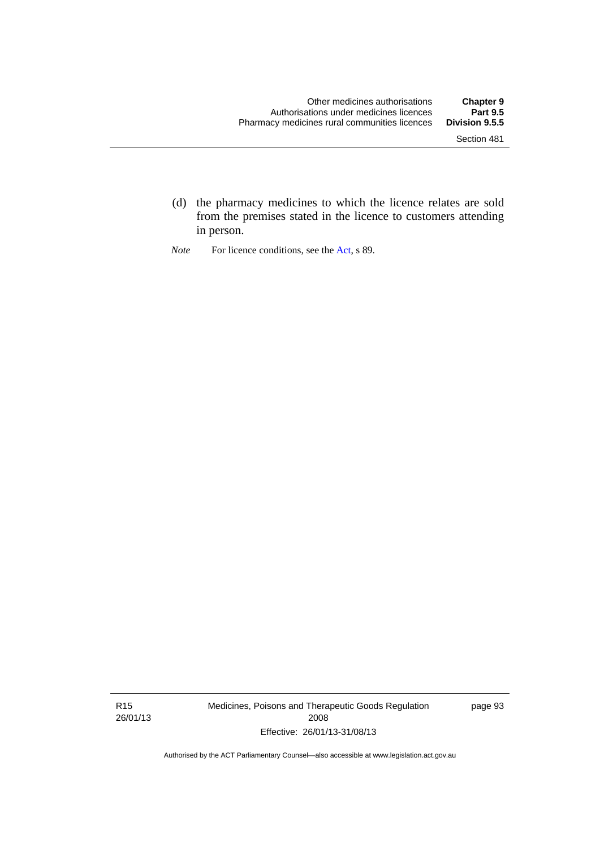- (d) the pharmacy medicines to which the licence relates are sold from the premises stated in the licence to customers attending in person.
- *Note* For licence conditions, see the [Act](http://www.legislation.act.gov.au/a/2008-26/default.asp), s 89.

R15 26/01/13 Medicines, Poisons and Therapeutic Goods Regulation 2008 Effective: 26/01/13-31/08/13

page 93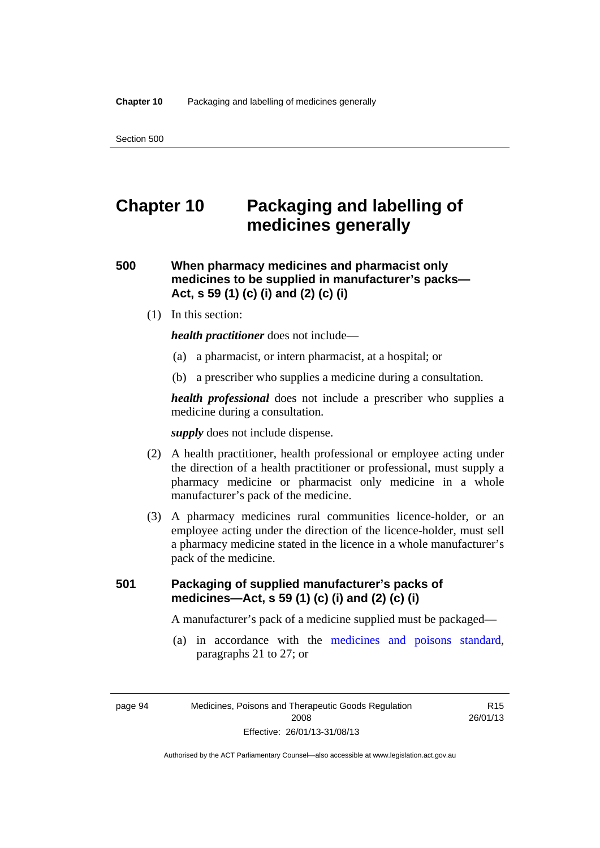# **Chapter 10 Packaging and labelling of medicines generally**

# **500 When pharmacy medicines and pharmacist only medicines to be supplied in manufacturer's packs— Act, s 59 (1) (c) (i) and (2) (c) (i)**

(1) In this section:

*health practitioner* does not include—

- (a) a pharmacist, or intern pharmacist, at a hospital; or
- (b) a prescriber who supplies a medicine during a consultation.

*health professional* does not include a prescriber who supplies a medicine during a consultation.

*supply* does not include dispense.

- (2) A health practitioner, health professional or employee acting under the direction of a health practitioner or professional, must supply a pharmacy medicine or pharmacist only medicine in a whole manufacturer's pack of the medicine.
- (3) A pharmacy medicines rural communities licence-holder, or an employee acting under the direction of the licence-holder, must sell a pharmacy medicine stated in the licence in a whole manufacturer's pack of the medicine.

# **501 Packaging of supplied manufacturer's packs of medicines—Act, s 59 (1) (c) (i) and (2) (c) (i)**

A manufacturer's pack of a medicine supplied must be packaged—

 (a) in accordance with the [medicines and poisons standard](http://www.comlaw.gov.au/Series/F2012L01200), paragraphs 21 to 27; or

page 94 Medicines, Poisons and Therapeutic Goods Regulation 2008 Effective: 26/01/13-31/08/13

R15 26/01/13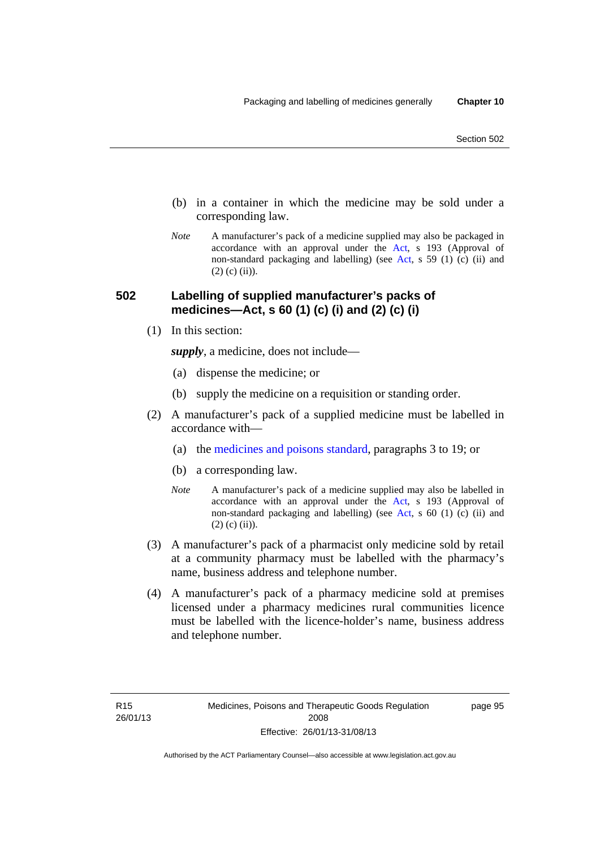- (b) in a container in which the medicine may be sold under a corresponding law.
- *Note* A manufacturer's pack of a medicine supplied may also be packaged in accordance with an approval under the [Act](http://www.legislation.act.gov.au/a/2008-26/default.asp), s 193 (Approval of non-standard packaging and labelling) (see [Act](http://www.legislation.act.gov.au/a/2008-26/default.asp), s 59 (1) (c) (ii) and  $(2)$  (c) (ii)).

# **502 Labelling of supplied manufacturer's packs of medicines—Act, s 60 (1) (c) (i) and (2) (c) (i)**

(1) In this section:

*supply*, a medicine, does not include—

- (a) dispense the medicine; or
- (b) supply the medicine on a requisition or standing order.
- (2) A manufacturer's pack of a supplied medicine must be labelled in accordance with—
	- (a) the [medicines and poisons standard](http://www.comlaw.gov.au/Series/F2012L01200), paragraphs 3 to 19; or
	- (b) a corresponding law.
	- *Note* A manufacturer's pack of a medicine supplied may also be labelled in accordance with an approval under the [Act](http://www.legislation.act.gov.au/a/2008-26/default.asp), s 193 (Approval of non-standard packaging and labelling) (see [Act](http://www.legislation.act.gov.au/a/2008-26/default.asp), s 60 (1) (c) (ii) and  $(2)$  (c) (ii)).
- (3) A manufacturer's pack of a pharmacist only medicine sold by retail at a community pharmacy must be labelled with the pharmacy's name, business address and telephone number.
- (4) A manufacturer's pack of a pharmacy medicine sold at premises licensed under a pharmacy medicines rural communities licence must be labelled with the licence-holder's name, business address and telephone number.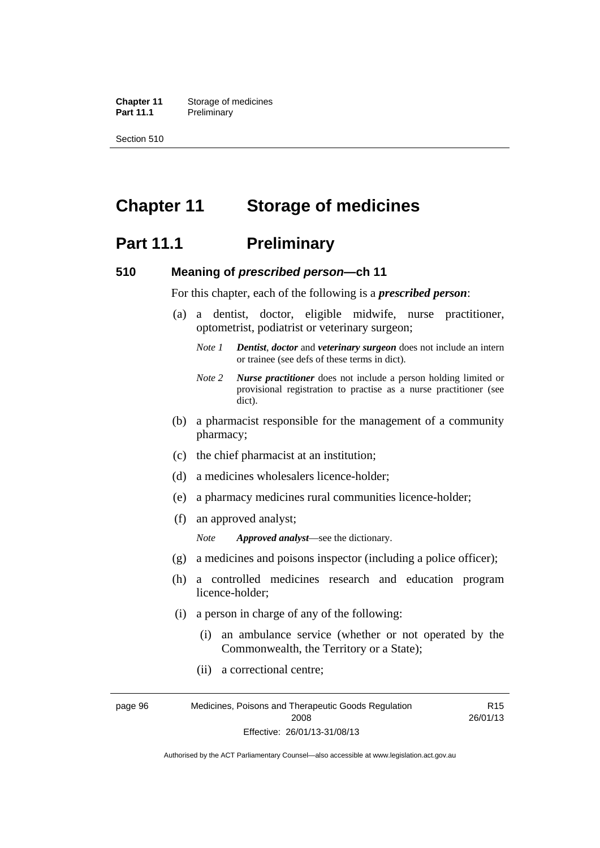**Chapter 11** Storage of medicines Part 11.1 Preliminary

Section 510

# **Chapter 11 Storage of medicines**

# **Part 11.1** Preliminary

### **510 Meaning of** *prescribed person***—ch 11**

For this chapter, each of the following is a *prescribed person*:

- (a) a dentist, doctor, eligible midwife, nurse practitioner, optometrist, podiatrist or veterinary surgeon;
	- *Note 1 Dentist*, *doctor* and *veterinary surgeon* does not include an intern or trainee (see defs of these terms in dict).
	- *Note 2 Nurse practitioner* does not include a person holding limited or provisional registration to practise as a nurse practitioner (see dict).
- (b) a pharmacist responsible for the management of a community pharmacy;
- (c) the chief pharmacist at an institution;
- (d) a medicines wholesalers licence-holder;
- (e) a pharmacy medicines rural communities licence-holder;
- (f) an approved analyst;

*Note Approved analyst*—see the dictionary.

- (g) a medicines and poisons inspector (including a police officer);
- (h) a controlled medicines research and education program licence-holder;
- (i) a person in charge of any of the following:
	- (i) an ambulance service (whether or not operated by the Commonwealth, the Territory or a State);

R15

(ii) a correctional centre;

page 96 Medicines, Poisons and Therapeutic Goods Regulation 2008 Effective: 26/01/13-31/08/13 26/01/13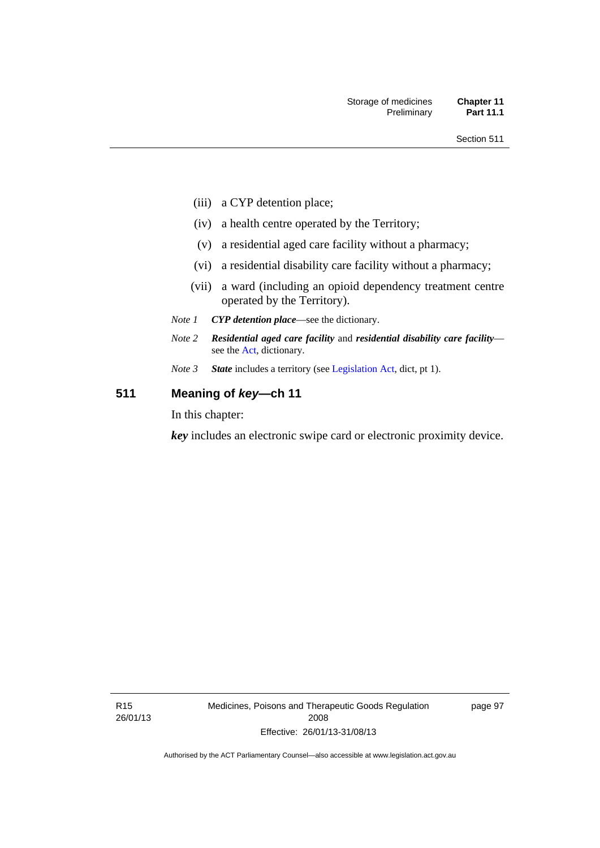- (iii) a CYP detention place;
- (iv) a health centre operated by the Territory;
- (v) a residential aged care facility without a pharmacy;
- (vi) a residential disability care facility without a pharmacy;
- (vii) a ward (including an opioid dependency treatment centre operated by the Territory).
- *Note 1 CYP detention place*—see the dictionary.
- *Note 2 Residential aged care facility* and *residential disability care facility* see the [Act](http://www.legislation.act.gov.au/a/2008-26/default.asp), dictionary.
- *Note 3 State* includes a territory (see [Legislation Act,](http://www.legislation.act.gov.au/a/2001-14) dict, pt 1).

# **511 Meaning of** *key***—ch 11**

In this chapter:

*key* includes an electronic swipe card or electronic proximity device.

page 97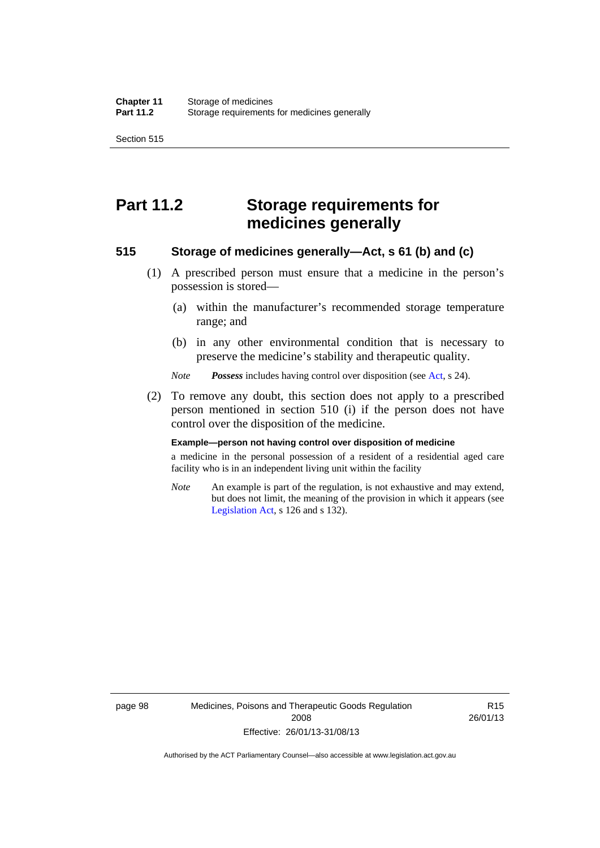Section 515

# **Part 11.2 Storage requirements for medicines generally**

# **515 Storage of medicines generally—Act, s 61 (b) and (c)**

- (1) A prescribed person must ensure that a medicine in the person's possession is stored—
	- (a) within the manufacturer's recommended storage temperature range; and
	- (b) in any other environmental condition that is necessary to preserve the medicine's stability and therapeutic quality.

*Note Possess* includes having control over disposition (see [Act,](http://www.legislation.act.gov.au/a/2008-26/default.asp) s 24).

 (2) To remove any doubt, this section does not apply to a prescribed person mentioned in section 510 (i) if the person does not have control over the disposition of the medicine.

#### **Example—person not having control over disposition of medicine**

a medicine in the personal possession of a resident of a residential aged care facility who is in an independent living unit within the facility

*Note* An example is part of the regulation, is not exhaustive and may extend, but does not limit, the meaning of the provision in which it appears (see [Legislation Act,](http://www.legislation.act.gov.au/a/2001-14) s 126 and s 132).

R15 26/01/13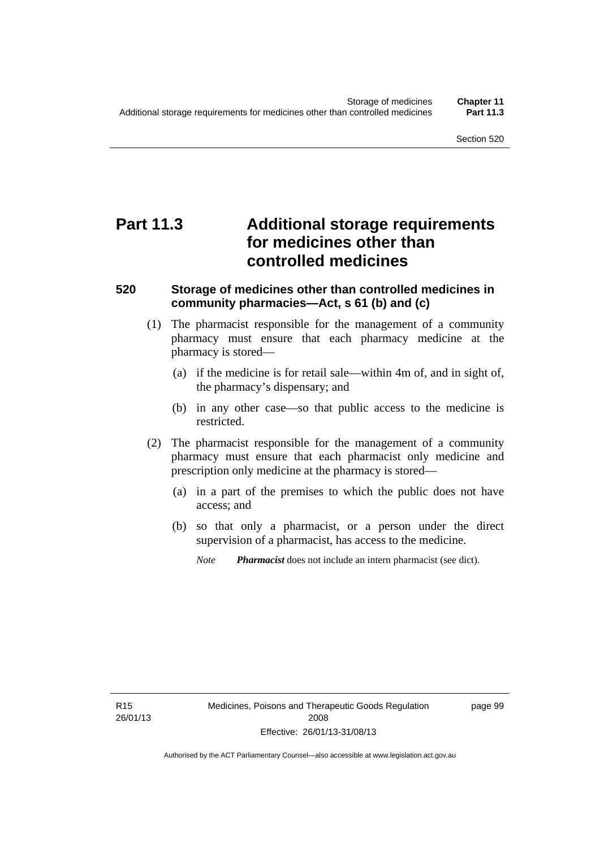# **Part 11.3 Additional storage requirements for medicines other than controlled medicines**

# **520 Storage of medicines other than controlled medicines in community pharmacies—Act, s 61 (b) and (c)**

- (1) The pharmacist responsible for the management of a community pharmacy must ensure that each pharmacy medicine at the pharmacy is stored—
	- (a) if the medicine is for retail sale—within 4m of, and in sight of, the pharmacy's dispensary; and
	- (b) in any other case—so that public access to the medicine is restricted.
- (2) The pharmacist responsible for the management of a community pharmacy must ensure that each pharmacist only medicine and prescription only medicine at the pharmacy is stored—
	- (a) in a part of the premises to which the public does not have access; and
	- (b) so that only a pharmacist, or a person under the direct supervision of a pharmacist, has access to the medicine.

*Note Pharmacist* does not include an intern pharmacist (see dict).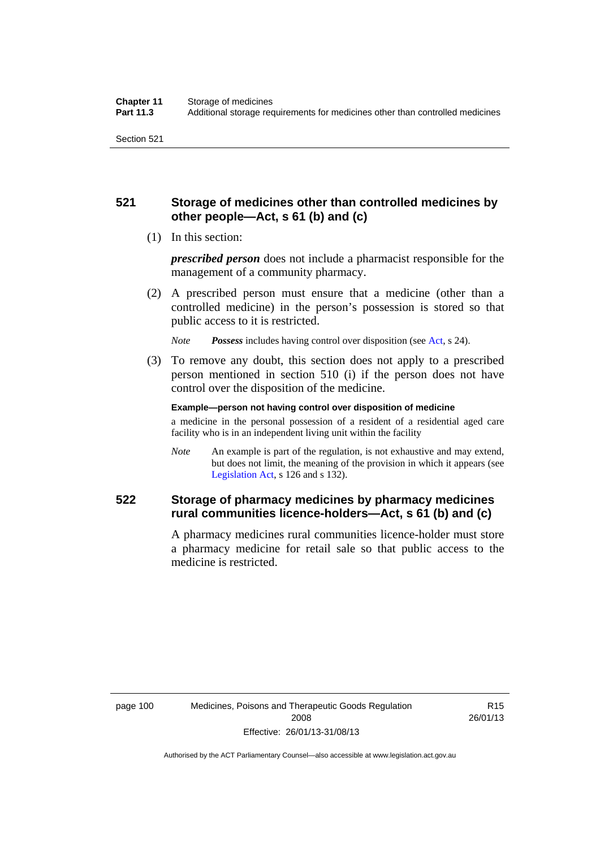# **521 Storage of medicines other than controlled medicines by other people—Act, s 61 (b) and (c)**

(1) In this section:

*prescribed person* does not include a pharmacist responsible for the management of a community pharmacy.

 (2) A prescribed person must ensure that a medicine (other than a controlled medicine) in the person's possession is stored so that public access to it is restricted.

*Note Possess* includes having control over disposition (see [Act,](http://www.legislation.act.gov.au/a/2008-26/default.asp) s 24).

 (3) To remove any doubt, this section does not apply to a prescribed person mentioned in section 510 (i) if the person does not have control over the disposition of the medicine.

**Example—person not having control over disposition of medicine** 

a medicine in the personal possession of a resident of a residential aged care facility who is in an independent living unit within the facility

*Note* An example is part of the regulation, is not exhaustive and may extend, but does not limit, the meaning of the provision in which it appears (see [Legislation Act,](http://www.legislation.act.gov.au/a/2001-14) s 126 and s 132).

# **522 Storage of pharmacy medicines by pharmacy medicines rural communities licence-holders—Act, s 61 (b) and (c)**

A pharmacy medicines rural communities licence-holder must store a pharmacy medicine for retail sale so that public access to the medicine is restricted.

R15 26/01/13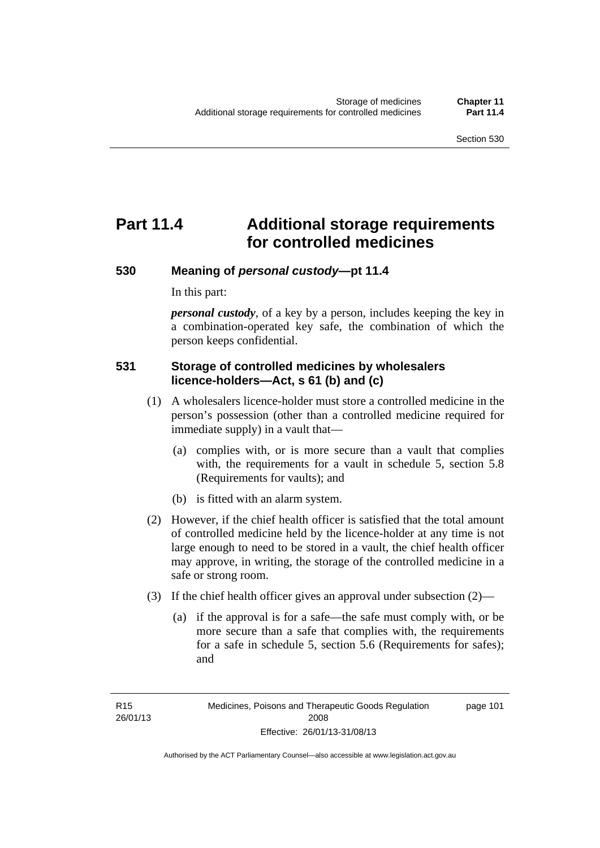# **Part 11.4 Additional storage requirements for controlled medicines**

# **530 Meaning of** *personal custody***—pt 11.4**

In this part:

*personal custody*, of a key by a person, includes keeping the key in a combination-operated key safe, the combination of which the person keeps confidential.

# **531 Storage of controlled medicines by wholesalers licence-holders—Act, s 61 (b) and (c)**

- (1) A wholesalers licence-holder must store a controlled medicine in the person's possession (other than a controlled medicine required for immediate supply) in a vault that—
	- (a) complies with, or is more secure than a vault that complies with, the requirements for a vault in schedule 5, section 5.8 (Requirements for vaults); and
	- (b) is fitted with an alarm system.
- (2) However, if the chief health officer is satisfied that the total amount of controlled medicine held by the licence-holder at any time is not large enough to need to be stored in a vault, the chief health officer may approve, in writing, the storage of the controlled medicine in a safe or strong room.
- (3) If the chief health officer gives an approval under subsection (2)—
	- (a) if the approval is for a safe—the safe must comply with, or be more secure than a safe that complies with, the requirements for a safe in schedule 5, section 5.6 (Requirements for safes); and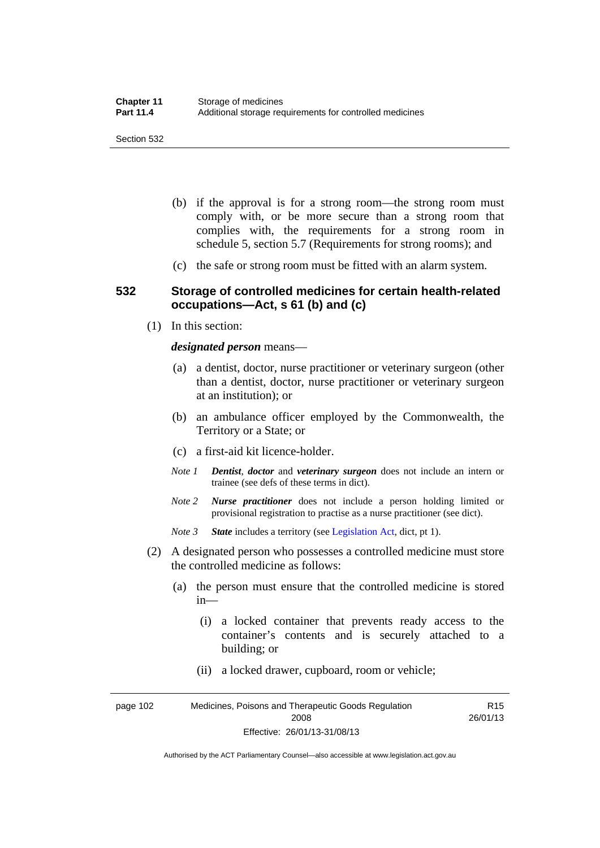- (b) if the approval is for a strong room—the strong room must comply with, or be more secure than a strong room that complies with, the requirements for a strong room in schedule 5, section 5.7 (Requirements for strong rooms); and
- (c) the safe or strong room must be fitted with an alarm system.

### **532 Storage of controlled medicines for certain health-related occupations—Act, s 61 (b) and (c)**

(1) In this section:

#### *designated person* means—

- (a) a dentist, doctor, nurse practitioner or veterinary surgeon (other than a dentist, doctor, nurse practitioner or veterinary surgeon at an institution); or
- (b) an ambulance officer employed by the Commonwealth, the Territory or a State; or
- (c) a first-aid kit licence-holder.
- *Note 1 Dentist*, *doctor* and *veterinary surgeon* does not include an intern or trainee (see defs of these terms in dict).
- *Note 2 Nurse practitioner* does not include a person holding limited or provisional registration to practise as a nurse practitioner (see dict).
- *Note 3 State* includes a territory (see [Legislation Act,](http://www.legislation.act.gov.au/a/2001-14) dict, pt 1).
- (2) A designated person who possesses a controlled medicine must store the controlled medicine as follows:
	- (a) the person must ensure that the controlled medicine is stored in—
		- (i) a locked container that prevents ready access to the container's contents and is securely attached to a building; or
		- (ii) a locked drawer, cupboard, room or vehicle;

page 102 Medicines, Poisons and Therapeutic Goods Regulation 2008 Effective: 26/01/13-31/08/13 R15 26/01/13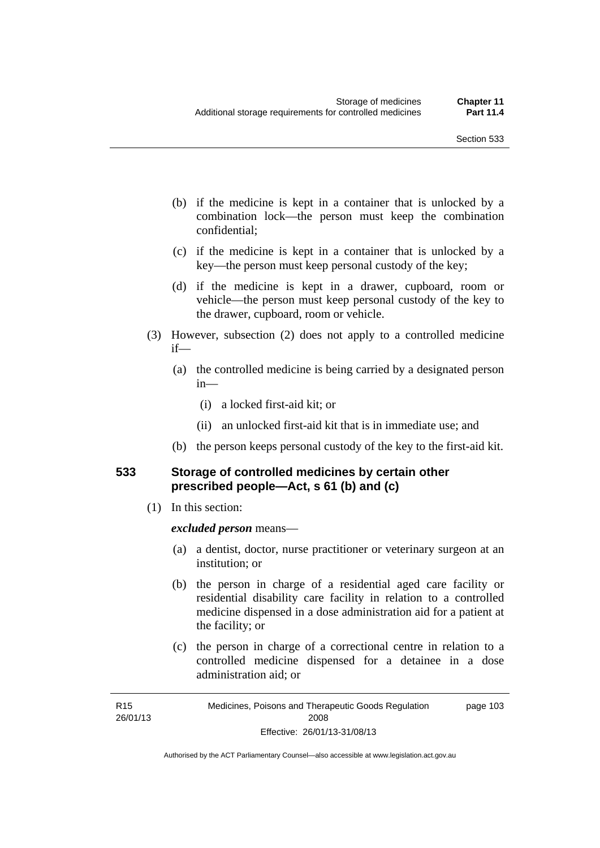- (b) if the medicine is kept in a container that is unlocked by a combination lock—the person must keep the combination confidential;
- (c) if the medicine is kept in a container that is unlocked by a key—the person must keep personal custody of the key;
- (d) if the medicine is kept in a drawer, cupboard, room or vehicle—the person must keep personal custody of the key to the drawer, cupboard, room or vehicle.
- (3) However, subsection (2) does not apply to a controlled medicine if—
	- (a) the controlled medicine is being carried by a designated person in—
		- (i) a locked first-aid kit; or
		- (ii) an unlocked first-aid kit that is in immediate use; and
	- (b) the person keeps personal custody of the key to the first-aid kit.

# **533 Storage of controlled medicines by certain other prescribed people—Act, s 61 (b) and (c)**

(1) In this section:

### *excluded person* means—

- (a) a dentist, doctor, nurse practitioner or veterinary surgeon at an institution; or
- (b) the person in charge of a residential aged care facility or residential disability care facility in relation to a controlled medicine dispensed in a dose administration aid for a patient at the facility; or
- (c) the person in charge of a correctional centre in relation to a controlled medicine dispensed for a detainee in a dose administration aid; or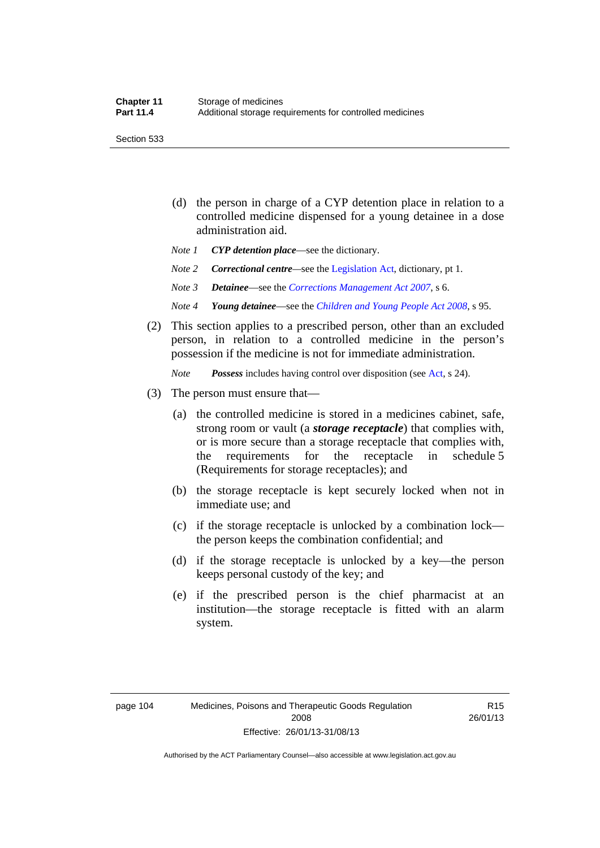Section 533

- (d) the person in charge of a CYP detention place in relation to a controlled medicine dispensed for a young detainee in a dose administration aid.
- *Note 1 CYP detention place*—see the dictionary.
- *Note 2 Correctional centre—see the [Legislation Act](http://www.legislation.act.gov.au/a/2001-14), dictionary, pt 1.*
- *Note 3 Detainee*—see the *[Corrections Management Act 2007](http://www.legislation.act.gov.au/a/2007-15)*, s 6.
- *Note 4 Young detainee*—see the *[Children and Young People Act 2008](http://www.legislation.act.gov.au/a/2008-19)*, s 95.
- (2) This section applies to a prescribed person, other than an excluded person, in relation to a controlled medicine in the person's possession if the medicine is not for immediate administration.

*Note Possess* includes having control over disposition (see [Act,](http://www.legislation.act.gov.au/a/2008-26/default.asp) s 24).

- (3) The person must ensure that—
	- (a) the controlled medicine is stored in a medicines cabinet, safe, strong room or vault (a *storage receptacle*) that complies with, or is more secure than a storage receptacle that complies with, the requirements for the receptacle in schedule 5 (Requirements for storage receptacles); and
	- (b) the storage receptacle is kept securely locked when not in immediate use; and
	- (c) if the storage receptacle is unlocked by a combination lock the person keeps the combination confidential; and
	- (d) if the storage receptacle is unlocked by a key—the person keeps personal custody of the key; and
	- (e) if the prescribed person is the chief pharmacist at an institution—the storage receptacle is fitted with an alarm system.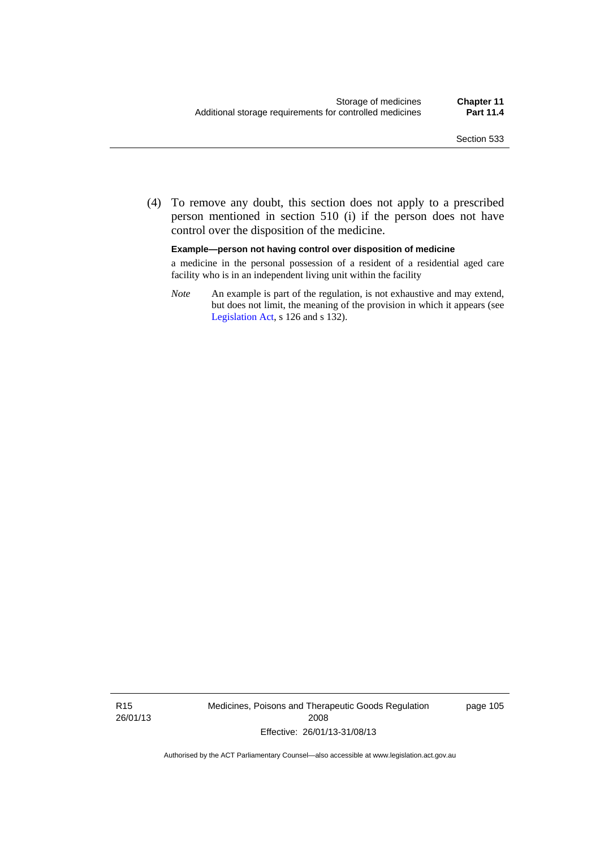(4) To remove any doubt, this section does not apply to a prescribed person mentioned in section 510 (i) if the person does not have control over the disposition of the medicine.

#### **Example—person not having control over disposition of medicine**

a medicine in the personal possession of a resident of a residential aged care facility who is in an independent living unit within the facility

*Note* An example is part of the regulation, is not exhaustive and may extend, but does not limit, the meaning of the provision in which it appears (see [Legislation Act,](http://www.legislation.act.gov.au/a/2001-14) s 126 and s 132).

R15 26/01/13 Medicines, Poisons and Therapeutic Goods Regulation 2008 Effective: 26/01/13-31/08/13

page 105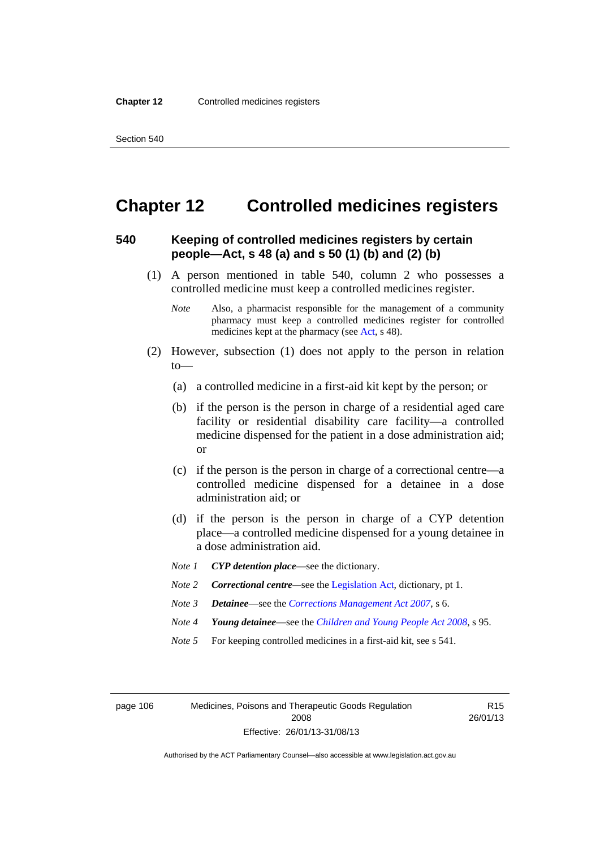# **Chapter 12 Controlled medicines registers**

# **540 Keeping of controlled medicines registers by certain people—Act, s 48 (a) and s 50 (1) (b) and (2) (b)**

- (1) A person mentioned in table 540, column 2 who possesses a controlled medicine must keep a controlled medicines register.
	- *Note* Also, a pharmacist responsible for the management of a community pharmacy must keep a controlled medicines register for controlled medicines kept at the pharmacy (see [Act](http://www.legislation.act.gov.au/a/2008-26/default.asp), s 48).
- (2) However, subsection (1) does not apply to the person in relation to—
	- (a) a controlled medicine in a first-aid kit kept by the person; or
	- (b) if the person is the person in charge of a residential aged care facility or residential disability care facility—a controlled medicine dispensed for the patient in a dose administration aid; or
	- (c) if the person is the person in charge of a correctional centre—a controlled medicine dispensed for a detainee in a dose administration aid; or
	- (d) if the person is the person in charge of a CYP detention place—a controlled medicine dispensed for a young detainee in a dose administration aid.
	- *Note 1 CYP detention place*—see the dictionary.
	- *Note 2 Correctional centre—see the [Legislation Act](http://www.legislation.act.gov.au/a/2001-14), dictionary, pt 1.*
	- *Note 3 Detainee*—see the *[Corrections Management Act 2007](http://www.legislation.act.gov.au/a/2007-15)*, s 6.
	- *Note 4 Young detainee*—see the *[Children and Young People Act 2008](http://www.legislation.act.gov.au/a/2008-19)*, s 95.
	- *Note* 5 For keeping controlled medicines in a first-aid kit, see s 541.

page 106 Medicines, Poisons and Therapeutic Goods Regulation 2008 Effective: 26/01/13-31/08/13

R15 26/01/13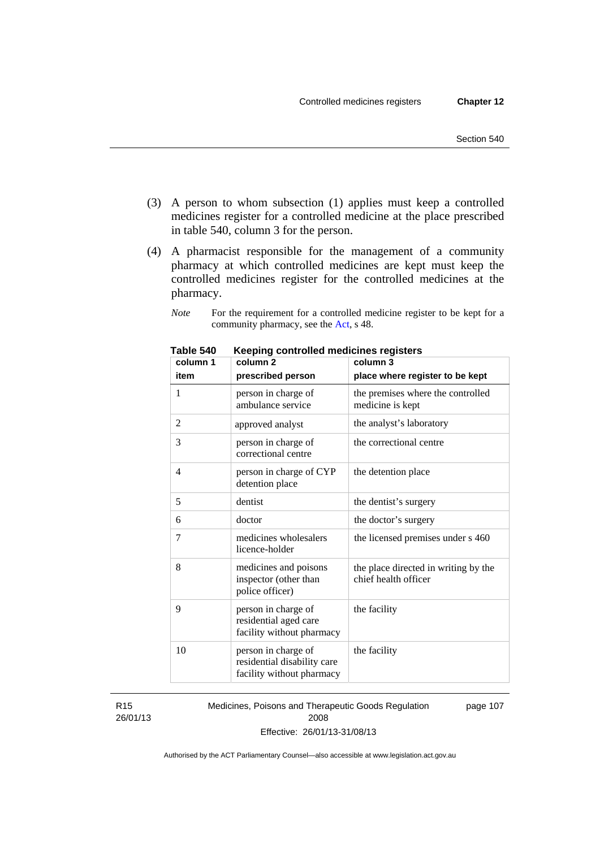- (3) A person to whom subsection (1) applies must keep a controlled medicines register for a controlled medicine at the place prescribed in table 540, column 3 for the person.
- (4) A pharmacist responsible for the management of a community pharmacy at which controlled medicines are kept must keep the controlled medicines register for the controlled medicines at the pharmacy.

*Note* For the requirement for a controlled medicine register to be kept for a community pharmacy, see the [Act,](http://www.legislation.act.gov.au/a/2008-26/default.asp) s 48.

| column 1 | nceping controlled medicines registers<br>column <sub>2</sub>                   | column 3                                                     |
|----------|---------------------------------------------------------------------------------|--------------------------------------------------------------|
| item     | prescribed person                                                               | place where register to be kept                              |
| 1        | person in charge of<br>ambulance service                                        | the premises where the controlled<br>medicine is kept        |
| 2        | approved analyst                                                                | the analyst's laboratory                                     |
| 3        | person in charge of<br>correctional centre                                      | the correctional centre                                      |
| 4        | person in charge of CYP<br>detention place                                      | the detention place                                          |
| 5        | dentist                                                                         | the dentist's surgery                                        |
| 6        | doctor                                                                          | the doctor's surgery                                         |
| 7        | medicines wholesalers<br>licence-holder                                         | the licensed premises under s 460                            |
| 8        | medicines and poisons<br>inspector (other than<br>police officer)               | the place directed in writing by the<br>chief health officer |
| 9        | person in charge of<br>residential aged care<br>facility without pharmacy       | the facility                                                 |
| 10       | person in charge of<br>residential disability care<br>facility without pharmacy | the facility                                                 |

**Table 540 Keeping controlled medicines registers** 

R15 26/01/13 Medicines, Poisons and Therapeutic Goods Regulation 2008 Effective: 26/01/13-31/08/13 page 107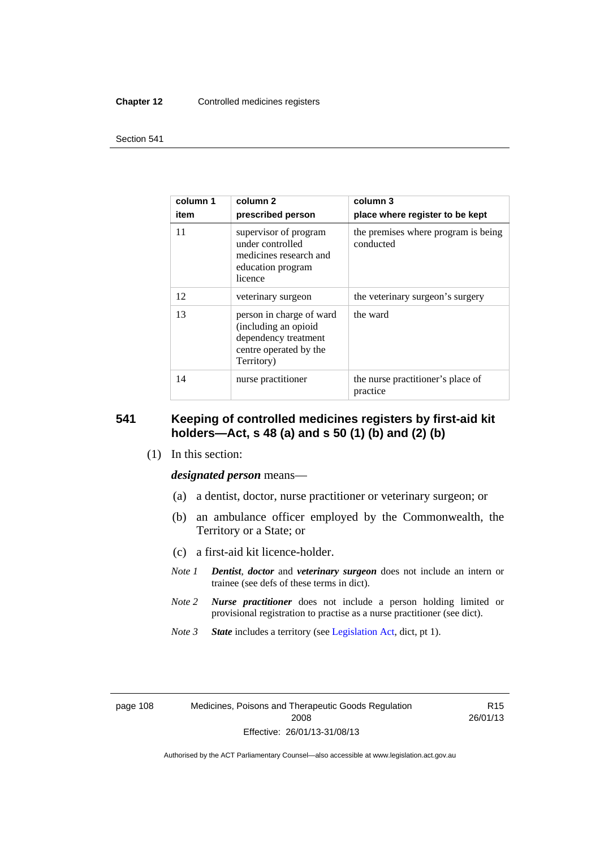#### **Chapter 12** Controlled medicines registers

#### Section 541

| column 1<br>item | column <sub>2</sub><br>prescribed person                                                                         | column 3<br>place where register to be kept      |
|------------------|------------------------------------------------------------------------------------------------------------------|--------------------------------------------------|
| 11               | supervisor of program<br>under controlled<br>medicines research and<br>education program<br>licence              | the premises where program is being<br>conducted |
| 12               | veterinary surgeon                                                                                               | the veterinary surgeon's surgery                 |
| 13               | person in charge of ward<br>(including an opioid<br>dependency treatment<br>centre operated by the<br>Territory) | the ward                                         |
| 14               | nurse practitioner                                                                                               | the nurse practitioner's place of<br>practice    |

# **541 Keeping of controlled medicines registers by first-aid kit holders—Act, s 48 (a) and s 50 (1) (b) and (2) (b)**

(1) In this section:

*designated person* means—

- (a) a dentist, doctor, nurse practitioner or veterinary surgeon; or
- (b) an ambulance officer employed by the Commonwealth, the Territory or a State; or
- (c) a first-aid kit licence-holder.
- *Note 1 Dentist*, *doctor* and *veterinary surgeon* does not include an intern or trainee (see defs of these terms in dict).
- *Note 2 Nurse practitioner* does not include a person holding limited or provisional registration to practise as a nurse practitioner (see dict).
- *Note 3 State* includes a territory (see [Legislation Act,](http://www.legislation.act.gov.au/a/2001-14) dict, pt 1).

page 108 Medicines, Poisons and Therapeutic Goods Regulation 2008 Effective: 26/01/13-31/08/13

R15 26/01/13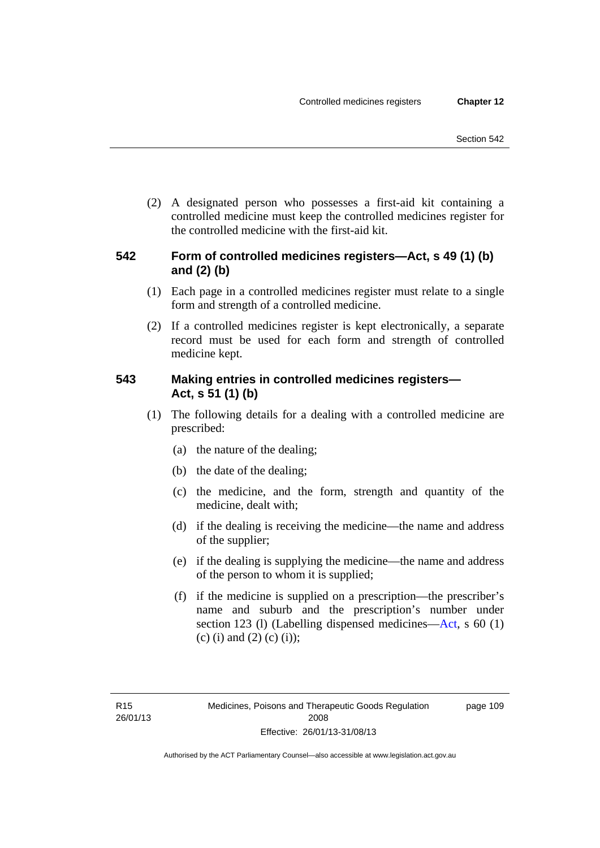(2) A designated person who possesses a first-aid kit containing a controlled medicine must keep the controlled medicines register for the controlled medicine with the first-aid kit.

# **542 Form of controlled medicines registers—Act, s 49 (1) (b) and (2) (b)**

- (1) Each page in a controlled medicines register must relate to a single form and strength of a controlled medicine.
- (2) If a controlled medicines register is kept electronically, a separate record must be used for each form and strength of controlled medicine kept.

# **543 Making entries in controlled medicines registers— Act, s 51 (1) (b)**

- (1) The following details for a dealing with a controlled medicine are prescribed:
	- (a) the nature of the dealing;
	- (b) the date of the dealing;
	- (c) the medicine, and the form, strength and quantity of the medicine, dealt with;
	- (d) if the dealing is receiving the medicine—the name and address of the supplier;
	- (e) if the dealing is supplying the medicine—the name and address of the person to whom it is supplied;
	- (f) if the medicine is supplied on a prescription—the prescriber's name and suburb and the prescription's number under section 123 (l) (Labelling dispensed medicines[—Act,](http://www.legislation.act.gov.au/a/2008-26/default.asp) s 60 (1) (c) (i) and (2) (c) (i));

page 109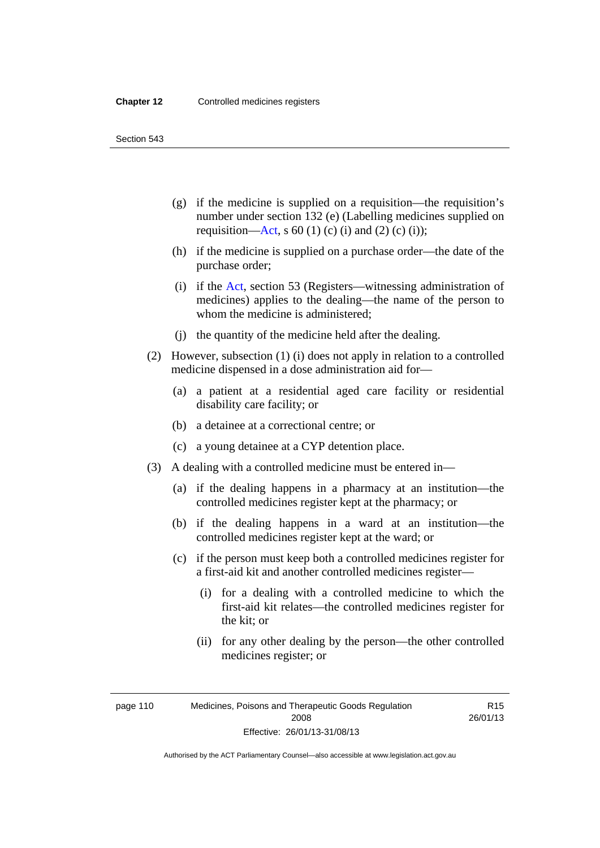Section 543

- (g) if the medicine is supplied on a requisition—the requisition's number under section 132 (e) (Labelling medicines supplied on requisition[—Act,](http://www.legislation.act.gov.au/a/2008-26/default.asp) s 60 (1) (c) (i) and (2) (c) (i));
- (h) if the medicine is supplied on a purchase order—the date of the purchase order;
- (i) if the [Act,](http://www.legislation.act.gov.au/a/2008-26/default.asp) section 53 (Registers—witnessing administration of medicines) applies to the dealing—the name of the person to whom the medicine is administered;
- (j) the quantity of the medicine held after the dealing.
- (2) However, subsection (1) (i) does not apply in relation to a controlled medicine dispensed in a dose administration aid for—
	- (a) a patient at a residential aged care facility or residential disability care facility; or
	- (b) a detainee at a correctional centre; or
	- (c) a young detainee at a CYP detention place.
- (3) A dealing with a controlled medicine must be entered in—
	- (a) if the dealing happens in a pharmacy at an institution—the controlled medicines register kept at the pharmacy; or
	- (b) if the dealing happens in a ward at an institution—the controlled medicines register kept at the ward; or
	- (c) if the person must keep both a controlled medicines register for a first-aid kit and another controlled medicines register—
		- (i) for a dealing with a controlled medicine to which the first-aid kit relates—the controlled medicines register for the kit; or
		- (ii) for any other dealing by the person—the other controlled medicines register; or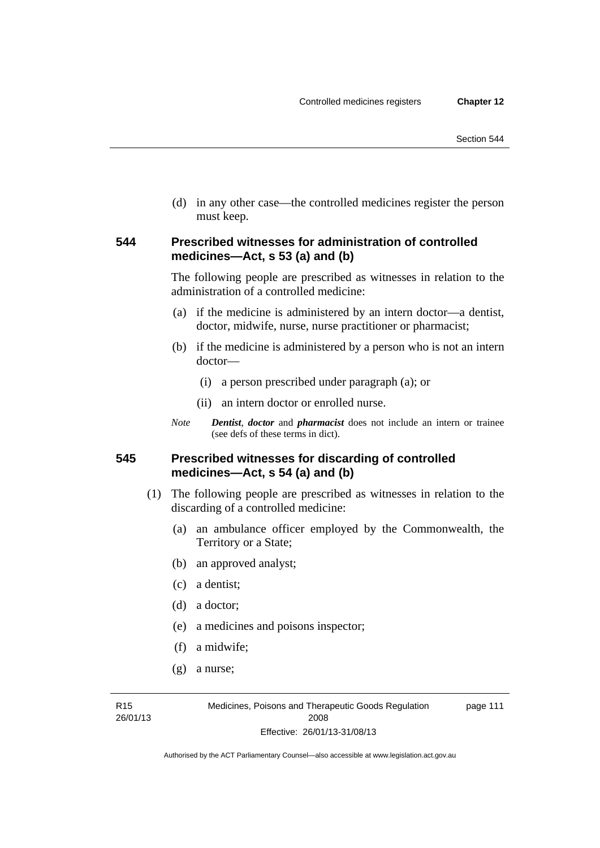(d) in any other case—the controlled medicines register the person must keep.

# **544 Prescribed witnesses for administration of controlled medicines—Act, s 53 (a) and (b)**

The following people are prescribed as witnesses in relation to the administration of a controlled medicine:

- (a) if the medicine is administered by an intern doctor—a dentist, doctor, midwife, nurse, nurse practitioner or pharmacist;
- (b) if the medicine is administered by a person who is not an intern doctor—
	- (i) a person prescribed under paragraph (a); or
	- (ii) an intern doctor or enrolled nurse.
- *Note Dentist*, *doctor* and *pharmacist* does not include an intern or trainee (see defs of these terms in dict).

# **545 Prescribed witnesses for discarding of controlled medicines—Act, s 54 (a) and (b)**

- (1) The following people are prescribed as witnesses in relation to the discarding of a controlled medicine:
	- (a) an ambulance officer employed by the Commonwealth, the Territory or a State;
	- (b) an approved analyst;
	- (c) a dentist;
	- (d) a doctor;
	- (e) a medicines and poisons inspector;
	- (f) a midwife;
	- (g) a nurse;

R15 26/01/13 page 111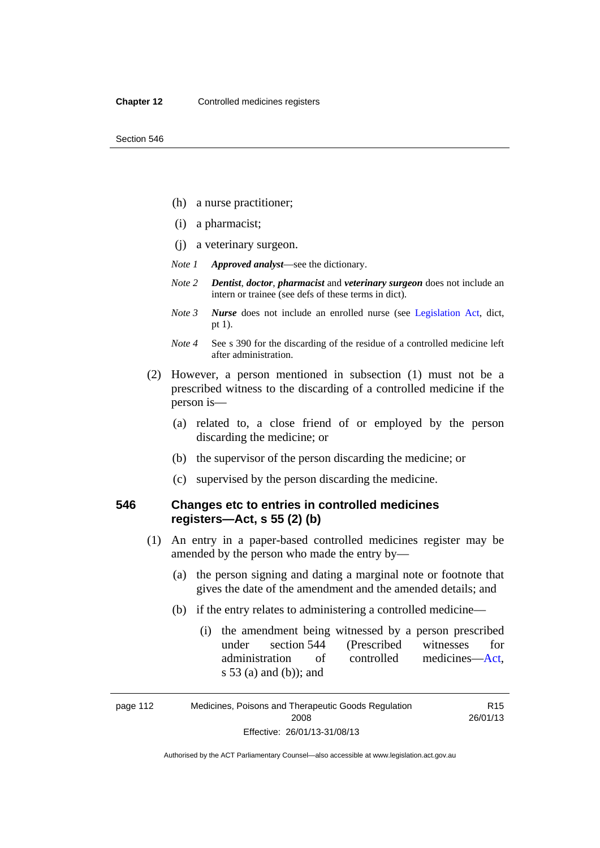- (h) a nurse practitioner;
- (i) a pharmacist;
- (j) a veterinary surgeon.
- *Note 1 Approved analyst*—see the dictionary.
- *Note 2 Dentist*, *doctor*, *pharmacist* and *veterinary surgeon* does not include an intern or trainee (see defs of these terms in dict).
- *Note 3 Nurse* does not include an enrolled nurse (see [Legislation Act,](http://www.legislation.act.gov.au/a/2001-14) dict, pt 1).
- *Note 4* See s 390 for the discarding of the residue of a controlled medicine left after administration.
- (2) However, a person mentioned in subsection (1) must not be a prescribed witness to the discarding of a controlled medicine if the person is—
	- (a) related to, a close friend of or employed by the person discarding the medicine; or
	- (b) the supervisor of the person discarding the medicine; or
	- (c) supervised by the person discarding the medicine.

# **546 Changes etc to entries in controlled medicines registers—Act, s 55 (2) (b)**

- (1) An entry in a paper-based controlled medicines register may be amended by the person who made the entry by—
	- (a) the person signing and dating a marginal note or footnote that gives the date of the amendment and the amended details; and
	- (b) if the entry relates to administering a controlled medicine—
		- (i) the amendment being witnessed by a person prescribed under section 544 (Prescribed witnesses for administration of controlled medicines[—Act](http://www.legislation.act.gov.au/a/2008-26/default.asp), s 53 (a) and (b)); and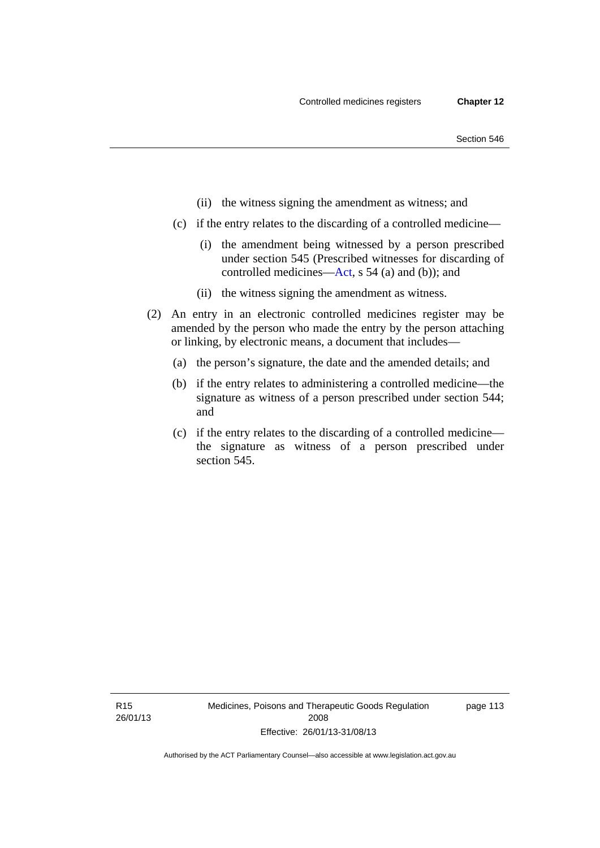- (ii) the witness signing the amendment as witness; and
- (c) if the entry relates to the discarding of a controlled medicine—
	- (i) the amendment being witnessed by a person prescribed under section 545 (Prescribed witnesses for discarding of controlled medicines[—Act,](http://www.legislation.act.gov.au/a/2008-26/default.asp) s 54 (a) and (b)); and
	- (ii) the witness signing the amendment as witness.
- (2) An entry in an electronic controlled medicines register may be amended by the person who made the entry by the person attaching or linking, by electronic means, a document that includes—
	- (a) the person's signature, the date and the amended details; and
	- (b) if the entry relates to administering a controlled medicine—the signature as witness of a person prescribed under section 544; and
	- (c) if the entry relates to the discarding of a controlled medicine the signature as witness of a person prescribed under section 545.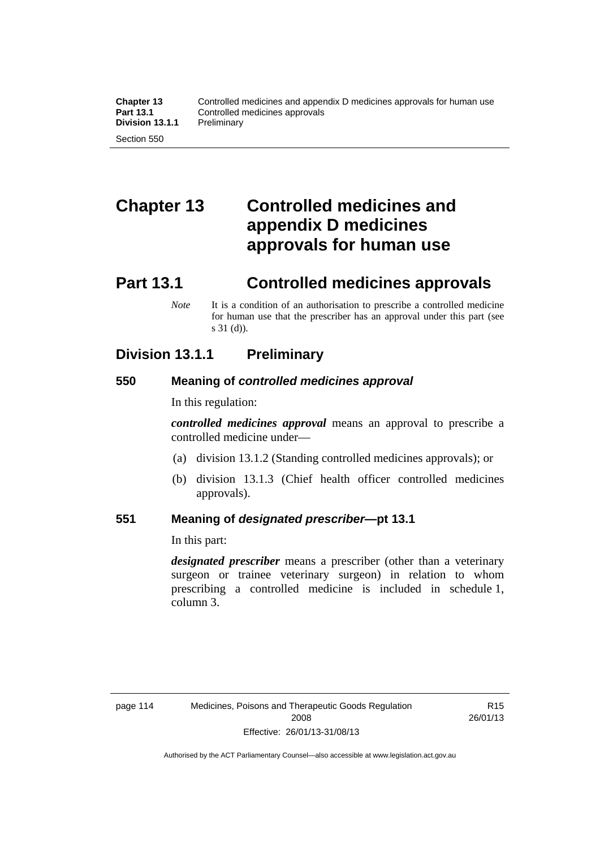# **Chapter 13 Controlled medicines and appendix D medicines approvals for human use**

# **Part 13.1 Controlled medicines approvals**

*Note* It is a condition of an authorisation to prescribe a controlled medicine for human use that the prescriber has an approval under this part (see s 31 (d)).

# **Division 13.1.1 Preliminary**

# **550 Meaning of** *controlled medicines approval*

In this regulation:

*controlled medicines approval* means an approval to prescribe a controlled medicine under—

- (a) division 13.1.2 (Standing controlled medicines approvals); or
- (b) division 13.1.3 (Chief health officer controlled medicines approvals).

# **551 Meaning of** *designated prescriber***—pt 13.1**

In this part:

*designated prescriber* means a prescriber (other than a veterinary surgeon or trainee veterinary surgeon) in relation to whom prescribing a controlled medicine is included in schedule 1, column 3.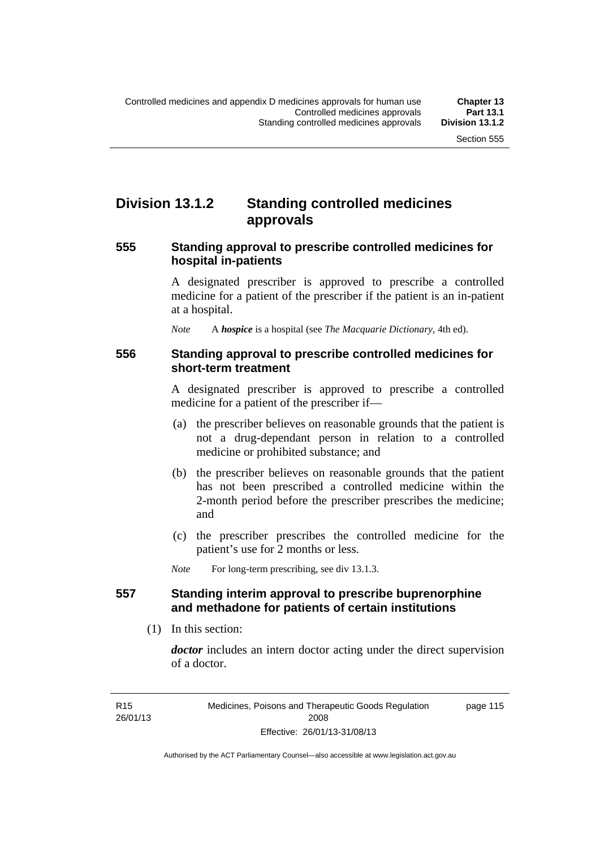# **Division 13.1.2 Standing controlled medicines approvals**

### **555 Standing approval to prescribe controlled medicines for hospital in-patients**

A designated prescriber is approved to prescribe a controlled medicine for a patient of the prescriber if the patient is an in-patient at a hospital.

*Note* A *hospice* is a hospital (see *The Macquarie Dictionary*, 4th ed).

### **556 Standing approval to prescribe controlled medicines for short-term treatment**

A designated prescriber is approved to prescribe a controlled medicine for a patient of the prescriber if—

- (a) the prescriber believes on reasonable grounds that the patient is not a drug-dependant person in relation to a controlled medicine or prohibited substance; and
- (b) the prescriber believes on reasonable grounds that the patient has not been prescribed a controlled medicine within the 2-month period before the prescriber prescribes the medicine; and
- (c) the prescriber prescribes the controlled medicine for the patient's use for 2 months or less.

*Note* For long-term prescribing, see div 13.1.3.

# **557 Standing interim approval to prescribe buprenorphine and methadone for patients of certain institutions**

(1) In this section:

*doctor* includes an intern doctor acting under the direct supervision of a doctor.

page 115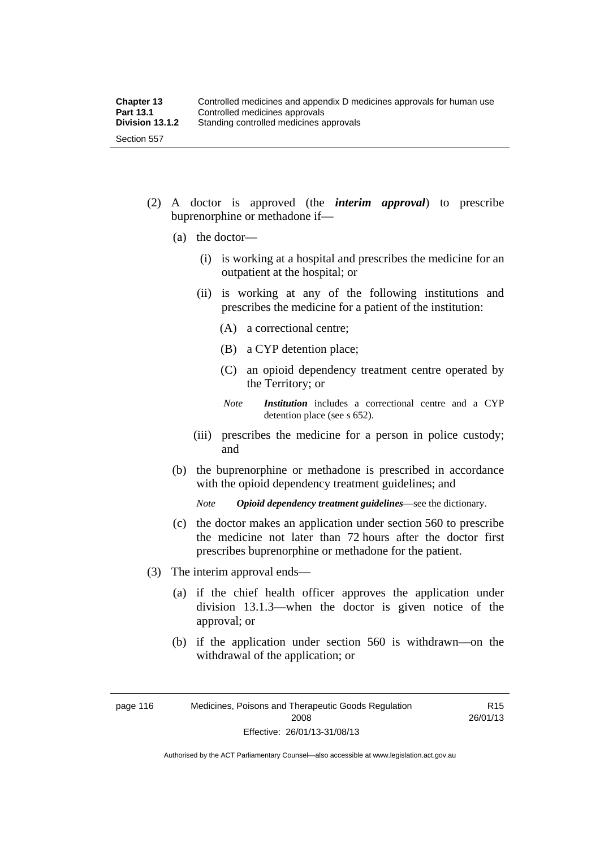- (2) A doctor is approved (the *interim approval*) to prescribe buprenorphine or methadone if—
	- (a) the doctor—
		- (i) is working at a hospital and prescribes the medicine for an outpatient at the hospital; or
		- (ii) is working at any of the following institutions and prescribes the medicine for a patient of the institution:
			- (A) a correctional centre;
			- (B) a CYP detention place;
			- (C) an opioid dependency treatment centre operated by the Territory; or
			- *Note Institution* includes a correctional centre and a CYP detention place (see s 652).
		- (iii) prescribes the medicine for a person in police custody; and
	- (b) the buprenorphine or methadone is prescribed in accordance with the opioid dependency treatment guidelines; and

*Note Opioid dependency treatment guidelines*—see the dictionary.

- (c) the doctor makes an application under section 560 to prescribe the medicine not later than 72 hours after the doctor first prescribes buprenorphine or methadone for the patient.
- (3) The interim approval ends—
	- (a) if the chief health officer approves the application under division 13.1.3—when the doctor is given notice of the approval; or
	- (b) if the application under section 560 is withdrawn—on the withdrawal of the application; or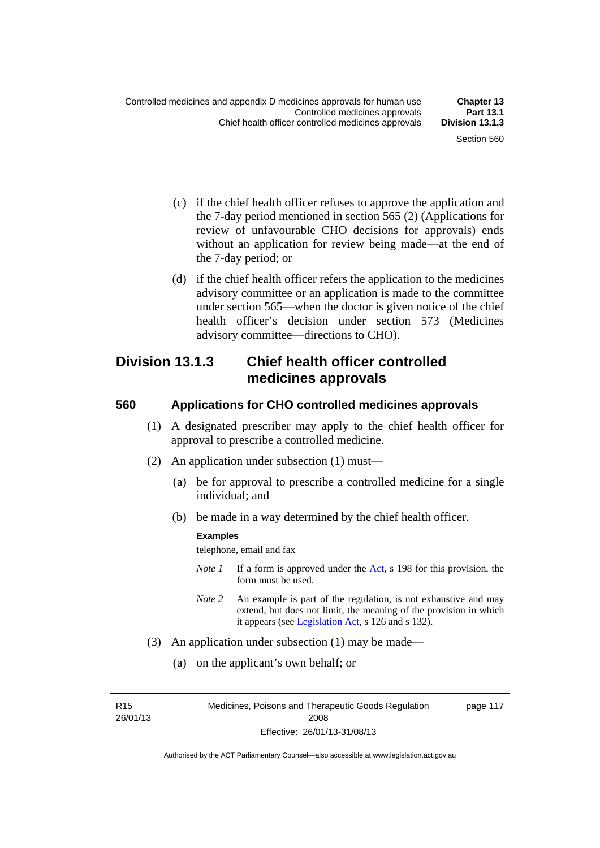- (c) if the chief health officer refuses to approve the application and the 7-day period mentioned in section 565 (2) (Applications for review of unfavourable CHO decisions for approvals) ends without an application for review being made—at the end of the 7-day period; or
- (d) if the chief health officer refers the application to the medicines advisory committee or an application is made to the committee under section 565—when the doctor is given notice of the chief health officer's decision under section 573 (Medicines advisory committee—directions to CHO).

# **Division 13.1.3 Chief health officer controlled medicines approvals**

# **560 Applications for CHO controlled medicines approvals**

- (1) A designated prescriber may apply to the chief health officer for approval to prescribe a controlled medicine.
- (2) An application under subsection (1) must—
	- (a) be for approval to prescribe a controlled medicine for a single individual; and
	- (b) be made in a way determined by the chief health officer.

#### **Examples**

telephone, email and fax

- *Note 1* If a form is approved under the [Act](http://www.legislation.act.gov.au/a/2008-26/default.asp), s 198 for this provision, the form must be used.
- *Note 2* An example is part of the regulation, is not exhaustive and may extend, but does not limit, the meaning of the provision in which it appears (see [Legislation Act,](http://www.legislation.act.gov.au/a/2001-14) s 126 and s 132).
- (3) An application under subsection (1) may be made—
	- (a) on the applicant's own behalf; or

R15 26/01/13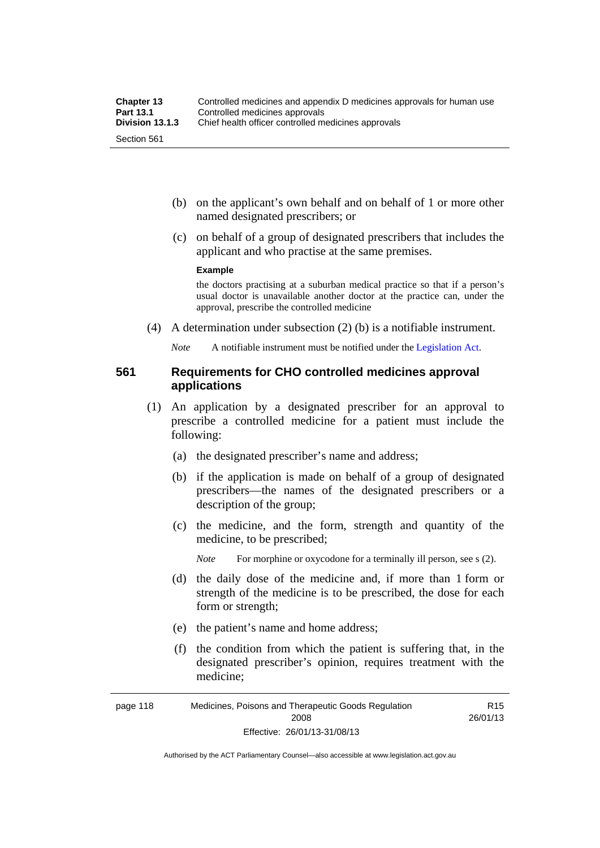- (b) on the applicant's own behalf and on behalf of 1 or more other named designated prescribers; or
- (c) on behalf of a group of designated prescribers that includes the applicant and who practise at the same premises.

#### **Example**

the doctors practising at a suburban medical practice so that if a person's usual doctor is unavailable another doctor at the practice can, under the approval, prescribe the controlled medicine

(4) A determination under subsection (2) (b) is a notifiable instrument.

*Note* A notifiable instrument must be notified under the [Legislation Act](http://www.legislation.act.gov.au/a/2001-14).

### **561 Requirements for CHO controlled medicines approval applications**

- (1) An application by a designated prescriber for an approval to prescribe a controlled medicine for a patient must include the following:
	- (a) the designated prescriber's name and address;
	- (b) if the application is made on behalf of a group of designated prescribers—the names of the designated prescribers or a description of the group;
	- (c) the medicine, and the form, strength and quantity of the medicine, to be prescribed;

*Note* For morphine or oxycodone for a terminally ill person, see s (2).

- (d) the daily dose of the medicine and, if more than 1 form or strength of the medicine is to be prescribed, the dose for each form or strength;
- (e) the patient's name and home address;
- (f) the condition from which the patient is suffering that, in the designated prescriber's opinion, requires treatment with the medicine;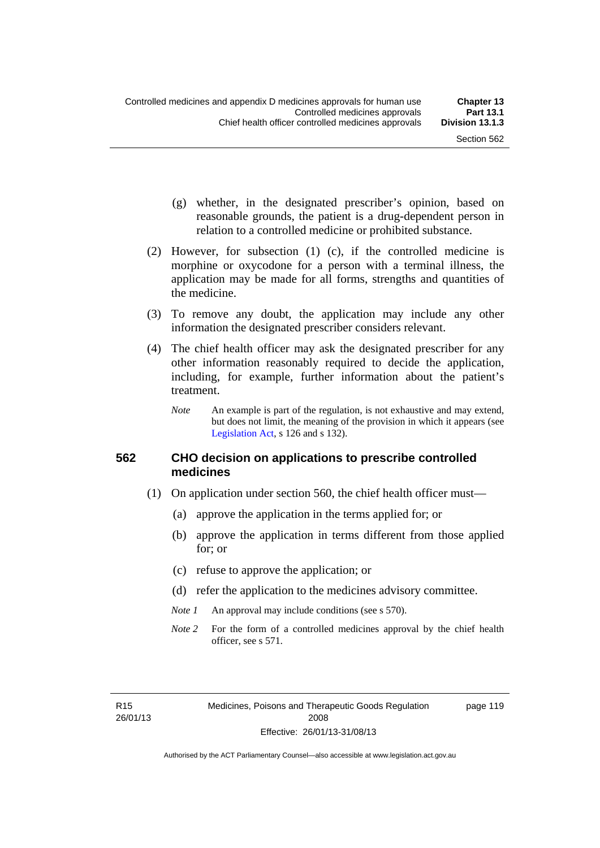- (g) whether, in the designated prescriber's opinion, based on reasonable grounds, the patient is a drug-dependent person in relation to a controlled medicine or prohibited substance.
- (2) However, for subsection (1) (c), if the controlled medicine is morphine or oxycodone for a person with a terminal illness, the application may be made for all forms, strengths and quantities of the medicine.
- (3) To remove any doubt, the application may include any other information the designated prescriber considers relevant.
- (4) The chief health officer may ask the designated prescriber for any other information reasonably required to decide the application, including, for example, further information about the patient's treatment.
	- *Note* An example is part of the regulation, is not exhaustive and may extend, but does not limit, the meaning of the provision in which it appears (see [Legislation Act,](http://www.legislation.act.gov.au/a/2001-14) s 126 and s 132).

### **562 CHO decision on applications to prescribe controlled medicines**

- (1) On application under section 560, the chief health officer must—
	- (a) approve the application in the terms applied for; or
	- (b) approve the application in terms different from those applied for; or
	- (c) refuse to approve the application; or
	- (d) refer the application to the medicines advisory committee.
	- *Note 1* An approval may include conditions (see s 570).
	- *Note* 2 For the form of a controlled medicines approval by the chief health officer, see s 571.

R15 26/01/13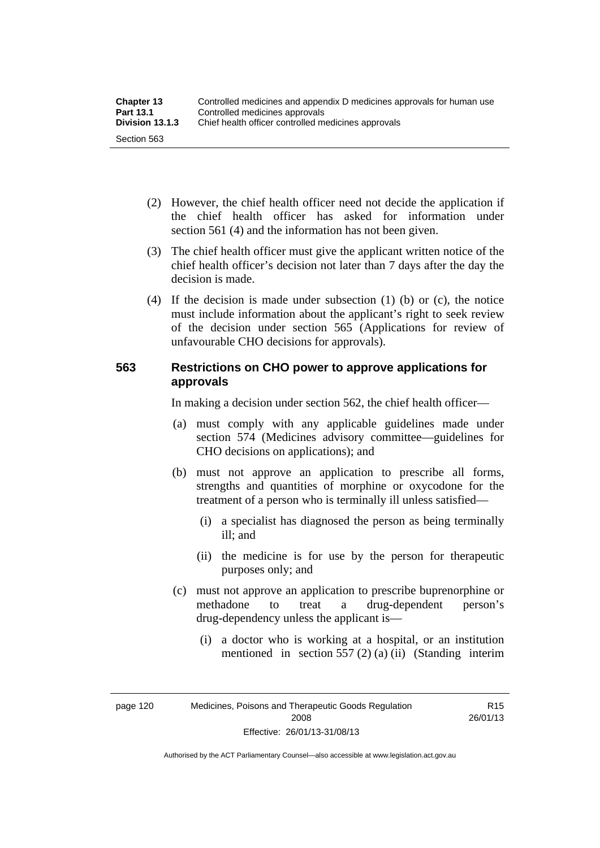| <b>Chapter 13</b> | Controlled medicines and appendix D medicines approvals for human use |  |
|-------------------|-----------------------------------------------------------------------|--|
| <b>Part 13.1</b>  | Controlled medicines approvals                                        |  |
| Division 13.1.3   | Chief health officer controlled medicines approvals                   |  |
| Section 563       |                                                                       |  |

- (2) However, the chief health officer need not decide the application if the chief health officer has asked for information under section 561 (4) and the information has not been given.
- (3) The chief health officer must give the applicant written notice of the chief health officer's decision not later than 7 days after the day the decision is made.
- (4) If the decision is made under subsection (1) (b) or (c), the notice must include information about the applicant's right to seek review of the decision under section 565 (Applications for review of unfavourable CHO decisions for approvals).

# **563 Restrictions on CHO power to approve applications for approvals**

In making a decision under section 562, the chief health officer—

- (a) must comply with any applicable guidelines made under section 574 (Medicines advisory committee—guidelines for CHO decisions on applications); and
- (b) must not approve an application to prescribe all forms, strengths and quantities of morphine or oxycodone for the treatment of a person who is terminally ill unless satisfied—
	- (i) a specialist has diagnosed the person as being terminally ill; and
	- (ii) the medicine is for use by the person for therapeutic purposes only; and
- (c) must not approve an application to prescribe buprenorphine or methadone to treat a drug-dependent person's drug-dependency unless the applicant is—
	- (i) a doctor who is working at a hospital, or an institution mentioned in section 557 (2) (a) (ii) (Standing interim

R15 26/01/13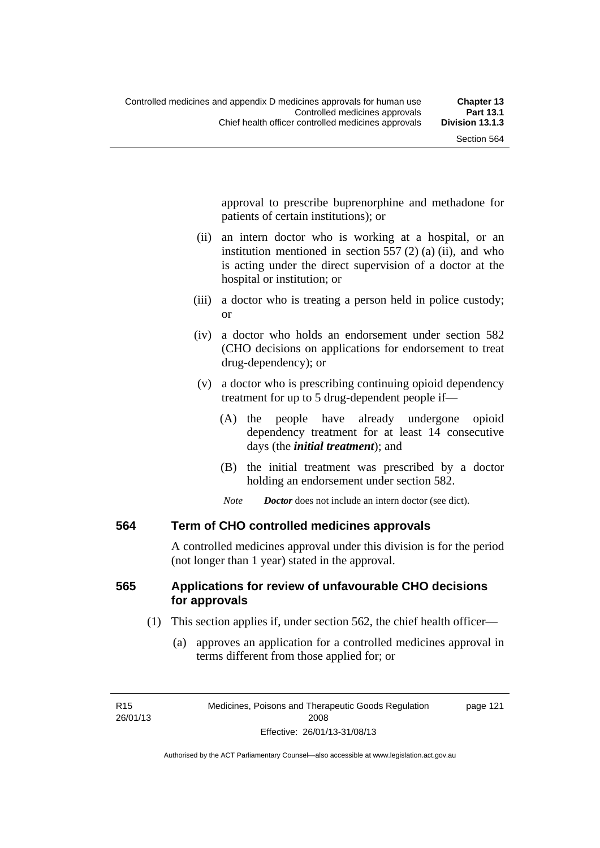approval to prescribe buprenorphine and methadone for patients of certain institutions); or

- (ii) an intern doctor who is working at a hospital, or an institution mentioned in section 557 (2) (a) (ii), and who is acting under the direct supervision of a doctor at the hospital or institution; or
- (iii) a doctor who is treating a person held in police custody; or
- (iv) a doctor who holds an endorsement under section 582 (CHO decisions on applications for endorsement to treat drug-dependency); or
- (v) a doctor who is prescribing continuing opioid dependency treatment for up to 5 drug-dependent people if—
	- (A) the people have already undergone opioid dependency treatment for at least 14 consecutive days (the *initial treatment*); and
	- (B) the initial treatment was prescribed by a doctor holding an endorsement under section 582.
	- *Note Doctor* does not include an intern doctor (see dict).

## **564 Term of CHO controlled medicines approvals**

A controlled medicines approval under this division is for the period (not longer than 1 year) stated in the approval.

## **565 Applications for review of unfavourable CHO decisions for approvals**

- (1) This section applies if, under section 562, the chief health officer—
	- (a) approves an application for a controlled medicines approval in terms different from those applied for; or

page 121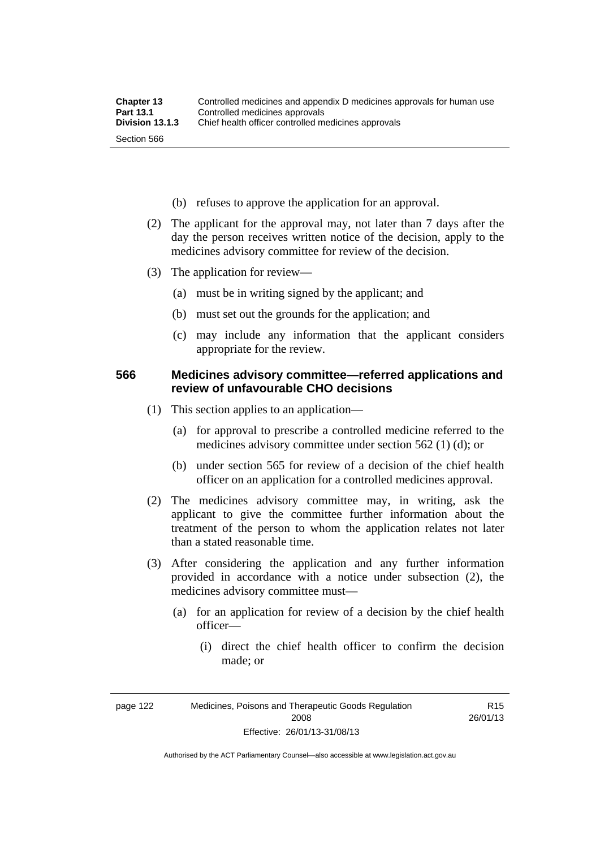- (b) refuses to approve the application for an approval.
- (2) The applicant for the approval may, not later than 7 days after the day the person receives written notice of the decision, apply to the medicines advisory committee for review of the decision.
- (3) The application for review—
	- (a) must be in writing signed by the applicant; and
	- (b) must set out the grounds for the application; and
	- (c) may include any information that the applicant considers appropriate for the review.

### **566 Medicines advisory committee—referred applications and review of unfavourable CHO decisions**

- (1) This section applies to an application—
	- (a) for approval to prescribe a controlled medicine referred to the medicines advisory committee under section 562 (1) (d); or
	- (b) under section 565 for review of a decision of the chief health officer on an application for a controlled medicines approval.
- (2) The medicines advisory committee may, in writing, ask the applicant to give the committee further information about the treatment of the person to whom the application relates not later than a stated reasonable time.
- (3) After considering the application and any further information provided in accordance with a notice under subsection (2), the medicines advisory committee must—
	- (a) for an application for review of a decision by the chief health officer—
		- (i) direct the chief health officer to confirm the decision made; or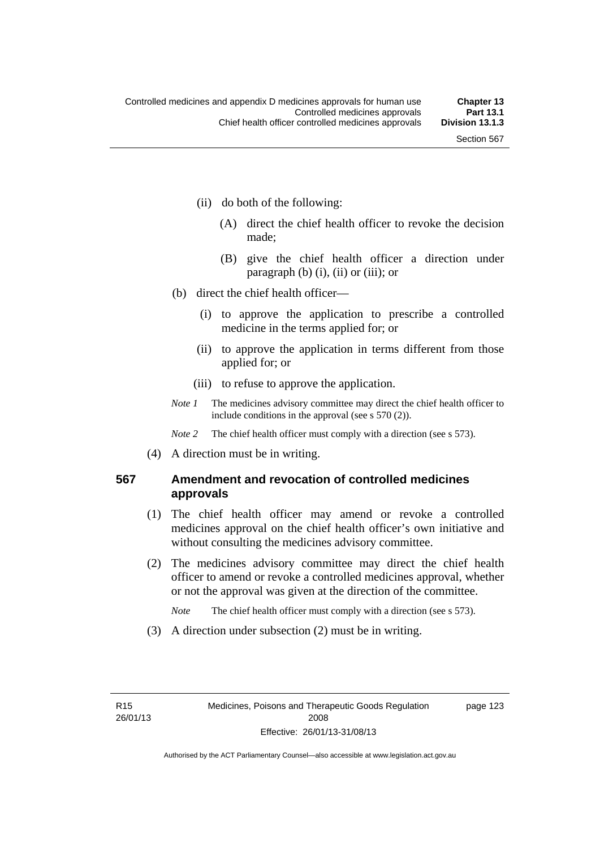- (ii) do both of the following:
	- (A) direct the chief health officer to revoke the decision made;
	- (B) give the chief health officer a direction under paragraph  $(b)$   $(i)$ ,  $(ii)$  or  $(iii)$ ; or
- (b) direct the chief health officer—
	- (i) to approve the application to prescribe a controlled medicine in the terms applied for; or
	- (ii) to approve the application in terms different from those applied for; or
	- (iii) to refuse to approve the application.
- *Note 1* The medicines advisory committee may direct the chief health officer to include conditions in the approval (see s 570 (2)).

*Note* 2 The chief health officer must comply with a direction (see s 573).

(4) A direction must be in writing.

## **567 Amendment and revocation of controlled medicines approvals**

- (1) The chief health officer may amend or revoke a controlled medicines approval on the chief health officer's own initiative and without consulting the medicines advisory committee.
- (2) The medicines advisory committee may direct the chief health officer to amend or revoke a controlled medicines approval, whether or not the approval was given at the direction of the committee.

*Note* The chief health officer must comply with a direction (see s 573).

(3) A direction under subsection (2) must be in writing.

page 123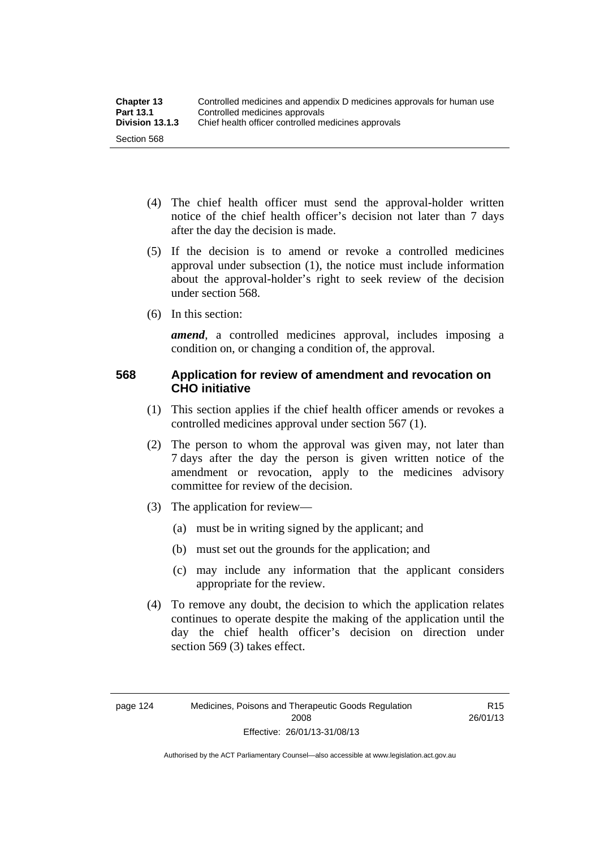- (4) The chief health officer must send the approval-holder written notice of the chief health officer's decision not later than 7 days after the day the decision is made.
- (5) If the decision is to amend or revoke a controlled medicines approval under subsection (1), the notice must include information about the approval-holder's right to seek review of the decision under section 568.
- (6) In this section:

*amend*, a controlled medicines approval, includes imposing a condition on, or changing a condition of, the approval.

## **568 Application for review of amendment and revocation on CHO initiative**

- (1) This section applies if the chief health officer amends or revokes a controlled medicines approval under section 567 (1).
- (2) The person to whom the approval was given may, not later than 7 days after the day the person is given written notice of the amendment or revocation, apply to the medicines advisory committee for review of the decision.
- (3) The application for review—
	- (a) must be in writing signed by the applicant; and
	- (b) must set out the grounds for the application; and
	- (c) may include any information that the applicant considers appropriate for the review.
- (4) To remove any doubt, the decision to which the application relates continues to operate despite the making of the application until the day the chief health officer's decision on direction under section 569 (3) takes effect.

R15 26/01/13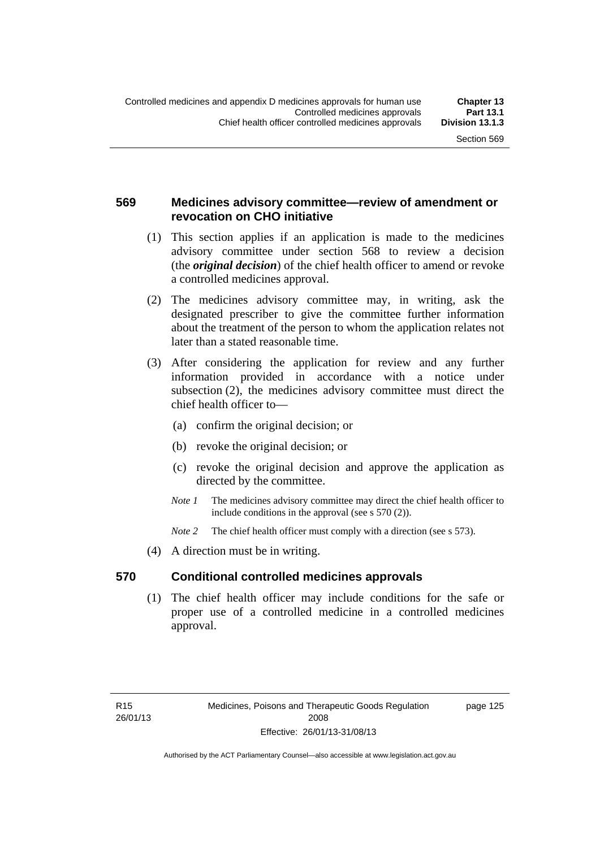## **569 Medicines advisory committee—review of amendment or revocation on CHO initiative**

- (1) This section applies if an application is made to the medicines advisory committee under section 568 to review a decision (the *original decision*) of the chief health officer to amend or revoke a controlled medicines approval.
- (2) The medicines advisory committee may, in writing, ask the designated prescriber to give the committee further information about the treatment of the person to whom the application relates not later than a stated reasonable time.
- (3) After considering the application for review and any further information provided in accordance with a notice under subsection (2), the medicines advisory committee must direct the chief health officer to—
	- (a) confirm the original decision; or
	- (b) revoke the original decision; or
	- (c) revoke the original decision and approve the application as directed by the committee.
	- *Note 1* The medicines advisory committee may direct the chief health officer to include conditions in the approval (see s 570 (2)).
	- *Note* 2 The chief health officer must comply with a direction (see s 573).
- (4) A direction must be in writing.

## **570 Conditional controlled medicines approvals**

(1) The chief health officer may include conditions for the safe or proper use of a controlled medicine in a controlled medicines approval.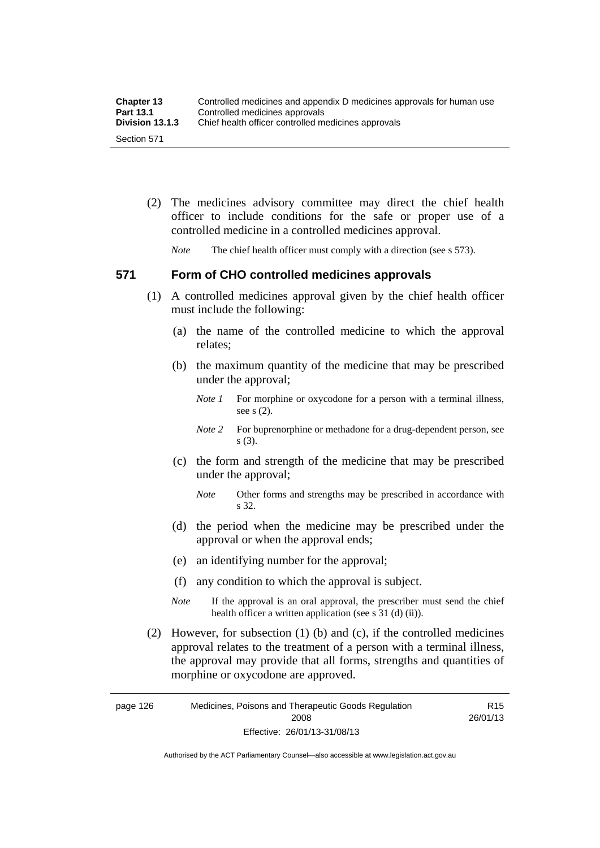| <b>Chapter 13</b> | Controlled medicines and appendix D medicines approvals for human use |
|-------------------|-----------------------------------------------------------------------|
| <b>Part 13.1</b>  | Controlled medicines approvals                                        |
| Division 13.1.3   | Chief health officer controlled medicines approvals                   |
| Section 571       |                                                                       |

 (2) The medicines advisory committee may direct the chief health officer to include conditions for the safe or proper use of a controlled medicine in a controlled medicines approval.

*Note* The chief health officer must comply with a direction (see s 573).

### **571 Form of CHO controlled medicines approvals**

- (1) A controlled medicines approval given by the chief health officer must include the following:
	- (a) the name of the controlled medicine to which the approval relates;
	- (b) the maximum quantity of the medicine that may be prescribed under the approval;
		- *Note 1* For morphine or oxycodone for a person with a terminal illness, see s (2).
		- *Note* 2 For buprenorphine or methadone for a drug-dependent person, see s (3).
	- (c) the form and strength of the medicine that may be prescribed under the approval;
		- *Note* Other forms and strengths may be prescribed in accordance with s 32.
	- (d) the period when the medicine may be prescribed under the approval or when the approval ends;
	- (e) an identifying number for the approval;
	- (f) any condition to which the approval is subject.
	- *Note* If the approval is an oral approval, the prescriber must send the chief health officer a written application (see s  $31$  (d) (ii)).
- (2) However, for subsection (1) (b) and (c), if the controlled medicines approval relates to the treatment of a person with a terminal illness, the approval may provide that all forms, strengths and quantities of morphine or oxycodone are approved.

page 126 Medicines, Poisons and Therapeutic Goods Regulation 2008 Effective: 26/01/13-31/08/13 R15 26/01/13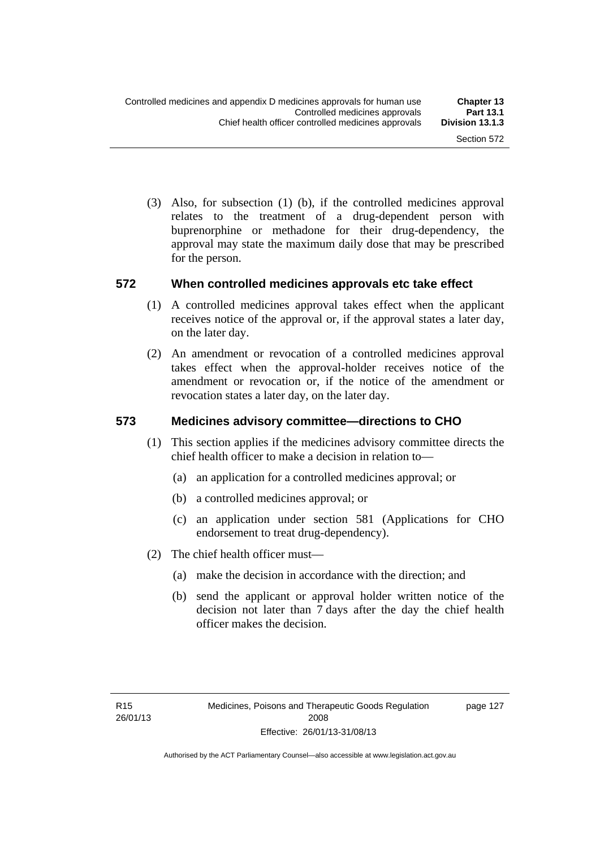(3) Also, for subsection (1) (b), if the controlled medicines approval relates to the treatment of a drug-dependent person with buprenorphine or methadone for their drug-dependency, the approval may state the maximum daily dose that may be prescribed for the person.

### **572 When controlled medicines approvals etc take effect**

- (1) A controlled medicines approval takes effect when the applicant receives notice of the approval or, if the approval states a later day, on the later day.
- (2) An amendment or revocation of a controlled medicines approval takes effect when the approval-holder receives notice of the amendment or revocation or, if the notice of the amendment or revocation states a later day, on the later day.

## **573 Medicines advisory committee—directions to CHO**

- (1) This section applies if the medicines advisory committee directs the chief health officer to make a decision in relation to—
	- (a) an application for a controlled medicines approval; or
	- (b) a controlled medicines approval; or
	- (c) an application under section 581 (Applications for CHO endorsement to treat drug-dependency).
- (2) The chief health officer must—
	- (a) make the decision in accordance with the direction; and
	- (b) send the applicant or approval holder written notice of the decision not later than 7 days after the day the chief health officer makes the decision.

page 127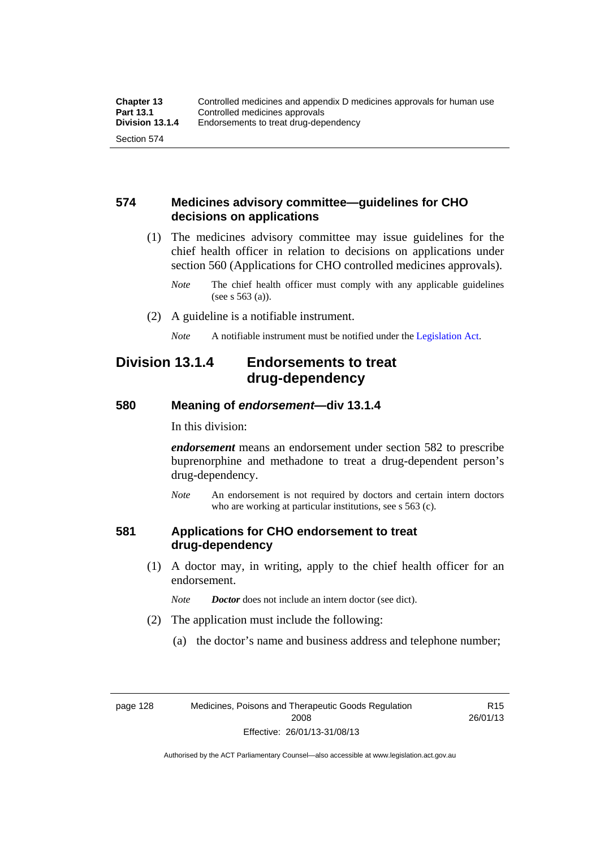## **574 Medicines advisory committee—guidelines for CHO decisions on applications**

 (1) The medicines advisory committee may issue guidelines for the chief health officer in relation to decisions on applications under section 560 (Applications for CHO controlled medicines approvals).

- (2) A guideline is a notifiable instrument.
	- *Note* A notifiable instrument must be notified under the [Legislation Act](http://www.legislation.act.gov.au/a/2001-14).

## **Division 13.1.4 Endorsements to treat drug-dependency**

### **580 Meaning of** *endorsement***—div 13.1.4**

In this division:

*endorsement* means an endorsement under section 582 to prescribe buprenorphine and methadone to treat a drug-dependent person's drug-dependency.

*Note* An endorsement is not required by doctors and certain intern doctors who are working at particular institutions, see s 563 (c).

### **581 Applications for CHO endorsement to treat drug-dependency**

 (1) A doctor may, in writing, apply to the chief health officer for an endorsement.

*Note Doctor* does not include an intern doctor (see dict).

- (2) The application must include the following:
	- (a) the doctor's name and business address and telephone number;

R15 26/01/13

*Note* The chief health officer must comply with any applicable guidelines (see s 563 (a)).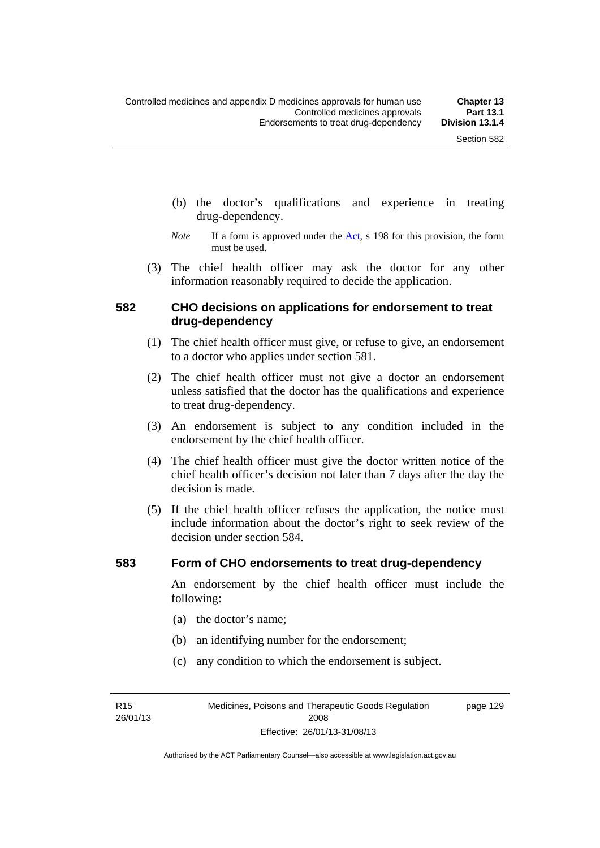- (b) the doctor's qualifications and experience in treating drug-dependency.
- *Note* If a form is approved under the [Act](http://www.legislation.act.gov.au/a/2008-26/default.asp), s 198 for this provision, the form must be used.
- (3) The chief health officer may ask the doctor for any other information reasonably required to decide the application.

## **582 CHO decisions on applications for endorsement to treat drug-dependency**

- (1) The chief health officer must give, or refuse to give, an endorsement to a doctor who applies under section 581.
- (2) The chief health officer must not give a doctor an endorsement unless satisfied that the doctor has the qualifications and experience to treat drug-dependency.
- (3) An endorsement is subject to any condition included in the endorsement by the chief health officer.
- (4) The chief health officer must give the doctor written notice of the chief health officer's decision not later than 7 days after the day the decision is made.
- (5) If the chief health officer refuses the application, the notice must include information about the doctor's right to seek review of the decision under section 584.

#### **583 Form of CHO endorsements to treat drug-dependency**

An endorsement by the chief health officer must include the following:

- (a) the doctor's name;
- (b) an identifying number for the endorsement;
- (c) any condition to which the endorsement is subject.

R15 26/01/13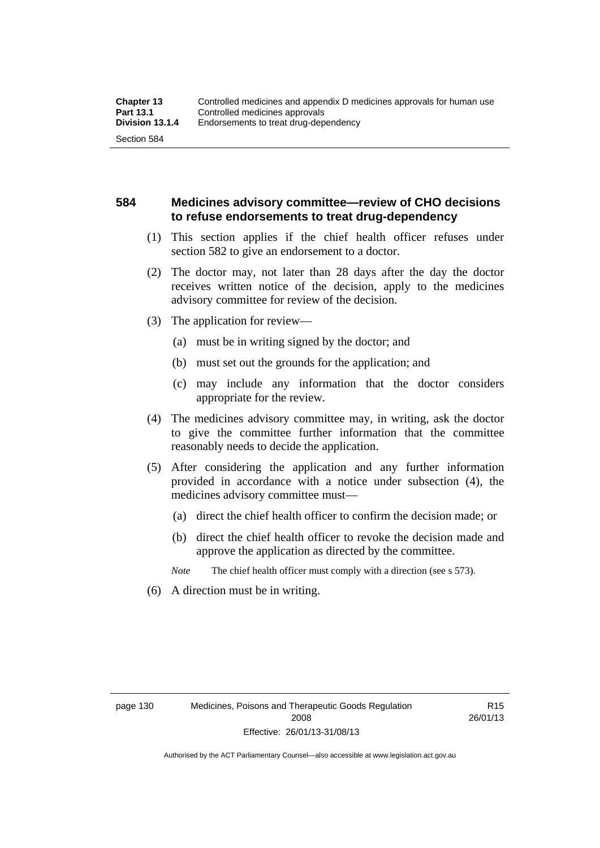## **584 Medicines advisory committee—review of CHO decisions to refuse endorsements to treat drug-dependency**

- (1) This section applies if the chief health officer refuses under section 582 to give an endorsement to a doctor.
- (2) The doctor may, not later than 28 days after the day the doctor receives written notice of the decision, apply to the medicines advisory committee for review of the decision.
- (3) The application for review—
	- (a) must be in writing signed by the doctor; and
	- (b) must set out the grounds for the application; and
	- (c) may include any information that the doctor considers appropriate for the review.
- (4) The medicines advisory committee may, in writing, ask the doctor to give the committee further information that the committee reasonably needs to decide the application.
- (5) After considering the application and any further information provided in accordance with a notice under subsection (4), the medicines advisory committee must—
	- (a) direct the chief health officer to confirm the decision made; or
	- (b) direct the chief health officer to revoke the decision made and approve the application as directed by the committee.

*Note* The chief health officer must comply with a direction (see s 573).

(6) A direction must be in writing.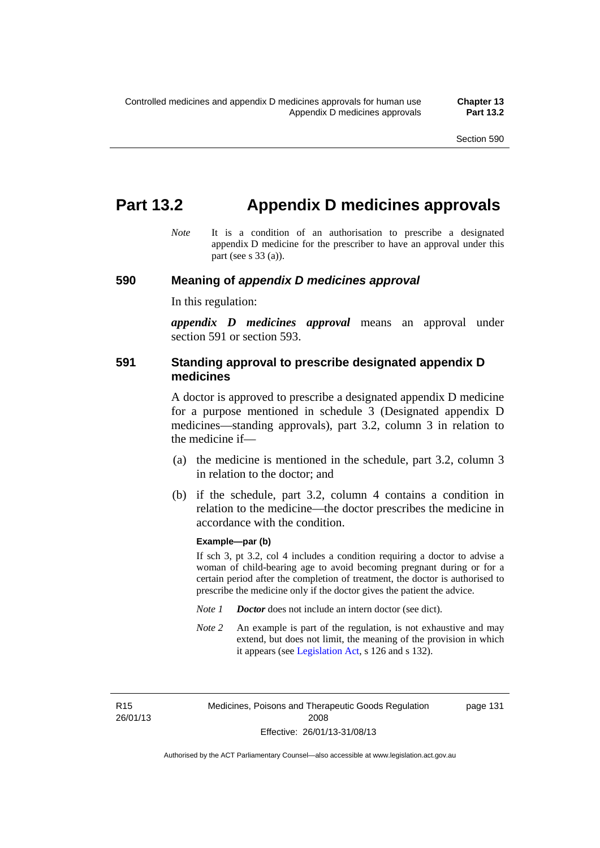page 131

## **Part 13.2 Appendix D medicines approvals**

*Note* It is a condition of an authorisation to prescribe a designated appendix D medicine for the prescriber to have an approval under this part (see s 33 (a)).

#### **590 Meaning of** *appendix D medicines approval*

In this regulation:

*appendix D medicines approval* means an approval under section 591 or section 593.

## **591 Standing approval to prescribe designated appendix D medicines**

A doctor is approved to prescribe a designated appendix D medicine for a purpose mentioned in schedule 3 (Designated appendix D medicines—standing approvals), part 3.2, column 3 in relation to the medicine if—

- (a) the medicine is mentioned in the schedule, part 3.2, column 3 in relation to the doctor; and
- (b) if the schedule, part 3.2, column 4 contains a condition in relation to the medicine—the doctor prescribes the medicine in accordance with the condition.

#### **Example—par (b)**

If sch 3, pt 3.2, col 4 includes a condition requiring a doctor to advise a woman of child-bearing age to avoid becoming pregnant during or for a certain period after the completion of treatment, the doctor is authorised to prescribe the medicine only if the doctor gives the patient the advice.

- *Note 1 Doctor* does not include an intern doctor (see dict).
- *Note 2* An example is part of the regulation, is not exhaustive and may extend, but does not limit, the meaning of the provision in which it appears (see [Legislation Act,](http://www.legislation.act.gov.au/a/2001-14) s 126 and s 132).

R15 26/01/13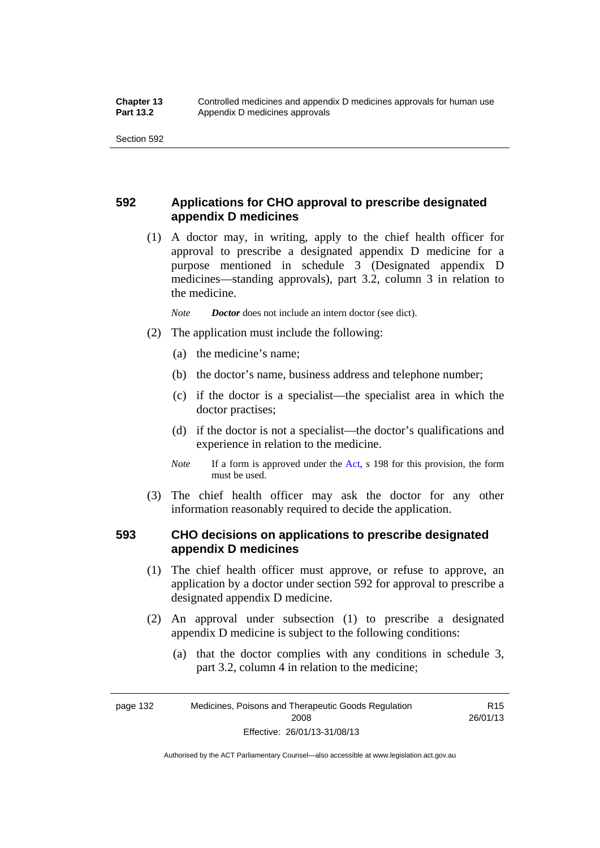## **592 Applications for CHO approval to prescribe designated appendix D medicines**

 (1) A doctor may, in writing, apply to the chief health officer for approval to prescribe a designated appendix D medicine for a purpose mentioned in schedule 3 (Designated appendix D medicines—standing approvals), part 3.2, column 3 in relation to the medicine.

*Note Doctor* does not include an intern doctor (see dict).

- (2) The application must include the following:
	- (a) the medicine's name;
	- (b) the doctor's name, business address and telephone number;
	- (c) if the doctor is a specialist—the specialist area in which the doctor practises;
	- (d) if the doctor is not a specialist—the doctor's qualifications and experience in relation to the medicine.
	- *Note* If a form is approved under the [Act](http://www.legislation.act.gov.au/a/2008-26/default.asp), s 198 for this provision, the form must be used.
- (3) The chief health officer may ask the doctor for any other information reasonably required to decide the application.

## **593 CHO decisions on applications to prescribe designated appendix D medicines**

- (1) The chief health officer must approve, or refuse to approve, an application by a doctor under section 592 for approval to prescribe a designated appendix D medicine.
- (2) An approval under subsection (1) to prescribe a designated appendix D medicine is subject to the following conditions:
	- (a) that the doctor complies with any conditions in schedule 3, part 3.2, column 4 in relation to the medicine;

R15 26/01/13

page 132 Medicines, Poisons and Therapeutic Goods Regulation 2008 Effective: 26/01/13-31/08/13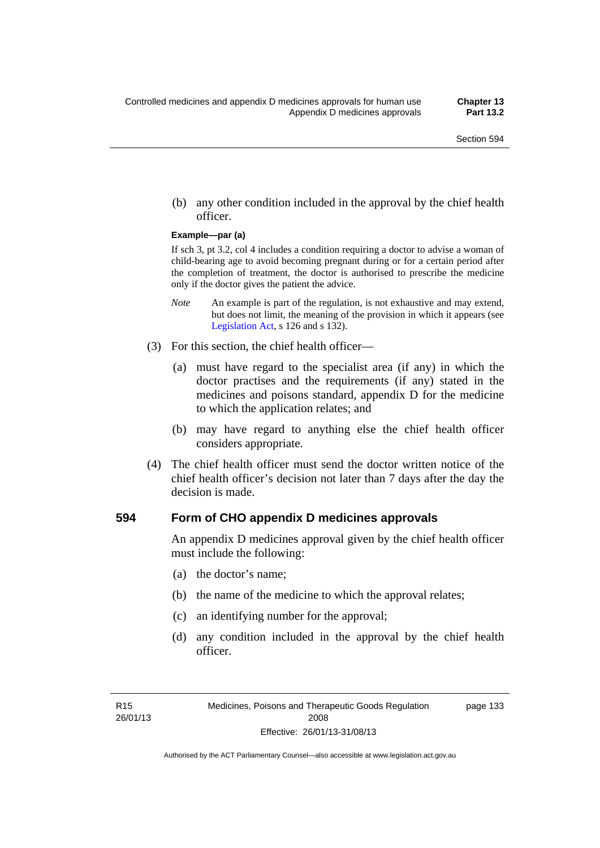(b) any other condition included in the approval by the chief health officer.

#### **Example—par (a)**

If sch 3, pt 3.2, col 4 includes a condition requiring a doctor to advise a woman of child-bearing age to avoid becoming pregnant during or for a certain period after the completion of treatment, the doctor is authorised to prescribe the medicine only if the doctor gives the patient the advice.

- *Note* An example is part of the regulation, is not exhaustive and may extend, but does not limit, the meaning of the provision in which it appears (see [Legislation Act,](http://www.legislation.act.gov.au/a/2001-14) s 126 and s 132).
- (3) For this section, the chief health officer—
	- (a) must have regard to the specialist area (if any) in which the doctor practises and the requirements (if any) stated in the medicines and poisons standard, appendix D for the medicine to which the application relates; and
	- (b) may have regard to anything else the chief health officer considers appropriate.
- (4) The chief health officer must send the doctor written notice of the chief health officer's decision not later than 7 days after the day the decision is made.

### **594 Form of CHO appendix D medicines approvals**

An appendix D medicines approval given by the chief health officer must include the following:

- (a) the doctor's name;
- (b) the name of the medicine to which the approval relates;
- (c) an identifying number for the approval;
- (d) any condition included in the approval by the chief health officer.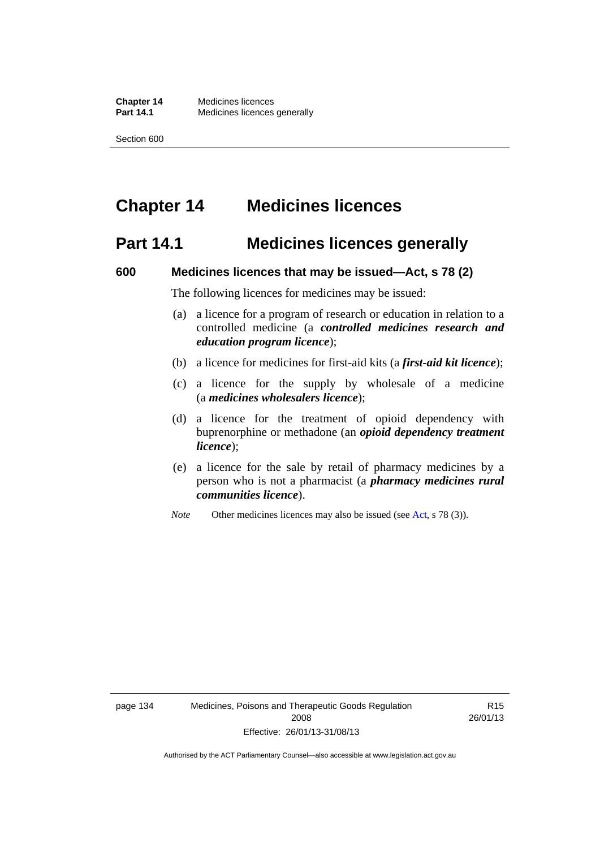# **Chapter 14 Medicines licences**

## **Part 14.1 Medicines licences generally**

### **600 Medicines licences that may be issued—Act, s 78 (2)**

The following licences for medicines may be issued:

- (a) a licence for a program of research or education in relation to a controlled medicine (a *controlled medicines research and education program licence*);
- (b) a licence for medicines for first-aid kits (a *first-aid kit licence*);
- (c) a licence for the supply by wholesale of a medicine (a *medicines wholesalers licence*);
- (d) a licence for the treatment of opioid dependency with buprenorphine or methadone (an *opioid dependency treatment licence*);
- (e) a licence for the sale by retail of pharmacy medicines by a person who is not a pharmacist (a *pharmacy medicines rural communities licence*).
- *Note* Other medicines licences may also be issued (see [Act,](http://www.legislation.act.gov.au/a/2008-26/default.asp) s 78 (3)).

R15 26/01/13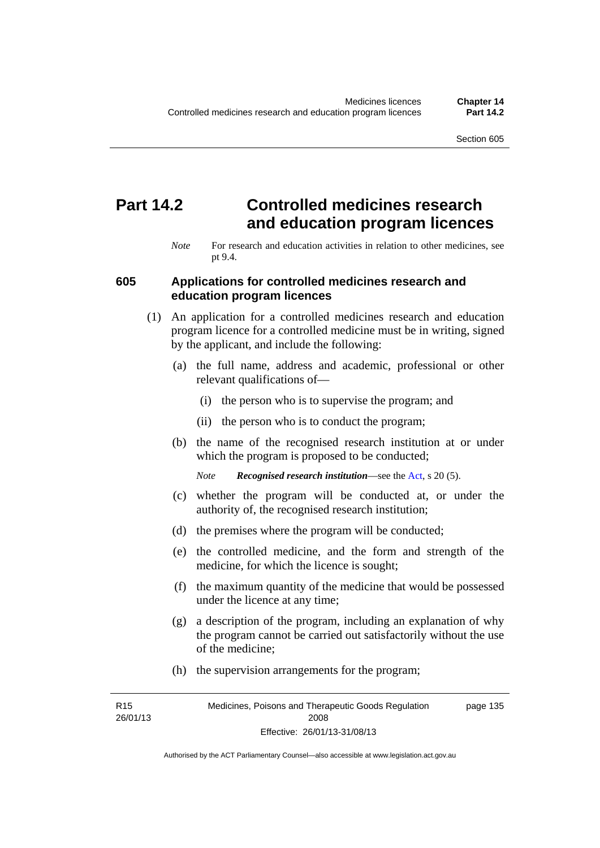# **Part 14.2 Controlled medicines research and education program licences**

*Note* For research and education activities in relation to other medicines, see pt 9.4.

### **605 Applications for controlled medicines research and education program licences**

- (1) An application for a controlled medicines research and education program licence for a controlled medicine must be in writing, signed by the applicant, and include the following:
	- (a) the full name, address and academic, professional or other relevant qualifications of—
		- (i) the person who is to supervise the program; and
		- (ii) the person who is to conduct the program;
	- (b) the name of the recognised research institution at or under which the program is proposed to be conducted;
		- *Note Recognised research institution*—see the [Act](http://www.legislation.act.gov.au/a/2008-26/default.asp), s 20 (5).
	- (c) whether the program will be conducted at, or under the authority of, the recognised research institution;
	- (d) the premises where the program will be conducted;
	- (e) the controlled medicine, and the form and strength of the medicine, for which the licence is sought;
	- (f) the maximum quantity of the medicine that would be possessed under the licence at any time;
	- (g) a description of the program, including an explanation of why the program cannot be carried out satisfactorily without the use of the medicine;
	- (h) the supervision arrangements for the program;

R15 26/01/13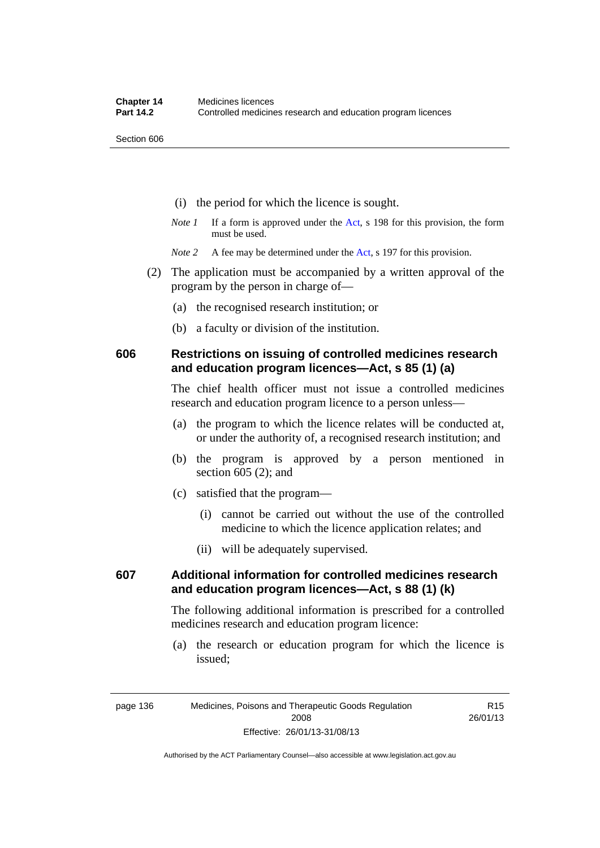- (i) the period for which the licence is sought.
- *Note 1* If a form is approved under the [Act](http://www.legislation.act.gov.au/a/2008-26/default.asp), s 198 for this provision, the form must be used.

*Note* 2 A fee may be determined under the [Act,](http://www.legislation.act.gov.au/a/2008-26/default.asp) s 197 for this provision.

- (2) The application must be accompanied by a written approval of the program by the person in charge of—
	- (a) the recognised research institution; or
	- (b) a faculty or division of the institution.

## **606 Restrictions on issuing of controlled medicines research and education program licences—Act, s 85 (1) (a)**

The chief health officer must not issue a controlled medicines research and education program licence to a person unless—

- (a) the program to which the licence relates will be conducted at, or under the authority of, a recognised research institution; and
- (b) the program is approved by a person mentioned in section 605 (2); and
- (c) satisfied that the program—
	- (i) cannot be carried out without the use of the controlled medicine to which the licence application relates; and
	- (ii) will be adequately supervised.

## **607 Additional information for controlled medicines research and education program licences—Act, s 88 (1) (k)**

The following additional information is prescribed for a controlled medicines research and education program licence:

 (a) the research or education program for which the licence is issued;

Authorised by the ACT Parliamentary Counsel—also accessible at www.legislation.act.gov.au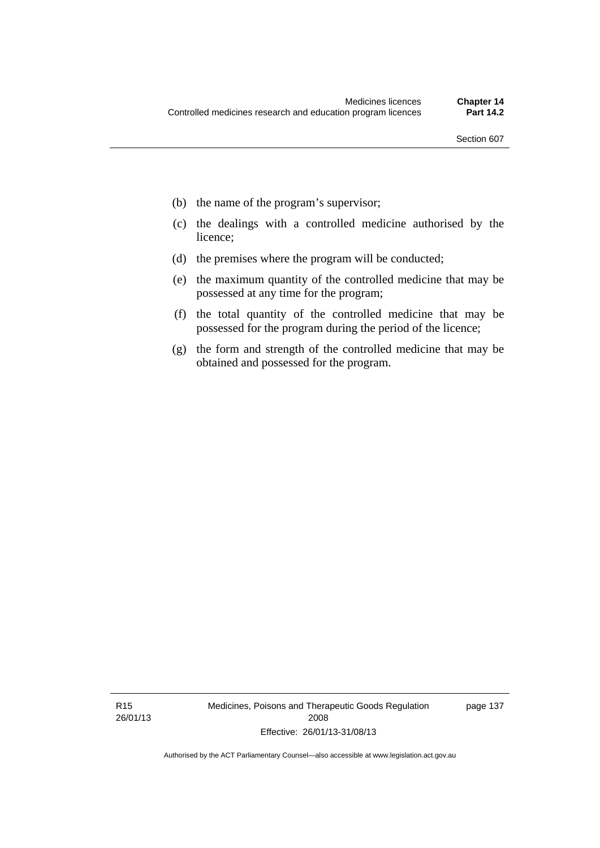- (b) the name of the program's supervisor;
- (c) the dealings with a controlled medicine authorised by the licence;
- (d) the premises where the program will be conducted;
- (e) the maximum quantity of the controlled medicine that may be possessed at any time for the program;
- (f) the total quantity of the controlled medicine that may be possessed for the program during the period of the licence;
- (g) the form and strength of the controlled medicine that may be obtained and possessed for the program.

R15 26/01/13 Medicines, Poisons and Therapeutic Goods Regulation 2008 Effective: 26/01/13-31/08/13

page 137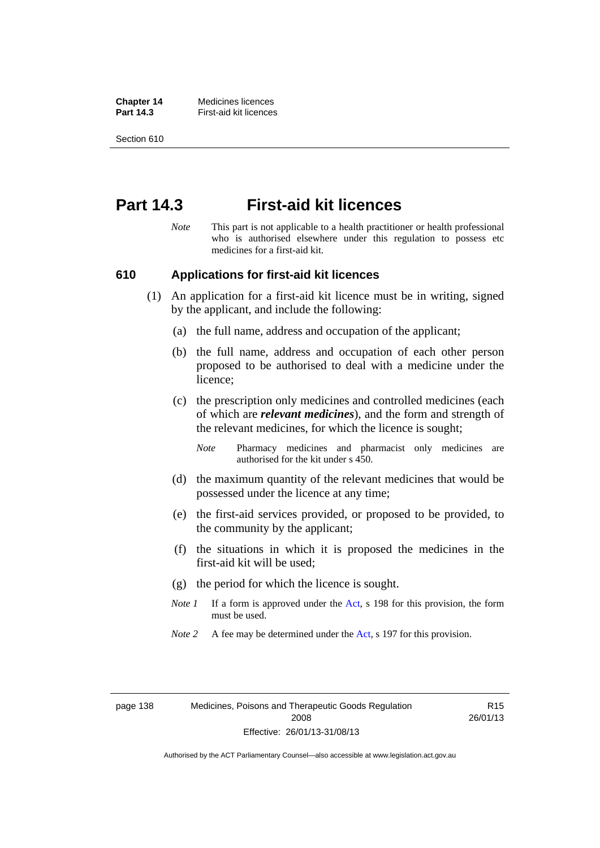**Chapter 14** Medicines licences **Part 14.3 First-aid kit licences** 

Section 610

## **Part 14.3 First-aid kit licences**

*Note* This part is not applicable to a health practitioner or health professional who is authorised elsewhere under this regulation to possess etc medicines for a first-aid kit.

### **610 Applications for first-aid kit licences**

- (1) An application for a first-aid kit licence must be in writing, signed by the applicant, and include the following:
	- (a) the full name, address and occupation of the applicant;
	- (b) the full name, address and occupation of each other person proposed to be authorised to deal with a medicine under the licence;
	- (c) the prescription only medicines and controlled medicines (each of which are *relevant medicines*), and the form and strength of the relevant medicines, for which the licence is sought;

*Note* Pharmacy medicines and pharmacist only medicines are authorised for the kit under s 450.

- (d) the maximum quantity of the relevant medicines that would be possessed under the licence at any time;
- (e) the first-aid services provided, or proposed to be provided, to the community by the applicant;
- (f) the situations in which it is proposed the medicines in the first-aid kit will be used;
- (g) the period for which the licence is sought.
- *Note 1* If a form is approved under the [Act](http://www.legislation.act.gov.au/a/2008-26/default.asp), s 198 for this provision, the form must be used.
- *Note 2* A fee may be determined under the [Act,](http://www.legislation.act.gov.au/a/2008-26/default.asp) s 197 for this provision.

page 138 Medicines, Poisons and Therapeutic Goods Regulation 2008 Effective: 26/01/13-31/08/13

R15 26/01/13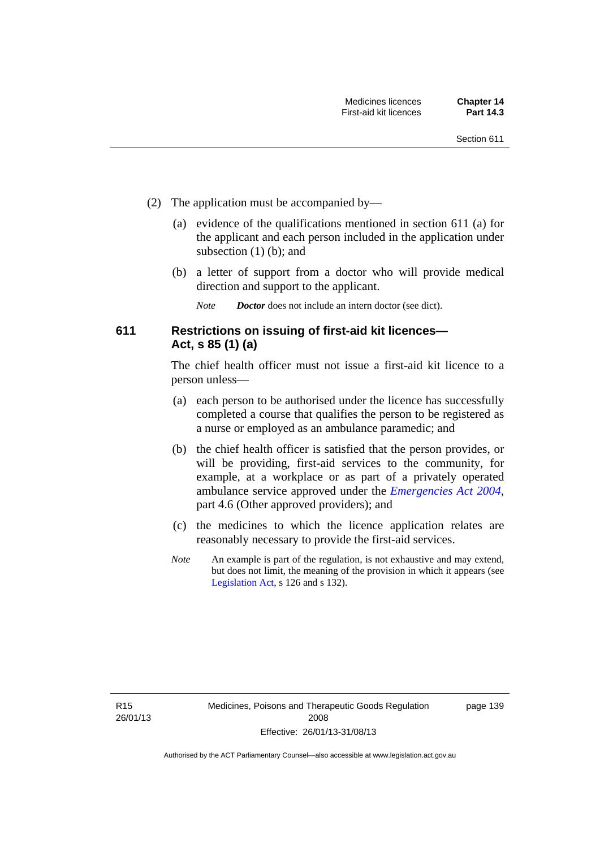- (2) The application must be accompanied by—
	- (a) evidence of the qualifications mentioned in section 611 (a) for the applicant and each person included in the application under subsection (1) (b); and
	- (b) a letter of support from a doctor who will provide medical direction and support to the applicant.
		- *Note Doctor* does not include an intern doctor (see dict).

## **611 Restrictions on issuing of first-aid kit licences— Act, s 85 (1) (a)**

The chief health officer must not issue a first-aid kit licence to a person unless—

- (a) each person to be authorised under the licence has successfully completed a course that qualifies the person to be registered as a nurse or employed as an ambulance paramedic; and
- (b) the chief health officer is satisfied that the person provides, or will be providing, first-aid services to the community, for example, at a workplace or as part of a privately operated ambulance service approved under the *[Emergencies Act 2004](http://www.legislation.act.gov.au/a/2004-28)*, part 4.6 (Other approved providers); and
- (c) the medicines to which the licence application relates are reasonably necessary to provide the first-aid services.
- *Note* An example is part of the regulation, is not exhaustive and may extend, but does not limit, the meaning of the provision in which it appears (see [Legislation Act,](http://www.legislation.act.gov.au/a/2001-14) s 126 and s 132).

page 139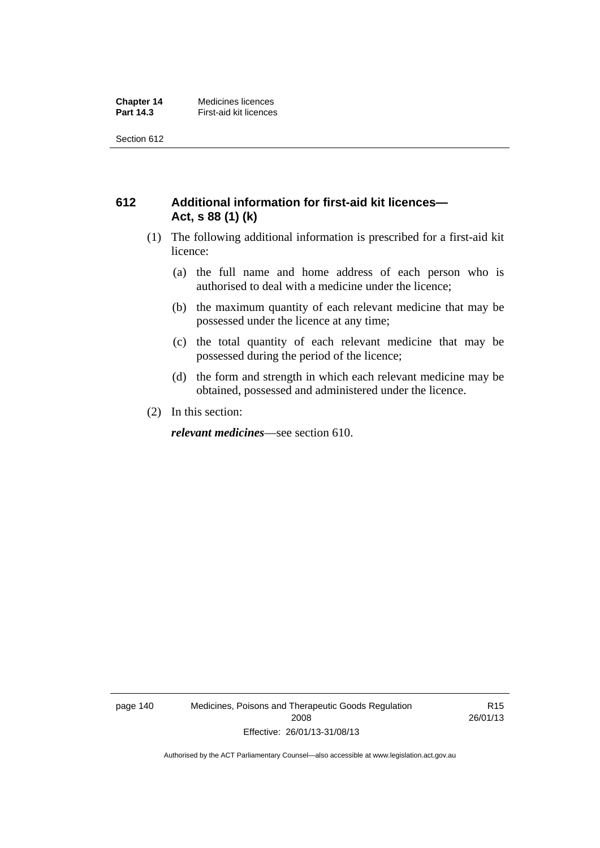## **612 Additional information for first-aid kit licences— Act, s 88 (1) (k)**

- (1) The following additional information is prescribed for a first-aid kit licence:
	- (a) the full name and home address of each person who is authorised to deal with a medicine under the licence;
	- (b) the maximum quantity of each relevant medicine that may be possessed under the licence at any time;
	- (c) the total quantity of each relevant medicine that may be possessed during the period of the licence;
	- (d) the form and strength in which each relevant medicine may be obtained, possessed and administered under the licence.
- (2) In this section:

*relevant medicines*—see section 610.

page 140 Medicines, Poisons and Therapeutic Goods Regulation 2008 Effective: 26/01/13-31/08/13

R15 26/01/13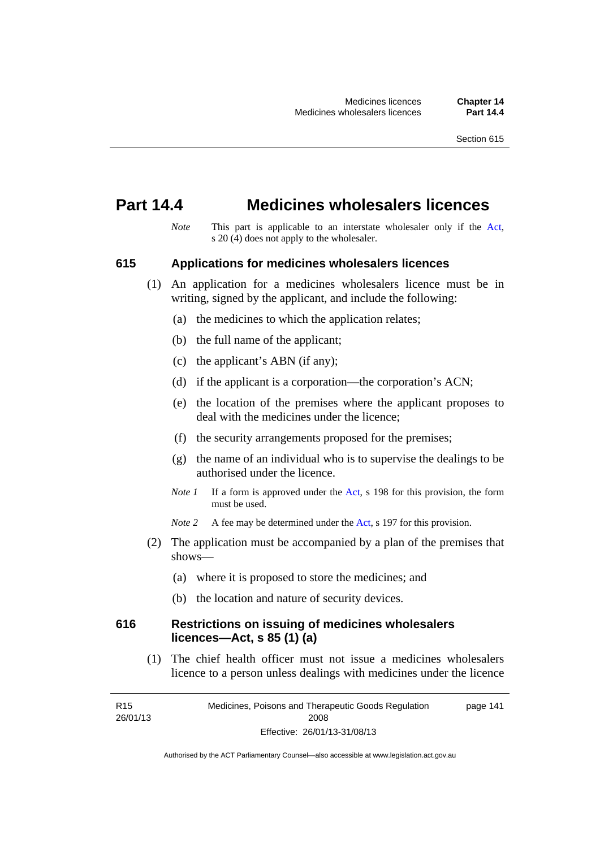## **Part 14.4 Medicines wholesalers licences**

*Note* This part is applicable to an interstate wholesaler only if the [Act,](http://www.legislation.act.gov.au/a/2008-26/default.asp) s  $20(4)$  does not apply to the wholesaler.

### **615 Applications for medicines wholesalers licences**

- (1) An application for a medicines wholesalers licence must be in writing, signed by the applicant, and include the following:
	- (a) the medicines to which the application relates;
	- (b) the full name of the applicant;
	- (c) the applicant's ABN (if any);
	- (d) if the applicant is a corporation—the corporation's ACN;
	- (e) the location of the premises where the applicant proposes to deal with the medicines under the licence;
	- (f) the security arrangements proposed for the premises;
	- (g) the name of an individual who is to supervise the dealings to be authorised under the licence.
	- *Note 1* If a form is approved under the [Act](http://www.legislation.act.gov.au/a/2008-26/default.asp), s 198 for this provision, the form must be used.
	- *Note* 2 A fee may be determined under the [Act,](http://www.legislation.act.gov.au/a/2008-26/default.asp) s 197 for this provision.
- (2) The application must be accompanied by a plan of the premises that shows—
	- (a) where it is proposed to store the medicines; and
	- (b) the location and nature of security devices.

### **616 Restrictions on issuing of medicines wholesalers licences—Act, s 85 (1) (a)**

 (1) The chief health officer must not issue a medicines wholesalers licence to a person unless dealings with medicines under the licence

R15 26/01/13 Medicines, Poisons and Therapeutic Goods Regulation 2008 Effective: 26/01/13-31/08/13 page 141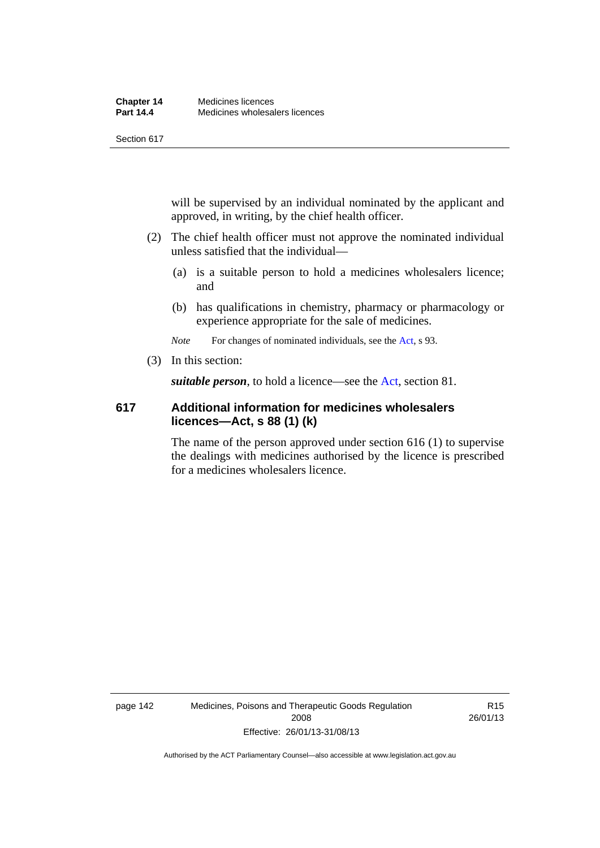will be supervised by an individual nominated by the applicant and approved, in writing, by the chief health officer.

- (2) The chief health officer must not approve the nominated individual unless satisfied that the individual—
	- (a) is a suitable person to hold a medicines wholesalers licence; and
	- (b) has qualifications in chemistry, pharmacy or pharmacology or experience appropriate for the sale of medicines.

*Note* For changes of nominated individuals, see the [Act,](http://www.legislation.act.gov.au/a/2008-26/default.asp) s 93.

(3) In this section:

*suitable person*, to hold a licence—see the [Act](http://www.legislation.act.gov.au/a/2008-26/default.asp), section 81.

## **617 Additional information for medicines wholesalers licences—Act, s 88 (1) (k)**

The name of the person approved under section 616 (1) to supervise the dealings with medicines authorised by the licence is prescribed for a medicines wholesalers licence.

page 142 Medicines, Poisons and Therapeutic Goods Regulation 2008 Effective: 26/01/13-31/08/13

R15 26/01/13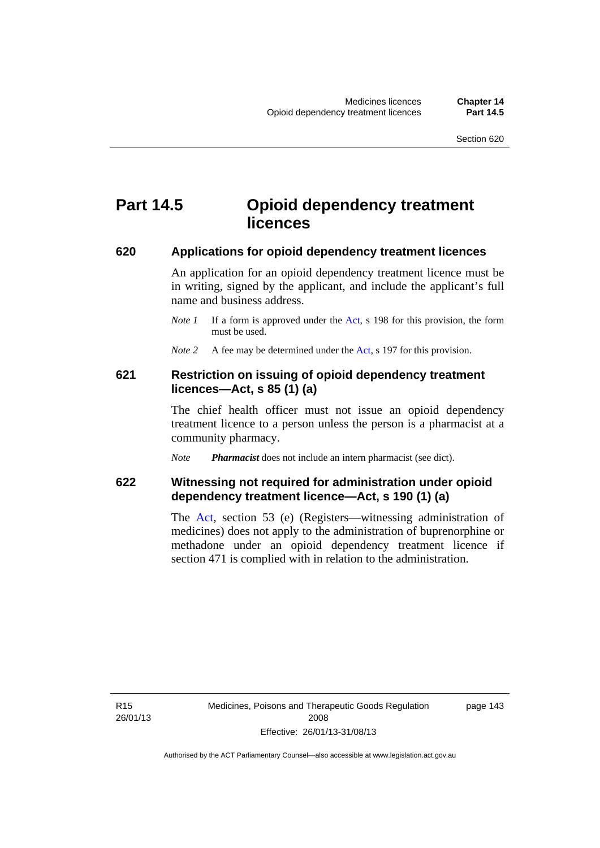## **Part 14.5 Opioid dependency treatment licences**

#### **620 Applications for opioid dependency treatment licences**

An application for an opioid dependency treatment licence must be in writing, signed by the applicant, and include the applicant's full name and business address.

- *Note 1* If a form is approved under the [Act](http://www.legislation.act.gov.au/a/2008-26/default.asp), s 198 for this provision, the form must be used.
- *Note 2* A fee may be determined under the [Act,](http://www.legislation.act.gov.au/a/2008-26/default.asp) s 197 for this provision.

## **621 Restriction on issuing of opioid dependency treatment licences—Act, s 85 (1) (a)**

The chief health officer must not issue an opioid dependency treatment licence to a person unless the person is a pharmacist at a community pharmacy.

*Note Pharmacist* does not include an intern pharmacist (see dict).

## **622 Witnessing not required for administration under opioid dependency treatment licence—Act, s 190 (1) (a)**

The [Act,](http://www.legislation.act.gov.au/a/2008-26/default.asp) section 53 (e) (Registers—witnessing administration of medicines) does not apply to the administration of buprenorphine or methadone under an opioid dependency treatment licence if section 471 is complied with in relation to the administration.

R15 26/01/13 page 143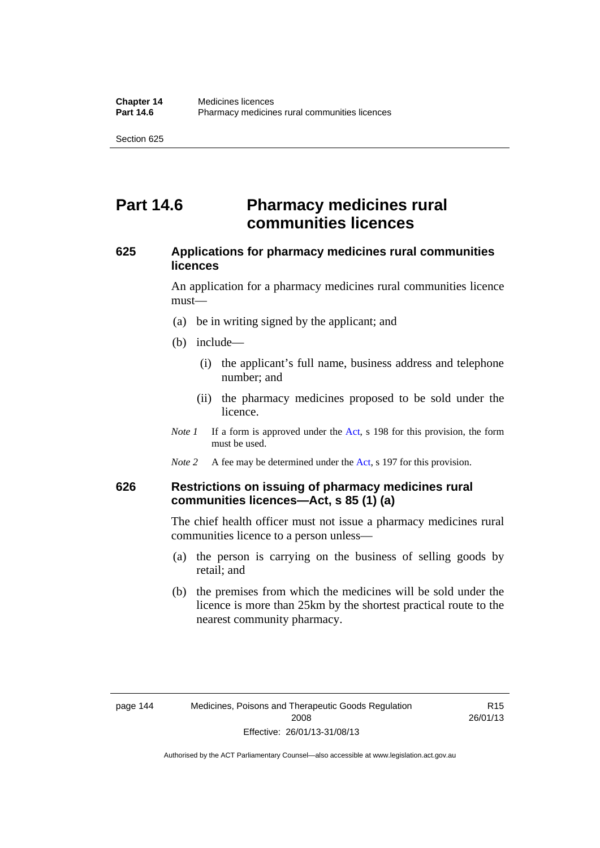## **Part 14.6 Pharmacy medicines rural communities licences**

## **625 Applications for pharmacy medicines rural communities licences**

An application for a pharmacy medicines rural communities licence must—

- (a) be in writing signed by the applicant; and
- (b) include—
	- (i) the applicant's full name, business address and telephone number; and
	- (ii) the pharmacy medicines proposed to be sold under the licence.
- *Note 1* If a form is approved under the [Act](http://www.legislation.act.gov.au/a/2008-26/default.asp), s 198 for this provision, the form must be used.
- *Note 2* A fee may be determined under the [Act,](http://www.legislation.act.gov.au/a/2008-26/default.asp) s 197 for this provision.

## **626 Restrictions on issuing of pharmacy medicines rural communities licences—Act, s 85 (1) (a)**

The chief health officer must not issue a pharmacy medicines rural communities licence to a person unless—

- (a) the person is carrying on the business of selling goods by retail; and
- (b) the premises from which the medicines will be sold under the licence is more than 25km by the shortest practical route to the nearest community pharmacy.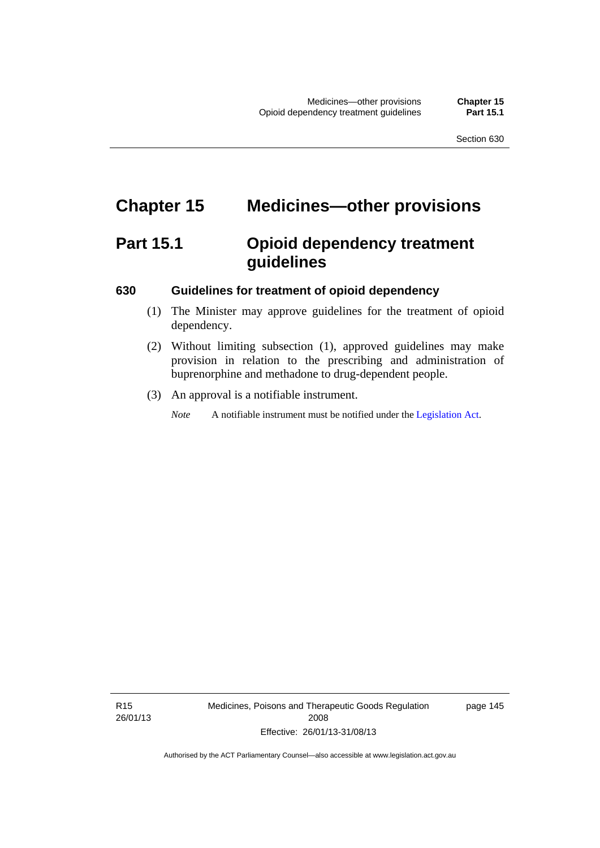# **Chapter 15 Medicines—other provisions**

# **Part 15.1 Opioid dependency treatment guidelines**

## **630 Guidelines for treatment of opioid dependency**

- (1) The Minister may approve guidelines for the treatment of opioid dependency.
- (2) Without limiting subsection (1), approved guidelines may make provision in relation to the prescribing and administration of buprenorphine and methadone to drug-dependent people.
- (3) An approval is a notifiable instrument.

*Note* A notifiable instrument must be notified under the [Legislation Act](http://www.legislation.act.gov.au/a/2001-14).

R15 26/01/13 Medicines, Poisons and Therapeutic Goods Regulation 2008 Effective: 26/01/13-31/08/13

page 145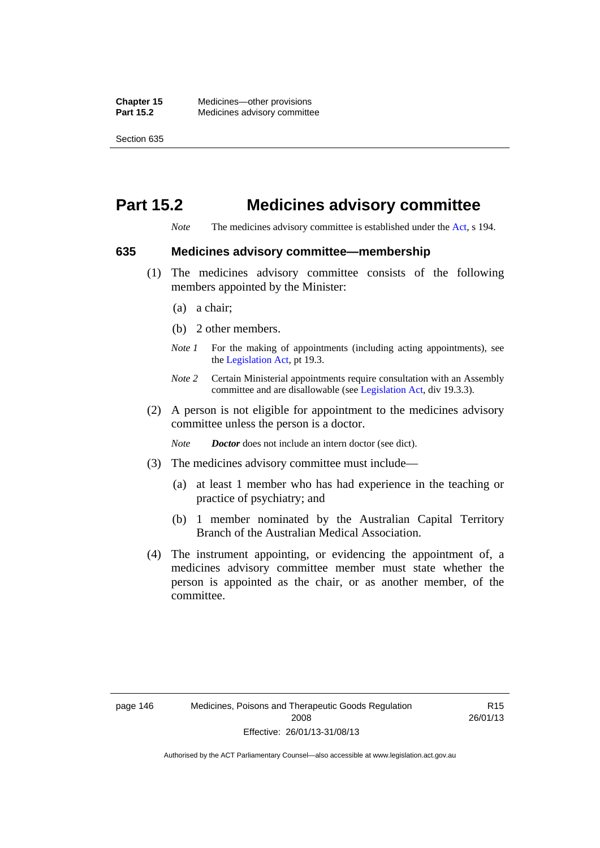# **Part 15.2 Medicines advisory committee**

*Note* The medicines advisory committee is established under the [Act](http://www.legislation.act.gov.au/a/2008-26/default.asp), s 194.

#### **635 Medicines advisory committee—membership**

- (1) The medicines advisory committee consists of the following members appointed by the Minister:
	- (a) a chair;
	- (b) 2 other members.
	- *Note 1* For the making of appointments (including acting appointments), see the [Legislation Act,](http://www.legislation.act.gov.au/a/2001-14) pt 19.3.
	- *Note 2* Certain Ministerial appointments require consultation with an Assembly committee and are disallowable (see [Legislation Act,](http://www.legislation.act.gov.au/a/2001-14) div 19.3.3).
- (2) A person is not eligible for appointment to the medicines advisory committee unless the person is a doctor.

*Note Doctor* does not include an intern doctor (see dict).

- (3) The medicines advisory committee must include—
	- (a) at least 1 member who has had experience in the teaching or practice of psychiatry; and
	- (b) 1 member nominated by the Australian Capital Territory Branch of the Australian Medical Association.
- (4) The instrument appointing, or evidencing the appointment of, a medicines advisory committee member must state whether the person is appointed as the chair, or as another member, of the committee.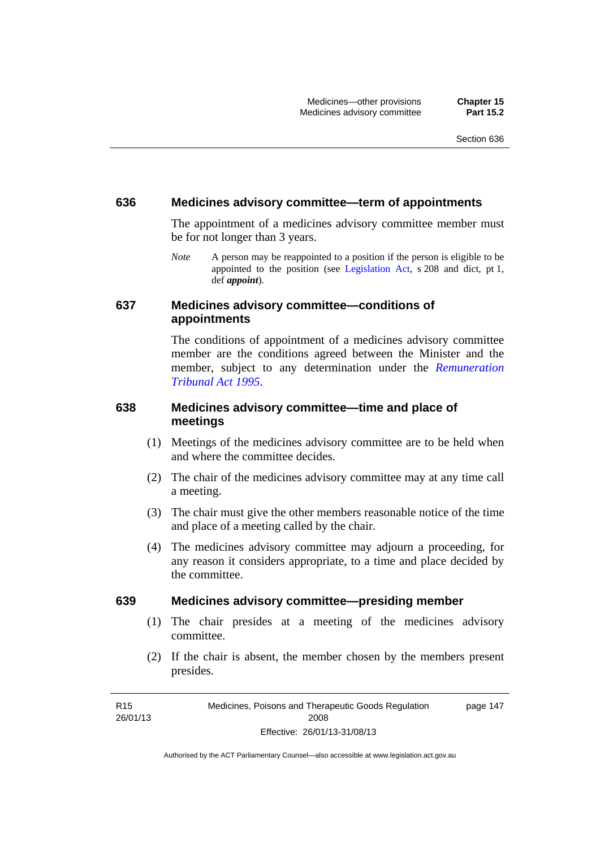### **636 Medicines advisory committee—term of appointments**

The appointment of a medicines advisory committee member must be for not longer than 3 years.

*Note* A person may be reappointed to a position if the person is eligible to be appointed to the position (see [Legislation Act,](http://www.legislation.act.gov.au/a/2001-14) s 208 and dict, pt 1, def *appoint*).

## **637 Medicines advisory committee—conditions of appointments**

The conditions of appointment of a medicines advisory committee member are the conditions agreed between the Minister and the member, subject to any determination under the *[Remuneration](http://www.legislation.act.gov.au/a/1995-55)  [Tribunal Act 1995](http://www.legislation.act.gov.au/a/1995-55)*.

## **638 Medicines advisory committee—time and place of meetings**

- (1) Meetings of the medicines advisory committee are to be held when and where the committee decides.
- (2) The chair of the medicines advisory committee may at any time call a meeting.
- (3) The chair must give the other members reasonable notice of the time and place of a meeting called by the chair.
- (4) The medicines advisory committee may adjourn a proceeding, for any reason it considers appropriate, to a time and place decided by the committee.

#### **639 Medicines advisory committee—presiding member**

- (1) The chair presides at a meeting of the medicines advisory committee.
- (2) If the chair is absent, the member chosen by the members present presides.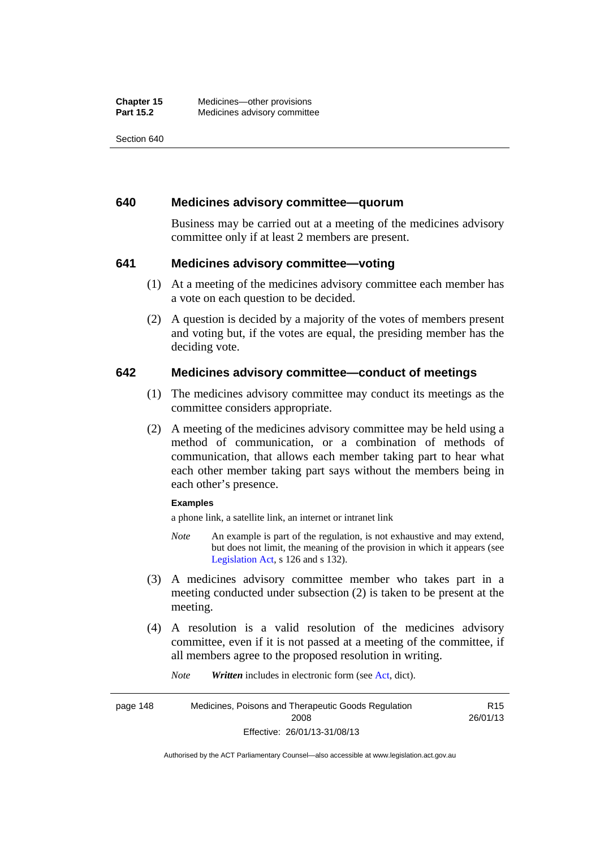## **640 Medicines advisory committee—quorum**

Business may be carried out at a meeting of the medicines advisory committee only if at least 2 members are present.

## **641 Medicines advisory committee—voting**

- (1) At a meeting of the medicines advisory committee each member has a vote on each question to be decided.
- (2) A question is decided by a majority of the votes of members present and voting but, if the votes are equal, the presiding member has the deciding vote.

## **642 Medicines advisory committee—conduct of meetings**

- (1) The medicines advisory committee may conduct its meetings as the committee considers appropriate.
- (2) A meeting of the medicines advisory committee may be held using a method of communication, or a combination of methods of communication, that allows each member taking part to hear what each other member taking part says without the members being in each other's presence.

#### **Examples**

a phone link, a satellite link, an internet or intranet link

- *Note* An example is part of the regulation, is not exhaustive and may extend, but does not limit, the meaning of the provision in which it appears (see [Legislation Act,](http://www.legislation.act.gov.au/a/2001-14) s 126 and s 132).
- (3) A medicines advisory committee member who takes part in a meeting conducted under subsection (2) is taken to be present at the meeting.
- (4) A resolution is a valid resolution of the medicines advisory committee, even if it is not passed at a meeting of the committee, if all members agree to the proposed resolution in writing.

*Note Written* includes in electronic form (see [Act,](http://www.legislation.act.gov.au/a/2008-26/default.asp) dict).

page 148 Medicines, Poisons and Therapeutic Goods Regulation 2008 Effective: 26/01/13-31/08/13 R15 26/01/13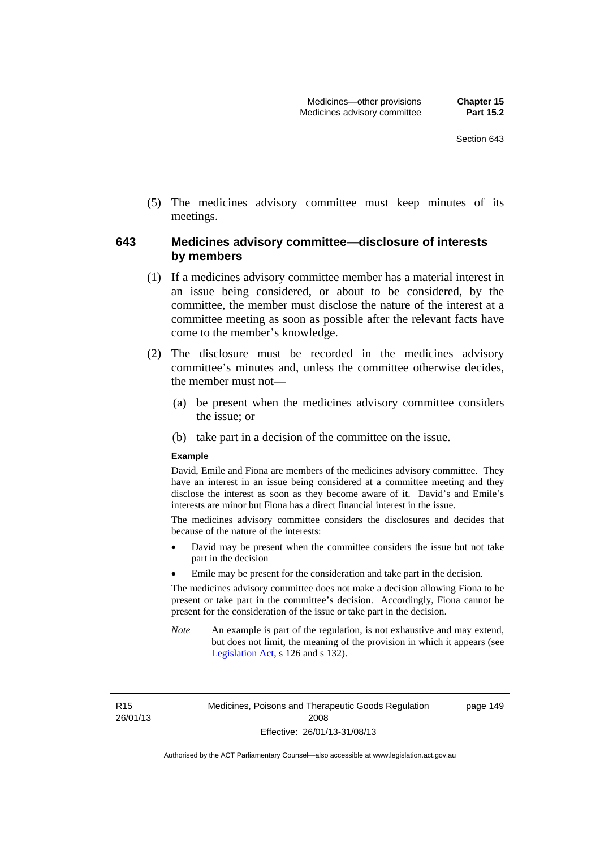(5) The medicines advisory committee must keep minutes of its meetings.

## **643 Medicines advisory committee—disclosure of interests by members**

- (1) If a medicines advisory committee member has a material interest in an issue being considered, or about to be considered, by the committee, the member must disclose the nature of the interest at a committee meeting as soon as possible after the relevant facts have come to the member's knowledge.
- (2) The disclosure must be recorded in the medicines advisory committee's minutes and, unless the committee otherwise decides, the member must not—
	- (a) be present when the medicines advisory committee considers the issue; or
	- (b) take part in a decision of the committee on the issue.

#### **Example**

David, Emile and Fiona are members of the medicines advisory committee. They have an interest in an issue being considered at a committee meeting and they disclose the interest as soon as they become aware of it. David's and Emile's interests are minor but Fiona has a direct financial interest in the issue.

The medicines advisory committee considers the disclosures and decides that because of the nature of the interests:

- David may be present when the committee considers the issue but not take part in the decision
- Emile may be present for the consideration and take part in the decision.

The medicines advisory committee does not make a decision allowing Fiona to be present or take part in the committee's decision. Accordingly, Fiona cannot be present for the consideration of the issue or take part in the decision.

*Note* An example is part of the regulation, is not exhaustive and may extend, but does not limit, the meaning of the provision in which it appears (see [Legislation Act,](http://www.legislation.act.gov.au/a/2001-14) s 126 and s 132).

R15 26/01/13 page 149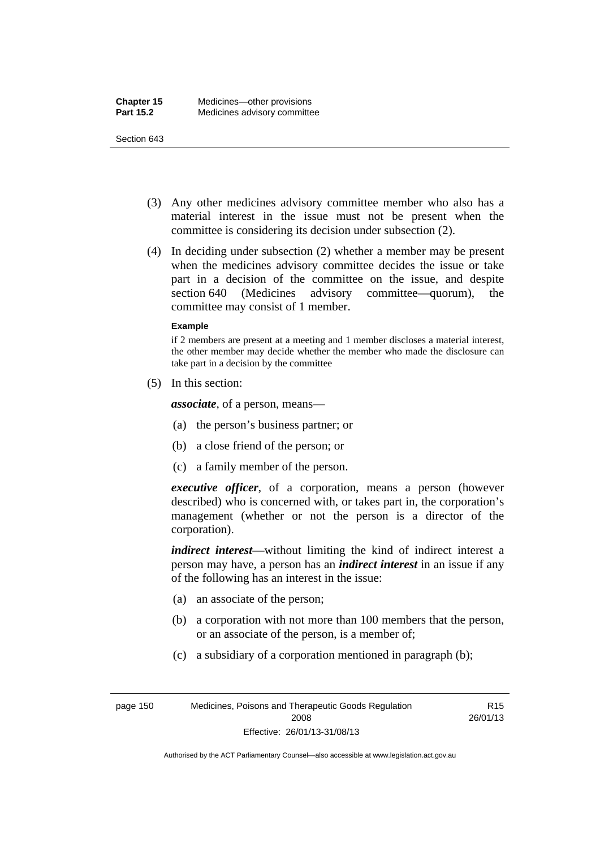- (3) Any other medicines advisory committee member who also has a material interest in the issue must not be present when the committee is considering its decision under subsection (2).
- (4) In deciding under subsection (2) whether a member may be present when the medicines advisory committee decides the issue or take part in a decision of the committee on the issue, and despite section 640 (Medicines advisory committee—quorum), the committee may consist of 1 member.

#### **Example**

if 2 members are present at a meeting and 1 member discloses a material interest, the other member may decide whether the member who made the disclosure can take part in a decision by the committee

(5) In this section:

*associate*, of a person, means—

- (a) the person's business partner; or
- (b) a close friend of the person; or
- (c) a family member of the person.

*executive officer*, of a corporation, means a person (however described) who is concerned with, or takes part in, the corporation's management (whether or not the person is a director of the corporation).

*indirect interest*—without limiting the kind of indirect interest a person may have, a person has an *indirect interest* in an issue if any of the following has an interest in the issue:

- (a) an associate of the person;
- (b) a corporation with not more than 100 members that the person, or an associate of the person, is a member of;
- (c) a subsidiary of a corporation mentioned in paragraph (b);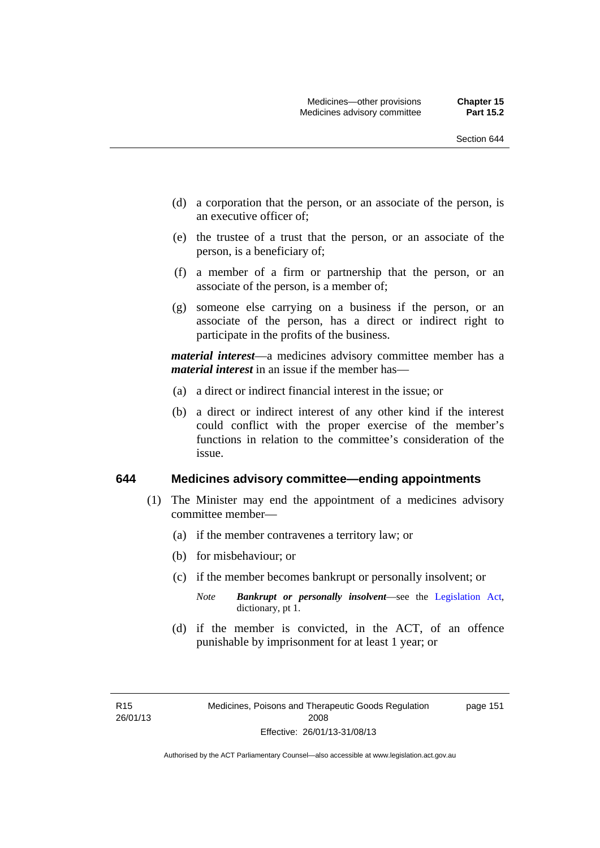- (d) a corporation that the person, or an associate of the person, is an executive officer of;
- (e) the trustee of a trust that the person, or an associate of the person, is a beneficiary of;
- (f) a member of a firm or partnership that the person, or an associate of the person, is a member of;
- (g) someone else carrying on a business if the person, or an associate of the person, has a direct or indirect right to participate in the profits of the business.

*material interest*—a medicines advisory committee member has a *material interest* in an issue if the member has—

- (a) a direct or indirect financial interest in the issue; or
- (b) a direct or indirect interest of any other kind if the interest could conflict with the proper exercise of the member's functions in relation to the committee's consideration of the issue.

### **644 Medicines advisory committee—ending appointments**

- (1) The Minister may end the appointment of a medicines advisory committee member—
	- (a) if the member contravenes a territory law; or
	- (b) for misbehaviour; or
	- (c) if the member becomes bankrupt or personally insolvent; or
		- *Note Bankrupt or personally insolvent*—see the [Legislation Act,](http://www.legislation.act.gov.au/a/2001-14) dictionary, pt 1.
	- (d) if the member is convicted, in the ACT, of an offence punishable by imprisonment for at least 1 year; or

page 151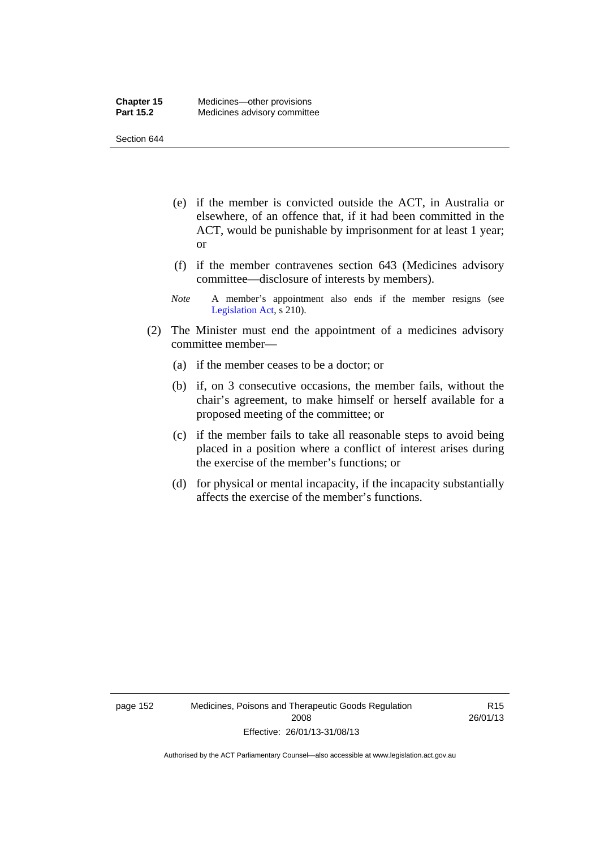- (e) if the member is convicted outside the ACT, in Australia or elsewhere, of an offence that, if it had been committed in the ACT, would be punishable by imprisonment for at least 1 year; or
- (f) if the member contravenes section 643 (Medicines advisory committee—disclosure of interests by members).
- *Note* A member's appointment also ends if the member resigns (see [Legislation Act,](http://www.legislation.act.gov.au/a/2001-14) s 210).
- (2) The Minister must end the appointment of a medicines advisory committee member—
	- (a) if the member ceases to be a doctor; or
	- (b) if, on 3 consecutive occasions, the member fails, without the chair's agreement, to make himself or herself available for a proposed meeting of the committee; or
	- (c) if the member fails to take all reasonable steps to avoid being placed in a position where a conflict of interest arises during the exercise of the member's functions; or
	- (d) for physical or mental incapacity, if the incapacity substantially affects the exercise of the member's functions.

R15 26/01/13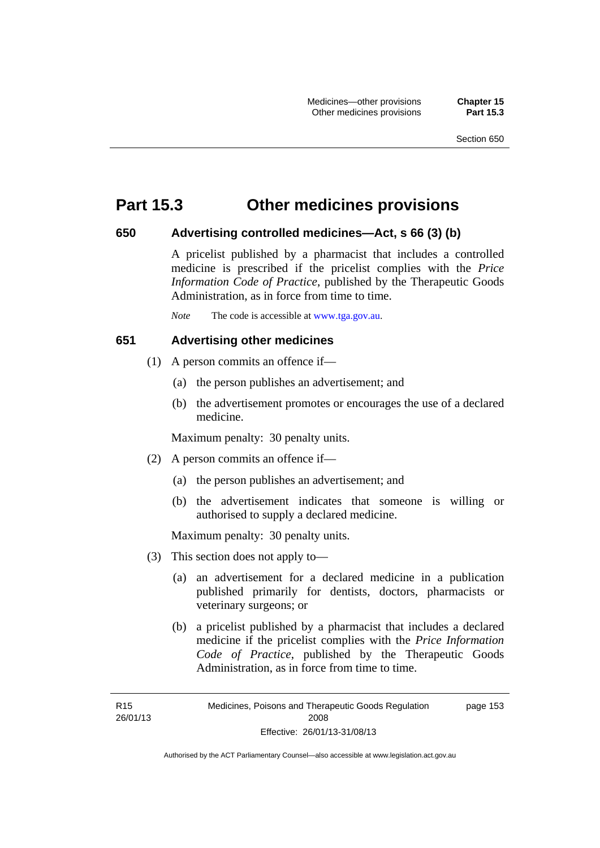## **Part 15.3 Other medicines provisions**

## **650 Advertising controlled medicines—Act, s 66 (3) (b)**

A pricelist published by a pharmacist that includes a controlled medicine is prescribed if the pricelist complies with the *Price Information Code of Practice*, published by the Therapeutic Goods Administration, as in force from time to time.

*Note* The code is accessible at [www.tga.gov.au](http://www.tga.gov.au/).

## **651 Advertising other medicines**

- (1) A person commits an offence if—
	- (a) the person publishes an advertisement; and
	- (b) the advertisement promotes or encourages the use of a declared medicine.

Maximum penalty: 30 penalty units.

- (2) A person commits an offence if—
	- (a) the person publishes an advertisement; and
	- (b) the advertisement indicates that someone is willing or authorised to supply a declared medicine.

Maximum penalty: 30 penalty units.

- (3) This section does not apply to—
	- (a) an advertisement for a declared medicine in a publication published primarily for dentists, doctors, pharmacists or veterinary surgeons; or
	- (b) a pricelist published by a pharmacist that includes a declared medicine if the pricelist complies with the *Price Information Code of Practice*, published by the Therapeutic Goods Administration, as in force from time to time.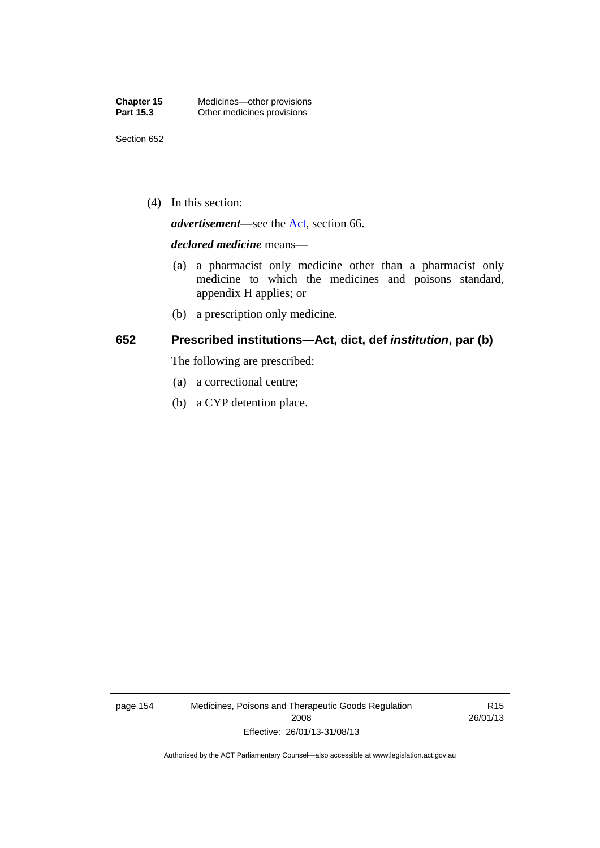(4) In this section:

*advertisement*—see the [Act,](http://www.legislation.act.gov.au/a/2008-26/default.asp) section 66.

#### *declared medicine* means—

- (a) a pharmacist only medicine other than a pharmacist only medicine to which the medicines and poisons standard, appendix H applies; or
- (b) a prescription only medicine.

## **652 Prescribed institutions—Act, dict, def** *institution***, par (b)**

The following are prescribed:

- (a) a correctional centre;
- (b) a CYP detention place.

page 154 Medicines, Poisons and Therapeutic Goods Regulation 2008 Effective: 26/01/13-31/08/13

R15 26/01/13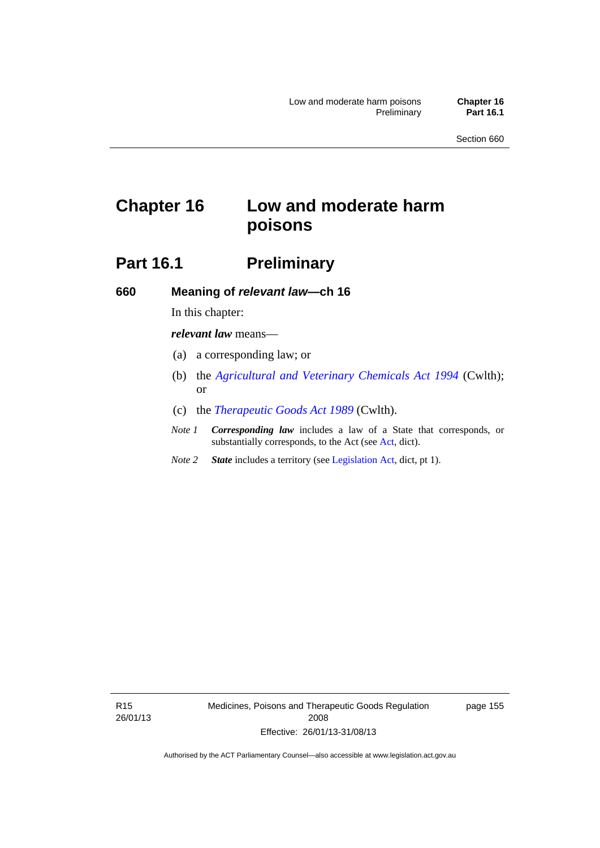# **Chapter 16 Low and moderate harm poisons**

## **Part 16.1** Preliminary

**660 Meaning of** *relevant law***—ch 16** 

In this chapter:

*relevant law* means—

- (a) a corresponding law; or
- (b) the *[Agricultural and Veterinary Chemicals Act 1994](http://www.comlaw.gov.au/Series/C2004A04712)* (Cwlth); or
- (c) the *[Therapeutic Goods Act 1989](http://www.comlaw.gov.au/Series/C2004A03952)* (Cwlth).
- *Note 1 Corresponding law* includes a law of a State that corresponds, or substantially corresponds, to the Act (see [Act](http://www.legislation.act.gov.au/a/2008-26/default.asp), dict).
- *Note 2 State* includes a territory (see [Legislation Act,](http://www.legislation.act.gov.au/a/2001-14) dict, pt 1).

R15 26/01/13 Medicines, Poisons and Therapeutic Goods Regulation 2008 Effective: 26/01/13-31/08/13

page 155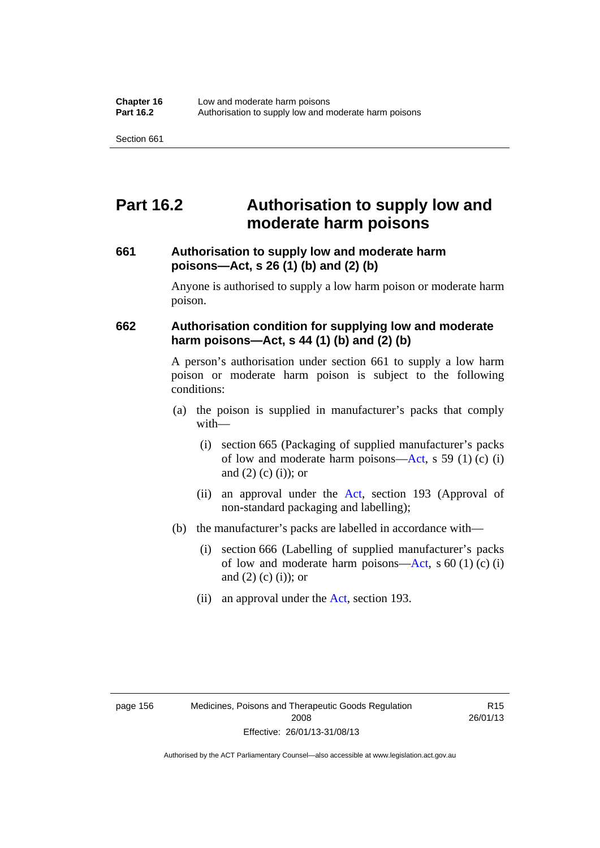## **Part 16.2 Authorisation to supply low and moderate harm poisons**

## **661 Authorisation to supply low and moderate harm poisons—Act, s 26 (1) (b) and (2) (b)**

Anyone is authorised to supply a low harm poison or moderate harm poison.

## **662 Authorisation condition for supplying low and moderate harm poisons—Act, s 44 (1) (b) and (2) (b)**

A person's authorisation under section 661 to supply a low harm poison or moderate harm poison is subject to the following conditions:

- (a) the poison is supplied in manufacturer's packs that comply with—
	- (i) section 665 (Packaging of supplied manufacturer's packs of low and moderate harm poisons—[Act](http://www.legislation.act.gov.au/a/2008-26/default.asp), s 59 (1) (c) (i) and  $(2)$  (c) (i)); or
	- (ii) an approval under the [Act](http://www.legislation.act.gov.au/a/2008-26/default.asp), section 193 (Approval of non-standard packaging and labelling);
- (b) the manufacturer's packs are labelled in accordance with—
	- (i) section 666 (Labelling of supplied manufacturer's packs of low and moderate harm poisons—[Act](http://www.legislation.act.gov.au/a/2008-26/default.asp), s  $60(1)(c)(i)$ and  $(2)$   $(c)$   $(i)$ ; or
	- (ii) an approval under the [Act,](http://www.legislation.act.gov.au/a/2008-26/default.asp) section 193.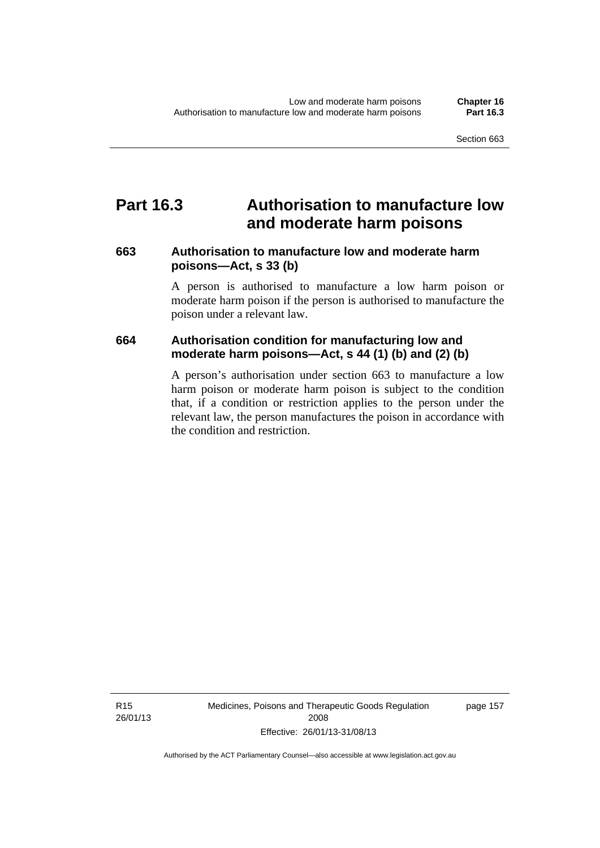### **Part 16.3 Authorisation to manufacture low and moderate harm poisons**

### **663 Authorisation to manufacture low and moderate harm poisons—Act, s 33 (b)**

A person is authorised to manufacture a low harm poison or moderate harm poison if the person is authorised to manufacture the poison under a relevant law.

### **664 Authorisation condition for manufacturing low and moderate harm poisons—Act, s 44 (1) (b) and (2) (b)**

A person's authorisation under section 663 to manufacture a low harm poison or moderate harm poison is subject to the condition that, if a condition or restriction applies to the person under the relevant law, the person manufactures the poison in accordance with the condition and restriction.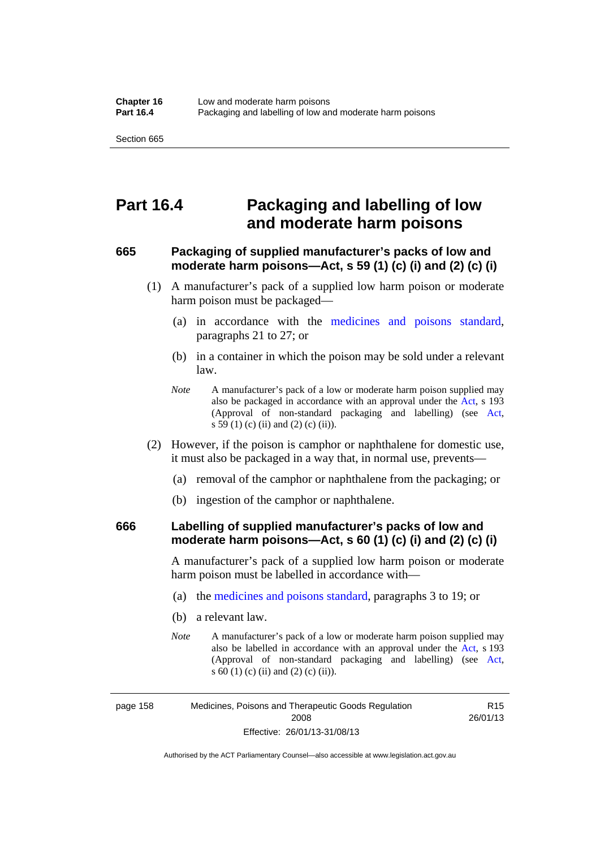### **Part 16.4 Packaging and labelling of low and moderate harm poisons**

### **665 Packaging of supplied manufacturer's packs of low and moderate harm poisons—Act, s 59 (1) (c) (i) and (2) (c) (i)**

- (1) A manufacturer's pack of a supplied low harm poison or moderate harm poison must be packaged—
	- (a) in accordance with the [medicines and poisons standard](http://www.comlaw.gov.au/Series/F2012L01200), paragraphs 21 to 27; or
	- (b) in a container in which the poison may be sold under a relevant law.
	- *Note* A manufacturer's pack of a low or moderate harm poison supplied may also be packaged in accordance with an approval under the [Act](http://www.legislation.act.gov.au/a/2008-26/default.asp), s 193 (Approval of non-standard packaging and labelling) (see [Act,](http://www.legislation.act.gov.au/a/2008-26/default.asp) s 59 (1) (c) (ii) and (2) (c) (ii)).
- (2) However, if the poison is camphor or naphthalene for domestic use, it must also be packaged in a way that, in normal use, prevents—
	- (a) removal of the camphor or naphthalene from the packaging; or
	- (b) ingestion of the camphor or naphthalene.

### **666 Labelling of supplied manufacturer's packs of low and moderate harm poisons—Act, s 60 (1) (c) (i) and (2) (c) (i)**

A manufacturer's pack of a supplied low harm poison or moderate harm poison must be labelled in accordance with—

- (a) the [medicines and poisons standard](http://www.comlaw.gov.au/Series/F2012L01200), paragraphs 3 to 19; or
- (b) a relevant law.
- *Note* A manufacturer's pack of a low or moderate harm poison supplied may also be labelled in accordance with an approval under the [Act](http://www.legislation.act.gov.au/a/2008-26/default.asp), s 193 (Approval of non-standard packaging and labelling) (see [Act,](http://www.legislation.act.gov.au/a/2008-26/default.asp) s 60 (1) (c) (ii) and (2) (c) (ii)).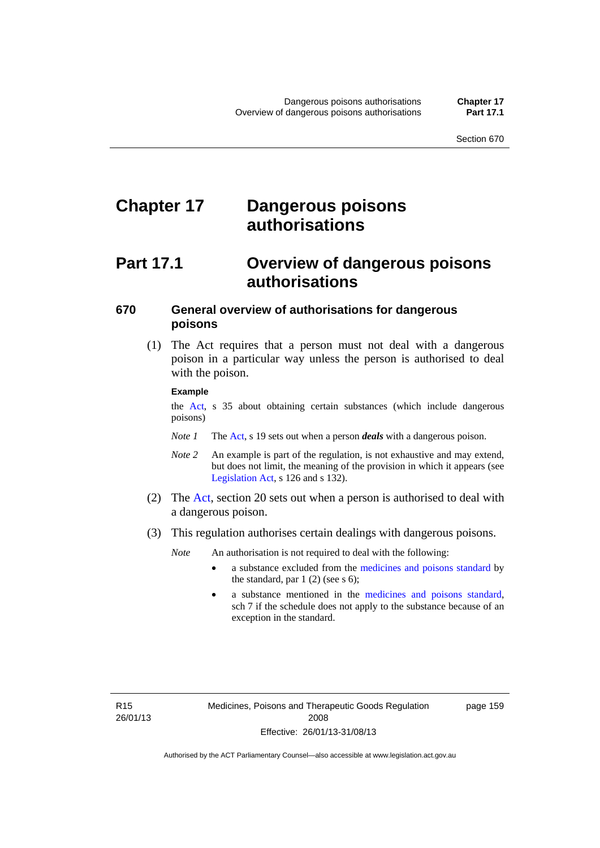# **Chapter 17 Dangerous poisons authorisations**

## **Part 17.1 Overview of dangerous poisons authorisations**

### **670 General overview of authorisations for dangerous poisons**

 (1) The Act requires that a person must not deal with a dangerous poison in a particular way unless the person is authorised to deal with the poison.

#### **Example**

the [Act,](http://www.legislation.act.gov.au/a/2008-26/default.asp) s 35 about obtaining certain substances (which include dangerous poisons)

- *Note 1* The [Act,](http://www.legislation.act.gov.au/a/2008-26/default.asp) s 19 sets out when a person *deals* with a dangerous poison.
- *Note 2* An example is part of the regulation, is not exhaustive and may extend, but does not limit, the meaning of the provision in which it appears (see [Legislation Act,](http://www.legislation.act.gov.au/a/2001-14) s 126 and s 132).
- (2) The [Act](http://www.legislation.act.gov.au/a/2008-26/default.asp), section 20 sets out when a person is authorised to deal with a dangerous poison.
- (3) This regulation authorises certain dealings with dangerous poisons.

*Note* An authorisation is not required to deal with the following:

- a substance excluded from the [medicines and poisons standard](http://www.comlaw.gov.au/Series/F2012L01200) by the standard, par  $1(2)$  (see s 6);
- a substance mentioned in the [medicines and poisons standard,](http://www.comlaw.gov.au/Series/F2012L01200) sch 7 if the schedule does not apply to the substance because of an exception in the standard.

R15 26/01/13 page 159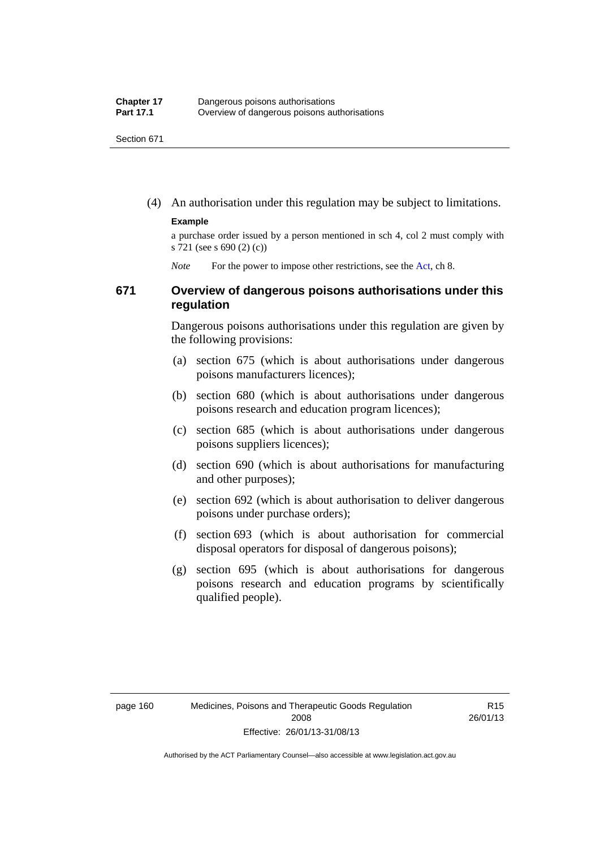(4) An authorisation under this regulation may be subject to limitations.

#### **Example**

a purchase order issued by a person mentioned in sch 4, col 2 must comply with s 721 (see s 690 (2) (c))

*Note* For the power to impose other restrictions, see the [Act](http://www.legislation.act.gov.au/a/2008-26/default.asp), ch 8.

### **671 Overview of dangerous poisons authorisations under this regulation**

Dangerous poisons authorisations under this regulation are given by the following provisions:

- (a) section 675 (which is about authorisations under dangerous poisons manufacturers licences);
- (b) section 680 (which is about authorisations under dangerous poisons research and education program licences);
- (c) section 685 (which is about authorisations under dangerous poisons suppliers licences);
- (d) section 690 (which is about authorisations for manufacturing and other purposes);
- (e) section 692 (which is about authorisation to deliver dangerous poisons under purchase orders);
- (f) section 693 (which is about authorisation for commercial disposal operators for disposal of dangerous poisons);
- (g) section 695 (which is about authorisations for dangerous poisons research and education programs by scientifically qualified people).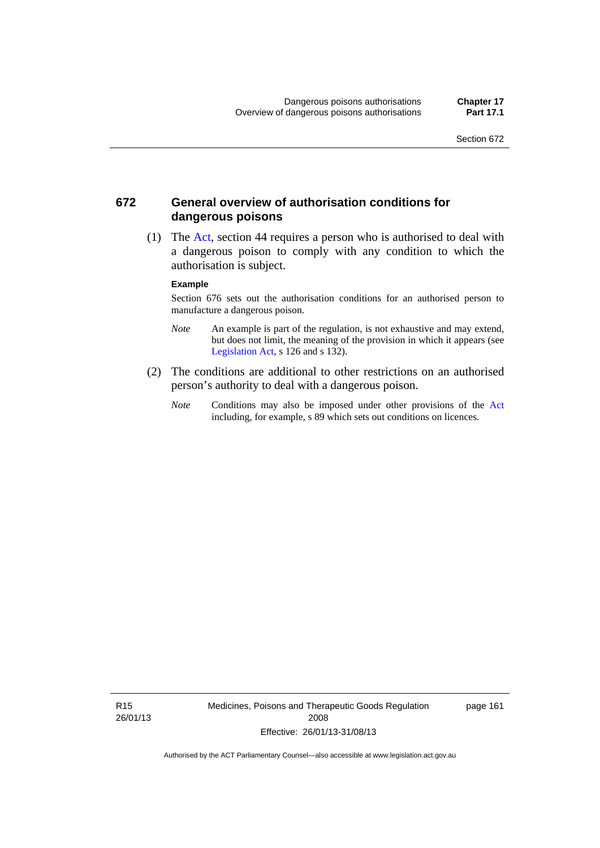### **672 General overview of authorisation conditions for dangerous poisons**

 (1) The [Act](http://www.legislation.act.gov.au/a/2008-26/default.asp), section 44 requires a person who is authorised to deal with a dangerous poison to comply with any condition to which the authorisation is subject.

#### **Example**

Section 676 sets out the authorisation conditions for an authorised person to manufacture a dangerous poison.

- *Note* An example is part of the regulation, is not exhaustive and may extend, but does not limit, the meaning of the provision in which it appears (see [Legislation Act,](http://www.legislation.act.gov.au/a/2001-14) s 126 and s 132).
- (2) The conditions are additional to other restrictions on an authorised person's authority to deal with a dangerous poison.
	- *Note* Conditions may also be imposed under other provisions of the [Act](http://www.legislation.act.gov.au/a/2008-26/default.asp) including, for example, s 89 which sets out conditions on licences.

R15 26/01/13 Medicines, Poisons and Therapeutic Goods Regulation 2008 Effective: 26/01/13-31/08/13

page 161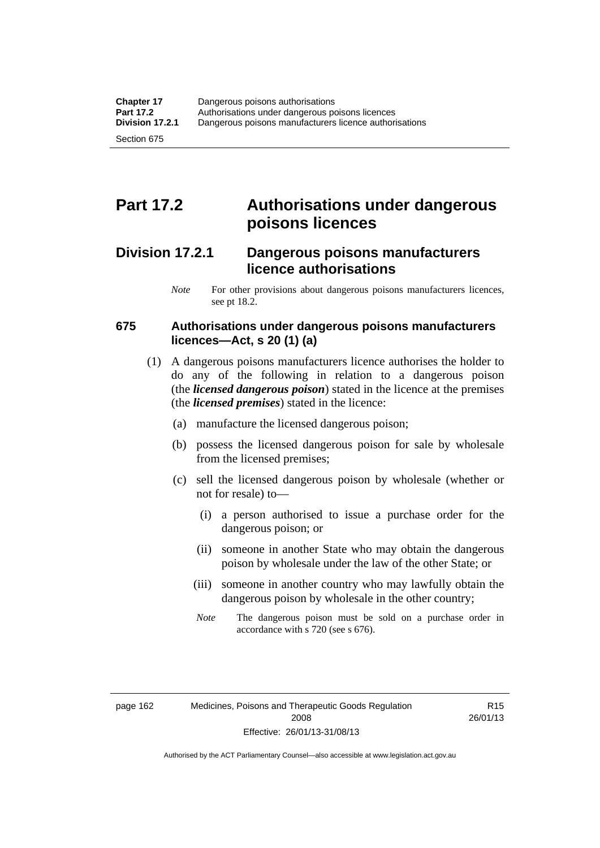# **Part 17.2 Authorisations under dangerous poisons licences**

### **Division 17.2.1 Dangerous poisons manufacturers licence authorisations**

*Note* For other provisions about dangerous poisons manufacturers licences, see pt 18.2.

### **675 Authorisations under dangerous poisons manufacturers licences—Act, s 20 (1) (a)**

- (1) A dangerous poisons manufacturers licence authorises the holder to do any of the following in relation to a dangerous poison (the *licensed dangerous poison*) stated in the licence at the premises (the *licensed premises*) stated in the licence:
	- (a) manufacture the licensed dangerous poison;
	- (b) possess the licensed dangerous poison for sale by wholesale from the licensed premises;
	- (c) sell the licensed dangerous poison by wholesale (whether or not for resale) to—
		- (i) a person authorised to issue a purchase order for the dangerous poison; or
		- (ii) someone in another State who may obtain the dangerous poison by wholesale under the law of the other State; or
		- (iii) someone in another country who may lawfully obtain the dangerous poison by wholesale in the other country;
		- *Note* The dangerous poison must be sold on a purchase order in accordance with s 720 (see s 676).

R15 26/01/13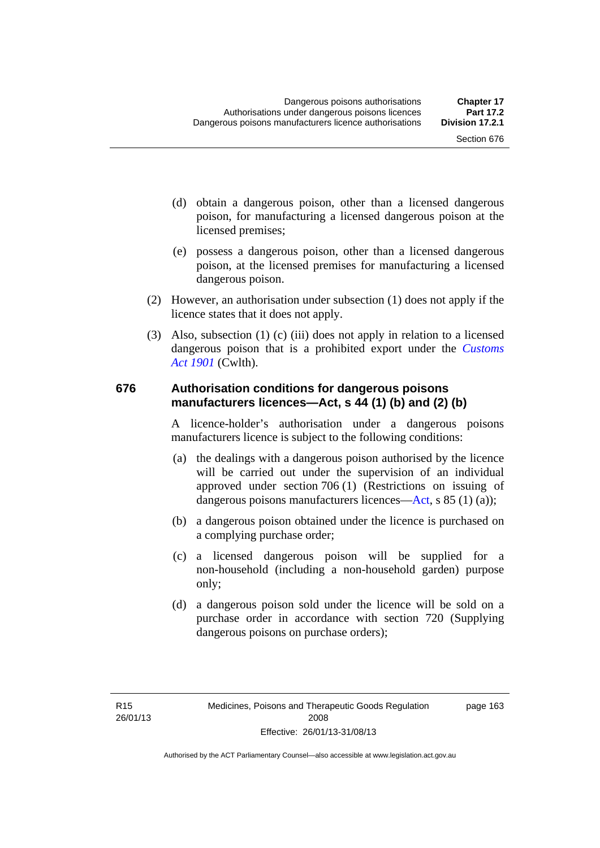- (d) obtain a dangerous poison, other than a licensed dangerous poison, for manufacturing a licensed dangerous poison at the licensed premises;
- (e) possess a dangerous poison, other than a licensed dangerous poison, at the licensed premises for manufacturing a licensed dangerous poison.
- (2) However, an authorisation under subsection (1) does not apply if the licence states that it does not apply.
- (3) Also, subsection (1) (c) (iii) does not apply in relation to a licensed dangerous poison that is a prohibited export under the *[Customs](http://www.comlaw.gov.au/Series/C1901A00006)  [Act 1901](http://www.comlaw.gov.au/Series/C1901A00006)* (Cwlth).

#### **676 Authorisation conditions for dangerous poisons manufacturers licences—Act, s 44 (1) (b) and (2) (b)**

A licence-holder's authorisation under a dangerous poisons manufacturers licence is subject to the following conditions:

- (a) the dealings with a dangerous poison authorised by the licence will be carried out under the supervision of an individual approved under section 706 (1) (Restrictions on issuing of dangerous poisons manufacturers licences[—Act,](http://www.legislation.act.gov.au/a/2008-26/default.asp) s 85 (1) (a));
- (b) a dangerous poison obtained under the licence is purchased on a complying purchase order;
- (c) a licensed dangerous poison will be supplied for a non-household (including a non-household garden) purpose only;
- (d) a dangerous poison sold under the licence will be sold on a purchase order in accordance with section 720 (Supplying dangerous poisons on purchase orders);

page 163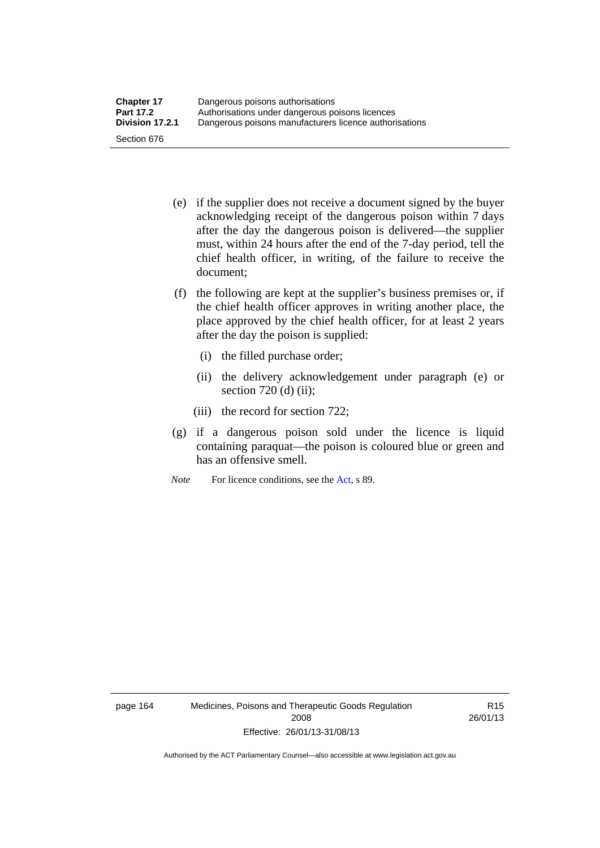- (e) if the supplier does not receive a document signed by the buyer acknowledging receipt of the dangerous poison within 7 days after the day the dangerous poison is delivered—the supplier must, within 24 hours after the end of the 7-day period, tell the chief health officer, in writing, of the failure to receive the document;
- (f) the following are kept at the supplier's business premises or, if the chief health officer approves in writing another place, the place approved by the chief health officer, for at least 2 years after the day the poison is supplied:
	- (i) the filled purchase order;
	- (ii) the delivery acknowledgement under paragraph (e) or section 720 (d) (ii);
	- (iii) the record for section 722;
- (g) if a dangerous poison sold under the licence is liquid containing paraquat—the poison is coloured blue or green and has an offensive smell.
- *Note* For licence conditions, see the [Act](http://www.legislation.act.gov.au/a/2008-26/default.asp), s 89.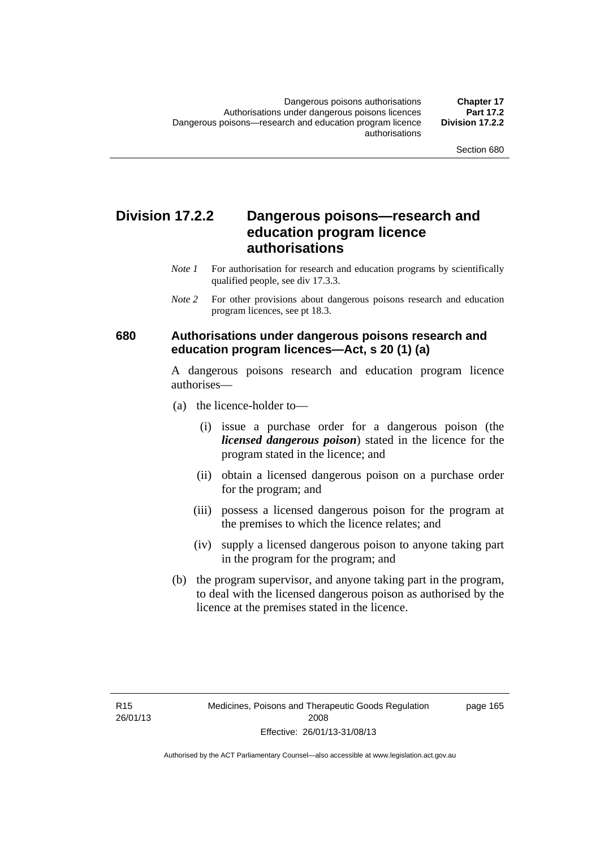### **Division 17.2.2 Dangerous poisons—research and education program licence authorisations**

- *Note 1* For authorisation for research and education programs by scientifically qualified people, see div 17.3.3.
- *Note 2* For other provisions about dangerous poisons research and education program licences, see pt 18.3.

### **680 Authorisations under dangerous poisons research and education program licences—Act, s 20 (1) (a)**

A dangerous poisons research and education program licence authorises—

- (a) the licence-holder to—
	- (i) issue a purchase order for a dangerous poison (the *licensed dangerous poison*) stated in the licence for the program stated in the licence; and
	- (ii) obtain a licensed dangerous poison on a purchase order for the program; and
	- (iii) possess a licensed dangerous poison for the program at the premises to which the licence relates; and
	- (iv) supply a licensed dangerous poison to anyone taking part in the program for the program; and
- (b) the program supervisor, and anyone taking part in the program, to deal with the licensed dangerous poison as authorised by the licence at the premises stated in the licence.

page 165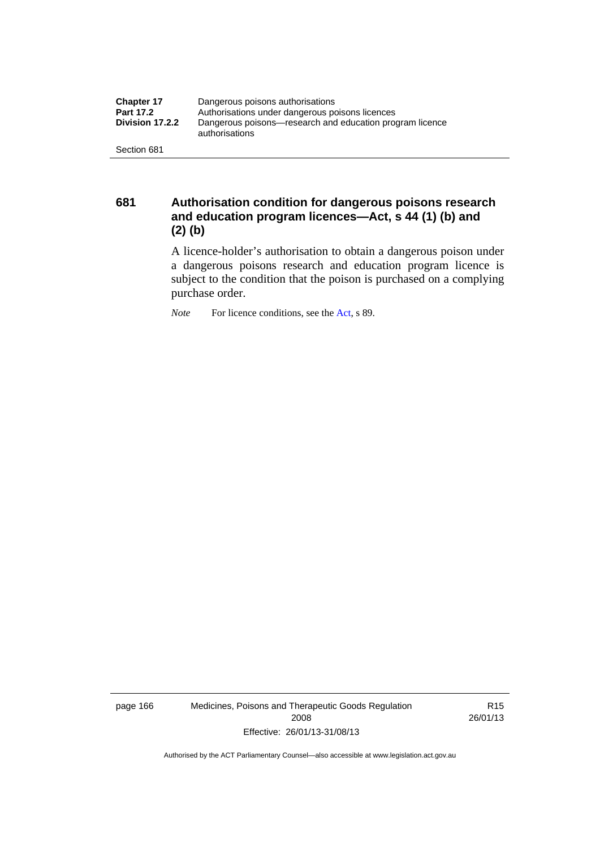| <b>Chapter 17</b> | Dangerous poisons authorisations                                           |  |
|-------------------|----------------------------------------------------------------------------|--|
| <b>Part 17.2</b>  | Authorisations under dangerous poisons licences                            |  |
| Division 17.2.2   | Dangerous poisons—research and education program licence<br>authorisations |  |
| Section 681       |                                                                            |  |

**681 Authorisation condition for dangerous poisons research and education program licences—Act, s 44 (1) (b) and (2) (b)** 

A licence-holder's authorisation to obtain a dangerous poison under a dangerous poisons research and education program licence is subject to the condition that the poison is purchased on a complying purchase order.

*Note* For licence conditions, see the [Act](http://www.legislation.act.gov.au/a/2008-26/default.asp), s 89.

page 166 Medicines, Poisons and Therapeutic Goods Regulation 2008 Effective: 26/01/13-31/08/13

R15 26/01/13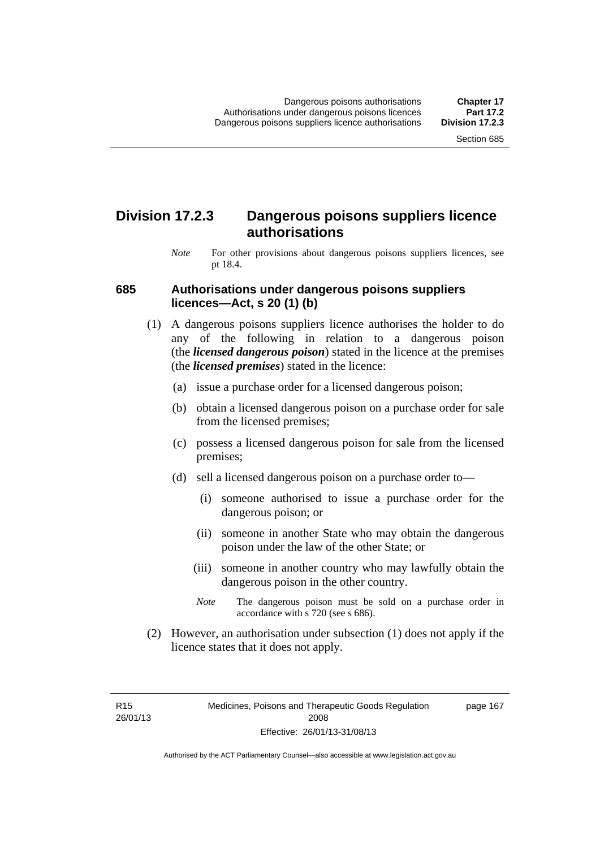### **Division 17.2.3 Dangerous poisons suppliers licence authorisations**

*Note* For other provisions about dangerous poisons suppliers licences, see pt 18.4.

#### **685 Authorisations under dangerous poisons suppliers licences—Act, s 20 (1) (b)**

- (1) A dangerous poisons suppliers licence authorises the holder to do any of the following in relation to a dangerous poison (the *licensed dangerous poison*) stated in the licence at the premises (the *licensed premises*) stated in the licence:
	- (a) issue a purchase order for a licensed dangerous poison;
	- (b) obtain a licensed dangerous poison on a purchase order for sale from the licensed premises;
	- (c) possess a licensed dangerous poison for sale from the licensed premises;
	- (d) sell a licensed dangerous poison on a purchase order to—
		- (i) someone authorised to issue a purchase order for the dangerous poison; or
		- (ii) someone in another State who may obtain the dangerous poison under the law of the other State; or
		- (iii) someone in another country who may lawfully obtain the dangerous poison in the other country.
		- *Note* The dangerous poison must be sold on a purchase order in accordance with s 720 (see s 686).
- (2) However, an authorisation under subsection (1) does not apply if the licence states that it does not apply.

R15 26/01/13 page 167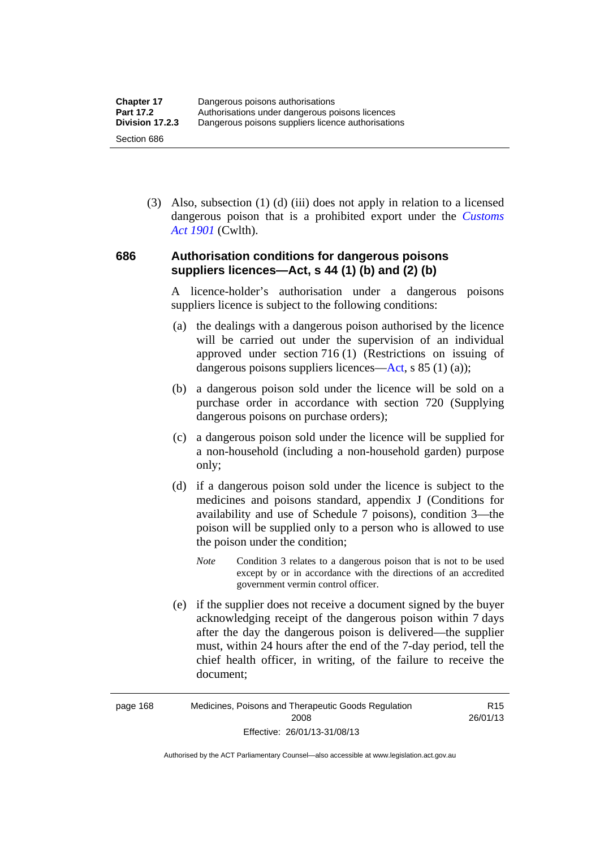(3) Also, subsection (1) (d) (iii) does not apply in relation to a licensed dangerous poison that is a prohibited export under the *[Customs](http://www.comlaw.gov.au/Series/C1901A00006)  [Act 1901](http://www.comlaw.gov.au/Series/C1901A00006)* (Cwlth).

### **686 Authorisation conditions for dangerous poisons suppliers licences—Act, s 44 (1) (b) and (2) (b)**

A licence-holder's authorisation under a dangerous poisons suppliers licence is subject to the following conditions:

- (a) the dealings with a dangerous poison authorised by the licence will be carried out under the supervision of an individual approved under section 716 (1) (Restrictions on issuing of dangerous poisons suppliers licences—[Act](http://www.legislation.act.gov.au/a/2008-26/default.asp), s 85 (1) (a));
- (b) a dangerous poison sold under the licence will be sold on a purchase order in accordance with section 720 (Supplying dangerous poisons on purchase orders);
- (c) a dangerous poison sold under the licence will be supplied for a non-household (including a non-household garden) purpose only;
- (d) if a dangerous poison sold under the licence is subject to the medicines and poisons standard, appendix J (Conditions for availability and use of Schedule 7 poisons), condition 3—the poison will be supplied only to a person who is allowed to use the poison under the condition;
	- *Note* Condition 3 relates to a dangerous poison that is not to be used except by or in accordance with the directions of an accredited government vermin control officer.
- (e) if the supplier does not receive a document signed by the buyer acknowledging receipt of the dangerous poison within 7 days after the day the dangerous poison is delivered—the supplier must, within 24 hours after the end of the 7-day period, tell the chief health officer, in writing, of the failure to receive the document;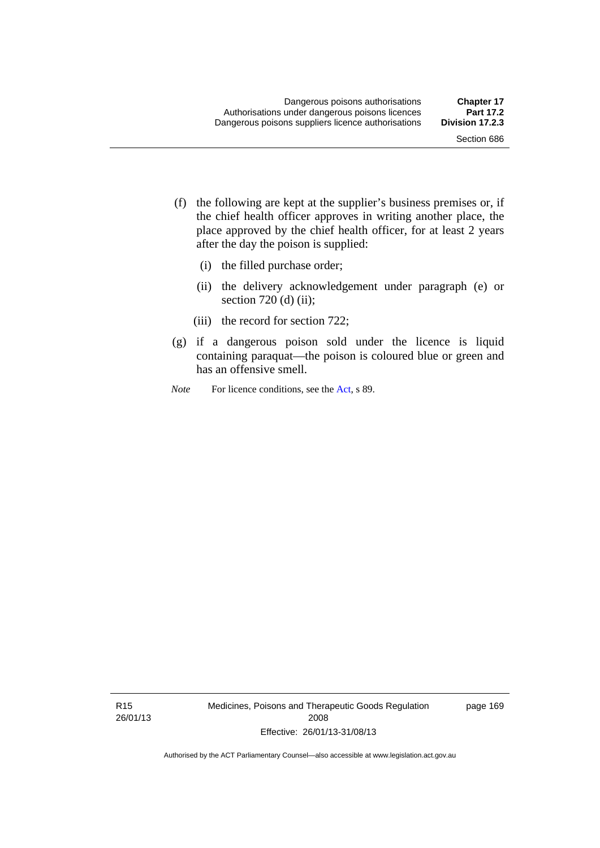- (f) the following are kept at the supplier's business premises or, if the chief health officer approves in writing another place, the place approved by the chief health officer, for at least 2 years after the day the poison is supplied:
	- (i) the filled purchase order;
	- (ii) the delivery acknowledgement under paragraph (e) or section 720 (d) (ii);
	- (iii) the record for section 722;
- (g) if a dangerous poison sold under the licence is liquid containing paraquat—the poison is coloured blue or green and has an offensive smell.
- *Note* For licence conditions, see the [Act](http://www.legislation.act.gov.au/a/2008-26/default.asp), s 89.

R15 26/01/13 Medicines, Poisons and Therapeutic Goods Regulation 2008 Effective: 26/01/13-31/08/13

page 169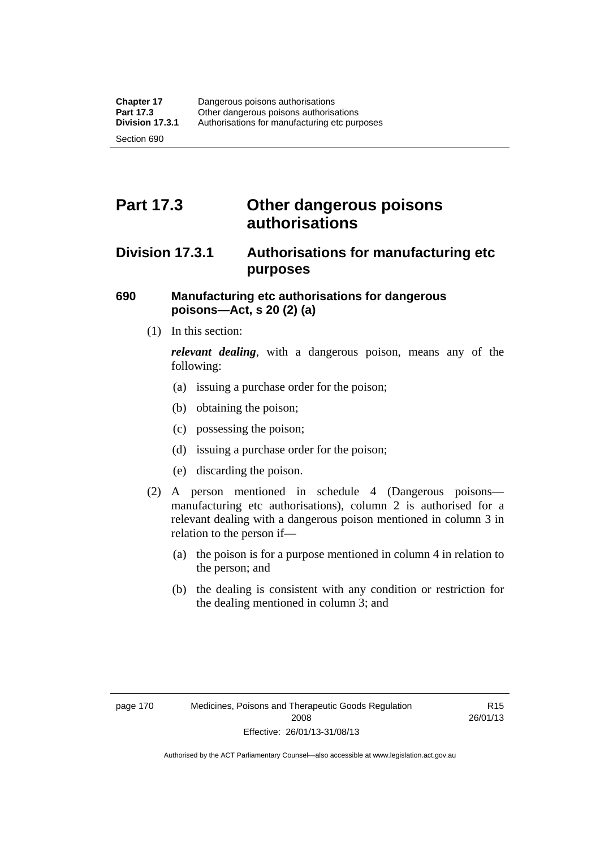# **Part 17.3 Other dangerous poisons authorisations**

### **Division 17.3.1 Authorisations for manufacturing etc purposes**

### **690 Manufacturing etc authorisations for dangerous poisons—Act, s 20 (2) (a)**

(1) In this section:

*relevant dealing*, with a dangerous poison, means any of the following:

- (a) issuing a purchase order for the poison;
- (b) obtaining the poison;
- (c) possessing the poison;
- (d) issuing a purchase order for the poison;
- (e) discarding the poison.
- (2) A person mentioned in schedule 4 (Dangerous poisons manufacturing etc authorisations), column 2 is authorised for a relevant dealing with a dangerous poison mentioned in column 3 in relation to the person if—
	- (a) the poison is for a purpose mentioned in column 4 in relation to the person; and
	- (b) the dealing is consistent with any condition or restriction for the dealing mentioned in column 3; and

R15 26/01/13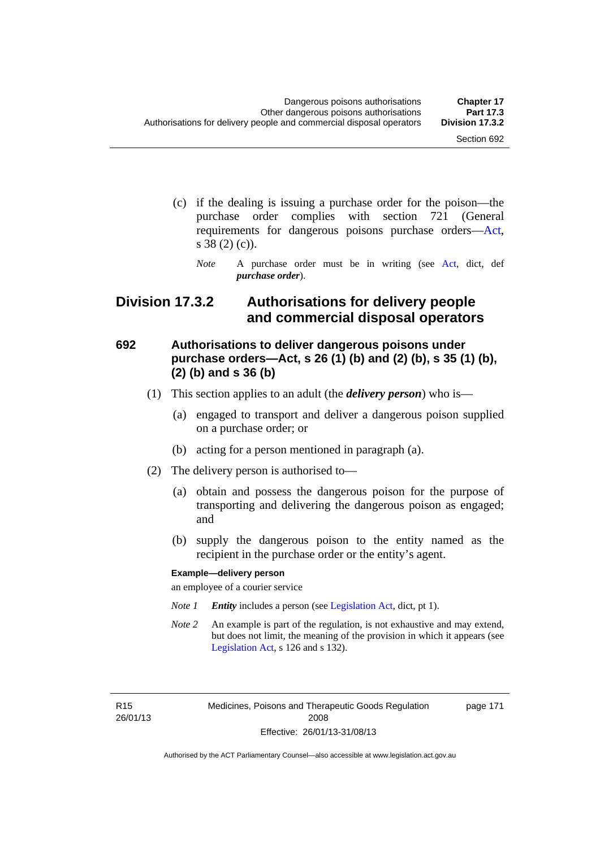page 171

- (c) if the dealing is issuing a purchase order for the poison—the purchase order complies with section 721 (General requirements for dangerous poisons purchase orders[—Act](http://www.legislation.act.gov.au/a/2008-26/default.asp), s 38 (2) (c)).
	- *Note* A purchase order must be in writing (see [Act](http://www.legislation.act.gov.au/a/2008-26/default.asp), dict, def *purchase order*).

### **Division 17.3.2 Authorisations for delivery people and commercial disposal operators**

### **692 Authorisations to deliver dangerous poisons under purchase orders—Act, s 26 (1) (b) and (2) (b), s 35 (1) (b), (2) (b) and s 36 (b)**

- (1) This section applies to an adult (the *delivery person*) who is—
	- (a) engaged to transport and deliver a dangerous poison supplied on a purchase order; or
	- (b) acting for a person mentioned in paragraph (a).
- (2) The delivery person is authorised to—
	- (a) obtain and possess the dangerous poison for the purpose of transporting and delivering the dangerous poison as engaged; and
	- (b) supply the dangerous poison to the entity named as the recipient in the purchase order or the entity's agent.

#### **Example—delivery person**

an employee of a courier service

- *Note 1 Entity* includes a person (see [Legislation Act,](http://www.legislation.act.gov.au/a/2001-14) dict, pt 1).
- *Note 2* An example is part of the regulation, is not exhaustive and may extend, but does not limit, the meaning of the provision in which it appears (see [Legislation Act,](http://www.legislation.act.gov.au/a/2001-14) s 126 and s 132).

R15 26/01/13 Medicines, Poisons and Therapeutic Goods Regulation 2008 Effective: 26/01/13-31/08/13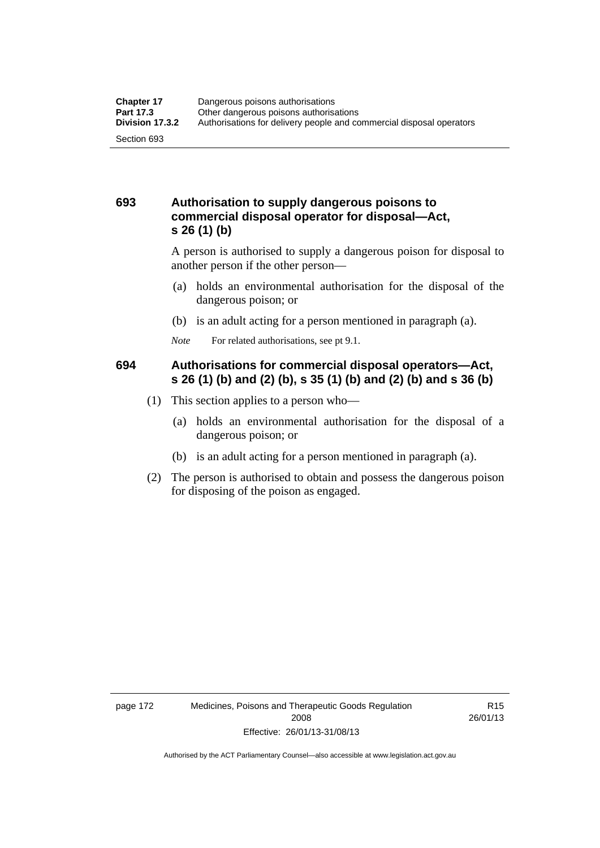### **693 Authorisation to supply dangerous poisons to commercial disposal operator for disposal—Act, s 26 (1) (b)**

A person is authorised to supply a dangerous poison for disposal to another person if the other person—

- (a) holds an environmental authorisation for the disposal of the dangerous poison; or
- (b) is an adult acting for a person mentioned in paragraph (a).
- *Note* For related authorisations, see pt 9.1.

### **694 Authorisations for commercial disposal operators—Act, s 26 (1) (b) and (2) (b), s 35 (1) (b) and (2) (b) and s 36 (b)**

- (1) This section applies to a person who—
	- (a) holds an environmental authorisation for the disposal of a dangerous poison; or
	- (b) is an adult acting for a person mentioned in paragraph (a).
- (2) The person is authorised to obtain and possess the dangerous poison for disposing of the poison as engaged.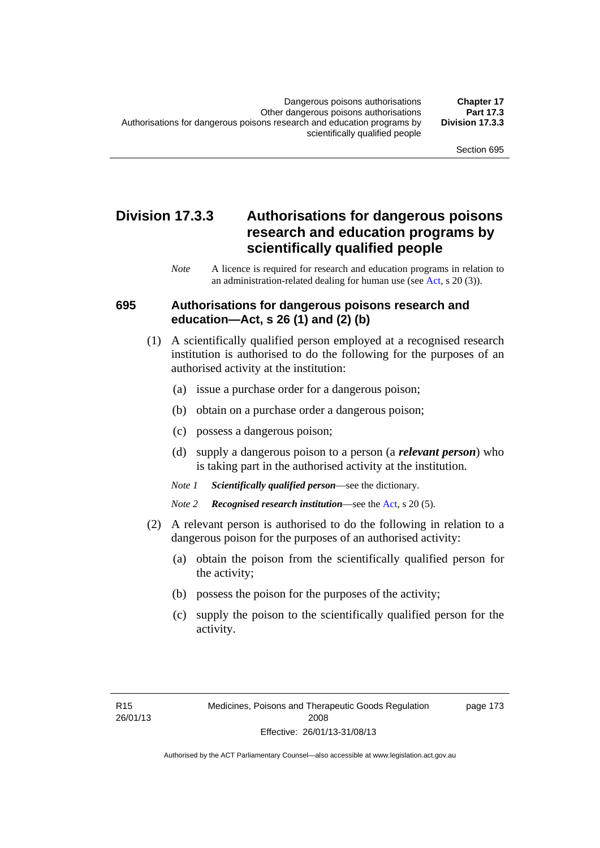### **Division 17.3.3 Authorisations for dangerous poisons research and education programs by scientifically qualified people**

*Note* A licence is required for research and education programs in relation to an administration-related dealing for human use (see [Act](http://www.legislation.act.gov.au/a/2008-26/default.asp), s 20 (3)).

### **695 Authorisations for dangerous poisons research and education—Act, s 26 (1) and (2) (b)**

- (1) A scientifically qualified person employed at a recognised research institution is authorised to do the following for the purposes of an authorised activity at the institution:
	- (a) issue a purchase order for a dangerous poison;
	- (b) obtain on a purchase order a dangerous poison;
	- (c) possess a dangerous poison;
	- (d) supply a dangerous poison to a person (a *relevant person*) who is taking part in the authorised activity at the institution.
	- *Note 1 Scientifically qualified person*—see the dictionary.
	- *Note 2 Recognised research institution*—see the [Act](http://www.legislation.act.gov.au/a/2008-26/default.asp), s 20 (5).
- (2) A relevant person is authorised to do the following in relation to a dangerous poison for the purposes of an authorised activity:
	- (a) obtain the poison from the scientifically qualified person for the activity;
	- (b) possess the poison for the purposes of the activity;
	- (c) supply the poison to the scientifically qualified person for the activity.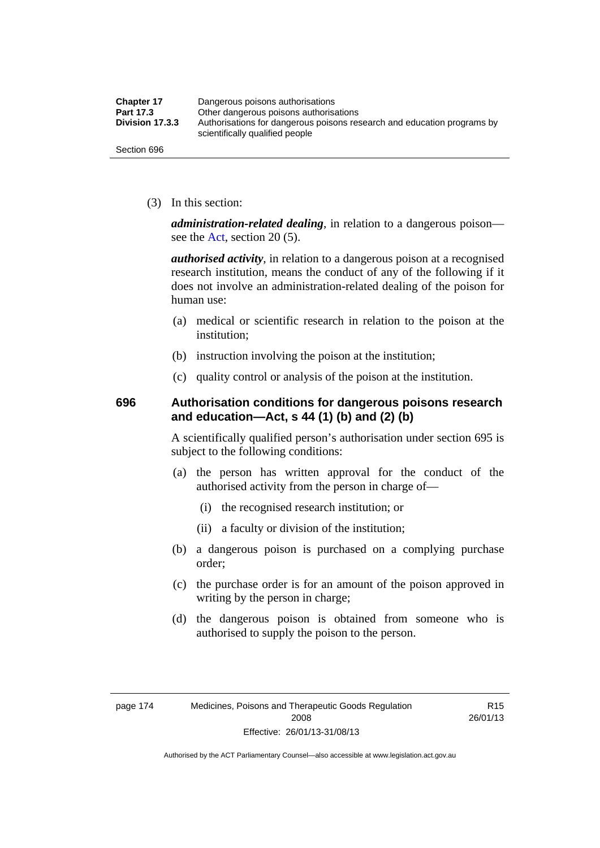| <b>Chapter 17</b> | Dangerous poisons authorisations                                                                           |  |
|-------------------|------------------------------------------------------------------------------------------------------------|--|
| Part 17.3         | Other dangerous poisons authorisations                                                                     |  |
| Division 17.3.3   | Authorisations for dangerous poisons research and education programs by<br>scientifically qualified people |  |
| Section 696       |                                                                                                            |  |

(3) In this section:

*administration-related dealing*, in relation to a dangerous poison— see the [Act](http://www.legislation.act.gov.au/a/2008-26/default.asp), section 20 (5).

*authorised activity*, in relation to a dangerous poison at a recognised research institution, means the conduct of any of the following if it does not involve an administration-related dealing of the poison for human use:

- (a) medical or scientific research in relation to the poison at the institution;
- (b) instruction involving the poison at the institution;
- (c) quality control or analysis of the poison at the institution.

### **696 Authorisation conditions for dangerous poisons research and education—Act, s 44 (1) (b) and (2) (b)**

A scientifically qualified person's authorisation under section 695 is subject to the following conditions:

- (a) the person has written approval for the conduct of the authorised activity from the person in charge of—
	- (i) the recognised research institution; or
	- (ii) a faculty or division of the institution;
- (b) a dangerous poison is purchased on a complying purchase order;
- (c) the purchase order is for an amount of the poison approved in writing by the person in charge;
- (d) the dangerous poison is obtained from someone who is authorised to supply the poison to the person.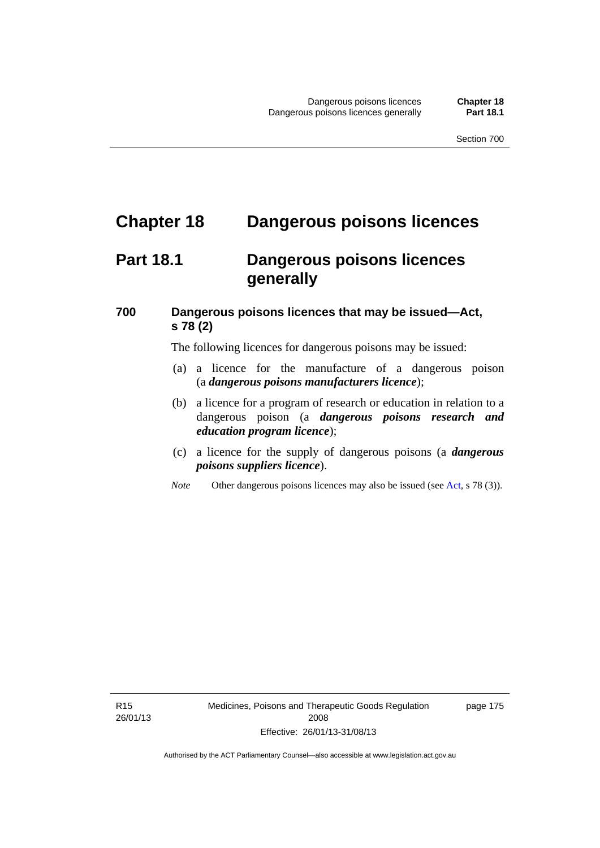# **Chapter 18 Dangerous poisons licences**

# **Part 18.1 Dangerous poisons licences generally**

### **700 Dangerous poisons licences that may be issued—Act, s 78 (2)**

The following licences for dangerous poisons may be issued:

- (a) a licence for the manufacture of a dangerous poison (a *dangerous poisons manufacturers licence*);
- (b) a licence for a program of research or education in relation to a dangerous poison (a *dangerous poisons research and education program licence*);
- (c) a licence for the supply of dangerous poisons (a *dangerous poisons suppliers licence*).
- *Note* Other dangerous poisons licences may also be issued (see [Act](http://www.legislation.act.gov.au/a/2008-26/default.asp), s 78 (3)).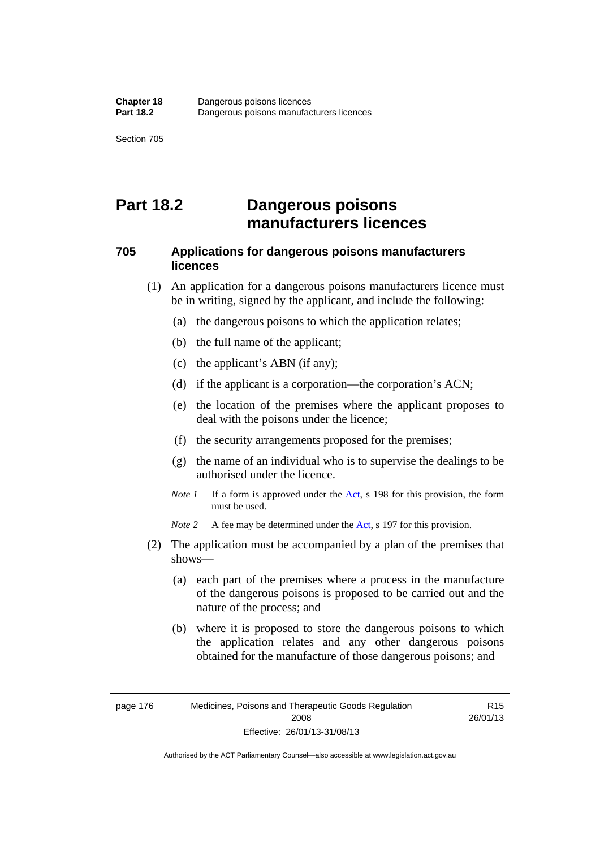# **Part 18.2 Dangerous poisons manufacturers licences**

### **705 Applications for dangerous poisons manufacturers licences**

- (1) An application for a dangerous poisons manufacturers licence must be in writing, signed by the applicant, and include the following:
	- (a) the dangerous poisons to which the application relates;
	- (b) the full name of the applicant;
	- (c) the applicant's ABN (if any);
	- (d) if the applicant is a corporation—the corporation's ACN;
	- (e) the location of the premises where the applicant proposes to deal with the poisons under the licence;
	- (f) the security arrangements proposed for the premises;
	- (g) the name of an individual who is to supervise the dealings to be authorised under the licence.
	- *Note 1* If a form is approved under the [Act](http://www.legislation.act.gov.au/a/2008-26/default.asp), s 198 for this provision, the form must be used.

*Note 2* A fee may be determined under the [Act,](http://www.legislation.act.gov.au/a/2008-26/default.asp) s 197 for this provision.

- (2) The application must be accompanied by a plan of the premises that shows—
	- (a) each part of the premises where a process in the manufacture of the dangerous poisons is proposed to be carried out and the nature of the process; and
	- (b) where it is proposed to store the dangerous poisons to which the application relates and any other dangerous poisons obtained for the manufacture of those dangerous poisons; and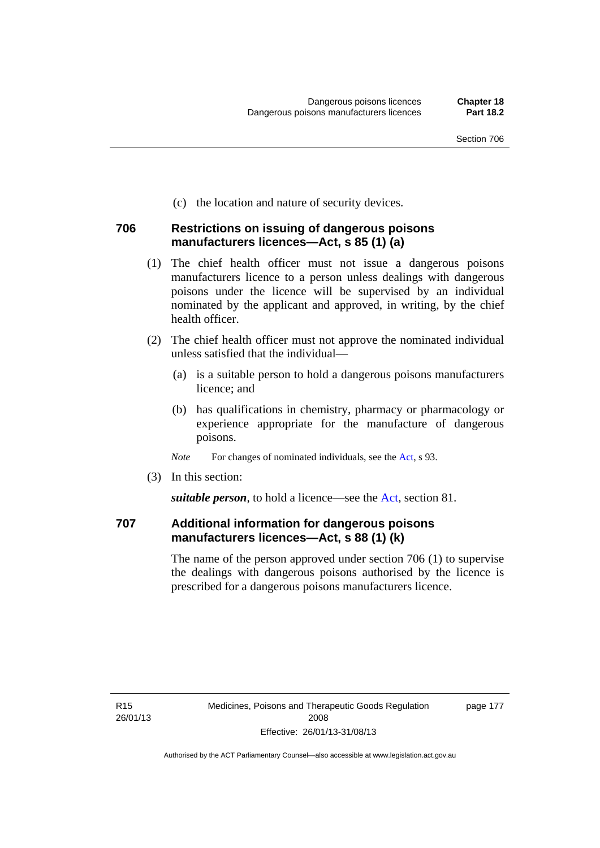(c) the location and nature of security devices.

### **706 Restrictions on issuing of dangerous poisons manufacturers licences—Act, s 85 (1) (a)**

- (1) The chief health officer must not issue a dangerous poisons manufacturers licence to a person unless dealings with dangerous poisons under the licence will be supervised by an individual nominated by the applicant and approved, in writing, by the chief health officer.
- (2) The chief health officer must not approve the nominated individual unless satisfied that the individual—
	- (a) is a suitable person to hold a dangerous poisons manufacturers licence; and
	- (b) has qualifications in chemistry, pharmacy or pharmacology or experience appropriate for the manufacture of dangerous poisons.
	- *Note* For changes of nominated individuals, see the [Act,](http://www.legislation.act.gov.au/a/2008-26/default.asp) s 93.
- (3) In this section:

*suitable person*, to hold a licence—see the [Act](http://www.legislation.act.gov.au/a/2008-26/default.asp), section 81.

### **707 Additional information for dangerous poisons manufacturers licences—Act, s 88 (1) (k)**

The name of the person approved under section 706 (1) to supervise the dealings with dangerous poisons authorised by the licence is prescribed for a dangerous poisons manufacturers licence.

page 177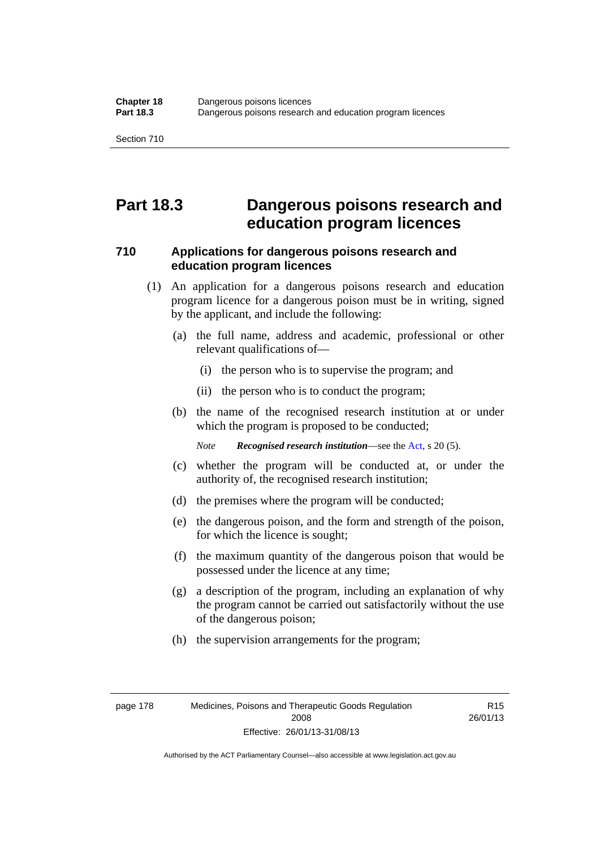## **Part 18.3 Dangerous poisons research and education program licences**

### **710 Applications for dangerous poisons research and education program licences**

- (1) An application for a dangerous poisons research and education program licence for a dangerous poison must be in writing, signed by the applicant, and include the following:
	- (a) the full name, address and academic, professional or other relevant qualifications of—
		- (i) the person who is to supervise the program; and
		- (ii) the person who is to conduct the program;
	- (b) the name of the recognised research institution at or under which the program is proposed to be conducted;

*Note Recognised research institution*—see the [Act](http://www.legislation.act.gov.au/a/2008-26/default.asp), s 20 (5).

- (c) whether the program will be conducted at, or under the authority of, the recognised research institution;
- (d) the premises where the program will be conducted;
- (e) the dangerous poison, and the form and strength of the poison, for which the licence is sought;
- (f) the maximum quantity of the dangerous poison that would be possessed under the licence at any time;
- (g) a description of the program, including an explanation of why the program cannot be carried out satisfactorily without the use of the dangerous poison;
- (h) the supervision arrangements for the program;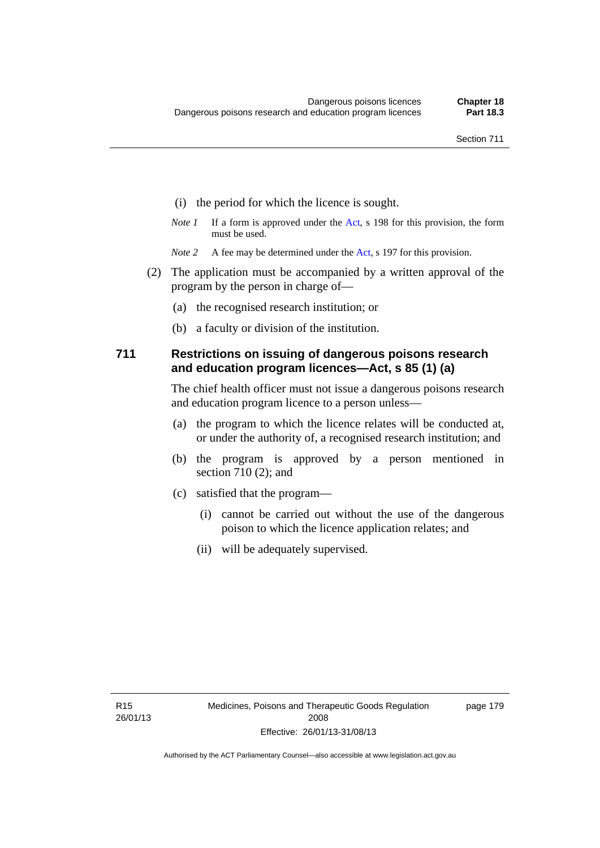- (i) the period for which the licence is sought.
- *Note 1* If a form is approved under the [Act](http://www.legislation.act.gov.au/a/2008-26/default.asp), s 198 for this provision, the form must be used.
- *Note 2* A fee may be determined under the [Act,](http://www.legislation.act.gov.au/a/2008-26/default.asp) s 197 for this provision.
- (2) The application must be accompanied by a written approval of the program by the person in charge of—
	- (a) the recognised research institution; or
	- (b) a faculty or division of the institution.

### **711 Restrictions on issuing of dangerous poisons research and education program licences—Act, s 85 (1) (a)**

The chief health officer must not issue a dangerous poisons research and education program licence to a person unless—

- (a) the program to which the licence relates will be conducted at, or under the authority of, a recognised research institution; and
- (b) the program is approved by a person mentioned in section 710 (2); and
- (c) satisfied that the program—
	- (i) cannot be carried out without the use of the dangerous poison to which the licence application relates; and
	- (ii) will be adequately supervised.

page 179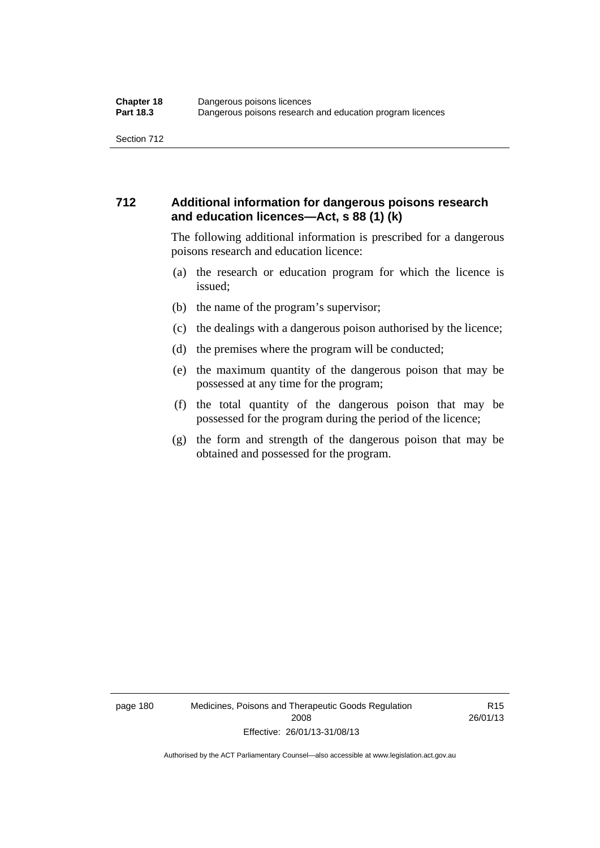### **712 Additional information for dangerous poisons research and education licences—Act, s 88 (1) (k)**

The following additional information is prescribed for a dangerous poisons research and education licence:

- (a) the research or education program for which the licence is issued;
- (b) the name of the program's supervisor;
- (c) the dealings with a dangerous poison authorised by the licence;
- (d) the premises where the program will be conducted;
- (e) the maximum quantity of the dangerous poison that may be possessed at any time for the program;
- (f) the total quantity of the dangerous poison that may be possessed for the program during the period of the licence;
- (g) the form and strength of the dangerous poison that may be obtained and possessed for the program.

page 180 Medicines, Poisons and Therapeutic Goods Regulation 2008 Effective: 26/01/13-31/08/13

R15 26/01/13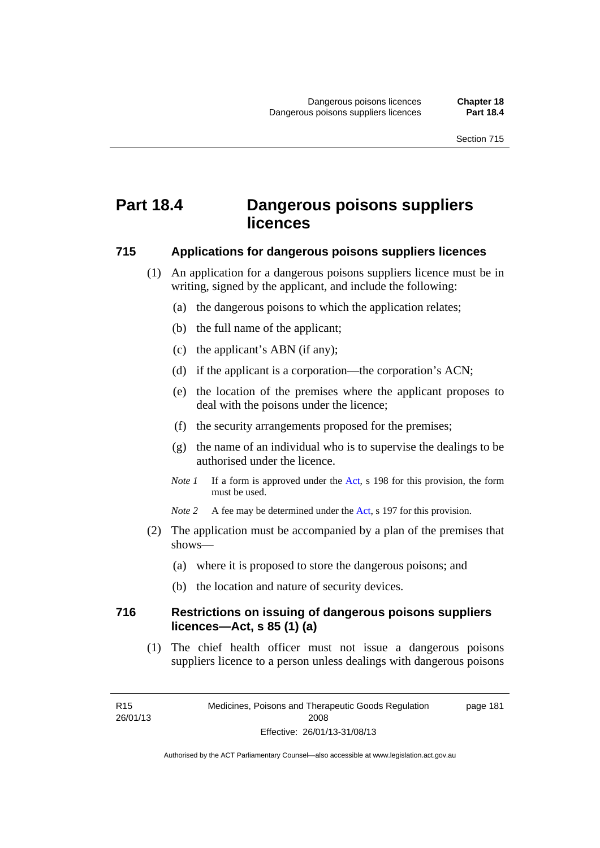# **Part 18.4 Dangerous poisons suppliers licences**

#### **715 Applications for dangerous poisons suppliers licences**

- (1) An application for a dangerous poisons suppliers licence must be in writing, signed by the applicant, and include the following:
	- (a) the dangerous poisons to which the application relates;
	- (b) the full name of the applicant;
	- (c) the applicant's ABN (if any);
	- (d) if the applicant is a corporation—the corporation's ACN;
	- (e) the location of the premises where the applicant proposes to deal with the poisons under the licence;
	- (f) the security arrangements proposed for the premises;
	- (g) the name of an individual who is to supervise the dealings to be authorised under the licence.
	- *Note 1* If a form is approved under the [Act](http://www.legislation.act.gov.au/a/2008-26/default.asp), s 198 for this provision, the form must be used.
	- *Note* 2 A fee may be determined under the [Act,](http://www.legislation.act.gov.au/a/2008-26/default.asp) s 197 for this provision.
- (2) The application must be accompanied by a plan of the premises that shows—
	- (a) where it is proposed to store the dangerous poisons; and
	- (b) the location and nature of security devices.

### **716 Restrictions on issuing of dangerous poisons suppliers licences—Act, s 85 (1) (a)**

(1) The chief health officer must not issue a dangerous poisons suppliers licence to a person unless dealings with dangerous poisons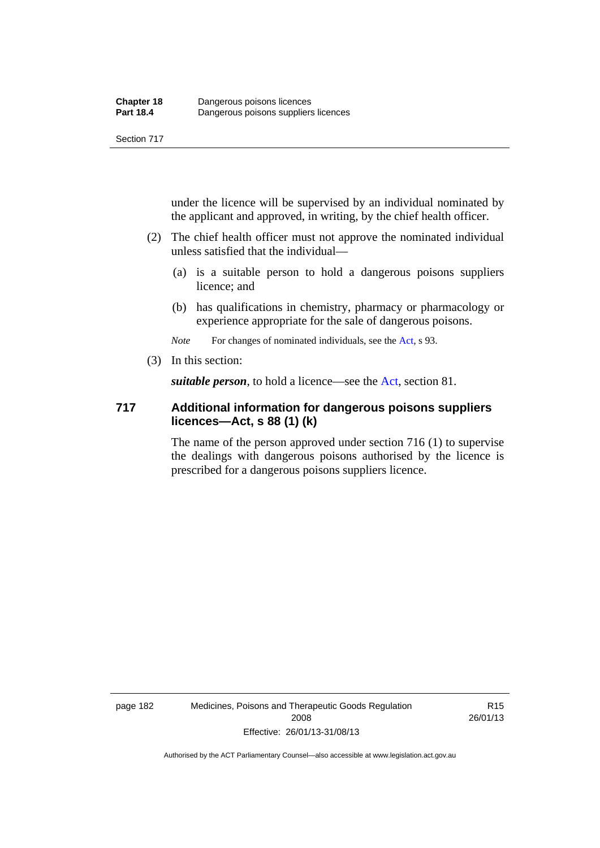under the licence will be supervised by an individual nominated by the applicant and approved, in writing, by the chief health officer.

- (2) The chief health officer must not approve the nominated individual unless satisfied that the individual—
	- (a) is a suitable person to hold a dangerous poisons suppliers licence; and
	- (b) has qualifications in chemistry, pharmacy or pharmacology or experience appropriate for the sale of dangerous poisons.

*Note* For changes of nominated individuals, see the [Act,](http://www.legislation.act.gov.au/a/2008-26/default.asp) s 93.

(3) In this section:

*suitable person*, to hold a licence—see the [Act](http://www.legislation.act.gov.au/a/2008-26/default.asp), section 81.

### **717 Additional information for dangerous poisons suppliers licences—Act, s 88 (1) (k)**

The name of the person approved under section 716 (1) to supervise the dealings with dangerous poisons authorised by the licence is prescribed for a dangerous poisons suppliers licence.

R15 26/01/13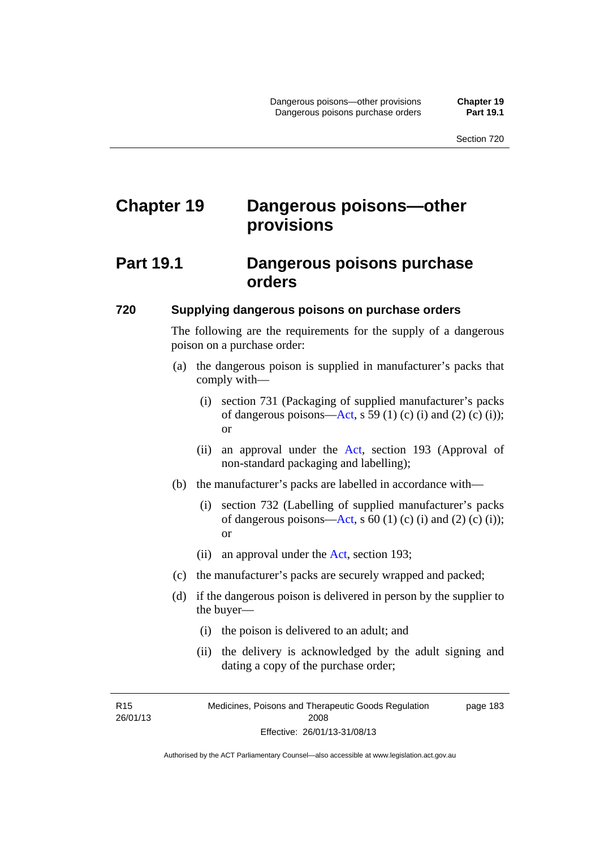# **Chapter 19 Dangerous poisons—other provisions**

### **Part 19.1 Dangerous poisons purchase orders**

#### **720 Supplying dangerous poisons on purchase orders**

The following are the requirements for the supply of a dangerous poison on a purchase order:

- (a) the dangerous poison is supplied in manufacturer's packs that comply with—
	- (i) section 731 (Packaging of supplied manufacturer's packs of dangerous poisons[—Act](http://www.legislation.act.gov.au/a/2008-26/default.asp), s 59 (1) (c) (i) and (2) (c) (i)); or
	- (ii) an approval under the [Act](http://www.legislation.act.gov.au/a/2008-26/default.asp), section 193 (Approval of non-standard packaging and labelling);
- (b) the manufacturer's packs are labelled in accordance with—
	- (i) section 732 (Labelling of supplied manufacturer's packs of dangerous poisons[—Act](http://www.legislation.act.gov.au/a/2008-26/default.asp), s  $60$  (1) (c) (i) and (2) (c) (i)); or
	- (ii) an approval under the [Act,](http://www.legislation.act.gov.au/a/2008-26/default.asp) section 193;
- (c) the manufacturer's packs are securely wrapped and packed;
- (d) if the dangerous poison is delivered in person by the supplier to the buyer—
	- (i) the poison is delivered to an adult; and
	- (ii) the delivery is acknowledged by the adult signing and dating a copy of the purchase order;

R15 26/01/13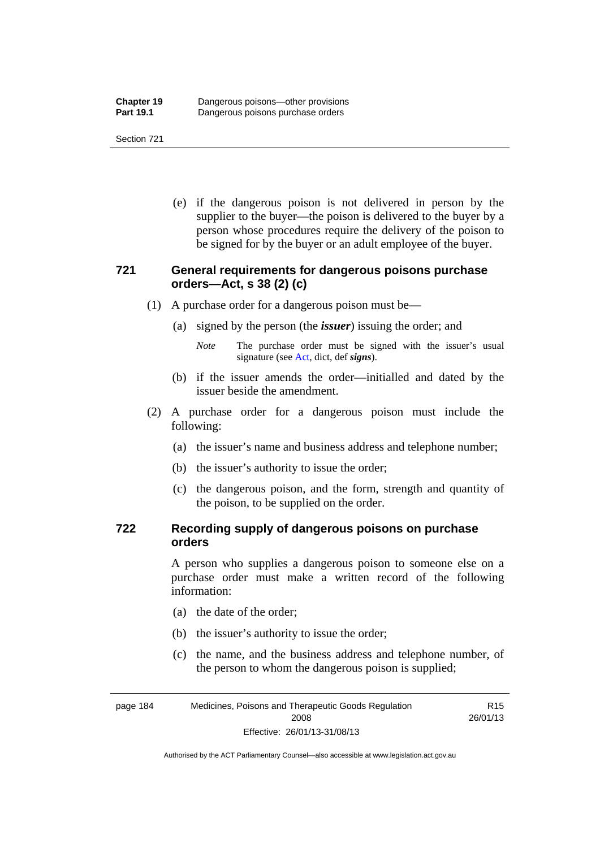(e) if the dangerous poison is not delivered in person by the supplier to the buyer—the poison is delivered to the buyer by a person whose procedures require the delivery of the poison to be signed for by the buyer or an adult employee of the buyer.

### **721 General requirements for dangerous poisons purchase orders—Act, s 38 (2) (c)**

- (1) A purchase order for a dangerous poison must be—
	- (a) signed by the person (the *issuer*) issuing the order; and
		- *Note* The purchase order must be signed with the issuer's usual signature (see [Act](http://www.legislation.act.gov.au/a/2008-26/default.asp), dict, def *signs*).
	- (b) if the issuer amends the order—initialled and dated by the issuer beside the amendment.
- (2) A purchase order for a dangerous poison must include the following:
	- (a) the issuer's name and business address and telephone number;
	- (b) the issuer's authority to issue the order;
	- (c) the dangerous poison, and the form, strength and quantity of the poison, to be supplied on the order.

### **722 Recording supply of dangerous poisons on purchase orders**

A person who supplies a dangerous poison to someone else on a purchase order must make a written record of the following information:

- (a) the date of the order;
- (b) the issuer's authority to issue the order;
- (c) the name, and the business address and telephone number, of the person to whom the dangerous poison is supplied;

R15

page 184 Medicines, Poisons and Therapeutic Goods Regulation 2008 Effective: 26/01/13-31/08/13 26/01/13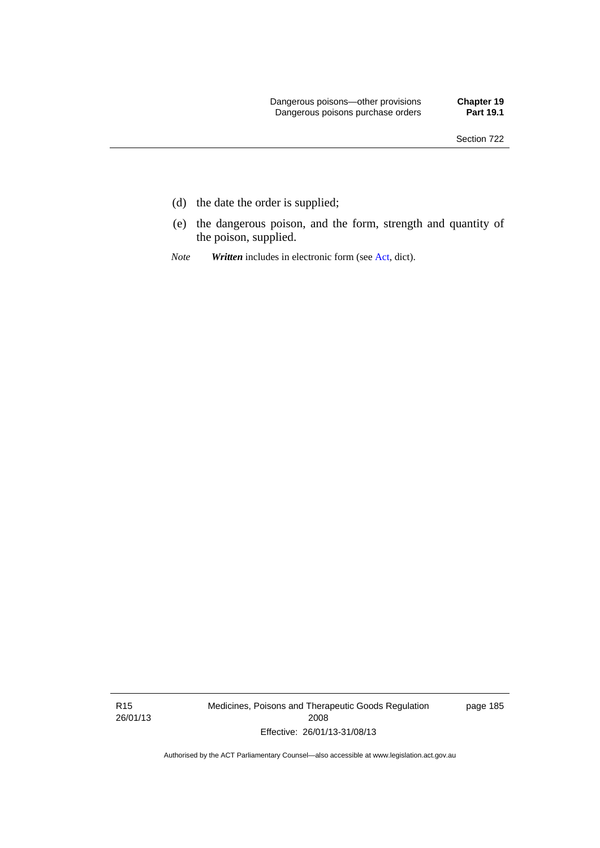- (d) the date the order is supplied;
- (e) the dangerous poison, and the form, strength and quantity of the poison, supplied.
- *Note Written* includes in electronic form (see [Act,](http://www.legislation.act.gov.au/a/2008-26/default.asp) dict).

R15 26/01/13 Medicines, Poisons and Therapeutic Goods Regulation 2008 Effective: 26/01/13-31/08/13

page 185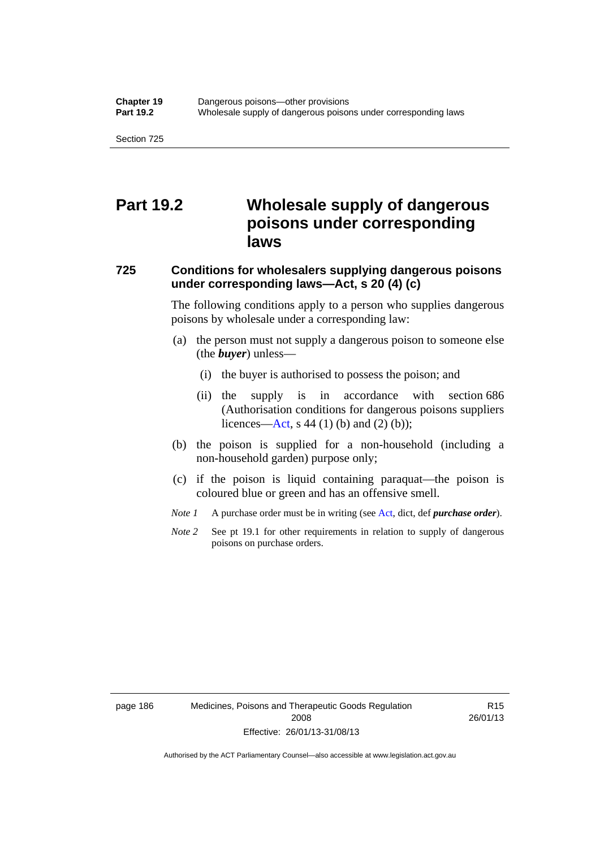## **Part 19.2 Wholesale supply of dangerous poisons under corresponding laws**

### **725 Conditions for wholesalers supplying dangerous poisons under corresponding laws—Act, s 20 (4) (c)**

The following conditions apply to a person who supplies dangerous poisons by wholesale under a corresponding law:

- (a) the person must not supply a dangerous poison to someone else (the *buyer*) unless—
	- (i) the buyer is authorised to possess the poison; and
	- (ii) the supply is in accordance with section 686 (Authorisation conditions for dangerous poisons suppliers licences—[Act,](http://www.legislation.act.gov.au/a/2008-26/default.asp) s 44 (1) (b) and (2) (b));
- (b) the poison is supplied for a non-household (including a non-household garden) purpose only;
- (c) if the poison is liquid containing paraquat—the poison is coloured blue or green and has an offensive smell.
- *Note 1* A purchase order must be in writing (see [Act,](http://www.legislation.act.gov.au/a/2008-26/default.asp) dict, def *purchase order*).
- *Note* 2 See pt 19.1 for other requirements in relation to supply of dangerous poisons on purchase orders.

page 186 Medicines, Poisons and Therapeutic Goods Regulation 2008 Effective: 26/01/13-31/08/13

R15 26/01/13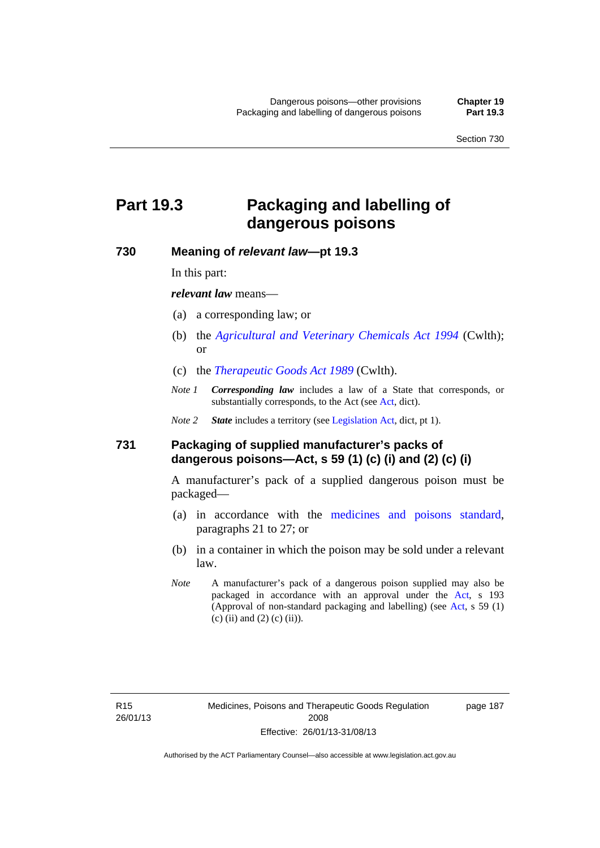# **Part 19.3 Packaging and labelling of dangerous poisons**

#### **730 Meaning of** *relevant law***—pt 19.3**

In this part:

*relevant law* means—

- (a) a corresponding law; or
- (b) the *[Agricultural and Veterinary Chemicals Act 1994](http://www.comlaw.gov.au/Series/C2004A04712)* (Cwlth); or
- (c) the *[Therapeutic Goods Act 1989](http://www.comlaw.gov.au/Series/C2004A03952)* (Cwlth).
- *Note 1 Corresponding law* includes a law of a State that corresponds, or substantially corresponds, to the [Act](http://www.legislation.act.gov.au/a/2008-26/default.asp) (see Act, dict).

*Note 2 State* includes a territory (see [Legislation Act,](http://www.legislation.act.gov.au/a/2001-14) dict, pt 1).

#### **731 Packaging of supplied manufacturer's packs of dangerous poisons—Act, s 59 (1) (c) (i) and (2) (c) (i)**

A manufacturer's pack of a supplied dangerous poison must be packaged—

- (a) in accordance with the [medicines and poisons standard](http://www.comlaw.gov.au/Series/F2012L01200), paragraphs 21 to 27; or
- (b) in a container in which the poison may be sold under a relevant law.
- *Note* A manufacturer's pack of a dangerous poison supplied may also be packaged in accordance with an approval under the [Act,](http://www.legislation.act.gov.au/a/2008-26/default.asp) s 193 (Approval of non-standard packaging and labelling) (see [Act](http://www.legislation.act.gov.au/a/2008-26/default.asp), s 59 (1) (c) (ii) and (2) (c) (ii)).

page 187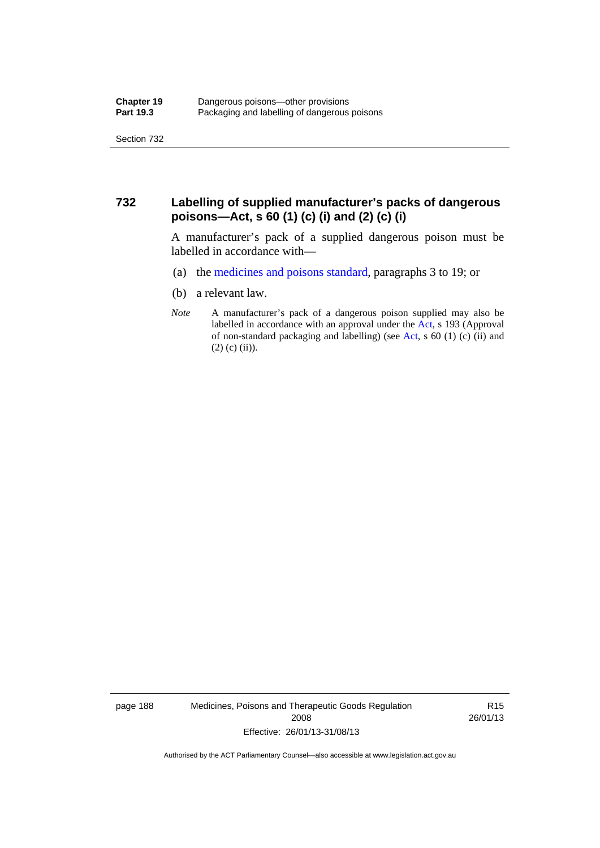### **732 Labelling of supplied manufacturer's packs of dangerous poisons—Act, s 60 (1) (c) (i) and (2) (c) (i)**

A manufacturer's pack of a supplied dangerous poison must be labelled in accordance with—

- (a) the [medicines and poisons standard](http://www.comlaw.gov.au/Series/F2012L01200), paragraphs 3 to 19; or
- (b) a relevant law.
- *Note* A manufacturer's pack of a dangerous poison supplied may also be labelled in accordance with an approval under the [Act](http://www.legislation.act.gov.au/a/2008-26/default.asp), s 193 (Approval of non-standard packaging and labelling) (see [Act,](http://www.legislation.act.gov.au/a/2008-26/default.asp) s 60 (1) (c) (ii) and  $(2)$  (c) (ii)).

page 188 Medicines, Poisons and Therapeutic Goods Regulation 2008 Effective: 26/01/13-31/08/13

R15 26/01/13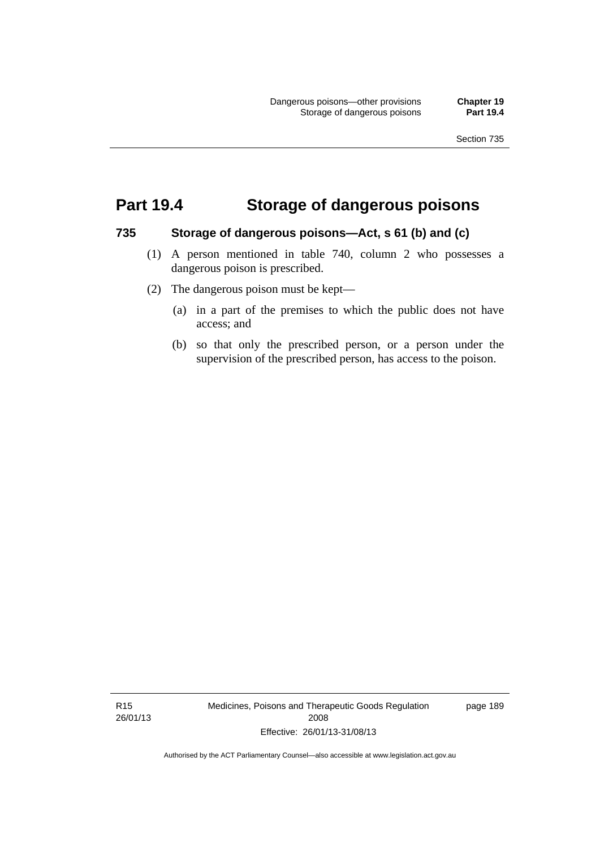## **Part 19.4 Storage of dangerous poisons**

#### **735 Storage of dangerous poisons—Act, s 61 (b) and (c)**

- (1) A person mentioned in table 740, column 2 who possesses a dangerous poison is prescribed.
- (2) The dangerous poison must be kept—
	- (a) in a part of the premises to which the public does not have access; and
	- (b) so that only the prescribed person, or a person under the supervision of the prescribed person, has access to the poison.

R15 26/01/13 Medicines, Poisons and Therapeutic Goods Regulation 2008 Effective: 26/01/13-31/08/13

page 189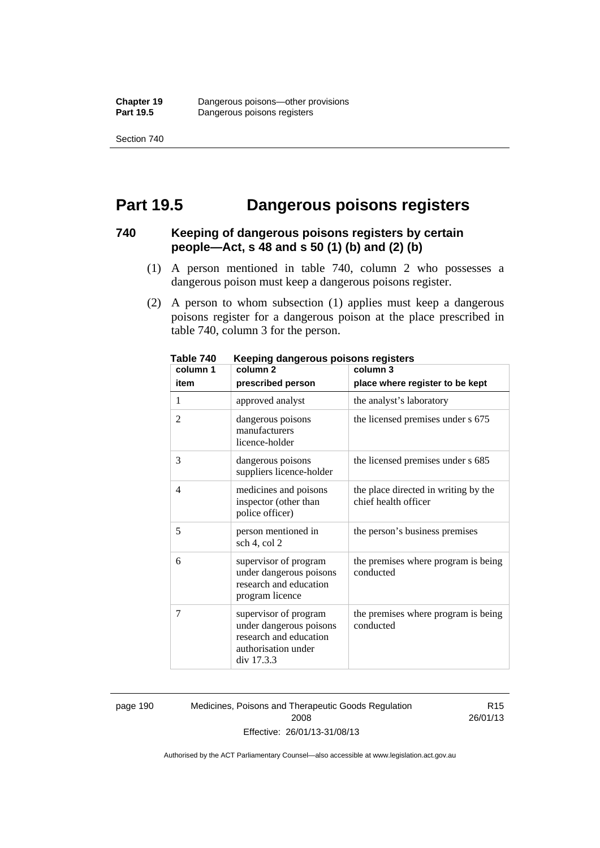## **Part 19.5 Dangerous poisons registers**

### **740 Keeping of dangerous poisons registers by certain people—Act, s 48 and s 50 (1) (b) and (2) (b)**

- (1) A person mentioned in table 740, column 2 who possesses a dangerous poison must keep a dangerous poisons register.
- (2) A person to whom subsection (1) applies must keep a dangerous poisons register for a dangerous poison at the place prescribed in table 740, column 3 for the person.

| 1 ANIC 140<br>column 1 | <u>Reepiriy dariyerous poisons registers</u><br>column <sub>2</sub>                                             | column 3                                                     |
|------------------------|-----------------------------------------------------------------------------------------------------------------|--------------------------------------------------------------|
| item                   | prescribed person                                                                                               | place where register to be kept                              |
| 1                      | approved analyst                                                                                                | the analyst's laboratory                                     |
| $\overline{2}$         | dangerous poisons<br>manufacturers<br>licence-holder                                                            | the licensed premises under s 675                            |
| 3                      | dangerous poisons<br>suppliers licence-holder                                                                   | the licensed premises under s 685                            |
| 4                      | medicines and poisons<br>inspector (other than<br>police officer)                                               | the place directed in writing by the<br>chief health officer |
| 5                      | person mentioned in<br>sch 4, col 2                                                                             | the person's business premises                               |
| 6                      | supervisor of program<br>under dangerous poisons<br>research and education<br>program licence                   | the premises where program is being<br>conducted             |
| 7                      | supervisor of program<br>under dangerous poisons<br>research and education<br>authorisation under<br>div 17.3.3 | the premises where program is being<br>conducted             |

**Table 740 Keeping dangerous poisons registers** 

page 190 Medicines, Poisons and Therapeutic Goods Regulation 2008 Effective: 26/01/13-31/08/13

R15 26/01/13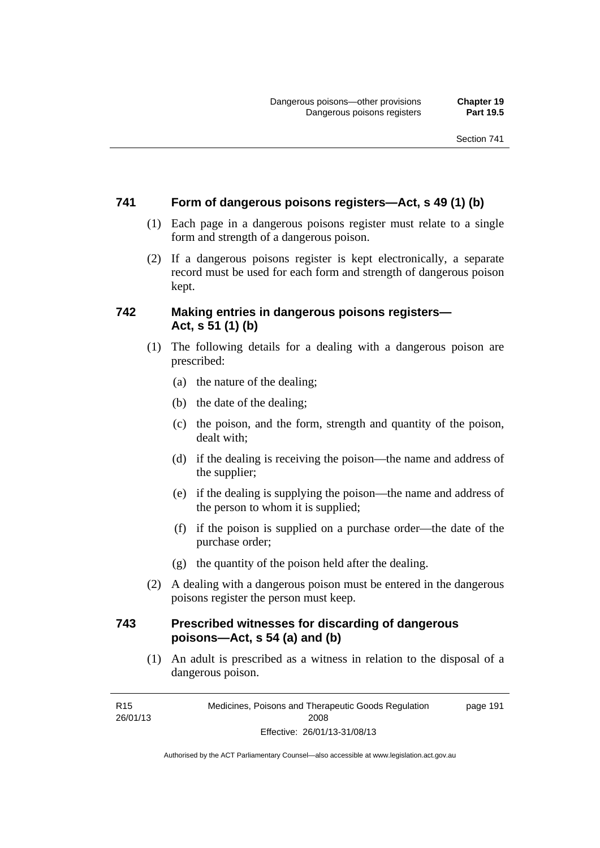### **741 Form of dangerous poisons registers—Act, s 49 (1) (b)**

- (1) Each page in a dangerous poisons register must relate to a single form and strength of a dangerous poison.
- (2) If a dangerous poisons register is kept electronically, a separate record must be used for each form and strength of dangerous poison kept.

### **742 Making entries in dangerous poisons registers— Act, s 51 (1) (b)**

- (1) The following details for a dealing with a dangerous poison are prescribed:
	- (a) the nature of the dealing;
	- (b) the date of the dealing;
	- (c) the poison, and the form, strength and quantity of the poison, dealt with;
	- (d) if the dealing is receiving the poison—the name and address of the supplier;
	- (e) if the dealing is supplying the poison—the name and address of the person to whom it is supplied;
	- (f) if the poison is supplied on a purchase order—the date of the purchase order;
	- (g) the quantity of the poison held after the dealing.
- (2) A dealing with a dangerous poison must be entered in the dangerous poisons register the person must keep.

### **743 Prescribed witnesses for discarding of dangerous poisons—Act, s 54 (a) and (b)**

 (1) An adult is prescribed as a witness in relation to the disposal of a dangerous poison.

R15 26/01/13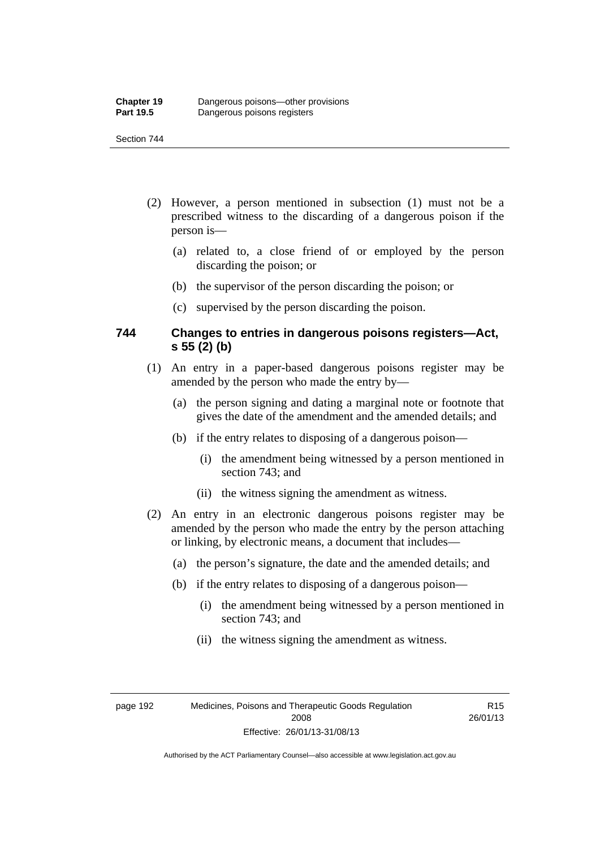- (2) However, a person mentioned in subsection (1) must not be a prescribed witness to the discarding of a dangerous poison if the person is—
	- (a) related to, a close friend of or employed by the person discarding the poison; or
	- (b) the supervisor of the person discarding the poison; or
	- (c) supervised by the person discarding the poison.

### **744 Changes to entries in dangerous poisons registers—Act, s 55 (2) (b)**

- (1) An entry in a paper-based dangerous poisons register may be amended by the person who made the entry by—
	- (a) the person signing and dating a marginal note or footnote that gives the date of the amendment and the amended details; and
	- (b) if the entry relates to disposing of a dangerous poison—
		- (i) the amendment being witnessed by a person mentioned in section 743; and
		- (ii) the witness signing the amendment as witness.
- (2) An entry in an electronic dangerous poisons register may be amended by the person who made the entry by the person attaching or linking, by electronic means, a document that includes—
	- (a) the person's signature, the date and the amended details; and
	- (b) if the entry relates to disposing of a dangerous poison—
		- (i) the amendment being witnessed by a person mentioned in section 743; and
		- (ii) the witness signing the amendment as witness.

R15 26/01/13

Authorised by the ACT Parliamentary Counsel—also accessible at www.legislation.act.gov.au

Effective: 26/01/13-31/08/13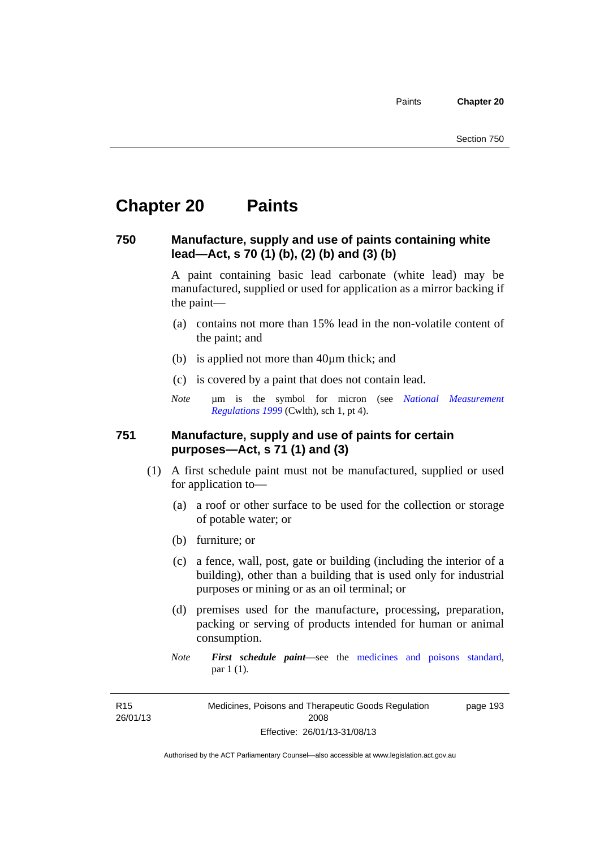### **Chapter 20 Paints**

#### **750 Manufacture, supply and use of paints containing white lead—Act, s 70 (1) (b), (2) (b) and (3) (b)**

A paint containing basic lead carbonate (white lead) may be manufactured, supplied or used for application as a mirror backing if the paint—

- (a) contains not more than 15% lead in the non-volatile content of the paint; and
- (b) is applied not more than 40µm thick; and
- (c) is covered by a paint that does not contain lead.
- *Note* um is the symbol for micron (see *National Measurement [Regulations 1999](http://www.comlaw.gov.au/Series/F1999B00110)* (Cwlth), sch 1, pt 4).

#### **751 Manufacture, supply and use of paints for certain purposes—Act, s 71 (1) and (3)**

- (1) A first schedule paint must not be manufactured, supplied or used for application to—
	- (a) a roof or other surface to be used for the collection or storage of potable water; or
	- (b) furniture; or
	- (c) a fence, wall, post, gate or building (including the interior of a building), other than a building that is used only for industrial purposes or mining or as an oil terminal; or
	- (d) premises used for the manufacture, processing, preparation, packing or serving of products intended for human or animal consumption.
	- *Note First schedule paint*—see the [medicines and poisons standard,](http://www.comlaw.gov.au/Series/F2012L01200) par 1 (1).

R15 26/01/13 Medicines, Poisons and Therapeutic Goods Regulation 2008 Effective: 26/01/13-31/08/13 page 193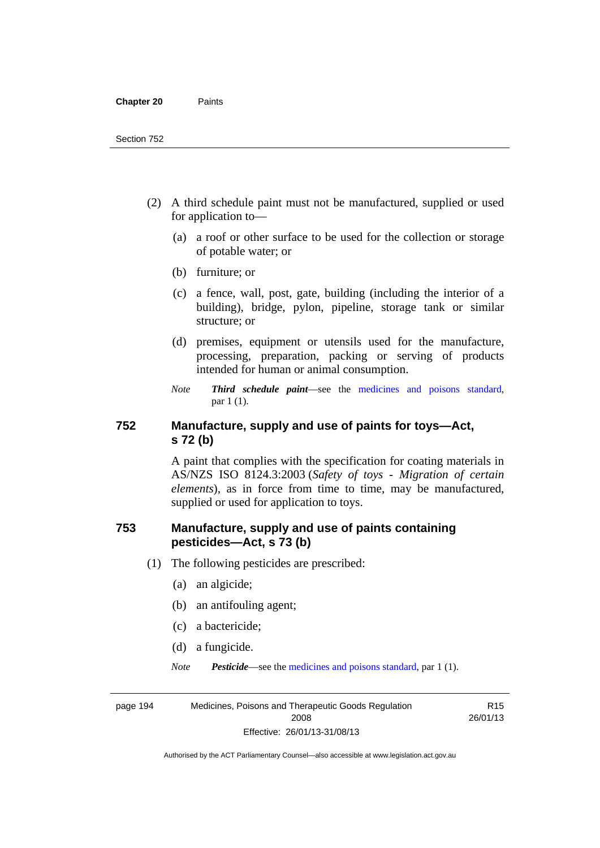- (2) A third schedule paint must not be manufactured, supplied or used for application to—
	- (a) a roof or other surface to be used for the collection or storage of potable water; or
	- (b) furniture; or
	- (c) a fence, wall, post, gate, building (including the interior of a building), bridge, pylon, pipeline, storage tank or similar structure; or
	- (d) premises, equipment or utensils used for the manufacture, processing, preparation, packing or serving of products intended for human or animal consumption.
	- *Note Third schedule paint*—see the [medicines and poisons standard,](http://www.comlaw.gov.au/Series/F2012L01200) par 1 (1).

### **752 Manufacture, supply and use of paints for toys—Act, s 72 (b)**

A paint that complies with the specification for coating materials in AS/NZS ISO 8124.3:2003 (*Safety of toys - Migration of certain elements*), as in force from time to time, may be manufactured, supplied or used for application to toys.

### **753 Manufacture, supply and use of paints containing pesticides—Act, s 73 (b)**

- (1) The following pesticides are prescribed:
	- (a) an algicide;
	- (b) an antifouling agent;
	- (c) a bactericide;
	- (d) a fungicide.
	- *Note Pesticide*—see the [medicines and poisons standard,](http://www.comlaw.gov.au/Series/F2012L01200) par 1 (1).

page 194 Medicines, Poisons and Therapeutic Goods Regulation 2008 Effective: 26/01/13-31/08/13

R15 26/01/13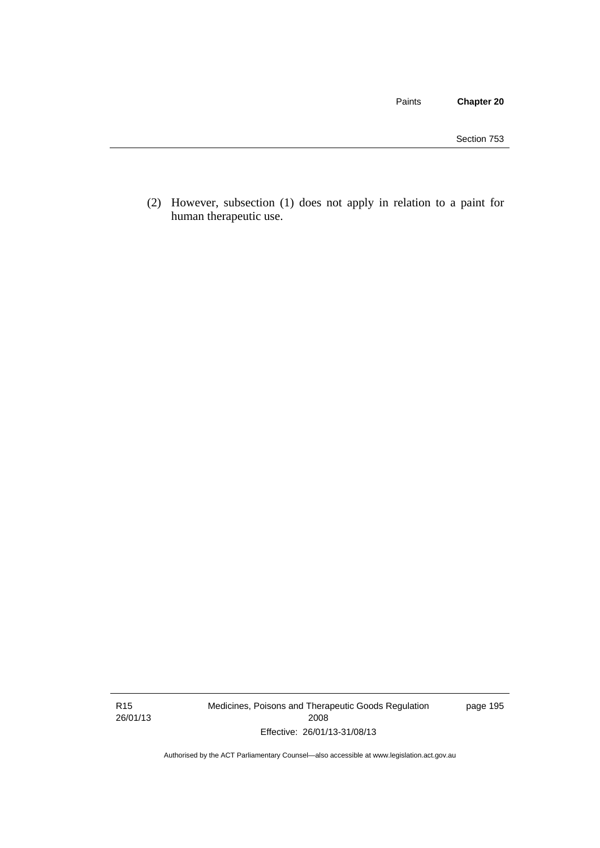Paints **Chapter 20**

 (2) However, subsection (1) does not apply in relation to a paint for human therapeutic use.

R15 26/01/13 Medicines, Poisons and Therapeutic Goods Regulation 2008 Effective: 26/01/13-31/08/13

page 195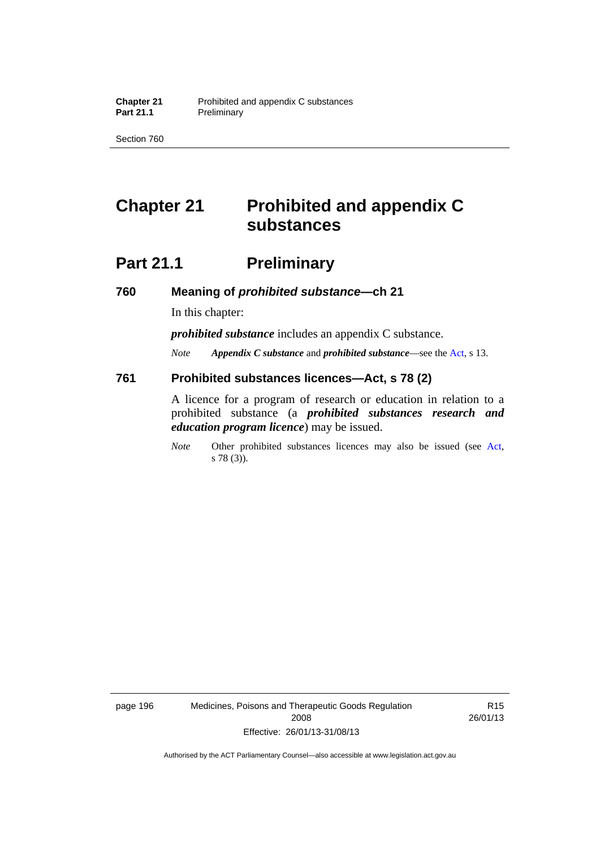Section 760

# **Chapter 21 Prohibited and appendix C substances**

## **Part 21.1 Preliminary**

**760 Meaning of** *prohibited substance***—ch 21** 

In this chapter:

*prohibited substance* includes an appendix C substance.

*Note Appendix C substance* and *prohibited substance*—see the [Act,](http://www.legislation.act.gov.au/a/2008-26/default.asp) s 13.

#### **761 Prohibited substances licences—Act, s 78 (2)**

A licence for a program of research or education in relation to a prohibited substance (a *prohibited substances research and education program licence*) may be issued.

*Note* Other prohibited substances licences may also be issued (see [Act,](http://www.legislation.act.gov.au/a/2008-26/default.asp) s 78 (3)).

page 196 Medicines, Poisons and Therapeutic Goods Regulation 2008 Effective: 26/01/13-31/08/13

R15 26/01/13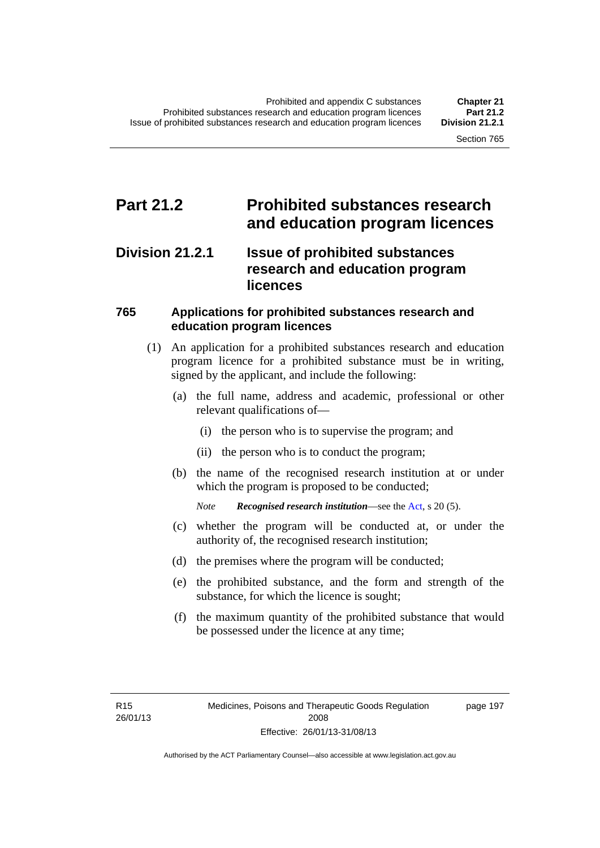### **Part 21.2 Prohibited substances research and education program licences**

### **Division 21.2.1 Issue of prohibited substances research and education program licences**

### **765 Applications for prohibited substances research and education program licences**

- (1) An application for a prohibited substances research and education program licence for a prohibited substance must be in writing, signed by the applicant, and include the following:
	- (a) the full name, address and academic, professional or other relevant qualifications of—
		- (i) the person who is to supervise the program; and
		- (ii) the person who is to conduct the program;
	- (b) the name of the recognised research institution at or under which the program is proposed to be conducted;
		- *Note Recognised research institution*—see the [Act](http://www.legislation.act.gov.au/a/2008-26/default.asp), s 20 (5).
	- (c) whether the program will be conducted at, or under the authority of, the recognised research institution;
	- (d) the premises where the program will be conducted;
	- (e) the prohibited substance, and the form and strength of the substance, for which the licence is sought;
	- (f) the maximum quantity of the prohibited substance that would be possessed under the licence at any time;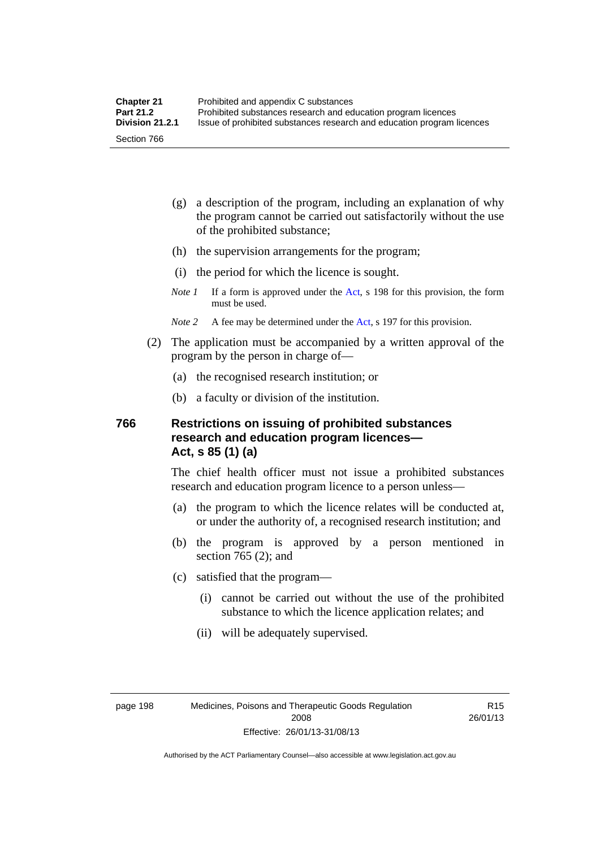- (g) a description of the program, including an explanation of why the program cannot be carried out satisfactorily without the use of the prohibited substance;
- (h) the supervision arrangements for the program;
- (i) the period for which the licence is sought.
- *Note 1* If a form is approved under the [Act](http://www.legislation.act.gov.au/a/2008-26/default.asp), s 198 for this provision, the form must be used.
- *Note 2* A fee may be determined under the [Act,](http://www.legislation.act.gov.au/a/2008-26/default.asp) s 197 for this provision.
- (2) The application must be accompanied by a written approval of the program by the person in charge of—
	- (a) the recognised research institution; or
	- (b) a faculty or division of the institution.

#### **766 Restrictions on issuing of prohibited substances research and education program licences— Act, s 85 (1) (a)**

The chief health officer must not issue a prohibited substances research and education program licence to a person unless—

- (a) the program to which the licence relates will be conducted at, or under the authority of, a recognised research institution; and
- (b) the program is approved by a person mentioned in section 765 (2); and
- (c) satisfied that the program—
	- (i) cannot be carried out without the use of the prohibited substance to which the licence application relates; and
	- (ii) will be adequately supervised.

R15 26/01/13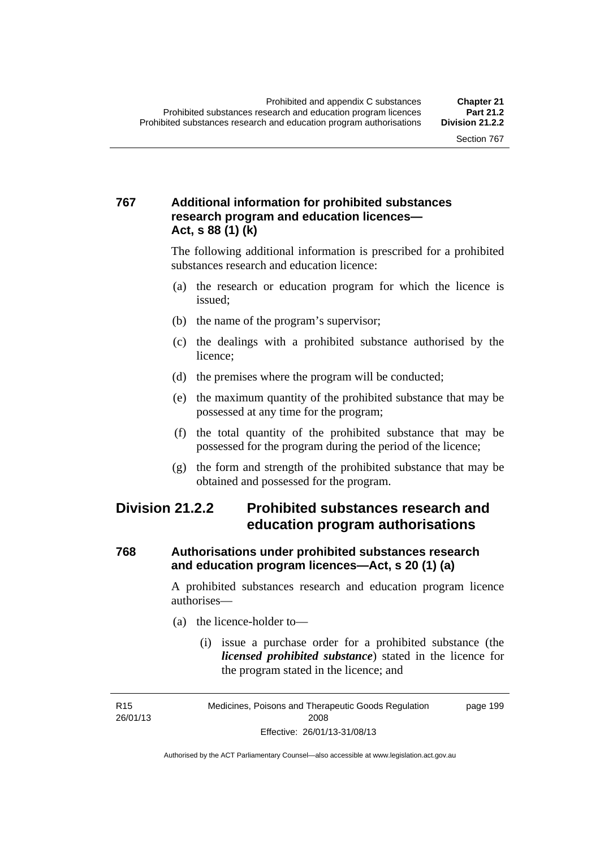### **767 Additional information for prohibited substances research program and education licences— Act, s 88 (1) (k)**

The following additional information is prescribed for a prohibited substances research and education licence:

- (a) the research or education program for which the licence is issued;
- (b) the name of the program's supervisor;
- (c) the dealings with a prohibited substance authorised by the licence;
- (d) the premises where the program will be conducted;
- (e) the maximum quantity of the prohibited substance that may be possessed at any time for the program;
- (f) the total quantity of the prohibited substance that may be possessed for the program during the period of the licence;
- (g) the form and strength of the prohibited substance that may be obtained and possessed for the program.

### **Division 21.2.2 Prohibited substances research and education program authorisations**

### **768 Authorisations under prohibited substances research and education program licences—Act, s 20 (1) (a)**

A prohibited substances research and education program licence authorises—

- (a) the licence-holder to—
	- (i) issue a purchase order for a prohibited substance (the *licensed prohibited substance*) stated in the licence for the program stated in the licence; and

R15 26/01/13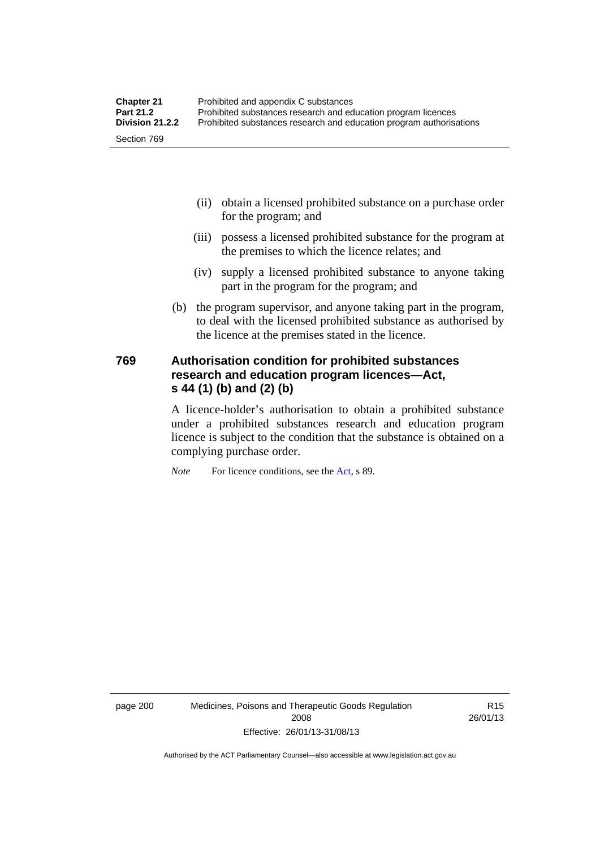- (ii) obtain a licensed prohibited substance on a purchase order for the program; and
- (iii) possess a licensed prohibited substance for the program at the premises to which the licence relates; and
- (iv) supply a licensed prohibited substance to anyone taking part in the program for the program; and
- (b) the program supervisor, and anyone taking part in the program, to deal with the licensed prohibited substance as authorised by the licence at the premises stated in the licence.

### **769 Authorisation condition for prohibited substances research and education program licences—Act, s 44 (1) (b) and (2) (b)**

A licence-holder's authorisation to obtain a prohibited substance under a prohibited substances research and education program licence is subject to the condition that the substance is obtained on a complying purchase order.

*Note* For licence conditions, see the [Act](http://www.legislation.act.gov.au/a/2008-26/default.asp), s 89.

page 200 Medicines, Poisons and Therapeutic Goods Regulation 2008 Effective: 26/01/13-31/08/13

R15 26/01/13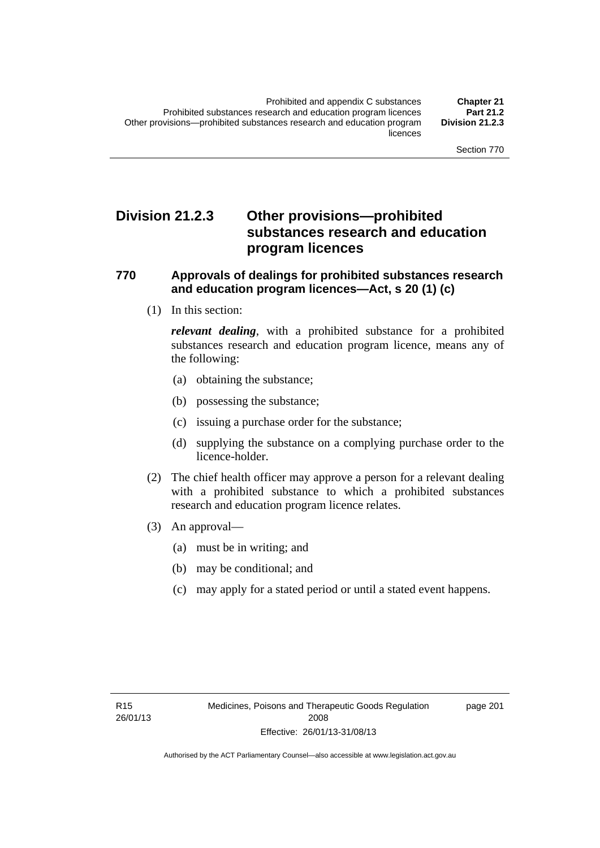### **Division 21.2.3 Other provisions—prohibited substances research and education program licences**

#### **770 Approvals of dealings for prohibited substances research and education program licences—Act, s 20 (1) (c)**

(1) In this section:

*relevant dealing*, with a prohibited substance for a prohibited substances research and education program licence, means any of the following:

- (a) obtaining the substance;
- (b) possessing the substance;
- (c) issuing a purchase order for the substance;
- (d) supplying the substance on a complying purchase order to the licence-holder.
- (2) The chief health officer may approve a person for a relevant dealing with a prohibited substance to which a prohibited substances research and education program licence relates.
- (3) An approval—
	- (a) must be in writing; and
	- (b) may be conditional; and
	- (c) may apply for a stated period or until a stated event happens.

page 201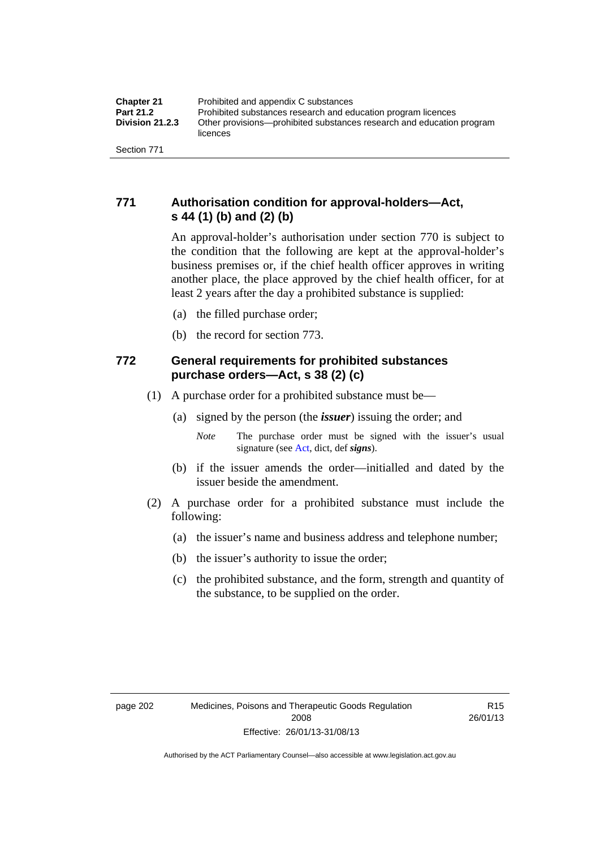### **771 Authorisation condition for approval-holders—Act, s 44 (1) (b) and (2) (b)**

An approval-holder's authorisation under section 770 is subject to the condition that the following are kept at the approval-holder's business premises or, if the chief health officer approves in writing another place, the place approved by the chief health officer, for at least 2 years after the day a prohibited substance is supplied:

- (a) the filled purchase order;
- (b) the record for section 773.

### **772 General requirements for prohibited substances purchase orders—Act, s 38 (2) (c)**

- (1) A purchase order for a prohibited substance must be—
	- (a) signed by the person (the *issuer*) issuing the order; and
		- *Note* The purchase order must be signed with the issuer's usual signature (see [Act](http://www.legislation.act.gov.au/a/2008-26/default.asp), dict, def *signs*).
	- (b) if the issuer amends the order—initialled and dated by the issuer beside the amendment.
- (2) A purchase order for a prohibited substance must include the following:
	- (a) the issuer's name and business address and telephone number;
	- (b) the issuer's authority to issue the order;
	- (c) the prohibited substance, and the form, strength and quantity of the substance, to be supplied on the order.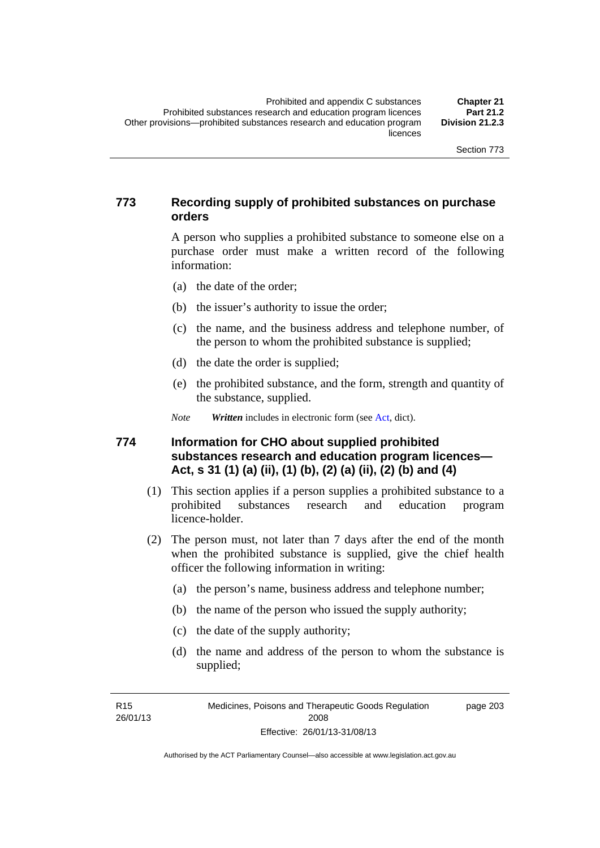#### **773 Recording supply of prohibited substances on purchase orders**

A person who supplies a prohibited substance to someone else on a purchase order must make a written record of the following information:

- (a) the date of the order;
- (b) the issuer's authority to issue the order;
- (c) the name, and the business address and telephone number, of the person to whom the prohibited substance is supplied;
- (d) the date the order is supplied;
- (e) the prohibited substance, and the form, strength and quantity of the substance, supplied.

*Note Written* includes in electronic form (see [Act,](http://www.legislation.act.gov.au/a/2008-26/default.asp) dict).

#### **774 Information for CHO about supplied prohibited substances research and education program licences— Act, s 31 (1) (a) (ii), (1) (b), (2) (a) (ii), (2) (b) and (4)**

- (1) This section applies if a person supplies a prohibited substance to a prohibited substances research and education program licence-holder.
- (2) The person must, not later than 7 days after the end of the month when the prohibited substance is supplied, give the chief health officer the following information in writing:
	- (a) the person's name, business address and telephone number;
	- (b) the name of the person who issued the supply authority;
	- (c) the date of the supply authority;
	- (d) the name and address of the person to whom the substance is supplied;

R15 26/01/13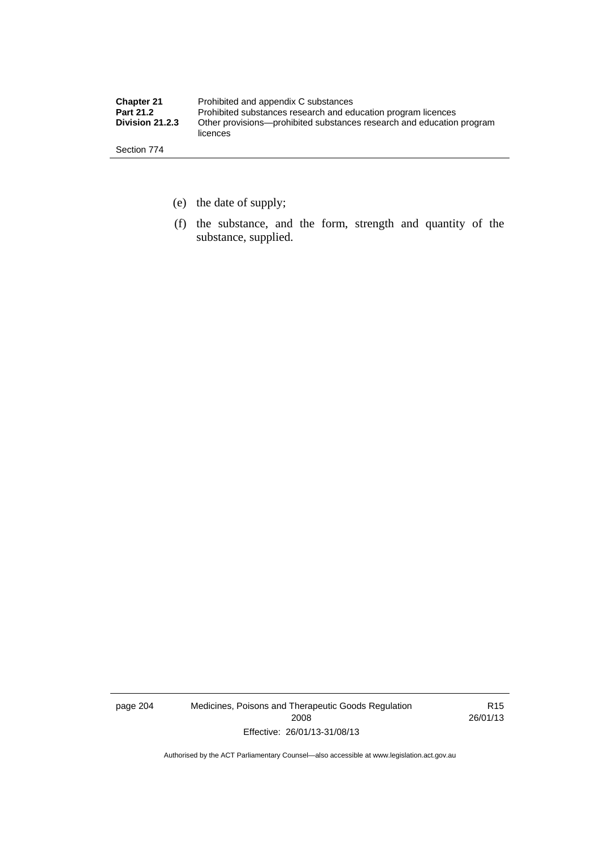| <b>Chapter 21</b> | Prohibited and appendix C substances                                              |
|-------------------|-----------------------------------------------------------------------------------|
| <b>Part 21.2</b>  | Prohibited substances research and education program licences                     |
| Division 21.2.3   | Other provisions—prohibited substances research and education program<br>licences |
| Section 774       |                                                                                   |

- (e) the date of supply;
- (f) the substance, and the form, strength and quantity of the substance, supplied.

page 204 Medicines, Poisons and Therapeutic Goods Regulation 2008 Effective: 26/01/13-31/08/13

R15 26/01/13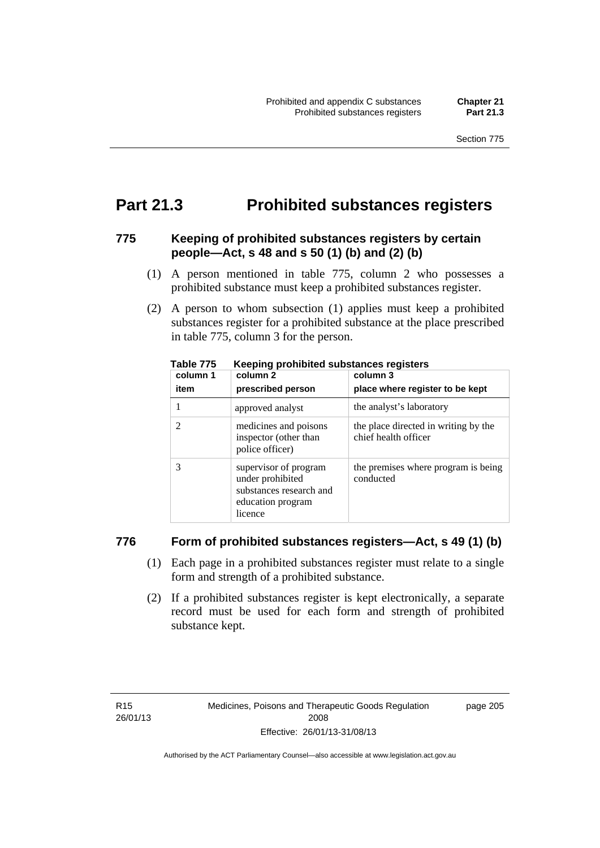### **Part 21.3 Prohibited substances registers**

#### **775 Keeping of prohibited substances registers by certain people—Act, s 48 and s 50 (1) (b) and (2) (b)**

- (1) A person mentioned in table 775, column 2 who possesses a prohibited substance must keep a prohibited substances register.
- (2) A person to whom subsection (1) applies must keep a prohibited substances register for a prohibited substance at the place prescribed in table 775, column 3 for the person.

| column 1<br>item | column 2<br>prescribed person                                                                        | column 3<br>place where register to be kept                  |
|------------------|------------------------------------------------------------------------------------------------------|--------------------------------------------------------------|
|                  | approved analyst                                                                                     | the analyst's laboratory                                     |
|                  | medicines and poisons<br>inspector (other than<br>police officer)                                    | the place directed in writing by the<br>chief health officer |
| 3                | supervisor of program<br>under prohibited<br>substances research and<br>education program<br>licence | the premises where program is being<br>conducted             |

**Table 775 Keeping prohibited substances registers** 

#### **776 Form of prohibited substances registers—Act, s 49 (1) (b)**

- (1) Each page in a prohibited substances register must relate to a single form and strength of a prohibited substance.
- (2) If a prohibited substances register is kept electronically, a separate record must be used for each form and strength of prohibited substance kept.

page 205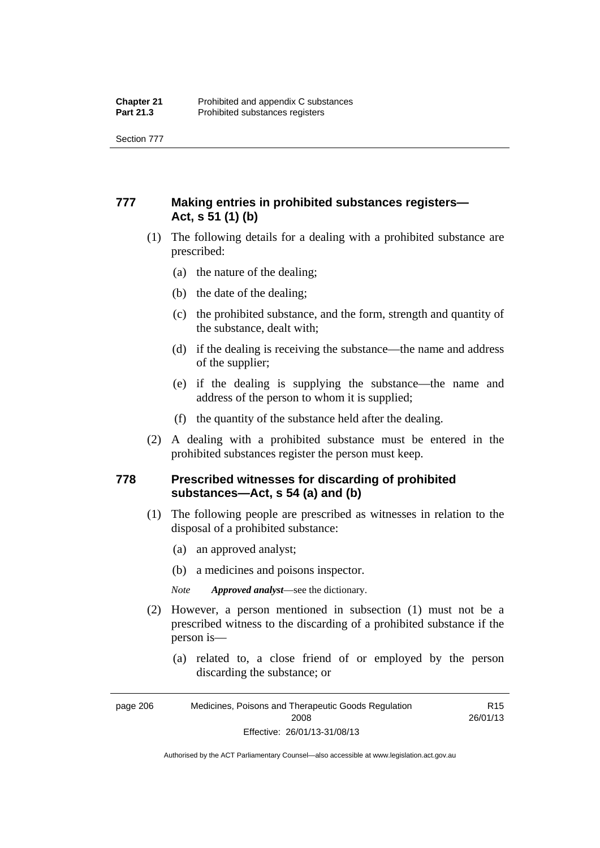Section 777

### **777 Making entries in prohibited substances registers— Act, s 51 (1) (b)**

- (1) The following details for a dealing with a prohibited substance are prescribed:
	- (a) the nature of the dealing;
	- (b) the date of the dealing;
	- (c) the prohibited substance, and the form, strength and quantity of the substance, dealt with;
	- (d) if the dealing is receiving the substance—the name and address of the supplier;
	- (e) if the dealing is supplying the substance—the name and address of the person to whom it is supplied;
	- (f) the quantity of the substance held after the dealing.
- (2) A dealing with a prohibited substance must be entered in the prohibited substances register the person must keep.

#### **778 Prescribed witnesses for discarding of prohibited substances—Act, s 54 (a) and (b)**

- (1) The following people are prescribed as witnesses in relation to the disposal of a prohibited substance:
	- (a) an approved analyst;
	- (b) a medicines and poisons inspector.

*Note Approved analyst*—see the dictionary.

- (2) However, a person mentioned in subsection (1) must not be a prescribed witness to the discarding of a prohibited substance if the person is—
	- (a) related to, a close friend of or employed by the person discarding the substance; or

Authorised by the ACT Parliamentary Counsel—also accessible at www.legislation.act.gov.au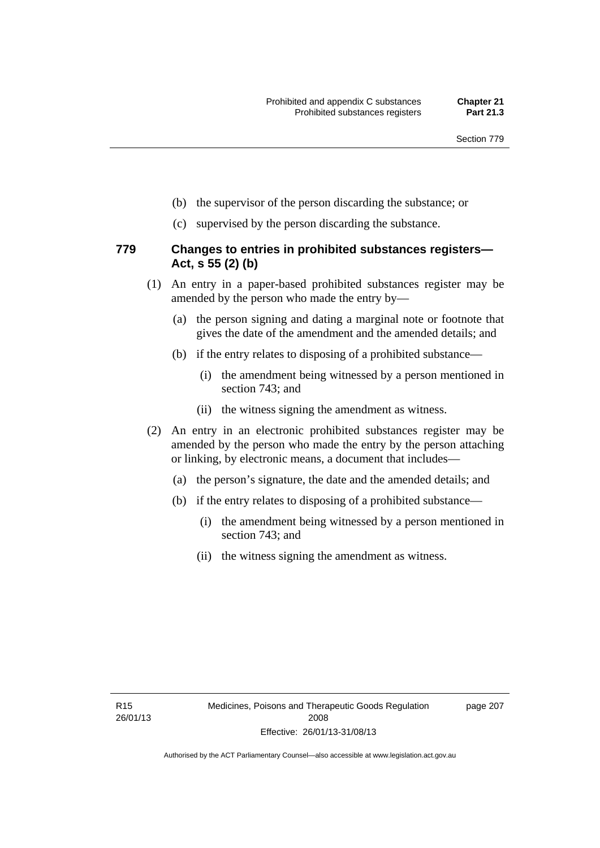- (b) the supervisor of the person discarding the substance; or
- (c) supervised by the person discarding the substance.

#### **779 Changes to entries in prohibited substances registers— Act, s 55 (2) (b)**

- (1) An entry in a paper-based prohibited substances register may be amended by the person who made the entry by—
	- (a) the person signing and dating a marginal note or footnote that gives the date of the amendment and the amended details; and
	- (b) if the entry relates to disposing of a prohibited substance—
		- (i) the amendment being witnessed by a person mentioned in section 743; and
		- (ii) the witness signing the amendment as witness.
- (2) An entry in an electronic prohibited substances register may be amended by the person who made the entry by the person attaching or linking, by electronic means, a document that includes—
	- (a) the person's signature, the date and the amended details; and
	- (b) if the entry relates to disposing of a prohibited substance—
		- (i) the amendment being witnessed by a person mentioned in section 743; and
		- (ii) the witness signing the amendment as witness.

page 207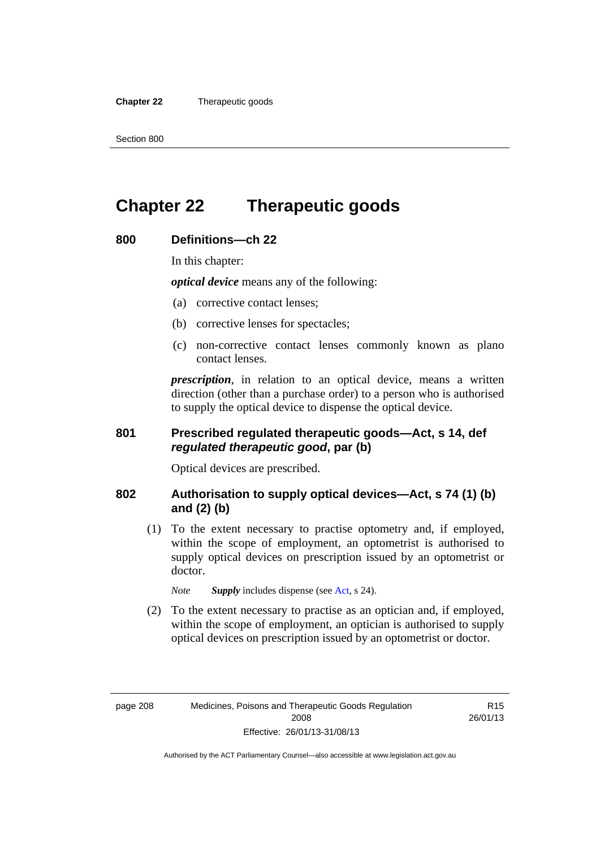**Chapter 22** Therapeutic goods

# **Chapter 22 Therapeutic goods**

### **800 Definitions—ch 22**

In this chapter:

*optical device* means any of the following:

- (a) corrective contact lenses;
- (b) corrective lenses for spectacles;
- (c) non-corrective contact lenses commonly known as plano contact lenses.

*prescription*, in relation to an optical device, means a written direction (other than a purchase order) to a person who is authorised to supply the optical device to dispense the optical device.

#### **801 Prescribed regulated therapeutic goods—Act, s 14, def**  *regulated therapeutic good***, par (b)**

Optical devices are prescribed.

#### **802 Authorisation to supply optical devices—Act, s 74 (1) (b) and (2) (b)**

 (1) To the extent necessary to practise optometry and, if employed, within the scope of employment, an optometrist is authorised to supply optical devices on prescription issued by an optometrist or doctor.

*Note Supply* includes dispense (see [Act,](http://www.legislation.act.gov.au/a/2008-26/default.asp) s 24).

 (2) To the extent necessary to practise as an optician and, if employed, within the scope of employment, an optician is authorised to supply optical devices on prescription issued by an optometrist or doctor.

R15 26/01/13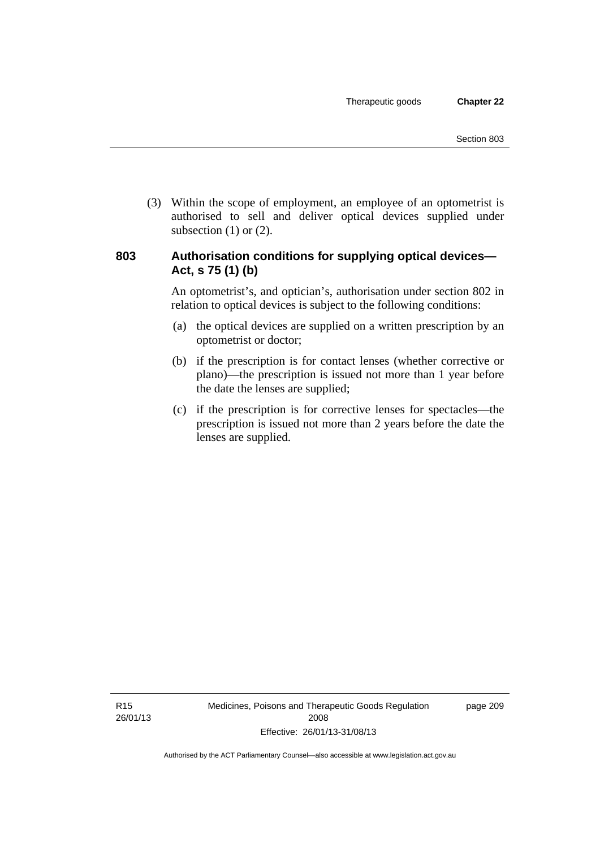(3) Within the scope of employment, an employee of an optometrist is authorised to sell and deliver optical devices supplied under subsection  $(1)$  or  $(2)$ .

#### **803 Authorisation conditions for supplying optical devices— Act, s 75 (1) (b)**

An optometrist's, and optician's, authorisation under section 802 in relation to optical devices is subject to the following conditions:

- (a) the optical devices are supplied on a written prescription by an optometrist or doctor;
- (b) if the prescription is for contact lenses (whether corrective or plano)—the prescription is issued not more than 1 year before the date the lenses are supplied;
- (c) if the prescription is for corrective lenses for spectacles—the prescription is issued not more than 2 years before the date the lenses are supplied.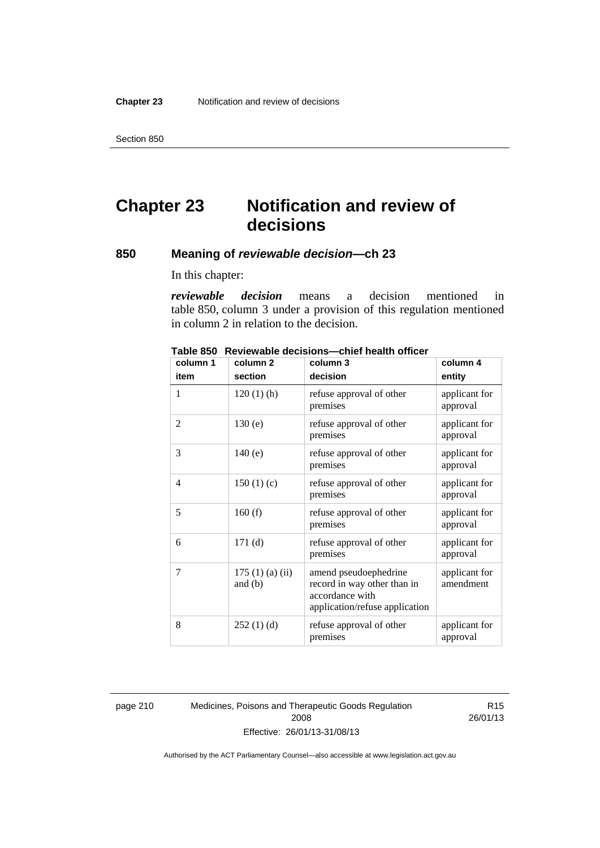Section 850

# **Chapter 23 Notification and review of decisions**

#### **850 Meaning of** *reviewable decision—***ch 23**

In this chapter:

*reviewable decision* means a decision mentioned in table 850, column 3 under a provision of this regulation mentioned in column 2 in relation to the decision.

| column 1       | column <sub>2</sub>        | column 3                                                                                                  | column 4                   |
|----------------|----------------------------|-----------------------------------------------------------------------------------------------------------|----------------------------|
| item           | section                    | decision                                                                                                  | entity                     |
| 1              | $120(1)$ (h)               | refuse approval of other<br>premises                                                                      | applicant for<br>approval  |
| 2              | 130(e)                     | refuse approval of other<br>premises                                                                      | applicant for<br>approval  |
| 3              | 140(e)                     | refuse approval of other<br>premises                                                                      | applicant for<br>approval  |
| $\overline{4}$ | 150(1)(c)                  | refuse approval of other<br>premises                                                                      | applicant for<br>approval  |
| 5              | 160(f)                     | refuse approval of other<br>premises                                                                      | applicant for<br>approval  |
| 6              | 171(d)                     | refuse approval of other<br>premises                                                                      | applicant for<br>approval  |
| 7              | 175(1)(a)(ii)<br>and $(b)$ | amend pseudoephedrine<br>record in way other than in<br>accordance with<br>application/refuse application | applicant for<br>amendment |
| 8              | 252(1)(d)                  | refuse approval of other<br>premises                                                                      | applicant for<br>approval  |

**Table 850 Reviewable decisions—chief health officer** 

page 210 Medicines, Poisons and Therapeutic Goods Regulation 2008 Effective: 26/01/13-31/08/13

R15 26/01/13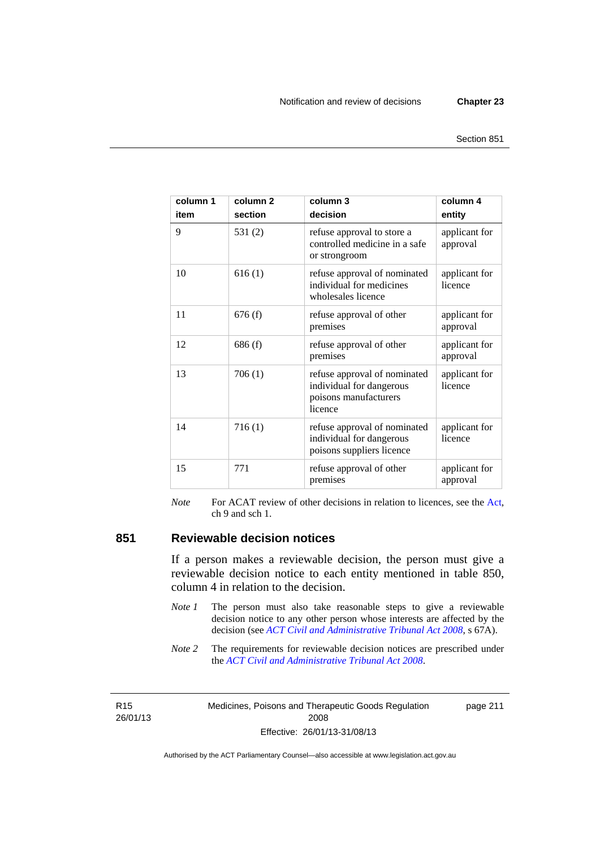page 211

| column 1<br>item | column <sub>2</sub><br>section | column 3<br>decision                                                                         | column 4<br>entity        |
|------------------|--------------------------------|----------------------------------------------------------------------------------------------|---------------------------|
| 9                | 531(2)                         | refuse approval to store a<br>controlled medicine in a safe<br>or strongroom                 | applicant for<br>approval |
| 10               | 616(1)                         | refuse approval of nominated<br>individual for medicines<br>wholesales licence               | applicant for<br>licence  |
| 11               | 676(f)                         | refuse approval of other<br>premises                                                         | applicant for<br>approval |
| 12               | 686(f)                         | refuse approval of other<br>premises                                                         | applicant for<br>approval |
| 13               | 706(1)                         | refuse approval of nominated<br>individual for dangerous<br>poisons manufacturers<br>licence | applicant for<br>licence  |
| 14               | 716(1)                         | refuse approval of nominated<br>individual for dangerous<br>poisons suppliers licence        | applicant for<br>licence  |
| 15               | 771                            | refuse approval of other<br>premises                                                         | applicant for<br>approval |

*Note* For ACAT review of other decisions in relation to licences, see the [Act,](http://www.legislation.act.gov.au/a/2008-26/default.asp) ch 9 and sch 1.

#### **851 Reviewable decision notices**

If a person makes a reviewable decision, the person must give a reviewable decision notice to each entity mentioned in table 850, column 4 in relation to the decision.

- *Note 1* The person must also take reasonable steps to give a reviewable decision notice to any other person whose interests are affected by the decision (see *[ACT Civil and Administrative Tribunal Act 2008](http://www.legislation.act.gov.au/a/2008-35)*, s 67A).
- *Note* 2 The requirements for reviewable decision notices are prescribed under the *[ACT Civil and Administrative Tribunal Act 2008](http://www.legislation.act.gov.au/a/2008-35)*.

R15 26/01/13 Medicines, Poisons and Therapeutic Goods Regulation 2008 Effective: 26/01/13-31/08/13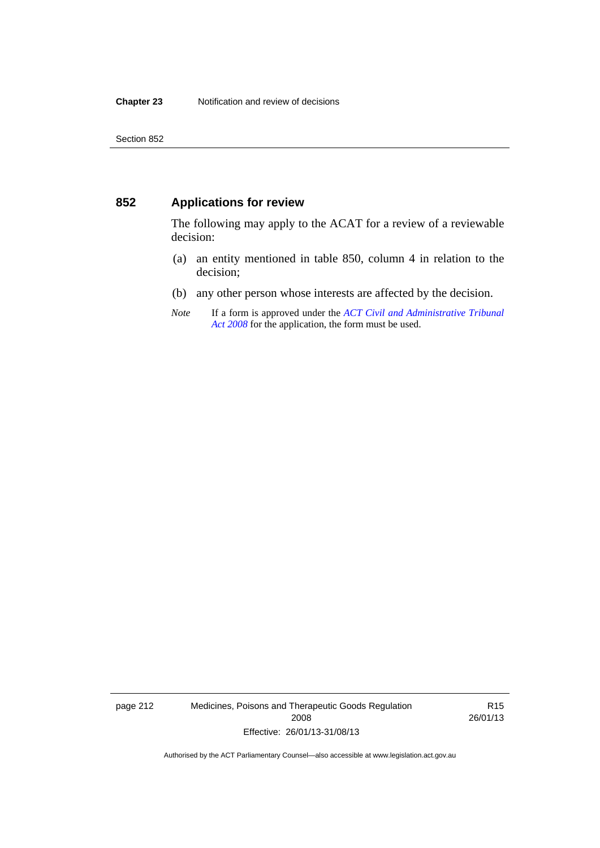### **852 Applications for review**

The following may apply to the ACAT for a review of a reviewable decision:

- (a) an entity mentioned in table 850, column 4 in relation to the decision;
- (b) any other person whose interests are affected by the decision.
- *Note* If a form is approved under the *[ACT Civil and Administrative Tribunal](http://www.legislation.act.gov.au/a/2008-35)  [Act 2008](http://www.legislation.act.gov.au/a/2008-35)* for the application, the form must be used.

page 212 Medicines, Poisons and Therapeutic Goods Regulation 2008 Effective: 26/01/13-31/08/13

R15 26/01/13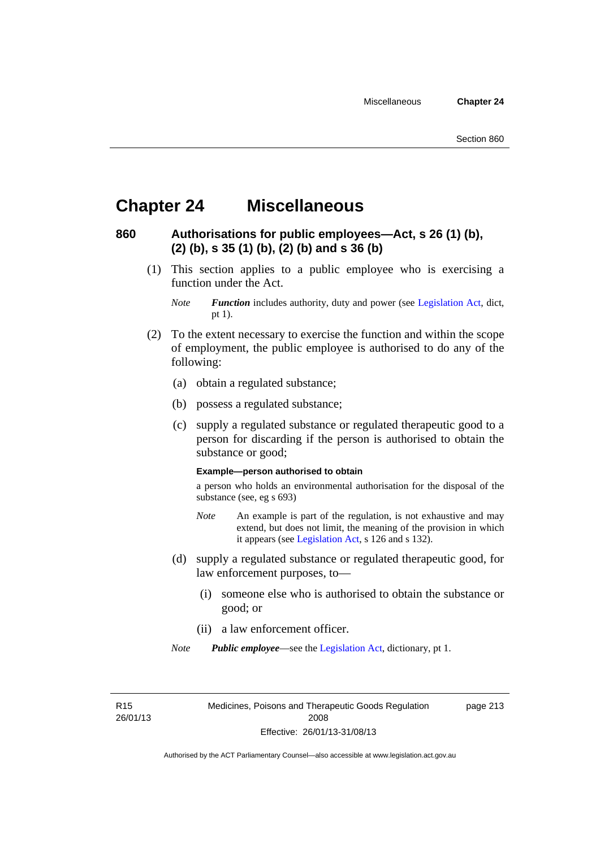### **Chapter 24 Miscellaneous**

### **860 Authorisations for public employees—Act, s 26 (1) (b), (2) (b), s 35 (1) (b), (2) (b) and s 36 (b)**

 (1) This section applies to a public employee who is exercising a function under the Act.

- (2) To the extent necessary to exercise the function and within the scope of employment, the public employee is authorised to do any of the following:
	- (a) obtain a regulated substance;
	- (b) possess a regulated substance;
	- (c) supply a regulated substance or regulated therapeutic good to a person for discarding if the person is authorised to obtain the substance or good;

#### **Example—person authorised to obtain**

a person who holds an environmental authorisation for the disposal of the substance (see, eg s 693)

- *Note* An example is part of the regulation, is not exhaustive and may extend, but does not limit, the meaning of the provision in which it appears (see [Legislation Act,](http://www.legislation.act.gov.au/a/2001-14) s 126 and s 132).
- (d) supply a regulated substance or regulated therapeutic good, for law enforcement purposes, to—
	- (i) someone else who is authorised to obtain the substance or good; or
	- (ii) a law enforcement officer.
- *Note Public employee*—see the [Legislation Act,](http://www.legislation.act.gov.au/a/2001-14) dictionary, pt 1.

R15 26/01/13 Medicines, Poisons and Therapeutic Goods Regulation 2008 Effective: 26/01/13-31/08/13

page 213

*Note Function* includes authority, duty and power (see [Legislation Act](http://www.legislation.act.gov.au/a/2001-14), dict, pt 1).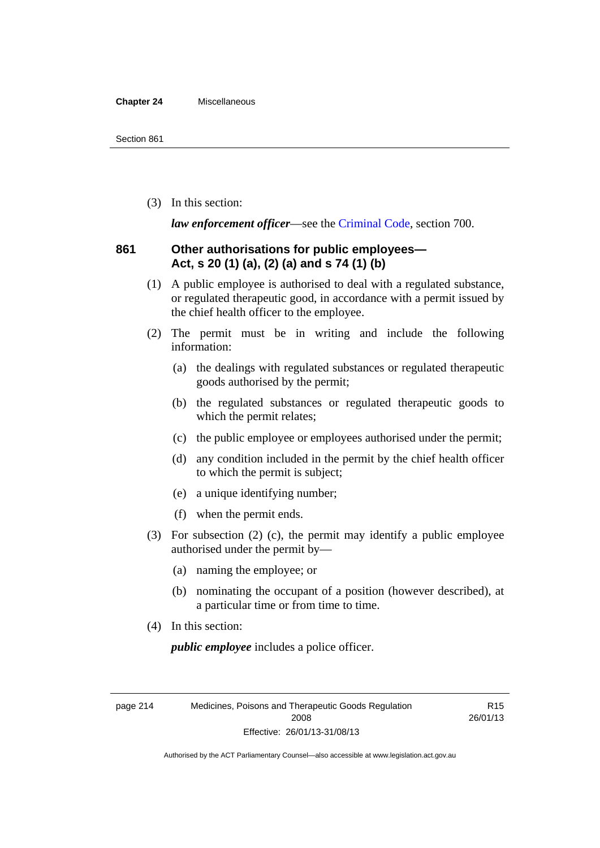#### **Chapter 24** Miscellaneous

(3) In this section:

*law enforcement officer*—see the [Criminal Code,](http://www.legislation.act.gov.au/a/2002-51) section 700.

#### **861 Other authorisations for public employees— Act, s 20 (1) (a), (2) (a) and s 74 (1) (b)**

- (1) A public employee is authorised to deal with a regulated substance, or regulated therapeutic good, in accordance with a permit issued by the chief health officer to the employee.
- (2) The permit must be in writing and include the following information:
	- (a) the dealings with regulated substances or regulated therapeutic goods authorised by the permit;
	- (b) the regulated substances or regulated therapeutic goods to which the permit relates;
	- (c) the public employee or employees authorised under the permit;
	- (d) any condition included in the permit by the chief health officer to which the permit is subject;
	- (e) a unique identifying number;
	- (f) when the permit ends.
- (3) For subsection (2) (c), the permit may identify a public employee authorised under the permit by—
	- (a) naming the employee; or
	- (b) nominating the occupant of a position (however described), at a particular time or from time to time.
- (4) In this section:

*public employee* includes a police officer.

page 214 Medicines, Poisons and Therapeutic Goods Regulation 2008 Effective: 26/01/13-31/08/13

R15 26/01/13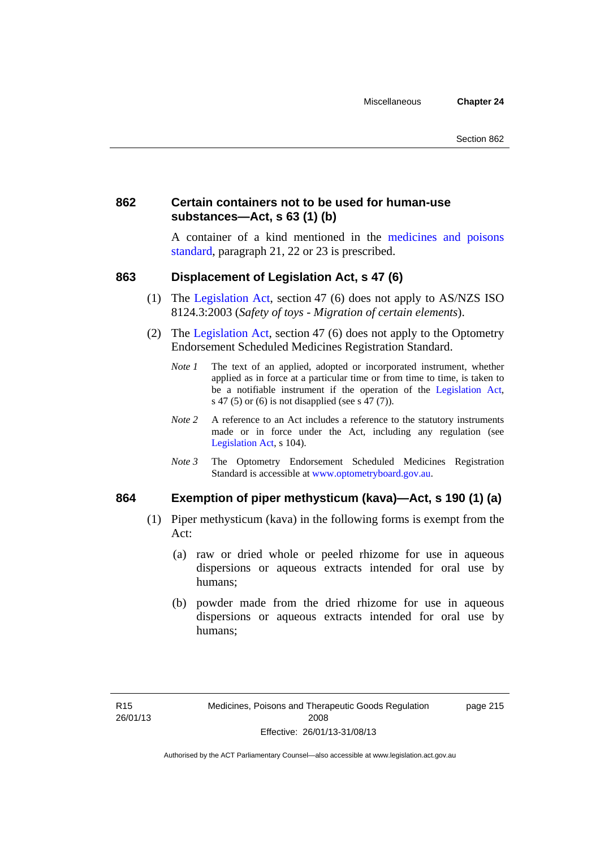#### **862 Certain containers not to be used for human-use substances—Act, s 63 (1) (b)**

A container of a kind mentioned in the [medicines and poisons](http://www.comlaw.gov.au/Series/F2012L01200)  [standard,](http://www.comlaw.gov.au/Series/F2012L01200) paragraph 21, 22 or 23 is prescribed.

#### **863 Displacement of Legislation Act, s 47 (6)**

- (1) The [Legislation Act](http://www.legislation.act.gov.au/a/2001-14), section 47 (6) does not apply to AS/NZS ISO 8124.3:2003 (*Safety of toys - Migration of certain elements*).
- (2) The [Legislation Act,](http://www.legislation.act.gov.au/a/2001-14) section 47 (6) does not apply to the Optometry Endorsement Scheduled Medicines Registration Standard.
	- *Note 1* The text of an applied, adopted or incorporated instrument, whether applied as in force at a particular time or from time to time, is taken to be a notifiable instrument if the operation of the [Legislation Act,](http://www.legislation.act.gov.au/a/2001-14) s 47 (5) or (6) is not disapplied (see s 47 (7)).
	- *Note 2* A reference to an Act includes a reference to the statutory instruments made or in force under the Act, including any regulation (see [Legislation Act,](http://www.legislation.act.gov.au/a/2001-14) s 104).
	- *Note 3* The Optometry Endorsement Scheduled Medicines Registration Standard is accessible at [www.optometryboard.gov.au](http://www.optometryboard.gov.au/).

#### **864 Exemption of piper methysticum (kava)—Act, s 190 (1) (a)**

- (1) Piper methysticum (kava) in the following forms is exempt from the Act:
	- (a) raw or dried whole or peeled rhizome for use in aqueous dispersions or aqueous extracts intended for oral use by humans;
	- (b) powder made from the dried rhizome for use in aqueous dispersions or aqueous extracts intended for oral use by humans;

page 215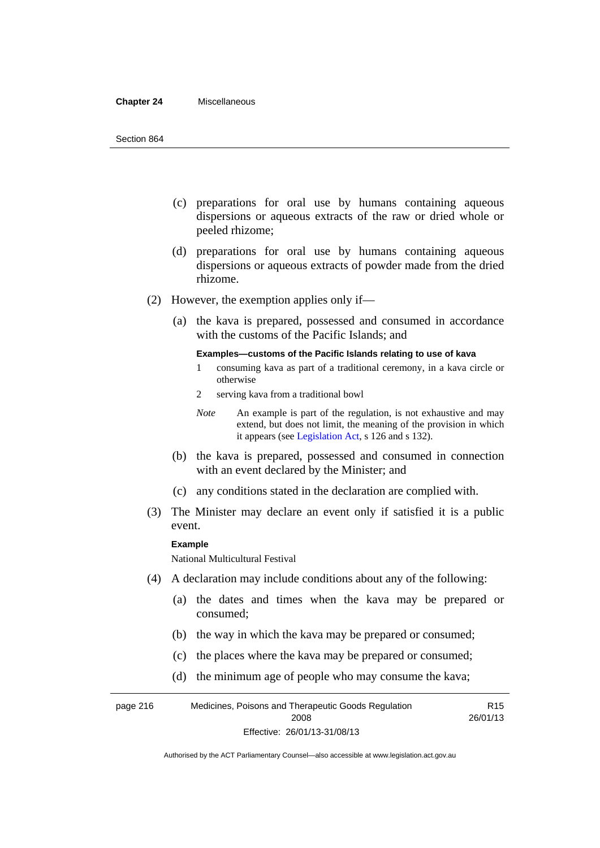#### **Chapter 24** Miscellaneous

- (c) preparations for oral use by humans containing aqueous dispersions or aqueous extracts of the raw or dried whole or peeled rhizome;
- (d) preparations for oral use by humans containing aqueous dispersions or aqueous extracts of powder made from the dried rhizome.
- (2) However, the exemption applies only if—
	- (a) the kava is prepared, possessed and consumed in accordance with the customs of the Pacific Islands; and

#### **Examples—customs of the Pacific Islands relating to use of kava**

- 1 consuming kava as part of a traditional ceremony, in a kava circle or otherwise
- 2 serving kava from a traditional bowl

- (b) the kava is prepared, possessed and consumed in connection with an event declared by the Minister; and
- (c) any conditions stated in the declaration are complied with.
- (3) The Minister may declare an event only if satisfied it is a public event.

#### **Example**

National Multicultural Festival

- (4) A declaration may include conditions about any of the following:
	- (a) the dates and times when the kava may be prepared or consumed;
	- (b) the way in which the kava may be prepared or consumed;
	- (c) the places where the kava may be prepared or consumed;
	- (d) the minimum age of people who may consume the kava;

page 216 Medicines, Poisons and Therapeutic Goods Regulation 2008 Effective: 26/01/13-31/08/13 R15 26/01/13

*Note* An example is part of the regulation, is not exhaustive and may extend, but does not limit, the meaning of the provision in which it appears (see [Legislation Act,](http://www.legislation.act.gov.au/a/2001-14) s 126 and s 132).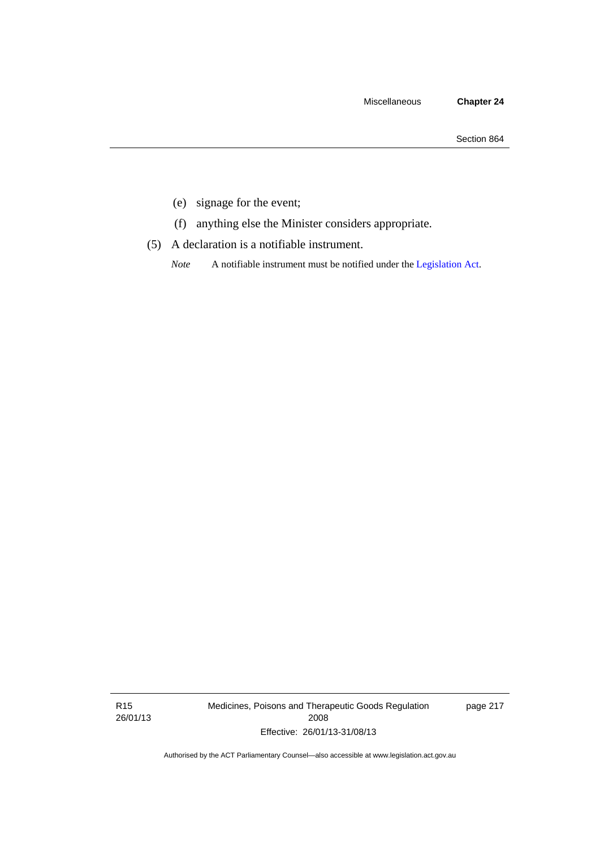- (e) signage for the event;
- (f) anything else the Minister considers appropriate.
- (5) A declaration is a notifiable instrument.

*Note* A notifiable instrument must be notified under the [Legislation Act](http://www.legislation.act.gov.au/a/2001-14).

R15 26/01/13 Medicines, Poisons and Therapeutic Goods Regulation 2008 Effective: 26/01/13-31/08/13

page 217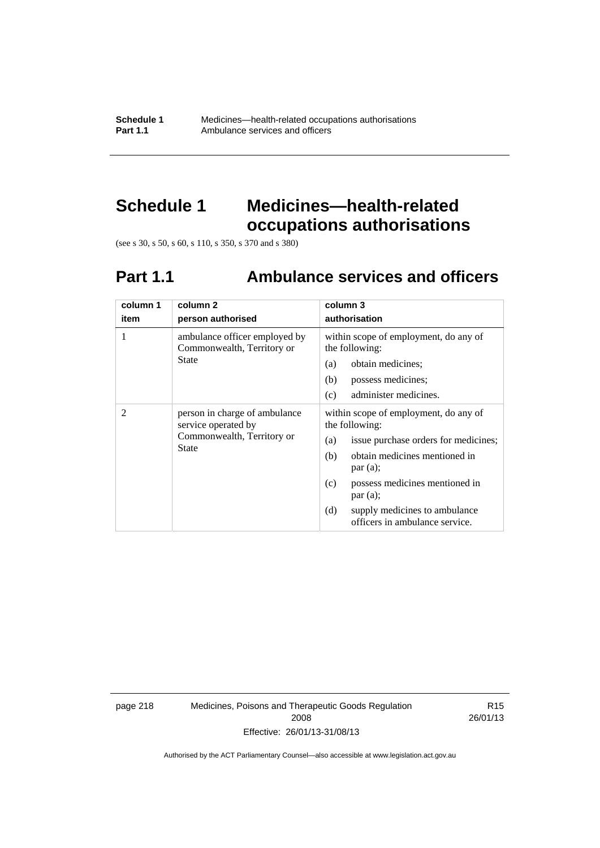**Schedule 1** Medicines—health-related occupations authorisations<br>**Part 1.1** Ambulance services and officers Ambulance services and officers

# **Schedule 1 Medicines—health-related occupations authorisations**

(see s 30, s 50, s 60, s 110, s 350, s 370 and s 380)

# **Part 1.1 Ambulance services and officers**

| column 1<br>item | column 2<br>person authorised                                                                      | column 3<br>authorisation                                                                                                                                                                                                                                                               |
|------------------|----------------------------------------------------------------------------------------------------|-----------------------------------------------------------------------------------------------------------------------------------------------------------------------------------------------------------------------------------------------------------------------------------------|
| 1                | ambulance officer employed by<br>Commonwealth, Territory or<br>State                               | within scope of employment, do any of<br>the following:<br>obtain medicines;<br>(a)<br>(b)<br>possess medicines;<br>administer medicines.<br>(c)                                                                                                                                        |
| 2                | person in charge of ambulance<br>service operated by<br>Commonwealth, Territory or<br><b>State</b> | within scope of employment, do any of<br>the following:<br>issue purchase orders for medicines;<br>(a)<br>obtain medicines mentioned in<br>(b)<br>par(a);<br>possess medicines mentioned in<br>(c)<br>par(a);<br>(d)<br>supply medicines to ambulance<br>officers in ambulance service. |

page 218 Medicines, Poisons and Therapeutic Goods Regulation 2008 Effective: 26/01/13-31/08/13

R15 26/01/13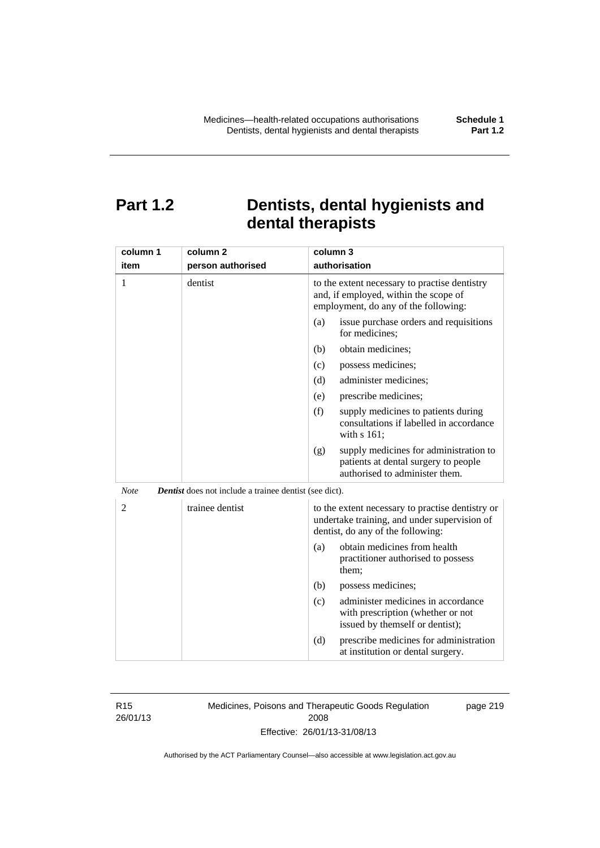# **Part 1.2 Dentists, dental hygienists and dental therapists**

| column 1       | column <sub>2</sub>                                           | column 3                                                                                                                              |
|----------------|---------------------------------------------------------------|---------------------------------------------------------------------------------------------------------------------------------------|
| item           | person authorised                                             | authorisation                                                                                                                         |
| 1              | dentist                                                       | to the extent necessary to practise dentistry<br>and, if employed, within the scope of<br>employment, do any of the following:        |
|                |                                                               | (a)<br>issue purchase orders and requisitions<br>for medicines;                                                                       |
|                |                                                               | obtain medicines;<br>(b)                                                                                                              |
|                |                                                               | (c)<br>possess medicines;                                                                                                             |
|                |                                                               | administer medicines;<br>(d)                                                                                                          |
|                |                                                               | (e)<br>prescribe medicines;                                                                                                           |
|                |                                                               | (f)<br>supply medicines to patients during<br>consultations if labelled in accordance<br>with s 161;                                  |
|                |                                                               | supply medicines for administration to<br>(g)<br>patients at dental surgery to people<br>authorised to administer them.               |
| <b>Note</b>    | <b>Dentist</b> does not include a trainee dentist (see dict). |                                                                                                                                       |
| $\overline{2}$ | trainee dentist                                               | to the extent necessary to practise dentistry or<br>undertake training, and under supervision of<br>dentist, do any of the following: |
|                |                                                               | obtain medicines from health<br>(a)<br>practitioner authorised to possess<br>them:                                                    |
|                |                                                               | (b)<br>possess medicines;                                                                                                             |
|                |                                                               | administer medicines in accordance<br>(c)<br>with prescription (whether or not<br>issued by themself or dentist);                     |
|                |                                                               | (d)<br>prescribe medicines for administration<br>at institution or dental surgery.                                                    |

R15 26/01/13 Medicines, Poisons and Therapeutic Goods Regulation 2008 Effective: 26/01/13-31/08/13

page 219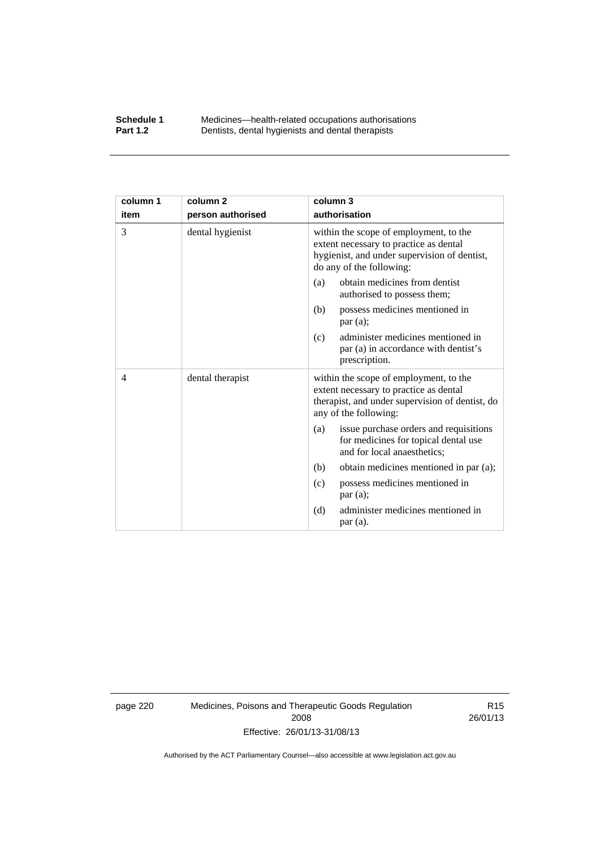#### **Schedule 1** Medicines—health-related occupations authorisations<br>**Part 1.2** Dentists, dental hygienists and dental therapists **Part 1.2** Dentists, dental hygienists and dental therapists

| column 1 | column <sub>2</sub> | column 3                                                                                                                                                     |
|----------|---------------------|--------------------------------------------------------------------------------------------------------------------------------------------------------------|
| item     | person authorised   | authorisation                                                                                                                                                |
| 3        | dental hygienist    | within the scope of employment, to the<br>extent necessary to practice as dental<br>hygienist, and under supervision of dentist,<br>do any of the following: |
|          |                     | obtain medicines from dentist<br>(a)<br>authorised to possess them;                                                                                          |
|          |                     | possess medicines mentioned in<br>(b)<br>par(a);                                                                                                             |
|          |                     | administer medicines mentioned in<br>(c)<br>par (a) in accordance with dentist's<br>prescription.                                                            |
| 4        | dental therapist    | within the scope of employment, to the<br>extent necessary to practice as dental<br>therapist, and under supervision of dentist, do<br>any of the following: |
|          |                     | issue purchase orders and requisitions<br>(a)<br>for medicines for topical dental use<br>and for local anaesthetics;                                         |
|          |                     | obtain medicines mentioned in par (a);<br>(b)                                                                                                                |
|          |                     | possess medicines mentioned in<br>(c)<br>par(a);                                                                                                             |
|          |                     | (d)<br>administer medicines mentioned in<br>par(a).                                                                                                          |

page 220 Medicines, Poisons and Therapeutic Goods Regulation 2008 Effective: 26/01/13-31/08/13

R15 26/01/13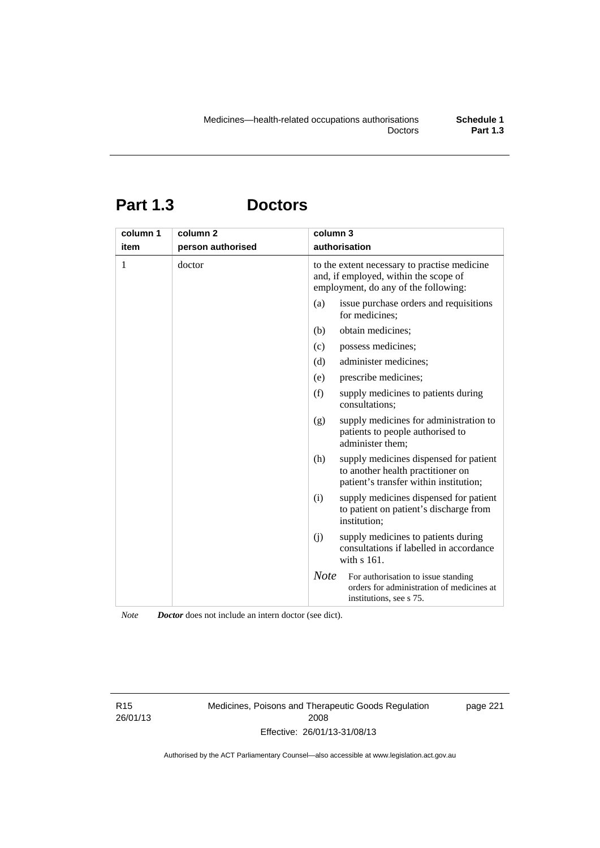# **Part 1.3 Doctors**

| column 1 | column <sub>2</sub> | column 3                                                                                                                      |
|----------|---------------------|-------------------------------------------------------------------------------------------------------------------------------|
| item     | person authorised   | authorisation                                                                                                                 |
| 1        | doctor              | to the extent necessary to practise medicine<br>and, if employed, within the scope of<br>employment, do any of the following: |
|          |                     | (a)<br>issue purchase orders and requisitions<br>for medicines;                                                               |
|          |                     | obtain medicines;<br>(b)                                                                                                      |
|          |                     | possess medicines;<br>(c)                                                                                                     |
|          |                     | administer medicines;<br>(d)                                                                                                  |
|          |                     | prescribe medicines;<br>(e)                                                                                                   |
|          |                     | (f)<br>supply medicines to patients during<br>consultations;                                                                  |
|          |                     | (g)<br>supply medicines for administration to<br>patients to people authorised to<br>administer them;                         |
|          |                     | supply medicines dispensed for patient<br>(h)<br>to another health practitioner on<br>patient's transfer within institution;  |
|          |                     | (i)<br>supply medicines dispensed for patient<br>to patient on patient's discharge from<br>institution;                       |
|          |                     | (i)<br>supply medicines to patients during<br>consultations if labelled in accordance<br>with s 161.                          |
|          |                     | <b>Note</b><br>For authorisation to issue standing<br>orders for administration of medicines at<br>institutions, see s 75.    |

*Note Doctor* does not include an intern doctor (see dict).

R15 26/01/13 Medicines, Poisons and Therapeutic Goods Regulation 2008 Effective: 26/01/13-31/08/13

page 221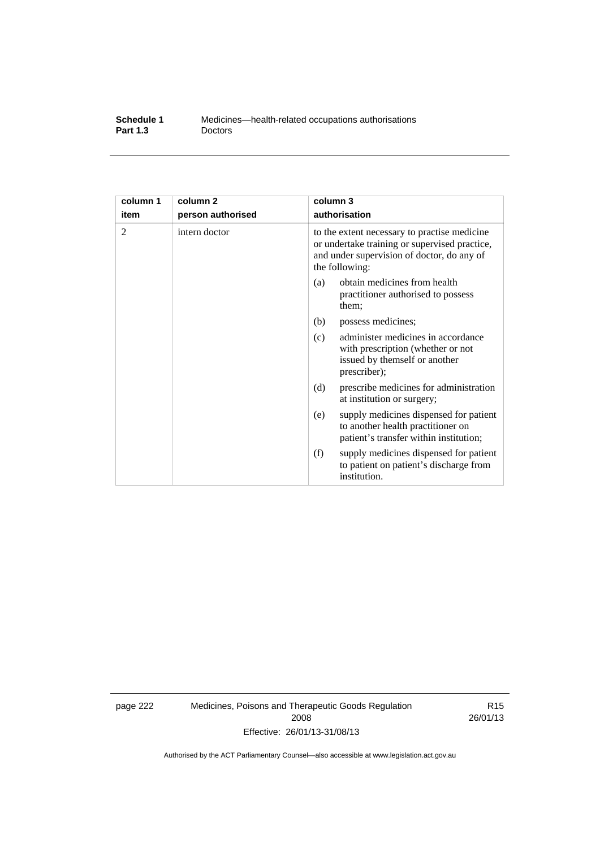| Schedule 1      | Medicines—health-related occupations authorisations |
|-----------------|-----------------------------------------------------|
| <b>Part 1.3</b> | <b>Doctors</b>                                      |

| column 1 | column <sub>2</sub> | column 3                                                                                                                                                      |
|----------|---------------------|---------------------------------------------------------------------------------------------------------------------------------------------------------------|
| item     | person authorised   | authorisation                                                                                                                                                 |
| 2        | intern doctor       | to the extent necessary to practise medicine<br>or undertake training or supervised practice,<br>and under supervision of doctor, do any of<br>the following: |
|          |                     | obtain medicines from health<br>(a)<br>practitioner authorised to possess<br>them:                                                                            |
|          |                     | (b)<br>possess medicines;                                                                                                                                     |
|          |                     | administer medicines in accordance<br>(c)<br>with prescription (whether or not<br>issued by themself or another<br>prescriber);                               |
|          |                     | (d)<br>prescribe medicines for administration<br>at institution or surgery;                                                                                   |
|          |                     | supply medicines dispensed for patient<br>(e)<br>to another health practitioner on<br>patient's transfer within institution;                                  |
|          |                     | (f)<br>supply medicines dispensed for patient<br>to patient on patient's discharge from<br>institution.                                                       |

page 222 Medicines, Poisons and Therapeutic Goods Regulation 2008 Effective: 26/01/13-31/08/13

R15 26/01/13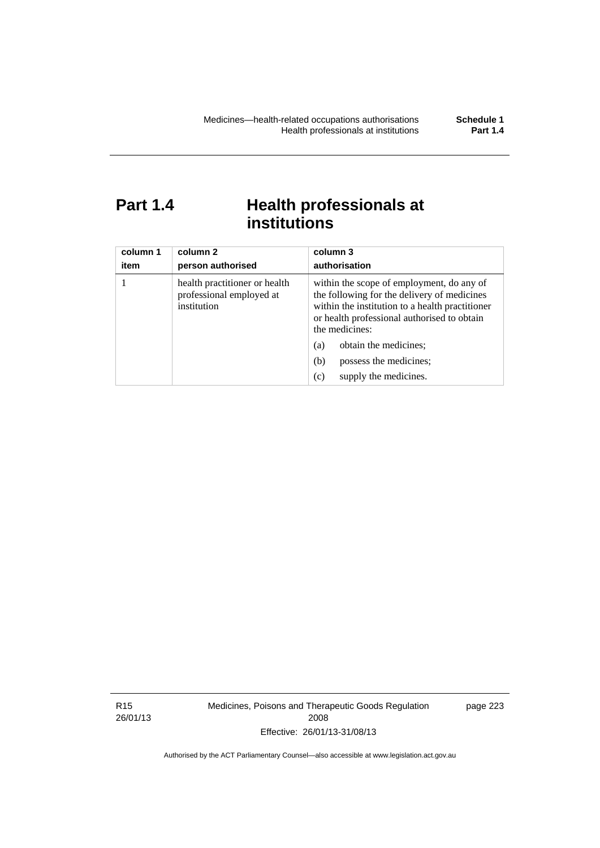# Part 1.4 **Health professionals at institutions**

| column 1<br>item | column 2<br>person authorised                                            | column 3<br>authorisation                                                                                                                                                                                    |
|------------------|--------------------------------------------------------------------------|--------------------------------------------------------------------------------------------------------------------------------------------------------------------------------------------------------------|
|                  | health practitioner or health<br>professional employed at<br>institution | within the scope of employment, do any of<br>the following for the delivery of medicines<br>within the institution to a health practitioner<br>or health professional authorised to obtain<br>the medicines: |
|                  |                                                                          | obtain the medicines;<br>(a)                                                                                                                                                                                 |
|                  |                                                                          | possess the medicines;<br>(b)                                                                                                                                                                                |
|                  |                                                                          | supply the medicines.<br>(c)                                                                                                                                                                                 |

R15 26/01/13 Medicines, Poisons and Therapeutic Goods Regulation 2008 Effective: 26/01/13-31/08/13

page 223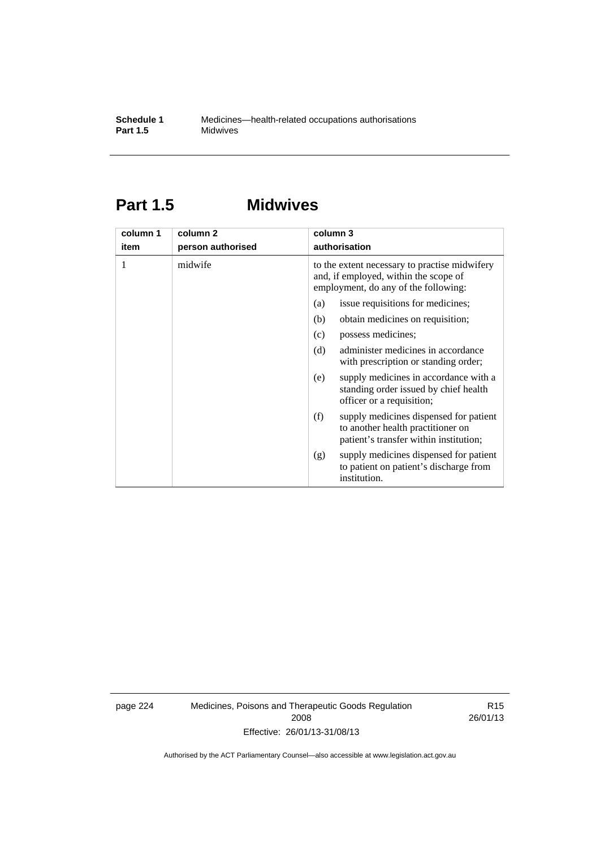## **Part 1.5 Midwives**

| column 1 | column 2          | column 3                                                                                                                       |
|----------|-------------------|--------------------------------------------------------------------------------------------------------------------------------|
| item     | person authorised | authorisation                                                                                                                  |
| 1        | midwife           | to the extent necessary to practise midwifery<br>and, if employed, within the scope of<br>employment, do any of the following: |
|          |                   | issue requisitions for medicines;<br>(a)                                                                                       |
|          |                   | (b)<br>obtain medicines on requisition;                                                                                        |
|          |                   | possess medicines;<br>(c)                                                                                                      |
|          |                   | administer medicines in accordance<br>(d)<br>with prescription or standing order;                                              |
|          |                   | supply medicines in accordance with a<br>(e)<br>standing order issued by chief health<br>officer or a requisition;             |
|          |                   | supply medicines dispensed for patient<br>(f)<br>to another health practitioner on<br>patient's transfer within institution;   |
|          |                   | supply medicines dispensed for patient<br>(g)<br>to patient on patient's discharge from<br>institution.                        |

page 224 Medicines, Poisons and Therapeutic Goods Regulation 2008 Effective: 26/01/13-31/08/13

R15 26/01/13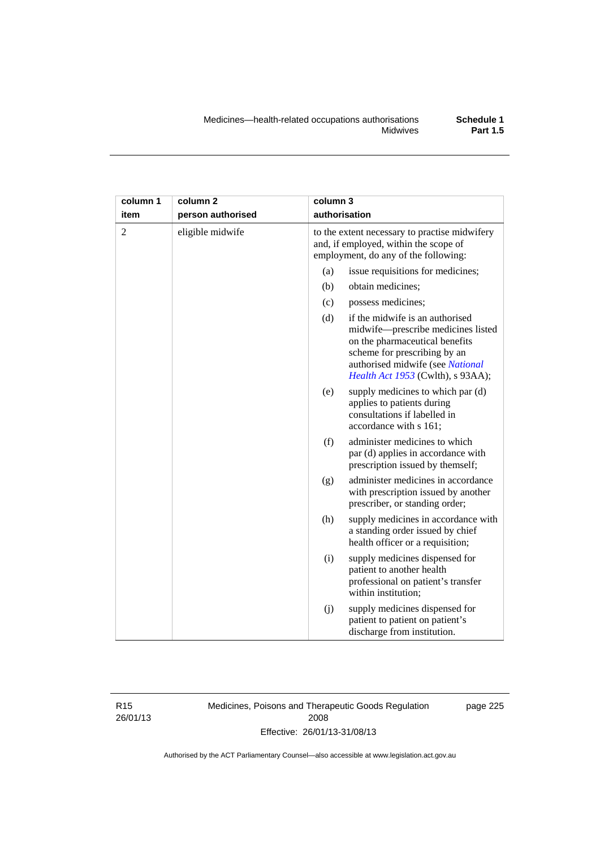| column 1       | column <sub>2</sub> | column 3                                                                                                                                                                                                                |
|----------------|---------------------|-------------------------------------------------------------------------------------------------------------------------------------------------------------------------------------------------------------------------|
| item           | person authorised   | authorisation                                                                                                                                                                                                           |
| $\overline{2}$ | eligible midwife    | to the extent necessary to practise midwifery<br>and, if employed, within the scope of<br>employment, do any of the following:                                                                                          |
|                |                     | issue requisitions for medicines;<br>(a)                                                                                                                                                                                |
|                |                     | (b)<br>obtain medicines;                                                                                                                                                                                                |
|                |                     | (c)<br>possess medicines;                                                                                                                                                                                               |
|                |                     | if the midwife is an authorised<br>(d)<br>midwife-prescribe medicines listed<br>on the pharmaceutical benefits<br>scheme for prescribing by an<br>authorised midwife (see National<br>Health Act 1953 (Cwlth), s 93AA); |
|                |                     | (e)<br>supply medicines to which par (d)<br>applies to patients during<br>consultations if labelled in<br>accordance with s 161;                                                                                        |
|                |                     | (f)<br>administer medicines to which<br>par (d) applies in accordance with<br>prescription issued by themself;                                                                                                          |
|                |                     | administer medicines in accordance<br>(g)<br>with prescription issued by another<br>prescriber, or standing order;                                                                                                      |
|                |                     | (h)<br>supply medicines in accordance with<br>a standing order issued by chief<br>health officer or a requisition;                                                                                                      |
|                |                     | (i)<br>supply medicines dispensed for<br>patient to another health<br>professional on patient's transfer<br>within institution;                                                                                         |
|                |                     | (j)<br>supply medicines dispensed for<br>patient to patient on patient's<br>discharge from institution.                                                                                                                 |

R15 26/01/13 Medicines, Poisons and Therapeutic Goods Regulation 2008 Effective: 26/01/13-31/08/13

page 225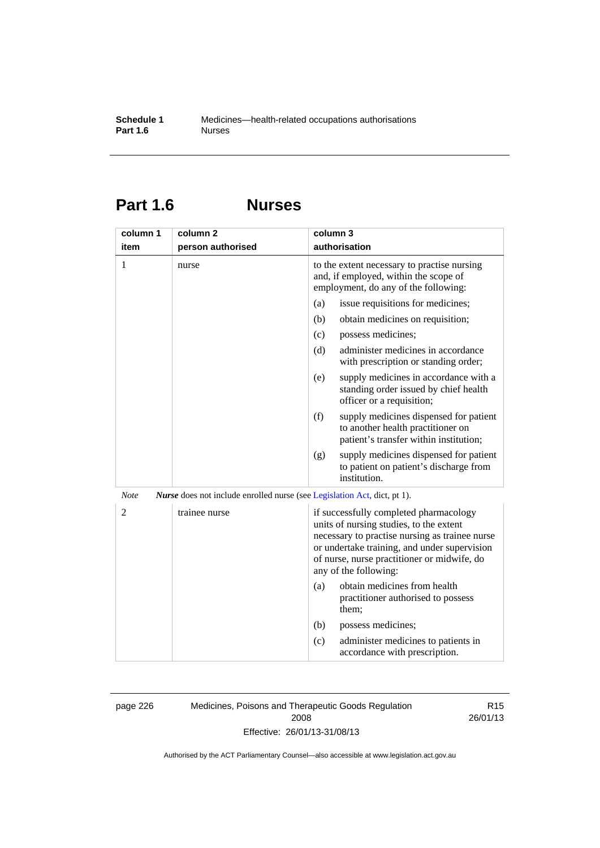# **Part 1.6 Nurses**

| column 1       | column <sub>2</sub>                                                             | column 3                                                                                                                                                                                                                                                    |
|----------------|---------------------------------------------------------------------------------|-------------------------------------------------------------------------------------------------------------------------------------------------------------------------------------------------------------------------------------------------------------|
| item           | person authorised                                                               | authorisation                                                                                                                                                                                                                                               |
| 1              | nurse                                                                           | to the extent necessary to practise nursing<br>and, if employed, within the scope of<br>employment, do any of the following:                                                                                                                                |
|                |                                                                                 | issue requisitions for medicines;<br>(a)                                                                                                                                                                                                                    |
|                |                                                                                 | (b)<br>obtain medicines on requisition;                                                                                                                                                                                                                     |
|                |                                                                                 | (c)<br>possess medicines;                                                                                                                                                                                                                                   |
|                |                                                                                 | administer medicines in accordance<br>(d)<br>with prescription or standing order;                                                                                                                                                                           |
|                |                                                                                 | supply medicines in accordance with a<br>(e)<br>standing order issued by chief health<br>officer or a requisition;                                                                                                                                          |
|                |                                                                                 | (f)<br>supply medicines dispensed for patient<br>to another health practitioner on<br>patient's transfer within institution;                                                                                                                                |
|                |                                                                                 | supply medicines dispensed for patient<br>(g)<br>to patient on patient's discharge from<br>institution.                                                                                                                                                     |
| <b>Note</b>    | <i>Nurse</i> does not include enrolled nurse (see Legislation Act, dict, pt 1). |                                                                                                                                                                                                                                                             |
| $\overline{2}$ | trainee nurse                                                                   | if successfully completed pharmacology<br>units of nursing studies, to the extent<br>necessary to practise nursing as trainee nurse<br>or undertake training, and under supervision<br>of nurse, nurse practitioner or midwife, do<br>any of the following: |
|                |                                                                                 | obtain medicines from health<br>(a)<br>practitioner authorised to possess<br>them:                                                                                                                                                                          |
|                |                                                                                 | (b)<br>possess medicines;                                                                                                                                                                                                                                   |
|                |                                                                                 | administer medicines to patients in<br>(c)<br>accordance with prescription.                                                                                                                                                                                 |

page 226 Medicines, Poisons and Therapeutic Goods Regulation 2008 Effective: 26/01/13-31/08/13

R15 26/01/13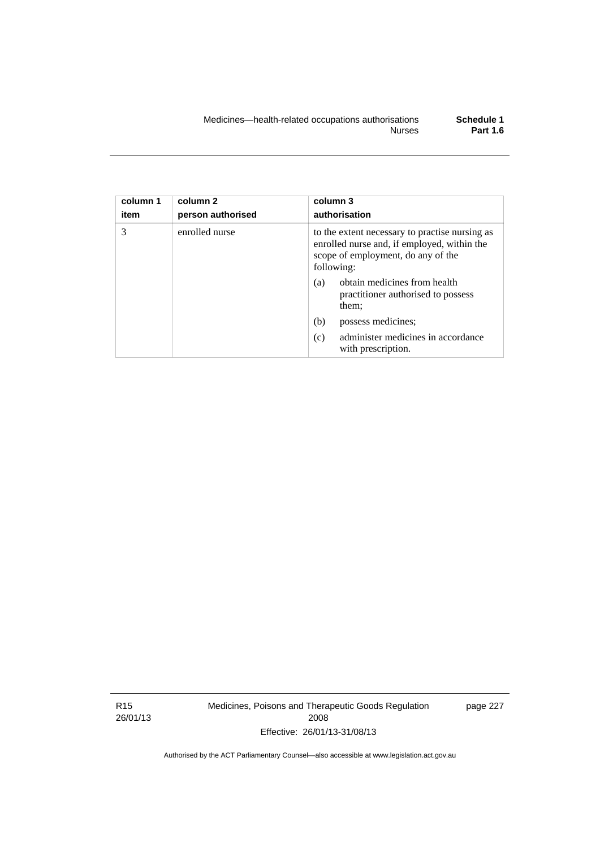| column 1<br>item | column 2<br>person authorised | column 3<br>authorisation                                                                                                                         |
|------------------|-------------------------------|---------------------------------------------------------------------------------------------------------------------------------------------------|
| 3                | enrolled nurse                | to the extent necessary to practise nursing as<br>enrolled nurse and, if employed, within the<br>scope of employment, do any of the<br>following: |
|                  |                               | obtain medicines from health<br>(a)<br>practitioner authorised to possess<br>them;                                                                |
|                  |                               | (b)<br>possess medicines;                                                                                                                         |
|                  |                               | administer medicines in accordance<br>(c)<br>with prescription.                                                                                   |

R15 26/01/13 Medicines, Poisons and Therapeutic Goods Regulation 2008 Effective: 26/01/13-31/08/13

page 227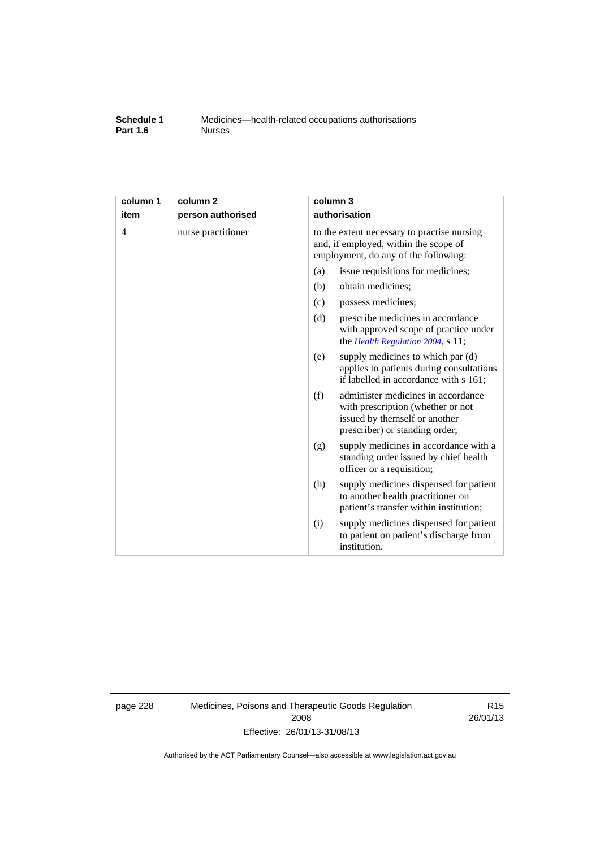#### **Schedule 1** Medicines—health-related occupations authorisations<br>**Part 1.6** Murses **Part 1.6**

| column 1<br>item | column <sub>2</sub><br>person authorised | column 3<br>authorisation                                                                                                                         |
|------------------|------------------------------------------|---------------------------------------------------------------------------------------------------------------------------------------------------|
| 4                | nurse practitioner                       | to the extent necessary to practise nursing<br>and, if employed, within the scope of<br>employment, do any of the following:                      |
|                  |                                          | (a)<br>issue requisitions for medicines;                                                                                                          |
|                  |                                          | (b)<br>obtain medicines;                                                                                                                          |
|                  |                                          | possess medicines;<br>(c)                                                                                                                         |
|                  |                                          | (d)<br>prescribe medicines in accordance<br>with approved scope of practice under<br>the Health Regulation 2004, s 11;                            |
|                  |                                          | supply medicines to which par (d)<br>(e)<br>applies to patients during consultations<br>if labelled in accordance with s 161;                     |
|                  |                                          | (f)<br>administer medicines in accordance<br>with prescription (whether or not<br>issued by themself or another<br>prescriber) or standing order; |
|                  |                                          | supply medicines in accordance with a<br>(g)<br>standing order issued by chief health<br>officer or a requisition;                                |
|                  |                                          | (h)<br>supply medicines dispensed for patient<br>to another health practitioner on<br>patient's transfer within institution;                      |
|                  |                                          | supply medicines dispensed for patient<br>(i)<br>to patient on patient's discharge from<br>institution.                                           |

page 228 Medicines, Poisons and Therapeutic Goods Regulation 2008 Effective: 26/01/13-31/08/13

R15 26/01/13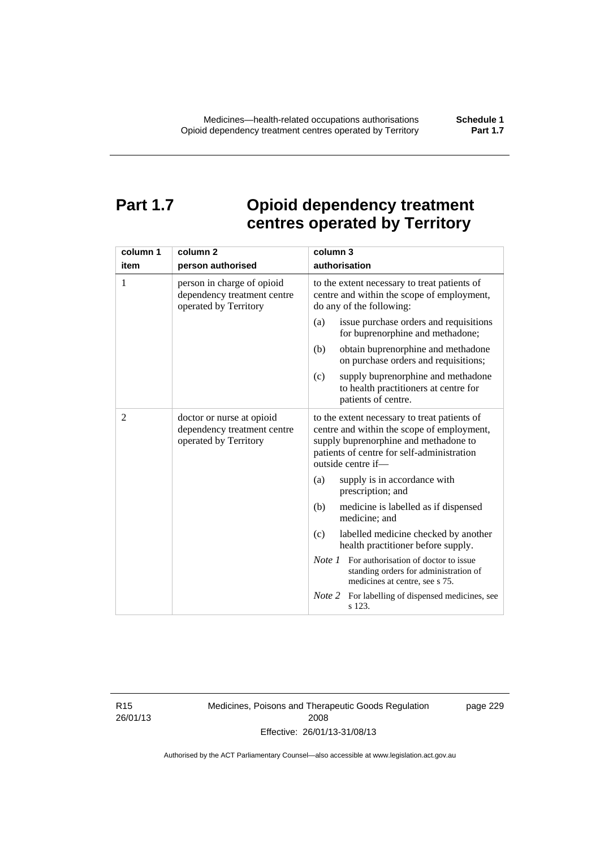# **Part 1.7 Opioid dependency treatment centres operated by Territory**

| column 1       | column <sub>2</sub>                                                                | column 3                                                                                                                                                                                                |
|----------------|------------------------------------------------------------------------------------|---------------------------------------------------------------------------------------------------------------------------------------------------------------------------------------------------------|
| item           | person authorised                                                                  | authorisation                                                                                                                                                                                           |
| 1              | person in charge of opioid<br>dependency treatment centre<br>operated by Territory | to the extent necessary to treat patients of<br>centre and within the scope of employment,<br>do any of the following:                                                                                  |
|                |                                                                                    | issue purchase orders and requisitions<br>(a)<br>for buprenorphine and methadone;                                                                                                                       |
|                |                                                                                    | obtain buprenorphine and methadone<br>(b)<br>on purchase orders and requisitions;                                                                                                                       |
|                |                                                                                    | supply buprenorphine and methadone<br>(c)<br>to health practitioners at centre for<br>patients of centre.                                                                                               |
| $\overline{2}$ | doctor or nurse at opioid<br>dependency treatment centre<br>operated by Territory  | to the extent necessary to treat patients of<br>centre and within the scope of employment,<br>supply buprenorphine and methadone to<br>patients of centre for self-administration<br>outside centre if- |
|                |                                                                                    | supply is in accordance with<br>(a)<br>prescription; and                                                                                                                                                |
|                |                                                                                    | (b)<br>medicine is labelled as if dispensed<br>medicine; and                                                                                                                                            |
|                |                                                                                    | (c)<br>labelled medicine checked by another<br>health practitioner before supply.                                                                                                                       |
|                |                                                                                    | <i>Note 1</i> For authorisation of doctor to issue<br>standing orders for administration of<br>medicines at centre, see s 75.                                                                           |
|                |                                                                                    | Note 2<br>For labelling of dispensed medicines, see<br>s 123.                                                                                                                                           |

R15 26/01/13 Medicines, Poisons and Therapeutic Goods Regulation 2008 Effective: 26/01/13-31/08/13

page 229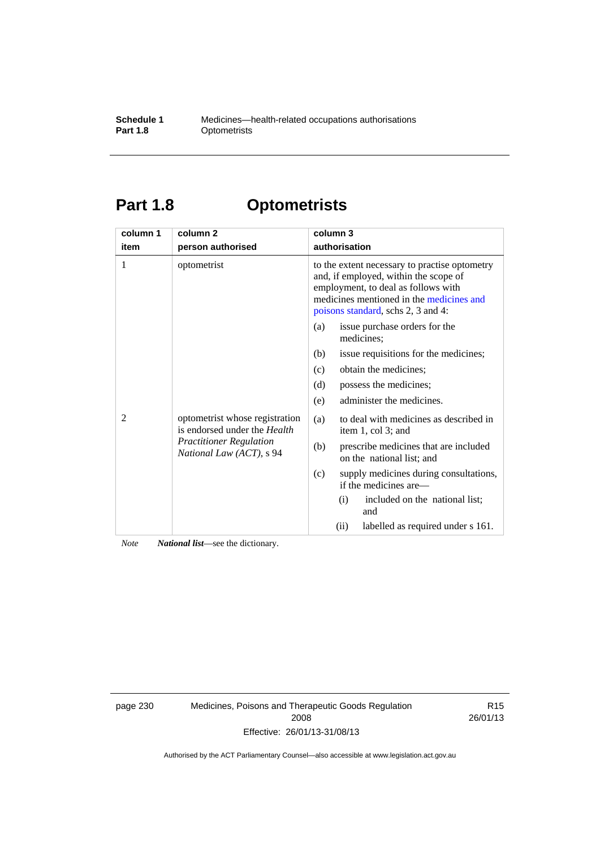### **Schedule 1** Medicines—health-related occupations authorisations<br>**Part 1.8** Optometrists **Optometrists**

# **Part 1.8 Optometrists**

| column 1 | column <sub>2</sub>                                                                                                                 | column 3                                                                                                                                                                                                        |
|----------|-------------------------------------------------------------------------------------------------------------------------------------|-----------------------------------------------------------------------------------------------------------------------------------------------------------------------------------------------------------------|
| item     | person authorised                                                                                                                   | authorisation                                                                                                                                                                                                   |
| 1        | optometrist                                                                                                                         | to the extent necessary to practise optometry<br>and, if employed, within the scope of<br>employment, to deal as follows with<br>medicines mentioned in the medicines and<br>poisons standard, schs 2, 3 and 4: |
|          |                                                                                                                                     | issue purchase orders for the<br>(a)<br>medicines;                                                                                                                                                              |
|          |                                                                                                                                     | (b)<br>issue requisitions for the medicines;                                                                                                                                                                    |
|          |                                                                                                                                     | obtain the medicines:<br>(c)                                                                                                                                                                                    |
|          |                                                                                                                                     | possess the medicines;<br>(d)                                                                                                                                                                                   |
|          |                                                                                                                                     | administer the medicines.<br>(e)                                                                                                                                                                                |
| 2        | optometrist whose registration<br>is endorsed under the <i>Health</i><br><b>Practitioner Regulation</b><br>National Law (ACT), s 94 | to deal with medicines as described in<br>(a)<br>item 1, col 3; and                                                                                                                                             |
|          |                                                                                                                                     | (b)<br>prescribe medicines that are included<br>on the national list; and                                                                                                                                       |
|          |                                                                                                                                     | (c)<br>supply medicines during consultations,<br>if the medicines are—                                                                                                                                          |
|          |                                                                                                                                     | included on the national list;<br>(i)<br>and                                                                                                                                                                    |
|          |                                                                                                                                     | (ii)<br>labelled as required under s 161.                                                                                                                                                                       |

*Note National list*—see the dictionary.

page 230 Medicines, Poisons and Therapeutic Goods Regulation 2008 Effective: 26/01/13-31/08/13

R15 26/01/13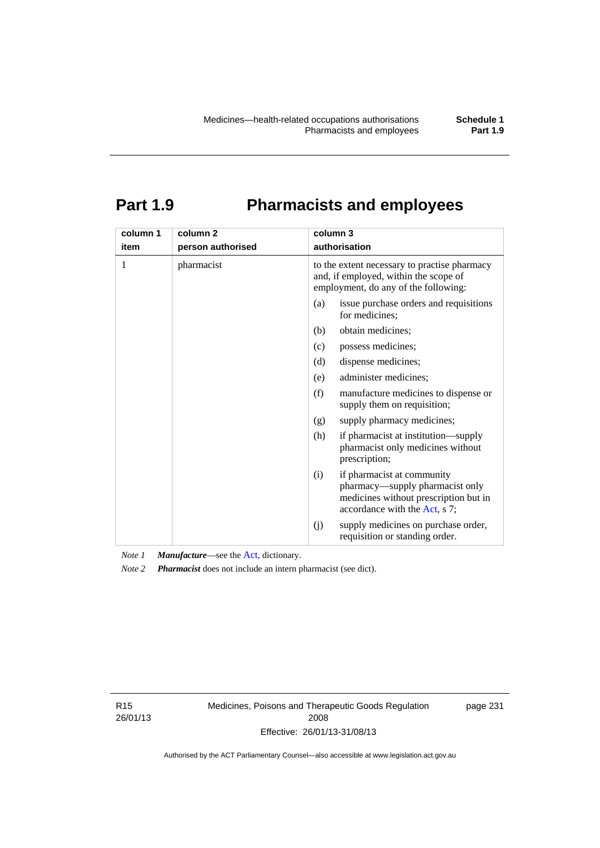# **Part 1.9 Pharmacists and employees**

| column 1 | column <sub>2</sub> | column 3                                                                                                                                       |
|----------|---------------------|------------------------------------------------------------------------------------------------------------------------------------------------|
| item     | person authorised   | authorisation                                                                                                                                  |
| 1        | pharmacist          | to the extent necessary to practise pharmacy<br>and, if employed, within the scope of<br>employment, do any of the following:                  |
|          |                     | issue purchase orders and requisitions<br>(a)<br>for medicines;                                                                                |
|          |                     | obtain medicines;<br>(b)                                                                                                                       |
|          |                     | (c)<br>possess medicines;                                                                                                                      |
|          |                     | dispense medicines;<br>(d)                                                                                                                     |
|          |                     | administer medicines;<br>(e)                                                                                                                   |
|          |                     | (f)<br>manufacture medicines to dispense or<br>supply them on requisition;                                                                     |
|          |                     | supply pharmacy medicines;<br>(g)                                                                                                              |
|          |                     | (h)<br>if pharmacist at institution—supply<br>pharmacist only medicines without<br>prescription;                                               |
|          |                     | if pharmacist at community<br>(i)<br>pharmacy—supply pharmacist only<br>medicines without prescription but in<br>accordance with the Act, s 7; |
|          |                     | supply medicines on purchase order,<br>(j)<br>requisition or standing order.                                                                   |

*Note 1 Manufacture*—see the [Act,](http://www.legislation.act.gov.au/a/2008-26/default.asp) dictionary.

*Note 2 Pharmacist* does not include an intern pharmacist (see dict).

R15 26/01/13 Medicines, Poisons and Therapeutic Goods Regulation 2008 Effective: 26/01/13-31/08/13

page 231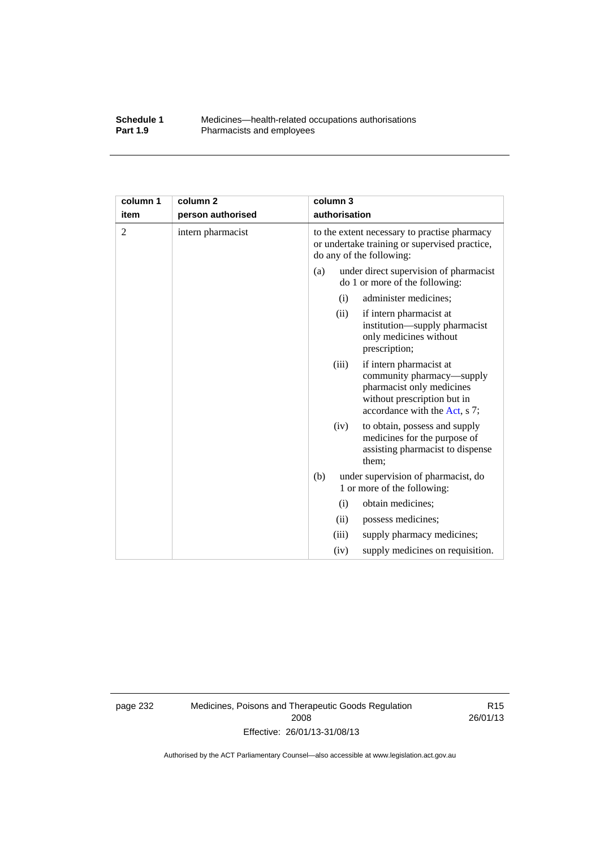### **Schedule 1** Medicines—health-related occupations authorisations<br>**Part 1.9** Pharmacists and employees Pharmacists and employees

| column 1       | column <sub>2</sub> |     | column 3      |                                                                                                                                                   |
|----------------|---------------------|-----|---------------|---------------------------------------------------------------------------------------------------------------------------------------------------|
| item           | person authorised   |     | authorisation |                                                                                                                                                   |
| $\overline{2}$ | intern pharmacist   |     |               | to the extent necessary to practise pharmacy<br>or undertake training or supervised practice,<br>do any of the following:                         |
|                |                     | (a) |               | under direct supervision of pharmacist<br>do 1 or more of the following:                                                                          |
|                |                     |     | (i)           | administer medicines;                                                                                                                             |
|                |                     |     | (ii)          | if intern pharmacist at<br>institution—supply pharmacist<br>only medicines without<br>prescription;                                               |
|                |                     |     | (iii)         | if intern pharmacist at<br>community pharmacy—supply<br>pharmacist only medicines<br>without prescription but in<br>accordance with the Act, s 7; |
|                |                     |     | (iv)          | to obtain, possess and supply<br>medicines for the purpose of<br>assisting pharmacist to dispense<br>them;                                        |
|                |                     | (b) |               | under supervision of pharmacist, do<br>1 or more of the following:                                                                                |
|                |                     |     | (i)           | obtain medicines;                                                                                                                                 |
|                |                     |     | (ii)          | possess medicines;                                                                                                                                |
|                |                     |     | (iii)         | supply pharmacy medicines;                                                                                                                        |
|                |                     |     | (iv)          | supply medicines on requisition.                                                                                                                  |

page 232 Medicines, Poisons and Therapeutic Goods Regulation 2008 Effective: 26/01/13-31/08/13

R15 26/01/13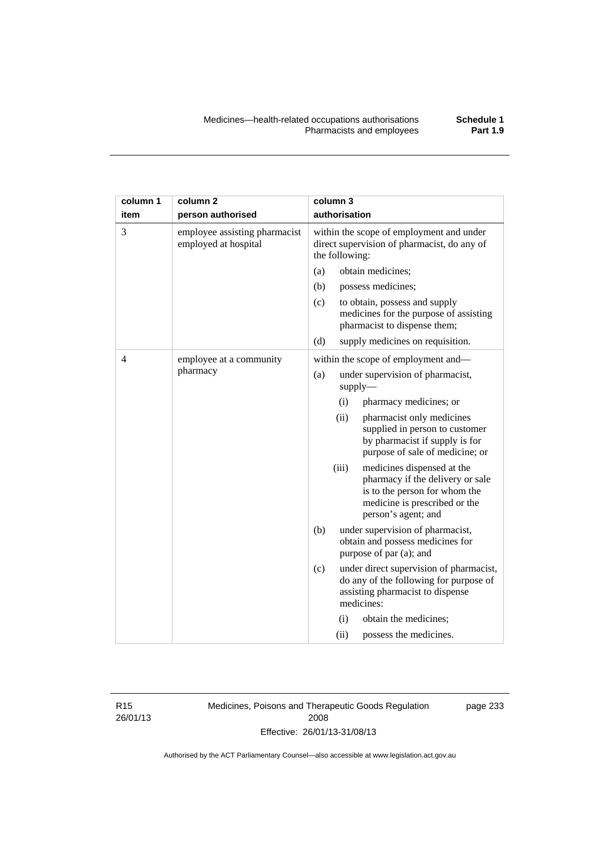| column 1 | column <sub>2</sub>                                   |                                                                                                           | column 3      |                                                                                                                                                         |
|----------|-------------------------------------------------------|-----------------------------------------------------------------------------------------------------------|---------------|---------------------------------------------------------------------------------------------------------------------------------------------------------|
| item     | person authorised                                     |                                                                                                           | authorisation |                                                                                                                                                         |
| 3        | employee assisting pharmacist<br>employed at hospital | within the scope of employment and under<br>direct supervision of pharmacist, do any of<br>the following: |               |                                                                                                                                                         |
|          |                                                       | (a)                                                                                                       |               | obtain medicines;                                                                                                                                       |
|          |                                                       | (b)                                                                                                       |               | possess medicines;                                                                                                                                      |
|          |                                                       | (c)                                                                                                       |               | to obtain, possess and supply<br>medicines for the purpose of assisting<br>pharmacist to dispense them;                                                 |
|          |                                                       | (d)                                                                                                       |               | supply medicines on requisition.                                                                                                                        |
| 4        | employee at a community                               |                                                                                                           |               | within the scope of employment and-                                                                                                                     |
|          | pharmacy                                              | (a)                                                                                                       |               | under supervision of pharmacist,<br>supply-                                                                                                             |
|          |                                                       |                                                                                                           | (i)           | pharmacy medicines; or                                                                                                                                  |
|          |                                                       |                                                                                                           | (ii)          | pharmacist only medicines<br>supplied in person to customer<br>by pharmacist if supply is for<br>purpose of sale of medicine; or                        |
|          |                                                       |                                                                                                           | (iii)         | medicines dispensed at the<br>pharmacy if the delivery or sale<br>is to the person for whom the<br>medicine is prescribed or the<br>person's agent; and |
|          |                                                       | (b)                                                                                                       |               | under supervision of pharmacist,<br>obtain and possess medicines for<br>purpose of par (a); and                                                         |
|          |                                                       | (c)                                                                                                       |               | under direct supervision of pharmacist,<br>do any of the following for purpose of<br>assisting pharmacist to dispense<br>medicines:                     |
|          |                                                       |                                                                                                           | (i)           | obtain the medicines;                                                                                                                                   |
|          |                                                       |                                                                                                           | (ii)          | possess the medicines.                                                                                                                                  |

R15 26/01/13 Medicines, Poisons and Therapeutic Goods Regulation 2008 Effective: 26/01/13-31/08/13

page 233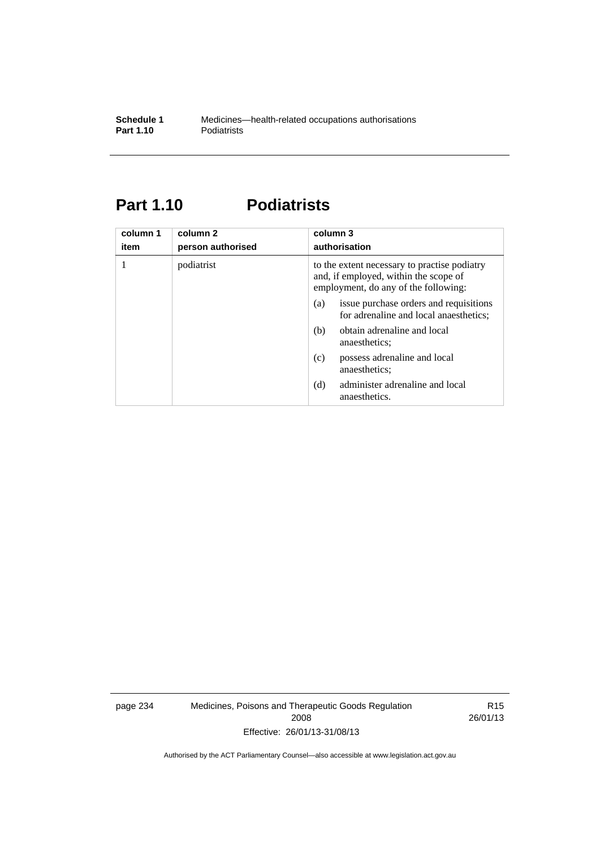# **Part 1.10 Podiatrists**

| column 1<br>item | column 2<br>person authorised | column 3<br>authorisation                                                                                                     |  |
|------------------|-------------------------------|-------------------------------------------------------------------------------------------------------------------------------|--|
|                  | podiatrist                    | to the extent necessary to practise podiatry<br>and, if employed, within the scope of<br>employment, do any of the following: |  |
|                  |                               | issue purchase orders and requisitions<br>(a)<br>for adrenaline and local anaesthetics;                                       |  |
|                  |                               | obtain adrenaline and local<br>(b)<br>anaesthetics:                                                                           |  |
|                  |                               | possess adrenaline and local<br>(c)<br>anaesthetics;                                                                          |  |
|                  |                               | administer adrenaline and local<br>(d)<br>anaesthetics.                                                                       |  |

page 234 Medicines, Poisons and Therapeutic Goods Regulation 2008 Effective: 26/01/13-31/08/13

R15 26/01/13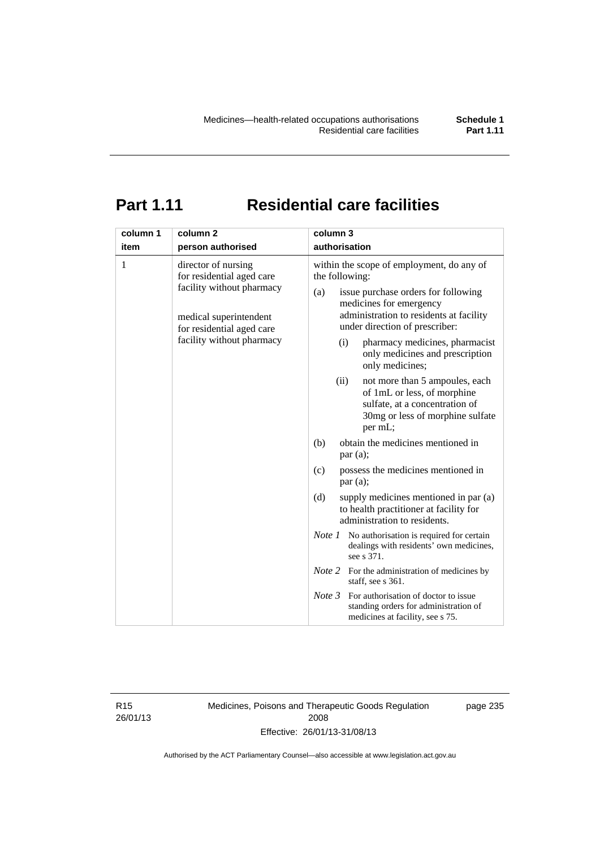# **Part 1.11 Residential care facilities**

| column 1 | column <sub>2</sub>                                                                                                                                               | column 3                                                                                                                                                                                                                                                                                                                                                                                  |
|----------|-------------------------------------------------------------------------------------------------------------------------------------------------------------------|-------------------------------------------------------------------------------------------------------------------------------------------------------------------------------------------------------------------------------------------------------------------------------------------------------------------------------------------------------------------------------------------|
| item     | person authorised                                                                                                                                                 | authorisation                                                                                                                                                                                                                                                                                                                                                                             |
| 1        | director of nursing<br>for residential aged care<br>facility without pharmacy<br>medical superintendent<br>for residential aged care<br>facility without pharmacy | within the scope of employment, do any of<br>the following:<br>issue purchase orders for following<br>(a)<br>medicines for emergency<br>administration to residents at facility<br>under direction of prescriber:<br>pharmacy medicines, pharmacist<br>(i)<br>only medicines and prescription<br>only medicines;<br>(ii)<br>not more than 5 ampoules, each<br>of 1mL or less, of morphine |
|          |                                                                                                                                                                   | sulfate, at a concentration of<br>30mg or less of morphine sulfate<br>per mL;                                                                                                                                                                                                                                                                                                             |
|          |                                                                                                                                                                   | obtain the medicines mentioned in<br>(b)<br>par(a);                                                                                                                                                                                                                                                                                                                                       |
|          |                                                                                                                                                                   | possess the medicines mentioned in<br>(c)<br>par(a);                                                                                                                                                                                                                                                                                                                                      |
|          |                                                                                                                                                                   | (d)<br>supply medicines mentioned in par (a)<br>to health practitioner at facility for<br>administration to residents.                                                                                                                                                                                                                                                                    |
|          |                                                                                                                                                                   | <i>Note 1</i> No authorisation is required for certain<br>dealings with residents' own medicines,<br>see s 371.                                                                                                                                                                                                                                                                           |
|          |                                                                                                                                                                   | <i>Note</i> 2 For the administration of medicines by<br>staff, see s 361.                                                                                                                                                                                                                                                                                                                 |
|          |                                                                                                                                                                   | Note 3<br>For authorisation of doctor to issue<br>standing orders for administration of<br>medicines at facility, see s 75.                                                                                                                                                                                                                                                               |

R15 26/01/13 Medicines, Poisons and Therapeutic Goods Regulation 2008 Effective: 26/01/13-31/08/13

page 235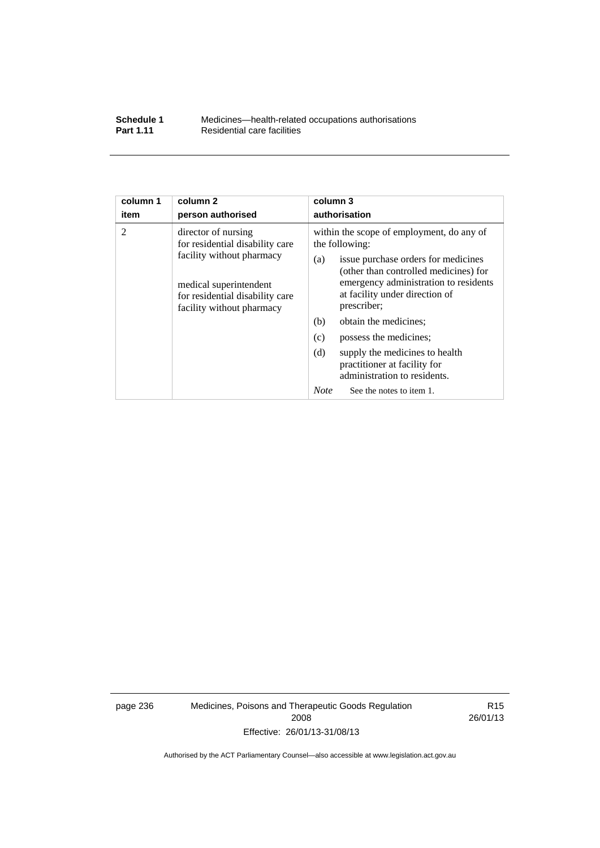| Schedule 1       | Medicines—health-related occupations authorisations |
|------------------|-----------------------------------------------------|
| <b>Part 1.11</b> | Residential care facilities                         |

| column 1<br>item                                                                                                    | column <sub>2</sub><br>person authorised                                                                                                                                      | column 3<br>authorisation                 |  |  |
|---------------------------------------------------------------------------------------------------------------------|-------------------------------------------------------------------------------------------------------------------------------------------------------------------------------|-------------------------------------------|--|--|
| $\overline{2}$                                                                                                      | director of nursing                                                                                                                                                           | within the scope of employment, do any of |  |  |
|                                                                                                                     | for residential disability care                                                                                                                                               | the following:                            |  |  |
| facility without pharmacy<br>medical superintendent<br>for residential disability care<br>facility without pharmacy | issue purchase orders for medicines<br>(a)<br>(other than controlled medicines) for<br>emergency administration to residents<br>at facility under direction of<br>prescriber; |                                           |  |  |
|                                                                                                                     |                                                                                                                                                                               | obtain the medicines;<br>(b)              |  |  |
|                                                                                                                     |                                                                                                                                                                               | (c)<br>possess the medicines;             |  |  |
|                                                                                                                     | (d)<br>supply the medicines to health<br>practitioner at facility for<br>administration to residents.                                                                         |                                           |  |  |
|                                                                                                                     |                                                                                                                                                                               | <b>Note</b><br>See the notes to item 1.   |  |  |

page 236 Medicines, Poisons and Therapeutic Goods Regulation 2008 Effective: 26/01/13-31/08/13

R15 26/01/13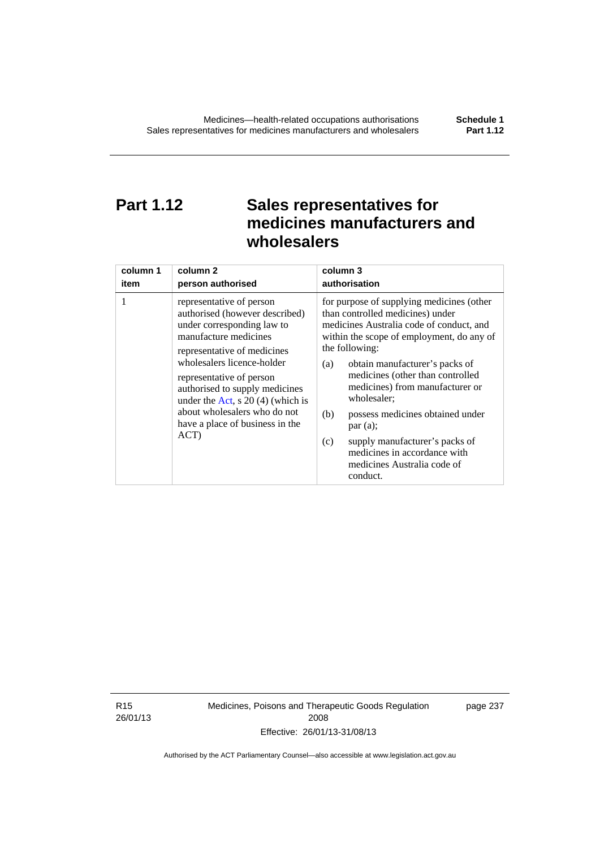# **Part 1.12 Sales representatives for medicines manufacturers and wholesalers**

| column 1 | column 2                                                                                                                                                                                                                                                                                                                                                      | column 3                                                                                                                                                                                                                                                                                                                                                                                                                                                                                          |
|----------|---------------------------------------------------------------------------------------------------------------------------------------------------------------------------------------------------------------------------------------------------------------------------------------------------------------------------------------------------------------|---------------------------------------------------------------------------------------------------------------------------------------------------------------------------------------------------------------------------------------------------------------------------------------------------------------------------------------------------------------------------------------------------------------------------------------------------------------------------------------------------|
| item     | person authorised                                                                                                                                                                                                                                                                                                                                             | authorisation                                                                                                                                                                                                                                                                                                                                                                                                                                                                                     |
| 1        | representative of person<br>authorised (however described)<br>under corresponding law to<br>manufacture medicines<br>representative of medicines<br>wholesalers licence-holder<br>representative of person<br>authorised to supply medicines<br>under the Act, s $20(4)$ (which is<br>about wholesalers who do not<br>have a place of business in the<br>ACT) | for purpose of supplying medicines (other<br>than controlled medicines) under<br>medicines Australia code of conduct, and<br>within the scope of employment, do any of<br>the following:<br>obtain manufacturer's packs of<br>(a)<br>medicines (other than controlled<br>medicines) from manufacturer or<br>wholesaler;<br>(b)<br>possess medicines obtained under<br>par(a);<br>supply manufacturer's packs of<br>(c)<br>medicines in accordance with<br>medicines Australia code of<br>conduct. |

R15 26/01/13 Medicines, Poisons and Therapeutic Goods Regulation 2008 Effective: 26/01/13-31/08/13

page 237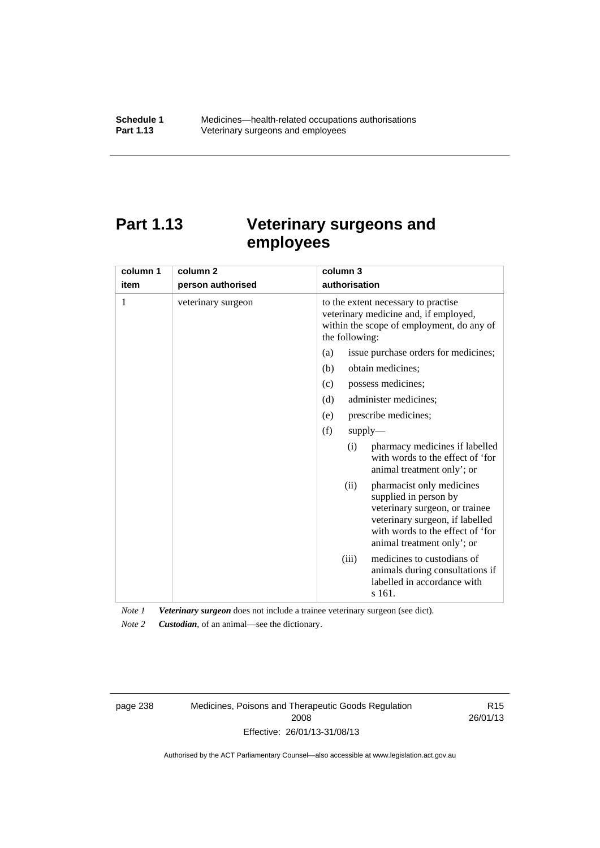# **Part 1.13 Veterinary surgeons and employees**

| column 1 | column <sub>2</sub> | column 3                                                                                                                                                                                          |
|----------|---------------------|---------------------------------------------------------------------------------------------------------------------------------------------------------------------------------------------------|
| item     | person authorised   | authorisation                                                                                                                                                                                     |
| 1        | veterinary surgeon  | to the extent necessary to practise<br>veterinary medicine and, if employed,<br>within the scope of employment, do any of<br>the following:                                                       |
|          |                     | issue purchase orders for medicines;<br>(a)                                                                                                                                                       |
|          |                     | (b)<br>obtain medicines;                                                                                                                                                                          |
|          |                     | possess medicines;<br>(c)                                                                                                                                                                         |
|          |                     | administer medicines;<br>(d)                                                                                                                                                                      |
|          |                     | prescribe medicines;<br>(e)                                                                                                                                                                       |
|          |                     | (f)<br>$supply$ —                                                                                                                                                                                 |
|          |                     | pharmacy medicines if labelled<br>(i)<br>with words to the effect of 'for<br>animal treatment only'; or                                                                                           |
|          |                     | pharmacist only medicines<br>(ii)<br>supplied in person by<br>veterinary surgeon, or trainee<br>veterinary surgeon, if labelled<br>with words to the effect of 'for<br>animal treatment only'; or |
|          |                     | medicines to custodians of<br>(iii)<br>animals during consultations if<br>labelled in accordance with<br>s 161.                                                                                   |

*Note 1 Veterinary surgeon* does not include a trainee veterinary surgeon (see dict).

*Note 2 Custodian*, of an animal—see the dictionary.

page 238 Medicines, Poisons and Therapeutic Goods Regulation 2008 Effective: 26/01/13-31/08/13

R15 26/01/13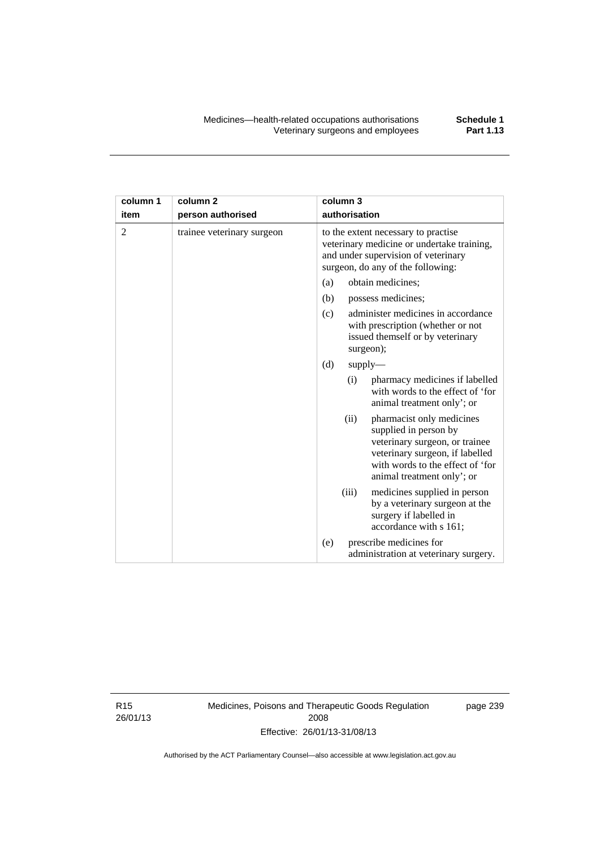| column 1       | column <sub>2</sub>        | column 3                                                                                                                                                                                          |
|----------------|----------------------------|---------------------------------------------------------------------------------------------------------------------------------------------------------------------------------------------------|
| item           | person authorised          | authorisation                                                                                                                                                                                     |
| $\overline{2}$ | trainee veterinary surgeon | to the extent necessary to practise<br>veterinary medicine or undertake training,<br>and under supervision of veterinary<br>surgeon, do any of the following:                                     |
|                |                            | obtain medicines;<br>(a)                                                                                                                                                                          |
|                |                            | (b)<br>possess medicines;                                                                                                                                                                         |
|                |                            | administer medicines in accordance<br>(c)<br>with prescription (whether or not<br>issued themself or by veterinary<br>surgeon);                                                                   |
|                |                            | (d)<br>supply                                                                                                                                                                                     |
|                |                            | pharmacy medicines if labelled<br>(i)<br>with words to the effect of 'for<br>animal treatment only'; or                                                                                           |
|                |                            | (ii)<br>pharmacist only medicines<br>supplied in person by<br>veterinary surgeon, or trainee<br>veterinary surgeon, if labelled<br>with words to the effect of 'for<br>animal treatment only'; or |
|                |                            | (iii)<br>medicines supplied in person<br>by a veterinary surgeon at the<br>surgery if labelled in<br>accordance with s 161;                                                                       |
|                |                            | prescribe medicines for<br>(e)<br>administration at veterinary surgery.                                                                                                                           |

R15 26/01/13 Medicines, Poisons and Therapeutic Goods Regulation 2008 Effective: 26/01/13-31/08/13

page 239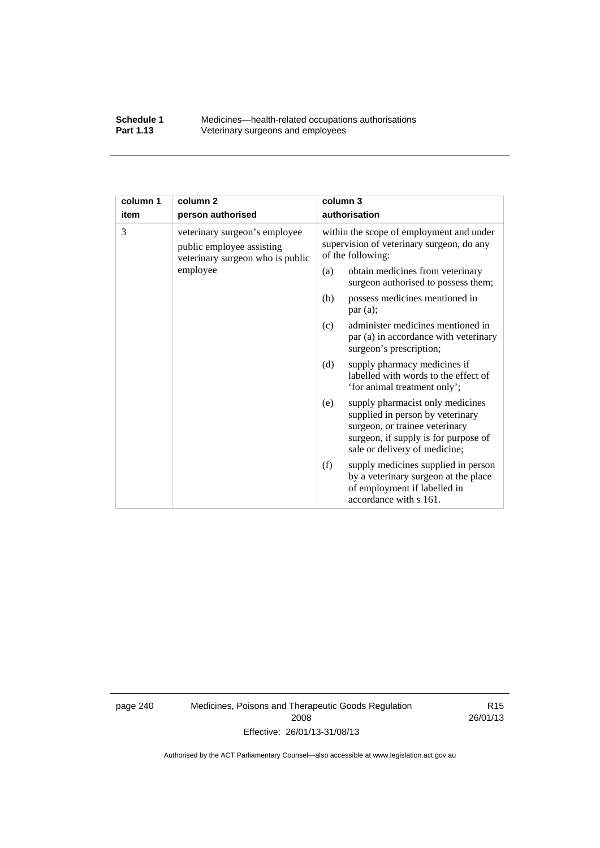### **Schedule 1** Medicines—health-related occupations authorisations<br>**Part 1.13** Veterinary surgeons and employees Veterinary surgeons and employees

| column 1 | column <sub>2</sub>                                                                            | column 3                                                                                                                                                                               |  |
|----------|------------------------------------------------------------------------------------------------|----------------------------------------------------------------------------------------------------------------------------------------------------------------------------------------|--|
| item     | person authorised                                                                              | authorisation                                                                                                                                                                          |  |
| 3        | veterinary surgeon's employee<br>public employee assisting<br>veterinary surgeon who is public | within the scope of employment and under<br>supervision of veterinary surgeon, do any<br>of the following:                                                                             |  |
|          | employee                                                                                       | obtain medicines from veterinary<br>(a)<br>surgeon authorised to possess them;                                                                                                         |  |
|          |                                                                                                | possess medicines mentioned in<br>(b)<br>par(a);                                                                                                                                       |  |
|          |                                                                                                | administer medicines mentioned in<br>(c)<br>par (a) in accordance with veterinary<br>surgeon's prescription;                                                                           |  |
|          |                                                                                                | (d)<br>supply pharmacy medicines if<br>labelled with words to the effect of<br>'for animal treatment only';                                                                            |  |
|          |                                                                                                | supply pharmacist only medicines<br>(e)<br>supplied in person by veterinary<br>surgeon, or trainee veterinary<br>surgeon, if supply is for purpose of<br>sale or delivery of medicine; |  |
|          |                                                                                                | supply medicines supplied in person<br>(f)<br>by a veterinary surgeon at the place<br>of employment if labelled in<br>accordance with s 161.                                           |  |

page 240 Medicines, Poisons and Therapeutic Goods Regulation 2008 Effective: 26/01/13-31/08/13

R15 26/01/13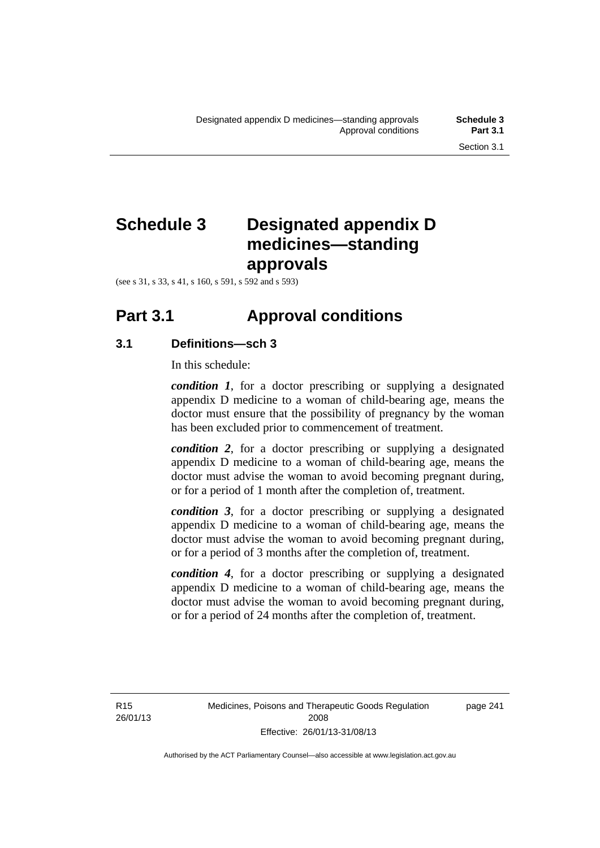# **Schedule 3 Designated appendix D medicines—standing approvals**

(see s 31, s 33, s 41, s 160, s 591, s 592 and s 593)

# **Part 3.1 Approval conditions**

# **3.1 Definitions—sch 3**

In this schedule:

*condition 1*, for a doctor prescribing or supplying a designated appendix D medicine to a woman of child-bearing age, means the doctor must ensure that the possibility of pregnancy by the woman has been excluded prior to commencement of treatment.

*condition 2*, for a doctor prescribing or supplying a designated appendix D medicine to a woman of child-bearing age, means the doctor must advise the woman to avoid becoming pregnant during, or for a period of 1 month after the completion of, treatment.

*condition 3*, for a doctor prescribing or supplying a designated appendix D medicine to a woman of child-bearing age, means the doctor must advise the woman to avoid becoming pregnant during, or for a period of 3 months after the completion of, treatment.

*condition 4*, for a doctor prescribing or supplying a designated appendix D medicine to a woman of child-bearing age, means the doctor must advise the woman to avoid becoming pregnant during, or for a period of 24 months after the completion of, treatment.

R15 26/01/13 page 241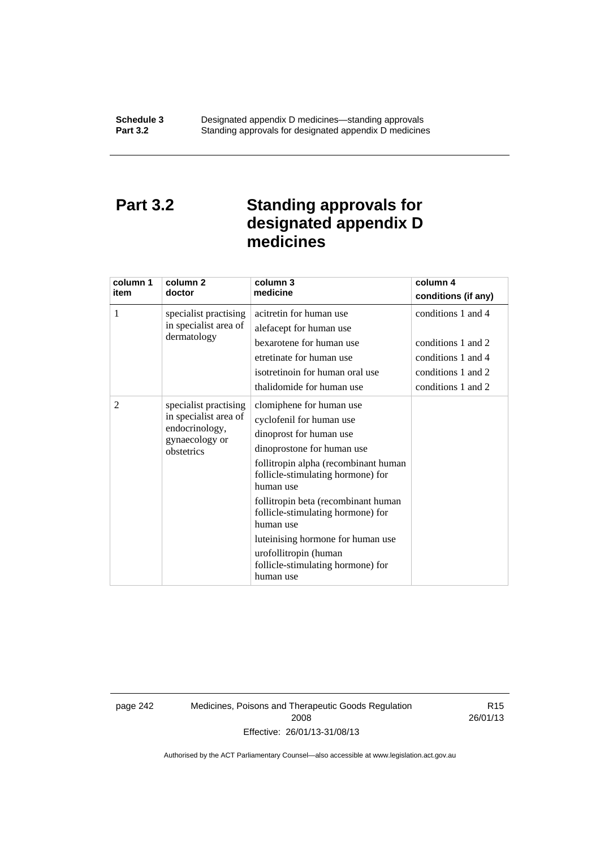# **Part 3.2 Standing approvals for designated appendix D medicines**

| column 1<br>item | column 2<br>doctor                                                                               | column 3<br>medicine                                                                                                                                                                                                                                                                                                                                                                                | column 4<br>conditions (if any)                                                                            |
|------------------|--------------------------------------------------------------------------------------------------|-----------------------------------------------------------------------------------------------------------------------------------------------------------------------------------------------------------------------------------------------------------------------------------------------------------------------------------------------------------------------------------------------------|------------------------------------------------------------------------------------------------------------|
| 1                | specialist practising<br>in specialist area of<br>dermatology                                    | acitretin for human use<br>alefacept for human use<br>bexarotene for human use<br>etretinate for human use<br>isotretinoin for human oral use<br>thalidomide for human use                                                                                                                                                                                                                          | conditions 1 and 4<br>conditions 1 and 2<br>conditions 1 and 4<br>conditions 1 and 2<br>conditions 1 and 2 |
| 2                | specialist practising<br>in specialist area of<br>endocrinology,<br>gynaecology or<br>obstetrics | clomiphene for human use<br>cyclofenil for human use<br>dinoprost for human use<br>dinoprostone for human use<br>follitropin alpha (recombinant human<br>follicle-stimulating hormone) for<br>human use<br>follitropin beta (recombinant human<br>follicle-stimulating hormone) for<br>human use<br>luteinising hormone for human use<br>urofollitropin (human<br>follicle-stimulating hormone) for |                                                                                                            |

page 242 Medicines, Poisons and Therapeutic Goods Regulation 2008 Effective: 26/01/13-31/08/13

R15 26/01/13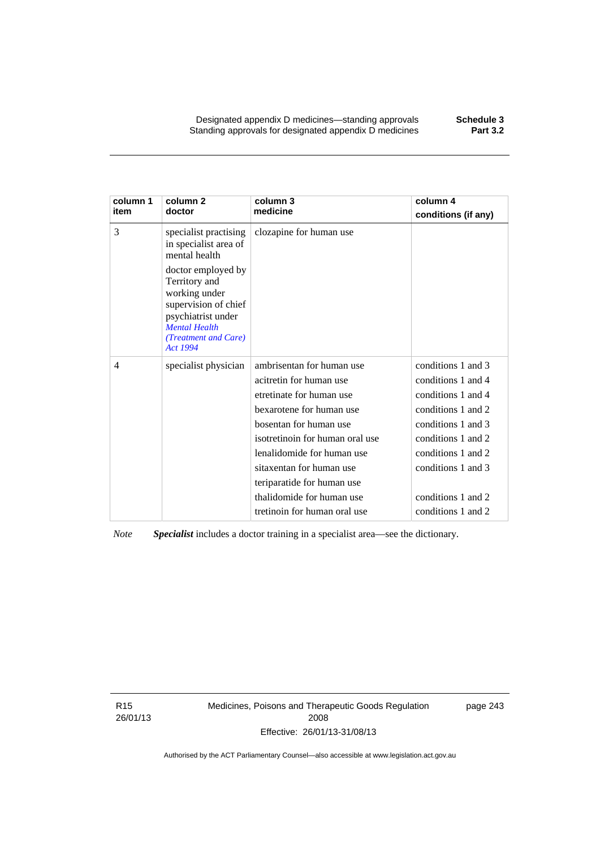Designated appendix D medicines—standing approvals **Schedule 3** Standing approvals for designated appendix D medicines

| column 1<br>item | column <sub>2</sub><br>doctor                                                                                                                                  | column 3<br>medicine            | column 4<br>conditions (if any) |
|------------------|----------------------------------------------------------------------------------------------------------------------------------------------------------------|---------------------------------|---------------------------------|
| 3                | specialist practising<br>in specialist area of<br>mental health                                                                                                | clozapine for human use         |                                 |
|                  | doctor employed by<br>Territory and<br>working under<br>supervision of chief<br>psychiatrist under<br><b>Mental Health</b><br>(Treatment and Care)<br>Act 1994 |                                 |                                 |
| 4                | specialist physician                                                                                                                                           | ambrisentan for human use       | conditions 1 and 3              |
|                  |                                                                                                                                                                | acitretin for human use         | conditions 1 and 4              |
|                  |                                                                                                                                                                | etretinate for human use        | conditions 1 and 4              |
|                  |                                                                                                                                                                | bexarotene for human use        | conditions 1 and 2              |
|                  |                                                                                                                                                                | bosentan for human use          | conditions 1 and 3              |
|                  |                                                                                                                                                                | isotretinoin for human oral use | conditions 1 and 2              |
|                  |                                                                                                                                                                | lenalidomide for human use      | conditions 1 and 2              |
|                  |                                                                                                                                                                | sitaxentan for human use        | conditions 1 and 3              |
|                  |                                                                                                                                                                | teriparatide for human use      |                                 |
|                  |                                                                                                                                                                | thalidomide for human use       | conditions 1 and 2              |
|                  |                                                                                                                                                                | tretinoin for human oral use    | conditions 1 and 2              |

*Note Specialist* includes a doctor training in a specialist area—see the dictionary.

R15 26/01/13 Medicines, Poisons and Therapeutic Goods Regulation 2008 Effective: 26/01/13-31/08/13

page 243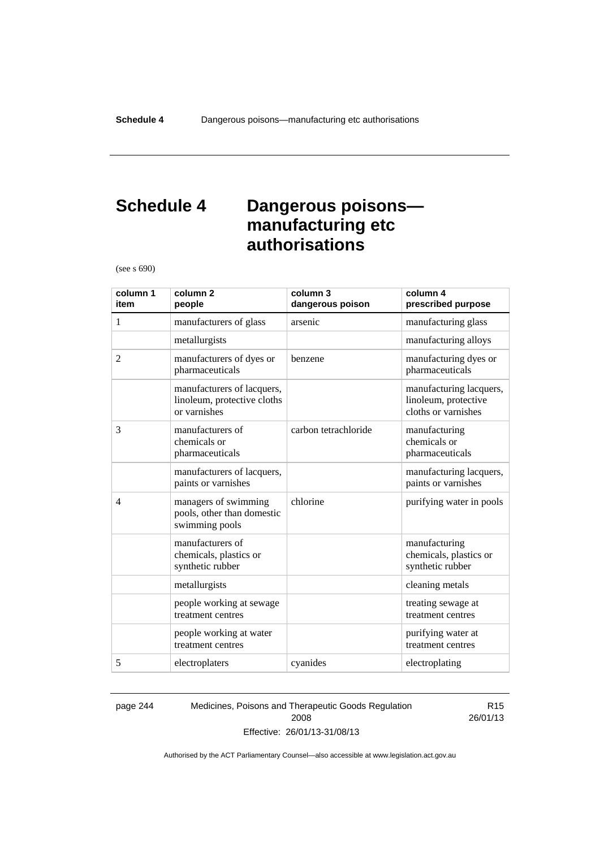# **Schedule 4 Dangerous poisons manufacturing etc authorisations**

(see s 690)

| column 1<br>item | column <sub>2</sub><br>people                                             | column 3<br>dangerous poison | column 4<br>prescribed purpose                                         |
|------------------|---------------------------------------------------------------------------|------------------------------|------------------------------------------------------------------------|
| 1                | manufacturers of glass                                                    | arsenic                      | manufacturing glass                                                    |
|                  | metallurgists                                                             |                              | manufacturing alloys                                                   |
| $\overline{2}$   | manufacturers of dyes or<br>pharmaceuticals                               | benzene                      | manufacturing dyes or<br>pharmaceuticals                               |
|                  | manufacturers of lacquers,<br>linoleum, protective cloths<br>or varnishes |                              | manufacturing lacquers,<br>linoleum, protective<br>cloths or varnishes |
| 3                | manufacturers of<br>chemicals or<br>pharmaceuticals                       | carbon tetrachloride         | manufacturing<br>chemicals or<br>pharmaceuticals                       |
|                  | manufacturers of lacquers,<br>paints or varnishes                         |                              | manufacturing lacquers,<br>paints or varnishes                         |
| $\overline{4}$   | managers of swimming<br>pools, other than domestic<br>swimming pools      | chlorine                     | purifying water in pools                                               |
|                  | manufacturers of<br>chemicals, plastics or<br>synthetic rubber            |                              | manufacturing<br>chemicals, plastics or<br>synthetic rubber            |
|                  | metallurgists                                                             |                              | cleaning metals                                                        |
|                  | people working at sewage<br>treatment centres                             |                              | treating sewage at<br>treatment centres                                |
|                  | people working at water<br>treatment centres                              |                              | purifying water at<br>treatment centres                                |
| 5                | electroplaters                                                            | cyanides                     | electroplating                                                         |

page 244 Medicines, Poisons and Therapeutic Goods Regulation 2008 Effective: 26/01/13-31/08/13

R15 26/01/13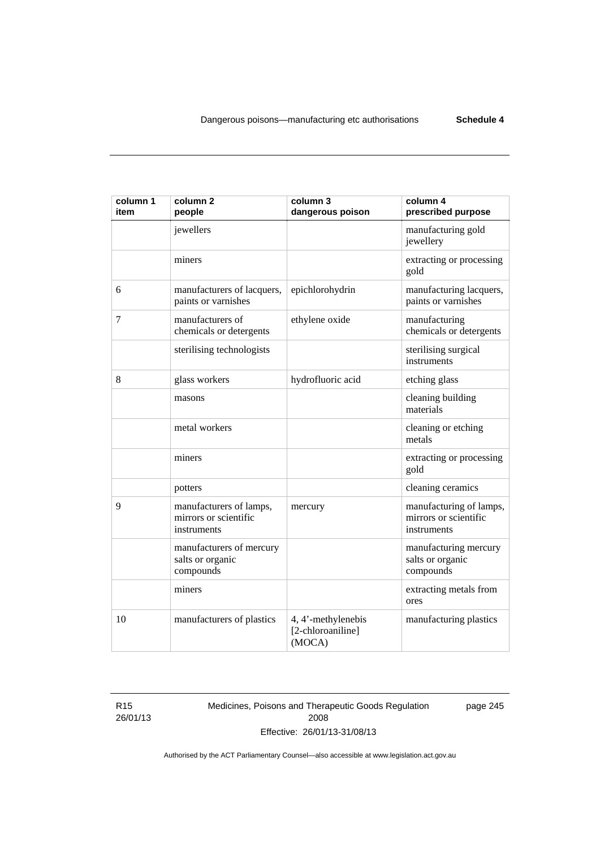| column 1<br>item | column <sub>2</sub><br>people                                   | column 3<br>dangerous poison                      | column 4<br>prescribed purpose                                  |
|------------------|-----------------------------------------------------------------|---------------------------------------------------|-----------------------------------------------------------------|
|                  | jewellers                                                       |                                                   | manufacturing gold<br>jewellery                                 |
|                  | miners                                                          |                                                   | extracting or processing<br>gold                                |
| 6                | manufacturers of lacquers,<br>paints or varnishes               | epichlorohydrin                                   | manufacturing lacquers,<br>paints or varnishes                  |
| 7                | manufacturers of<br>chemicals or detergents                     | ethylene oxide                                    | manufacturing<br>chemicals or detergents                        |
|                  | sterilising technologists                                       |                                                   | sterilising surgical<br>instruments                             |
| 8                | glass workers                                                   | hydrofluoric acid                                 | etching glass                                                   |
|                  | masons                                                          |                                                   | cleaning building<br>materials                                  |
|                  | metal workers                                                   |                                                   | cleaning or etching<br>metals                                   |
|                  | miners                                                          |                                                   | extracting or processing<br>gold                                |
|                  | potters                                                         |                                                   | cleaning ceramics                                               |
| 9                | manufacturers of lamps,<br>mirrors or scientific<br>instruments | mercury                                           | manufacturing of lamps,<br>mirrors or scientific<br>instruments |
|                  | manufacturers of mercury<br>salts or organic<br>compounds       |                                                   | manufacturing mercury<br>salts or organic<br>compounds          |
|                  | miners                                                          |                                                   | extracting metals from<br>ores                                  |
| 10               | manufacturers of plastics                                       | 4, 4'-methylenebis<br>[2-chloroaniline]<br>(MOCA) | manufacturing plastics                                          |

R15 26/01/13 Medicines, Poisons and Therapeutic Goods Regulation 2008 Effective: 26/01/13-31/08/13

page 245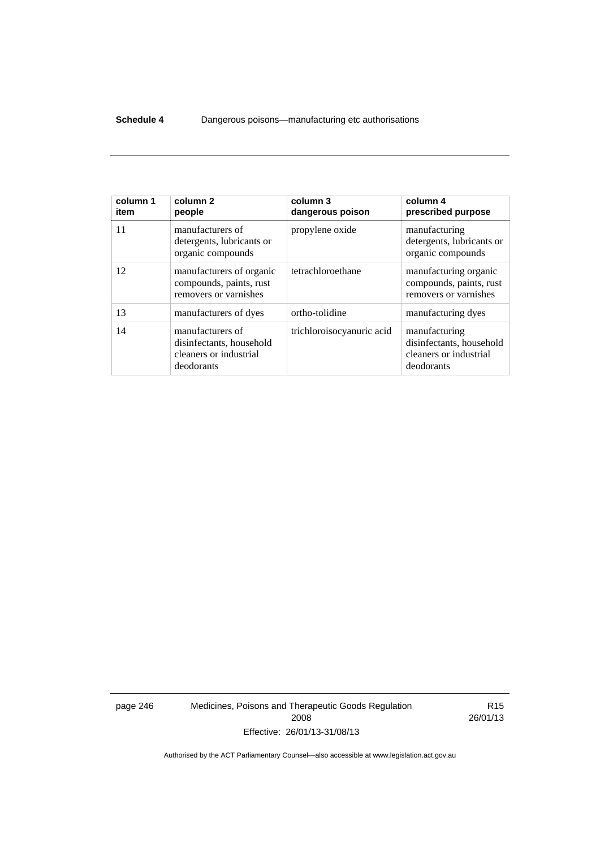### **Schedule 4** Dangerous poisons—manufacturing etc authorisations

| column 1<br>item | column <sub>2</sub><br>people                                                        | column 3<br>dangerous poison | column 4<br>prescribed purpose                                                    |
|------------------|--------------------------------------------------------------------------------------|------------------------------|-----------------------------------------------------------------------------------|
| 11               | manufacturers of<br>detergents, lubricants or<br>organic compounds                   | propylene oxide              | manufacturing<br>detergents, lubricants or<br>organic compounds                   |
| 12               | manufacturers of organic<br>compounds, paints, rust<br>removers or varnishes         | tetrachloroethane            | manufacturing organic<br>compounds, paints, rust<br>removers or varnishes         |
| 13               | manufacturers of dyes                                                                | ortho-tolidine               | manufacturing dyes                                                                |
| 14               | manufacturers of<br>disinfectants, household<br>cleaners or industrial<br>deodorants | trichloroisocyanuric acid    | manufacturing<br>disinfectants, household<br>cleaners or industrial<br>deodorants |

page 246 Medicines, Poisons and Therapeutic Goods Regulation 2008 Effective: 26/01/13-31/08/13

R15 26/01/13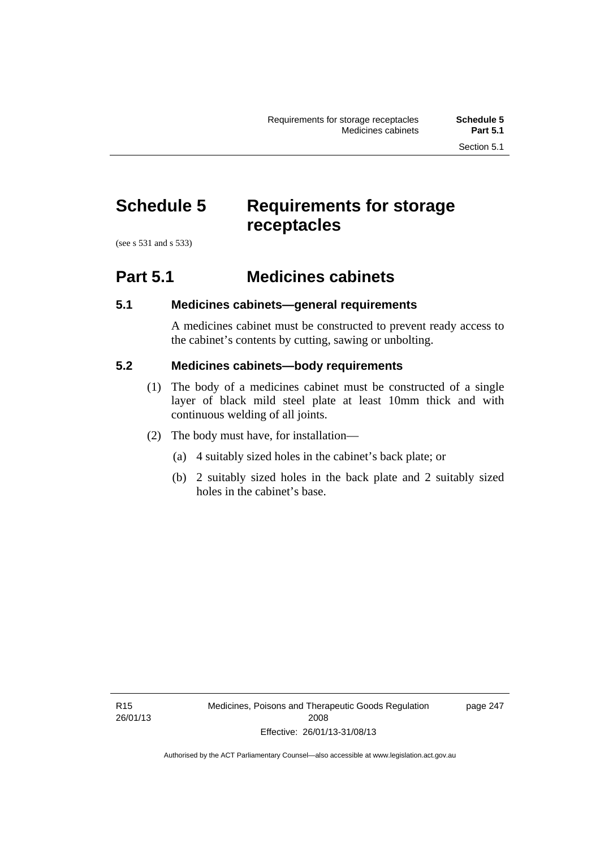# **Schedule 5 Requirements for storage receptacles**

(see s 531 and s 533)

# **Part 5.1 Medicines cabinets**

## **5.1 Medicines cabinets—general requirements**

A medicines cabinet must be constructed to prevent ready access to the cabinet's contents by cutting, sawing or unbolting.

### **5.2 Medicines cabinets—body requirements**

- (1) The body of a medicines cabinet must be constructed of a single layer of black mild steel plate at least 10mm thick and with continuous welding of all joints.
- (2) The body must have, for installation—
	- (a) 4 suitably sized holes in the cabinet's back plate; or
	- (b) 2 suitably sized holes in the back plate and 2 suitably sized holes in the cabinet's base.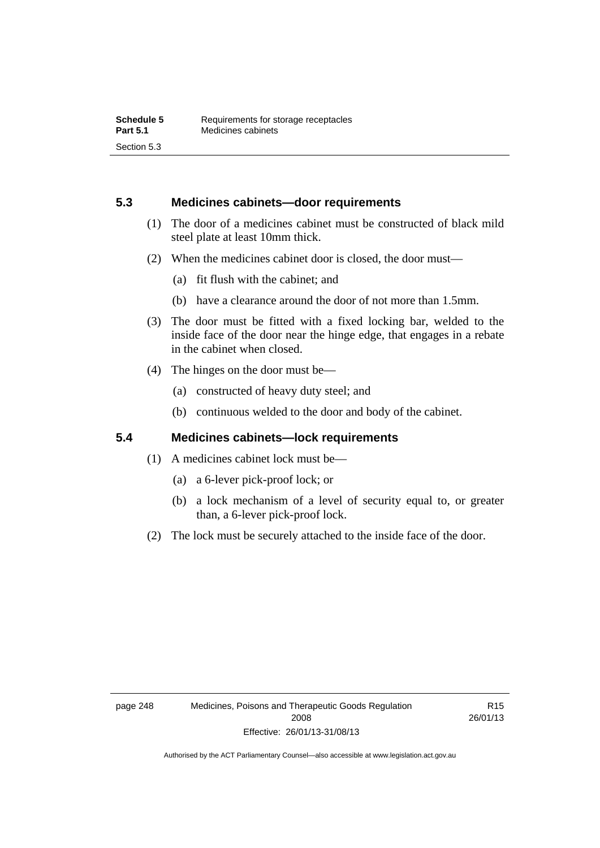### **5.3 Medicines cabinets—door requirements**

- (1) The door of a medicines cabinet must be constructed of black mild steel plate at least 10mm thick.
- (2) When the medicines cabinet door is closed, the door must—
	- (a) fit flush with the cabinet; and
	- (b) have a clearance around the door of not more than 1.5mm.
- (3) The door must be fitted with a fixed locking bar, welded to the inside face of the door near the hinge edge, that engages in a rebate in the cabinet when closed.
- (4) The hinges on the door must be—
	- (a) constructed of heavy duty steel; and
	- (b) continuous welded to the door and body of the cabinet.

### **5.4 Medicines cabinets—lock requirements**

- (1) A medicines cabinet lock must be—
	- (a) a 6-lever pick-proof lock; or
	- (b) a lock mechanism of a level of security equal to, or greater than, a 6-lever pick-proof lock.
- (2) The lock must be securely attached to the inside face of the door.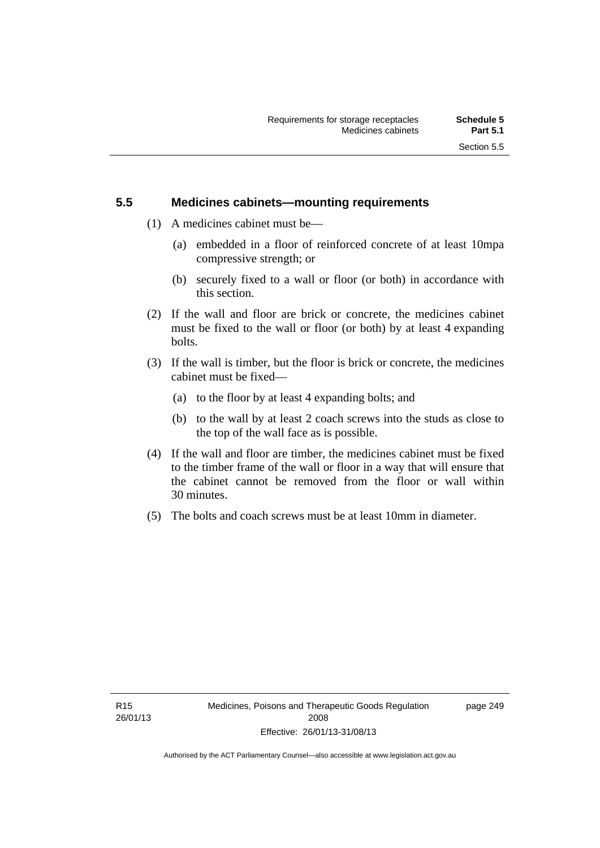### **5.5 Medicines cabinets—mounting requirements**

- (1) A medicines cabinet must be—
	- (a) embedded in a floor of reinforced concrete of at least 10mpa compressive strength; or
	- (b) securely fixed to a wall or floor (or both) in accordance with this section.
- (2) If the wall and floor are brick or concrete, the medicines cabinet must be fixed to the wall or floor (or both) by at least 4 expanding bolts.
- (3) If the wall is timber, but the floor is brick or concrete, the medicines cabinet must be fixed—
	- (a) to the floor by at least 4 expanding bolts; and
	- (b) to the wall by at least 2 coach screws into the studs as close to the top of the wall face as is possible.
- (4) If the wall and floor are timber, the medicines cabinet must be fixed to the timber frame of the wall or floor in a way that will ensure that the cabinet cannot be removed from the floor or wall within 30 minutes.
- (5) The bolts and coach screws must be at least 10mm in diameter.

page 249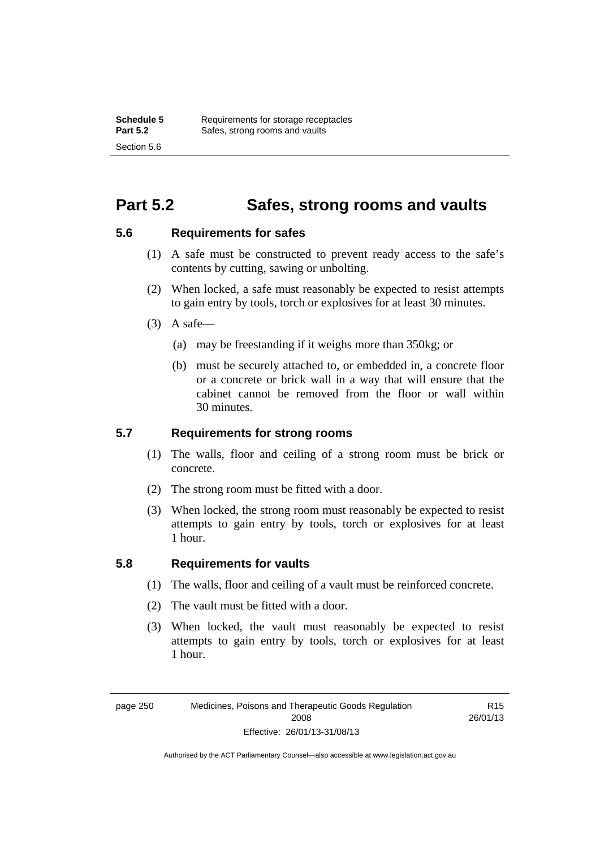# **Part 5.2 Safes, strong rooms and vaults**

### **5.6 Requirements for safes**

- (1) A safe must be constructed to prevent ready access to the safe's contents by cutting, sawing or unbolting.
- (2) When locked, a safe must reasonably be expected to resist attempts to gain entry by tools, torch or explosives for at least 30 minutes.
- $(3)$  A safe-
	- (a) may be freestanding if it weighs more than 350kg; or
	- (b) must be securely attached to, or embedded in, a concrete floor or a concrete or brick wall in a way that will ensure that the cabinet cannot be removed from the floor or wall within 30 minutes.

### **5.7 Requirements for strong rooms**

- (1) The walls, floor and ceiling of a strong room must be brick or concrete.
- (2) The strong room must be fitted with a door.
- (3) When locked, the strong room must reasonably be expected to resist attempts to gain entry by tools, torch or explosives for at least 1 hour.

### **5.8 Requirements for vaults**

- (1) The walls, floor and ceiling of a vault must be reinforced concrete.
- (2) The vault must be fitted with a door.
- (3) When locked, the vault must reasonably be expected to resist attempts to gain entry by tools, torch or explosives for at least 1 hour.

page 250 Medicines, Poisons and Therapeutic Goods Regulation 2008 Effective: 26/01/13-31/08/13

R15 26/01/13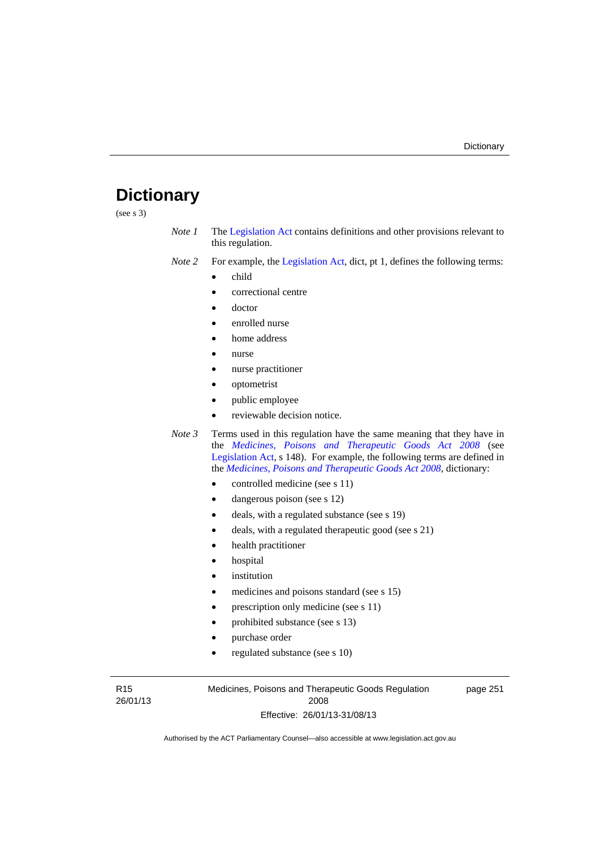# **Dictionary**

(see s 3)

- *Note 1* The [Legislation Act](http://www.legislation.act.gov.au/a/2001-14) contains definitions and other provisions relevant to this regulation.
- *Note 2* For example, the [Legislation Act,](http://www.legislation.act.gov.au/a/2001-14) dict, pt 1, defines the following terms:
	- child
	- correctional centre
	- doctor
	- enrolled nurse
	- home address
	- nurse
	- nurse practitioner
	- optometrist
	- public employee
	- reviewable decision notice.
- *Note 3* Terms used in this regulation have the same meaning that they have in the *[Medicines, Poisons and Therapeutic Goods Act 2008](http://www.legislation.act.gov.au/a/2008-26)* (see [Legislation Act,](http://www.legislation.act.gov.au/a/2001-14) s 148). For example, the following terms are defined in the *[Medicines, Poisons and Therapeutic Goods Act 2008](http://www.legislation.act.gov.au/a/2008-26)*, dictionary:
	- controlled medicine (see s 11)
	- dangerous poison (see s 12)
	- deals, with a regulated substance (see s 19)
	- deals, with a regulated therapeutic good (see s 21)
	- health practitioner
	- hospital
	- institution
	- medicines and poisons standard (see s 15)
	- prescription only medicine (see s 11)
	- prohibited substance (see s 13)
	- purchase order
	- regulated substance (see s 10)

R15 26/01/13 Medicines, Poisons and Therapeutic Goods Regulation 2008 Effective: 26/01/13-31/08/13

page 251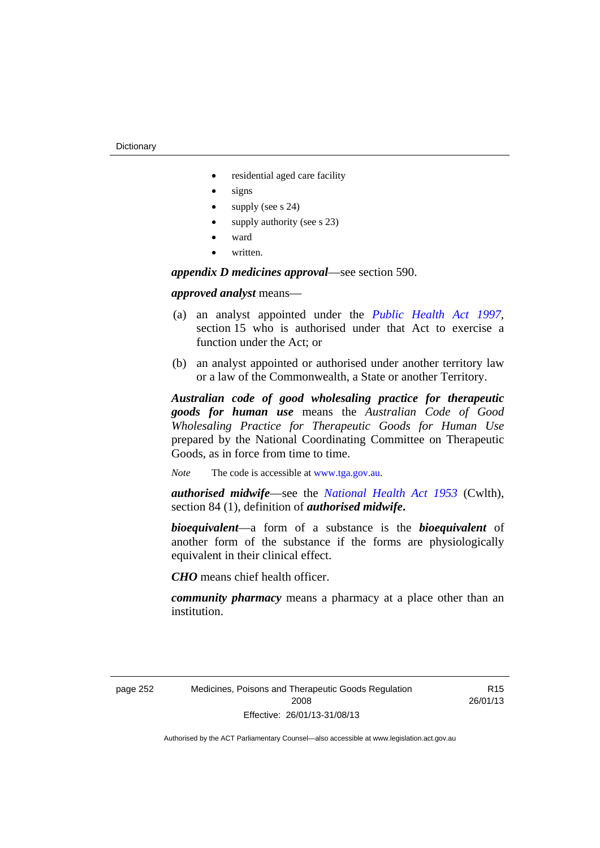- residential aged care facility
- signs
- supply (see s 24)
- supply authority (see s 23)
- ward
- written.

*appendix D medicines approval*—see section 590.

### *approved analyst* means—

- (a) an analyst appointed under the *[Public Health Act 1997](http://www.legislation.act.gov.au/a/1997-69)*, section 15 who is authorised under that Act to exercise a function under the Act; or
- (b) an analyst appointed or authorised under another territory law or a law of the Commonwealth, a State or another Territory.

*Australian code of good wholesaling practice for therapeutic goods for human use* means the *Australian Code of Good Wholesaling Practice for Therapeutic Goods for Human Use*  prepared by the National Coordinating Committee on Therapeutic Goods, as in force from time to time.

*Note* The code is accessible at [www.tga.gov.au](http://www.tga.gov.au/).

*authorised midwife*—see the *[National Health Act 1953](http://www.comlaw.gov.au/Series/C1953A00095)* (Cwlth), section 84 (1), definition of *authorised midwife***.**

*bioequivalent*—a form of a substance is the *bioequivalent* of another form of the substance if the forms are physiologically equivalent in their clinical effect.

*CHO* means chief health officer.

*community pharmacy* means a pharmacy at a place other than an institution.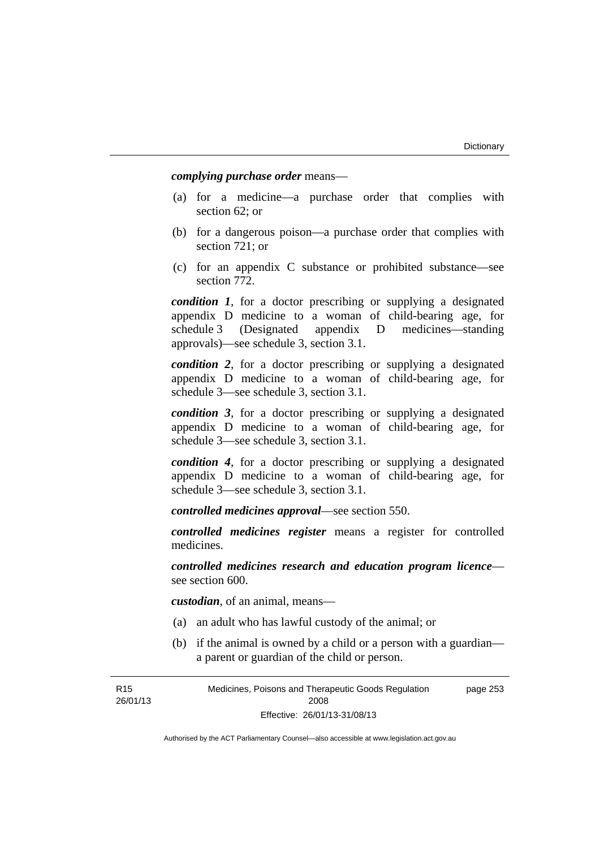*complying purchase order* means—

- (a) for a medicine—a purchase order that complies with section 62; or
- (b) for a dangerous poison—a purchase order that complies with section 721; or
- (c) for an appendix C substance or prohibited substance—see section 772.

*condition 1*, for a doctor prescribing or supplying a designated appendix D medicine to a woman of child-bearing age, for schedule 3 (Designated appendix D medicines—standing approvals)—see schedule 3, section 3.1.

*condition 2*, for a doctor prescribing or supplying a designated appendix D medicine to a woman of child-bearing age, for schedule 3—see schedule 3, section 3.1.

*condition 3*, for a doctor prescribing or supplying a designated appendix D medicine to a woman of child-bearing age, for schedule 3—see schedule 3, section 3.1.

*condition 4*, for a doctor prescribing or supplying a designated appendix D medicine to a woman of child-bearing age, for schedule 3—see schedule 3, section 3.1.

*controlled medicines approval*—see section 550.

*controlled medicines register* means a register for controlled medicines.

*controlled medicines research and education program licence* see section 600.

*custodian*, of an animal, means—

- (a) an adult who has lawful custody of the animal; or
- (b) if the animal is owned by a child or a person with a guardian a parent or guardian of the child or person.

R15 26/01/13 Medicines, Poisons and Therapeutic Goods Regulation 2008 Effective: 26/01/13-31/08/13 page 253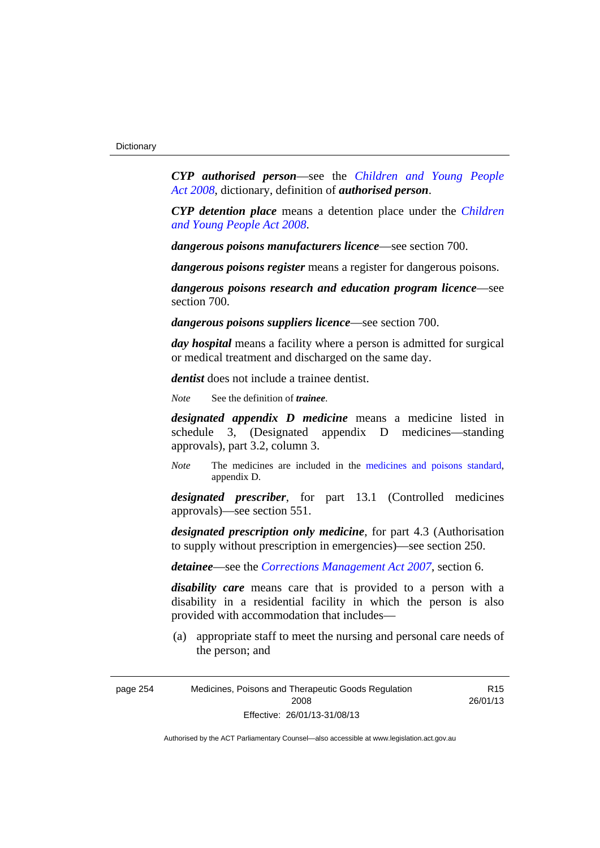*CYP authorised person*—see the *[Children and Young People](http://www.legislation.act.gov.au/a/2008-19)  [Act 2008](http://www.legislation.act.gov.au/a/2008-19)*, dictionary, definition of *authorised person*.

*CYP detention place* means a detention place under the *[Children](http://www.legislation.act.gov.au/a/2008-19)  [and Young People Act 2008](http://www.legislation.act.gov.au/a/2008-19)*.

*dangerous poisons manufacturers licence*—see section 700.

*dangerous poisons register* means a register for dangerous poisons.

*dangerous poisons research and education program licence*—see section 700.

*dangerous poisons suppliers licence*—see section 700.

*day hospital* means a facility where a person is admitted for surgical or medical treatment and discharged on the same day.

*dentist* does not include a trainee dentist.

*Note* See the definition of *trainee*.

*designated appendix D medicine* means a medicine listed in schedule 3, (Designated appendix D medicines—standing approvals), part 3.2, column 3.

*Note* The medicines are included in the [medicines and poisons standard,](http://www.comlaw.gov.au/Series/F2012L01200) appendix D.

*designated prescriber*, for part 13.1 (Controlled medicines approvals)—see section 551.

*designated prescription only medicine*, for part 4.3 (Authorisation to supply without prescription in emergencies)—see section 250.

*detainee*—see the *[Corrections Management Act 2007](http://www.legislation.act.gov.au/a/2007-15)*, section 6.

*disability care* means care that is provided to a person with a disability in a residential facility in which the person is also provided with accommodation that includes—

 (a) appropriate staff to meet the nursing and personal care needs of the person; and

R15 26/01/13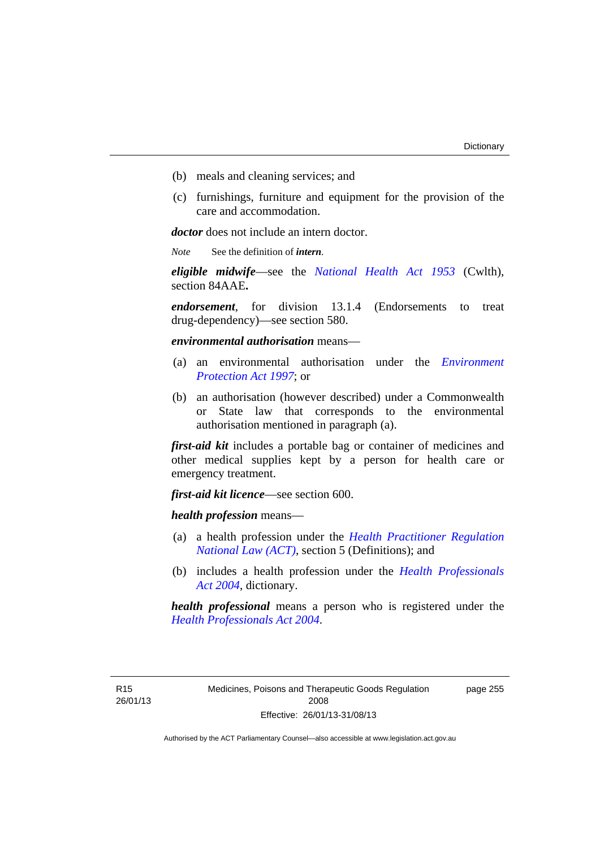- (b) meals and cleaning services; and
- (c) furnishings, furniture and equipment for the provision of the care and accommodation.

*doctor* does not include an intern doctor.

*Note* See the definition of *intern*.

*eligible midwife*—see the *[National Health Act 1953](http://www.comlaw.gov.au/Series/C1953A00095)* (Cwlth), section 84AAE**.**

*endorsement*, for division 13.1.4 (Endorsements to treat drug-dependency)—see section 580.

*environmental authorisation* means—

- (a) an environmental authorisation under the *[Environment](http://www.legislation.act.gov.au/a/1997-92)  [Protection Act 1997](http://www.legislation.act.gov.au/a/1997-92)*; or
- (b) an authorisation (however described) under a Commonwealth or State law that corresponds to the environmental authorisation mentioned in paragraph (a).

*first-aid kit* includes a portable bag or container of medicines and other medical supplies kept by a person for health care or emergency treatment.

*first-aid kit licence*—see section 600.

*health profession* means—

- (a) a health profession under the *[Health Practitioner Regulation](http://www.legislation.act.gov.au/a/db_39269/default.asp)  [National Law \(ACT\)](http://www.legislation.act.gov.au/a/db_39269/default.asp)*, section 5 (Definitions); and
- (b) includes a health profession under the *[Health Professionals](http://www.legislation.act.gov.au/a/2004-38)  [Act 2004](http://www.legislation.act.gov.au/a/2004-38)*, dictionary.

*health professional* means a person who is registered under the *[Health Professionals Act 2004](http://www.legislation.act.gov.au/a/2004-38)*.

R15 26/01/13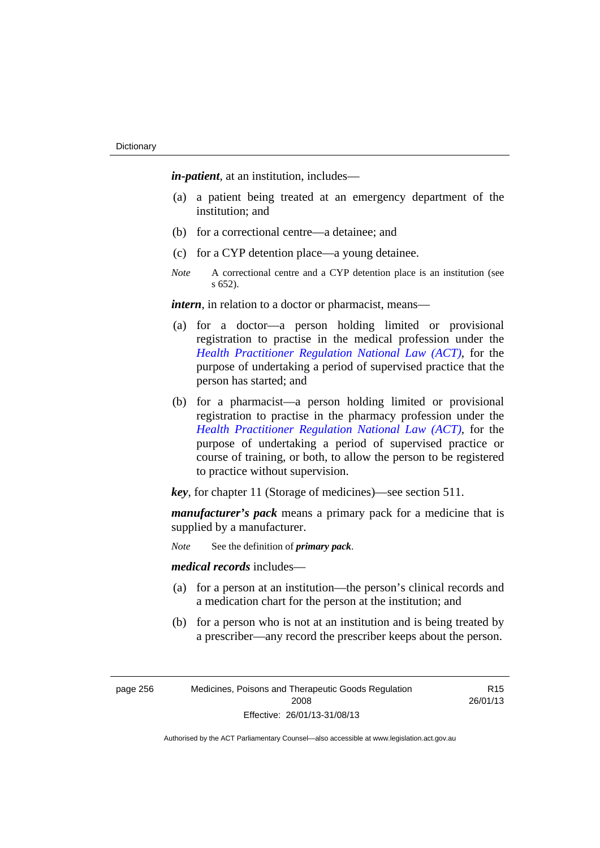*in-patient*, at an institution, includes—

- (a) a patient being treated at an emergency department of the institution; and
- (b) for a correctional centre—a detainee; and
- (c) for a CYP detention place—a young detainee.
- *Note* A correctional centre and a CYP detention place is an institution (see s 652).

*intern*, in relation to a doctor or pharmacist, means—

- (a) for a doctor—a person holding limited or provisional registration to practise in the medical profession under the *[Health Practitioner Regulation National Law \(ACT\)](http://www.legislation.act.gov.au/a/db_39269/default.asp)*, for the purpose of undertaking a period of supervised practice that the person has started; and
- (b) for a pharmacist—a person holding limited or provisional registration to practise in the pharmacy profession under the *[Health Practitioner Regulation National Law \(ACT\)](http://www.legislation.act.gov.au/a/db_39269/default.asp)*, for the purpose of undertaking a period of supervised practice or course of training, or both, to allow the person to be registered to practice without supervision.

*key*, for chapter 11 (Storage of medicines)—see section 511.

*manufacturer's pack* means a primary pack for a medicine that is supplied by a manufacturer.

*Note* See the definition of *primary pack*.

*medical records* includes—

- (a) for a person at an institution—the person's clinical records and a medication chart for the person at the institution; and
- (b) for a person who is not at an institution and is being treated by a prescriber—any record the prescriber keeps about the person.

page 256 Medicines, Poisons and Therapeutic Goods Regulation 2008 Effective: 26/01/13-31/08/13

R15 26/01/13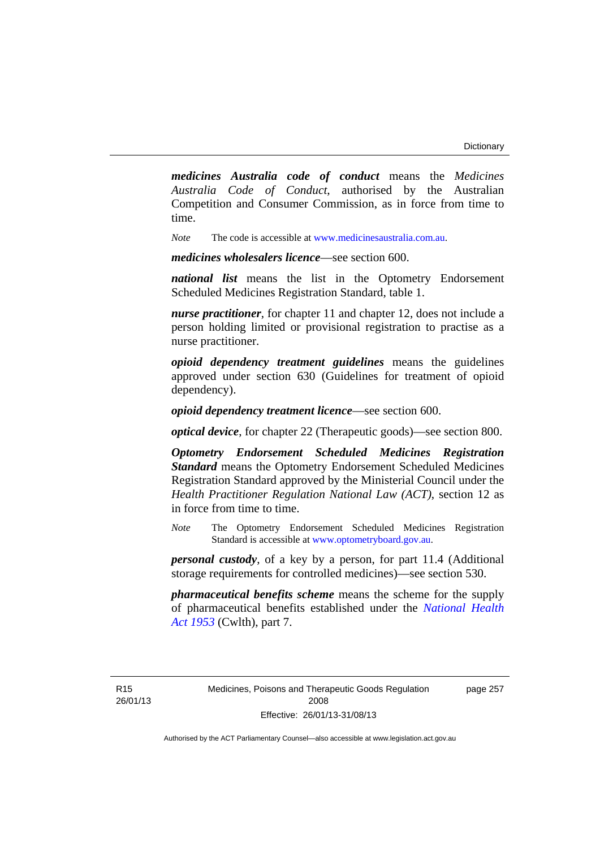*medicines Australia code of conduct* means the *Medicines Australia Code of Conduct*, authorised by the Australian Competition and Consumer Commission, as in force from time to time.

*Note* The code is accessible at [www.medicinesaustralia.com.au.](http://www.medicinesaustralia.com.au/)

*medicines wholesalers licence*—see section 600.

*national list* means the list in the Optometry Endorsement Scheduled Medicines Registration Standard, table 1.

*nurse practitioner*, for chapter 11 and chapter 12, does not include a person holding limited or provisional registration to practise as a nurse practitioner.

*opioid dependency treatment guidelines* means the guidelines approved under section 630 (Guidelines for treatment of opioid dependency).

*opioid dependency treatment licence*—see section 600.

*optical device*, for chapter 22 (Therapeutic goods)—see section 800.

*Optometry Endorsement Scheduled Medicines Registration Standard* means the Optometry Endorsement Scheduled Medicines Registration Standard approved by the Ministerial Council under the *Health Practitioner Regulation National Law (ACT)*, section 12 as in force from time to time.

*Note* The Optometry Endorsement Scheduled Medicines Registration Standard is accessible at [www.optometryboard.gov.au](http://www.optometryboard.gov.au/).

*personal custody*, of a key by a person, for part 11.4 (Additional storage requirements for controlled medicines)—see section 530.

*pharmaceutical benefits scheme* means the scheme for the supply of pharmaceutical benefits established under the *[National Health](http://www.comlaw.gov.au/Series/C1953A00095)  [Act 1953](http://www.comlaw.gov.au/Series/C1953A00095)* (Cwlth), part 7.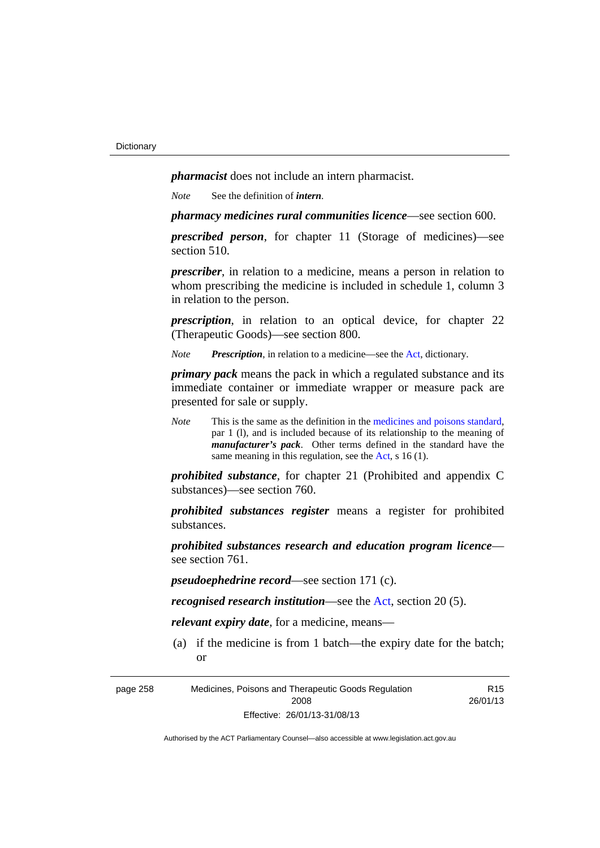*pharmacist* does not include an intern pharmacist.

*Note* See the definition of *intern*.

*pharmacy medicines rural communities licence*—see section 600.

*prescribed person*, for chapter 11 (Storage of medicines)—see section 510.

*prescriber*, in relation to a medicine, means a person in relation to whom prescribing the medicine is included in schedule 1, column 3 in relation to the person.

*prescription*, in relation to an optical device, for chapter 22 (Therapeutic Goods)—see section 800.

*Note Prescription*, in relation to a medicine—see the [Act](http://www.legislation.act.gov.au/a/2008-26/default.asp), dictionary.

*primary pack* means the pack in which a regulated substance and its immediate container or immediate wrapper or measure pack are presented for sale or supply.

*Note* This is the same as the definition in the [medicines and poisons standard,](http://www.comlaw.gov.au/Series/F2012L01200) par 1 (l), and is included because of its relationship to the meaning of *manufacturer's pack*. Other terms defined in the standard have the same meaning in this regulation, see the [Act](http://www.legislation.act.gov.au/a/2008-26/default.asp), s 16 (1).

*prohibited substance*, for chapter 21 (Prohibited and appendix C substances)—see section 760.

*prohibited substances register* means a register for prohibited substances.

*prohibited substances research and education program licence* see section 761.

*pseudoephedrine record*—see section 171 (c).

*recognised research institution*—see the [Act](http://www.legislation.act.gov.au/a/2008-26/default.asp), section 20 (5).

*relevant expiry date*, for a medicine, means—

 (a) if the medicine is from 1 batch—the expiry date for the batch; or

R15

page 258 Medicines, Poisons and Therapeutic Goods Regulation 2008 Effective: 26/01/13-31/08/13 26/01/13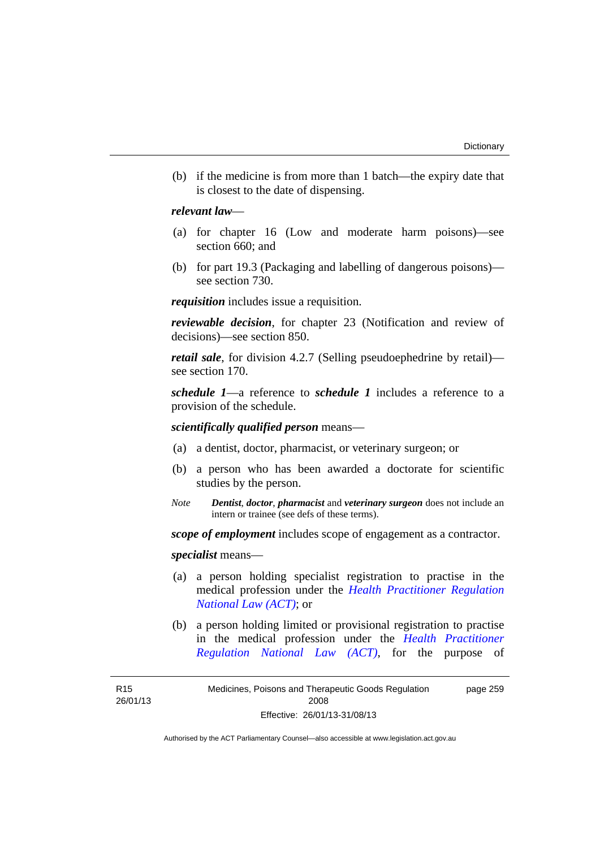(b) if the medicine is from more than 1 batch—the expiry date that is closest to the date of dispensing.

### *relevant law*—

- (a) for chapter 16 (Low and moderate harm poisons)—see section 660; and
- (b) for part 19.3 (Packaging and labelling of dangerous poisons) see section 730.

*requisition* includes issue a requisition.

*reviewable decision*, for chapter 23 (Notification and review of decisions)—see section 850.

*retail sale*, for division 4.2.7 (Selling pseudoephedrine by retail) see section 170.

*schedule 1*—a reference to *schedule 1* includes a reference to a provision of the schedule.

*scientifically qualified person* means—

- (a) a dentist, doctor, pharmacist, or veterinary surgeon; or
- (b) a person who has been awarded a doctorate for scientific studies by the person.
- *Note Dentist*, *doctor*, *pharmacist* and *veterinary surgeon* does not include an intern or trainee (see defs of these terms).

*scope of employment* includes scope of engagement as a contractor.

*specialist* means—

- (a) a person holding specialist registration to practise in the medical profession under the *[Health Practitioner Regulation](http://www.legislation.act.gov.au/a/db_39269/default.asp)  [National Law \(ACT\)](http://www.legislation.act.gov.au/a/db_39269/default.asp)*; or
- (b) a person holding limited or provisional registration to practise in the medical profession under the *[Health Practitioner](http://www.legislation.act.gov.au/a/db_39269/default.asp)  [Regulation National Law \(ACT\)](http://www.legislation.act.gov.au/a/db_39269/default.asp)*, for the purpose of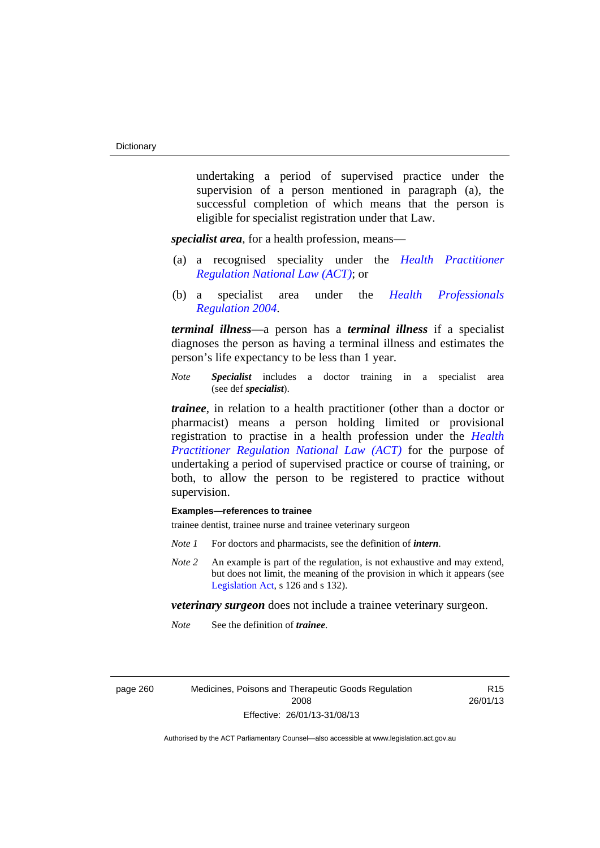undertaking a period of supervised practice under the supervision of a person mentioned in paragraph (a), the successful completion of which means that the person is eligible for specialist registration under that Law.

*specialist area*, for a health profession, means—

- (a) a recognised speciality under the *[Health Practitioner](http://www.legislation.act.gov.au/a/db_39269/default.asp)  [Regulation National Law \(ACT\)](http://www.legislation.act.gov.au/a/db_39269/default.asp)*; or
- (b) a specialist area under the *[Health Professionals](http://www.legislation.act.gov.au/sl/2004-41)  [Regulation 2004](http://www.legislation.act.gov.au/sl/2004-41)*.

*terminal illness*—a person has a *terminal illness* if a specialist diagnoses the person as having a terminal illness and estimates the person's life expectancy to be less than 1 year.

*Note Specialist* includes a doctor training in a specialist area (see def *specialist*).

*trainee*, in relation to a health practitioner (other than a doctor or pharmacist) means a person holding limited or provisional registration to practise in a health profession under the *[Health](http://www.legislation.act.gov.au/a/db_39269/default.asp)  [Practitioner Regulation National Law \(ACT\)](http://www.legislation.act.gov.au/a/db_39269/default.asp)* for the purpose of undertaking a period of supervised practice or course of training, or both, to allow the person to be registered to practice without supervision.

### **Examples—references to trainee**

trainee dentist, trainee nurse and trainee veterinary surgeon

- *Note 1* For doctors and pharmacists, see the definition of *intern*.
- *Note 2* An example is part of the regulation, is not exhaustive and may extend, but does not limit, the meaning of the provision in which it appears (see [Legislation Act,](http://www.legislation.act.gov.au/a/2001-14) s 126 and s 132).

*veterinary surgeon* does not include a trainee veterinary surgeon.

*Note* See the definition of *trainee*.

page 260 Medicines, Poisons and Therapeutic Goods Regulation 2008 Effective: 26/01/13-31/08/13

R15 26/01/13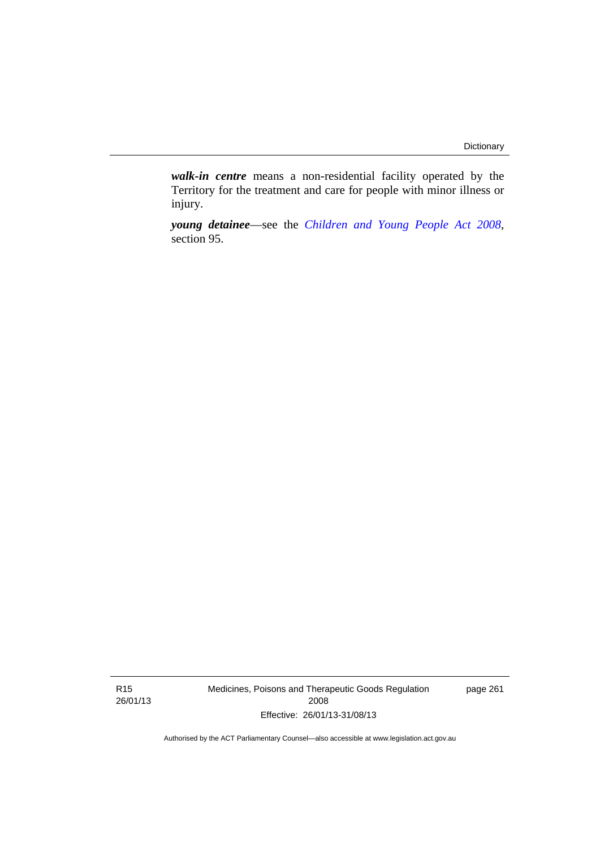*walk-in centre* means a non-residential facility operated by the Territory for the treatment and care for people with minor illness or injury.

*young detainee*—see the *[Children and Young People Act 2008](http://www.legislation.act.gov.au/a/2008-19)*, section 95.

R15 26/01/13 Medicines, Poisons and Therapeutic Goods Regulation 2008 Effective: 26/01/13-31/08/13

page 261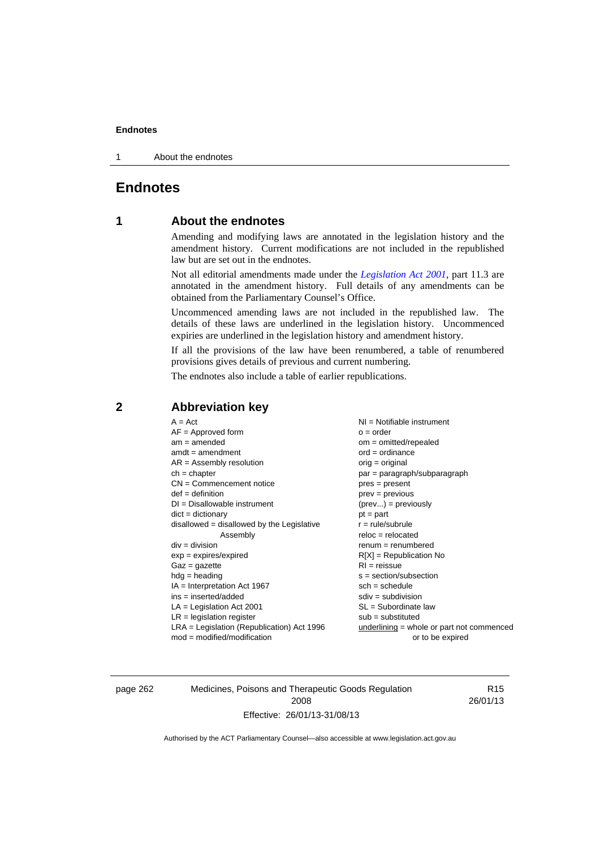#### **Endnotes**

1 About the endnotes

# **Endnotes**

### **1 About the endnotes**

Amending and modifying laws are annotated in the legislation history and the amendment history. Current modifications are not included in the republished law but are set out in the endnotes.

Not all editorial amendments made under the *[Legislation Act 2001](http://www.legislation.act.gov.au/a/2001-14)*, part 11.3 are annotated in the amendment history. Full details of any amendments can be obtained from the Parliamentary Counsel's Office.

Uncommenced amending laws are not included in the republished law. The details of these laws are underlined in the legislation history. Uncommenced expiries are underlined in the legislation history and amendment history.

If all the provisions of the law have been renumbered, a table of renumbered provisions gives details of previous and current numbering.

The endnotes also include a table of earlier republications.

### **2 Abbreviation key**

page 262 Medicines, Poisons and Therapeutic Goods Regulation 2008 Effective: 26/01/13-31/08/13

R15 26/01/13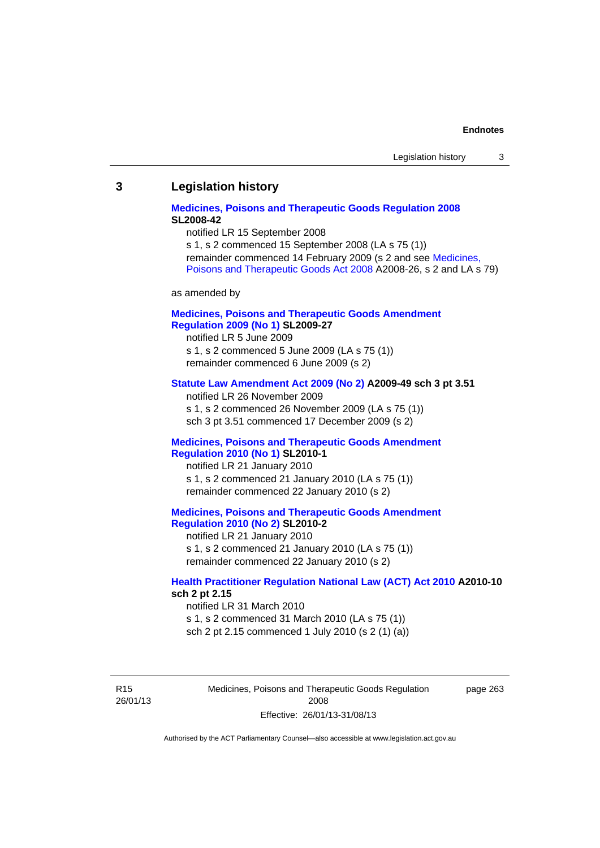#### **Endnotes**

### **3 Legislation history**

### **[Medicines, Poisons and Therapeutic Goods Regulation 2008](http://www.legislation.act.gov.au/sl/2008-42) SL2008-42**

notified LR 15 September 2008

s 1, s 2 commenced 15 September 2008 (LA s 75 (1)) remainder commenced 14 February 2009 (s 2 and see [Medicines,](http://www.legislation.act.gov.au/a/2008-26)  [Poisons and Therapeutic Goods Act 2008](http://www.legislation.act.gov.au/a/2008-26) A2008-26, s 2 and LA s 79)

as amended by

### **[Medicines, Poisons and Therapeutic Goods Amendment](http://www.legislation.act.gov.au/sl/2009-27)  [Regulation 2009 \(No 1\)](http://www.legislation.act.gov.au/sl/2009-27) SL2009-27**

notified LR 5 June 2009 s 1, s 2 commenced 5 June 2009 (LA s 75 (1)) remainder commenced 6 June 2009 (s 2)

#### **[Statute Law Amendment Act 2009 \(No 2\)](http://www.legislation.act.gov.au/a/2009-49) A2009-49 sch 3 pt 3.51**

notified LR 26 November 2009 s 1, s 2 commenced 26 November 2009 (LA s 75 (1)) sch 3 pt 3.51 commenced 17 December 2009 (s 2)

#### **[Medicines, Poisons and Therapeutic Goods Amendment](http://www.legislation.act.gov.au/sl/2010-1)  [Regulation 2010 \(No 1\)](http://www.legislation.act.gov.au/sl/2010-1) SL2010-1**

notified LR 21 January 2010 s 1, s 2 commenced 21 January 2010 (LA s 75 (1)) remainder commenced 22 January 2010 (s 2)

#### **[Medicines, Poisons and Therapeutic Goods Amendment](http://www.legislation.act.gov.au/sl/2010-2)  [Regulation 2010 \(No 2\)](http://www.legislation.act.gov.au/sl/2010-2) SL2010-2**

notified LR 21 January 2010 s 1, s 2 commenced 21 January 2010 (LA s 75 (1)) remainder commenced 22 January 2010 (s 2)

#### **[Health Practitioner Regulation National Law \(ACT\) Act 2010](http://www.legislation.act.gov.au/a/2010-10) A2010-10 sch 2 pt 2.15**

notified LR 31 March 2010 s 1, s 2 commenced 31 March 2010 (LA s 75 (1)) sch 2 pt 2.15 commenced 1 July 2010 (s 2 (1) (a))

R15 26/01/13 Medicines, Poisons and Therapeutic Goods Regulation 2008 Effective: 26/01/13-31/08/13

page 263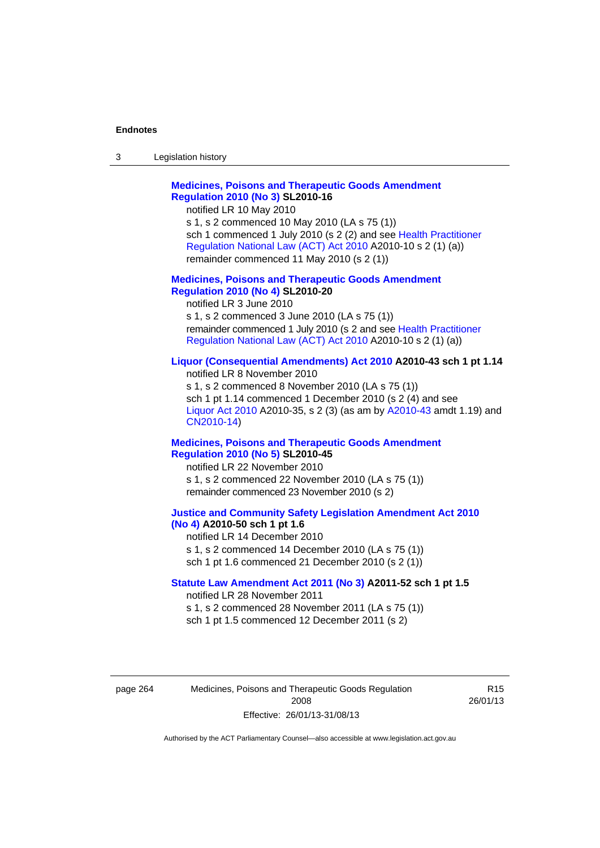#### **Endnotes**

| 3 | Legislation history |  |
|---|---------------------|--|
|---|---------------------|--|

### **[Medicines, Poisons and Therapeutic Goods Amendment](http://www.legislation.act.gov.au/sl/2010-16)  [Regulation 2010 \(No 3\)](http://www.legislation.act.gov.au/sl/2010-16) SL2010-16**

notified LR 10 May 2010

s 1, s 2 commenced 10 May 2010 (LA s 75 (1)) sch 1 commenced 1 July 2010 (s 2 (2) and see [Health Practitioner](http://www.legislation.act.gov.au/a/2010-10)  [Regulation National Law \(ACT\) Act 2010](http://www.legislation.act.gov.au/a/2010-10) A2010-10 s 2 (1) (a)) remainder commenced 11 May 2010 (s 2 (1))

#### **[Medicines, Poisons and Therapeutic Goods Amendment](http://www.legislation.act.gov.au/sl/2010-20)  [Regulation 2010 \(No 4\)](http://www.legislation.act.gov.au/sl/2010-20) SL2010-20**

notified LR 3 June 2010 s 1, s 2 commenced 3 June 2010 (LA s 75 (1)) remainder commenced 1 July 2010 (s 2 and see [Health Practitioner](http://www.legislation.act.gov.au/a/2010-10)  [Regulation National Law \(ACT\) Act 2010](http://www.legislation.act.gov.au/a/2010-10) A2010-10 s 2 (1) (a))

#### **[Liquor \(Consequential Amendments\) Act 2010](http://www.legislation.act.gov.au/a/2010-43) A2010-43 sch 1 pt 1.14**

notified LR 8 November 2010 s 1, s 2 commenced 8 November 2010 (LA s 75 (1)) sch 1 pt 1.14 commenced 1 December 2010 (s 2 (4) and see [Liquor Act 2010](http://www.legislation.act.gov.au/a/2010-35) A2010-35, s 2 (3) (as am by [A2010-43](http://www.legislation.act.gov.au/a/2010-43) amdt 1.19) and [CN2010-14](http://www.legislation.act.gov.au/cn/2010-14/default.asp))

#### **[Medicines, Poisons and Therapeutic Goods Amendment](http://www.legislation.act.gov.au/sl/2010-45)  [Regulation 2010 \(No 5\)](http://www.legislation.act.gov.au/sl/2010-45) SL2010-45**

notified LR 22 November 2010 s 1, s 2 commenced 22 November 2010 (LA s 75 (1)) remainder commenced 23 November 2010 (s 2)

#### **[Justice and Community Safety Legislation Amendment Act 2010](http://www.legislation.act.gov.au/a/2010-50)  [\(No 4\)](http://www.legislation.act.gov.au/a/2010-50) A2010-50 sch 1 pt 1.6**

notified LR 14 December 2010 s 1, s 2 commenced 14 December 2010 (LA s 75 (1)) sch 1 pt 1.6 commenced 21 December 2010 (s 2 (1))

#### **[Statute Law Amendment Act 2011 \(No 3\)](http://www.legislation.act.gov.au/a/2011-52) A2011-52 sch 1 pt 1.5**  notified LR 28 November 2011

s 1, s 2 commenced 28 November 2011 (LA s 75 (1)) sch 1 pt 1.5 commenced 12 December 2011 (s 2)

page 264 Medicines, Poisons and Therapeutic Goods Regulation 2008 Effective: 26/01/13-31/08/13

R15 26/01/13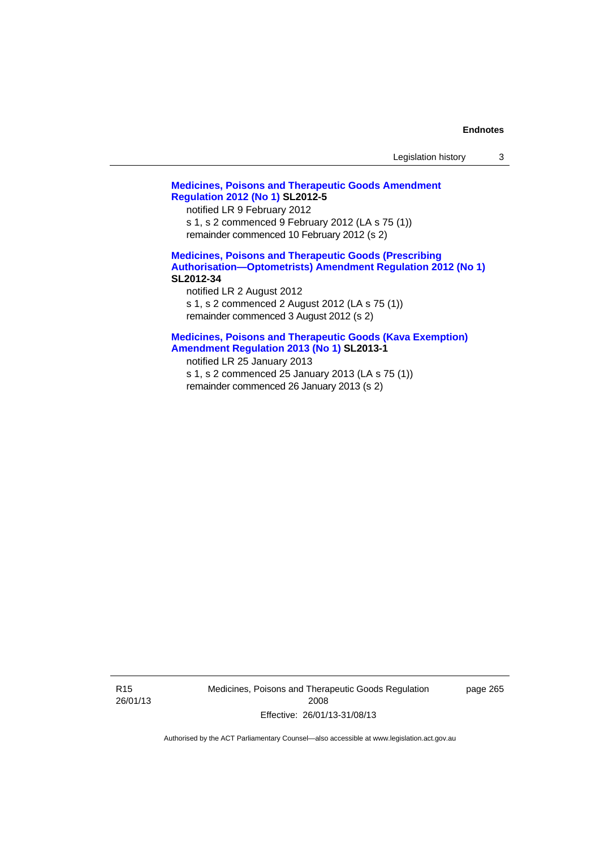## **[Medicines, Poisons and Therapeutic Goods Amendment](http://www.legislation.act.gov.au/sl/2012-5)  [Regulation 2012 \(No 1\)](http://www.legislation.act.gov.au/sl/2012-5) SL2012-5**

notified LR 9 February 2012 s 1, s 2 commenced 9 February 2012 (LA s 75 (1)) remainder commenced 10 February 2012 (s 2)

## **[Medicines, Poisons and Therapeutic Goods \(Prescribing](http://www.legislation.act.gov.au/sl/2012-34)  [Authorisation—Optometrists\) Amendment Regulation 2012 \(No 1\)](http://www.legislation.act.gov.au/sl/2012-34) SL2012-34**

notified LR 2 August 2012 s 1, s 2 commenced 2 August 2012 (LA s 75 (1)) remainder commenced 3 August 2012 (s 2)

## **[Medicines, Poisons and Therapeutic Goods \(Kava Exemption\)](http://www.legislation.act.gov.au/sl/2013-1/default.asp)  [Amendment Regulation 2013 \(No 1\)](http://www.legislation.act.gov.au/sl/2013-1/default.asp) SL2013-1**

notified LR 25 January 2013 s 1, s 2 commenced 25 January 2013 (LA s 75 (1)) remainder commenced 26 January 2013 (s 2)

R15 26/01/13 Medicines, Poisons and Therapeutic Goods Regulation 2008 Effective: 26/01/13-31/08/13

page 265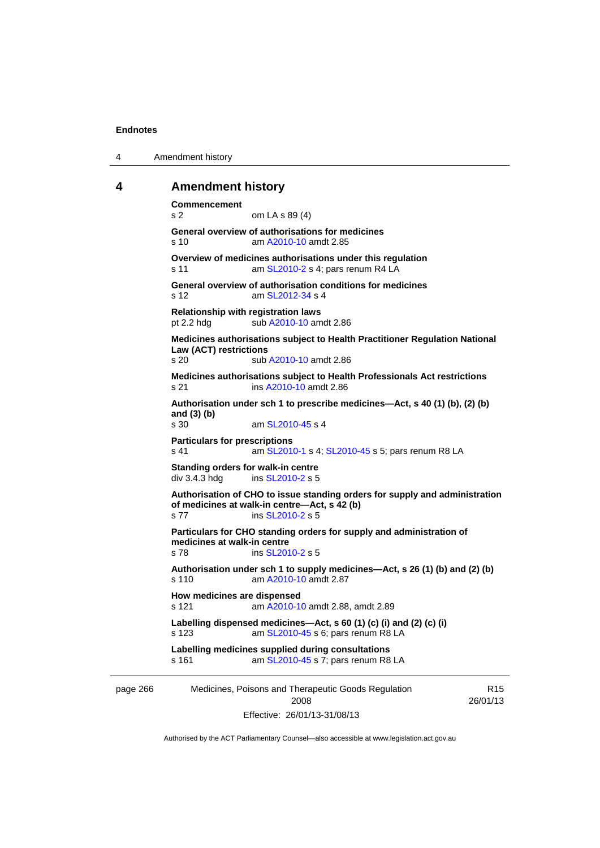4 Amendment history

## **4 Amendment history**

page 266 Medicines, Poisons and Therapeutic Goods Regulation 2008 R15 26/01/13 **Commencement**  s 2 om LA s 89 (4) **General overview of authorisations for medicines**  s 10 am [A2010-10](http://www.legislation.act.gov.au/a/2010-10) amdt 2.85 **Overview of medicines authorisations under this regulation**  s 11 **am [SL2010-2](http://www.legislation.act.gov.au/sl/2010-2) s 4; pars renum R4 LA General overview of authorisation conditions for medicines**  s 12 am [SL2012-34](http://www.legislation.act.gov.au/sl/2012-34) s 4 **Relationship with registration laws**  pt 2.2 hdg sub [A2010-10](http://www.legislation.act.gov.au/a/2010-10) amdt 2.86 **Medicines authorisations subject to Health Practitioner Regulation National Law (ACT) restrictions**  s 20 sub [A2010-10](http://www.legislation.act.gov.au/a/2010-10) amdt 2.86 **Medicines authorisations subject to Health Professionals Act restrictions**  s 21 ins [A2010-10](http://www.legislation.act.gov.au/a/2010-10) amdt 2.86 **Authorisation under sch 1 to prescribe medicines—Act, s 40 (1) (b), (2) (b) and (3) (b)**  am [SL2010-45](http://www.legislation.act.gov.au/sl/2010-45) s 4 **Particulars for prescriptions**  s 41 **am [SL2010-1](http://www.legislation.act.gov.au/sl/2010-1) s 4; [SL2010-45](http://www.legislation.act.gov.au/sl/2010-45) s 5; pars renum R8 LA Standing orders for walk-in centre**   $div$  3.4.3 hda ins  $SL<sub>2010-2</sub> s 5$ **Authorisation of CHO to issue standing orders for supply and administration of medicines at walk-in centre—Act, s 42 (b)**  s 77 ins [SL2010-2](http://www.legislation.act.gov.au/sl/2010-2) s 5 **Particulars for CHO standing orders for supply and administration of medicines at walk-in centre**  s 78 ins [SL2010-2](http://www.legislation.act.gov.au/sl/2010-2) s 5 **Authorisation under sch 1 to supply medicines—Act, s 26 (1) (b) and (2) (b)**  s 110 am [A2010-10](http://www.legislation.act.gov.au/a/2010-10) amdt 2.87 **How medicines are dispensed**  s 121 am [A2010-10](http://www.legislation.act.gov.au/a/2010-10) amdt 2.88, amdt 2.89 **Labelling dispensed medicines—Act, s 60 (1) (c) (i) and (2) (c) (i)**  s 123 am [SL2010-45](http://www.legislation.act.gov.au/sl/2010-45) s 6; pars renum R8 LA **Labelling medicines supplied during consultations**  s 161 am [SL2010-45](http://www.legislation.act.gov.au/sl/2010-45) s 7; pars renum R8 LA

Effective: 26/01/13-31/08/13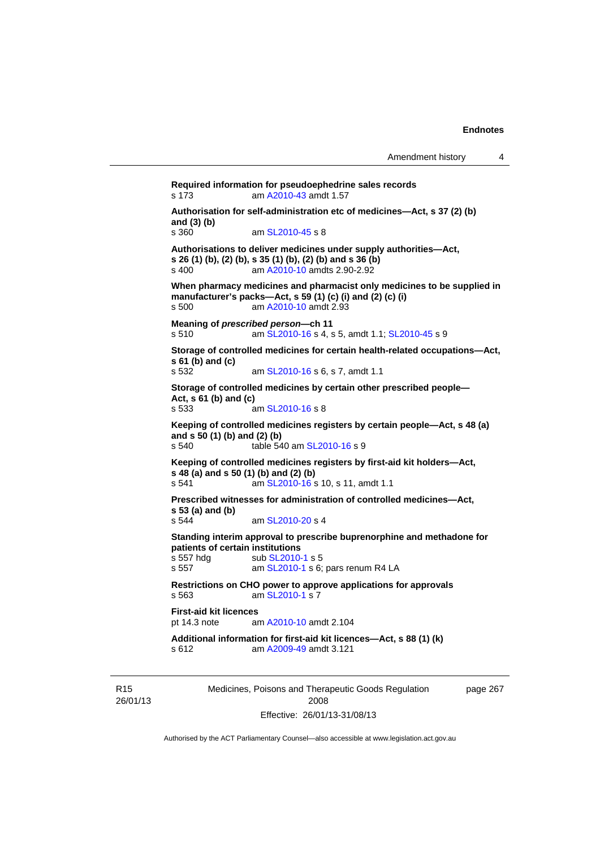**Required information for pseudoephedrine sales records**  s 173 am [A2010-43](http://www.legislation.act.gov.au/a/2010-43) amdt 1.57 **Authorisation for self-administration etc of medicines—Act, s 37 (2) (b) and (3) (b)**  am [SL2010-45](http://www.legislation.act.gov.au/sl/2010-45) s 8 **Authorisations to deliver medicines under supply authorities—Act, s 26 (1) (b), (2) (b), s 35 (1) (b), (2) (b) and s 36 (b)**  s 400 am [A2010-10](http://www.legislation.act.gov.au/a/2010-10) amdts 2.90-2.92 **When pharmacy medicines and pharmacist only medicines to be supplied in manufacturer's packs—Act, s 59 (1) (c) (i) and (2) (c) (i)**  s 500 am [A2010-10](http://www.legislation.act.gov.au/a/2010-10) amdt 2.93 **Meaning of** *prescribed person***—ch 11**  s 510 am [SL2010-16](http://www.legislation.act.gov.au/sl/2010-16) s 4, s 5, amdt 1.1; [SL2010-45](http://www.legislation.act.gov.au/sl/2010-45) s 9 **Storage of controlled medicines for certain health-related occupations—Act, s 61 (b) and (c)**<br>**s 532** am [SL2010-16](http://www.legislation.act.gov.au/sl/2010-16) s 6, s 7, amdt 1.1 **Storage of controlled medicines by certain other prescribed people— Act, s 61 (b) and (c)**  s 533 am [SL2010-16](http://www.legislation.act.gov.au/sl/2010-16) s 8 **Keeping of controlled medicines registers by certain people—Act, s 48 (a) and s 50 (1) (b) and (2) (b)**  s 540 table 540 am [SL2010-16](http://www.legislation.act.gov.au/sl/2010-16) s 9 **Keeping of controlled medicines registers by first-aid kit holders—Act, s 48 (a) and s 50 (1) (b) and (2) (b)**  s 541 **am [SL2010-16](http://www.legislation.act.gov.au/sl/2010-16) s 10, s 11, amdt 1.1 Prescribed witnesses for administration of controlled medicines—Act, s 53 (a) and (b)**  s 544 am [SL2010-20](http://www.legislation.act.gov.au/sl/2010-20) s 4 **Standing interim approval to prescribe buprenorphine and methadone for patients of certain institutions**<br>s 557 hdg sub SL2010 s 557 hdg sub [SL2010-1](http://www.legislation.act.gov.au/sl/2010-1) s 5<br>s 557 am SL2010-1 s 6: am [SL2010-1](http://www.legislation.act.gov.au/sl/2010-1) s 6; pars renum R4 LA **Restrictions on CHO power to approve applications for approvals**  s 563 am [SL2010-1](http://www.legislation.act.gov.au/sl/2010-1) s 7 **First-aid kit licences**<br>pt 14.3 note are am [A2010-10](http://www.legislation.act.gov.au/a/2010-10) amdt 2.104 **Additional information for first-aid kit licences—Act, s 88 (1) (k)**  s 612 am [A2009-49](http://www.legislation.act.gov.au/a/2009-49) amdt 3.121

R15 26/01/13 Medicines, Poisons and Therapeutic Goods Regulation 2008 Effective: 26/01/13-31/08/13

page 267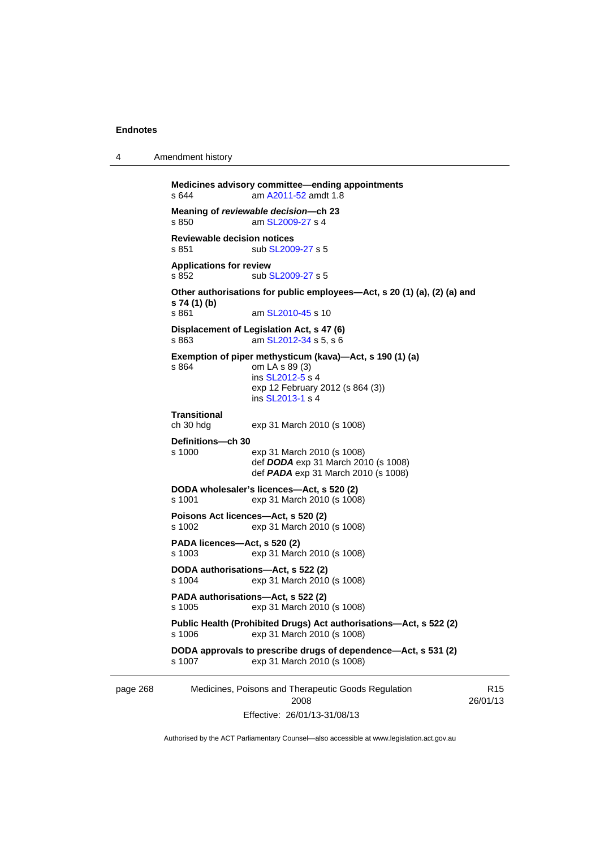4 Amendment history

```
page 268 Medicines, Poisons and Therapeutic Goods Regulation 
                                     2008 
                                                                               R15
           Medicines advisory committee—ending appointments 
           s 644 A2011-52 amdt 1.8
           Meaning of reviewable decision—ch 23 
                            SL2009-27 s 4
           Reviewable decision notices 
           SL2009-27 s 5
           Applications for review 
           SL2009-27 s 5
           Other authorisations for public employees—Act, s 20 (1) (a), (2) (a) and 
           s 74 (1) (b) 
                             SL2010-45 s 10
           Displacement of Legislation Act, s 47 (6) <br>s 863 am SL2012-34 s 5, s 6
                            SL2012-34 s 5, s 6
           Exemption of piper methysticum (kava)—Act, s 190 (1) (a) 
           s 864 om LA s 89 (3) 
                             ins SL2012-5 s 4
                            exp 12 February 2012 (s 864 (3)) 
                             ins SL2013-1 s 4
           Transitional 
                            exp 31 March 2010 (s 1008)
           Definitions—ch 30 
           s 1000 exp 31 March 2010 (s 1008) 
                             def DODA exp 31 March 2010 (s 1008) 
                             def PADA exp 31 March 2010 (s 1008) 
           DODA wholesaler's licences—Act, s 520 (2) 
           s 1001 exp 31 March 2010 (s 1008) 
           Poisons Act licences—Act, s 520 (2) 
                            exp 31 March 2010 (s 1008)
           PADA licences—Act, s 520 (2) 
           s 1003 exp 31 March 2010 (s 1008) 
           DODA authorisations—Act, s 522 (2) 
                            exp 31 March 2010 (s 1008)
           PADA authorisations—Act, s 522 (2) 
           s 1005 exp 31 March 2010 (s 1008) 
           Public Health (Prohibited Drugs) Act authorisations—Act, s 522 (2) 
           s 1006 exp 31 March 2010 (s 1008) 
           DODA approvals to prescribe drugs of dependence—Act, s 531 (2) 
           s 1007 exp 31 March 2010 (s 1008)
```
Effective: 26/01/13-31/08/13

26/01/13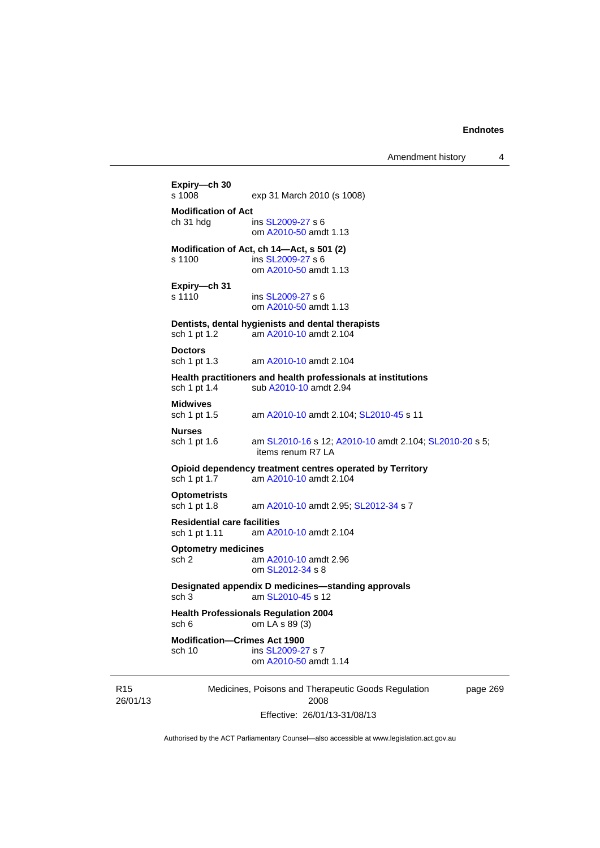Amendment history 4

```
Medicines, Poisons and Therapeutic Goods Regulation 
                           2008 
                 Effective: 26/01/13-31/08/13 
                                                           page 269 
Expiry—ch 30 
                exp 31 March 2010 (s 1008)
Modification of Act 
 SL2009-27 s 6
                 om A2010-50 amdt 1.13
Modification of Act, ch 14—Act, s 501 (2) 
s 1100 ins SL2009-27 s 6 
                 om A2010-50 amdt 1.13
Expiry—ch 31 
SL2009-27 s 6
                om A2010-50 amdt 1.13
Dentists, dental hygienists and dental therapists 
sch 1 pt 1.2 am A2010-10 amdt 2.104
Doctors 
sch 1 pt 1.3 am A2010-10 amdt 2.104
Health practitioners and health professionals at institutions 
 A2010-10 amdt 2.94
Midwives 
sch 1 pt 1.5 am A2010-10 amdt 2.104; SL2010-45 s 11 
Nurses 
 SL2010-16A2010-10  SL2010-20 s 5;
                 items renum R7 LA 
Opioid dependency treatment centres operated by Territory 
sch 1 pt 1.7 am A2010-10 amdt 2.104
Optometrists 
sch 1 pt 1.8 am A2010-10 amdt 2.95; SL2012-34 s 7 
Residential care facilities 
sch 1 pt 1.11 am A2010-10 amdt 2.104
Optometry medicines 
sch 2 am A2010-10 amdt 2.96
                 om SL2012-34 s 8 
Designated appendix D medicines—standing approvals 
sch 3 am SL2010-45 s 12 
Health Professionals Regulation 2004 
sch 6 om LA s 89 (3) 
Modification—Crimes Act 1900 
                SL2009-27 s 7
                 om A2010-50 amdt 1.14
```
Authorised by the ACT Parliamentary Counsel—also accessible at www.legislation.act.gov.au

R15 26/01/13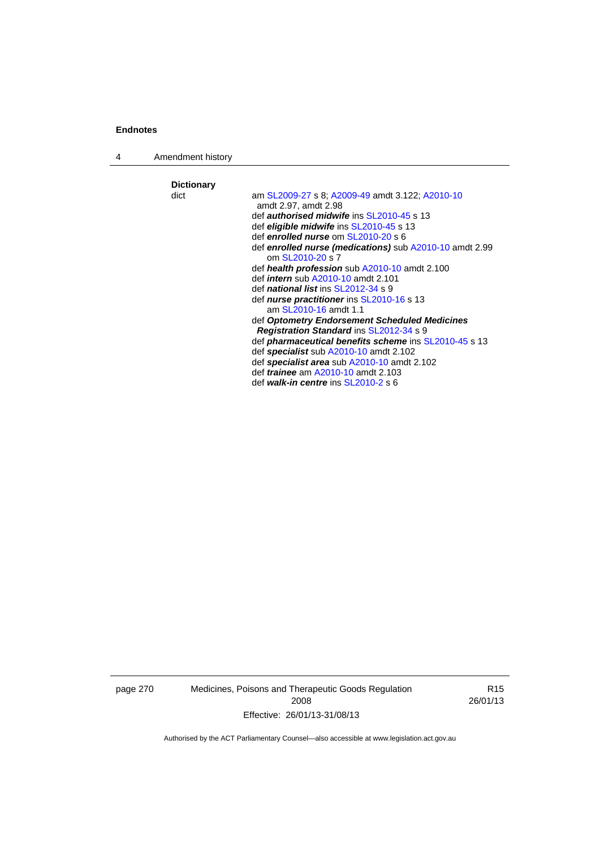4 Amendment history

**Dictionary**  am [SL2009-27](http://www.legislation.act.gov.au/sl/2009-27) s 8; [A2009-49](http://www.legislation.act.gov.au/a/2009-49) amdt 3.122; [A2010-10](http://www.legislation.act.gov.au/a/2010-10) amdt 2.97, amdt 2.98 def *authorised midwife* ins [SL2010-45](http://www.legislation.act.gov.au/sl/2010-45) s 13 def *eligible midwife* ins [SL2010-45](http://www.legislation.act.gov.au/sl/2010-45) s 13 def *enrolled nurse* om [SL2010-20](http://www.legislation.act.gov.au/sl/2010-20) s 6 def *enrolled nurse (medications)* sub [A2010-10](http://www.legislation.act.gov.au/a/2010-10) amdt 2.99 om [SL2010-20](http://www.legislation.act.gov.au/sl/2010-20) s 7 def *health profession* sub [A2010-10](http://www.legislation.act.gov.au/a/2010-10) amdt 2.100 def *intern* sub [A2010-10](http://www.legislation.act.gov.au/a/2010-10) amdt 2.101 def *national list* ins [SL2012-34](http://www.legislation.act.gov.au/sl/2012-34) s 9 def *nurse practitioner* ins [SL2010-16](http://www.legislation.act.gov.au/sl/2010-16) s 13 am [SL2010-16](http://www.legislation.act.gov.au/sl/2010-16) amdt 1.1 def *Optometry Endorsement Scheduled Medicines Registration Standard* ins [SL2012-34](http://www.legislation.act.gov.au/sl/2012-34) s 9 def *pharmaceutical benefits scheme* ins [SL2010-45](http://www.legislation.act.gov.au/sl/2010-45) s 13 def *specialist* sub [A2010-10](http://www.legislation.act.gov.au/a/2010-10) amdt 2.102 def *specialist area* sub [A2010-10](http://www.legislation.act.gov.au/a/2010-10) amdt 2.102 def *trainee* am [A2010-10](http://www.legislation.act.gov.au/a/2010-10) amdt 2.103 def *walk-in centre* ins [SL2010-2](http://www.legislation.act.gov.au/sl/2010-2) s 6

page 270 Medicines, Poisons and Therapeutic Goods Regulation 2008 Effective: 26/01/13-31/08/13

R15 26/01/13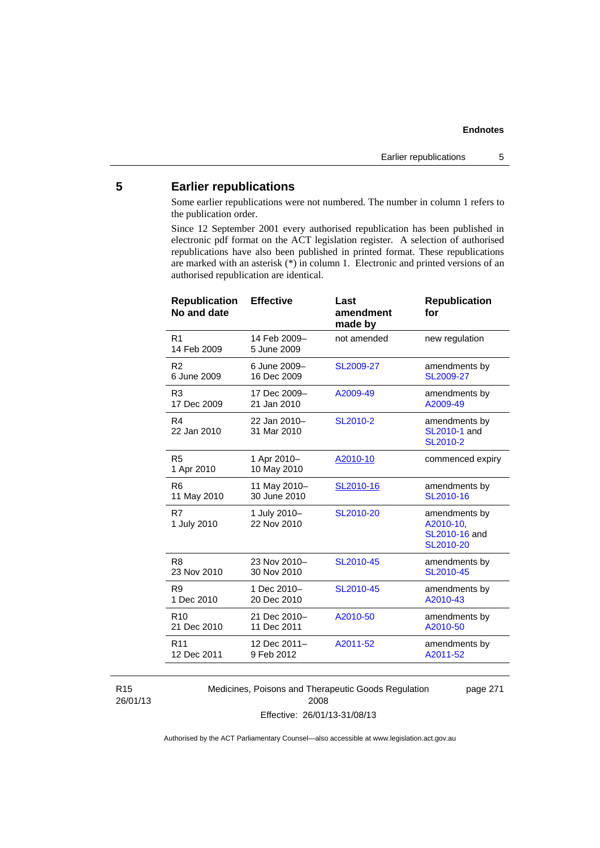# **5 Earlier republications**

Some earlier republications were not numbered. The number in column 1 refers to the publication order.

Since 12 September 2001 every authorised republication has been published in electronic pdf format on the ACT legislation register. A selection of authorised republications have also been published in printed format. These republications are marked with an asterisk (\*) in column 1. Electronic and printed versions of an authorised republication are identical.

| <b>Republication</b><br>No and date | <b>Effective</b>            | Last<br>amendment<br>made by | <b>Republication</b><br>for                              |
|-------------------------------------|-----------------------------|------------------------------|----------------------------------------------------------|
| R <sub>1</sub><br>14 Feb 2009       | 14 Feb 2009-<br>5 June 2009 | not amended                  | new regulation                                           |
| R <sub>2</sub>                      | 6 June 2009-                | SL2009-27                    | amendments by                                            |
| 6 June 2009                         | 16 Dec 2009                 |                              | SL2009-27                                                |
| R <sub>3</sub>                      | 17 Dec 2009-                | A2009-49                     | amendments by                                            |
| 17 Dec 2009                         | 21 Jan 2010                 |                              | A2009-49                                                 |
| R4<br>22 Jan 2010                   | 22 Jan 2010-<br>31 Mar 2010 | SL2010-2                     | amendments by<br>SL2010-1 and<br>SL2010-2                |
| R <sub>5</sub><br>1 Apr 2010        | 1 Apr 2010-<br>10 May 2010  | A2010-10                     | commenced expiry                                         |
| R <sub>6</sub>                      | 11 May 2010-                | SL2010-16                    | amendments by                                            |
| 11 May 2010                         | 30 June 2010                |                              | SL2010-16                                                |
| R7<br>1 July 2010                   | 1 July 2010-<br>22 Nov 2010 | SL2010-20                    | amendments by<br>A2010-10,<br>SL2010-16 and<br>SL2010-20 |
| R <sub>8</sub>                      | 23 Nov 2010-                | SL2010-45                    | amendments by                                            |
| 23 Nov 2010                         | 30 Nov 2010                 |                              | SL2010-45                                                |
| R <sub>9</sub>                      | 1 Dec 2010-                 | SL2010-45                    | amendments by                                            |
| 1 Dec 2010                          | 20 Dec 2010                 |                              | A2010-43                                                 |
| R <sub>10</sub>                     | 21 Dec 2010-                | A2010-50                     | amendments by                                            |
| 21 Dec 2010                         | 11 Dec 2011                 |                              | A2010-50                                                 |
| R <sub>11</sub>                     | 12 Dec 2011-                | A2011-52                     | amendments by                                            |
| 12 Dec 2011                         | 9 Feb 2012                  |                              | A2011-52                                                 |
|                                     |                             |                              |                                                          |

R15 26/01/13 Medicines, Poisons and Therapeutic Goods Regulation 2008 Effective: 26/01/13-31/08/13

page 271